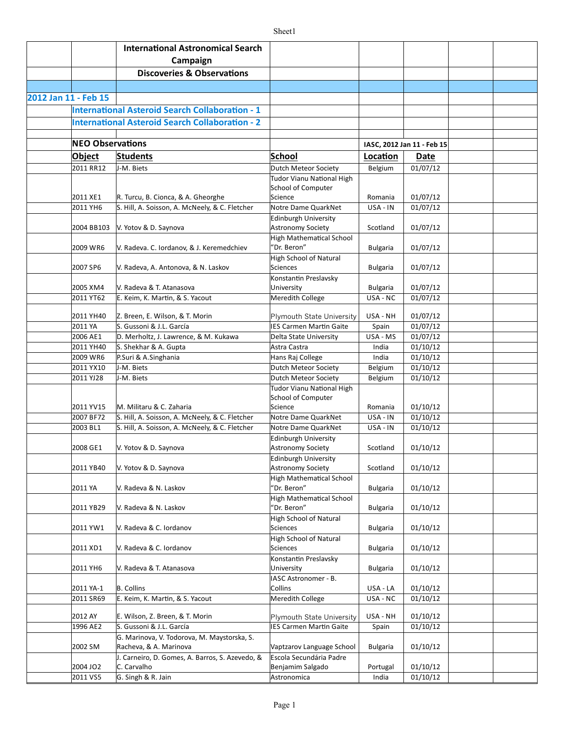|                      |                         | <b>International Astronomical Search</b><br>Campaign                      |                                                      |                 |                            |  |
|----------------------|-------------------------|---------------------------------------------------------------------------|------------------------------------------------------|-----------------|----------------------------|--|
|                      |                         | <b>Discoveries &amp; Observations</b>                                     |                                                      |                 |                            |  |
|                      |                         |                                                                           |                                                      |                 |                            |  |
| 2012 Jan 11 - Feb 15 |                         |                                                                           |                                                      |                 |                            |  |
|                      |                         | <b>International Asteroid Search Collaboration - 1</b>                    |                                                      |                 |                            |  |
|                      |                         | <b>International Asteroid Search Collaboration - 2</b>                    |                                                      |                 |                            |  |
|                      |                         |                                                                           |                                                      |                 |                            |  |
|                      | <b>NEO Observations</b> |                                                                           |                                                      |                 | IASC, 2012 Jan 11 - Feb 15 |  |
|                      | Object                  | <b>Students</b>                                                           | School                                               | Location        | Date                       |  |
|                      | 2011 RR12               | J-M. Biets                                                                | Dutch Meteor Society                                 | Belgium         | 01/07/12                   |  |
|                      |                         |                                                                           | Tudor Vianu National High                            |                 |                            |  |
|                      |                         |                                                                           | School of Computer                                   |                 |                            |  |
|                      | 2011 XE1                | R. Turcu, B. Cionca, & A. Gheorghe                                        | Science                                              | Romania         | 01/07/12                   |  |
|                      | 2011 YH6                | S. Hill, A. Soisson, A. McNeely, & C. Fletcher                            | Notre Dame QuarkNet                                  | USA - IN        | 01/07/12                   |  |
|                      | 2004 BB103              | V. Yotov & D. Saynova                                                     | <b>Edinburgh University</b><br>Astronomy Society     | Scotland        | 01/07/12                   |  |
|                      |                         |                                                                           | <b>High Mathematical School</b>                      |                 |                            |  |
|                      | 2009 WR6                | V. Radeva. C. Iordanov, & J. Keremedchiev                                 | "Dr. Beron"                                          | <b>Bulgaria</b> | 01/07/12                   |  |
|                      |                         |                                                                           | <b>High School of Natural</b>                        |                 |                            |  |
|                      | 2007 SP6                | V. Radeva, A. Antonova, & N. Laskov                                       | Sciences                                             | <b>Bulgaria</b> | 01/07/12                   |  |
|                      |                         |                                                                           | Konstantin Preslavsky                                |                 |                            |  |
|                      | 2005 XM4                | V. Radeva & T. Atanasova                                                  | University                                           | <b>Bulgaria</b> | 01/07/12                   |  |
|                      | 2011 YT62               | E. Keim, K. Martin, & S. Yacout                                           | Meredith College                                     | USA - NC        | 01/07/12                   |  |
|                      | 2011 YH40               | Z. Breen, E. Wilson, & T. Morin                                           | <b>Plymouth State University</b>                     | USA - NH        | 01/07/12                   |  |
|                      | 2011 YA                 | S. Gussoni & J.L. García                                                  | <b>IES Carmen Martin Gaite</b>                       | Spain           | 01/07/12                   |  |
|                      | 2006 AE1                | D. Merholtz, J. Lawrence, & M. Kukawa                                     | Delta State University                               | USA - MS        | 01/07/12                   |  |
|                      | 2011 YH40               | S. Shekhar & A. Gupta                                                     | Astra Castra                                         | India           | 01/10/12                   |  |
|                      | 2009 WR6                | P.Suri & A.Singhania                                                      | Hans Raj College                                     | India           | 01/10/12                   |  |
|                      | 2011 YX10               | J-M. Biets                                                                | Dutch Meteor Society                                 | Belgium         | 01/10/12                   |  |
|                      | 2011 YJ28               | J-M. Biets                                                                | Dutch Meteor Society                                 | Belgium         | 01/10/12                   |  |
|                      |                         |                                                                           | <b>Tudor Vianu National High</b>                     |                 |                            |  |
|                      | 2011 YV15               | M. Militaru & C. Zaharia                                                  | School of Computer<br>Science                        | Romania         | 01/10/12                   |  |
|                      | 2007 BF72               | S. Hill, A. Soisson, A. McNeely, & C. Fletcher                            | Notre Dame QuarkNet                                  | USA - IN        | 01/10/12                   |  |
|                      | 2003 BL1                | S. Hill, A. Soisson, A. McNeely, & C. Fletcher                            | Notre Dame QuarkNet                                  | USA - IN        | 01/10/12                   |  |
|                      |                         |                                                                           | <b>Edinburgh University</b>                          |                 |                            |  |
|                      | 2008 GE1                | V. Yotov & D. Saynova                                                     | Astronomy Society                                    | Scotland        | 01/10/12                   |  |
|                      |                         |                                                                           | Edinburgh University                                 |                 |                            |  |
|                      | 2011 YB40               | V. Yotov & D. Saynova                                                     | <b>Astronomy Society</b>                             | Scotland        | 01/10/12                   |  |
|                      | 2011 YA                 | V. Radeva & N. Laskov                                                     | <b>High Mathematical School</b><br>"Dr. Beron"       | <b>Bulgaria</b> | 01/10/12                   |  |
|                      |                         |                                                                           | <b>High Mathematical School</b>                      |                 |                            |  |
|                      | 2011 YB29               | V. Radeva & N. Laskov                                                     | "Dr. Beron"                                          | <b>Bulgaria</b> | 01/10/12                   |  |
|                      |                         |                                                                           | High School of Natural                               |                 |                            |  |
|                      | 2011 YW1                | V. Radeva & C. Iordanov                                                   | Sciences                                             | <b>Bulgaria</b> | 01/10/12                   |  |
|                      |                         |                                                                           | High School of Natural                               |                 |                            |  |
|                      | 2011 XD1                | V. Radeva & C. Iordanov                                                   | Sciences                                             | <b>Bulgaria</b> | 01/10/12                   |  |
|                      |                         |                                                                           | Konstantin Preslavsky                                |                 |                            |  |
|                      | 2011 YH6                | V. Radeva & T. Atanasova                                                  | University                                           | <b>Bulgaria</b> | 01/10/12                   |  |
|                      | 2011 YA-1               | <b>B.</b> Collins                                                         | IASC Astronomer - B.<br>Collins                      | USA - LA        | 01/10/12                   |  |
|                      | 2011 SR69               | E. Keim, K. Martin, & S. Yacout                                           | Meredith College                                     | USA - NC        | 01/10/12                   |  |
|                      |                         |                                                                           |                                                      |                 |                            |  |
|                      | 2012 AY                 | E. Wilson, Z. Breen, & T. Morin                                           | <b>Plymouth State University</b>                     | USA - NH        | 01/10/12                   |  |
|                      | 1996 AE2                | S. Gussoni & J.L. García                                                  | <b>IES Carmen Martin Gaite</b>                       | Spain           | 01/10/12                   |  |
|                      |                         | G. Marinova, V. Todorova, M. Maystorska, S.                               |                                                      |                 |                            |  |
|                      | 2002 SM                 | Racheva, & A. Marinova<br>J. Carneiro, D. Gomes, A. Barros, S. Azevedo, & | Vaptzarov Language School<br>Escola Secundária Padre | <b>Bulgaria</b> | 01/10/12                   |  |
|                      | 2004 JO2                | C. Carvalho                                                               | Benjamim Salgado                                     | Portugal        | 01/10/12                   |  |
|                      | 2011 VS5                | G. Singh & R. Jain                                                        | Astronomica                                          | India           | 01/10/12                   |  |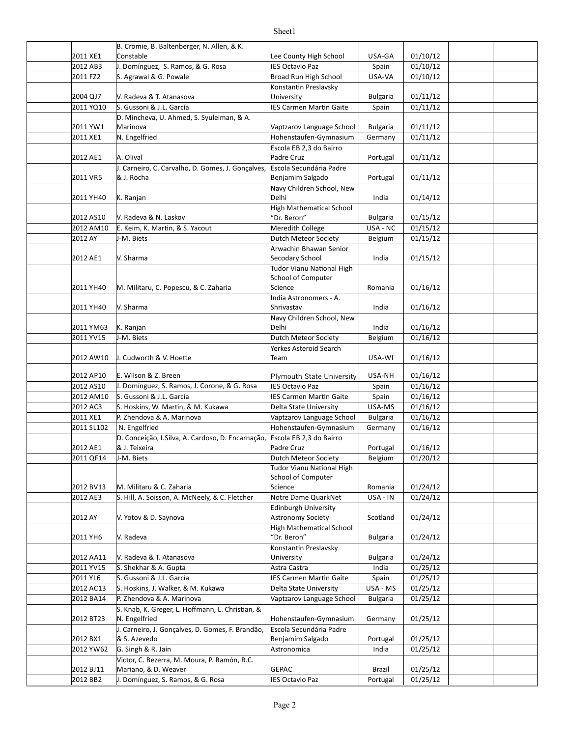|                        | B. Cromie, B. Baltenberger, N. Allen, & K.                         |                                                     |                            |                               |  |
|------------------------|--------------------------------------------------------------------|-----------------------------------------------------|----------------------------|-------------------------------|--|
| 2011 XE1               | Constable                                                          | Lee County High School                              | USA-GA                     | 01/10/12                      |  |
| 2012 AB3               | J. Domínguez, S. Ramos, & G. Rosa                                  | <b>IES Octavio Paz</b>                              | Spain                      | 01/10/12                      |  |
| 2011 FZ2               | S. Agrawal & G. Powale                                             | Broad Run High School                               | USA-VA                     | 01/10/12                      |  |
|                        | V. Radeva & T. Atanasova                                           | Konstantin Preslavsky                               |                            |                               |  |
| 2004 QJ7               |                                                                    | University                                          | <b>Bulgaria</b>            | 01/11/12                      |  |
| 2011 YQ10              | S. Gussoni & J.L. García                                           | <b>IES Carmen Martin Gaite</b>                      | Spain                      | 01/11/12                      |  |
| 2011 YW1               | D. Mincheva, U. Ahmed, S. Syuleiman, & A.<br>Marinova              | Vaptzarov Language School                           | <b>Bulgaria</b>            | 01/11/12                      |  |
| 2011 XE1               | N. Engelfried                                                      | Hohenstaufen-Gymnasium                              | Germany                    | 01/11/12                      |  |
|                        |                                                                    | Escola EB 2,3 do Bairro                             |                            |                               |  |
| 2012 AE1               | A. Olival                                                          | Padre Cruz                                          | Portugal                   | 01/11/12                      |  |
|                        | J. Carneiro, C. Carvalho, D. Gomes, J. Gonçalves,                  | Escola Secundária Padre                             |                            |                               |  |
| 2011 VR5               | & J. Rocha                                                         | Benjamim Salgado                                    | Portugal                   | 01/11/12                      |  |
|                        |                                                                    | Navy Children School, New                           |                            |                               |  |
| 2011 YH40              | K. Ranjan                                                          | Delhi                                               | India                      | 01/14/12                      |  |
|                        |                                                                    | <b>High Mathematical School</b>                     |                            |                               |  |
| 2012 AS10              | V. Radeva & N. Laskov                                              | 'Dr. Beron"                                         | Bulgaria                   | 01/15/12                      |  |
| 2012 AM10              | E. Keim, K. Martin, & S. Yacout                                    | Meredith College                                    | USA - NC                   | 01/15/12                      |  |
| 2012 AY                | J-M. Biets                                                         | Dutch Meteor Society                                | Belgium                    | 01/15/12                      |  |
|                        |                                                                    | Arwachin Bhawan Senior                              |                            |                               |  |
| 2012 AE1               | V. Sharma                                                          | Secodary School                                     | India                      | 01/15/12                      |  |
|                        |                                                                    | <b>Tudor Vianu National High</b>                    |                            |                               |  |
|                        |                                                                    | School of Computer                                  |                            |                               |  |
| 2011 YH40              | M. Militaru, C. Popescu, & C. Zaharia                              | Science                                             | Romania                    | 01/16/12                      |  |
|                        |                                                                    | India Astronomers - A.                              |                            |                               |  |
| 2011 YH40              | V. Sharma                                                          | Shrivastav                                          | India                      | 01/16/12                      |  |
|                        |                                                                    | Navy Children School, New                           |                            |                               |  |
| 2011 YM63              | K. Ranjan                                                          | Delhi                                               | India                      | 01/16/12                      |  |
| 2011 YV15              | J-M. Biets                                                         | Dutch Meteor Society                                | Belgium                    | 01/16/12                      |  |
|                        |                                                                    | Yerkes Asteroid Search                              |                            |                               |  |
| 2012 AW10              | J. Cudworth & V. Hoette                                            | Team                                                | USA-WI                     | 01/16/12                      |  |
|                        |                                                                    |                                                     |                            |                               |  |
| 2012 AP10              | E. Wilson & Z. Breen                                               | Plymouth State University                           | USA-NH                     | 01/16/12                      |  |
| 2012 AS10              | J. Domínguez, S. Ramos, J. Corone, & G. Rosa                       | <b>IES Octavio Paz</b>                              | Spain                      | 01/16/12                      |  |
| 2012 AM10              | S. Gussoni & J.L. García                                           | IES Carmen Martin Gaite                             | Spain                      | 01/16/12<br>01/16/12          |  |
| 2012 AC3               | S. Hoskins, W. Martin, & M. Kukawa                                 | Delta State University                              | USA-MS                     | $\frac{1}{01}{\frac{16}{12}}$ |  |
| 2011 XE1<br>2011 SL102 | P. Zhendova & A. Marinova<br>N. Engelfried                         | Vaptzarov Language School<br>Hohenstaufen-Gymnasium | <b>Bulgaria</b><br>Germany | 01/16/12                      |  |
|                        |                                                                    |                                                     |                            |                               |  |
| 2012 AE1               | D. Conceição, I.Silva, A. Cardoso, D. Encarnação,<br>& J. Teixeira | Escola EB 2,3 do Bairro<br>Padre Cruz               | Portugal                   | 01/16/12                      |  |
| 2011 QF14              | J-M. Biets                                                         | Dutch Meteor Society                                | Belgium                    | 01/20/12                      |  |
|                        |                                                                    | <b>Tudor Vianu National High</b>                    |                            |                               |  |
|                        |                                                                    | School of Computer                                  |                            |                               |  |
| 2012 BV13              | M. Militaru & C. Zaharia                                           | Science                                             | Romania                    | 01/24/12                      |  |
| 2012 AE3               | S. Hill, A. Soisson, A. McNeely, & C. Fletcher                     | Notre Dame QuarkNet                                 | USA - IN                   | 01/24/12                      |  |
|                        |                                                                    | <b>Edinburgh University</b>                         |                            |                               |  |
| 2012 AY                | V. Yotov & D. Saynova                                              | Astronomy Society                                   | Scotland                   | 01/24/12                      |  |
|                        |                                                                    | <b>High Mathematical School</b>                     |                            |                               |  |
| 2011 YH6               | V. Radeva                                                          | "Dr. Beron"                                         | <b>Bulgaria</b>            | 01/24/12                      |  |
|                        |                                                                    | Konstantin Preslavsky                               |                            |                               |  |
| 2012 AA11              | V. Radeva & T. Atanasova                                           | University                                          | <b>Bulgaria</b>            | 01/24/12                      |  |
| 2011 YV15              | S. Shekhar & A. Gupta                                              | Astra Castra                                        | India                      | 01/25/12                      |  |
| 2011 YL6               | S. Gussoni & J.L. García                                           | <b>IES Carmen Martin Gaite</b>                      | Spain                      | 01/25/12                      |  |
| 2012 AC13              | S. Hoskins, J. Walker, & M. Kukawa                                 | Delta State University                              | USA - MS                   | 01/25/12                      |  |
| 2012 BA14              | P. Zhendova & A. Marinova                                          | Vaptzarov Language School                           | <b>Bulgaria</b>            | 01/25/12                      |  |
|                        | S. Knab, K. Greger, L. Hoffmann, L. Christian, &                   |                                                     |                            |                               |  |
| 2012 BT23              | N. Engelfried                                                      | Hohenstaufen-Gymnasium                              | Germany                    | 01/25/12                      |  |
|                        | J. Carneiro, J. Gonçalves, D. Gomes, F. Brandão,                   | Escola Secundária Padre                             |                            |                               |  |
| 2012 BX1               | & S. Azevedo                                                       | Benjamim Salgado                                    | Portugal                   | 01/25/12                      |  |
| 2012 YW62              | G. Singh & R. Jain                                                 | Astronomica                                         | India                      | 01/25/12                      |  |
|                        | Victor, C. Bezerra, M. Moura, P. Ramón, R.C.                       |                                                     |                            |                               |  |
| 2012 BJ11              | Mariano, & D. Weaver                                               | <b>GEPAC</b>                                        | Brazil                     | 01/25/12                      |  |
| 2012 BB2               | J. Domínguez, S. Ramos, & G. Rosa                                  | <b>IES Octavio Paz</b>                              | Portugal                   | 01/25/12                      |  |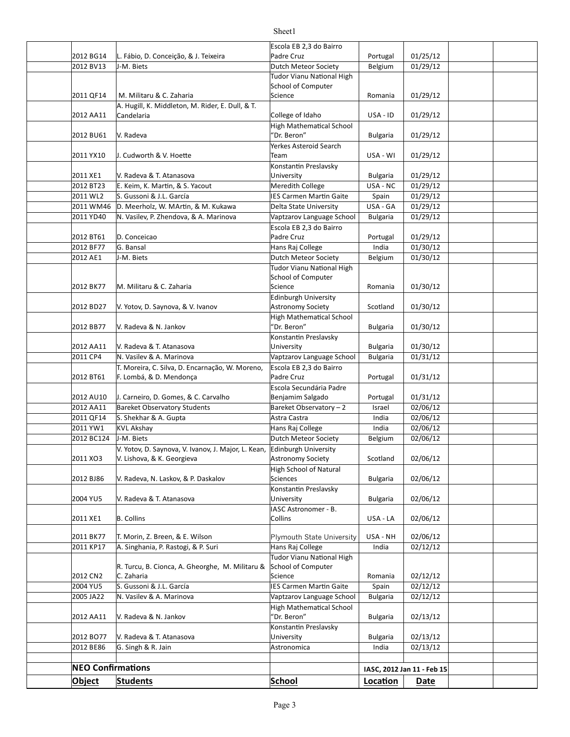#### 2012 BG14 L. Fábio, D. Conceição, & J. Teixeira (Padre Cruz Prortugal | 01/25/12 2012 BV13 J-M. Biets **Dutch Meteor Society** Belgium 01/29/12 2011 QF14 M. Militaru & C. Zaharia New York Science New York Romania | 01/29/12 2012 AA11 Candelaria Canton College of Idaho USA - ID 01/29/12 2012 BU61 Bulgaria 01/29/12 2011 YX10 USA - WI 01/29/12 J. Cudworth & V. Hoeie 2011 XE1 Bulgaria 01/29/12 V. Radeva & T. Atanasova 2012 BT23 E. Keim, K. Martin, & S. Yacout Meredith College Music Langley 2012 USA - NC | 01/29/12 2011 WL2 Spain 01/29/12 S. Gussoni & J.L. García IES Carmen Mar]n Gaite 2011 WM46 Delta State University USA - GA 01/29/12 D. Meerholz, W. MAr]n, & M. Kukawa 2011 YD40 N. Vasilev, P. Zhendova, & A. Marinova Vaptzarov Language School | Bulgaria | 01/29/12 2012 BT61 Portugal 01/29/12 2012 BF77 Hans Raj College India 01/30/12 2012 AE1 J-M. Biets **Dutch Meteor Society** Belgium 01/30/12 2012 BK77 M. Militaru & C. Zaharia 1988 1988 Science 1988 Science 2013 Romania 201/30/12 2012 BD27 N. Yotov, D. Saynova, & V. Ivanov Astronomy Society Scotland | 01/30/12 2012 BB77 Bulgaria 01/30/12 V. Radeva & N. Jankov 2012 AA11 Bulgaria 01/30/12 V. Radeva & T. Atanasova 2011 CP4 N. Vasilev & A. Marinova Naptal Capitarov Language School | Bulgaria | 01/31/12 2012 BT61 Portugal 01/31/12 F. Lombá, & D. Mendonça 2012 AU10 | J. Carneiro, D. Gomes, & C. Carvalho | Benjamim Salgado | Portugal | 01/31/12 2012 AA11 Bareket Observatory Students Bareket Observatory - 2 | Israel 02/06/12 2011 QF14 S. Shekhar & A. Gupta Astra Castra Astra Castra Astra Castra Astro di India (192/06/12 2011 YW1 KVL Akshay **College** | India | 02/06/12 2012 BC124 J-M. Biets **Dutch Meteor Society** Belgium 02/06/12 2011 XO3 V. Lishova, & K. Georgieva Astronomy Society | Scotland | 02/06/12 2012 BJ86 | V. Radeva, N. Laskov, & P. Daskalov | Sciences | Sciences | Bulgaria | 02/06/12 2004 YU5 Bulgaria 02/06/12 V. Radeva & T. Atanasova 2011 XE1 B. Collins Collins Collins Collins Collins USA - LA 02/06/12 2011 BK77 |T. Morin, Z. Breen, & E. Wilson Plymouth State University | USA - NH | 02/06/12 2011 KP17 | A. Singhania, P. Rastogi, & P. Suri | Hans Raj College | India | 02/12/12 2012 CN2 C. Zaharia 2002 COMPOS CONCRETE SCIENCE CONTROLLER SCIENCE CONTROLLER SCIENCE CONTROLLER SCIENCE CONT 2004 YU5 | S. Gussoni & J.L. García | IES Carmen Martin Gaite | Spain | 02/12/12 2005 JA22 | N. Vasilev & A. Marinova Vaptzarov Language School | Bulgaria | 02/12/12 2012 AA11 N. Radeva & N. Jankov (1998) (Pr. Beron" Bulgaria | 02/13/12 2012 BO77 |V. Radeva & T. Atanasova University Bulgaria 02/13/12 2012 BE86 G. Singh & R. Jain **India** 02/13/12 Escola EB 2,3 do Bairro Padre Cruz J-M. Biets Tudor Vianu National High School of Computer Science A. Hugill, K. Middleton, M. Rider, E. Dull, & T. Candelaria V. Radeva High Mathematical School "Dr. Beron" Yerkes Asteroid Search Team Konstantin Preslavsky University D. Conceicao Escola EB 2,3 do Bairro Padre Cruz G. Bansal J-M. Biets **Tudor Vianu National High** School of Computer Science Edinburgh University Astronomy Society High Mathematical School "Dr. Beron" Konstantin Preslavsky University T. Moreira, C. Silva, D. Encarnação, W. Moreno, Escola EB 2,3 do Bairro Padre Cruz Escola Secundária Padre Benjamim Salgado KVL Akshay J-M. Biets V. Yotov, D. Saynova, V. Ivanov, J. Major, L. Kean, **Edinburgh University** Astronomy Society High School of Natural Sciences Konstantin Preslavsky University IASC Astronomer - B. Collins  $R$ . Turcu, B. Cionca, A. Gheorghe, M. Militaru & C. Zaharia **Tudor Vianu National High** School of Computer Science **High Mathematical School** "Dr. Beron" Konstantin Preslavsky University Astronomica

**NEO Confirmations IASC, 2012 Jan 11 - Feb 15 Object Students School Loca.on Date**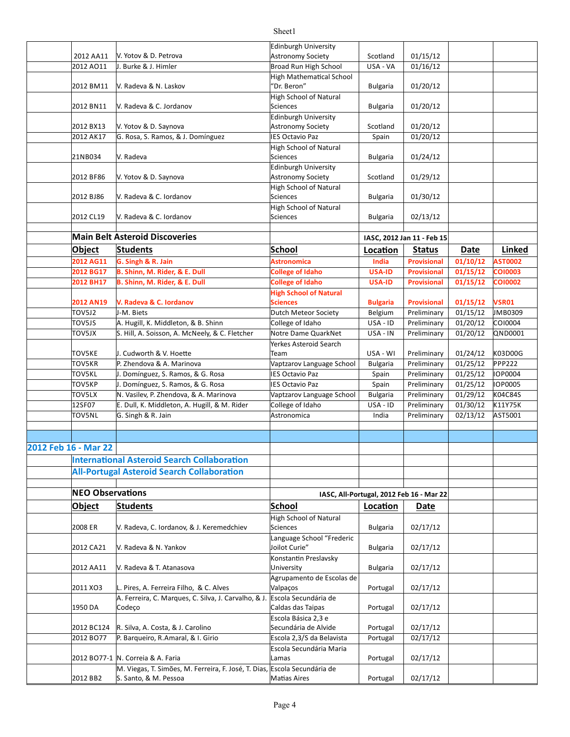|                      |                                                                                                    | Edinburgh University            |                 |                                          |             |                |
|----------------------|----------------------------------------------------------------------------------------------------|---------------------------------|-----------------|------------------------------------------|-------------|----------------|
| 2012 AA11            | V. Yotov & D. Petrova                                                                              | <b>Astronomy Society</b>        | Scotland        | 01/15/12                                 |             |                |
| 2012 AO11            | J. Burke & J. Himler                                                                               | Broad Run High School           | USA - VA        | 01/16/12                                 |             |                |
|                      |                                                                                                    | <b>High Mathematical School</b> |                 |                                          |             |                |
| 2012 BM11            | V. Radeva & N. Laskov                                                                              | "Dr. Beron"                     | <b>Bulgaria</b> | 01/20/12                                 |             |                |
|                      |                                                                                                    | <b>High School of Natural</b>   |                 |                                          |             |                |
| 2012 BN11            | V. Radeva & C. Jordanov                                                                            | <b>Sciences</b>                 | <b>Bulgaria</b> | 01/20/12                                 |             |                |
|                      |                                                                                                    | Edinburgh University            |                 |                                          |             |                |
| 2012 BX13            | V. Yotov & D. Saynova                                                                              | Astronomy Society               | Scotland        | 01/20/12                                 |             |                |
| 2012 AK17            | G. Rosa, S. Ramos, & J. Domínguez                                                                  | <b>IES Octavio Paz</b>          | Spain           | 01/20/12                                 |             |                |
|                      |                                                                                                    | High School of Natural          |                 |                                          |             |                |
| 21NB034              | V. Radeva                                                                                          | <b>Sciences</b>                 | <b>Bulgaria</b> | 01/24/12                                 |             |                |
|                      |                                                                                                    | Edinburgh University            |                 |                                          |             |                |
| 2012 BF86            | V. Yotov & D. Saynova                                                                              | Astronomy Society               | Scotland        | 01/29/12                                 |             |                |
|                      |                                                                                                    | High School of Natural          |                 |                                          |             |                |
| 2012 BJ86            | V. Radeva & C. Iordanov                                                                            | Sciences                        | <b>Bulgaria</b> | 01/30/12                                 |             |                |
|                      |                                                                                                    | High School of Natural          |                 |                                          |             |                |
| 2012 CL19            | V. Radeva & C. Iordanov                                                                            | Sciences                        | <b>Bulgaria</b> | 02/13/12                                 |             |                |
|                      | <b>Main Belt Asteroid Discoveries</b>                                                              |                                 |                 |                                          |             |                |
|                      |                                                                                                    |                                 |                 | IASC, 2012 Jan 11 - Feb 15               |             |                |
| <b>Object</b>        | <b>Students</b>                                                                                    | School                          | Location        | <b>Status</b>                            | <b>Date</b> | Linked         |
| 2012 AG11            | G. Singh & R. Jain                                                                                 | <b>Astronomica</b>              | India           | <b>Provisional</b>                       | 01/10/12    | <b>AST0002</b> |
| 2012 BG17            | B. Shinn, M. Rider, & E. Dull                                                                      | <b>College of Idaho</b>         | USA-ID          | <b>Provisional</b>                       | 01/15/12    | <b>CO10003</b> |
| 2012 BH17            | B. Shinn, M. Rider, & E. Dull                                                                      | <b>College of Idaho</b>         | <b>USA-ID</b>   | <b>Provisional</b>                       | 01/15/12    | <b>CO10002</b> |
|                      |                                                                                                    | <b>High School of Natural</b>   |                 |                                          |             |                |
| 2012 AN19            | V. Radeva & C. Iordanov                                                                            | <b>Sciences</b>                 | <b>Bulgaria</b> | <b>Provisional</b>                       | 01/15/12    | <b>VSR01</b>   |
| TOV5J2               | J-M. Biets                                                                                         | Dutch Meteor Society            | Belgium         | Preliminary                              | 01/15/12    | JMB0309        |
| TOV5JS               | A. Hugill, K. Middleton, & B. Shinn                                                                | College of Idaho                | USA-ID          | Preliminary                              | 01/20/12    | CO10004        |
| TOV5JX               | S. Hill, A. Soisson, A. McNeely, & C. Fletcher                                                     | Notre Dame QuarkNet             | USA - IN        | Preliminary                              | 01/20/12    | QND0001        |
|                      |                                                                                                    | Yerkes Asteroid Search          |                 |                                          |             |                |
| TOV5KE               | J. Cudworth & V. Hoette                                                                            | Team                            | USA - WI        | Preliminary                              | 01/24/12    | K03D00G        |
| TOV5KR               | P. Zhendova & A. Marinova                                                                          | Vaptzarov Language School       | <b>Bulgaria</b> | Preliminary                              | 01/25/12    | <b>PPP222</b>  |
| TOV5KL               | J. Domínguez, S. Ramos, & G. Rosa                                                                  | <b>IES Octavio Paz</b>          | Spain           | Preliminary                              | 01/25/12    | IOP0004        |
| TOV5KP               | J. Domínguez, S. Ramos, & G. Rosa                                                                  | <b>IES Octavio Paz</b>          | Spain           | Preliminary                              | 01/25/12    | IOP0005        |
| TOV5LX               | N. Vasilev, P. Zhendova, & A. Marinova                                                             | Vaptzarov Language School       | <b>Bulgaria</b> | Preliminary                              | 01/29/12    | K04C84S        |
| 12SF07               | E. Dull, K. Middleton, A. Hugill, & M. Rider                                                       | College of Idaho                | USA-ID          | Preliminary                              | 01/30/12    | K11Y75K        |
| TOV5NL               | G. Singh & R. Jain                                                                                 | Astronomica                     | India           | Preliminary                              | 02/13/12    | AST5001        |
|                      |                                                                                                    |                                 |                 |                                          |             |                |
|                      |                                                                                                    |                                 |                 |                                          |             |                |
| 2012 Feb 16 - Mar 22 |                                                                                                    |                                 |                 |                                          |             |                |
|                      | <b>International Asteroid Search Collaboration</b>                                                 |                                 |                 |                                          |             |                |
|                      | <b>All-Portugal Asteroid Search Collaboration</b>                                                  |                                 |                 |                                          |             |                |
|                      |                                                                                                    |                                 |                 |                                          |             |                |
|                      |                                                                                                    |                                 |                 |                                          |             |                |
|                      |                                                                                                    |                                 |                 |                                          |             |                |
|                      | <b>NEO Observations</b>                                                                            |                                 |                 | IASC, All-Portugal, 2012 Feb 16 - Mar 22 |             |                |
| <b>Object</b>        | <b>Students</b>                                                                                    | School                          | Location        | Date                                     |             |                |
|                      |                                                                                                    | <b>High School of Natural</b>   |                 |                                          |             |                |
| 2008 ER              | V. Radeva, C. Iordanov, & J. Keremedchiev                                                          | <b>Sciences</b>                 | <b>Bulgaria</b> | 02/17/12                                 |             |                |
|                      |                                                                                                    | Language School "Frederic       |                 |                                          |             |                |
| 2012 CA21            | V. Radeva & N. Yankov                                                                              | Joilot Curie"                   | <b>Bulgaria</b> | 02/17/12                                 |             |                |
|                      |                                                                                                    | Konstantin Preslavsky           |                 |                                          |             |                |
| 2012 AA11            | V. Radeva & T. Atanasova                                                                           | University                      | <b>Bulgaria</b> | 02/17/12                                 |             |                |
|                      |                                                                                                    | Agrupamento de Escolas de       |                 |                                          |             |                |
| 2011 XO3             | L. Pires, A. Ferreira Filho, & C. Alves                                                            | Valpaços                        | Portugal        | 02/17/12                                 |             |                |
|                      | A. Ferreira, C. Marques, C. Silva, J. Carvalho, & J.                                               | Escola Secundária de            |                 |                                          |             |                |
| 1950 DA              | Codeço                                                                                             | Caldas das Taipas               | Portugal        | 02/17/12                                 |             |                |
|                      |                                                                                                    | Escola Básica 2,3 e             |                 |                                          |             |                |
| 2012 BC124           | R. Silva, A. Costa, & J. Carolino                                                                  | Secundária de Alvide            | Portugal        | 02/17/12                                 |             |                |
| 2012 BO77            | P. Barqueiro, R.Amaral, & I. Girio                                                                 | Escola 2,3/S da Belavista       | Portugal        | 02/17/12                                 |             |                |
|                      |                                                                                                    | Escola Secundária Maria         |                 |                                          |             |                |
|                      | 2012 BO77-1 N. Correia & A. Faria                                                                  | Lamas                           | Portugal        | 02/17/12                                 |             |                |
| 2012 BB2             | M. Viegas, T. Simões, M. Ferreira, F. José, T. Dias, Escola Secundária de<br>S. Santo, & M. Pessoa | <b>Matias Aires</b>             | Portugal        | 02/17/12                                 |             |                |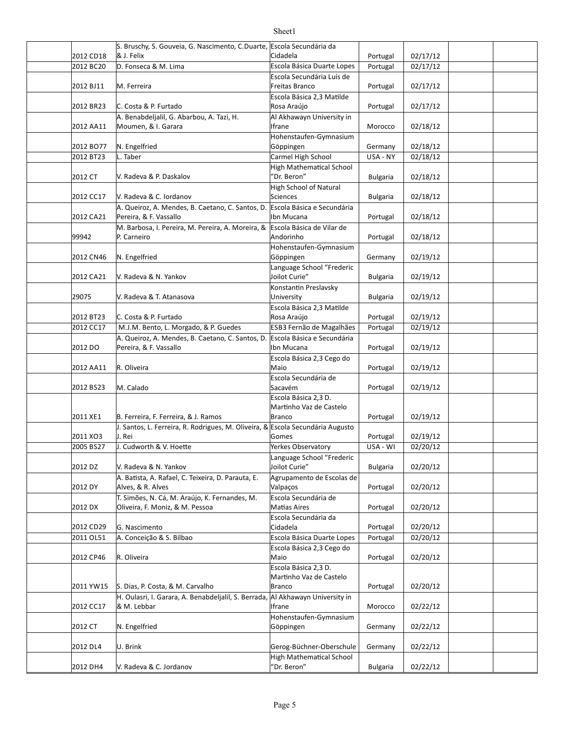|           | S. Bruschy, S. Gouveia, G. Nascimento, C.Duarte, Escola Secundária da          |                                 |                 |          |  |
|-----------|--------------------------------------------------------------------------------|---------------------------------|-----------------|----------|--|
| 2012 CD18 | & J. Felix                                                                     | Cidadela                        | Portugal        | 02/17/12 |  |
| 2012 BC20 | D. Fonseca & M. Lima                                                           | Escola Básica Duarte Lopes      | Portugal        | 02/17/12 |  |
|           |                                                                                | Escola Secundária Luís de       |                 |          |  |
| 2012 BJ11 | M. Ferreira                                                                    | Freitas Branco                  | Portugal        | 02/17/12 |  |
|           |                                                                                | Escola Básica 2,3 Matilde       |                 |          |  |
| 2012 BR23 | C. Costa & P. Furtado                                                          | Rosa Araújo                     | Portugal        | 02/17/12 |  |
|           | A. Benabdeljalil, G. Abarbou, A. Tazi, H.                                      | Al Akhawayn University in       |                 |          |  |
| 2012 AA11 | Moumen, & I. Garara                                                            | Ifrane                          | Morocco         | 02/18/12 |  |
|           |                                                                                | Hohenstaufen-Gymnasium          |                 |          |  |
| 2012 BO77 | N. Engelfried                                                                  | Göppingen                       | Germany         | 02/18/12 |  |
| 2012 BT23 | L. Taber                                                                       | Carmel High School              | USA - NY        | 02/18/12 |  |
|           |                                                                                | <b>High Mathematical School</b> |                 |          |  |
| 2012 CT   | V. Radeva & P. Daskalov                                                        | "Dr. Beron"                     | <b>Bulgaria</b> | 02/18/12 |  |
|           |                                                                                | High School of Natural          |                 |          |  |
| 2012 CC17 | V. Radeva & C. Iordanov                                                        | <b>Sciences</b>                 | <b>Bulgaria</b> | 02/18/12 |  |
|           | A. Queiroz, A. Mendes, B. Caetano, C. Santos, D.                               | Escola Básica e Secundária      |                 |          |  |
| 2012 CA21 | Pereira, & F. Vassallo                                                         | Ibn Mucana                      | Portugal        | 02/18/12 |  |
|           | M. Barbosa, I. Pereira, M. Pereira, A. Moreira, &                              | Escola Básica de Vilar de       |                 |          |  |
| 99942     | P. Carneiro                                                                    | Andorinho                       | Portugal        | 02/18/12 |  |
|           |                                                                                |                                 |                 |          |  |
|           |                                                                                | Hohenstaufen-Gymnasium          |                 |          |  |
| 2012 CN46 | N. Engelfried                                                                  | Göppingen                       | Germany         | 02/19/12 |  |
|           |                                                                                | Language School "Frederic       |                 |          |  |
| 2012 CA21 | V. Radeva & N. Yankov                                                          | Joilot Curie"                   | <b>Bulgaria</b> | 02/19/12 |  |
|           |                                                                                | Konstantin Preslavsky           |                 |          |  |
| 29075     | V. Radeva & T. Atanasova                                                       | University                      | <b>Bulgaria</b> | 02/19/12 |  |
|           |                                                                                | Escola Básica 2,3 Matilde       |                 |          |  |
| 2012 BT23 | C. Costa & P. Furtado                                                          | Rosa Araújo                     | Portugal        | 02/19/12 |  |
| 2012 CC17 | M.J.M. Bento, L. Morgado, & P. Guedes                                          | ESB3 Fernão de Magalhães        | Portugal        | 02/19/12 |  |
|           | A. Queiroz, A. Mendes, B. Caetano, C. Santos, D.                               | Escola Básica e Secundária      |                 |          |  |
| 2012 DO   | Pereira, & F. Vassallo                                                         | Ibn Mucana                      | Portugal        | 02/19/12 |  |
|           |                                                                                | Escola Básica 2,3 Cego do       |                 |          |  |
| 2012 AA11 | R. Oliveira                                                                    | Maio                            | Portugal        | 02/19/12 |  |
|           |                                                                                | Escola Secundária de            |                 |          |  |
| 2012 BS23 | M. Calado                                                                      | Sacavém                         | Portugal        | 02/19/12 |  |
|           |                                                                                | Escola Básica 2,3 D.            |                 |          |  |
|           |                                                                                | Martinho Vaz de Castelo         |                 |          |  |
| 2011 XE1  | B. Ferreira, F. Ferreira, & J. Ramos                                           | Branco                          | Portugal        | 02/19/12 |  |
|           | J. Santos, L. Ferreira, R. Rodrigues, M. Oliveira, & Escola Secundária Augusto |                                 |                 |          |  |
| 2011 XO3  | J. Rei                                                                         | Gomes                           | Portugal        | 02/19/12 |  |
| 2005 BS27 | J. Cudworth & V. Hoette                                                        | Yerkes Observatory              | USA - WI        | 02/20/12 |  |
|           |                                                                                |                                 |                 |          |  |
|           |                                                                                | Language School "Frederic       |                 |          |  |
| 2012 DZ   | V. Radeva & N. Yankov                                                          | Joilot Curie"                   | <b>Bulgaria</b> | 02/20/12 |  |
|           | A. Batista, A. Rafael, C. Teixeira, D. Parauta, E.                             | Agrupamento de Escolas de       |                 |          |  |
| 2012 DY   | Alves, & R. Alves                                                              | Valpaços                        | Portugal        | 02/20/12 |  |
|           | T. Simões, N. Cá, M. Araújo, K. Fernandes, M.                                  | Escola Secundária de            |                 |          |  |
| 2012 DX   | Oliveira, F. Moniz, & M. Pessoa                                                | <b>Matias Aires</b>             | Portugal        | 02/20/12 |  |
|           |                                                                                | Escola Secundária da            |                 |          |  |
| 2012 CD29 | G. Nascimento                                                                  | Cidadela                        | Portugal        | 02/20/12 |  |
| 2011 OL51 | A. Conceição & S. Bilbao                                                       | Escola Básica Duarte Lopes      | Portugal        | 02/20/12 |  |
|           |                                                                                | Escola Básica 2,3 Cego do       |                 |          |  |
| 2012 CP46 | R. Oliveira                                                                    | Maio                            | Portugal        | 02/20/12 |  |
|           |                                                                                | Escola Básica 2,3 D.            |                 |          |  |
|           |                                                                                | Martinho Vaz de Castelo         |                 |          |  |
| 2011 YW15 | S. Dias, P. Costa, & M. Carvalho                                               | <b>Branco</b>                   | Portugal        | 02/20/12 |  |
|           | H. Oulasri, I. Garara, A. Benabdeljalil, S. Berrada,                           | Al Akhawayn University in       |                 |          |  |
| 2012 CC17 | & M. Lebbar                                                                    | Ifrane                          | Morocco         | 02/22/12 |  |
|           |                                                                                | Hohenstaufen-Gymnasium          |                 |          |  |
| 2012 CT   | N. Engelfried                                                                  | Göppingen                       | Germany         | 02/22/12 |  |
|           |                                                                                |                                 |                 |          |  |
| 2012 DL4  | U. Brink                                                                       | Gerog-Büchner-Oberschule        | Germany         | 02/22/12 |  |
|           |                                                                                | <b>High Mathematical School</b> |                 |          |  |
| 2012 DH4  | V. Radeva & C. Jordanov                                                        | 'Dr. Beron"                     | <b>Bulgaria</b> | 02/22/12 |  |
|           |                                                                                |                                 |                 |          |  |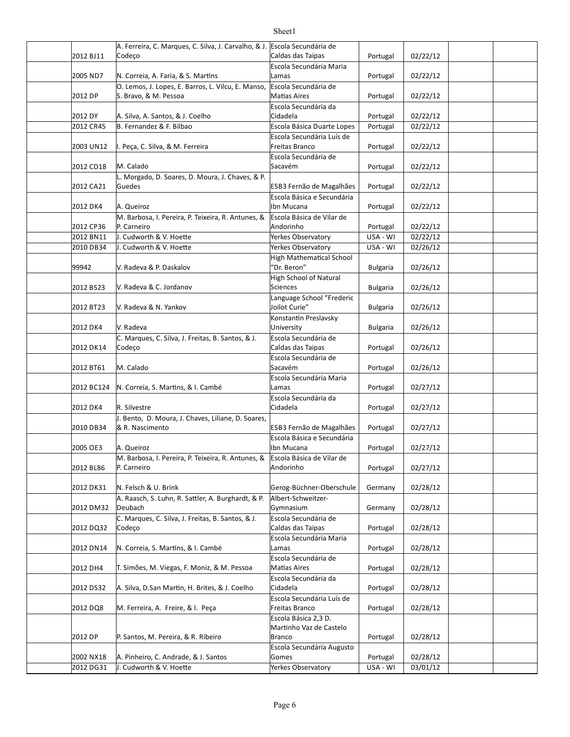#### 2012 BJ11 Codeço Caldas das Taipas Portugal 02/22/12 2005 ND7 N. Correia, A. Faria, & S. Martins Lamas Lamas 2005 ND7 Portugal 22/22/12 2012 DP S. Bravo, & M. Pessoa entrants and Matias Aires the Portugal | 02/22/12 2012 DY A. Silva, A. Santos, & J. Coelho Cidadela Portugal | 02/22/12 2012 CR45 B. Fernandez & F. Bilbao Bilbao Basica Duarte Lopes | Portugal | 02/22/12 2003 UN12 |I. Peça, C. Silva, & M. Ferreira Freitas Branco Portugal | 02/22/12 2012 CD18 M. Calado Sacavém Portugal | 02/22/12 2012 CA21 Portugal 02/22/12 Guedes ESB3 Fernão de Magalhães 2012 DK4 A. Queiroz Portugal 02/22/12 2012 CP36 Portugal 02/22/12 2012 BN11 |J. Cudworth & V. Hoette |Yerkes Observatory | USA - WI | 02/22/12 2010 DB34 J. Cudworth & V. Hoette |Yerkes Observatory USA - WI | 02/26/12 99942 Bulgaria 02/26/12 V. Radeva & P. Daskalov 2012 BS23 V. Radeva & C. Jordanov Sciences Sciences Bulgaria | 02/26/12 2012 BT23 Bulgaria 02/26/12 V. Radeva & N. Yankov 2012 DK4 Bulgaria 02/26/12 2012 DK14 Portugal 02/26/12 Caldas das Taipas 2012 BT61 Portugal 02/26/12 2012 BC124 N. Correia, S. Martins, & I. Cambé Lamas Lamas Laman and Portugal | 02/27/12 2012 DK4 Portugal 02/27/12 2010 DB34 R. Nascimento en esta en la esta de Magalhães Portugal | 02/27/12 2005 OE3 A. Queiroz Portugal 02/27/12 2012 BL86 Portugal 02/27/12 2012 DK31 N. Felsch & U. Brink Gerog-Büchner-Oberschule Germany | 02/28/12 2012 DM32 Germany 02/28/12 2012 DQ32 Portugal 02/28/12 Caldas das Taipas 2012 DN14 |N. Correia, S. Martins, & I. Cambé | Lamas | Portugal | 02/28/12 2012 DH4 T. Simões, M. Viegas, F. Moniz, & M. Pessoa Matias Aires Portugal 02/28/12 2012 DS32 | A. Silva, D.San Martin, H. Brites, & J. Coelho | Cidadela | external | Portugal | 02/28/12 2012 DQ8 M. Ferreira, A. Freire, & I. Peça Freitas Branco | Portugal | 02/28/12 2012 DP P. Santos, M. Pereira, & R. Ribeiro Branco Branco Resolution of Portugal | 02/28/12 2002 NX18 A. Pinheiro, C. Andrade, & J. Santos Gomes Gomes Comes and Portugal | 02/28/12 A. Ferreira, C. Marques, C. Silva, J. Carvalho, & J. Escola Secundária de Codeço Escola Secundária Maria Lamas O. Lemos, J. Lopes, E. Barros, L. Vilcu, E. Manso, Escola Secundária de **Matias Aires Escola Secundária da** Cidadela Escola Secundária Luís de Freitas Branco M. Calado Escola Secundária de Sacavém L. Morgado, D. Soares, D. Moura, J. Chaves, & P. Escola Básica e Secundária Ibn Mucana M. Barbosa, I. Pereira, P. Teixeira, R. Antunes, & P. Carneiro Escola Básica de Vilar de Andorinho **High Mathematical School** "Dr. Beron" High School of Natural Sciences Language School "Frederic Joilot Curie" V. Radeva Konstantin Preslavsky University C. Marques, C. Silva, J. Freitas, B. Santos, & J. Codeço Escola Secundária de M. Calado Escola Secundária de Sacavém Escola Secundária Maria Lamas R. Silvestre Escola Secundária da Cidadela J. Bento, D. Moura, J. Chaves, Liliane, D. Soares, Escola Básica e Secundária Ibn Mucana M. Barbosa, I. Pereira, P. Teixeira, R. Antunes, & P. Carneiro Escola Básica de Vilar de Andorinho A. Raasch, S. Luhn, R. Sattler, A. Burghardt, & P. Deubach Albert-Schweitzer-Gymnasium C. Marques, C. Silva, J. Freitas, B. Santos, & J. Codeço Escola Secundária de Escola Secundária Maria Lamas Escola Secundária de **Matias Aires Escola Secundária da** Cidadela Escola Secundária Luís de Freitas Branco Escola Básica 2,3 D. Martinho Vaz de Castelo Branco Escola Secundária Augusto Gomes

### Sheet1

2012 DG31 |J. Cudworth & V. Hoette |Yerkes Observatory | USA - WI | 03/01/12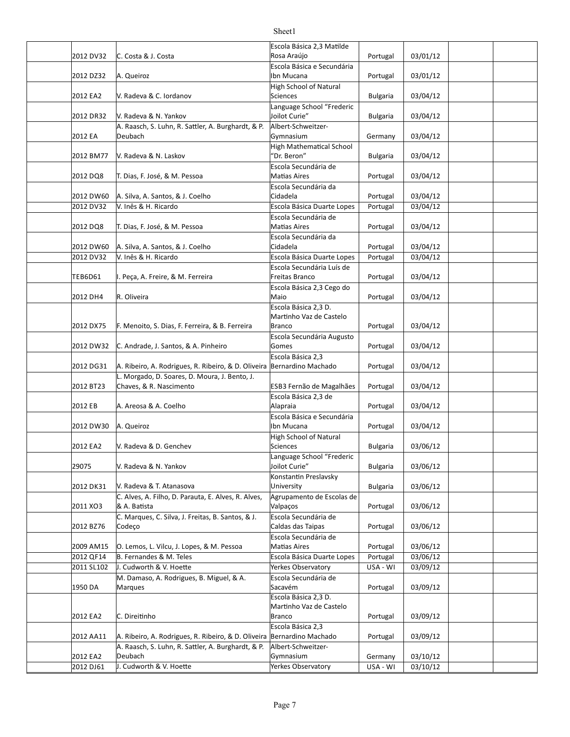|                         |                                                                        | Escola Básica 2,3 Matilde<br>Rosa Araújo         |                      |                      |  |
|-------------------------|------------------------------------------------------------------------|--------------------------------------------------|----------------------|----------------------|--|
| 2012 DV32               | C. Costa & J. Costa                                                    | Escola Básica e Secundária                       | Portugal             | 03/01/12             |  |
| 2012 DZ32               | A. Queiroz                                                             | Ibn Mucana                                       | Portugal             | 03/01/12             |  |
|                         |                                                                        | <b>High School of Natural</b>                    |                      |                      |  |
| 2012 EA2                | V. Radeva & C. Iordanov                                                | <b>Sciences</b><br>Language School "Frederic     | <b>Bulgaria</b>      | 03/04/12             |  |
| 2012 DR32               | V. Radeva & N. Yankov                                                  | Joilot Curie"                                    | <b>Bulgaria</b>      | 03/04/12             |  |
|                         | A. Raasch, S. Luhn, R. Sattler, A. Burghardt, & P.                     | Albert-Schweitzer-                               |                      |                      |  |
| 2012 EA                 | Deubach                                                                | Gymnasium                                        | Germany              | 03/04/12             |  |
| 2012 BM77               | V. Radeva & N. Laskov                                                  | <b>High Mathematical School</b><br>"Dr. Beron"   | <b>Bulgaria</b>      | 03/04/12             |  |
|                         |                                                                        | Escola Secundária de                             |                      |                      |  |
| 2012 DQ8                | T. Dias, F. José, & M. Pessoa                                          | Matias Aires                                     | Portugal             | 03/04/12             |  |
| 2012 DW60               | A. Silva, A. Santos, & J. Coelho                                       | Escola Secundária da<br>Cidadela                 | Portugal             | 03/04/12             |  |
| 2012 DV32               | V. Inês & H. Ricardo                                                   | Escola Básica Duarte Lopes                       | Portugal             | 03/04/12             |  |
|                         |                                                                        | Escola Secundária de                             |                      |                      |  |
| 2012 DQ8                | T. Dias, F. José, & M. Pessoa                                          | <b>Matias Aires</b>                              | Portugal             | 03/04/12             |  |
|                         |                                                                        | Escola Secundária da                             |                      |                      |  |
| 2012 DW60<br>2012 DV32  | A. Silva, A. Santos, & J. Coelho<br>V. Inês & H. Ricardo               | Cidadela<br>Escola Básica Duarte Lopes           | Portugal<br>Portugal | 03/04/12<br>03/04/12 |  |
|                         |                                                                        | Escola Secundária Luís de                        |                      |                      |  |
| <b>TEB6D61</b>          | I. Peça, A. Freire, & M. Ferreira                                      | Freitas Branco                                   | Portugal             | 03/04/12             |  |
|                         |                                                                        | Escola Básica 2,3 Cego do                        |                      |                      |  |
| 2012 DH4                | R. Oliveira                                                            | Maio                                             | Portugal             | 03/04/12             |  |
|                         |                                                                        | Escola Básica 2.3 D.                             |                      |                      |  |
| 2012 DX75               | F. Menoito, S. Dias, F. Ferreira, & B. Ferreira                        | Martinho Vaz de Castelo<br><b>Branco</b>         | Portugal             | 03/04/12             |  |
|                         |                                                                        | Escola Secundária Augusto                        |                      |                      |  |
| 2012 DW32               | C. Andrade, J. Santos, & A. Pinheiro                                   | Gomes                                            | Portugal             | 03/04/12             |  |
|                         |                                                                        | Escola Básica 2,3                                |                      |                      |  |
| 2012 DG31               | A. Ribeiro, A. Rodrigues, R. Ribeiro, & D. Oliveira Bernardino Machado |                                                  | Portugal             | 03/04/12             |  |
| 2012 BT23               | L. Morgado, D. Soares, D. Moura, J. Bento, J.                          |                                                  |                      | 03/04/12             |  |
|                         | Chaves, & R. Nascimento                                                | ESB3 Fernão de Magalhães<br>Escola Básica 2,3 de | Portugal             |                      |  |
| 2012 EB                 | A. Areosa & A. Coelho                                                  | Alapraia                                         | Portugal             | 03/04/12             |  |
|                         |                                                                        | Escola Básica e Secundária                       |                      |                      |  |
| 2012 DW30               | A. Queiroz                                                             | Ibn Mucana                                       | Portugal             | 03/04/12             |  |
| 2012 EA2                | V. Radeva & D. Genchev                                                 | High School of Natural<br>Sciences               | <b>Bulgaria</b>      | 03/06/12             |  |
|                         |                                                                        | Language School "Frederic                        |                      |                      |  |
| 29075                   | V. Radeva & N. Yankov                                                  | Joilot Curie"                                    | <b>Bulgaria</b>      | 03/06/12             |  |
|                         |                                                                        | Konstantin Preslavsky                            |                      |                      |  |
| 2012 DK31               | V. Radeva & T. Atanasova                                               | University                                       | <b>Bulgaria</b>      | 03/06/12             |  |
| 2011 XO3                | C. Alves, A. Filho, D. Parauta, E. Alves, R. Alves,<br>& A. Batista    | Agrupamento de Escolas de<br>Valpaços            | Portugal             | 03/06/12             |  |
|                         | C. Marques, C. Silva, J. Freitas, B. Santos, & J.                      | Escola Secundária de                             |                      |                      |  |
| 2012 BZ76               | Codeço                                                                 | Caldas das Taipas                                | Portugal             | 03/06/12             |  |
|                         |                                                                        | Escola Secundária de                             |                      |                      |  |
| 2009 AM15               | O. Lemos, L. Vilcu, J. Lopes, & M. Pessoa                              | <b>Matias Aires</b>                              | Portugal             | 03/06/12             |  |
| 2012 QF14<br>2011 SL102 | B. Fernandes & M. Teles<br>J. Cudworth & V. Hoette                     | Escola Básica Duarte Lopes<br>Yerkes Observatory | Portugal             | 03/06/12<br>03/09/12 |  |
|                         | M. Damaso, A. Rodrigues, B. Miguel, & A.                               | Escola Secundária de                             | USA - WI             |                      |  |
| 1950 DA                 | Marques                                                                | Sacavém                                          | Portugal             | 03/09/12             |  |
|                         |                                                                        | Escola Básica 2,3 D.                             |                      |                      |  |
|                         |                                                                        | Martinho Vaz de Castelo                          |                      |                      |  |
| 2012 EA2                | C. Direitinho                                                          | <b>Branco</b>                                    | Portugal             | 03/09/12             |  |
| 2012 AA11               | A. Ribeiro, A. Rodrigues, R. Ribeiro, & D. Oliveira                    | Escola Básica 2,3<br>Bernardino Machado          | Portugal             | 03/09/12             |  |
|                         | A. Raasch, S. Luhn, R. Sattler, A. Burghardt, & P.                     | Albert-Schweitzer-                               |                      |                      |  |
| 2012 EA2                | Deubach                                                                | Gymnasium                                        | Germany              | 03/10/12             |  |
| 2012 DJ61               | J. Cudworth & V. Hoette                                                | Yerkes Observatory                               | USA - WI             | 03/10/12             |  |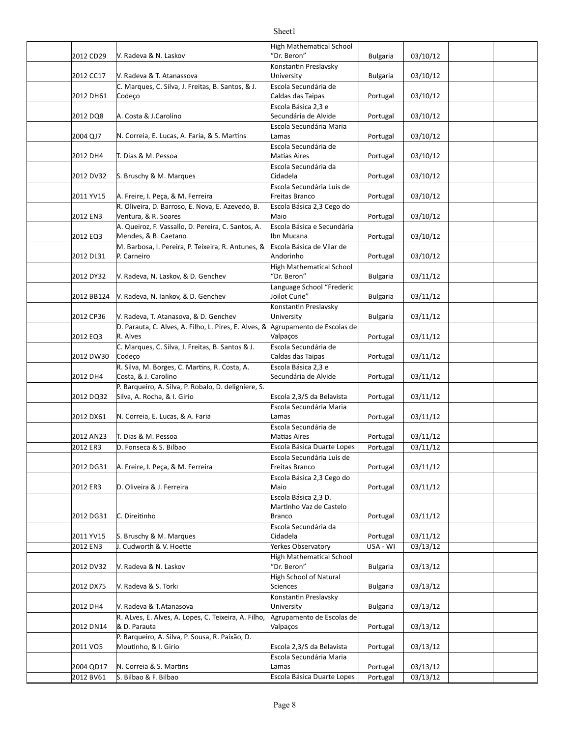| 2012 CD29             | V. Radeva & N. Laskov                                                               | <b>High Mathematical School</b><br>"Dr. Beron"    | <b>Bulgaria</b>      | 03/10/12             |  |
|-----------------------|-------------------------------------------------------------------------------------|---------------------------------------------------|----------------------|----------------------|--|
| 2012 CC17             | V. Radeva & T. Atanassova                                                           | Konstantin Preslavsky<br>University               | <b>Bulgaria</b>      | 03/10/12             |  |
|                       | C. Marques, C. Silva, J. Freitas, B. Santos, & J.                                   | Escola Secundária de                              |                      |                      |  |
| 2012 DH61             | Codeço                                                                              | Caldas das Taipas                                 | Portugal             | 03/10/12             |  |
| 2012 DQ8              | A. Costa & J.Carolino                                                               | Escola Básica 2,3 e<br>Secundária de Alvide       | Portugal             | 03/10/12             |  |
| 2004 QJ7              | N. Correia, E. Lucas, A. Faria, & S. Martins                                        | Escola Secundária Maria<br>Lamas                  | Portugal             | 03/10/12             |  |
| 2012 DH4              | T. Dias & M. Pessoa                                                                 | Escola Secundária de<br><b>Matias Aires</b>       | Portugal             | 03/10/12             |  |
|                       |                                                                                     | Escola Secundária da                              |                      |                      |  |
| 2012 DV32             | S. Bruschy & M. Marques                                                             | Cidadela                                          | Portugal             | 03/10/12             |  |
| 2011 YV15             | A. Freire, I. Peça, & M. Ferreira                                                   | Escola Secundária Luís de<br>Freitas Branco       | Portugal             | 03/10/12             |  |
| 2012 EN3              | R. Oliveira, D. Barroso, E. Nova, E. Azevedo, B.<br>Ventura, & R. Soares            | Escola Básica 2,3 Cego do<br>Maio                 | Portugal             | 03/10/12             |  |
| 2012 EQ3              | A. Queiroz, F. Vassallo, D. Pereira, C. Santos, A.<br>Mendes, & B. Caetano          | Escola Básica e Secundária<br>Ibn Mucana          | Portugal             | 03/10/12             |  |
|                       | M. Barbosa, I. Pereira, P. Teixeira, R. Antunes, &                                  | Escola Básica de Vilar de                         |                      |                      |  |
| 2012 DL31             | P. Carneiro                                                                         | Andorinho<br><b>High Mathematical School</b>      | Portugal             | 03/10/12             |  |
| 2012 DY32             | V. Radeva, N. Laskov, & D. Genchev                                                  | "Dr. Beron"                                       | <b>Bulgaria</b>      | 03/11/12             |  |
| 2012 BB124            | V. Radeva, N. Iankov, & D. Genchev                                                  | Language School "Frederic<br>Joilot Curie"        | <b>Bulgaria</b>      | 03/11/12             |  |
| 2012 CP36             | V. Radeva, T. Atanasova, & D. Genchev                                               | Konstantin Preslavsky<br>University               | <b>Bulgaria</b>      | 03/11/12             |  |
|                       | D. Parauta, C. Alves, A. Filho, L. Pires, E. Alves, & Agrupamento de Escolas de     |                                                   |                      |                      |  |
| 2012 EQ3              | R. Alves                                                                            | Valpaços                                          | Portugal             | 03/11/12             |  |
| 2012 DW30             | C. Marques, C. Silva, J. Freitas, B. Santos & J.<br>Codeço                          | Escola Secundária de<br>Caldas das Taipas         | Portugal             | 03/11/12             |  |
|                       | R. Silva, M. Borges, C. Martins, R. Costa, A.                                       | Escola Básica 2,3 e                               |                      |                      |  |
| 2012 DH4              | Costa, & J. Carolino                                                                | Secundária de Alvide                              | Portugal             | 03/11/12             |  |
| 2012 DQ32             | P. Barqueiro, A. Silva, P. Robalo, D. deligniere, S.<br>Silva, A. Rocha, & I. Girio | Escola 2,3/S da Belavista                         |                      | 03/11/12             |  |
|                       |                                                                                     | Escola Secundária Maria                           | Portugal             |                      |  |
| 2012 DX61             | N. Correia, E. Lucas, & A. Faria                                                    | Lamas                                             | Portugal             | 03/11/12             |  |
|                       |                                                                                     | Escola Secundária de                              |                      |                      |  |
| 2012 AN23<br>2012 ER3 | T. Dias & M. Pessoa<br>D. Fonseca & S. Bilbao                                       | <b>Matias Aires</b><br>Escola Básica Duarte Lopes | Portugal<br>Portugal | 03/11/12<br>03/11/12 |  |
|                       |                                                                                     | Escola Secundária Luís de                         |                      |                      |  |
| 2012 DG31             | A. Freire, I. Peça, & M. Ferreira                                                   | Freitas Branco                                    | Portugal             | 03/11/12             |  |
|                       |                                                                                     | Escola Básica 2,3 Cego do                         |                      |                      |  |
| 2012 ER3              | D. Oliveira & J. Ferreira                                                           | Maio<br>Escola Básica 2,3 D.                      | Portugal             | 03/11/12             |  |
|                       |                                                                                     | Martinho Vaz de Castelo                           |                      |                      |  |
| 2012 DG31             | C. Direitinho                                                                       | <b>Branco</b>                                     | Portugal             | 03/11/12             |  |
| 2011 YV15             | S. Bruschy & M. Marques                                                             | Escola Secundária da<br>Cidadela                  | Portugal             | 03/11/12             |  |
| 2012 EN3              | J. Cudworth & V. Hoette                                                             | Yerkes Observatory                                | USA - WI             | 03/13/12             |  |
| 2012 DV32             | V. Radeva & N. Laskov                                                               | <b>High Mathematical School</b><br>"Dr. Beron"    |                      |                      |  |
|                       |                                                                                     | High School of Natural                            | <b>Bulgaria</b>      | 03/13/12             |  |
| 2012 DX75             | V. Radeva & S. Torki                                                                | Sciences                                          | <b>Bulgaria</b>      | 03/13/12             |  |
| 2012 DH4              | V. Radeva & T. Atanasova                                                            | Konstantin Preslavsky<br>University               | <b>Bulgaria</b>      | 03/13/12             |  |
| 2012 DN14             | R. ALves, E. Alves, A. Lopes, C. Teixeira, A. Filho,<br>& D. Parauta                | Agrupamento de Escolas de<br>Valpaços             | Portugal             | 03/13/12             |  |
| 2011 VO5              | P. Barqueiro, A. Silva, P. Sousa, R. Paixão, D.<br>Moutinho, & I. Girio             | Escola 2,3/S da Belavista                         | Portugal             | 03/13/12             |  |
|                       |                                                                                     | Escola Secundária Maria                           |                      |                      |  |
| 2004 QD17             | N. Correia & S. Martins                                                             | Lamas                                             | Portugal             | 03/13/12             |  |
| 2012 BV61             | S. Bilbao & F. Bilbao                                                               | Escola Básica Duarte Lopes                        | Portugal             | 03/13/12             |  |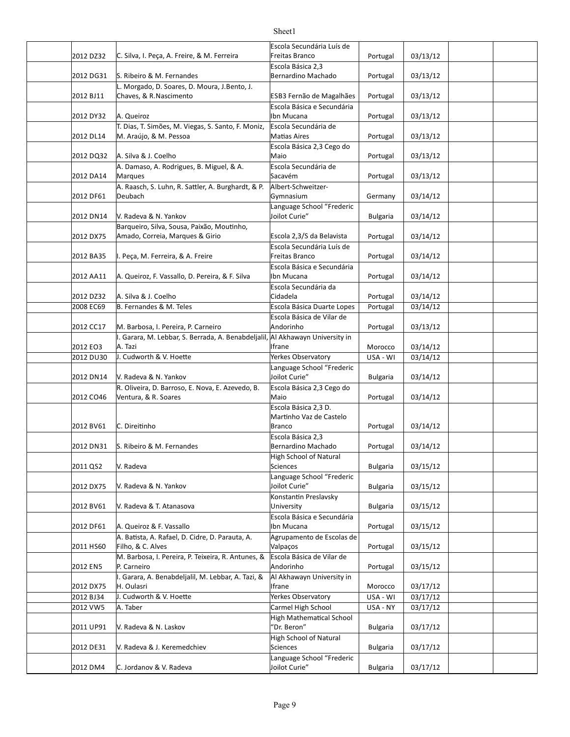| 2012 DZ32 | C. Silva, I. Peça, A. Freire, & M. Ferreira                                   | Escola Secundária Luís de<br>Freitas Branco | Portugal        | 03/13/12 |  |
|-----------|-------------------------------------------------------------------------------|---------------------------------------------|-----------------|----------|--|
|           |                                                                               | Escola Básica 2,3                           |                 |          |  |
| 2012 DG31 | S. Ribeiro & M. Fernandes                                                     | Bernardino Machado                          | Portugal        | 03/13/12 |  |
|           | L. Morgado, D. Soares, D. Moura, J.Bento, J.                                  |                                             |                 |          |  |
| 2012 BJ11 | Chaves, & R.Nascimento                                                        | ESB3 Fernão de Magalhães                    | Portugal        | 03/13/12 |  |
|           |                                                                               | Escola Básica e Secundária                  |                 |          |  |
| 2012 DY32 | A. Queiroz                                                                    | Ibn Mucana                                  | Portugal        | 03/13/12 |  |
|           | T. Dias, T. Simões, M. Viegas, S. Santo, F. Moniz,                            | Escola Secundária de                        |                 |          |  |
| 2012 DL14 | M. Araújo, & M. Pessoa                                                        | <b>Matias Aires</b>                         | Portugal        | 03/13/12 |  |
|           |                                                                               | Escola Básica 2,3 Cego do                   |                 |          |  |
| 2012 DQ32 | A. Silva & J. Coelho                                                          | Maio                                        | Portugal        | 03/13/12 |  |
| 2012 DA14 | A. Damaso, A. Rodrigues, B. Miguel, & A.                                      | Escola Secundária de<br>Sacavém             |                 | 03/13/12 |  |
|           | Marques<br>A. Raasch, S. Luhn, R. Sattler, A. Burghardt, & P.                 | Albert-Schweitzer-                          | Portugal        |          |  |
| 2012 DF61 | Deubach                                                                       | Gymnasium                                   | Germany         | 03/14/12 |  |
|           |                                                                               | Language School "Frederic                   |                 |          |  |
| 2012 DN14 | V. Radeva & N. Yankov                                                         | Joilot Curie"                               | <b>Bulgaria</b> | 03/14/12 |  |
|           | Barqueiro, Silva, Sousa, Paixão, Moutinho,                                    |                                             |                 |          |  |
| 2012 DX75 | Amado, Correia, Marques & Girio                                               | Escola 2,3/S da Belavista                   | Portugal        | 03/14/12 |  |
|           |                                                                               | Escola Secundária Luís de                   |                 |          |  |
| 2012 BA35 | I. Peça, M. Ferreira, & A. Freire                                             | Freitas Branco                              | Portugal        | 03/14/12 |  |
|           |                                                                               | Escola Básica e Secundária                  |                 |          |  |
| 2012 AA11 | A. Queiroz, F. Vassallo, D. Pereira, & F. Silva                               | Ibn Mucana                                  | Portugal        | 03/14/12 |  |
|           |                                                                               | Escola Secundária da                        |                 |          |  |
| 2012 DZ32 | A. Silva & J. Coelho                                                          | Cidadela                                    | Portugal        | 03/14/12 |  |
| 2008 EC69 | B. Fernandes & M. Teles                                                       | Escola Básica Duarte Lopes                  | Portugal        | 03/14/12 |  |
|           | M. Barbosa, I. Pereira, P. Carneiro                                           | Escola Básica de Vilar de<br>Andorinho      |                 | 03/13/12 |  |
| 2012 CC17 | I. Garara, M. Lebbar, S. Berrada, A. Benabdeljalil, Al Akhawayn University in |                                             | Portugal        |          |  |
| 2012 EO3  | A. Tazi                                                                       | <b>Ifrane</b>                               | Morocco         | 03/14/12 |  |
| 2012 DU30 | J. Cudworth & V. Hoette                                                       | Yerkes Observatory                          | USA - WI        | 03/14/12 |  |
|           |                                                                               | Language School "Frederic                   |                 |          |  |
| 2012 DN14 | V. Radeva & N. Yankov                                                         | Joilot Curie"                               | <b>Bulgaria</b> | 03/14/12 |  |
|           | R. Oliveira, D. Barroso, E. Nova, E. Azevedo, B.                              | Escola Básica 2,3 Cego do                   |                 |          |  |
| 2012 CO46 | Ventura, & R. Soares                                                          | Maio                                        | Portugal        | 03/14/12 |  |
|           |                                                                               | Escola Básica 2.3 D.                        |                 |          |  |
|           |                                                                               | Martinho Vaz de Castelo                     |                 |          |  |
| 2012 BV61 | C. Direitinho                                                                 | <b>Branco</b>                               | Portugal        | 03/14/12 |  |
| 2012 DN31 | S. Ribeiro & M. Fernandes                                                     | Escola Básica 2,3<br>Bernardino Machado     | Portugal        | 03/14/12 |  |
|           |                                                                               | High School of Natural                      |                 |          |  |
| 2011 QS2  | V. Radeva                                                                     | <b>Sciences</b>                             | <b>Bulgaria</b> | 03/15/12 |  |
|           |                                                                               | Language School "Frederic                   |                 |          |  |
| 2012 DX75 | V. Radeva & N. Yankov                                                         | Joilot Curie"                               | <b>Bulgaria</b> | 03/15/12 |  |
|           |                                                                               | Konstantin Preslavsky                       |                 |          |  |
| 2012 BV61 | V. Radeva & T. Atanasova                                                      | University                                  | <b>Bulgaria</b> | 03/15/12 |  |
|           |                                                                               | Escola Básica e Secundária                  |                 |          |  |
| 2012 DF61 | A. Queiroz & F. Vassallo                                                      | Ibn Mucana                                  | Portugal        | 03/15/12 |  |
|           | A. Batista, A. Rafael, D. Cidre, D. Parauta, A.                               | Agrupamento de Escolas de                   |                 |          |  |
| 2011 HS60 | Filho, & C. Alves                                                             | Valpaços                                    | Portugal        | 03/15/12 |  |
|           | M. Barbosa, I. Pereira, P. Teixeira, R. Antunes, &                            | Escola Básica de Vilar de                   |                 |          |  |
| 2012 EN5  | P. Carneiro                                                                   | Andorinho                                   | Portugal        | 03/15/12 |  |
| 2012 DX75 | I. Garara, A. Benabdeljalil, M. Lebbar, A. Tazi, &<br>H. Oulasri              | Al Akhawayn University in<br>Ifrane         | Morocco         | 03/17/12 |  |
| 2012 BJ34 | J. Cudworth & V. Hoette                                                       | <b>Yerkes Observatory</b>                   | USA - WI        | 03/17/12 |  |
| 2012 VW5  | A. Taber                                                                      | Carmel High School                          | USA - NY        | 03/17/12 |  |
|           |                                                                               | <b>High Mathematical School</b>             |                 |          |  |
| 2011 UP91 | V. Radeva & N. Laskov                                                         | "Dr. Beron"                                 | <b>Bulgaria</b> | 03/17/12 |  |
|           |                                                                               | <b>High School of Natural</b>               |                 |          |  |
| 2012 DE31 | V. Radeva & J. Keremedchiev                                                   | Sciences                                    | <b>Bulgaria</b> | 03/17/12 |  |
|           |                                                                               | Language School "Frederic                   |                 |          |  |
| 2012 DM4  | C. Jordanov & V. Radeva                                                       | Joilot Curie"                               | <b>Bulgaria</b> | 03/17/12 |  |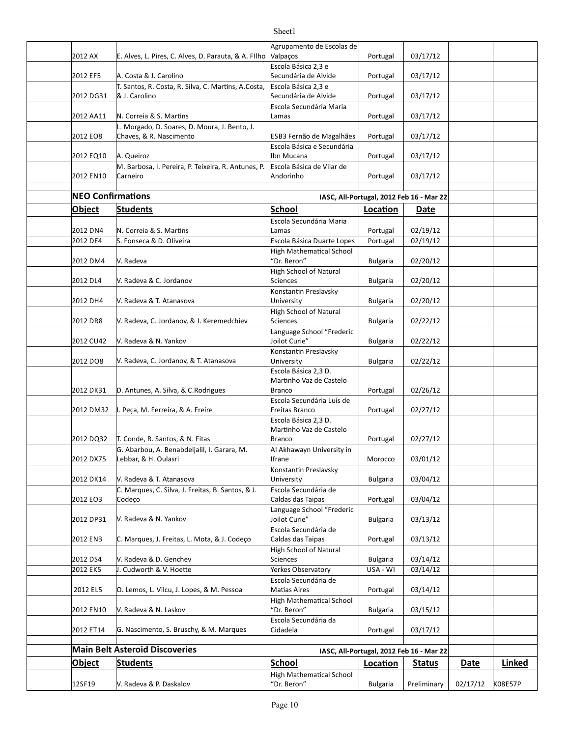|                          |                                                      | Agrupamento de Escolas de                          |                 |                                          |             |               |
|--------------------------|------------------------------------------------------|----------------------------------------------------|-----------------|------------------------------------------|-------------|---------------|
| 2012 AX                  | E. Alves, L. Pires, C. Alves, D. Parauta, & A. FIlho | Valpaços                                           | Portugal        | 03/17/12                                 |             |               |
|                          |                                                      | Escola Básica 2,3 e                                |                 |                                          |             |               |
| 2012 EF5                 | A. Costa & J. Carolino                               | Secundária de Alvide                               | Portugal        | 03/17/12                                 |             |               |
|                          | T. Santos, R. Costa, R. Silva, C. Martins, A.Costa,  | Escola Básica 2.3 e                                |                 |                                          |             |               |
| 2012 DG31                | & J. Carolino                                        | Secundária de Alvide                               | Portugal        | 03/17/12                                 |             |               |
|                          |                                                      | Escola Secundária Maria                            |                 |                                          |             |               |
| 2012 AA11                | N. Correia & S. Martins                              | Lamas                                              | Portugal        | 03/17/12                                 |             |               |
|                          | L. Morgado, D. Soares, D. Moura, J. Bento, J.        |                                                    |                 |                                          |             |               |
| 2012 EO8                 | Chaves, & R. Nascimento                              | ESB3 Fernão de Magalhães                           | Portugal        | 03/17/12                                 |             |               |
|                          |                                                      | Escola Básica e Secundária                         |                 |                                          |             |               |
| 2012 EQ10                | A. Queiroz                                           | Ibn Mucana                                         | Portugal        | 03/17/12                                 |             |               |
|                          | M. Barbosa, I. Pereira, P. Teixeira, R. Antunes, P.  | Escola Básica de Vilar de                          |                 |                                          |             |               |
| 2012 EN10                | Carneiro                                             | Andorinho                                          | Portugal        | 03/17/12                                 |             |               |
|                          |                                                      |                                                    |                 |                                          |             |               |
| <b>NEO Confirmations</b> |                                                      |                                                    |                 | IASC, All-Portugal, 2012 Feb 16 - Mar 22 |             |               |
| Object                   | <b>Students</b>                                      | <b>School</b>                                      | Location        | Date                                     |             |               |
|                          |                                                      | Escola Secundária Maria                            |                 |                                          |             |               |
| 2012 DN4                 | N. Correia & S. Martins                              | Lamas                                              | Portugal        | 02/19/12                                 |             |               |
| 2012 DE4                 | S. Fonseca & D. Oliveira                             | Escola Básica Duarte Lopes                         | Portugal        | 02/19/12                                 |             |               |
|                          |                                                      | <b>High Mathematical School</b>                    |                 |                                          |             |               |
| 2012 DM4                 | V. Radeva                                            | 'Dr. Beron"                                        | <b>Bulgaria</b> | 02/20/12                                 |             |               |
|                          |                                                      | <b>High School of Natural</b>                      |                 |                                          |             |               |
| 2012 DL4                 | V. Radeva & C. Jordanov                              | <b>Sciences</b>                                    | <b>Bulgaria</b> | 02/20/12                                 |             |               |
|                          |                                                      | Konstantin Preslavsky                              |                 |                                          |             |               |
| 2012 DH4                 | V. Radeva & T. Atanasova                             | University                                         | <b>Bulgaria</b> | 02/20/12                                 |             |               |
|                          |                                                      | <b>High School of Natural</b>                      |                 |                                          |             |               |
| 2012 DR8                 | V. Radeva, C. Jordanov, & J. Keremedchiev            | <b>Sciences</b>                                    | <b>Bulgaria</b> | 02/22/12                                 |             |               |
|                          |                                                      | Language School "Frederic                          |                 |                                          |             |               |
| 2012 CU42                | V. Radeva & N. Yankov                                | Joilot Curie"                                      | <b>Bulgaria</b> | 02/22/12                                 |             |               |
| 2012 DO8                 |                                                      | Konstantin Preslavsky                              |                 |                                          |             |               |
|                          | V. Radeva, C. Jordanov, & T. Atanasova               | University<br>Escola Básica 2,3 D.                 | <b>Bulgaria</b> | 02/22/12                                 |             |               |
|                          |                                                      | Martinho Vaz de Castelo                            |                 |                                          |             |               |
| 2012 DK31                | D. Antunes, A. Silva, & C. Rodrigues                 | Branco                                             | Portugal        | 02/26/12                                 |             |               |
|                          |                                                      | Escola Secundária Luís de                          |                 |                                          |             |               |
| 2012 DM32                | I. Peça, M. Ferreira, & A. Freire                    | Freitas Branco                                     | Portugal        | 02/27/12                                 |             |               |
|                          |                                                      | Escola Básica 2.3 D.                               |                 |                                          |             |               |
|                          |                                                      | Martinho Vaz de Castelo                            |                 |                                          |             |               |
| 2012 DQ32                | T. Conde, R. Santos, & N. Fitas                      | Branco                                             | Portugal        | 02/27/12                                 |             |               |
|                          | G. Abarbou, A. Benabdeljalil, I. Garara, M.          | Al Akhawayn University in                          |                 |                                          |             |               |
| 2012 DX75                | Lebbar, & H. Oulasri                                 | Ifrane                                             | Morocco         | 03/01/12                                 |             |               |
|                          |                                                      | Konstantin Preslavsky                              |                 |                                          |             |               |
| 2012 DK14                | V. Radeva & T. Atanasova                             | University                                         | <b>Bulgaria</b> | 03/04/12                                 |             |               |
|                          | C. Marques, C. Silva, J. Freitas, B. Santos, & J.    | Escola Secundária de                               |                 |                                          |             |               |
| 2012 EO3                 | Codeço                                               | Caldas das Taipas                                  | Portugal        | 03/04/12                                 |             |               |
|                          |                                                      | Language School "Frederic                          |                 |                                          |             |               |
| 2012 DP31                | V. Radeva & N. Yankov                                | Joilot Curie"                                      | <b>Bulgaria</b> | 03/13/12                                 |             |               |
|                          |                                                      | Escola Secundária de                               |                 |                                          |             |               |
| 2012 EN3                 | C. Marques, J. Freitas, L. Mota, & J. Codeço         | Caldas das Taipas<br><b>High School of Natural</b> | Portugal        | 03/13/12                                 |             |               |
| 2012 DS4                 | V. Radeva & D. Genchev                               | <b>Sciences</b>                                    | <b>Bulgaria</b> | 03/14/12                                 |             |               |
| 2012 EK5                 | J. Cudworth & V. Hoette                              | Yerkes Observatory                                 | USA - WI        | 03/14/12                                 |             |               |
|                          |                                                      | Escola Secundária de                               |                 |                                          |             |               |
| 2012 EL5                 | O. Lemos, L. Vilcu, J. Lopes, & M. Pessoa            | Matias Aires                                       | Portugal        | 03/14/12                                 |             |               |
|                          |                                                      | <b>High Mathematical School</b>                    |                 |                                          |             |               |
| 2012 EN10                | V. Radeva & N. Laskov                                | "Dr. Beron"                                        | <b>Bulgaria</b> | 03/15/12                                 |             |               |
|                          |                                                      | Escola Secundária da                               |                 |                                          |             |               |
| 2012 ET14                | G. Nascimento, S. Bruschy, & M. Marques              | Cidadela                                           | Portugal        | 03/17/12                                 |             |               |
|                          |                                                      |                                                    |                 |                                          |             |               |
|                          | <b>Main Belt Asteroid Discoveries</b>                |                                                    |                 | IASC, All-Portugal, 2012 Feb 16 - Mar 22 |             |               |
| <b>Object</b>            | <b>Students</b>                                      | <b>School</b>                                      | Location        | <b>Status</b>                            | <b>Date</b> | <b>Linked</b> |
|                          |                                                      | <b>High Mathematical School</b>                    |                 |                                          |             |               |
| 12SF19                   | V. Radeva & P. Daskalov                              | 'Dr. Beron"                                        | <b>Bulgaria</b> | Preliminary                              | 02/17/12    | K08E57P       |
|                          |                                                      |                                                    |                 |                                          |             |               |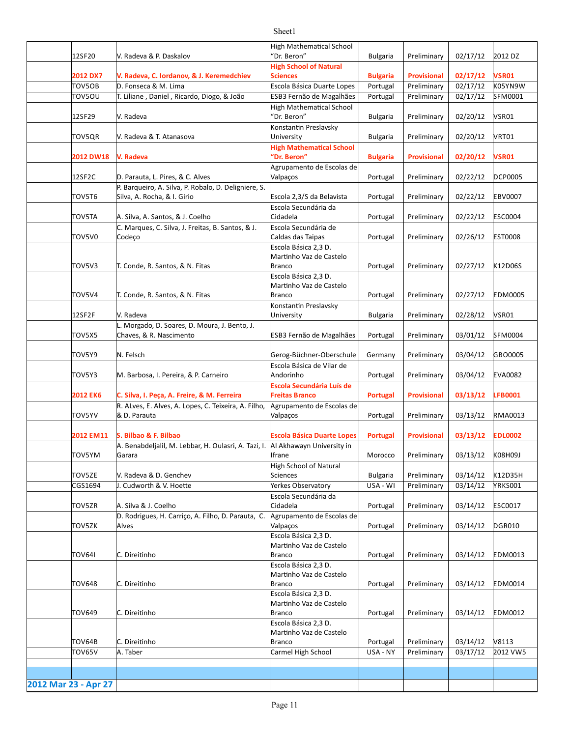#### 12SF20 Bulgaria Preliminary 02/17/12 2012 DZ V. Radeva & P. Daskalov **2012 DX7 Bulgaria Provisional 02/17/12 VSR01 V. Radeva, C. Iordanov, & J. Keremedchiev** TOV5OB D. Fonseca & M. Lima Portugal Preliminary Protugal Preliminary | 02/17/12 K05YN9W TOV5OU | T. Liliane , Daniel , Ricardo, Diogo, & João | ESB3 Fernão de Magalhães | Portugal | Preliminary | 02/17/12 | SFM0001 12SF29 Bulgaria Preliminary 02/20/12 VSR01 TOV5QR |V. Radeva & T. Atanasova |University Bulgaria | Preliminary | 02/20/12 |VRT01 **2012 DW18 Bulgaria Provisional 02/20/12 VSR01** 12SF2C Portugal Preliminary 02/22/12 DCP0005 D. Parauta, L. Pires, & C. Alves TOV5T6 Silva, A. Rocha, & I. Girio enterior enterial escola 2,3/S da Belavista | Portugal | Preliminary | 02/22/12 |EBV0007 TOV5TA A. Silva, A. Santos, & J. Coelho Portugal Preliminary 02/22/12 ESC0004 TOV5V0 Portugal Preliminary 02/26/12 EST0008 Caldas das Taipas TOV5V3 Portugal Preliminary 02/27/12 K12D06S T. Conde, R. Santos, & N. Fitas TOV5V4 T. Conde, R. Santos, & N. Fitas **Register Stand Assembly** Portugal Preliminary | 02/27/12 |EDM0005 12SF2F Bulgaria Preliminary 02/28/12 VSR01 TOV5X5 Portugal Preliminary 03/01/12 SFM0004 Chaves, & R. Nascimento ESB3 Fernão de Magalhães TOV5Y9 Germany Preliminary 03/04/12 GBO0005 N. Felsch Gerog-Büchner-Oberschule TOV5Y3 |M. Barbosa, I. Pereira, & P. Carneiro |Andorinho | Portugal | Preliminary | 03/04/12 |EVA0082 **2012 EK6 Portugal Provisional 03/13/12 LFB0001 C. Silva, I. Peça, A. Freire, & M. Ferreira** TOV5YV Portugal Preliminary 03/13/12 RMA0013 **2012 EM11 S. Bilbao & F. Bilbao Portugal Provisional 03/13/12 EDL0002 Escola Básica Duarte Lopes** TOV5YM Morocco Preliminary 03/13/12 K08H09J TOV5ZE Bulgaria Preliminary 03/14/12 K12D35H V. Radeva & D. Genchev CGS1694 USA - WI Preliminary 03/14/12 YRKS001 J. Cudworth & V. Hoeie Yerkes Observatory TOV5ZR A. Silva & J. Coelho Portugal Preliminary 03/14/12 ESC0017 TOV5ZK Alves And Alves Controller Controller and March 2011 Portugal Preliminary 03/14/12 DGR010 TOV64I C. Direitinho Branco Portugal Preliminary | 03/14/12 EDM0013 TOV648 Portugal Preliminary 03/14/12 EDM0014 TOV649 Portugal Preliminary 03/14/12 EDM0012 TOV64B Portugal Preliminary 03/14/12 V8113 TOV65V A. Taber Carmel High School USA - NY Preliminary 03/17/12 2012 VW5 **2012 Mar 23 - Apr 27** High Mathematical School "Dr. Beron" **High School of Natural Sciences** V. Radeva High Mathematical School "Dr. Beron" Konstantin Preslavsky University **V. Radeva High Mathematical School "Dr. Beron"** Agrupamento de Escolas de Valpaços P. Barqueiro, A. Silva, P. Robalo, D. Deligniere, S. Escola Secundária da Cidadela C. Marques, C. Silva, J. Freitas, B. Santos, & J. Codeço Escola Secundária de Escola Básica 2,3 D. Martinho Vaz de Castelo Branco Escola Básica 2,3 D. Martinho Vaz de Castelo Branco V. Radeva Konstantin Preslavsky University L. Morgado, D. Soares, D. Moura, J. Bento, J. Escola Básica de Vilar de Andorinho **Escola Secundária Luís de Freitas Branco**  R. ALves, E. Alves, A. Lopes, C. Teixeira, A. Filho, & D. Parauta Agrupamento de Escolas de Valpaços A. Benabdeljalil, M. Lebbar, H. Oulasri, A. Tazi, I. |Al Akhawayn University in Garara Ifrane High School of Natural Sciences Escola Secundária da Cidadela D. Rodrigues, H. Carrico, A. Filho, D. Parauta, C. Alves **Agrupamento de Escolas de** Valpaços C. Direitinho Escola Básica 2,3 D. Martinho Vaz de Castelo Branco C. Direitinho Escola Básica 2,3 D. Martinho Vaz de Castelo Branco C. Direitinho Escola Básica 2,3 D. Martinho Vaz de Castelo Branco C. Direitinho Escola Básica 2.3 D. Martinho Vaz de Castelo Branco A. Taber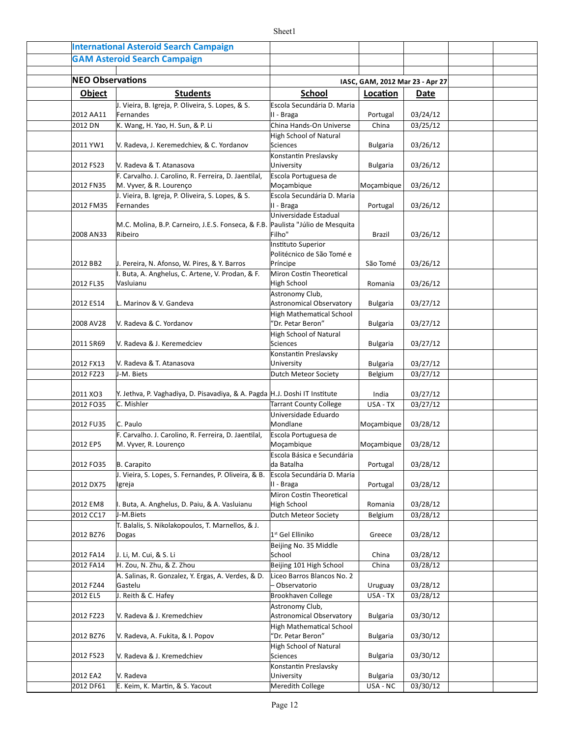|                         | <b>International Asteroid Search Campaign</b>                                             |                                                                         |                                 |                      |  |
|-------------------------|-------------------------------------------------------------------------------------------|-------------------------------------------------------------------------|---------------------------------|----------------------|--|
|                         | <b>GAM Asteroid Search Campaign</b>                                                       |                                                                         |                                 |                      |  |
|                         |                                                                                           |                                                                         |                                 |                      |  |
| <b>NEO Observations</b> |                                                                                           |                                                                         | IASC, GAM, 2012 Mar 23 - Apr 27 |                      |  |
| <b>Object</b>           | <b>Students</b>                                                                           | <b>School</b>                                                           | Location                        | Date                 |  |
| 2012 AA11               | J. Vieira, B. Igreja, P. Oliveira, S. Lopes, & S.<br>Fernandes                            | Escola Secundária D. Maria<br>II - Braga                                | Portugal                        | 03/24/12             |  |
| 2012 DN                 | K. Wang, H. Yao, H. Sun, & P. Li                                                          | China Hands-On Universe                                                 | China                           | 03/25/12             |  |
| 2011 YW1                | V. Radeva, J. Keremedchiev, & C. Yordanov                                                 | High School of Natural<br>Sciences                                      | <b>Bulgaria</b>                 | 03/26/12             |  |
| 2012 FS23               | V. Radeva & T. Atanasova                                                                  | Konstantin Preslavsky<br>University                                     | <b>Bulgaria</b>                 | 03/26/12             |  |
| 2012 FN35               | F. Carvalho. J. Carolino, R. Ferreira, D. Jaentilal,<br>M. Vyver, & R. Lourenço           | Escola Portuguesa de<br>Moçambique                                      | Moçambique                      | 03/26/12             |  |
| 2012 FM35               | J. Vieira, B. Igreja, P. Oliveira, S. Lopes, & S.<br>Fernandes                            | Escola Secundária D. Maria<br>II - Braga                                | Portugal                        | 03/26/12             |  |
| 2008 AN33               | M.C. Molina, B.P. Carneiro, J.E.S. Fonseca, & F.B. Paulista "Júlio de Mesquita<br>Ribeiro | Universidade Estadual<br>Filho"                                         | Brazil                          | 03/26/12             |  |
|                         |                                                                                           | Instituto Superior                                                      |                                 |                      |  |
| 2012 BB2                | J. Pereira, N. Afonso, W. Pires, & Y. Barros                                              | Politécnico de São Tomé e<br>Príncipe                                   | São Tomé                        | 03/26/12             |  |
|                         | I. Buta, A. Anghelus, C. Artene, V. Prodan, & F.                                          | Miron Costin Theoretical                                                |                                 |                      |  |
| 2012 FL35               | Vasluianu                                                                                 | High School                                                             | Romania                         | 03/26/12             |  |
| 2012 ES14               | L. Marinov & V. Gandeva                                                                   | Astronomy Club,<br>Astronomical Observatory<br>High Mathematical School | <b>Bulgaria</b>                 | 03/27/12             |  |
| 2008 AV28               | V. Radeva & C. Yordanov                                                                   | 'Dr. Petar Beron"                                                       | <b>Bulgaria</b>                 | 03/27/12             |  |
|                         |                                                                                           | High School of Natural<br>Sciences                                      |                                 |                      |  |
| 2011 SR69               | V. Radeva & J. Keremedciev                                                                | Konstantin Preslavsky                                                   | <b>Bulgaria</b>                 | 03/27/12             |  |
| 2012 FX13               | V. Radeva & T. Atanasova                                                                  | University                                                              | <b>Bulgaria</b>                 | 03/27/12             |  |
| 2012 FZ23               | J-M. Biets                                                                                | Dutch Meteor Society                                                    | Belgium                         | 03/27/12             |  |
| 2011 XO3                | Y. Jethva, P. Vaghadiya, D. Pisavadiya, & A. Pagda H.J. Doshi IT Institute                |                                                                         | India                           | 03/27/12             |  |
| 2012 FO35               | C. Mishler                                                                                | <b>Tarrant County College</b>                                           | USA - TX                        | 03/27/12             |  |
|                         |                                                                                           | Universidade Eduardo                                                    |                                 |                      |  |
| 2012 FU35               | C. Paulo                                                                                  | Mondlane                                                                | Moçambique                      | 03/28/12             |  |
| 2012 EP5                | F. Carvalho. J. Carolino, R. Ferreira, D. Jaentilal,<br>M. Vyver, R. Lourenço             | Escola Portuguesa de<br>Moçambique                                      | Moçambique                      | 03/28/12             |  |
| 2012 FO35               | B. Carapito                                                                               | Escola Básica e Secundária<br>da Batalha                                | Portugal                        | 03/28/12             |  |
| 2012 DX75               | J. Vieira, S. Lopes, S. Fernandes, P. Oliveira, & B.<br>Igreja                            | Escola Secundária D. Maria<br>II - Braga                                | Portugal                        | 03/28/12             |  |
|                         |                                                                                           | Miron Costin Theoretical                                                |                                 |                      |  |
| 2012 EM8<br>2012 CC17   | I. Buta, A. Anghelus, D. Paiu, & A. Vasluianu<br>J-M.Biets                                | High School<br>Dutch Meteor Society                                     | Romania<br>Belgium              | 03/28/12<br>03/28/12 |  |
|                         | T. Balalis, S. Nikolakopoulos, T. Marnellos, & J.                                         |                                                                         |                                 |                      |  |
| 2012 BZ76               | Dogas                                                                                     | 1st Gel Elliniko                                                        | Greece                          | 03/28/12             |  |
| 2012 FA14               | J. Li, M. Cui, & S. Li                                                                    | Beijing No. 35 Middle<br>School                                         | China                           | 03/28/12             |  |
| 2012 FA14               | H. Zou, N. Zhu, & Z. Zhou                                                                 | Beijing 101 High School                                                 | China                           | 03/28/12             |  |
| 2012 FZ44               | A. Salinas, R. Gonzalez, Y. Ergas, A. Verdes, & D.<br>Gastelu                             | Liceo Barros Blancos No. 2<br>- Observatorio                            | Uruguay                         | 03/28/12             |  |
| 2012 EL5                | J. Reith & C. Hafey                                                                       | Brookhaven College                                                      | USA - TX                        | 03/28/12             |  |
| 2012 FZ23               | V. Radeva & J. Kremedchiev                                                                | Astronomy Club,<br>Astronomical Observatory                             | <b>Bulgaria</b>                 | 03/30/12             |  |
| 2012 BZ76               | V. Radeva, A. Fukita, & I. Popov                                                          | High Mathematical School<br>'Dr. Petar Beron"                           | <b>Bulgaria</b>                 | 03/30/12             |  |
|                         |                                                                                           | High School of Natural                                                  |                                 |                      |  |
| 2012 FS23               | V. Radeva & J. Kremedchiev                                                                | Sciences                                                                | <b>Bulgaria</b>                 | 03/30/12             |  |
| 2012 EA2                | V. Radeva                                                                                 | Konstantin Preslavsky<br>University                                     | <b>Bulgaria</b>                 | 03/30/12             |  |
| 2012 DF61               | E. Keim, K. Martin, & S. Yacout                                                           | Meredith College                                                        | USA - NC                        | 03/30/12             |  |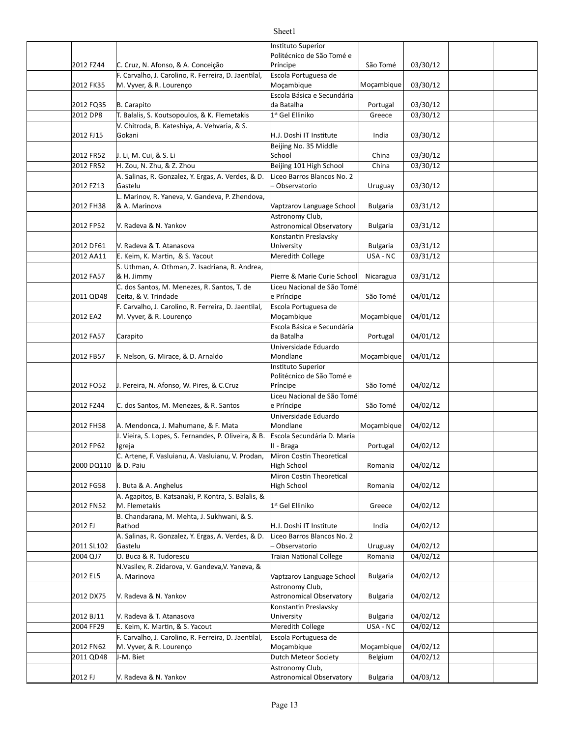| 2012 FZ44  | C. Cruz, N. Afonso, & A. Conceição                                              | Instituto Superior<br>Politécnico de São Tomé e<br>Príncipe                 | São Tomé        | 03/30/12 |  |
|------------|---------------------------------------------------------------------------------|-----------------------------------------------------------------------------|-----------------|----------|--|
| 2012 FK35  | F. Carvalho, J. Carolino, R. Ferreira, D. Jaentilal,<br>M. Vyver, & R. Lourenço | Escola Portuguesa de<br>Moçambique                                          | Moçambique      | 03/30/12 |  |
| 2012 FQ35  | B. Carapito                                                                     | Escola Básica e Secundária<br>da Batalha                                    | Portugal        | 03/30/12 |  |
| 2012 DP8   | T. Balalis, S. Koutsopoulos, & K. Flemetakis                                    | 1st Gel Elliniko                                                            | Greece          | 03/30/12 |  |
| 2012 FJ15  | V. Chitroda, B. Kateshiya, A. Vehvaria, & S.<br>Gokani                          | H.J. Doshi IT Institute                                                     | India           | 03/30/12 |  |
| 2012 FR52  | J. Li, M. Cui, & S. Li                                                          | Beijing No. 35 Middle<br>School                                             | China           | 03/30/12 |  |
| 2012 FR52  | H. Zou, N. Zhu, & Z. Zhou                                                       | Beijing 101 High School                                                     | China           | 03/30/12 |  |
| 2012 FZ13  | A. Salinas, R. Gonzalez, Y. Ergas, A. Verdes, & D.<br>Gastelu                   | Liceo Barros Blancos No. 2<br>Observatorio                                  | Uruguay         | 03/30/12 |  |
|            | L. Marinov, R. Yaneva, V. Gandeva, P. Zhendova,                                 |                                                                             |                 |          |  |
| 2012 FH38  | & A. Marinova                                                                   | Vaptzarov Language School                                                   | <b>Bulgaria</b> | 03/31/12 |  |
| 2012 FP52  | V. Radeva & N. Yankov                                                           | Astronomy Club,<br><b>Astronomical Observatory</b><br>Konstantin Preslavsky | <b>Bulgaria</b> | 03/31/12 |  |
| 2012 DF61  | V. Radeva & T. Atanasova                                                        | University                                                                  | <b>Bulgaria</b> | 03/31/12 |  |
| 2012 AA11  | E. Keim, K. Martin, & S. Yacout                                                 | Meredith College                                                            | USA - NC        | 03/31/12 |  |
|            | S. Uthman, A. Othman, Z. Isadriana, R. Andrea,                                  |                                                                             |                 |          |  |
| 2012 FA57  | & H. Jimmy<br>C. dos Santos, M. Menezes, R. Santos, T. de                       | Pierre & Marie Curie School<br>Liceu Nacional de São Tomé                   | Nicaragua       | 03/31/12 |  |
| 2011 QD48  | Ceita, & V. Trindade                                                            | e Príncipe                                                                  | São Tomé        | 04/01/12 |  |
| 2012 EA2   | F. Carvalho, J. Carolino, R. Ferreira, D. Jaentilal,<br>M. Vyver, & R. Lourenço | Escola Portuguesa de<br>Moçambique                                          | Moçambique      | 04/01/12 |  |
| 2012 FA57  | Carapito                                                                        | Escola Básica e Secundária<br>da Batalha                                    | Portugal        | 04/01/12 |  |
| 2012 FB57  | F. Nelson, G. Mirace, & D. Arnaldo                                              | Universidade Eduardo<br>Mondlane                                            | Moçambique      | 04/01/12 |  |
| 2012 FO52  | J. Pereira, N. Afonso, W. Pires, & C.Cruz                                       | Instituto Superior<br>Politécnico de São Tomé e<br>Príncipe                 | São Tomé        | 04/02/12 |  |
| 2012 FZ44  | C. dos Santos, M. Menezes, & R. Santos                                          | Liceu Nacional de São Tomé<br>e Príncipe                                    | São Tomé        | 04/02/12 |  |
| 2012 FH58  | A. Mendonca, J. Mahumane, & F. Mata                                             | Universidade Eduardo<br>Mondlane                                            | Moçambique      | 04/02/12 |  |
| 2012 FP62  | J. Vieira, S. Lopes, S. Fernandes, P. Oliveira, & B.<br>Igreja                  | Escola Secundária D. Maria<br>II - Braga                                    | Portugal        | 04/02/12 |  |
| 2000 DQ110 | C. Artene, F. Vasluianu, A. Vasluianu, V. Prodan,<br>& D. Paiu                  | Miron Costin Theoretical<br>High School                                     | Romania         | 04/02/12 |  |
|            |                                                                                 | Miron Costin Theoretical                                                    |                 |          |  |
| 2012 FG58  | I. Buta & A. Anghelus<br>A. Agapitos, B. Katsanaki, P. Kontra, S. Balalis, &    | High School                                                                 | Romania         | 04/02/12 |  |
| 2012 FN52  | M. Flemetakis                                                                   | 1 <sup>st</sup> Gel Elliniko                                                | Greece          | 04/02/12 |  |
| 2012 FJ    | B. Chandarana, M. Mehta, J. Sukhwani, & S.<br>Rathod                            | H.J. Doshi IT Institute                                                     | India           | 04/02/12 |  |
| 2011 SL102 | A. Salinas, R. Gonzalez, Y. Ergas, A. Verdes, & D.<br>Gastelu                   | Liceo Barros Blancos No. 2<br>Observatorio                                  | Uruguay         | 04/02/12 |  |
| 2004 QJ7   | O. Buca & R. Tudorescu                                                          | <b>Traian National College</b>                                              | Romania         | 04/02/12 |  |
| 2012 EL5   | N.Vasilev, R. Zidarova, V. Gandeva, V. Yaneva, &<br>A. Marinova                 | Vaptzarov Language School                                                   | <b>Bulgaria</b> | 04/02/12 |  |
| 2012 DX75  | V. Radeva & N. Yankov                                                           | Astronomy Club,<br><b>Astronomical Observatory</b>                          | <b>Bulgaria</b> | 04/02/12 |  |
| 2012 BJ11  | V. Radeva & T. Atanasova                                                        | Konstantin Preslavsky<br>University                                         | <b>Bulgaria</b> | 04/02/12 |  |
| 2004 FF29  | E. Keim, K. Martin, & S. Yacout                                                 | Meredith College                                                            | USA - NC        | 04/02/12 |  |
| 2012 FN62  | F. Carvalho, J. Carolino, R. Ferreira, D. Jaentilal,<br>M. Vyver, & R. Lourenço | Escola Portuguesa de<br>Moçambique                                          | Moçambique      | 04/02/12 |  |
| 2011 QD48  | J-M. Biet                                                                       | Dutch Meteor Society                                                        | Belgium         | 04/02/12 |  |
|            |                                                                                 | Astronomy Club,                                                             |                 |          |  |
| 2012 FJ    | V. Radeva & N. Yankov                                                           | <b>Astronomical Observatory</b>                                             | <b>Bulgaria</b> | 04/03/12 |  |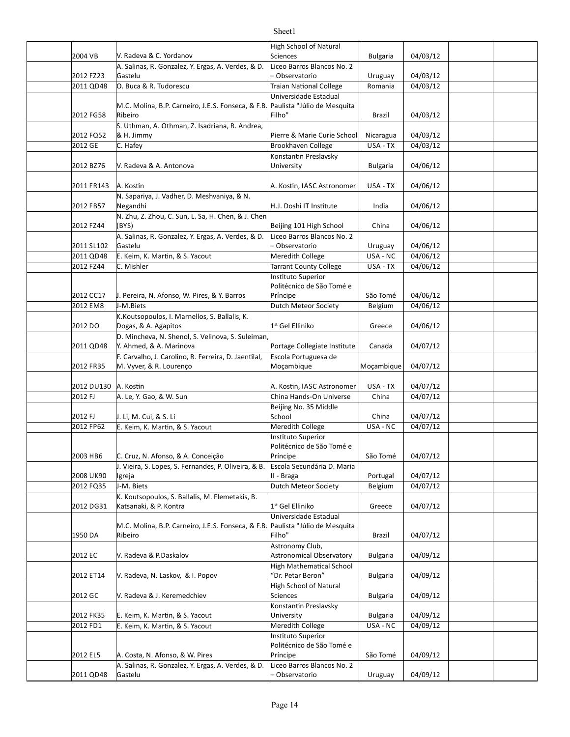|                        |                                                                    | <b>High School of Natural</b>                    |                             |                      |  |
|------------------------|--------------------------------------------------------------------|--------------------------------------------------|-----------------------------|----------------------|--|
| 2004 VB                | V. Radeva & C. Yordanov                                            | <b>Sciences</b>                                  | <b>Bulgaria</b>             | 04/03/12             |  |
|                        | A. Salinas, R. Gonzalez, Y. Ergas, A. Verdes, & D.<br>Gastelu      | Liceo Barros Blancos No. 2                       |                             | 04/03/12             |  |
| 2012 FZ23<br>2011 QD48 | O. Buca & R. Tudorescu                                             | - Observatorio<br><b>Traian National College</b> | Uruguay<br>Romania          | 04/03/12             |  |
|                        |                                                                    | Universidade Estadual                            |                             |                      |  |
|                        | M.C. Molina, B.P. Carneiro, J.E.S. Fonseca, & F.B.                 | Paulista "Júlio de Mesquita                      |                             |                      |  |
| 2012 FG58              | Ribeiro                                                            | Filho"                                           | Brazil                      | 04/03/12             |  |
|                        | S. Uthman, A. Othman, Z. Isadriana, R. Andrea,                     |                                                  |                             |                      |  |
| 2012 FQ52              | & H. Jimmy                                                         | Pierre & Marie Curie School                      | Nicaragua                   | 04/03/12             |  |
| 2012 GE                | C. Hafey                                                           | Brookhaven College                               | USA - TX                    | 04/03/12             |  |
|                        |                                                                    | Konstantin Preslavsky                            |                             |                      |  |
| 2012 BZ76              | V. Radeva & A. Antonova                                            | University                                       | <b>Bulgaria</b>             | 04/06/12             |  |
|                        |                                                                    |                                                  |                             |                      |  |
| 2011 FR143             | A. Kostin<br>N. Sapariya, J. Vadher, D. Meshvaniya, & N.           | A. Kostin, IASC Astronomer                       | USA - TX                    | 04/06/12             |  |
| 2012 FB57              | Negandhi                                                           | H.J. Doshi IT Institute                          | India                       | 04/06/12             |  |
|                        | N. Zhu, Z. Zhou, C. Sun, L. Sa, H. Chen, & J. Chen                 |                                                  |                             |                      |  |
| 2012 FZ44              | (BYS)                                                              | Beijing 101 High School                          | China                       | 04/06/12             |  |
|                        | A. Salinas, R. Gonzalez, Y. Ergas, A. Verdes, & D.                 | Liceo Barros Blancos No. 2                       |                             |                      |  |
| 2011 SL102             | Gastelu                                                            | - Observatorio                                   | Uruguay                     | 04/06/12             |  |
| 2011 QD48              | E. Keim, K. Martin, & S. Yacout                                    | Meredith College                                 | USA - NC                    | 04/06/12             |  |
| 2012 FZ44              | C. Mishler                                                         | <b>Tarrant County College</b>                    | USA - TX                    | 04/06/12             |  |
|                        |                                                                    | Instituto Superior                               |                             |                      |  |
|                        |                                                                    | Politécnico de São Tomé e                        |                             |                      |  |
| 2012 CC17              | J. Pereira, N. Afonso, W. Pires, & Y. Barros<br>J-M.Biets          | Príncipe<br><b>Dutch Meteor Society</b>          | São Tomé                    | 04/06/12             |  |
| 2012 EM8               | K.Koutsopoulos, I. Marnellos, S. Ballalis, K.                      |                                                  | Belgium                     | 04/06/12             |  |
| 2012 DO                | Dogas, & A. Agapitos                                               | 1st Gel Elliniko                                 | Greece                      | 04/06/12             |  |
|                        | D. Mincheva, N. Shenol, S. Velinova, S. Suleiman,                  |                                                  |                             |                      |  |
| 2011 QD48              | Y. Ahmed, & A. Marinova                                            | Portage Collegiate Institute                     | Canada                      | 04/07/12             |  |
|                        | F. Carvalho, J. Carolino, R. Ferreira, D. Jaentilal,               | Escola Portuguesa de                             |                             |                      |  |
| 2012 FR35              | M. Vyver, & R. Lourenço                                            | Moçambique                                       | Moçambique                  | 04/07/12             |  |
|                        |                                                                    |                                                  |                             |                      |  |
| 2012 DU130             | A. Kostin                                                          | A. Kostin, IASC Astronomer                       | USA - TX                    | 04/07/12             |  |
| 2012 FJ                | A. Le, Y. Gao, & W. Sun                                            | China Hands-On Universe                          | China                       | 04/07/12             |  |
| 2012 FJ                |                                                                    | Beijing No. 35 Middle<br>School                  |                             |                      |  |
| 2012 FP62              | J. Li, M. Cui, & S. Li<br>E. Keim, K. Martin, & S. Yacout          | Meredith College                                 | China<br>USA - NC           | 04/07/12<br>04/07/12 |  |
|                        |                                                                    | Instituto Superior                               |                             |                      |  |
|                        |                                                                    | Politécnico de São Tomé e                        |                             |                      |  |
| 2003 HB6               | C. Cruz, N. Afonso, & A. Conceição                                 | Príncipe                                         | São Tomé                    | 04/07/12             |  |
|                        | J. Vieira, S. Lopes, S. Fernandes, P. Oliveira, & B.               | Escola Secundária D. Maria                       |                             |                      |  |
| 2008 UK90              | Igreja                                                             | II - Braga                                       | Portugal                    | 04/07/12             |  |
| 2012 FQ35              | J-M. Biets                                                         | <b>Dutch Meteor Society</b>                      | Belgium                     | 04/07/12             |  |
|                        | K. Koutsopoulos, S. Ballalis, M. Flemetakis, B.                    |                                                  |                             |                      |  |
| 2012 DG31              | Katsanaki, & P. Kontra                                             | 1st Gel Elliniko<br>Universidade Estadual        | Greece                      | 04/07/12             |  |
|                        | M.C. Molina, B.P. Carneiro, J.E.S. Fonseca, & F.B.                 | Paulista "Júlio de Mesquita                      |                             |                      |  |
| 1950 DA                | Ribeiro                                                            | Filho"                                           | Brazil                      | 04/07/12             |  |
|                        |                                                                    | Astronomy Club,                                  |                             |                      |  |
| 2012 EC                | V. Radeva & P.Daskalov                                             | <b>Astronomical Observatory</b>                  | <b>Bulgaria</b>             | 04/09/12             |  |
|                        |                                                                    | <b>High Mathematical School</b>                  |                             |                      |  |
| 2012 ET14              | V. Radeva, N. Laskov, & I. Popov                                   | 'Dr. Petar Beron"                                | <b>Bulgaria</b>             | 04/09/12             |  |
|                        |                                                                    | <b>High School of Natural</b>                    |                             |                      |  |
| 2012 GC                | V. Radeva & J. Keremedchiev                                        | Sciences                                         | <b>Bulgaria</b>             | 04/09/12             |  |
|                        |                                                                    | Konstantin Preslavsky                            |                             |                      |  |
| 2012 FK35<br>2012 FD1  | E. Keim, K. Martin, & S. Yacout<br>E. Keim, K. Martin, & S. Yacout | University<br>Meredith College                   | <b>Bulgaria</b><br>USA - NC | 04/09/12<br>04/09/12 |  |
|                        |                                                                    | Instituto Superior                               |                             |                      |  |
|                        |                                                                    | Politécnico de São Tomé e                        |                             |                      |  |
| 2012 EL5               | A. Costa, N. Afonso, & W. Pires                                    | Príncipe                                         | São Tomé                    | 04/09/12             |  |
|                        | A. Salinas, R. Gonzalez, Y. Ergas, A. Verdes, & D.                 | Liceo Barros Blancos No. 2                       |                             |                      |  |
| 2011 QD48              | Gastelu                                                            | Observatorio                                     | Uruguay                     | 04/09/12             |  |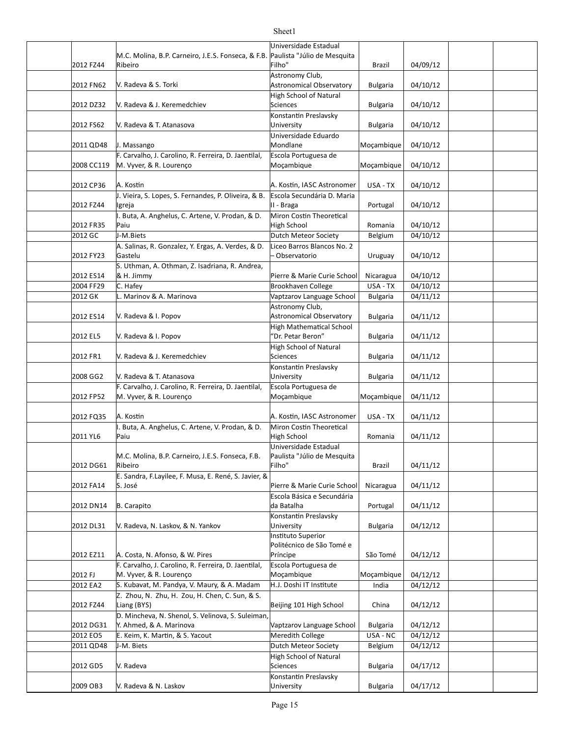#### 2012 FZ44 Brazil 04/09/12 2012 FN62 V. Radeva & S. Torki North Christian Astronomical Observatory | Bulgaria | 04/10/12 2012 DZ32 | V. Radeva & J. Keremedchiev Sciences Bulgaria 04/10/12 2012 FS62 V. Radeva & T. Atanasova University Bulgaria 04/10/12 2011 QD48 J. Massango Mondlane Moçambique | 04/10/12 2008 CC119 M. Vyver, & R. Lourenço Material Mocambique Mocambique Mocambique Mocambique 04/10/12 2012 CP36 USA - TX 04/10/12 A. Kos]n A. Kos]n, IASC Astronomer 2012 FZ44 Portugal 04/10/12 2012 FR35 Romania 04/10/12 2012 GC |J-M.Biets | Dutch Meteor Society | Belgium | 04/10/12 2012 FY23 Uruguay 04/10/12 – Observatorio 2012 ES14 |& H. Jimmy **Dierre & Marie Curie School** Nicaragua | 04/10/12 2004 FF29 C. Hafey **Brookhaven College** USA - TX 04/10/12 2012 GK Bulgaria 04/11/12 L. Marinov & A. Marinova Vaptzarov Language School 2012 ES14 | V. Radeva & I. Popov | Natronomical Observatory | Bulgaria | 04/11/12 2012 EL5 Bulgaria 04/11/12 V. Radeva & I. Popov 2012 FR1 V. Radeva & J. Keremedchiev Sciences Bulgaria 04/11/12 2008 GG2 Bulgaria 04/11/12 V. Radeva & T. Atanasova 2012 FP52 M. Vyver, & R. Lourenço Mogambique Moçambique Moçambique 1/12 2012 FQ35 |A. Kostin |A. Kostin, IASC Astronomer | USA - TX | 04/11/12 2011 YL6 Romania 04/11/12 2012 DG61 Brazil 04/11/12 2012 FA14 S. José **Pierre & Marie Curie School** Nicaragua | 04/11/12 2012 DN14 Portugal 04/11/12 2012 DL31 N. Radeva, N. Laskov, & N. Yankov Bulgaria | Dulversity | Bulgaria | 04/12/12 2012 EZ11 A. Costa, N. Afonso, & W. Pires Príncipe Research Costa São Tomé | 04/12/12 2012 FJ M. Vyver, & R. Lourenço Matter of Mocambique Mocambique Mocambique (04/12/12 2012 EA2 S. Kubavat, M. Pandya, V. Maury, & A. Madam H.J. Doshi IT Institute India | 04/12/12 2012 FZ44 Liang (BYS) China Beijing 101 High School China 04/12/12 2012 DG31 Y. Ahmed, & A. Marinova Vaptzarov Language School | Bulgaria | 04/12/12 2012 EO5 F. Keim, K. Martin, & S. Yacout Meredith College Music Langley Article 24/12/12 2011 QD48 Dutch Meteor Society Belgium 04/12/12 2012 GD5 Bulgaria 04/17/12 M.C. Molina, B.P. Carneiro, J.E.S. Fonseca, & F.B. Ribeiro Universidade Estadual Paulista "Júlio de Mesquita Filho" V. Radeva & S. Torki Astronomy Club, High School of Natural Sciences Konstantin Preslavsky University J. Massango Universidade Eduardo Mondlane Mocambique F. Carvalho, J. Carolino, R. Ferreira, D. Jaentilal, Escola Portuguesa de Moçambique Moçambique J. Vieira, S. Lopes, S. Fernandes, P. Oliveira, & B. Igreja Escola Secundária D. Maria II - Braga Buta, A. Anghelus, C. Artene, V. Prodan, & D. Paiu Miron Costin Theoretical High School J-M.Biets A. Salinas, R. Gonzalez, Y. Ergas, A. Verdes, & D. Gastelu Liceo Barros Blancos No. 2 S. Uthman, A. Othman, Z. Isadriana, R. Andrea, & H. Jimmy C. Hafey V. Radeva & I. Popov Astronomy Club, **High Mathematical School** "Dr. Petar Beron" **High School of Natural** Sciences Konstantin Preslavsky University F. Carvalho, J. Carolino, R. Ferreira, D. Jaentilal, Escola Portuguesa de Moçambique Moçambique . Buta, A. Anghelus, C. Artene, V. Prodan, & D. Paiu Miron Costin Theoretical High School M.C. Molina, B.P. Carneiro, J.E.S. Fonseca, F.B. Ribeiro Universidade Estadual Paulista "Júlio de Mesquita Filho" E. Sandra, F.Layilee, F. Musa, E. René, S. Javier, & S. José B. Carapito Escola Básica e Secundária da Batalha Konstantin Preslavsky University **Instituto Superior** Politécnico de São Tomé e Príncipe F. Carvalho, J. Carolino, R. Ferreira, D. Jaentilal, Escola Portuguesa de Moçambique Moçambique Z. Zhou, N. Zhu, H. Zou, H. Chen, C. Sun, & S. Liang (BYS) D. Mincheva, N. Shenol, S. Velinova, S. Suleiman J-M. Biets V. Radeva High School of Natural Sciences Konstantin Preslavsky

Sheet1

University

2009 OB3 Bulgaria 04/17/12 V. Radeva & N. Laskov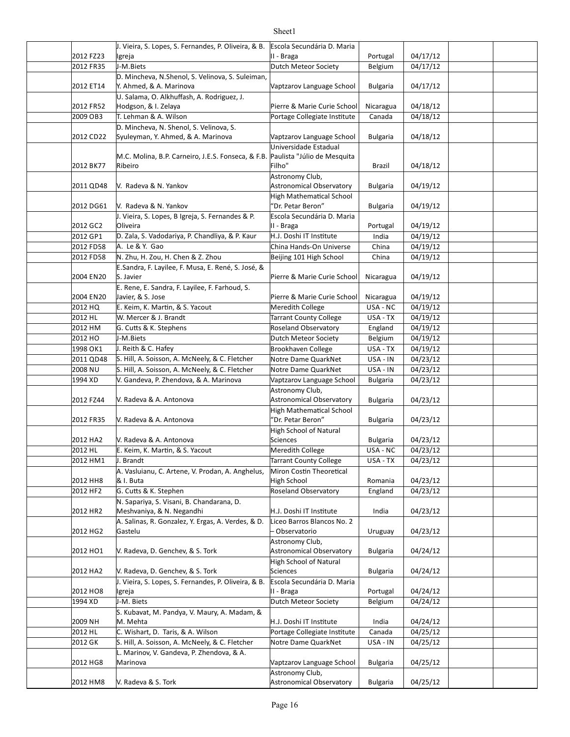#### 2012 FZ23 Portugal 04/17/12 2012 FR35 J-M.Biets **Dutch Meteor Society** Belgium 04/17/12 2012 ET14 Y. Ahmed, & A. Marinova Vaptzarov Language School Bulgaria | 04/17/12 2012 FR52 Hodgson, & I. Zelaya **Pierre & Marie Curie School** Nicaragua | 04/18/12 2009 OB3 T. Lehman & A. Wilson Portage Collegiate Institute Canada 04/18/12 2012 CD22 Syuleyman, Y. Ahmed, & A. Marinova Vaptzarov Language School | Bulgaria | 04/18/12 2012 BK77 Brazil 04/18/12 2011 QD48 Bulgaria 04/19/12 Astronomical Observatory 2012 DG61 N. Radeva & N. Yankov North States (1990) (Petar Beron" Bulgaria | 04/19/12 2012 GC2 Portugal 04/19/12 2012 GP1 D. Zala, S. Vadodariya, P. Chandliya, & P. Kaur H.J. Doshi IT Institute India 04/19/12 2012 FD58 A. Le & Y. Gao China Hands-On Universe China 04/19/12 2012 FD58 N. Zhu, H. Zou, H. Chen & Z. Zhou Beijing 101 High School China | 04/19/12 2004 EN20 S. Javier **Pierre & Marie Curie School** Nicaragua 04/19/12 2004 EN20 | Javier, & S. Jose | National Pierre & Marie Curie School | Nicaragua | 04/19/12 2012 HQ E. Keim, K. Martin, & S. Yacout |Meredith College | USA - NC | 04/19/12 2012 HL M. Mercer & J. Brandt National County College | USA - TX | 04/19/12 2012 HM G. Cutts & K. Stephens **Roseland Observatory** | England | 04/19/12 2012 HO J-M.Biets **Dutch Meteor Society** Belgium 04/19/12 1998 OK1 J. Reith & C. Hafey Brookhaven College USA - TX 04/19/12 2011 QD48 S. Hill, A. Soisson, A. McNeely, & C. Fletcher Notre Dame QuarkNet  $\parallel$  USA - IN  $\parallel$  04/23/12 2008 NU S. Hill, A. Soisson, A. McNeely, & C. Fletcher | Notre Dame QuarkNet | USA - IN | 04/23/12 1994 XD Bulgaria 04/23/12 V. Gandeva, P. Zhendova, & A. Marinova Vaptzarov Language School 2012 FZ44 | V. Radeva & A. Antonova Astronomical Observatory | Bulgaria | 04/23/12 2012 FR35 Bulgaria 04/23/12 V. Radeva & A. Antonova 2012 HA2 V. Radeva & A. Antonova Sciences Bulgaria 04/23/12 2012 HL Meredith College USA - NC 04/23/12 E. Keim, K. Mar]n, & S. Yacout 2012 HM1 J. Brandt USA - TX 04/23/12 Tarrant County College 2012 HH8 R & I. Buta New York Strong High School New York Romania | 04/23/12 2012 HF2 G. Cutts & K. Stephen **Roseland Observatory** | England | 04/23/12 2012 HR2 India 04/23/12 Meshvaniya, & N. Negandhi H.J. Doshi IT Ins]tute 2012 HG2 Uruguay 04/23/12 – Observatorio 2012 HO1 V. Radeva, D. Genchev, & S. Tork Astronomical Observatory | Bulgaria | 04/24/12 2012 HA2 | V. Radeva, D. Genchev, & S. Tork Sciences States and Bulgaria | 04/24/12 2012 HO8 Portugal 04/24/12 1994 XD J-M. Biets **Dutch Meteor Society** Belgium 04/24/12 2009 NH India 04/24/12 M. Mehta H.J. Doshi IT Ins]tute 2012 HL C. Wishart, D. Taris, & A. Wilson Portage Collegiate Institute | Canada | 04/25/12 2012 GK S. Hill, A. Soisson, A. McNeely, & C. Fletcher Arotre Dame QuarkNet | USA - IN | 04/25/12 2012 HG8 Bulgaria 04/25/12 Marinova Vaptzarov Language School 2012 HM8 Bulgaria 04/25/12 Astronomical ObservatoryJ. Vieira, S. Lopes, S. Fernandes, P. Oliveira, & B. Igreja Escola Secundária D. Maria II - Braga J-M.Biets D. Mincheva, N.Shenol, S. Velinova, S. Suleiman, U. Salama, O. Alkhuffash, A. Rodriguez, J. Hodgson, & I. Zelaya D. Mincheva, N. Shenol, S. Velinova, S. M.C. Molina, B.P. Carneiro, J.E.S. Fonseca, & F.B. Ribeiro Universidade Estadual Paulista "Júlio de Mesquita Filho" V. Radeva & N. Yankov Astronomy Club, High Mathematical School 'Dr. Petar Beron" J. Vieira, S. Lopes, B Igreja, S. Fernandes & P. Oliveira Escola Secundária D. Maria II - Braga A. Le & Y. Gao E.Sandra, F. Layilee, F. Musa, E. René, S. José, & S. Javier E. Rene, E. Sandra, F. Layilee, F. Farhoud, S. Javier, & S. Jose J-M.Biets J. Reith & C. Hafey V. Radeva & A. Antonova Astronomy Club, High Mathematical School 'Dr. Petar Beron" High School of Natural Sciences A. Vasluianu, C. Artene, V. Prodan, A. Anghelus, & I. Buta Miron Costin Theoretical High School N. Sapariya, S. Visani, B. Chandarana, D. A. Salinas, R. Gonzalez, Y. Ergas, A. Verdes, & D. Gastelu Liceo Barros Blancos No. 2 Astronomy Club, Astronomical Observatory High School of Natural Sciences J. Vieira, S. Lopes, S. Fernandes, P. Oliveira, & B. Igreja Escola Secundária D. Maria II - Braga J-M. Biets S. Kubavat, M. Pandya, V. Maury, A. Madam, & L. Marinov, V. Gandeva, P. Zhendova, & A. V. Radeva & S. Tork Astronomy Club,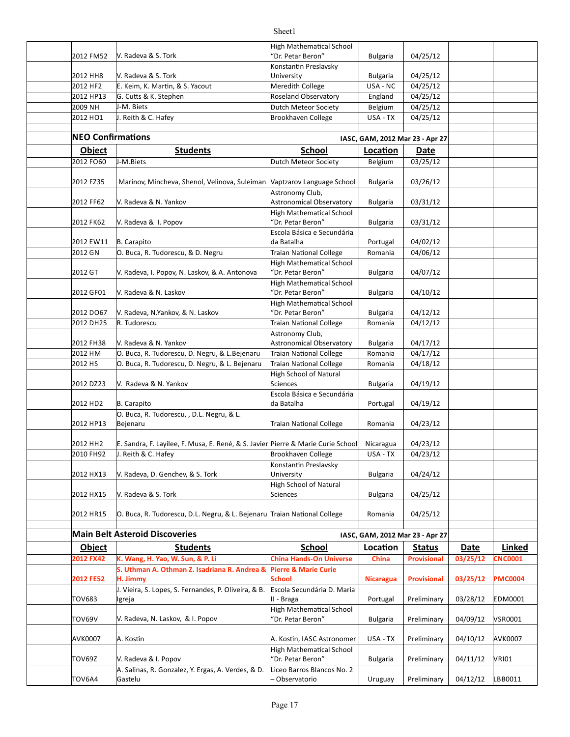|                          |                                                                                  | <b>High Mathematical School</b>                      |                                 |                    |          |                |
|--------------------------|----------------------------------------------------------------------------------|------------------------------------------------------|---------------------------------|--------------------|----------|----------------|
| 2012 FM52                | V. Radeva & S. Tork                                                              | "Dr. Petar Beron"                                    | <b>Bulgaria</b>                 | 04/25/12           |          |                |
|                          |                                                                                  | Konstantin Preslavsky                                |                                 |                    |          |                |
| 2012 HH8                 | V. Radeva & S. Tork                                                              | University                                           | <b>Bulgaria</b>                 | 04/25/12           |          |                |
| 2012 HF2                 | E. Keim, K. Martin, & S. Yacout                                                  | Meredith College                                     | USA - NC                        | 04/25/12           |          |                |
| 2012 HP13                | G. Cutts & K. Stephen                                                            | Roseland Observatory                                 | England                         | 04/25/12           |          |                |
| 2009 NH                  | J-M. Biets                                                                       | Dutch Meteor Society                                 | Belgium                         | 04/25/12           |          |                |
| 2012 HO1                 | J. Reith & C. Hafey                                                              | <b>Brookhaven College</b>                            | USA - TX                        | 04/25/12           |          |                |
|                          |                                                                                  |                                                      |                                 |                    |          |                |
| <b>NEO Confirmations</b> |                                                                                  |                                                      | IASC, GAM, 2012 Mar 23 - Apr 27 |                    |          |                |
| <b>Object</b>            | <b>Students</b>                                                                  | <b>School</b>                                        | Location                        | Date               |          |                |
| 2012 FO60                | J-M.Biets                                                                        | Dutch Meteor Society                                 | Belgium                         | 03/25/12           |          |                |
|                          |                                                                                  |                                                      |                                 |                    |          |                |
| 2012 FZ35                | Marinov, Mincheva, Shenol, Velinova, Suleiman Vaptzarov Language School          |                                                      | <b>Bulgaria</b>                 | 03/26/12           |          |                |
| 2012 FF62                | V. Radeva & N. Yankov                                                            | Astronomy Club,<br><b>Astronomical Observatory</b>   | <b>Bulgaria</b>                 | 03/31/12           |          |                |
|                          |                                                                                  | <b>High Mathematical School</b>                      |                                 |                    |          |                |
| 2012 FK62                | V. Radeva & I. Popov                                                             | "Dr. Petar Beron"                                    | <b>Bulgaria</b>                 | 03/31/12           |          |                |
|                          |                                                                                  | Escola Básica e Secundária                           |                                 |                    |          |                |
| 2012 EW11                | B. Carapito                                                                      | da Batalha                                           | Portugal                        | 04/02/12           |          |                |
| 2012 GN                  | O. Buca, R. Tudorescu, & D. Negru                                                | <b>Traian National College</b>                       | Romania                         | 04/06/12           |          |                |
|                          |                                                                                  | <b>High Mathematical School</b>                      |                                 |                    |          |                |
| 2012 GT                  | V. Radeva, I. Popov, N. Laskov, & A. Antonova                                    | 'Dr. Petar Beron"                                    | <b>Bulgaria</b>                 | 04/07/12           |          |                |
|                          |                                                                                  | <b>High Mathematical School</b>                      |                                 |                    |          |                |
| 2012 GF01                | V. Radeva & N. Laskov                                                            | "Dr. Petar Beron"                                    | <b>Bulgaria</b>                 | 04/10/12           |          |                |
|                          |                                                                                  | <b>High Mathematical School</b>                      |                                 |                    |          |                |
| 2012 DO67                | V. Radeva, N.Yankov, & N. Laskov                                                 | "Dr. Petar Beron"                                    | <b>Bulgaria</b>                 | 04/12/12           |          |                |
| 2012 DH25                | R. Tudorescu                                                                     | <b>Traian National College</b>                       | Romania                         | 04/12/12           |          |                |
|                          |                                                                                  | Astronomy Club,                                      |                                 |                    |          |                |
| 2012 FH38                | V. Radeva & N. Yankov                                                            | Astronomical Observatory                             | <b>Bulgaria</b>                 | 04/17/12           |          |                |
| 2012 HM                  | O. Buca, R. Tudorescu, D. Negru, & L. Bejenaru                                   | Traian National College                              | Romania                         | 04/17/12           |          |                |
| 2012 HS                  | O. Buca, R. Tudorescu, D. Negru, & L. Bejenaru                                   | Traian National College                              | Romania                         | 04/18/12           |          |                |
|                          |                                                                                  | <b>High School of Natural</b>                        |                                 |                    |          |                |
| 2012 DZ23                | V. Radeva & N. Yankov                                                            | Sciences                                             | <b>Bulgaria</b>                 | 04/19/12           |          |                |
|                          |                                                                                  | Escola Básica e Secundária                           |                                 |                    |          |                |
| 2012 HD2                 | <b>B.</b> Carapito                                                               | da Batalha                                           | Portugal                        | 04/19/12           |          |                |
|                          | O. Buca, R. Tudorescu, , D.L. Negru, & L.                                        |                                                      |                                 |                    |          |                |
| 2012 HP13                | Bejenaru                                                                         | <b>Traian National College</b>                       | Romania                         | 04/23/12           |          |                |
| 2012 HH <sub>2</sub>     | E. Sandra, F. Layilee, F. Musa, E. René, & S. Javier Pierre & Marie Curie School |                                                      | Nicaragua                       | 04/23/12           |          |                |
| 2010 FH92                | J. Reith & C. Hafey                                                              | Brookhaven College                                   | USA - TX                        | 04/23/12           |          |                |
|                          |                                                                                  | Konstantin Preslavsky                                |                                 |                    |          |                |
| 2012 HX13                | V. Radeva, D. Genchev, & S. Tork                                                 | University                                           | <b>Bulgaria</b>                 | 04/24/12           |          |                |
|                          |                                                                                  | <b>High School of Natural</b>                        |                                 |                    |          |                |
| 2012 HX15                | V. Radeva & S. Tork                                                              | <b>Sciences</b>                                      | <b>Bulgaria</b>                 | 04/25/12           |          |                |
|                          |                                                                                  |                                                      |                                 |                    |          |                |
| 2012 HR15                | O. Buca, R. Tudorescu, D.L. Negru, & L. Bejenaru Traian National College         |                                                      | Romania                         | 04/25/12           |          |                |
|                          |                                                                                  |                                                      |                                 |                    |          |                |
|                          | <b>Main Belt Asteroid Discoveries</b>                                            |                                                      | IASC, GAM, 2012 Mar 23 - Apr 27 |                    |          |                |
| <b>Object</b>            | <b>Students</b>                                                                  | <b>School</b>                                        | Location                        | <b>Status</b>      | Date     | Linked         |
| 2012 FX42                | K. Wang, H. Yao, W. Sun, & P. Li                                                 | <b>China Hands-On Universe</b>                       | China                           | <b>Provisional</b> | 03/25/12 | <b>CNC0001</b> |
|                          | S. Uthman A. Othman Z. Isadriana R. Andrea &                                     | <b>Pierre &amp; Marie Curie</b>                      |                                 |                    |          |                |
| <b>2012 FE52</b>         | H. Jimmy                                                                         | School                                               | <b>Nicaragua</b>                | <b>Provisional</b> | 03/25/12 | <b>PMC0004</b> |
|                          | J. Vieira, S. Lopes, S. Fernandes, P. Oliveira, & B.                             | Escola Secundária D. Maria                           |                                 |                    |          |                |
| TOV683                   | Igreja                                                                           | II - Braga                                           | Portugal                        | Preliminary        | 03/28/12 | EDM0001        |
|                          |                                                                                  | <b>High Mathematical School</b>                      |                                 |                    |          |                |
| TOV69V                   | V. Radeva, N. Laskov, & I. Popov                                                 | 'Dr. Petar Beron"                                    | <b>Bulgaria</b>                 | Preliminary        | 04/09/12 | VSR0001        |
|                          |                                                                                  |                                                      |                                 |                    |          |                |
| AVK0007                  | A. Kostin                                                                        | A. Kostin, IASC Astronomer                           | USA - TX                        | Preliminary        | 04/10/12 | AVK0007        |
| TOV69Z                   | V. Radeva & I. Popov                                                             | <b>High Mathematical School</b><br>"Dr. Petar Beron" | <b>Bulgaria</b>                 | Preliminary        | 04/11/12 | <b>VRI01</b>   |
|                          | A. Salinas, R. Gonzalez, Y. Ergas, A. Verdes, & D.                               | Liceo Barros Blancos No. 2                           |                                 |                    |          |                |
| TOV6A4                   | Gastelu                                                                          | Observatorio                                         | Uruguay                         | Preliminary        | 04/12/12 | LBB0011        |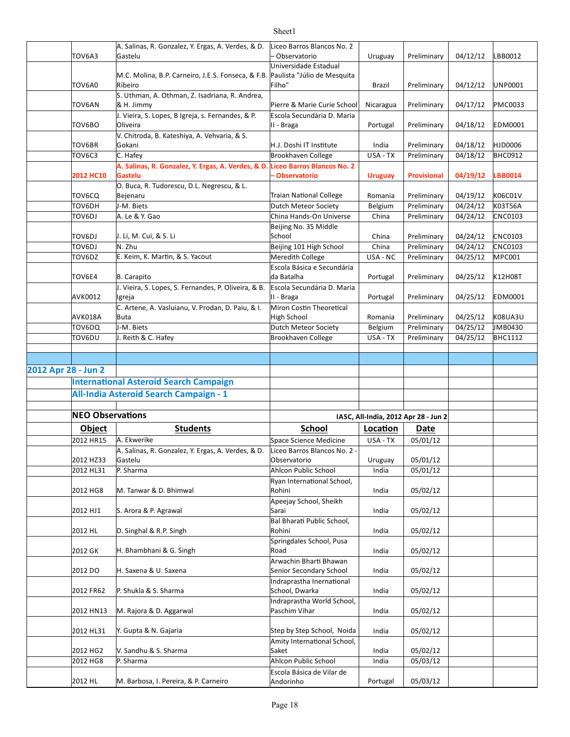|                     |                         | A. Salinas, R. Gonzalez, Y. Ergas, A. Verdes, & D.           | Liceo Barros Blancos No. 2             |                                      |                    |          |                |
|---------------------|-------------------------|--------------------------------------------------------------|----------------------------------------|--------------------------------------|--------------------|----------|----------------|
|                     | TOV6A3                  | Gastelu                                                      | Observatorio                           | Uruguay                              | Preliminary        | 04/12/12 | LBB0012        |
|                     |                         |                                                              | Universidade Estadual                  |                                      |                    |          |                |
|                     |                         | M.C. Molina, B.P. Carneiro, J.E.S. Fonseca, & F.B.           | Paulista "Júlio de Mesquita            |                                      |                    |          |                |
|                     | TOV6A0                  | Ribeiro                                                      | Filho"                                 | Brazil                               | Preliminary        | 04/12/12 | UNP0001        |
|                     | TOV6AN                  | S. Uthman, A. Othman, Z. Isadriana, R. Andrea,<br>& H. Jimmy | Pierre & Marie Curie School            | Nicaragua                            | Preliminary        | 04/17/12 | <b>PMC0033</b> |
|                     |                         | J. Vieira, S. Lopes, B Igreja, s. Fernandes, & P.            | Escola Secundária D. Maria             |                                      |                    |          |                |
|                     | TOV6BO                  | Oliveira                                                     | II - Braga                             | Portugal                             | Preliminary        | 04/18/12 | <b>EDM0001</b> |
|                     |                         | V. Chitroda, B. Kateshiya, A. Vehvaria, & S.                 |                                        |                                      |                    |          |                |
|                     | TOV6BR                  | Gokani                                                       | H.J. Doshi IT Institute                | India                                | Preliminary        | 04/18/12 | <b>HJD0006</b> |
|                     | TOV6C3                  | C. Hafey                                                     | Brookhaven College                     | USA - TX                             | Preliminary        | 04/18/12 | <b>BHC0912</b> |
|                     |                         | A. Salinas, R. Gonzalez, Y. Ergas, A. Verdes, & D.           | <b>Liceo Barros Blancos No. 2</b>      |                                      |                    |          |                |
|                     | 2012 HC10               | Gastelu                                                      | - Observatorio                         | <b>Uruguay</b>                       | <b>Provisional</b> | 04/19/12 | <b>LBB0014</b> |
|                     |                         | O. Buca, R. Tudorescu, D.L. Negrescu, & L.                   |                                        |                                      |                    |          |                |
|                     | TOV6CQ                  | Bejenaru                                                     | <b>Traian National College</b>         | Romania                              | Preliminary        | 04/19/12 | K06C01V        |
|                     | TOV6DH                  | J-M. Biets                                                   | Dutch Meteor Society                   | Belgium                              | Preliminary        | 04/24/12 | K03T56A        |
|                     | TOV6DJ                  | A. Le & Y. Gao                                               | China Hands-On Universe                | China                                | Preliminary        | 04/24/12 | <b>CNC0103</b> |
|                     |                         |                                                              | Beijing No. 35 Middle                  |                                      |                    |          |                |
|                     | TOV6DJ                  | J. Li, M. Cui, & S. Li                                       | School                                 | China                                | Preliminary        | 04/24/12 | <b>CNC0103</b> |
|                     | TOV6DJ                  | N. Zhu                                                       | Beijing 101 High School                | China                                | Preliminary        | 04/24/12 | <b>CNC0103</b> |
|                     | TOV6DZ                  | E. Keim, K. Martin, & S. Yacout                              | Meredith College                       | USA - NC                             | Preliminary        | 04/25/12 | MPC001         |
|                     |                         |                                                              | Escola Básica e Secundária             |                                      |                    |          |                |
|                     | TOV6E4                  | B. Carapito                                                  | da Batalha                             | Portugal                             | Preliminary        | 04/25/12 | K12H08T        |
|                     |                         | J. Vieira, S. Lopes, S. Fernandes, P. Oliveira, & B.         | Escola Secundária D. Maria             |                                      |                    |          |                |
|                     | AVK0012                 | Igreja                                                       | II - Braga                             | Portugal                             | Preliminary        | 04/25/12 | <b>EDM0001</b> |
|                     |                         | C. Artene, A. Vasluianu, V. Prodan, D. Paiu, & I.            | Miron Costin Theoretical               |                                      |                    |          |                |
|                     | AVK018A                 | <b>Buta</b>                                                  | High School                            | Romania                              | Preliminary        | 04/25/12 | <b>K08UA3U</b> |
|                     | TOV6DQ                  | J-M. Biets                                                   | Dutch Meteor Society                   | Belgium                              | Preliminary        | 04/25/12 | JMB0430        |
|                     | TOV6DU                  | J. Reith & C. Hafey                                          | Brookhaven College                     | USA - TX                             | Preliminary        | 04/25/12 | <b>BHC1112</b> |
|                     |                         |                                                              |                                        |                                      |                    |          |                |
|                     |                         |                                                              |                                        |                                      |                    |          |                |
|                     |                         |                                                              |                                        |                                      |                    |          |                |
| 2012 Apr 28 - Jun 2 |                         |                                                              |                                        |                                      |                    |          |                |
|                     |                         | <b>International Asteroid Search Campaign</b>                |                                        |                                      |                    |          |                |
|                     |                         | All-India Asteroid Search Campaign - 1                       |                                        |                                      |                    |          |                |
|                     |                         |                                                              |                                        |                                      |                    |          |                |
|                     | <b>NEO Observations</b> |                                                              |                                        | IASC, All-India, 2012 Apr 28 - Jun 2 |                    |          |                |
|                     |                         |                                                              |                                        |                                      |                    |          |                |
|                     | <b>Object</b>           | <b>Students</b>                                              | School                                 | Location                             | Date               |          |                |
|                     | 2012 HR15               | A. Ekwerike                                                  | Space Science Medicine                 | USA - TX                             | 05/01/12           |          |                |
|                     |                         | A. Salinas, R. Gonzalez, Y. Ergas, A. Verdes, & D.           | Liceo Barros Blancos No. 2 -           |                                      |                    |          |                |
|                     | 2012 HZ33               | Gastelu                                                      | Observatorio                           | Uruguay                              | 05/01/12           |          |                |
|                     | 2012 HL31               | P. Sharma                                                    | Ahlcon Public School                   | India                                | 05/01/12           |          |                |
|                     | 2012 HG8                | M. Tanwar & D. Bhimwal                                       | Ryan International School,<br>Rohini   | India                                | 05/02/12           |          |                |
|                     |                         |                                                              |                                        |                                      |                    |          |                |
|                     | 2012 HJ1                | S. Arora & P. Agrawal                                        | Apeejay School, Sheikh<br>Sarai        | India                                | 05/02/12           |          |                |
|                     |                         |                                                              | Bal Bharati Public School,             |                                      |                    |          |                |
|                     | 2012 HL                 | D. Singhal & R.P. Singh                                      | Rohini                                 | India                                | 05/02/12           |          |                |
|                     |                         |                                                              | Springdales School, Pusa               |                                      |                    |          |                |
|                     | 2012 GK                 | H. Bhambhani & G. Singh                                      | Road                                   | India                                | 05/02/12           |          |                |
|                     |                         |                                                              | Arwachin Bharti Bhawan                 |                                      |                    |          |                |
|                     | 2012 DO                 | H. Saxena & U. Saxena                                        | Senior Secondary School                | India                                | 05/02/12           |          |                |
|                     |                         |                                                              | Indraprastha Inernational              |                                      |                    |          |                |
|                     | 2012 FR62               | P. Shukla & S. Sharma                                        | School, Dwarka                         | India                                | 05/02/12           |          |                |
|                     |                         |                                                              | Indraprastha World School,             |                                      |                    |          |                |
|                     | 2012 HN13               | M. Rajora & D. Aggarwal                                      | Paschim Vihar                          | India                                | 05/02/12           |          |                |
|                     |                         |                                                              |                                        |                                      |                    |          |                |
|                     | 2012 HL31               | Y. Gupta & N. Gajaria                                        | Step by Step School, Noida             | India                                | 05/02/12           |          |                |
|                     |                         |                                                              | Amity International School,            |                                      |                    |          |                |
|                     | 2012 HG2                | V. Sandhu & S. Sharma                                        | Saket                                  | India                                | 05/02/12           |          |                |
|                     | 2012 HG8                | P. Sharma                                                    | Ahlcon Public School                   | India                                | 05/03/12           |          |                |
|                     | 2012 HL                 | M. Barbosa, I. Pereira, & P. Carneiro                        | Escola Básica de Vilar de<br>Andorinho | Portugal                             | 05/03/12           |          |                |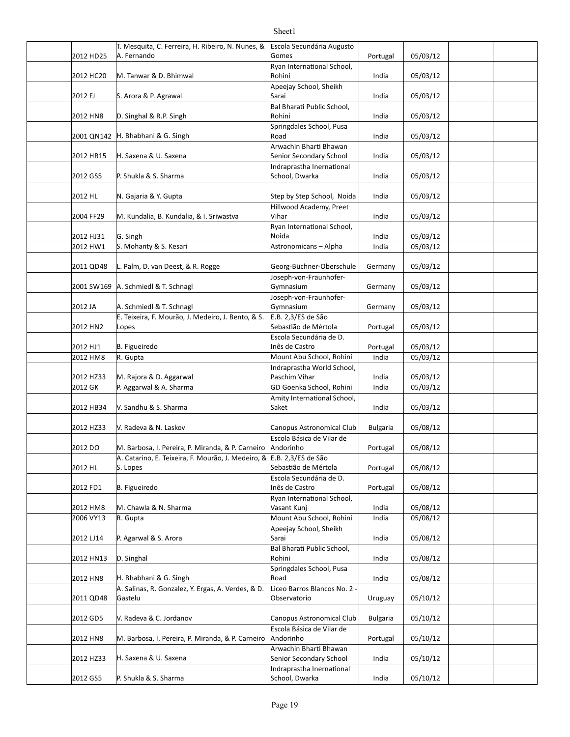#### 2012 HD25 A. Fernando Gomes Portugal | 05/03/12 2012 HC20 M. Tanwar & D. Bhimwal **Canada Accord Relations** Rohini Martin Martin (195/03/12 2012 FJ S. Arora & P. Agrawal Sarai Sarai Sarai 195/03/12 2012 HN8 D. Singhal & R.P. Singh the control of the control Rohini the control of the control of the control o 2001 QN142 |H. Bhabhani & G. Singh Road India 05/03/12 2012 HR15 India 05/03/12 Senior Secondary School 2012 GS5 P. Shukla & S. Sharma (School, Dwarka National Lindia | 05/03/12 2012 HL India 05/03/12 N. Gajaria & Y. Gupta Step by Step School, Noida 2004 FF29 M. Kundalia, B. Kundalia, & I. Sriwastva Vihar Vihar 105/03/12 2012 HJ31 G. Singh India 05/03/12 2012 HW1 S. Mohanty & S. Kesari Astronomicans – Alpha | India | 05/03/12 2011 QD48 L. Palm, D. van Deest, & R. Rogge Georg-Büchner-Oberschule Germany | 05/03/12 2001 SW169 |A. Schmiedl & T. Schnagl |Gymnasium | Germany | 05/03/12 2012 JA |A. Schmiedl & T. Schnagl Gymnasium | Germany | 05/03/12 2012 HN2 Portugal 05/03/12 Sebas]ão de Mértola 2012 HJ1 B. Figueiredo **Martin American State Cate Castro** Refugal | 05/03/12 2012 HM8 R. Gupta India India India India India India India India India India India India India India India I 2012 HZ33 |M. Rajora & D. Aggarwal Paschim Vihar India 05/03/12 2012 GK DP. Aggarwal & A. Sharma GDGO Goenka School, Rohini | India | 05/03/12 2012 HB34 India 05/03/12 V. Sandhu & S. Sharma 2012 HZ33 V. Radeva & N. Laskov Canopus Astronomical Club Bulgaria 05/08/12 2012 DO M. Barbosa, I. Pereira, P. Miranda, & P. Carneiro Andorinho (2012 DO Portugal | 05/08/12 2012 HLS Lopes (Sebastião de Mértola de Portugal | 05/08/12 2012 FD1 B. Figueiredo en el estableceu en la lunes de Castro de Portugal | 05/08/12 2012 HM8 M. Chawla & N. Sharma (Vasant Kunj Vasant Kunj lndia | 05/08/12 2006 VY13 R. Gupta India India India India India India 195/08/12 2012 LJ14 India 05/08/12 P. Agarwal & S. Arora 2012 HN13 India 05/08/12 2012 HN8 |H. Bhabhani & G. Singh Road India 05/08/12 2011 QD48 Uruguay 05/10/12 2012 GD5 |V. Radeva & C. Jordanov | Canopus Astronomical Club | Bulgaria | 05/10/12 T. Mesquita, C. Ferreira, H. Ribeiro, N. Nunes, & A. Fernando Escola Secundária Augusto Gomes Ryan International School, Rohini Apeejay School, Sheikh Sarai **Bal Bharati Public School,** Rohini Springdales School, Pusa Road H. Saxena & U. Saxena Arwachin Bharti Bhawan Indraprastha Inernational School, Dwarka Hillwood Academy, Preet Vihar Ryan International School, Noida Joseph-von-Fraunhofer-Gymnasium Joseph-von-Fraunhofer-Gymnasium E. Teixeira, F. Mourão, J. Medeiro, J. Bento, & S. Lopes  $E.B. 2,3/ES$  de São B. Figueiredo Escola Secundária de D. Inês de Castro Indraprastha World School, Paschim Vihar Amity International School, Saket V. Radeva & N. Laskov Escola Básica de Vilar de Andorinho A. Catarino, E. Teixeira, F. Mourão, J. Medeiro, & S. Lopes E.B. 2,3/ES de São Escola Secundária de D. Inês de Castro Ryan International School, Vasant Kunj Apeejay School, Sheikh Sarai D. Singhal **Bal Bharati Public School,** Rohini Springdales School, Pusa Road A. Salinas, R. Gonzalez, Y. Ergas, A. Verdes, & D. Gastelu Liceo Barros Blancos No. 2 -Observatorio V. Radeva & C. Jordanov Escola Básica de Vilar de

School, Dwarka

Andorinho

Arwachin Bharti Bhawan

Indraprastha Inernational

2012 HN8 M. Barbosa, I. Pereira, P. Miranda, & P. Carneiro Andorinho (2012 | Portugal | 05/10/12

2012 HZ33 H. Saxena & U. Saxena Senior Secondary School India 05/10/12

H. Saxena & U. Saxena

2012 GS5 India 05/10/12 P. Shukla & S. Sharma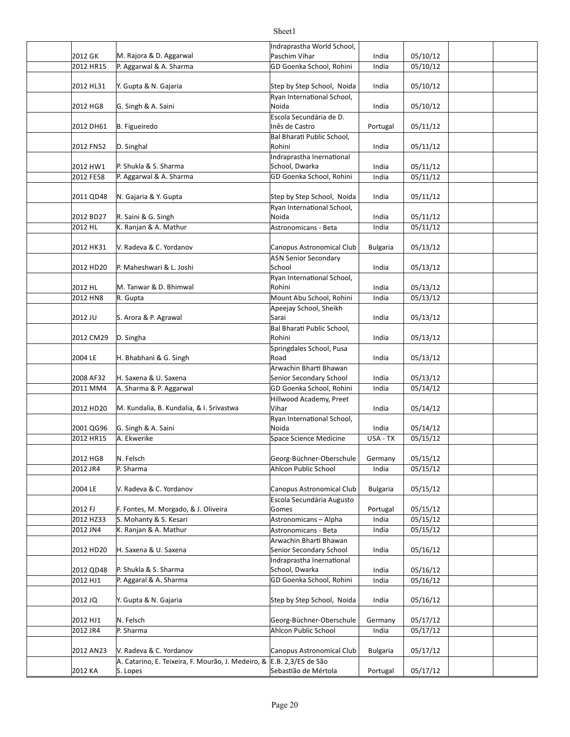|                       |                                                    | Indraprastha World School,  |                 |          |  |
|-----------------------|----------------------------------------------------|-----------------------------|-----------------|----------|--|
| 2012 GK               | M. Rajora & D. Aggarwal                            | Paschim Vihar               | India           | 05/10/12 |  |
| 2012 HR15             | P. Aggarwal & A. Sharma                            | GD Goenka School, Rohini    | India           | 05/10/12 |  |
|                       |                                                    |                             |                 |          |  |
| 2012 HL31             | Y. Gupta & N. Gajaria                              | Step by Step School, Noida  | India           | 05/10/12 |  |
|                       |                                                    | Ryan International School,  |                 |          |  |
| 2012 HG8              | G. Singh & A. Saini                                | Noida                       | India           | 05/10/12 |  |
|                       |                                                    | Escola Secundária de D.     |                 |          |  |
| 2012 DH61             | B. Figueiredo                                      | Inês de Castro              | Portugal        | 05/11/12 |  |
|                       |                                                    | Bal Bharati Public School,  |                 |          |  |
| 2012 FN52             | D. Singhal                                         | Rohini                      | India           | 05/11/12 |  |
|                       |                                                    | Indraprastha Inernational   |                 |          |  |
| 2012 HW1              | P. Shukla & S. Sharma                              | School, Dwarka              | India           | 05/11/12 |  |
| 2012 FE58             | P. Aggarwal & A. Sharma                            | GD Goenka School, Rohini    | India           | 05/11/12 |  |
|                       |                                                    |                             |                 |          |  |
|                       |                                                    |                             |                 |          |  |
| 2011 QD48             | N. Gajaria & Y. Gupta                              | Step by Step School, Noida  | India           | 05/11/12 |  |
|                       |                                                    | Ryan International School,  |                 |          |  |
| 2012 BD27             | R. Saini & G. Singh                                | Noida                       | India           | 05/11/12 |  |
| 2012 HL               | K. Ranjan & A. Mathur                              | Astronomicans - Beta        | India           | 05/11/12 |  |
|                       |                                                    |                             |                 |          |  |
| 2012 HK31             | V. Radeva & C. Yordanov                            | Canopus Astronomical Club   | <b>Bulgaria</b> | 05/13/12 |  |
|                       |                                                    | <b>ASN Senior Secondary</b> |                 |          |  |
| 2012 HD20             | P. Maheshwari & L. Joshi                           | School                      | India           | 05/13/12 |  |
|                       |                                                    | Ryan International School,  |                 |          |  |
| 2012 HL               | M. Tanwar & D. Bhimwal                             | Rohini                      | India           | 05/13/12 |  |
| 2012 HN8              | R. Gupta                                           | Mount Abu School, Rohini    | India           | 05/13/12 |  |
|                       |                                                    | Apeejay School, Sheikh      |                 |          |  |
| 2012 JU               | S. Arora & P. Agrawal                              | Sarai                       | India           | 05/13/12 |  |
|                       |                                                    | Bal Bharati Public School,  |                 |          |  |
| 2012 CM29             | D. Singha                                          | Rohini                      | India           | 05/13/12 |  |
|                       |                                                    | Springdales School, Pusa    |                 |          |  |
| 2004 LE               | H. Bhabhani & G. Singh                             | Road                        | India           | 05/13/12 |  |
|                       |                                                    | Arwachin Bharti Bhawan      |                 |          |  |
| 2008 AF32             | H. Saxena & U. Saxena                              | Senior Secondary School     | India           | 05/13/12 |  |
| 2011 MM4              | A. Sharma & P. Aggarwal                            | GD Goenka School, Rohini    | India           | 05/14/12 |  |
|                       |                                                    | Hillwood Academy, Preet     |                 |          |  |
| 2012 HD20             | M. Kundalia, B. Kundalia, & I. Srivastwa           | Vihar                       | India           | 05/14/12 |  |
|                       |                                                    | Ryan International School,  |                 |          |  |
| 2001 QG96             | G. Singh & A. Saini                                | Noida                       | India           | 05/14/12 |  |
| 2012 HR15             | A. Ekwerike                                        | Space Science Medicine      | USA - TX        | 05/15/12 |  |
|                       |                                                    |                             |                 |          |  |
|                       |                                                    |                             |                 | 05/15/12 |  |
| 2012 HG8              | N. Felsch                                          | Georg-Büchner-Oberschule    | Germany         |          |  |
| 2012 JR4              | P. Sharma                                          | Ahlcon Public School        | India           | 05/15/12 |  |
|                       |                                                    |                             |                 |          |  |
| 2004 LE               | V. Radeva & C. Yordanov                            | Canopus Astronomical Club   | <b>Bulgaria</b> | 05/15/12 |  |
|                       |                                                    | Escola Secundária Augusto   |                 |          |  |
| 2012 FJ               | F. Fontes, M. Morgado, & J. Oliveira               | Gomes                       | Portugal        | 05/15/12 |  |
| 2012 HZ33             | S. Mohanty & S. Kesari                             | Astronomicans - Alpha       | India           | 05/15/12 |  |
| 2012 JN4              | K. Ranjan & A. Mathur                              | Astronomicans - Beta        | India           | 05/15/12 |  |
|                       |                                                    | Arwachin Bharti Bhawan      |                 |          |  |
| 2012 HD <sub>20</sub> | H. Saxena & U. Saxena                              | Senior Secondary School     | India           | 05/16/12 |  |
|                       |                                                    | Indraprastha Inernational   |                 |          |  |
| 2012 QD48             | P. Shukla & S. Sharma                              | School, Dwarka              | India           | 05/16/12 |  |
| 2012 HJ1              | P. Aggaral & A. Sharma                             | GD Goenka School, Rohini    | India           | 05/16/12 |  |
|                       |                                                    |                             |                 |          |  |
| 2012 JQ               | Y. Gupta & N. Gajaria                              | Step by Step School, Noida  | India           | 05/16/12 |  |
|                       |                                                    |                             |                 |          |  |
| 2012 HJ1              | N. Felsch                                          | Georg-Büchner-Oberschule    | Germany         | 05/17/12 |  |
| 2012 JR4              | P. Sharma                                          | Ahlcon Public School        | India           | 05/17/12 |  |
|                       |                                                    |                             |                 |          |  |
| 2012 AN23             | V. Radeva & C. Yordanov                            | Canopus Astronomical Club   | <b>Bulgaria</b> | 05/17/12 |  |
|                       | A. Catarino, E. Teixeira, F. Mourão, J. Medeiro, & | $E.B. 2,3/ES$ de São        |                 |          |  |
| 2012 KA               | S. Lopes                                           | Sebastião de Mértola        | Portugal        | 05/17/12 |  |
|                       |                                                    |                             |                 |          |  |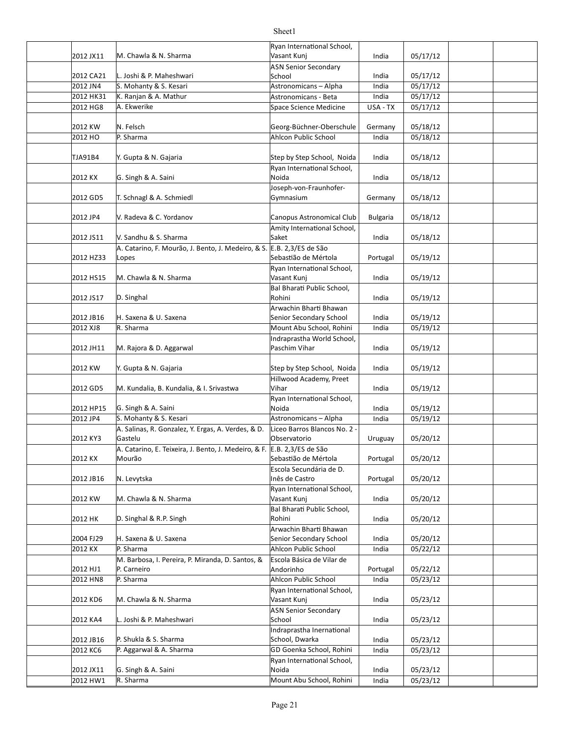|           |                                                                         | Ryan International School,                |                 |          |  |
|-----------|-------------------------------------------------------------------------|-------------------------------------------|-----------------|----------|--|
| 2012 JX11 | M. Chawla & N. Sharma                                                   | Vasant Kunj                               | India           | 05/17/12 |  |
|           |                                                                         | <b>ASN Senior Secondary</b>               |                 |          |  |
| 2012 CA21 | L. Joshi & P. Maheshwari                                                | School                                    | India           | 05/17/12 |  |
| 2012 JN4  | S. Mohanty & S. Kesari                                                  | Astronomicans - Alpha                     | India           | 05/17/12 |  |
| 2012 HK31 | K. Ranjan & A. Mathur                                                   | Astronomicans - Beta                      | India           | 05/17/12 |  |
| 2012 HG8  | A. Ekwerike                                                             | Space Science Medicine                    | USA - TX        | 05/17/12 |  |
|           |                                                                         |                                           |                 |          |  |
| 2012 KW   | N. Felsch                                                               | Georg-Büchner-Oberschule                  | Germany         | 05/18/12 |  |
| 2012 HO   | P. Sharma                                                               | Ahlcon Public School                      | India           | 05/18/12 |  |
|           |                                                                         |                                           |                 |          |  |
| TJA91B4   | Y. Gupta & N. Gajaria                                                   | Step by Step School, Noida                | India           | 05/18/12 |  |
|           |                                                                         | Ryan International School,                |                 |          |  |
| 2012 KX   | G. Singh & A. Saini                                                     | Noida                                     | India           | 05/18/12 |  |
|           |                                                                         | Joseph-von-Fraunhofer-                    |                 |          |  |
| 2012 GD5  | T. Schnagl & A. Schmiedl                                                | Gymnasium                                 | Germany         | 05/18/12 |  |
|           |                                                                         |                                           |                 |          |  |
| 2012 JP4  |                                                                         |                                           |                 |          |  |
|           | V. Radeva & C. Yordanov                                                 | Canopus Astronomical Club                 | <b>Bulgaria</b> | 05/18/12 |  |
|           |                                                                         | Amity International School,               |                 |          |  |
| 2012 JS11 | V. Sandhu & S. Sharma                                                   | Saket                                     | India           | 05/18/12 |  |
|           | A. Catarino, F. Mourão, J. Bento, J. Medeiro, & S. E.B. 2,3/ES de São   |                                           |                 |          |  |
| 2012 HZ33 | Lopes                                                                   | Sebastião de Mértola                      | Portugal        | 05/19/12 |  |
|           |                                                                         | Ryan International School,                |                 |          |  |
| 2012 HS15 | M. Chawla & N. Sharma                                                   | Vasant Kunj                               | India           | 05/19/12 |  |
|           |                                                                         | Bal Bharati Public School,                |                 |          |  |
| 2012 JS17 | D. Singhal                                                              | Rohini                                    | India           | 05/19/12 |  |
|           |                                                                         | Arwachin Bharti Bhawan                    |                 |          |  |
| 2012 JB16 | H. Saxena & U. Saxena                                                   | Senior Secondary School                   | India           | 05/19/12 |  |
| 2012 XJ8  | $R.$ Sharma                                                             | Mount Abu School, Rohini                  | India           | 05/19/12 |  |
|           |                                                                         | Indraprastha World School,                |                 |          |  |
| 2012 JH11 | M. Rajora & D. Aggarwal                                                 | Paschim Vihar                             | India           | 05/19/12 |  |
|           |                                                                         |                                           |                 |          |  |
| 2012 KW   | Y. Gupta & N. Gajaria                                                   | Step by Step School, Noida                | India           | 05/19/12 |  |
|           |                                                                         | Hillwood Academy, Preet                   |                 |          |  |
| 2012 GD5  | M. Kundalia, B. Kundalia, & I. Srivastwa                                | Vihar                                     | India           | 05/19/12 |  |
|           |                                                                         | Ryan International School,                |                 |          |  |
| 2012 HP15 | G. Singh & A. Saini                                                     | Noida                                     | India           | 05/19/12 |  |
| 2012 JP4  | S. Mohanty & S. Kesari                                                  | Astronomicans - Alpha                     | India           | 05/19/12 |  |
|           | A. Salinas, R. Gonzalez, Y. Ergas, A. Verdes, & D.                      | Liceo Barros Blancos No. 2 -              |                 |          |  |
| 2012 KY3  | Gastelu                                                                 | Observatorio                              | Uruguay         | 05/20/12 |  |
|           | A. Catarino, E. Teixeira, J. Bento, J. Medeiro, & F. E.B. 2,3/ES de São |                                           |                 |          |  |
| 2012 KX   | Mourão                                                                  | Sebastião de Mértola                      | Portugal        | 05/20/12 |  |
|           |                                                                         | Escola Secundária de D.                   |                 |          |  |
| 2012 JB16 | N. Levytska                                                             | Inês de Castro                            | Portugal        | 05/20/12 |  |
|           |                                                                         | Ryan International School,                |                 |          |  |
| 2012 KW   | M. Chawla & N. Sharma                                                   | Vasant Kunj                               | India           | 05/20/12 |  |
|           |                                                                         | Bal Bharati Public School,                |                 |          |  |
| 2012 HK   | D. Singhal & R.P. Singh                                                 | Rohini                                    | India           | 05/20/12 |  |
|           |                                                                         | Arwachin Bharti Bhawan                    |                 |          |  |
| 2004 FJ29 | H. Saxena & U. Saxena                                                   | Senior Secondary School                   | India           | 05/20/12 |  |
| 2012 KX   | P. Sharma                                                               | Ahlcon Public School                      | India           | 05/22/12 |  |
|           | M. Barbosa, I. Pereira, P. Miranda, D. Santos, &                        | Escola Básica de Vilar de                 |                 |          |  |
| 2012 HJ1  | P. Carneiro                                                             | Andorinho                                 | Portugal        | 05/22/12 |  |
| 2012 HN8  | P. Sharma                                                               | Ahlcon Public School                      | India           | 05/23/12 |  |
|           |                                                                         |                                           |                 |          |  |
|           |                                                                         | Ryan International School,<br>Vasant Kunj |                 |          |  |
| 2012 KD6  | M. Chawla & N. Sharma                                                   |                                           | India           | 05/23/12 |  |
|           |                                                                         | <b>ASN Senior Secondary</b>               |                 |          |  |
| 2012 KA4  | L. Joshi & P. Maheshwari                                                | School                                    | India           | 05/23/12 |  |
|           |                                                                         | Indraprastha Inernational                 |                 |          |  |
| 2012 JB16 | P. Shukla & S. Sharma                                                   | School, Dwarka                            | India           | 05/23/12 |  |
| 2012 KC6  | P. Aggarwal & A. Sharma                                                 | GD Goenka School, Rohini                  | India           | 05/23/12 |  |
|           |                                                                         | Ryan International School,                |                 |          |  |
| 2012 JX11 | G. Singh & A. Saini                                                     | Noida                                     | India           | 05/23/12 |  |
| 2012 HW1  | R. Sharma                                                               | Mount Abu School, Rohini                  | India           | 05/23/12 |  |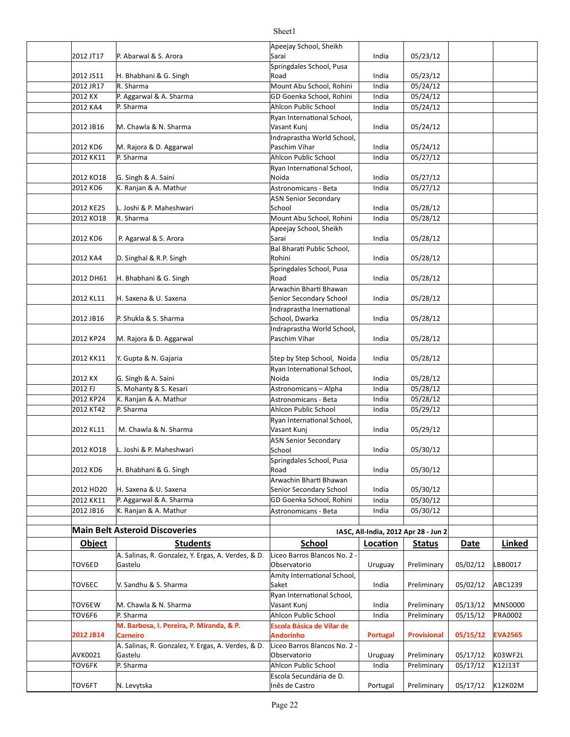| 2012 JT17     | P. Abarwal & S. Arora                                         | Apeejay School, Sheikh<br>Sarai              | India          | 05/23/12                             |             |                |
|---------------|---------------------------------------------------------------|----------------------------------------------|----------------|--------------------------------------|-------------|----------------|
|               |                                                               | Springdales School, Pusa                     |                |                                      |             |                |
| 2012 JS11     | H. Bhabhani & G. Singh                                        | Road                                         | India          | 05/23/12                             |             |                |
| 2012 JR17     | R. Sharma                                                     | Mount Abu School, Rohini                     | India          | 05/24/12                             |             |                |
| 2012 KX       | P. Aggarwal & A. Sharma                                       | GD Goenka School, Rohini                     | India          | 05/24/12                             |             |                |
| 2012 KA4      | P. Sharma                                                     | Ahlcon Public School                         | India          | 05/24/12                             |             |                |
|               |                                                               | Ryan International School,                   |                |                                      |             |                |
| 2012 JB16     | M. Chawla & N. Sharma                                         | Vasant Kunj                                  | India          | 05/24/12                             |             |                |
|               |                                                               | Indraprastha World School,<br>Paschim Vihar  |                |                                      |             |                |
| 2012 KD6      | M. Rajora & D. Aggarwal<br>P. Sharma                          | Ahlcon Public School                         | India<br>India | 05/24/12                             |             |                |
| 2012 KK11     |                                                               | Ryan International School,                   |                | 05/27/12                             |             |                |
| 2012 KO18     | G. Singh & A. Saini                                           | Noida                                        | India          | 05/27/12                             |             |                |
| 2012 KD6      | K. Ranjan & A. Mathur                                         | Astronomicans - Beta                         | India          | 05/27/12                             |             |                |
|               |                                                               | <b>ASN Senior Secondary</b>                  |                |                                      |             |                |
| 2012 KE25     | L. Joshi & P. Maheshwari                                      | School                                       | India          | 05/28/12                             |             |                |
| 2012 KO18     | R. Sharma                                                     | Mount Abu School, Rohini                     | India          | 05/28/12                             |             |                |
|               |                                                               | Apeejay School, Sheikh                       |                |                                      |             |                |
| 2012 KD6      | P. Agarwal & S. Arora                                         | Sarai                                        | India          | 05/28/12                             |             |                |
|               |                                                               | Bal Bharati Public School,                   |                |                                      |             |                |
| 2012 KA4      | D. Singhal & R.P. Singh                                       | Rohini                                       | India          | 05/28/12                             |             |                |
|               |                                                               | Springdales School, Pusa                     |                |                                      |             |                |
| 2012 DH61     | H. Bhabhani & G. Singh                                        | Road                                         | India          | 05/28/12                             |             |                |
|               |                                                               | Arwachin Bharti Bhawan                       |                |                                      |             |                |
| 2012 KL11     | H. Saxena & U. Saxena                                         | Senior Secondary School                      | India          | 05/28/12                             |             |                |
|               |                                                               | Indraprastha Inernational                    |                |                                      |             |                |
| 2012 JB16     | P. Shukla & S. Sharma                                         | School, Dwarka                               | India          | 05/28/12                             |             |                |
|               |                                                               | Indraprastha World School,<br>Paschim Vihar  | India          |                                      |             |                |
| 2012 KP24     | M. Rajora & D. Aggarwal                                       |                                              |                | 05/28/12                             |             |                |
| 2012 KK11     | Y. Gupta & N. Gajaria                                         | Step by Step School, Noida                   | India          | 05/28/12                             |             |                |
|               |                                                               | Ryan International School,                   |                |                                      |             |                |
| 2012 KX       | G. Singh & A. Saini                                           | Noida                                        | India          | 05/28/12                             |             |                |
| 2012 FJ       | S. Mohanty & S. Kesari                                        | Astronomicans - Alpha                        | India          | 05/28/12                             |             |                |
| 2012 KP24     | K. Ranjan & A. Mathur                                         | Astronomicans - Beta                         | India          | 05/28/12                             |             |                |
| 2012 KT42     | P. Sharma                                                     | Ahlcon Public School                         | India          | 05/29/12                             |             |                |
|               |                                                               | Ryan International School,                   |                |                                      |             |                |
| 2012 KL11     | M. Chawla & N. Sharma                                         | Vasant Kunj                                  | India          | 05/29/12                             |             |                |
|               |                                                               | <b>ASN Senior Secondary</b>                  |                |                                      |             |                |
| 2012 KO18     | L. Joshi & P. Maheshwari                                      | School                                       | India          | 05/30/12                             |             |                |
|               |                                                               | Springdales School, Pusa                     |                |                                      |             |                |
| 2012 KD6      | H. Bhabhani & G. Singh                                        | Road                                         | India          | 05/30/12                             |             |                |
|               |                                                               | Arwachin Bharti Bhawan                       |                |                                      |             |                |
| 2012 HD20     | H. Saxena & U. Saxena                                         | Senior Secondary School                      | India          | 05/30/12                             |             |                |
| 2012 KK11     | P. Aggarwal & A. Sharma                                       | GD Goenka School, Rohini                     | India          | 05/30/12                             |             |                |
| 2012 JB16     | K. Ranjan & A. Mathur                                         | Astronomicans - Beta                         | India          | 05/30/12                             |             |                |
|               | <b>Main Belt Asteroid Discoveries</b>                         |                                              |                |                                      |             |                |
|               |                                                               |                                              |                | IASC, All-India, 2012 Apr 28 - Jun 2 |             |                |
| <b>Object</b> | <b>Students</b>                                               | School                                       | Location       | <b>Status</b>                        | <b>Date</b> | Linked         |
| TOV6ED        | A. Salinas, R. Gonzalez, Y. Ergas, A. Verdes, & D.<br>Gastelu | Liceo Barros Blancos No. 2 -<br>Observatorio |                | Preliminary                          |             | LBB0017        |
|               |                                                               | Amity International School,                  | Uruguay        |                                      | 05/02/12    |                |
| TOV6EC        | V. Sandhu & S. Sharma                                         | Saket                                        | India          | Preliminary                          | 05/02/12    | ABC1239        |
|               |                                                               | Ryan International School,                   |                |                                      |             |                |
| TOV6EW        | M. Chawla & N. Sharma                                         | Vasant Kunj                                  | India          | Preliminary                          | 05/13/12    | <b>MNS0000</b> |
| TOV6F6        | P. Sharma                                                     | Ahlcon Public School                         | India          | Preliminary                          | 05/15/12    | PRA0002        |
|               | M. Barbosa, I. Pereira, P. Miranda, & P.                      | Escola Básica de Vilar de                    |                |                                      |             |                |
| 2012 JB14     | <b>Carneiro</b>                                               | <b>Andorinho</b>                             | Portugal       | <b>Provisional</b>                   | 05/15/12    | <b>EVA2565</b> |
|               | A. Salinas, R. Gonzalez, Y. Ergas, A. Verdes, & D.            | Liceo Barros Blancos No. 2 -                 |                |                                      |             |                |
| AVK0021       | Gastelu                                                       | Observatorio                                 | Uruguay        | Preliminary                          | 05/17/12    | K03WF2L        |
| <b>TOV6FK</b> | P. Sharma                                                     | Ahlcon Public School                         | India          | Preliminary                          | 05/17/12    | K12J13T        |
|               |                                                               | Escola Secundária de D.                      |                |                                      |             |                |
| TOV6FT        | N. Levytska                                                   | Inês de Castro                               | Portugal       | Preliminary                          | 05/17/12    | K12K02M        |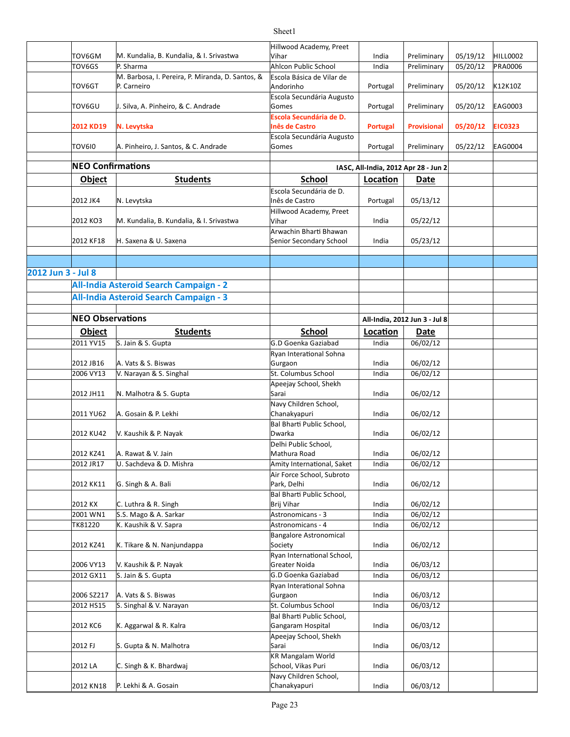|                    |                          |                                                  | Hillwood Academy, Preet                 |                                      |                               |          |                |
|--------------------|--------------------------|--------------------------------------------------|-----------------------------------------|--------------------------------------|-------------------------------|----------|----------------|
|                    | TOV6GM                   | M. Kundalia, B. Kundalia, & I. Srivastwa         | Vihar                                   | India                                | Preliminary                   | 05/19/12 | HILL0002       |
|                    | TOV6GS                   | P. Sharma                                        | Ahlcon Public School                    | India                                | Preliminary                   | 05/20/12 | <b>PRA0006</b> |
|                    |                          | M. Barbosa, I. Pereira, P. Miranda, D. Santos, & | Escola Básica de Vilar de               |                                      |                               |          |                |
|                    | TOV6GT                   | P. Carneiro                                      | Andorinho                               | Portugal                             | Preliminary                   | 05/20/12 | K12K10Z        |
|                    |                          |                                                  | Escola Secundária Augusto               |                                      |                               |          |                |
|                    | TOV6GU                   | J. Silva, A. Pinheiro, & C. Andrade              | Gomes                                   | Portugal                             | Preliminary                   | 05/20/12 | <b>EAG0003</b> |
|                    |                          |                                                  | Escola Secundária de D.                 |                                      |                               |          |                |
|                    | 2012 KD19                | N. Levytska                                      | <b>Inês de Castro</b>                   | Portugal                             | <b>Provisional</b>            | 05/20/12 | <b>EIC0323</b> |
|                    | TOV6I0                   |                                                  | Escola Secundária Augusto               |                                      |                               |          |                |
|                    |                          | A. Pinheiro, J. Santos, & C. Andrade             | Gomes                                   | Portugal                             | Preliminary                   | 05/22/12 | <b>EAG0004</b> |
|                    | <b>NEO Confirmations</b> |                                                  |                                         | IASC, All-India, 2012 Apr 28 - Jun 2 |                               |          |                |
|                    |                          |                                                  |                                         |                                      |                               |          |                |
|                    | <b>Object</b>            | <b>Students</b>                                  | <b>School</b>                           | Location                             | Date                          |          |                |
|                    |                          |                                                  | Escola Secundária de D.                 |                                      |                               |          |                |
|                    | 2012 JK4                 | N. Levytska                                      | Inês de Castro                          | Portugal                             | 05/13/12                      |          |                |
|                    |                          |                                                  | Hillwood Academy, Preet                 |                                      |                               |          |                |
|                    | 2012 KO3                 | M. Kundalia, B. Kundalia, & I. Srivastwa         | Vihar                                   | India                                | 05/22/12                      |          |                |
|                    | 2012 KF18                | H. Saxena & U. Saxena                            | Arwachin Bharti Bhawan                  | India                                |                               |          |                |
|                    |                          |                                                  | Senior Secondary School                 |                                      | 05/23/12                      |          |                |
|                    |                          |                                                  |                                         |                                      |                               |          |                |
| 2012 Jun 3 - Jul 8 |                          |                                                  |                                         |                                      |                               |          |                |
|                    |                          |                                                  |                                         |                                      |                               |          |                |
|                    |                          | All-India Asteroid Search Campaign - 2           |                                         |                                      |                               |          |                |
|                    |                          | All-India Asteroid Search Campaign - 3           |                                         |                                      |                               |          |                |
|                    |                          |                                                  |                                         |                                      |                               |          |                |
|                    | <b>NEO Observations</b>  |                                                  |                                         |                                      | All-India, 2012 Jun 3 - Jul 8 |          |                |
|                    | <b>Object</b>            | <b>Students</b>                                  | <b>School</b>                           | Location                             | <b>Date</b>                   |          |                |
|                    | 2011 YV15                | S. Jain & S. Gupta                               | G.D Goenka Gaziabad                     | India                                | 06/02/12                      |          |                |
|                    |                          |                                                  | Ryan Interational Sohna                 |                                      |                               |          |                |
|                    | 2012 JB16                | A. Vats & S. Biswas                              | Gurgaon                                 | India                                | 06/02/12                      |          |                |
|                    | 2006 VY13                | V. Narayan & S. Singhal                          | St. Columbus School                     | India                                | 06/02/12                      |          |                |
|                    |                          |                                                  | Apeejay School, Shekh                   |                                      |                               |          |                |
|                    | 2012 JH11                | N. Malhotra & S. Gupta                           | Sarai                                   | India                                | 06/02/12                      |          |                |
|                    |                          |                                                  | Navy Children School,                   |                                      |                               |          |                |
|                    | 2011 YU62                | A. Gosain & P. Lekhi                             | Chanakyapuri                            | India                                | 06/02/12                      |          |                |
|                    |                          |                                                  | Bal Bharti Public School,               |                                      |                               |          |                |
|                    | 2012 KU42                | V. Kaushik & P. Nayak                            | Dwarka                                  | India                                | 06/02/12                      |          |                |
|                    |                          |                                                  | Delhi Public School.                    |                                      |                               |          |                |
|                    | 2012 KZ41                | A. Rawat & V. Jain                               | Mathura Road                            | India                                | 06/02/12                      |          |                |
|                    | 2012 JR17                | U. Sachdeva & D. Mishra                          | Amity International, Saket              | India                                | 06/02/12                      |          |                |
|                    |                          |                                                  | Air Force School, Subroto               |                                      |                               |          |                |
|                    | 2012 KK11                | G. Singh & A. Bali                               | Park, Delhi                             | India                                | 06/02/12                      |          |                |
|                    | 2012 KX                  | C. Luthra & R. Singh                             | Bal Bharti Public School,<br>Brij Vihar | India                                | 06/02/12                      |          |                |
|                    | 2001 WN1                 | S.S. Mago & A. Sarkar                            | Astronomicans - 3                       | India                                | 06/02/12                      |          |                |
|                    | TK81220                  | K. Kaushik & V. Sapra                            | Astronomicans - 4                       | India                                | 06/02/12                      |          |                |
|                    |                          |                                                  | <b>Bangalore Astronomical</b>           |                                      |                               |          |                |
|                    | 2012 KZ41                | K. Tikare & N. Nanjundappa                       | Society                                 | India                                | 06/02/12                      |          |                |
|                    |                          |                                                  | Ryan International School,              |                                      |                               |          |                |
|                    | 2006 VY13                | V. Kaushik & P. Nayak                            | Greater Noida                           | India                                | 06/03/12                      |          |                |
|                    | 2012 GX11                | S. Jain & S. Gupta                               | G.D Goenka Gaziabad                     | India                                | 06/03/12                      |          |                |
|                    |                          |                                                  | Ryan Interational Sohna                 |                                      |                               |          |                |
|                    | 2006 SZ217               | A. Vats & S. Biswas                              | Gurgaon                                 | India                                | 06/03/12                      |          |                |
|                    | 2012 HS15                | S. Singhal & V. Narayan                          | St. Columbus School                     | India                                | 06/03/12                      |          |                |
|                    |                          |                                                  | Bal Bharti Public School,               |                                      |                               |          |                |
|                    | 2012 KC6                 | K. Aggarwal & R. Kalra                           | Gangaram Hospital                       | India                                | 06/03/12                      |          |                |
|                    |                          |                                                  | Apeejay School, Shekh                   |                                      |                               |          |                |
|                    | 2012 FJ                  | S. Gupta & N. Malhotra                           | Sarai                                   | India                                | 06/03/12                      |          |                |
|                    |                          |                                                  | KR Mangalam World                       |                                      |                               |          |                |
|                    | 2012 LA                  | C. Singh & K. Bhardwaj                           | School, Vikas Puri                      | India                                | 06/03/12                      |          |                |
|                    |                          |                                                  | Navy Children School,                   |                                      |                               |          |                |
|                    | 2012 KN18                | P. Lekhi & A. Gosain                             | Chanakyapuri                            | India                                | 06/03/12                      |          |                |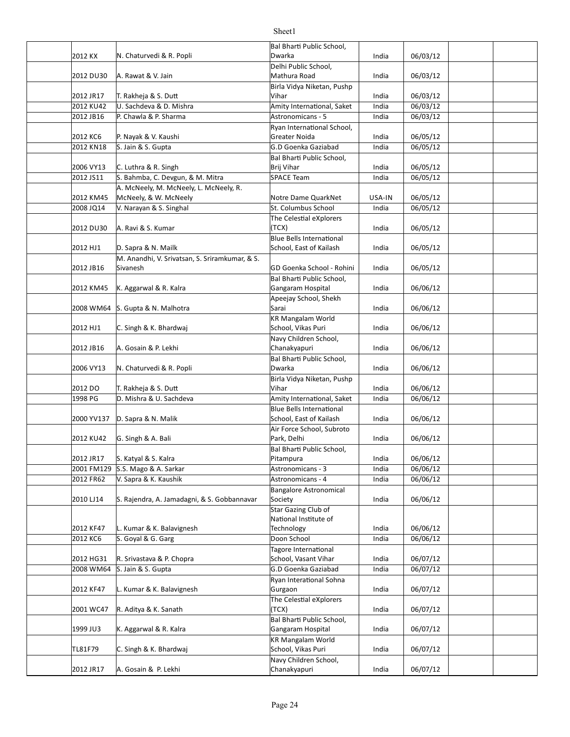|            |                                                | Bal Bharti Public School,                                  |        |          |  |
|------------|------------------------------------------------|------------------------------------------------------------|--------|----------|--|
| 2012 KX    | N. Chaturvedi & R. Popli                       | Dwarka                                                     | India  | 06/03/12 |  |
|            |                                                | Delhi Public School,                                       |        |          |  |
| 2012 DU30  | A. Rawat & V. Jain                             | Mathura Road                                               | India  | 06/03/12 |  |
|            |                                                | Birla Vidya Niketan, Pushp                                 |        |          |  |
| 2012 JR17  | T. Rakheja & S. Dutt                           | Vihar                                                      | India  | 06/03/12 |  |
| 2012 KU42  | U. Sachdeva & D. Mishra                        | Amity International, Saket                                 | India  | 06/03/12 |  |
| 2012 JB16  | P. Chawla & P. Sharma                          | Astronomicans - 5                                          | India  | 06/03/12 |  |
|            |                                                | Ryan International School,                                 |        |          |  |
| 2012 KC6   | P. Nayak & V. Kaushi                           | Greater Noida                                              | India  | 06/05/12 |  |
| 2012 KN18  | S. Jain & S. Gupta                             | G.D Goenka Gaziabad                                        | India  | 06/05/12 |  |
|            |                                                | Bal Bharti Public School,                                  |        |          |  |
| 2006 VY13  | C. Luthra & R. Singh                           | Brij Vihar                                                 | India  | 06/05/12 |  |
| 2012 JS11  | S. Bahmba, C. Devgun, & M. Mitra               | SPACE Team                                                 | India  | 06/05/12 |  |
|            | A. McNeely, M. McNeely, L. McNeely, R.         |                                                            |        |          |  |
| 2012 KM45  | McNeely, & W. McNeely                          | Notre Dame QuarkNet                                        | USA-IN | 06/05/12 |  |
| 2008 JQ14  | V. Narayan & S. Singhal                        | St. Columbus School                                        | India  | 06/05/12 |  |
|            |                                                | The Celestial eXplorers                                    |        |          |  |
| 2012 DU30  | A. Ravi & S. Kumar                             | (TCX)                                                      | India  | 06/05/12 |  |
|            |                                                | Blue Bells International                                   |        |          |  |
| 2012 HJ1   | D. Sapra & N. Mailk                            | School, East of Kailash                                    | India  | 06/05/12 |  |
|            | M. Anandhi, V. Srivatsan, S. Sriramkumar, & S. |                                                            |        |          |  |
| 2012 JB16  | Sivanesh                                       | GD Goenka School - Rohini                                  | India  | 06/05/12 |  |
|            |                                                | Bal Bharti Public School,                                  |        |          |  |
| 2012 KM45  | K. Aggarwal & R. Kalra                         | Gangaram Hospital                                          | India  | 06/06/12 |  |
|            |                                                | Apeejay School, Shekh                                      |        |          |  |
| 2008 WM64  | S. Gupta & N. Malhotra                         | Sarai                                                      | India  | 06/06/12 |  |
|            |                                                | <b>KR Mangalam World</b>                                   |        |          |  |
| 2012 HJ1   | C. Singh & K. Bhardwaj                         | School, Vikas Puri                                         | India  | 06/06/12 |  |
|            |                                                | Navy Children School,                                      |        |          |  |
| 2012 JB16  | A. Gosain & P. Lekhi                           | Chanakyapuri                                               | India  | 06/06/12 |  |
|            |                                                | Bal Bharti Public School,<br>Dwarka                        |        | 06/06/12 |  |
| 2006 VY13  | N. Chaturvedi & R. Popli                       |                                                            | India  |          |  |
| 2012 DO    | T. Rakheja & S. Dutt                           | Birla Vidya Niketan, Pushp<br>Vihar                        |        | 06/06/12 |  |
| 1998 PG    | D. Mishra & U. Sachdeva                        | Amity International, Saket                                 | India  | 06/06/12 |  |
|            |                                                |                                                            | India  |          |  |
| 2000 YV137 | D. Sapra & N. Malik                            | <b>Blue Bells International</b><br>School, East of Kailash | India  | 06/06/12 |  |
|            |                                                | Air Force School, Subroto                                  |        |          |  |
| 2012 KU42  | G. Singh & A. Bali                             | Park, Delhi                                                | India  | 06/06/12 |  |
|            |                                                | Bal Bharti Public School,                                  |        |          |  |
| 2012 JR17  | S. Katyal & S. Kalra                           | Pitampura                                                  | India  | 06/06/12 |  |
| 2001 FM129 | S.S. Mago & A. Sarkar                          | Astronomicans - 3                                          | India  | 06/06/12 |  |
| 2012 FR62  | V. Sapra & K. Kaushik                          | Astronomicans - 4                                          | India  | 06/06/12 |  |
|            |                                                | <b>Bangalore Astronomical</b>                              |        |          |  |
| 2010 LJ14  | S. Rajendra, A. Jamadagni, & S. Gobbannavar    | Society                                                    | India  | 06/06/12 |  |
|            |                                                | Star Gazing Club of                                        |        |          |  |
|            |                                                | National Institute of                                      |        |          |  |
| 2012 KF47  | L. Kumar & K. Balavignesh                      | Technology                                                 | India  | 06/06/12 |  |
| 2012 KC6   | S. Goyal & G. Garg                             | Doon School                                                | India  | 06/06/12 |  |
|            |                                                | Tagore International                                       |        |          |  |
| 2012 HG31  | R. Srivastava & P. Chopra                      | School, Vasant Vihar                                       | India  | 06/07/12 |  |
| 2008 WM64  | S. Jain & S. Gupta                             | G.D Goenka Gaziabad                                        | India  | 06/07/12 |  |
|            |                                                | Ryan Interational Sohna                                    |        |          |  |
| 2012 KF47  | L. Kumar & K. Balavignesh                      | Gurgaon                                                    | India  | 06/07/12 |  |
|            |                                                | The Celestial eXplorers                                    |        |          |  |
| 2001 WC47  | R. Aditya & K. Sanath                          | (TCX)                                                      | India  | 06/07/12 |  |
|            |                                                | Bal Bharti Public School,                                  |        |          |  |
| 1999 JU3   | K. Aggarwal & R. Kalra                         | Gangaram Hospital                                          | India  | 06/07/12 |  |
|            |                                                | <b>KR Mangalam World</b>                                   |        |          |  |
| TL81F79    | C. Singh & K. Bhardwaj                         | School, Vikas Puri                                         | India  | 06/07/12 |  |
|            |                                                | Navy Children School,                                      |        |          |  |
| 2012 JR17  | A. Gosain & P. Lekhi                           | Chanakyapuri                                               | India  | 06/07/12 |  |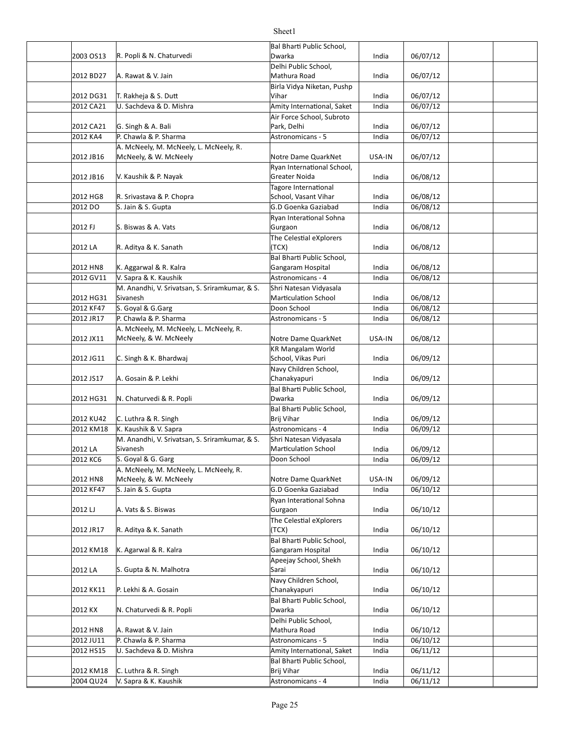|           |                                                            | Bal Bharti Public School,               |        |          |  |
|-----------|------------------------------------------------------------|-----------------------------------------|--------|----------|--|
| 2003 OS13 | R. Popli & N. Chaturvedi                                   | Dwarka                                  | India  | 06/07/12 |  |
|           |                                                            | Delhi Public School,                    |        |          |  |
| 2012 BD27 | A. Rawat & V. Jain                                         | Mathura Road                            | India  | 06/07/12 |  |
|           |                                                            | Birla Vidya Niketan, Pushp              |        |          |  |
| 2012 DG31 | T. Rakheja & S. Dutt                                       | Vihar                                   | India  | 06/07/12 |  |
| 2012 CA21 | U. Sachdeva & D. Mishra                                    | Amity International, Saket              | India  | 06/07/12 |  |
|           |                                                            | Air Force School, Subroto               |        |          |  |
| 2012 CA21 | G. Singh & A. Bali                                         | Park, Delhi                             | India  | 06/07/12 |  |
| 2012 KA4  | P. Chawla & P. Sharma                                      | Astronomicans - 5                       | India  | 06/07/12 |  |
|           | A. McNeely, M. McNeely, L. McNeely, R.                     |                                         |        |          |  |
| 2012 JB16 | McNeely, & W. McNeely                                      | Notre Dame QuarkNet                     | USA-IN | 06/07/12 |  |
|           |                                                            | Ryan International School,              |        |          |  |
| 2012 JB16 | V. Kaushik & P. Nayak                                      | Greater Noida                           | India  | 06/08/12 |  |
|           |                                                            | Tagore International                    |        |          |  |
| 2012 HG8  | R. Srivastava & P. Chopra                                  | School, Vasant Vihar                    | India  | 06/08/12 |  |
| 2012 DO   | S. Jain & S. Gupta                                         | G.D Goenka Gaziabad                     | India  | 06/08/12 |  |
|           |                                                            | Ryan Interational Sohna                 |        |          |  |
| 2012 FJ   | S. Biswas & A. Vats                                        | Gurgaon                                 | India  | 06/08/12 |  |
|           |                                                            | The Celestial eXplorers                 |        |          |  |
| 2012 LA   | R. Aditya & K. Sanath                                      | (TCX)                                   | India  | 06/08/12 |  |
|           |                                                            | Bal Bharti Public School,               |        |          |  |
| 2012 HN8  | K. Aggarwal & R. Kalra                                     | Gangaram Hospital                       | India  | 06/08/12 |  |
| 2012 GV11 | V. Sapra & K. Kaushik                                      | Astronomicans - 4                       | India  | 06/08/12 |  |
|           | M. Anandhi, V. Srivatsan, S. Sriramkumar, & S.<br>Sivanesh | Shri Natesan Vidyasala                  |        |          |  |
| 2012 HG31 |                                                            | <b>Marticulation School</b>             | India  | 06/08/12 |  |
| 2012 KF47 | S. Goval & G.Garg                                          | Doon School                             | India  | 06/08/12 |  |
| 2012 JR17 | P. Chawla & P. Sharma                                      | Astronomicans - 5                       | India  | 06/08/12 |  |
|           | A. McNeely, M. McNeely, L. McNeely, R.                     |                                         |        |          |  |
| 2012 JX11 | McNeely, & W. McNeely                                      | Notre Dame QuarkNet                     | USA-IN | 06/08/12 |  |
|           |                                                            | KR Mangalam World                       |        |          |  |
| 2012 JG11 | C. Singh & K. Bhardwaj                                     | School, Vikas Puri                      | India  | 06/09/12 |  |
|           |                                                            | Navy Children School,                   |        |          |  |
| 2012 JS17 | A. Gosain & P. Lekhi                                       | Chanakyapuri                            | India  | 06/09/12 |  |
|           |                                                            | Bal Bharti Public School,<br>Dwarka     |        |          |  |
| 2012 HG31 | N. Chaturvedi & R. Popli                                   |                                         | India  | 06/09/12 |  |
| 2012 KU42 | C. Luthra & R. Singh                                       | Bal Bharti Public School,<br>Brij Vihar | India  | 06/09/12 |  |
| 2012 KM18 | K. Kaushik & V. Sapra                                      | Astronomicans - 4                       | India  | 06/09/12 |  |
|           | M. Anandhi, V. Srivatsan, S. Sriramkumar, & S.             | Shri Natesan Vidyasala                  |        |          |  |
| 2012 LA   | Sivanesh                                                   | <b>Marticulation School</b>             | India  | 06/09/12 |  |
| 2012 KC6  | S. Goyal & G. Garg                                         | Doon School                             | India  | 06/09/12 |  |
|           | A. McNeely, M. McNeely, L. McNeely, R.                     |                                         |        |          |  |
| 2012 HN8  | McNeely, & W. McNeely                                      | Notre Dame QuarkNet                     | USA-IN | 06/09/12 |  |
| 2012 KF47 | S. Jain & S. Gupta                                         | G.D Goenka Gaziabad                     | India  | 06/10/12 |  |
|           |                                                            | Ryan Interational Sohna                 |        |          |  |
| 2012 LJ   | A. Vats & S. Biswas                                        | Gurgaon                                 | India  | 06/10/12 |  |
|           |                                                            | The Celestial eXplorers                 |        |          |  |
| 2012 JR17 | R. Aditya & K. Sanath                                      | (TCX)                                   | India  | 06/10/12 |  |
|           |                                                            | Bal Bharti Public School,               |        |          |  |
| 2012 KM18 | K. Agarwal & R. Kalra                                      | Gangaram Hospital                       | India  | 06/10/12 |  |
|           |                                                            | Apeejay School, Shekh                   |        |          |  |
| 2012 LA   | S. Gupta & N. Malhotra                                     | Sarai                                   | India  | 06/10/12 |  |
|           |                                                            | Navy Children School,                   |        |          |  |
| 2012 KK11 | P. Lekhi & A. Gosain                                       | Chanakyapuri                            | India  | 06/10/12 |  |
|           |                                                            | Bal Bharti Public School,               |        |          |  |
| 2012 KX   | N. Chaturvedi & R. Popli                                   | Dwarka                                  | India  | 06/10/12 |  |
|           |                                                            | Delhi Public School,                    |        |          |  |
| 2012 HN8  | A. Rawat & V. Jain                                         | Mathura Road                            | India  | 06/10/12 |  |
| 2012 JU11 | P. Chawla & P. Sharma                                      | Astronomicans - 5                       | India  | 06/10/12 |  |
| 2012 HS15 | U. Sachdeva & D. Mishra                                    | Amity International, Saket              | India  | 06/11/12 |  |
|           |                                                            | Bal Bharti Public School,               |        |          |  |
| 2012 KM18 | C. Luthra & R. Singh                                       | Brij Vihar                              | India  | 06/11/12 |  |
| 2004 QU24 | V. Sapra & K. Kaushik                                      | Astronomicans - 4                       | India  | 06/11/12 |  |
|           |                                                            |                                         |        |          |  |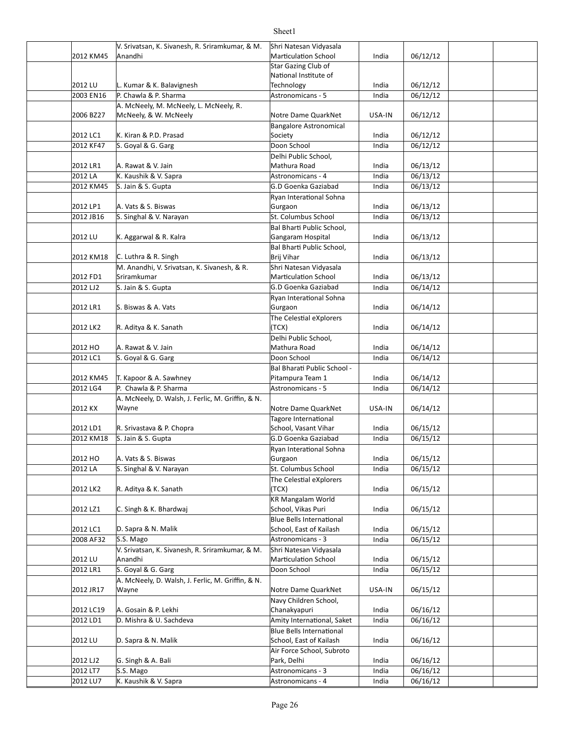### 2012 KM45 Anandhi Marticulation School India 06/12/12 2012 LU India 06/12/12 L. Kumar & K. Balavignesh 2003 EN16 P. Chawla & P. Sharma Astronomicans - 5 Astronomicans - 5 Astronomicans - 5 Astronomicans - 5 Astronomicans - 5 Astronomicans - 5 Astronomicans - 5 Astronomicans - 5 Astronomicans - 5 Astronomicans - 5 Astronomic 2006 BZ27 McNeely, & W. McNeely Notre Dame QuarkNet USA-IN 06/12/12 2012 LC1 India 06/12/12 K. Kiran & P.D. Prasad 2012 KF47 S. Goyal & G. Garg North Control Control of Louis Control of Louis Control of Louis Control of Louis 2012 LR1 India 06/13/12 A. Rawat & V. Jain 2012 LA K. Kaushik & V. Sapra Astronomicans - 4 Media 196/13/12 2012 KM45 S. Jain & S. Gupta India 06/13/12 G.D Goenka Gaziabad 2012 LP1 India 06/13/12 A. Vats & S. Biswas 2012 JB16 S. Singhal & V. Narayan Same St. Columbus School and India (196/13/12) 2012 LU | K. Aggarwal & R. Kalra Gangaram Hospital | India | 06/13/12 2012 KM18 India 06/13/12 C. Luthra & R. Singh 2012 FD1 Sriramkumar Marticulation School India 06/13/12 2012 LJ2 S. Jain & S. Gupta India India India India India India India India India 2012 LR1 S. Biswas & A. Vats National Commence of Surgaon Commence of the Unit of the O6/14/12 2012 LK2 India 06/14/12 R. Aditya & K. Sanath 2012 HO India 06/14/12 A. Rawat & V. Jain 2012 LC1 S. Goyal & G. Garg North Controll Doon School North Control of the Unit of the O6/14/12 2012 KM45 T. Kapoor & A. Sawhney Pitampura Team 1 India 06/14/12 2012 LG4 P. Chawla & P. Sharma Astronomicans - 5 and a complete that the Unit of the Music Point Point Astronomicans - 5 and 106/14/12 2012 KX Wayne Notre Dame QuarkNet USA-IN 06/14/12 2012 LD1 R. Srivastava & P. Chopra School, Vasant Vihar India 06/15/12 2012 KM18 S. Jain & S. Gupta India 06/15/12 G.D Goenka Gaziabad 2012 HO India 06/15/12 A. Vats & S. Biswas 2012 LA Singhal & V. Narayan St. Columbus School | India | 06/15/12 2012 LK2 India 06/15/12 R. Aditya & K. Sanath 2012 LZ1 India 06/15/12 C. Singh & K. Bhardwaj 2012 LC1 D. Sapra & N. Malik School, East of Kailash India 06/15/12 2008 AF32 S.S. Mago Astronomicans - 3 and a lot of 15/12 2012 LU Anandhi Marticulation School India 06/15/12 2012 LR1 S. Goyal & G. Garg North Corp. 2007 School North Corp. 11 | 11dia | 06/15/12 2012 JR17 Wayne **Wayne Example 2012 JR17 Wayne** Motre Dame QuarkNet USA-IN 06/15/12 2012 LC19 India 06/16/12 A. Gosain & P. Lekhi 2012 LD1 D. Mishra & U. Sachdeva Amity International, Saket | India | 06/16/12 2012 LU D. Sapra & N. Malik School, East of Kailash India 06/16/12 2012 LJ2 G. Singh & A. Bali India 06/16/12 2012 LT7 S.S. Mago **Astronomicans** - 3 | India | 06/16/12 2012 LU7 K. Kaushik & V. Sapra Astronomicans - 4 Astronomicans - 4 Astronomicans - 4 Astronomicans - 4 Astronomicans - 4 Astronomicans - 4 Astronomicans - 4 Astronomicans - 4 Astronomicans - 4 Astronomicans - 4 Astronomica V. Srivatsan, K. Sivanesh, R. Sriramkumar, & M. Anandhi Shri Natesan Vidyasala **Star Gazing Club of** National Institute of **Technology** A. McNeely, M. McNeely, L. McNeely, R. Bangalore Astronomical Society Delhi Public School, Mathura Road Ryan Interational Sohna Gurgaon Bal Bharti Public School, Gangaram Hospital Bal Bharti Public School, Brij Vihar M. Anandhi, V. Srivatsan, K. Sivanesh, & R. Sriramkumar Shri Natesan Vidyasala Ryan Interational Sohna Gurgaon The Celestial eXplorers (TCX) Delhi Public School, Mathura Road Bal Bharati Public School -Pitampura Team 1 A. McNeely, D. Walsh, J. Ferlic, M. Griffin, & N. Wayne Tagore International School, Vasant Vihar Ryan Interational Sohna Gurgaon The Celestial eXplorers (TCX) KR Mangalam World School, Vikas Puri D. Sapra & N. Malik **Blue Bells International** V. Srivatsan, K. Sivanesh, R. Sriramkumar, & M. Anandhi Shri Natesan Vidyasala A. McNeely, D. Walsh, J. Ferlic, M. Griffin, & N. Wayne Navy Children School, Chanakyapuri D. Sapra & N. Malik **Blue Bells International** Air Force School, Subroto Park, Delhi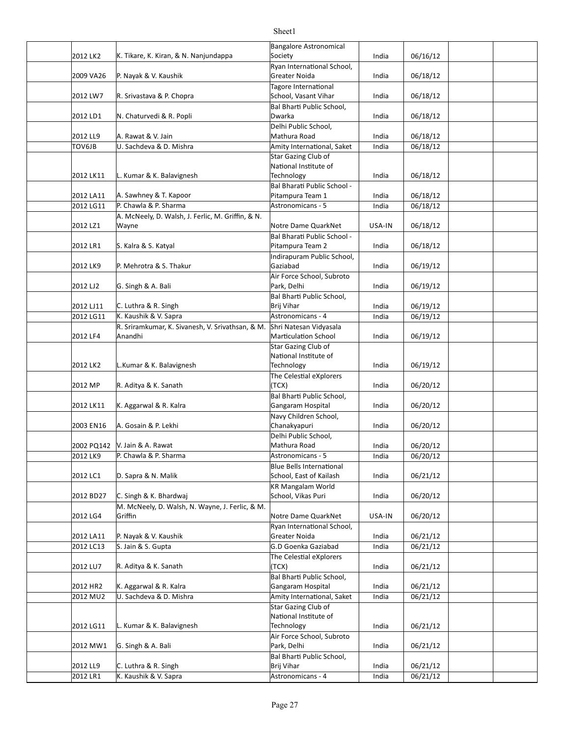| 2012 LK2               | K. Tikare, K. Kiran, & N. Nanjundappa             | <b>Bangalore Astronomical</b>                       |                |                      |  |
|------------------------|---------------------------------------------------|-----------------------------------------------------|----------------|----------------------|--|
|                        |                                                   | Society<br>Ryan International School,               | India          | 06/16/12             |  |
| 2009 VA26              | P. Nayak & V. Kaushik                             | Greater Noida                                       | India          | 06/18/12             |  |
|                        |                                                   | Tagore International                                |                |                      |  |
| 2012 LW7               | R. Srivastava & P. Chopra                         | School, Vasant Vihar<br>Bal Bharti Public School,   | India          | 06/18/12             |  |
| 2012 LD1               | N. Chaturvedi & R. Popli                          | Dwarka                                              | India          | 06/18/12             |  |
|                        |                                                   | Delhi Public School,                                |                |                      |  |
| 2012 LL9               | A. Rawat & V. Jain                                | Mathura Road                                        | India          | 06/18/12             |  |
| TOV6JB                 | U. Sachdeva & D. Mishra                           | Amity International, Saket<br>Star Gazing Club of   | India          | 06/18/12             |  |
|                        |                                                   | National Institute of                               |                |                      |  |
| 2012 LK11              | L. Kumar & K. Balavignesh                         | Technology                                          | India          | 06/18/12             |  |
|                        |                                                   | Bal Bharati Public School -                         |                |                      |  |
| 2012 LA11              | A. Sawhney & T. Kapoor                            | Pitampura Team 1                                    | India          | 06/18/12             |  |
| 2012 LG11              | P. Chawla & P. Sharma                             | Astronomicans - 5                                   | India          | 06/18/12             |  |
|                        | A. McNeely, D. Walsh, J. Ferlic, M. Griffin, & N. |                                                     |                |                      |  |
| 2012 LZ1               | Wayne                                             | Notre Dame QuarkNet<br>Bal Bharati Public School -  | USA-IN         | 06/18/12             |  |
| 2012 LR1               | S. Kalra & S. Katyal                              | Pitampura Team 2                                    | India          | 06/18/12             |  |
|                        |                                                   | Indirapuram Public School,                          |                |                      |  |
| 2012 LK9               | P. Mehrotra & S. Thakur                           | Gaziabad                                            | India          | 06/19/12             |  |
|                        |                                                   | Air Force School, Subroto                           |                |                      |  |
| 2012 LJ2               | G. Singh & A. Bali                                | Park, Delhi                                         | India          | 06/19/12             |  |
|                        |                                                   | Bal Bharti Public School,                           |                |                      |  |
| 2012 LJ11<br>2012 LG11 | C. Luthra & R. Singh<br>K. Kaushik & V. Sapra     | Brij Vihar<br>Astronomicans - 4                     | India<br>India | 06/19/12<br>06/19/12 |  |
|                        | R. Sriramkumar, K. Sivanesh, V. Srivathsan, & M.  | Shri Natesan Vidyasala                              |                |                      |  |
| 2012 LF4               | Anandhi                                           | Marticulation School                                | India          | 06/19/12             |  |
|                        |                                                   | Star Gazing Club of                                 |                |                      |  |
|                        |                                                   | National Institute of                               |                |                      |  |
| 2012 LK2               | L.Kumar & K. Balavignesh                          | Technology                                          | India          | 06/19/12             |  |
| 2012 MP                | R. Aditya & K. Sanath                             | The Celestial eXplorers<br>(TCX)                    | India          | 06/20/12             |  |
|                        |                                                   | Bal Bharti Public School,                           |                |                      |  |
| 2012 LK11              | K. Aggarwal & R. Kalra                            | Gangaram Hospital                                   | India          | 06/20/12             |  |
| 2003 EN16              | A. Gosain & P. Lekhi                              | Navy Children School,<br>Chanakyapuri               | India          | 06/20/12             |  |
|                        |                                                   | Delhi Public School,                                |                |                      |  |
|                        | 2002 PQ142   V. Jain & A. Rawat                   | Mathura Road                                        | India          | 06/20/12             |  |
| 2012 LK9               | P. Chawla & P. Sharma                             | Astronomicans - 5                                   | India          | 06/20/12             |  |
| 2012 LC1               | D. Sapra & N. Malik                               | Blue Bells International<br>School, East of Kailash | India          | 06/21/12             |  |
|                        |                                                   | <b>KR Mangalam World</b>                            |                |                      |  |
| 2012 BD27              | C. Singh & K. Bhardwaj                            | School, Vikas Puri                                  | India          | 06/20/12             |  |
|                        | M. McNeely, D. Walsh, N. Wayne, J. Ferlic, & M.   |                                                     |                |                      |  |
| 2012 LG4               | Griffin                                           | Notre Dame QuarkNet                                 | USA-IN         | 06/20/12             |  |
|                        |                                                   | Ryan International School,                          |                |                      |  |
| 2012 LA11              | P. Nayak & V. Kaushik                             | Greater Noida                                       | India          | 06/21/12             |  |
| 2012 LC13              | S. Jain & S. Gupta                                | G.D Goenka Gaziabad                                 | India          | 06/21/12             |  |
| 2012 LU7               | R. Aditya & K. Sanath                             | The Celestial eXplorers<br>(TCX)                    | India          | 06/21/12             |  |
|                        |                                                   | Bal Bharti Public School,                           |                |                      |  |
| 2012 HR2               | K. Aggarwal & R. Kalra                            | Gangaram Hospital                                   | India          | 06/21/12             |  |
| 2012 MU2               | U. Sachdeva & D. Mishra                           | Amity International, Saket                          | India          | 06/21/12             |  |
|                        |                                                   | Star Gazing Club of                                 |                |                      |  |
|                        |                                                   | National Institute of                               |                |                      |  |
| 2012 LG11              | L. Kumar & K. Balavignesh                         | Technology                                          | India          | 06/21/12             |  |
| 2012 MW1               | G. Singh & A. Bali                                | Air Force School, Subroto<br>Park, Delhi            | India          | 06/21/12             |  |
|                        |                                                   | Bal Bharti Public School,                           |                |                      |  |
| 2012 LL9               | C. Luthra & R. Singh                              | Brij Vihar                                          | India          | 06/21/12             |  |
| 2012 LR1               | K. Kaushik & V. Sapra                             | Astronomicans - 4                                   | India          | 06/21/12             |  |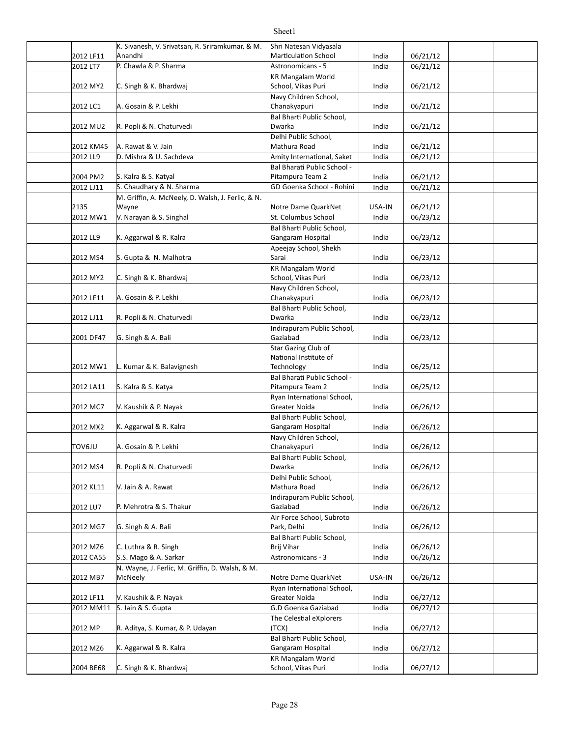|                       | K. Sivanesh, V. Srivatsan, R. Sriramkumar, & M.   | Shri Natesan Vidyasala                                    |        |          |  |
|-----------------------|---------------------------------------------------|-----------------------------------------------------------|--------|----------|--|
| 2012 LF11             | Anandhi                                           | <b>Marticulation School</b>                               | India  | 06/21/12 |  |
| 2012 LT7              | P. Chawla & P. Sharma                             | Astronomicans - 5                                         | India  | 06/21/12 |  |
|                       |                                                   | <b>KR Mangalam World</b>                                  |        |          |  |
| 2012 MY2              | C. Singh & K. Bhardwaj                            | School, Vikas Puri                                        | India  | 06/21/12 |  |
|                       |                                                   | Navy Children School,                                     |        |          |  |
| 2012 LC1              | A. Gosain & P. Lekhi                              | Chanakyapuri                                              | India  | 06/21/12 |  |
|                       |                                                   | Bal Bharti Public School,                                 |        |          |  |
| 2012 MU2              | R. Popli & N. Chaturvedi                          | Dwarka                                                    | India  | 06/21/12 |  |
|                       | A. Rawat & V. Jain                                | Delhi Public School,<br>Mathura Road                      | India  |          |  |
| 2012 KM45<br>2012 LL9 | D. Mishra & U. Sachdeva                           |                                                           | India  | 06/21/12 |  |
|                       |                                                   | Amity International, Saket<br>Bal Bharati Public School - |        | 06/21/12 |  |
| 2004 PM2              | S. Kalra & S. Katyal                              | Pitampura Team 2                                          | India  | 06/21/12 |  |
| 2012 LJ11             | S. Chaudhary & N. Sharma                          | GD Goenka School - Rohini                                 | India  | 06/21/12 |  |
|                       | M. Griffin, A. McNeely, D. Walsh, J. Ferlic, & N. |                                                           |        |          |  |
| 2135                  | Wayne                                             | Notre Dame QuarkNet                                       | USA-IN | 06/21/12 |  |
| 2012 MW1              | V. Narayan & S. Singhal                           | St. Columbus School                                       | India  | 06/23/12 |  |
|                       |                                                   | Bal Bharti Public School,                                 |        |          |  |
| 2012 LL9              | K. Aggarwal & R. Kalra                            | Gangaram Hospital                                         | India  | 06/23/12 |  |
|                       |                                                   | Apeejay School, Shekh                                     |        |          |  |
| 2012 MS4              | S. Gupta & N. Malhotra                            | Sarai                                                     | India  | 06/23/12 |  |
|                       |                                                   | <b>KR Mangalam World</b>                                  |        |          |  |
| 2012 MY2              | C. Singh & K. Bhardwaj                            | School, Vikas Puri                                        | India  | 06/23/12 |  |
|                       |                                                   | Navy Children School,                                     |        |          |  |
| 2012 LF11             | A. Gosain & P. Lekhi                              | Chanakyapuri                                              | India  | 06/23/12 |  |
|                       |                                                   | Bal Bharti Public School,                                 |        |          |  |
| 2012 LJ11             | R. Popli & N. Chaturvedi                          | Dwarka                                                    | India  | 06/23/12 |  |
|                       |                                                   | Indirapuram Public School,                                |        |          |  |
| 2001 DF47             | G. Singh & A. Bali                                | Gaziabad                                                  | India  | 06/23/12 |  |
|                       |                                                   | Star Gazing Club of                                       |        |          |  |
| 2012 MW1              | L. Kumar & K. Balavignesh                         | National Institute of<br>Technology                       | India  | 06/25/12 |  |
|                       |                                                   | Bal Bharati Public School -                               |        |          |  |
| 2012 LA11             | S. Kalra & S. Katya                               | Pitampura Team 2                                          | India  | 06/25/12 |  |
|                       |                                                   | Ryan International School,                                |        |          |  |
| 2012 MC7              | V. Kaushik & P. Nayak                             | Greater Noida                                             | India  | 06/26/12 |  |
|                       |                                                   | Bal Bharti Public School,                                 |        |          |  |
| 2012 MX2              | K. Aggarwal & R. Kalra                            | Gangaram Hospital                                         | India  | 06/26/12 |  |
|                       |                                                   | Navy Children School,                                     |        |          |  |
| <b>TOV6JU</b>         | A. Gosain & P. Lekhi                              | Chanakyapuri                                              | India  | 06/26/12 |  |
|                       |                                                   | Bal Bharti Public School,                                 |        |          |  |
| 2012 MS4              | R. Popli & N. Chaturvedi                          | Dwarka                                                    | India  | 06/26/12 |  |
|                       |                                                   | Delhi Public School,                                      |        |          |  |
| 2012 KL11             | V. Jain & A. Rawat                                | Mathura Road                                              | India  | 06/26/12 |  |
|                       |                                                   | Indirapuram Public School,                                |        |          |  |
| 2012 LU7              | P. Mehrotra & S. Thakur                           | Gaziabad                                                  | India  | 06/26/12 |  |
|                       |                                                   | Air Force School, Subroto                                 |        |          |  |
| 2012 MG7              | G. Singh & A. Bali                                | Park, Delhi<br>Bal Bharti Public School,                  | India  | 06/26/12 |  |
| 2012 MZ6              | C. Luthra & R. Singh                              | Brij Vihar                                                | India  | 06/26/12 |  |
| 2012 CA55             | S.S. Mago & A. Sarkar                             | Astronomicans - 3                                         | India  | 06/26/12 |  |
|                       | N. Wayne, J. Ferlic, M. Griffin, D. Walsh, & M.   |                                                           |        |          |  |
| 2012 MB7              | McNeely                                           | Notre Dame QuarkNet                                       | USA-IN | 06/26/12 |  |
|                       |                                                   | Ryan International School,                                |        |          |  |
| 2012 LF11             | V. Kaushik & P. Nayak                             | Greater Noida                                             | India  | 06/27/12 |  |
| 2012 MM11             | S. Jain & S. Gupta                                | G.D Goenka Gaziabad                                       | India  | 06/27/12 |  |
|                       |                                                   | The Celestial eXplorers                                   |        |          |  |
| 2012 MP               | R. Aditya, S. Kumar, & P. Udayan                  | (TCX)                                                     | India  | 06/27/12 |  |
|                       |                                                   | Bal Bharti Public School,                                 |        |          |  |
| 2012 MZ6              | K. Aggarwal & R. Kalra                            | Gangaram Hospital                                         | India  | 06/27/12 |  |
|                       |                                                   | <b>KR Mangalam World</b>                                  |        |          |  |
| 2004 BE68             | C. Singh & K. Bhardwaj                            | School, Vikas Puri                                        | India  | 06/27/12 |  |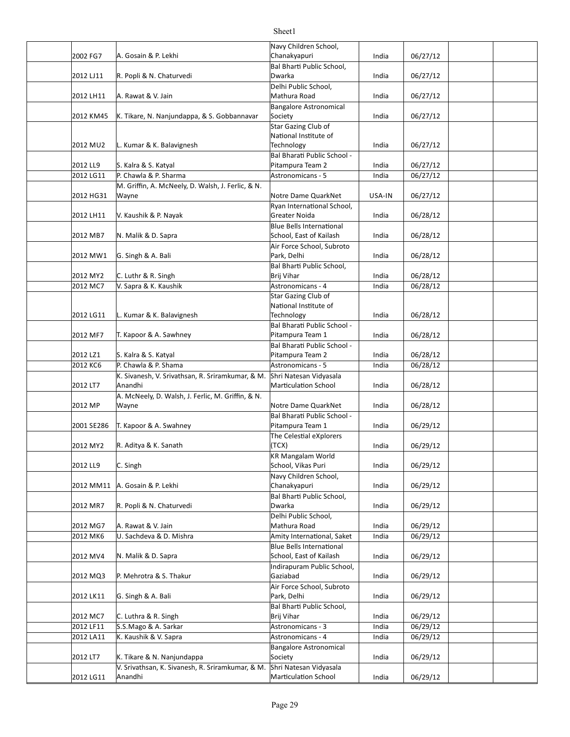### 2002 FG7 India 06/27/12 A. Gosain & P. Lekhi 2012 LJ11 India 06/27/12 R. Popli & N. Chaturvedi 2012 LH11 | A. Rawat & V. Jain | Nathura Road | Communisty | Mathura Road | Communisty | Of | Of | 27 | 12 2012 KM45 K. Tikare, N. Nanjundappa, & S. Gobbannavar Society and the state of the late of the of the of the o 2012 MU2 L. Kumar & K. Balavignesh Technology India 06/27/12 2012 LL9 India 06/27/12 S. Kalra & S. Katyal 2012 LG11 P. Chawla & P. Sharma Astronomicans - 5 Astronomicans - 5 Astronomicans - 5 Astronomicans - 5 Astronomicans - 5 Astronomicans - 5 Astronomicans - 5 Astronomicans - 5 Astronomicans - 5 Astronomicans - 5 Astronomic 2012 HG31 Wayne **Notice 1 Accord Accord Plane** Notre Dame QuarkNet | USA-IN | 06/27/12 2012 LH11 India 06/28/12 V. Kaushik & P. Nayak 2012 MB7 N. Malik & D. Sapra School, East of Kailash India 06/28/12 2012 MW1 | G. Singh & A. Bali **India** | Dark, Delhi **India** | 06/28/12 2012 MY2 C. Luthr & R. Singh the control of the set of the set of the set of the control of the control of the c 2012 MC7 India 06/28/12 V. Sapra & K. Kaushik Astronomicans - 4 2012 LG11 |L. Kumar & K. Balavignesh Technology India 06/28/12 2012 MF7 India 06/28/12 T. Kapoor & A. Sawhney 2012 LZ1 India 06/28/12 S. Kalra & S. Katyal 2012 KC6 P. Chawla & P. Shama Astronomicans - 5 Astronomicans - 5 Astronomicans - 5 Astronomicans - 5 Astronomicans - 5 Astronomicans - 5 Astronomicans - 5 Astronomicans - 5 Astronomicans - 5 Astronomicans - 5 Astronomican 2012 LT7 Anandhi Marticulation School India 06/28/12 2012 MP Wayne **Wayne COME ACCOMPONE ACCOMPONE IN** Notre Dame QuarkNet | India | 06/28/12 2001 SE286 T. Kapoor & A. Swahney Pitampura Team 1 India 06/29/12 2012 MY2 India 06/29/12 R. Aditya & K. Sanath 2012 LL9 C. Singh India 06/29/12 School, Vikas Puri 2012 MM11 India 06/29/12 A. Gosain & P. Lekhi 2012 MR7 India 06/29/12 R. Popli & N. Chaturvedi 2012 MG7 A. Rawat & V. Jain Mathura Road India 06/29/12 2012 MK6 U. Sachdeva & D. Mishra Amity International, Saket India 06/29/12 2012 MV4 N. Malik & D. Sapra New York School, East of Kailash | India | 06/29/12 2012 MQ3 India 06/29/12 P. Mehrotra & S. Thakur 2012 LK11 G. Singh & A. Bali **India 1988** Park, Delhi **India 196/29/12** 2012 MC7 C. Luthra & R. Singh Carries and Communism of the Unit of the Unit of the Unit of the Unit of the Unit 2012 LF11 India 06/29/12 S.S.Mago & A. Sarkar Astronomicans - 3 2012 LA11 K. Kaushik & V. Sapra Astronomicans - 4 Astronomicans - 4 Astronomicans - 4 Astronomicans - 4 Astronomicans - 4 Astronomicans - 4 Astronomicans - 4 Astronomicans - 4 Astronomicans - 4 Astronomicans - 4 Astronomic 2012 LT7 | K. Tikare & N. Nanjundappa Society India | 06/29/12 2012 LG11 India 06/29/12 Mar]cula]on SchoolNavy Children School, Chanakyapuri **Bal Bharti Public School,** Dwarka Delhi Public School, Mathura Road Bangalore Astronomical Society **Star Gazing Club of** National Institute of **Technology** Bal Bharati Public School -Pitampura Team 2 M. Griffin, A. McNeely, D. Walsh, J. Ferlic, & N. Wayne Ryan International School, Greater Noida N. Malik & D. Sapra **Blue Bells International** Air Force School, Subroto Park, Delhi **Bal Bharti Public School,** Brij Vihar Star Gazing Club of National Institute of **Technology** Bal Bharati Public School -Pitampura Team 1 Bal Bharati Public School -Pitampura Team 2 K. Sivanesh, V. Srivathsan, R. Sriramkumar, & M. Anandhi Shri Natesan Vidyasala A. McNeely, D. Walsh, J. Ferlic, M. Griffin, & N. Wayne Bal Bharati Public School -Pitampura Team 1 The Celestial eXplorers (TCX) KR Mangalam World Navy Children School, Chanakyapuri Bal Bharti Public School, Dwarka Delhi Public School, Mathura Road **Blue Bells International** School, East of Kailash Indirapuram Public School, Gaziabad Air Force School, Subroto Park, Delhi Bal Bharti Public School, Brij Vihar Bangalore Astronomical Society V. Srivathsan, K. Sivanesh, R. Sriramkumar, & M. Anandhi Shri Natesan Vidyasala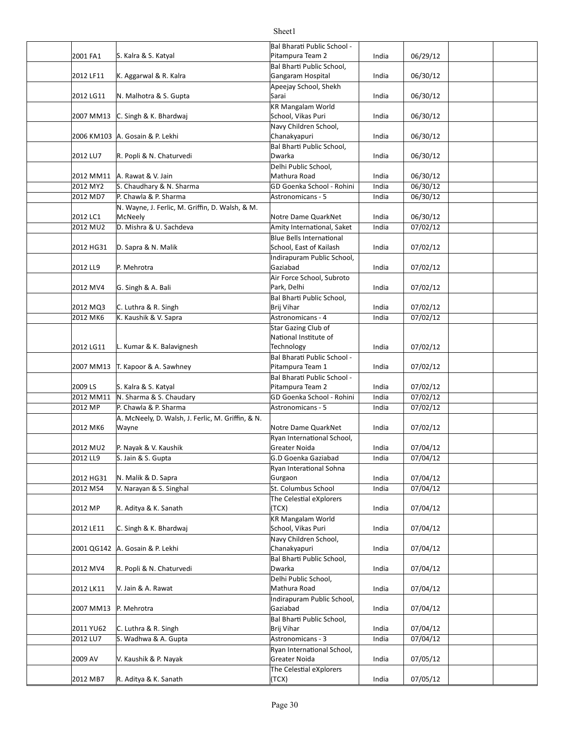### 2001 FA1 India 06/29/12 S. Kalra & S. Katyal 2012 LF11 K. Aggarwal & R. Kalra Names Cangaram Hospital North Conditional Article 1 and 106/30/12 2012 LG11 N. Malhotra & S. Gupta Sarai India | 06/30/12 2007 MM13 India 06/30/12 C. Singh & K. Bhardwaj 2006 KM103 India 06/30/12 A. Gosain & P. Lekhi 2012 LU7 India 06/30/12 R. Popli & N. Chaturvedi 2012 MM11 |A. Rawat & V. Jain Mathura Road India 06/30/12 2012 MY2 S. Chaudhary & N. Sharma Games GD Goenka School - Rohini | India | 06/30/12 2012 MD7 P. Chawla & P. Sharma Astronomicans - 5 Astronomicans - 5 Astronomicans - 5 Astronomicans - 5 Astronomicans - 5 Astronomicans - 5 Astronomicans - 5 Astronomicans - 5 Astronomicans - 5 Astronomicans - 5 Astronomica 2012 LC1 McNeely **COMEN COMENT WAS CONSUMED** Motre Dame QuarkNet India 06/30/12 2012 MU2 D. Mishra & U. Sachdeva Amity International, Saket | India 07/02/12 2012 HG31 D. Sapra & N. Malik School, East of Kailash India 07/02/12 2012 LL9 India 07/02/12 2012 MV4 G. Singh & A. Bali **India** 2012 MV4 G. Singh & A. Bali **India** 1 07/02/12 2012 MQ3 C. Luthra & R. Singh Carries and Communism of Brij Vihar Communism india (197/02/12 2012 MK6 India 07/02/12 K. Kaushik & V. Sapra Astronomicans - 4 2012 LG11 |L. Kumar & K. Balavignesh Technology India | 07/02/12 2007 MM13 India 07/02/12 T. Kapoor & A. Sawhney 2009 LS S. Kalra & S. Katyal Servetted and Letter and Pitampura Team 2 and india (197/02/12 2012 MM11 N. Sharma & S. Chaudary Games (GD Goenka School - Rohini | India | 07/02/12 2012 MP DP. Chawla & P. Sharma Astronomicans - 5 Astronomicans - 5 Astronomicans - 5 Astronomicans - 5 Astronomicans - 5 Astronomicans - 5 Astronomicans - 5 Astronomicans - 5 Astronomicans - 5 Astronomicans - 5 Astronomica 2012 MK6 Wayne **Note Dame QuarkNet** India 07/02/12 2012 MU2 P. Nayak & V. Kaushik Greater Noida India 07/04/12 2012 LL9 S. Jain & S. Gupta India 07/04/12 G.D Goenka Gaziabad 2012 HG31 N. Malik & D. Sapra 1988 (Surgaon 1988) States 1, 19704/12 2012 MS4 St. Columbus School India 07/04/12 V. Narayan & S. Singhal 2012 MP India 07/04/12 R. Aditya & K. Sanath 2012 LE11 India 07/04/12 C. Singh & K. Bhardwaj 2001 QG142 India 07/04/12 A. Gosain & P. Lekhi 2012 MV4 India 07/04/12 R. Popli & N. Chaturvedi 2012 LK11 | V. Jain & A. Rawat 1 1 | 102 | 102 | 103 | 104 | 104 | 107/04/12 2007 MM13 India 07/04/12 2011 YU62 C. Luthra & R. Singh Brij Vihar India | 07/04/12 2012 LU7 S. Wadhwa & A. Gupta Astronomicans - 3 Astronomicans - 3 Astronomicans - 3 Astronomicans - 3 Astronomicans - 3 Astronomicans - 3 Astronomicans - 3 Astronomicans - 3 Astronomicans - 3 Astronomicans - 3 Astronomican 2009 AV India 07/05/12 V. Kaushik & P. Nayak 2012 MB7 India 07/05/12 R. Aditya & K. Sanath Bal Bharati Public School -Pitampura Team 2 **Bal Bharti Public School,** Gangaram Hospital Apeejay School, Shekh Sarai KR Mangalam World School, Vikas Puri Navy Children School, Chanakyapuri Bal Bharti Public School, Dwarka Delhi Public School, Mathura Road N. Wayne, J. Ferlic, M. Griffin, D. Walsh, & M. McNeely D. Sapra & N. Malik Blue Bells International P. Mehrotra Indirapuram Public School, Gaziabad Air Force School, Subroto Park, Delhi Bal Bharti Public School, Brij Vihar Star Gazing Club of National Institute of **Technology** Bal Bharati Public School -Pitampura Team 1 Bal Bharati Public School -Pitampura Team 2 A. McNeely, D. Walsh, J. Ferlic, M. Griffin, & N. Wayne Ryan International School. Greater Noida Ryan Interational Sohna Gurgaon The Celestial eXplorers (TCX) KR Mangalam World School, Vikas Puri Navy Children School, Chanakyapuri Bal Bharti Public School, Dwarka Delhi Public School, Mathura Road P. Mehrotra Indirapuram Public School, Gaziabad Bal Bharti Public School, Brij Vihar **Ryan International School,** Greater Noida The Celestial eXplorers (TCX)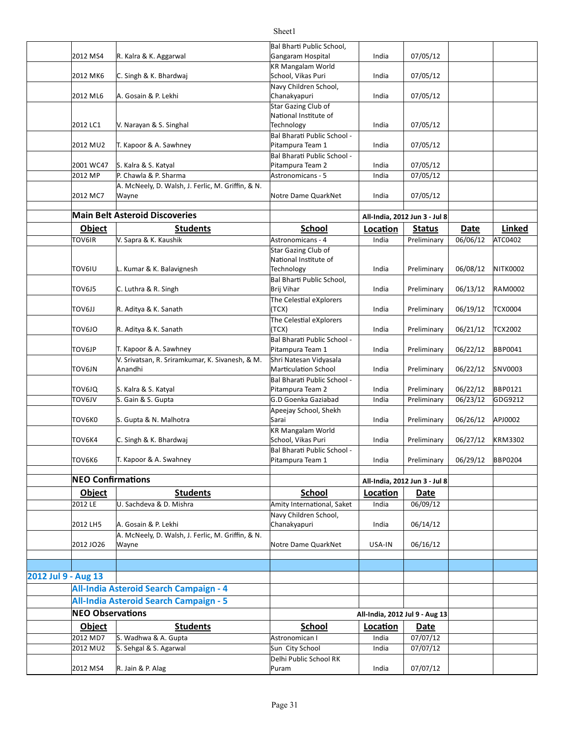|                     |                          |                                                   | Bal Bharti Public School,                       |                   |                               |                  |                          |
|---------------------|--------------------------|---------------------------------------------------|-------------------------------------------------|-------------------|-------------------------------|------------------|--------------------------|
|                     | 2012 MS4                 | R. Kalra & K. Aggarwal                            | Gangaram Hospital                               | India             | 07/05/12                      |                  |                          |
|                     |                          |                                                   | KR Mangalam World                               |                   |                               |                  |                          |
|                     | 2012 MK6                 | C. Singh & K. Bhardwaj                            | School, Vikas Puri                              | India             | 07/05/12                      |                  |                          |
|                     | 2012 ML6                 | A. Gosain & P. Lekhi                              | Navy Children School,<br>Chanakyapuri           | India             | 07/05/12                      |                  |                          |
|                     |                          |                                                   | Star Gazing Club of                             |                   |                               |                  |                          |
|                     |                          |                                                   | National Institute of                           |                   |                               |                  |                          |
|                     | 2012 LC1                 | V. Narayan & S. Singhal                           | Technology                                      | India             | 07/05/12                      |                  |                          |
|                     |                          |                                                   | Bal Bharati Public School -                     |                   |                               |                  |                          |
|                     | 2012 MU2                 | T. Kapoor & A. Sawhney                            | Pitampura Team 1                                | India             | 07/05/12                      |                  |                          |
|                     |                          |                                                   | Bal Bharati Public School -                     |                   |                               |                  |                          |
|                     | 2001 WC47                | S. Kalra & S. Katyal                              | Pitampura Team 2                                | India             | 07/05/12                      |                  |                          |
|                     | 2012 MP                  | P. Chawla & P. Sharma                             | Astronomicans - 5                               | India             | 07/05/12                      |                  |                          |
|                     |                          | A. McNeely, D. Walsh, J. Ferlic, M. Griffin, & N. |                                                 |                   |                               |                  |                          |
|                     | 2012 MC7                 | Wayne                                             | Notre Dame QuarkNet                             | India             | 07/05/12                      |                  |                          |
|                     |                          | <b>Main Belt Asteroid Discoveries</b>             |                                                 |                   | All-India, 2012 Jun 3 - Jul 8 |                  |                          |
|                     | Object                   | <b>Students</b>                                   | <b>School</b>                                   |                   |                               | <b>Date</b>      |                          |
|                     | TOV6IR                   | V. Sapra & K. Kaushik                             | Astronomicans - 4                               | Location<br>India | <b>Status</b>                 | 06/06/12         | Linked<br><b>ATC0402</b> |
|                     |                          |                                                   | Star Gazing Club of                             |                   | Preliminary                   |                  |                          |
|                     |                          |                                                   | National Institute of                           |                   |                               |                  |                          |
|                     | TOV6IU                   | L. Kumar & K. Balavignesh                         | Technology                                      | India             | Preliminary                   | 06/08/12         | <b>NITK0002</b>          |
|                     |                          |                                                   | Bal Bharti Public School,                       |                   |                               |                  |                          |
|                     | TOV6J5                   | C. Luthra & R. Singh                              | Brij Vihar                                      | India             | Preliminary                   | 06/13/12         | <b>RAM0002</b>           |
|                     |                          |                                                   | The Celestial eXplorers                         |                   |                               |                  |                          |
|                     | LLOV6JJ                  | R. Aditya & K. Sanath                             | (TCX)                                           | India             | Preliminary                   | 06/19/12         | <b>TCX0004</b>           |
|                     |                          |                                                   | The Celestial eXplorers                         |                   |                               |                  |                          |
|                     | OLOVOT                   | R. Aditya & K. Sanath                             | (TCX)                                           | India             | Preliminary                   | 06/21/12         | <b>TCX2002</b>           |
|                     | TOV6JP                   | T. Kapoor & A. Sawhney                            | Bal Bharati Public School -<br>Pitampura Team 1 | India             | Preliminary                   | 06/22/12         | <b>BBP0041</b>           |
|                     |                          | V. Srivatsan, R. Sriramkumar, K. Sivanesh, & M.   | Shri Natesan Vidyasala                          |                   |                               |                  |                          |
|                     | TOV6JN                   | Anandhi                                           | <b>Marticulation School</b>                     | India             | Preliminary                   | 06/22/12         | SNV0003                  |
|                     |                          |                                                   | Bal Bharati Public School -                     |                   |                               |                  |                          |
|                     | ΤΟν6JQ                   | S. Kalra & S. Katyal                              | Pitampura Team 2                                | India             | Preliminary                   | 06/22/12         | <b>BBP0121</b>           |
|                     | VLOVOT                   | S. Gain & S. Gupta                                | G.D Goenka Gaziabad                             | India             | Preliminary                   | 06/23/12         | GDG9212                  |
|                     |                          |                                                   | Apeejay School, Shekh                           |                   |                               |                  |                          |
|                     | TOV6K0                   | S. Gupta & N. Malhotra                            | Sarai                                           | India             | Preliminary                   | 06/26/12         | APJ0002                  |
|                     |                          |                                                   | KR Mangalam World                               |                   |                               |                  |                          |
|                     | TOV6K4                   | C. Singh & K. Bhardwaj                            | School, Vikas Puri                              | India             | Preliminary                   | 06/27/12         | <b>KRM3302</b>           |
|                     | TOV6K6                   | T. Kapoor & A. Swahney                            | Bal Bharati Public School -<br>Pitampura Team 1 | India             | Preliminary                   | 06/29/12 BBP0204 |                          |
|                     |                          |                                                   |                                                 |                   |                               |                  |                          |
|                     | <b>NEO Confirmations</b> |                                                   |                                                 |                   | All-India, 2012 Jun 3 - Jul 8 |                  |                          |
|                     | Object                   | <b>Students</b>                                   | <b>School</b>                                   | Location          | Date                          |                  |                          |
|                     | 2012 LE                  | U. Sachdeva & D. Mishra                           | Amity International, Saket                      | India             | 06/09/12                      |                  |                          |
|                     |                          |                                                   | Navy Children School,                           |                   |                               |                  |                          |
|                     | 2012 LH5                 | A. Gosain & P. Lekhi                              | Chanakyapuri                                    | India             | 06/14/12                      |                  |                          |
|                     |                          | A. McNeely, D. Walsh, J. Ferlic, M. Griffin, & N. |                                                 |                   |                               |                  |                          |
|                     | 2012 JO26                | Wayne                                             | Notre Dame QuarkNet                             | USA-IN            | 06/16/12                      |                  |                          |
|                     |                          |                                                   |                                                 |                   |                               |                  |                          |
|                     |                          |                                                   |                                                 |                   |                               |                  |                          |
| 2012 Jul 9 - Aug 13 |                          |                                                   |                                                 |                   |                               |                  |                          |
|                     |                          | All-India Asteroid Search Campaign - 4            |                                                 |                   |                               |                  |                          |
|                     |                          | <b>All-India Asteroid Search Campaign - 5</b>     |                                                 |                   |                               |                  |                          |

Puram

Delhi Public School RK

**NEO Observations All-India, 2012 Jul 9 - Aug 13 Object Students Students School Location Date** 2012 MD7 S. Wadhwa & A. Gupta Astronomican I Astronomican I Astronomican I Astronomican I Astronomican I Astronomican I 2012 MU2  $\left|$  S. Sehgal & S. Agarwal  $\left| \right|$  Sun City School  $\left| \right|$  India  $\left| \right|$  07/07/12

2012 MS4 India 07/07/12 R. Jain & P. Alag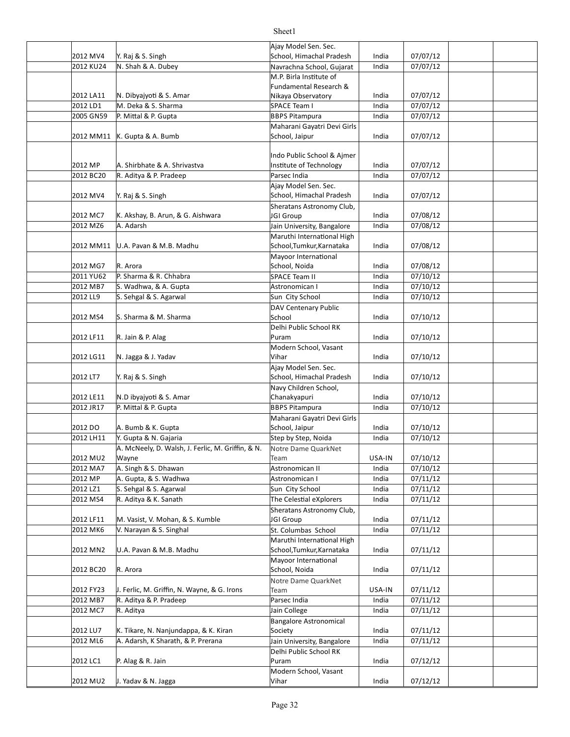|           |                                                   | Ajay Model Sen. Sec.          |        |          |  |
|-----------|---------------------------------------------------|-------------------------------|--------|----------|--|
| 2012 MV4  | Y. Raj & S. Singh                                 | School, Himachal Pradesh      | India  | 07/07/12 |  |
| 2012 KU24 | N. Shah & A. Dubey                                | Navrachna School, Gujarat     | India  | 07/07/12 |  |
|           |                                                   | M.P. Birla Institute of       |        |          |  |
|           |                                                   | Fundamental Research &        |        |          |  |
| 2012 LA11 | N. Dibyajyoti & S. Amar                           | Nikaya Observatory            | India  | 07/07/12 |  |
| 2012 LD1  | M. Deka & S. Sharma                               | SPACE Team I                  | India  | 07/07/12 |  |
| 2005 GN59 | P. Mittal & P. Gupta                              | <b>BBPS Pitampura</b>         | India  | 07/07/12 |  |
|           |                                                   | Maharani Gayatri Devi Girls   |        |          |  |
| 2012 MM11 | K. Gupta & A. Bumb                                | School, Jaipur                | India  | 07/07/12 |  |
|           |                                                   |                               |        |          |  |
|           |                                                   | Indo Public School & Aimer    |        |          |  |
| 2012 MP   | A. Shirbhate & A. Shrivastva                      | Institute of Technology       | India  | 07/07/12 |  |
| 2012 BC20 | R. Aditya & P. Pradeep                            | Parsec India                  | India  | 07/07/12 |  |
|           |                                                   | Ajay Model Sen. Sec.          |        |          |  |
| 2012 MV4  | Y. Raj & S. Singh                                 | School, Himachal Pradesh      | India  | 07/07/12 |  |
|           |                                                   | Sheratans Astronomy Club,     |        |          |  |
| 2012 MC7  | K. Akshay, B. Arun, & G. Aishwara                 | JGI Group                     | India  | 07/08/12 |  |
| 2012 MZ6  | A. Adarsh                                         | Jain University, Bangalore    | India  | 07/08/12 |  |
|           |                                                   | Maruthi International High    |        |          |  |
| 2012 MM11 | U.A. Pavan & M.B. Madhu                           | School, Tumkur, Karnataka     | India  | 07/08/12 |  |
|           |                                                   | Mayoor International          |        |          |  |
| 2012 MG7  | R. Arora                                          | School, Noida                 | India  | 07/08/12 |  |
| 2011 YU62 | P. Sharma & R. Chhabra                            | <b>SPACE Team II</b>          | India  | 07/10/12 |  |
| 2012 MB7  | S. Wadhwa, & A. Gupta                             | Astronomican I                | India  | 07/10/12 |  |
| 2012 LL9  | S. Sehgal & S. Agarwal                            | Sun City School               | India  | 07/10/12 |  |
|           |                                                   | DAV Centenary Public          |        |          |  |
| 2012 MS4  | S. Sharma & M. Sharma                             | School                        | India  | 07/10/12 |  |
|           |                                                   | Delhi Public School RK        |        |          |  |
| 2012 LF11 | R. Jain & P. Alag                                 | Puram                         | India  | 07/10/12 |  |
|           |                                                   | Modern School, Vasant         |        |          |  |
| 2012 LG11 | N. Jagga & J. Yadav                               | Vihar                         | India  | 07/10/12 |  |
|           |                                                   | Ajay Model Sen. Sec.          |        |          |  |
| 2012 LT7  | Y. Raj & S. Singh                                 | School, Himachal Pradesh      | India  | 07/10/12 |  |
|           |                                                   | Navy Children School,         |        |          |  |
| 2012 LE11 | N.D ibyajyoti & S. Amar                           | Chanakyapuri                  | India  | 07/10/12 |  |
| 2012 JR17 | P. Mittal & P. Gupta                              | <b>BBPS Pitampura</b>         | India  | 07/10/12 |  |
|           |                                                   | Maharani Gayatri Devi Girls   |        |          |  |
| 2012 DO   | A. Bumb & K. Gupta                                | School, Jaipur                | India  | 07/10/12 |  |
| 2012 LH11 | Y. Gupta & N. Gajaria                             | Step by Step, Noida           | India  | 07/10/12 |  |
|           | A. McNeely, D. Walsh, J. Ferlic, M. Griffin, & N. | Notre Dame QuarkNet           |        |          |  |
| 2012 MU2  | Wayne                                             | Team                          | USA-IN | 07/10/12 |  |
| 2012 MA7  | A. Singh & S. Dhawan                              | Astronomican II               | India  | 07/10/12 |  |
| 2012 MP   | A. Gupta, & S. Wadhwa                             | Astronomican I                | India  | 07/11/12 |  |
| 2012 LZ1  | S. Sehgal & S. Agarwal                            | Sun City School               | India  | 07/11/12 |  |
| 2012 MS4  | R. Aditya & K. Sanath                             | The Celestial eXplorers       | India  | 07/11/12 |  |
|           |                                                   | Sheratans Astronomy Club,     |        |          |  |
| 2012 LF11 | M. Vasist, V. Mohan, & S. Kumble                  | JGI Group                     | India  | 07/11/12 |  |
| 2012 MK6  | V. Narayan & S. Singhal                           | St. Columbas School           | India  | 07/11/12 |  |
|           |                                                   | Maruthi International High    |        |          |  |
| 2012 MN2  | U.A. Pavan & M.B. Madhu                           | School, Tumkur, Karnataka     | India  | 07/11/12 |  |
|           |                                                   | Mayoor International          |        |          |  |
| 2012 BC20 | R. Arora                                          | School, Noida                 | India  | 07/11/12 |  |
|           |                                                   | Notre Dame QuarkNet           |        |          |  |
| 2012 FY23 | J. Ferlic, M. Griffin, N. Wayne, & G. Irons       | Team                          | USA-IN | 07/11/12 |  |
| 2012 MB7  | R. Aditya & P. Pradeep                            | Parsec India                  | India  | 07/11/12 |  |
| 2012 MC7  | R. Aditya                                         | Jain College                  | India  | 07/11/12 |  |
|           |                                                   | <b>Bangalore Astronomical</b> |        |          |  |
| 2012 LU7  | K. Tikare, N. Nanjundappa, & K. Kiran             | Society                       | India  | 07/11/12 |  |
| 2012 ML6  | A. Adarsh, K Sharath, & P. Prerana                | Jain University, Bangalore    | India  | 07/11/12 |  |
|           |                                                   | Delhi Public School RK        |        |          |  |
| 2012 LC1  | P. Alag & R. Jain                                 | Puram                         | India  | 07/12/12 |  |
|           |                                                   | Modern School, Vasant         |        |          |  |
| 2012 MU2  | J. Yadav & N. Jagga                               | Vihar                         | India  | 07/12/12 |  |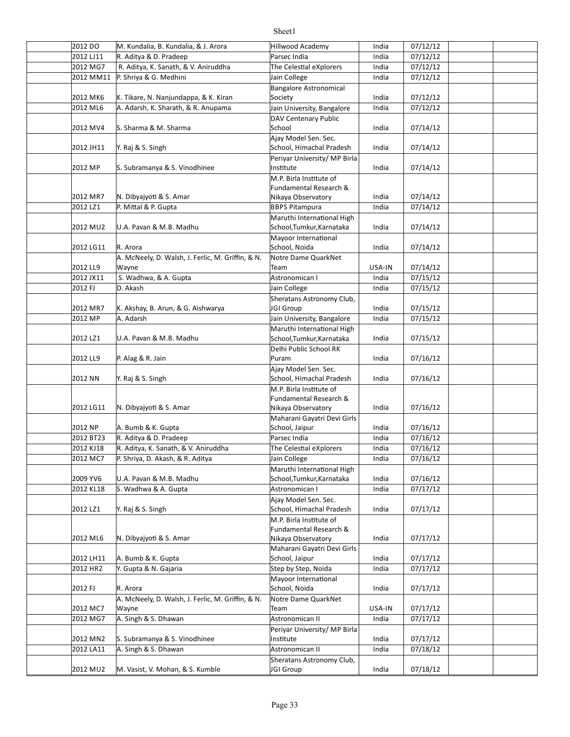| 2012 DO   | M. Kundalia, B. Kundalia, & J. Arora              | Hillwood Academy             | India  | 07/12/12 |  |
|-----------|---------------------------------------------------|------------------------------|--------|----------|--|
| 2012 LJ11 | R. Aditya & D. Pradeep                            | Parsec India                 | India  | 07/12/12 |  |
| 2012 MG7  | R. Aditya, K. Sanath, & V. Aniruddha              | The Celestial eXplorers      | India  | 07/12/12 |  |
| 2012 MM11 | P. Shriya & G. Medhini                            | Jain College                 | India  | 07/12/12 |  |
|           |                                                   | Bangalore Astronomical       |        |          |  |
| 2012 MK6  | K. Tikare, N. Nanjundappa, & K. Kiran             | Society                      | India  | 07/12/12 |  |
| 2012 ML6  | A. Adarsh, K. Sharath, & R. Anupama               | Jain University, Bangalore   | India  | 07/12/12 |  |
|           |                                                   | DAV Centenary Public         |        |          |  |
| 2012 MV4  | S. Sharma & M. Sharma                             | School                       | India  | 07/14/12 |  |
|           |                                                   | Ajay Model Sen. Sec.         |        |          |  |
| 2012 JH11 | Y. Raj & S. Singh                                 | School, Himachal Pradesh     | India  | 07/14/12 |  |
|           |                                                   | Periyar University/ MP Birla |        |          |  |
| 2012 MP   | S. Subramanya & S. Vinodhinee                     | Institute                    | India  | 07/14/12 |  |
|           |                                                   | M.P. Birla Institute of      |        |          |  |
|           |                                                   | Fundamental Research &       |        |          |  |
| 2012 MR7  | N. Dibyajyoti & S. Amar                           | Nikaya Observatory           | India  | 07/14/12 |  |
| 2012 LZ1  | P. Mittal & P. Gupta                              | <b>BBPS Pitampura</b>        | India  | 07/14/12 |  |
|           |                                                   | Maruthi International High   |        |          |  |
| 2012 MU2  | U.A. Pavan & M.B. Madhu                           | School, Tumkur, Karnataka    | India  | 07/14/12 |  |
|           |                                                   | Mayoor International         |        |          |  |
| 2012 LG11 | R. Arora                                          | School, Noida                | India  | 07/14/12 |  |
|           | A. McNeely, D. Walsh, J. Ferlic, M. Griffin, & N. | Notre Dame QuarkNet          |        |          |  |
| 2012 LL9  | Wayne                                             | Team                         | USA-IN | 07/14/12 |  |
| 2012 JX11 | S. Wadhwa, & A. Gupta                             | Astronomican I               | India  | 07/15/12 |  |
|           |                                                   |                              |        |          |  |
| 2012 FJ   | D. Akash                                          | Jain College                 | India  | 07/15/12 |  |
|           |                                                   | Sheratans Astronomy Club,    |        |          |  |
| 2012 MR7  | K. Akshay, B. Arun, & G. Aishwarya                | JGI Group                    | India  | 07/15/12 |  |
| 2012 MP   | A. Adarsh                                         | Jain University, Bangalore   | India  | 07/15/12 |  |
|           |                                                   | Maruthi International High   |        |          |  |
| 2012 LZ1  | U.A. Pavan & M.B. Madhu                           | School, Tumkur, Karnataka    | India  | 07/15/12 |  |
|           |                                                   | Delhi Public School RK       |        |          |  |
| 2012 LL9  | P. Alag & R. Jain                                 | Puram                        | India  | 07/16/12 |  |
|           |                                                   | Ajay Model Sen. Sec.         |        |          |  |
| 2012 NN   | Y. Raj & S. Singh                                 | School, Himachal Pradesh     | India  | 07/16/12 |  |
|           |                                                   | M.P. Birla Institute of      |        |          |  |
|           |                                                   | Fundamental Research &       |        |          |  |
| 2012 LG11 | N. Dibyajyoti & S. Amar                           | Nikaya Observatory           | India  | 07/16/12 |  |
|           |                                                   | Maharani Gayatri Devi Girls  |        |          |  |
| 2012 NP   | A. Bumb & K. Gupta                                | School, Jaipur               | India  | 07/16/12 |  |
| 2012 BT23 | R. Aditya & D. Pradeep                            | Parsec India                 | India  | 07/16/12 |  |
| 2012 KJ18 | R. Aditya, K. Sanath, & V. Aniruddha              | The Celestial eXplorers      | India  | 07/16/12 |  |
| 2012 MC7  | P. Shriya, D. Akash, & R. Aditya                  | Jain College                 | India  | 07/16/12 |  |
|           |                                                   | Maruthi International High   |        |          |  |
| 2009 YV6  | U.A. Pavan & M.B. Madhu                           | School, Tumkur, Karnataka    | India  | 07/16/12 |  |
| 2012 KL18 | S. Wadhwa & A. Gupta                              | Astronomican I               | India  | 07/17/12 |  |
|           |                                                   | Ajay Model Sen. Sec.         |        |          |  |
| 2012 LZ1  | Y. Raj & S. Singh                                 | School, Himachal Pradesh     | India  | 07/17/12 |  |
|           |                                                   | M.P. Birla Institute of      |        |          |  |
|           |                                                   | Fundamental Research &       |        |          |  |
| 2012 ML6  | N. Dibyajyoti & S. Amar                           | Nikaya Observatory           | India  | 07/17/12 |  |
|           |                                                   | Maharani Gayatri Devi Girls  |        |          |  |
| 2012 LH11 | A. Bumb & K. Gupta                                | School, Jaipur               | India  | 07/17/12 |  |
| 2012 HR2  | Y. Gupta & N. Gajaria                             | Step by Step, Noida          | India  | 07/17/12 |  |
|           |                                                   | Mayoor International         |        |          |  |
| 2012 FJ   | R. Arora                                          | School, Noida                | India  | 07/17/12 |  |
|           | A. McNeely, D. Walsh, J. Ferlic, M. Griffin, & N. | Notre Dame QuarkNet          |        |          |  |
| 2012 MC7  |                                                   | Team                         | USA-IN | 07/17/12 |  |
|           | Wayne<br>A. Singh & S. Dhawan                     | Astronomican II              | India  |          |  |
| 2012 MG7  |                                                   |                              |        | 07/17/12 |  |
|           |                                                   | Periyar University/ MP Birla |        |          |  |
| 2012 MN2  | S. Subramanya & S. Vinodhinee                     | Institute                    | India  | 07/17/12 |  |
| 2012 LA11 | A. Singh & S. Dhawan                              | Astronomican II              | India  | 07/18/12 |  |
|           |                                                   | Sheratans Astronomy Club,    |        |          |  |
| 2012 MU2  | M. Vasist, V. Mohan, & S. Kumble                  | JGI Group                    | India  | 07/18/12 |  |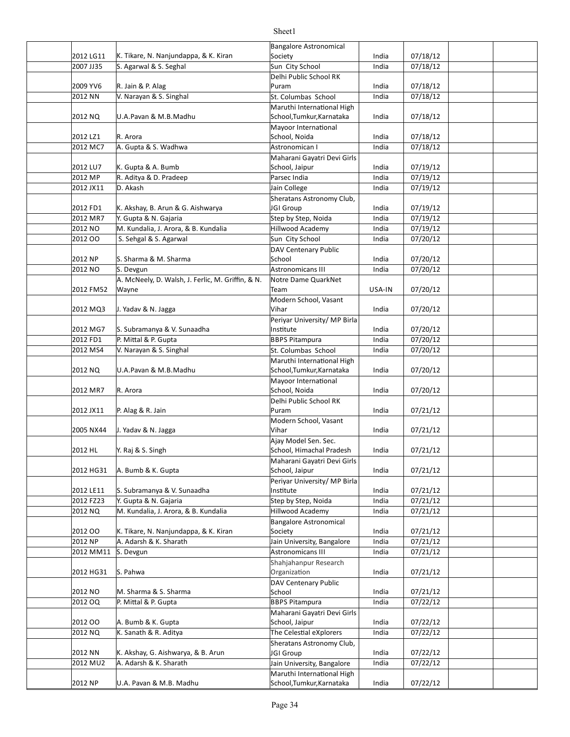### 2012 LG11 K. Tikare, N. Nanjundappa, & K. Kiran Society National Society (197/18/12 2007 JJ35 S. Agarwal & S. Seghal Sun City School India 07/18/12 2009 YV6 India 07/18/12 R. Jain & P. Alag 2012 NN |V. Narayan & S. Singhal St. Solumbas School | India | 07/18/12 2012 NQ U.A.Pavan & M.B.Madhu School,Tumkur,Karnataka India 07/18/12 2012 LZ1 India 07/18/12 School, Noida 2012 MC7 India 07/18/12 A. Gupta & S. Wadhwa Astronomican I 2012 LU7 India 07/19/12 K. Gupta & A. Bumb 2012 MP R. Aditya & D. Pradeep Parsec India Parsec India 1 07/19/12 2012 JX11 D. Akash **India** 107/19/12 2012 FD1 K. Akshay, B. Arun & G. Aishwarya North Unit all Group to the lindia (197/19/12 2012 MR7 SY K Gupta & N. Gajaria Step Step by Step, Noida (197/19/12 MR7 Step) 2012 NO M. Kundalia, J. Arora, & B. Kundalia Marthull Hillwood Academy and the lot and the 107/19/12 2012 OO S. Sehgal & S. Agarwal Sun City School Sun City School and india (197/20/12 2012 NP India 07/20/12 S. Sharma & M. Sharma 2012 NO S. Devgun **India 18** Astronomicans III andia 1 07/20/12 2012 FM52 USA-IN 07/20/12 2012 MQ3 India 07/20/12 J. Yadav & N. Jagga 2012 MG7 India 07/20/12 S. Subramanya & V. Sunaadha 2012 FD1 BP. Mittal & P. Gupta Bernessen BBPS Pitampura BBPS Pitampura Bernessen Barnessen Barnessen BBPS Pitampura 2012 MS4 | V. Narayan & S. Singhal St. School | India | 07/20/12 2012 NQ U.A.Pavan & M.B.Madhu School,Tumkur,Karnataka India 07/20/12 2012 MR7 India 07/20/12 School, Noida 2012 JX11 P. Alag & R. Jain **D. C. Letter Stephen Communist Perrament Communist Communist Communist Perrament Co** 2005 NX44 India 07/21/12 J. Yadav & N. Jagga 2012 HL Y. Raj & S. Singh The School, Himachal Pradesh | India | 07/21/12 2012 HG31 A. Bumb & K. Gupta School, Jaipur India 07/21/12 2012 LE11 India 07/21/12 S. Subramanya & V. Sunaadha 2012 FZ23 India 07/21/12 Y. Gupta & N. Gajaria Step by Step, Noida 2012 NQ M. Kundalia, J. Arora, & B. Kundalia Hillwood Academy Hilla (197/21/12 2012 OO |K. Tikare, N. Nanjundappa, & K. Kiran |Society | India | 07/21/12 2012 NP A. Adarsh & K. Sharath Jain University, Bangalore India 07/21/12 2012 MM11 S. Devgun Astronomicans III India 07/21/12 2012 HG31 India 07/21/12 2012 NO M. Sharma & S. Sharma (School School and India | 07/21/12 2012 OQ B. Mittal & P. Gupta Barrow BBPS Pitampura BBPS Pitampura Barrow Barrow BBPS Pitampura Barrow Barrow India 2012 OO A. Bumb & K. Gupta School, Jaipur India 07/22/12 2012 NQ |K. Sanath & R. Aditya |The Celestial eXplorers | India | 07/22/12 2012 NN India 07/22/12 K. Akshay, G. Aishwarya, & B. Arun 2012 MU2 | A. Adarsh & K. Sharath **Depart of Lain** University, Bangalore | India | 07/22/12 2012 NP | U.A. Pavan & M.B. Madhu School,Tumkur,Karnataka India 07/22/12 Bangalore Astronomical Society Delhi Public School RK Puram U.A.Pavan & M.B.Madhu Maruthi International High R. Arora Mayoor International Maharani Gayatri Devi Girls School, Jaipur D. Akash Sheratans Astronomy Club, **JGI** Group DAV Centenary Public School A. McNeely, D. Walsh, J. Ferlic, M. Griffin, & N. Wayne Notre Dame QuarkNet Team Modern School, Vasant Vihar Periyar University/ MP Birla Institute U.A.Pavan & M.B.Madhu Maruthi International High R. Arora Mayoor International Delhi Public School RK Puram Modern School, Vasant Vihar Ajay Model Sen. Sec. Maharani Gayatri Devi Girls School, Jaipur Periyar University/ MP Birla Institute Bangalore Astronomical Society A. Adarsh & K. Sharath Astronomicans III S. Pahwa Shahjahanpur Research **Organization** DAV Centenary Public School Maharani Gayatri Devi Girls School, Jaipur Sheratans Astronomy Club, **JGI** Group A. Adarsh & K. Sharath U.A. Pavan & M.B. Madhu Maruthi International High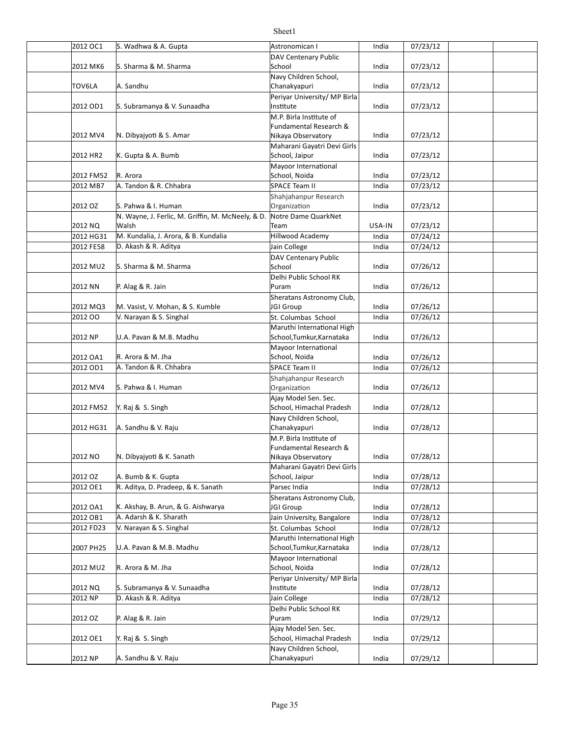| 2012 OC1  | S. Wadhwa & A. Gupta                              | Astronomican I                               | India  | 07/23/12 |  |
|-----------|---------------------------------------------------|----------------------------------------------|--------|----------|--|
|           |                                                   | <b>DAV Centenary Public</b>                  |        |          |  |
| 2012 MK6  | S. Sharma & M. Sharma                             | School                                       | India  | 07/23/12 |  |
|           |                                                   | Navy Children School,                        |        |          |  |
| TOV6LA    | A. Sandhu                                         | Chanakyapuri                                 | India  | 07/23/12 |  |
|           |                                                   | Periyar University/ MP Birla                 |        |          |  |
| 2012 OD1  | S. Subramanya & V. Sunaadha                       | Institute                                    | India  | 07/23/12 |  |
|           |                                                   | M.P. Birla Institute of                      |        |          |  |
| 2012 MV4  | N. Dibyajyoti & S. Amar                           | Fundamental Research &<br>Nikaya Observatory | India  | 07/23/12 |  |
|           |                                                   | Maharani Gayatri Devi Girls                  |        |          |  |
| 2012 HR2  | K. Gupta & A. Bumb                                | School, Jaipur                               | India  | 07/23/12 |  |
|           |                                                   | Mayoor International                         |        |          |  |
| 2012 FM52 | R. Arora                                          | School, Noida                                | India  | 07/23/12 |  |
| 2012 MB7  | A. Tandon & R. Chhabra                            | <b>SPACE Team II</b>                         | India  | 07/23/12 |  |
|           |                                                   | Shahjahanpur Research                        |        |          |  |
| 2012 OZ   | S. Pahwa & I. Human                               | Organization                                 | India  | 07/23/12 |  |
|           | N. Wayne, J. Ferlic, M. Griffin, M. McNeely, & D. | Notre Dame QuarkNet                          |        |          |  |
| 2012 NQ   | Walsh                                             | Team                                         | USA-IN | 07/23/12 |  |
| 2012 HG31 | M. Kundalia, J. Arora, & B. Kundalia              | <b>Hillwood Academy</b>                      | India  | 07/24/12 |  |
| 2012 FE58 | D. Akash & R. Aditya                              | Jain College                                 | India  | 07/24/12 |  |
|           |                                                   | DAV Centenary Public                         |        |          |  |
| 2012 MU2  | S. Sharma & M. Sharma                             | School                                       | India  | 07/26/12 |  |
|           |                                                   | Delhi Public School RK                       |        |          |  |
| 2012 NN   | P. Alag & R. Jain                                 | Puram                                        | India  | 07/26/12 |  |
|           |                                                   | Sheratans Astronomy Club,                    |        |          |  |
| 2012 MQ3  | M. Vasist, V. Mohan, & S. Kumble                  | JGI Group                                    | India  | 07/26/12 |  |
| 2012 00   | V. Narayan & S. Singhal                           | St. Columbas School                          | India  | 07/26/12 |  |
|           |                                                   | Maruthi International High                   |        |          |  |
| 2012 NP   | U.A. Pavan & M.B. Madhu                           | School, Tumkur, Karnataka                    | India  | 07/26/12 |  |
|           |                                                   | Mayoor International                         |        |          |  |
| 2012 OA1  | R. Arora & M. Jha                                 | School, Noida                                | India  | 07/26/12 |  |
| 2012 OD1  | A. Tandon & R. Chhabra                            | <b>SPACE Team II</b>                         | India  | 07/26/12 |  |
|           |                                                   | Shahjahanpur Research                        |        |          |  |
| 2012 MV4  | S. Pahwa & I. Human                               | Organization                                 | India  | 07/26/12 |  |
|           |                                                   | Ajay Model Sen. Sec.                         |        |          |  |
| 2012 FM52 | Y. Raj & S. Singh                                 | School, Himachal Pradesh                     | India  | 07/28/12 |  |
|           |                                                   | Navy Children School,                        |        |          |  |
| 2012 HG31 | A. Sandhu & V. Raju                               | Chanakyapuri                                 | India  | 07/28/12 |  |
|           |                                                   | M.P. Birla Institute of                      |        |          |  |
|           |                                                   | <b>Fundamental Research &amp;</b>            |        |          |  |
| 2012 NO   | N. Dibyajyoti & K. Sanath                         | Nikaya Observatory                           | India  | 07/28/12 |  |
|           |                                                   | Maharani Gayatri Devi Girls                  |        |          |  |
| 2012 OZ   | A. Bumb & K. Gupta                                | School, Jaipur                               | India  | 07/28/12 |  |
| 2012 OE1  | R. Aditya, D. Pradeep, & K. Sanath                | Parsec India                                 | India  | 07/28/12 |  |
|           |                                                   | Sheratans Astronomy Club,                    |        |          |  |
| 2012 OA1  | K. Akshay, B. Arun, & G. Aishwarya                | JGI Group                                    | India  | 07/28/12 |  |
| 2012 OB1  | A. Adarsh & K. Sharath                            | Jain University, Bangalore                   | India  | 07/28/12 |  |
| 2012 FD23 | V. Narayan & S. Singhal                           | St. Columbas School                          | India  | 07/28/12 |  |
|           |                                                   | Maruthi International High                   |        |          |  |
| 2007 PH25 | U.A. Pavan & M.B. Madhu                           | School, Tumkur, Karnataka                    | India  | 07/28/12 |  |
|           |                                                   | Mayoor International                         |        |          |  |
| 2012 MU2  | R. Arora & M. Jha                                 | School, Noida                                | India  | 07/28/12 |  |
|           |                                                   | Periyar University/ MP Birla                 |        |          |  |
| 2012 NQ   | S. Subramanya & V. Sunaadha                       | Institute                                    | India  | 07/28/12 |  |
| 2012 NP   | D. Akash & R. Aditya                              | Jain College                                 | India  | 07/28/12 |  |
|           |                                                   | Delhi Public School RK                       |        |          |  |
| 2012 OZ   | P. Alag & R. Jain                                 | Puram                                        | India  | 07/29/12 |  |
|           |                                                   | Ajay Model Sen. Sec.                         |        |          |  |
| 2012 OE1  | Y. Raj & S. Singh                                 | School, Himachal Pradesh                     | India  | 07/29/12 |  |
|           |                                                   | Navy Children School,                        |        |          |  |
| 2012 NP   | A. Sandhu & V. Raju                               | Chanakyapuri                                 | India  | 07/29/12 |  |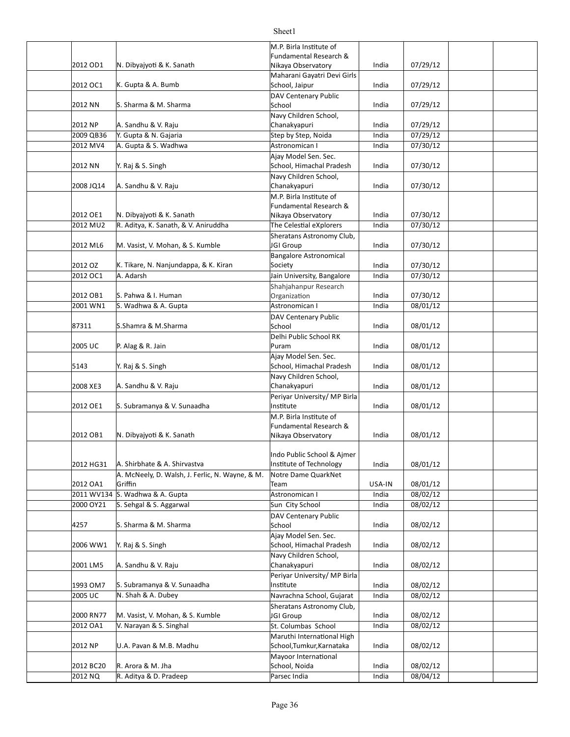|           |                                                 | M.P. Birla Institute of                               |        |          |  |
|-----------|-------------------------------------------------|-------------------------------------------------------|--------|----------|--|
|           |                                                 | Fundamental Research &                                |        |          |  |
| 2012 OD1  | N. Dibyajyoti & K. Sanath                       | Nikaya Observatory<br>Maharani Gayatri Devi Girls     | India  | 07/29/12 |  |
| 2012 OC1  | K. Gupta & A. Bumb                              | School, Jaipur                                        | India  | 07/29/12 |  |
|           |                                                 | DAV Centenary Public                                  |        |          |  |
| 2012 NN   | S. Sharma & M. Sharma                           | School                                                | India  | 07/29/12 |  |
|           |                                                 | Navy Children School,                                 |        |          |  |
| 2012 NP   | A. Sandhu & V. Raju                             | Chanakyapuri                                          | India  | 07/29/12 |  |
| 2009 QB36 | Y. Gupta & N. Gajaria                           | Step by Step, Noida                                   | India  | 07/29/12 |  |
| 2012 MV4  | A. Gupta & S. Wadhwa                            | Astronomican I                                        | India  | 07/30/12 |  |
| 2012 NN   | Y. Raj & S. Singh                               | Ajay Model Sen. Sec.<br>School, Himachal Pradesh      | India  | 07/30/12 |  |
|           |                                                 | Navy Children School,                                 |        |          |  |
| 2008 JQ14 | A. Sandhu & V. Raju                             | Chanakyapuri                                          | India  | 07/30/12 |  |
|           |                                                 | M.P. Birla Institute of                               |        |          |  |
|           |                                                 | Fundamental Research &                                |        |          |  |
| 2012 OE1  | N. Dibyajyoti & K. Sanath                       | Nikaya Observatory                                    | India  | 07/30/12 |  |
| 2012 MU2  | R. Aditya, K. Sanath, & V. Aniruddha            | The Celestial eXplorers                               | India  | 07/30/12 |  |
| 2012 ML6  | M. Vasist, V. Mohan, & S. Kumble                | Sheratans Astronomy Club,<br>JGI Group                | India  | 07/30/12 |  |
|           |                                                 | <b>Bangalore Astronomical</b>                         |        |          |  |
| 2012 OZ   | K. Tikare, N. Nanjundappa, & K. Kiran           | Society                                               | India  | 07/30/12 |  |
| 2012 OC1  | A. Adarsh                                       | Jain University, Bangalore                            | India  | 07/30/12 |  |
|           |                                                 | Shahjahanpur Research                                 |        |          |  |
| 2012 OB1  | S. Pahwa & I. Human                             | Organization                                          | India  | 07/30/12 |  |
| 2001 WN1  | S. Wadhwa & A. Gupta                            | Astronomican I                                        | India  | 08/01/12 |  |
|           |                                                 | DAV Centenary Public                                  |        |          |  |
| 87311     | S.Shamra & M.Sharma                             | School                                                | India  | 08/01/12 |  |
|           |                                                 | Delhi Public School RK                                |        |          |  |
| 2005 UC   | P. Alag & R. Jain                               | Puram                                                 | India  | 08/01/12 |  |
|           |                                                 | Ajay Model Sen. Sec.<br>School, Himachal Pradesh      |        | 08/01/12 |  |
| 5143      | Y. Raj & S. Singh                               | Navy Children School,                                 | India  |          |  |
| 2008 XE3  | A. Sandhu & V. Raju                             | Chanakyapuri                                          | India  | 08/01/12 |  |
|           |                                                 | Periyar University/ MP Birla                          |        |          |  |
| 2012 OE1  | S. Subramanya & V. Sunaadha                     | Institute                                             | India  | 08/01/12 |  |
|           |                                                 | M.P. Birla Institute of                               |        |          |  |
|           |                                                 | Fundamental Research &                                |        |          |  |
| 2012 OB1  | N. Dibyajyoti & K. Sanath                       | Nikaya Observatory                                    | India  | 08/01/12 |  |
|           |                                                 |                                                       |        |          |  |
| 2012 HG31 | A. Shirbhate & A. Shirvastva                    | Indo Public School & Ajmer<br>Institute of Technology | India  | 08/01/12 |  |
|           | A. McNeely, D. Walsh, J. Ferlic, N. Wayne, & M. | Notre Dame QuarkNet                                   |        |          |  |
| 2012 OA1  | Griffin                                         | Team                                                  | USA-IN | 08/01/12 |  |
|           | 2011 WV134 S. Wadhwa & A. Gupta                 | Astronomican I                                        | India  | 08/02/12 |  |
| 2000 OY21 | S. Sehgal & S. Aggarwal                         | Sun City School                                       | India  | 08/02/12 |  |
|           |                                                 | DAV Centenary Public                                  |        |          |  |
| 4257      | S. Sharma & M. Sharma                           | School                                                | India  | 08/02/12 |  |
|           |                                                 | Ajay Model Sen. Sec.                                  |        |          |  |
| 2006 WW1  | Y. Raj & S. Singh                               | School, Himachal Pradesh                              | India  | 08/02/12 |  |
|           |                                                 | Navy Children School,                                 |        |          |  |
| 2001 LM5  | A. Sandhu & V. Raju                             | Chanakyapuri                                          | India  | 08/02/12 |  |
| 1993 OM7  | S. Subramanya & V. Sunaadha                     | Periyar University/ MP Birla<br>Institute             | India  | 08/02/12 |  |
| 2005 UC   | N. Shah & A. Dubey                              | Navrachna School, Gujarat                             | India  | 08/02/12 |  |
|           |                                                 | Sheratans Astronomy Club,                             |        |          |  |
| 2000 RN77 | M. Vasist, V. Mohan, & S. Kumble                | JGI Group                                             | India  | 08/02/12 |  |
| 2012 OA1  | V. Narayan & S. Singhal                         | St. Columbas School                                   | India  | 08/02/12 |  |
|           |                                                 | Maruthi International High                            |        |          |  |
| 2012 NP   | U.A. Pavan & M.B. Madhu                         | School, Tumkur, Karnataka                             | India  | 08/02/12 |  |
|           |                                                 | Mayoor International                                  |        |          |  |
| 2012 BC20 | R. Arora & M. Jha                               | School, Noida                                         | India  | 08/02/12 |  |
| 2012 NQ   | R. Aditya & D. Pradeep                          | Parsec India                                          | India  | 08/04/12 |  |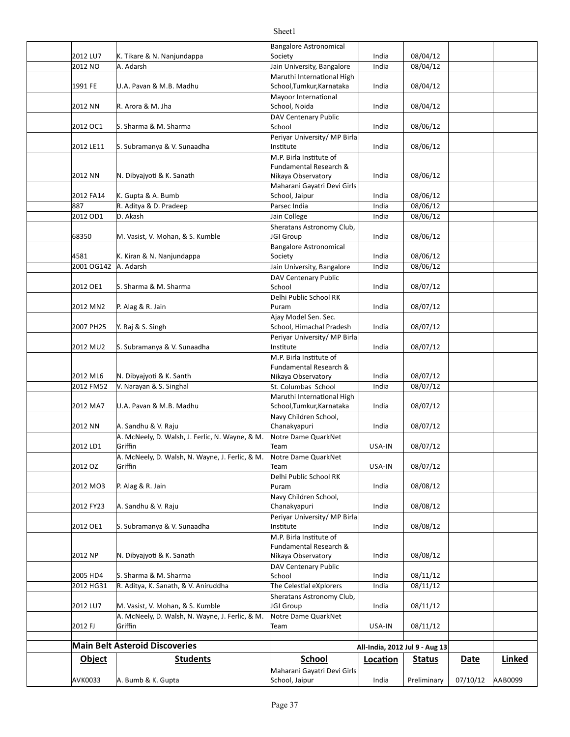| AVK0033          | A. Bumb & K. Gupta                                         | Maharani Gayatri Devi Girls<br>School, Jaipur            | India          | Preliminary                    | 07/10/12    | AAB0099       |
|------------------|------------------------------------------------------------|----------------------------------------------------------|----------------|--------------------------------|-------------|---------------|
| <b>Object</b>    | <b>Students</b>                                            | <b>School</b>                                            | Location       | <b>Status</b>                  | <b>Date</b> | <b>Linked</b> |
|                  | <b>Main Belt Asteroid Discoveries</b>                      |                                                          |                | All-India, 2012 Jul 9 - Aug 13 |             |               |
|                  |                                                            |                                                          |                |                                |             |               |
| 2012 FJ          | A. McNeely, D. Walsh, N. Wayne, J. Ferlic, & M.<br>Griffin | Notre Dame QuarkNet<br>Team                              | USA-IN         | 08/11/12                       |             |               |
| 2012 LU7         | M. Vasist, V. Mohan, & S. Kumble                           | JGI Group                                                | India          | 08/11/12                       |             |               |
| 2012 HG31        | R. Aditya, K. Sanath, & V. Aniruddha                       | The Celestial eXplorers<br>Sheratans Astronomy Club,     | India          | 08/11/12                       |             |               |
| 2005 HD4         | S. Sharma & M. Sharma                                      | School                                                   | India          | 08/11/12                       |             |               |
|                  |                                                            | Nikaya Observatory<br>DAV Centenary Public               |                |                                |             |               |
| 2012 NP          | N. Dibyajyoti & K. Sanath                                  | <b>Fundamental Research &amp;</b>                        | India          | 08/08/12                       |             |               |
| 2012 OE1         | S. Subramanya & V. Sunaadha                                | Institute<br>M.P. Birla Institute of                     | India          | 08/08/12                       |             |               |
|                  |                                                            | Periyar University/ MP Birla                             |                |                                |             |               |
| 2012 FY23        | A. Sandhu & V. Raju                                        | Chanakyapuri                                             | India          | 08/08/12                       |             |               |
| 2012 MO3         | P. Alag & R. Jain                                          | Puram<br>Navy Children School,                           | India          | 08/08/12                       |             |               |
|                  | Griffin                                                    | Team<br>Delhi Public School RK                           |                | 08/07/12                       |             |               |
| 2012 OZ          | A. McNeely, D. Walsh, N. Wayne, J. Ferlic, & M.            | Notre Dame QuarkNet                                      | USA-IN         |                                |             |               |
| 2012 LD1         | A. McNeely, D. Walsh, J. Ferlic, N. Wayne, & M.<br>Griffin | Notre Dame QuarkNet<br>Team                              | USA-IN         | 08/07/12                       |             |               |
| 2012 NN          | A. Sandhu & V. Raju                                        | Chanakyapuri                                             | India          | 08/07/12                       |             |               |
|                  |                                                            | Navy Children School,                                    |                |                                |             |               |
| 2012 MA7         | U.A. Pavan & M.B. Madhu                                    | Maruthi International High<br>School, Tumkur, Karnataka  | India          | 08/07/12                       |             |               |
| 2012 FM52        | V. Narayan & S. Singhal                                    | St. Columbas School                                      | India          | 08/07/12                       |             |               |
| 2012 ML6         | N. Dibyajyoti & K. Santh                                   | Fundamental Research &<br>Nikaya Observatory             | India          | 08/07/12                       |             |               |
|                  |                                                            | M.P. Birla Institute of                                  |                |                                |             |               |
| 2012 MU2         | S. Subramanya & V. Sunaadha                                | Periyar University/ MP Birla<br>Institute                | India          | 08/07/12                       |             |               |
| 2007 PH25        | Y. Raj & S. Singh                                          | School, Himachal Pradesh                                 | India          | 08/07/12                       |             |               |
| 2012 MN2         | P. Alag & R. Jain                                          | Puram<br>Ajay Model Sen. Sec.                            | India          | 08/07/12                       |             |               |
|                  |                                                            | Delhi Public School RK                                   |                |                                |             |               |
| 2012 OE1         | S. Sharma & M. Sharma                                      | <b>DAV Centenary Public</b><br>School                    | India          | 08/07/12                       |             |               |
| 2001 OG142       | A. Adarsh                                                  | Jain University, Bangalore                               | India          | 08/06/12                       |             |               |
| 4581             | K. Kiran & N. Nanjundappa                                  | Society                                                  | India          | 08/06/12                       |             |               |
| 68350            | M. Vasist, V. Mohan, & S. Kumble                           | JGI Group<br><b>Bangalore Astronomical</b>               | India          | 08/06/12                       |             |               |
|                  |                                                            | Sheratans Astronomy Club,                                |                |                                |             |               |
| 2012 OD1         | D. Akash                                                   | Jain College                                             | India          | 08/06/12                       |             |               |
| 2012 FA14<br>887 | K. Gupta & A. Bumb<br>R. Aditya & D. Pradeep               | School, Jaipur<br>Parsec India                           | India<br>India | 08/06/12<br>08/06/12           |             |               |
|                  |                                                            | Maharani Gayatri Devi Girls                              |                |                                |             |               |
| 2012 NN          | N. Dibyajyoti & K. Sanath                                  | Fundamental Research &<br>Nikaya Observatory             | India          | 08/06/12                       |             |               |
|                  |                                                            | M.P. Birla Institute of                                  |                |                                |             |               |
| 2012 LE11        | S. Subramanya & V. Sunaadha                                | Periyar University/ MP Birla<br>Institute                | India          | 08/06/12                       |             |               |
| 2012 OC1         | S. Sharma & M. Sharma                                      | School                                                   | India          | 08/06/12                       |             |               |
|                  |                                                            | DAV Centenary Public                                     |                |                                |             |               |
| 2012 NN          | R. Arora & M. Jha                                          | Mayoor International<br>School, Noida                    | India          | 08/04/12                       |             |               |
| 1991 FE          | U.A. Pavan & M.B. Madhu                                    | School, Tumkur, Karnataka                                | India          | 08/04/12                       |             |               |
| 2012 NO          | A. Adarsh                                                  | Jain University, Bangalore<br>Maruthi International High | India          | 08/04/12                       |             |               |
| 2012 LU7         | K. Tikare & N. Nanjundappa                                 | Society                                                  | India          | 08/04/12                       |             |               |
|                  |                                                            | <b>Bangalore Astronomical</b>                            |                |                                |             |               |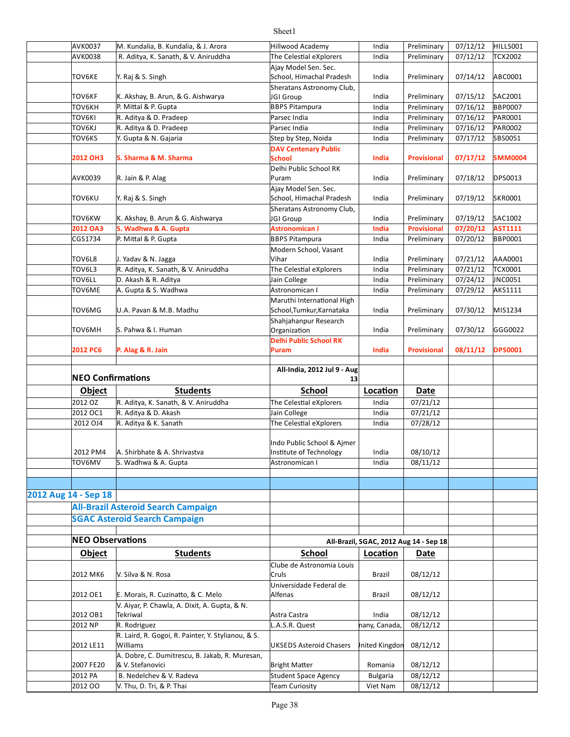| AVK0037<br>AVK0038       | M. Kundalia, B. Kundalia, & J. Arora<br>R. Aditya, K. Sanath, & V. Aniruddha | Hillwood Academy<br>The Celestial eXplorers | India                                  | Preliminary          | 07/12/12<br>07/12/12 | HILLS001<br><b>TCX2002</b> |
|--------------------------|------------------------------------------------------------------------------|---------------------------------------------|----------------------------------------|----------------------|----------------------|----------------------------|
|                          |                                                                              | Ajay Model Sen. Sec.                        | India                                  | Preliminary          |                      |                            |
| <b>TOV6KE</b>            | Y. Raj & S. Singh                                                            | School, Himachal Pradesh                    | India                                  | Preliminary          | 07/14/12             | ABC0001                    |
|                          |                                                                              | Sheratans Astronomy Club,                   |                                        |                      |                      |                            |
| TOV6KF                   | K. Akshay, B. Arun, & G. Aishwarya                                           | JGI Group                                   | India                                  | Preliminary          | 07/15/12             | SAC2001                    |
| <b>TOV6KH</b>            | P. Mittal & P. Gupta                                                         | <b>BBPS Pitampura</b>                       | India                                  | Preliminary          | 07/16/12             | <b>BBP0007</b>             |
| <b>TOV6KI</b>            | R. Aditya & D. Pradeep                                                       | Parsec India                                | India                                  | Preliminary          | 07/16/12             | PAR0001                    |
| TOV6KJ                   | R. Aditya & D. Pradeep                                                       | Parsec India                                | India                                  | Preliminary          | 07/16/12             | PAR0002                    |
| TOV6KS                   | Y. Gupta & N. Gajaria                                                        | Step by Step, Noida                         | India                                  | Preliminary          | 07/17/12             | SBS0051                    |
|                          |                                                                              | <b>DAV Centenary Public</b>                 |                                        |                      |                      |                            |
| 2012 OH3                 | S. Sharma & M. Sharma                                                        | School                                      | India                                  | <b>Provisional</b>   | 07/17/12             | SMM0004                    |
|                          |                                                                              | Delhi Public School RK                      |                                        |                      |                      |                            |
| AVK0039                  | R. Jain & P. Alag                                                            | Puram                                       | India                                  | Preliminary          | 07/18/12             | DPS0013                    |
|                          |                                                                              | Ajay Model Sen. Sec.                        |                                        |                      |                      |                            |
| TOV6KU                   | Y. Raj & S. Singh                                                            | School, Himachal Pradesh                    | India                                  | Preliminary          | 07/19/12             | <b>SKR0001</b>             |
|                          |                                                                              | Sheratans Astronomy Club,                   |                                        |                      |                      |                            |
| TOV6KW                   | K. Akshay, B. Arun & G. Aishwarya                                            | JGI Group                                   | India                                  | Preliminary          | 07/19/12             | SAC1002                    |
| 2012 OA3                 | S. Wadhwa & A. Gupta                                                         | <b>Astronomican I</b>                       | India                                  | Provisional          | 07/20/12             | AST1111                    |
| CGS1734                  | P. Mittal & P. Gupta                                                         | <b>BBPS Pitampura</b>                       | India                                  | Preliminary          | 07/20/12             | BBP0001                    |
| TOV6L8                   | J. Yadav & N. Jagga                                                          | Modern School, Vasant<br>Vihar              | India                                  | Preliminary          | 07/21/12             | AAA0001                    |
| TOV6L3                   | R. Aditya, K. Sanath, & V. Aniruddha                                         | The Celestial eXplorers                     | India                                  | Preliminary          | 07/21/12             | <b>TCX0001</b>             |
| TOV6LL                   | D. Akash & R. Aditya                                                         | Jain College                                | India                                  | Preliminary          | 07/24/12             | JNC0051                    |
| TOV6ME                   | A. Gupta & S. Wadhwa                                                         | Astronomican I                              | India                                  | Preliminary          | 07/29/12             | AKS1111                    |
|                          |                                                                              | Maruthi International High                  |                                        |                      |                      |                            |
| TOV6MG                   | U.A. Pavan & M.B. Madhu                                                      | School, Tumkur, Karnataka                   | India                                  | Preliminary          | 07/30/12             | MIS1234                    |
|                          |                                                                              | Shahjahanpur Research                       |                                        |                      |                      |                            |
| TOV6MH                   | S. Pahwa & I. Human                                                          | Organization                                | India                                  | Preliminary          | 07/30/12             | GGG0022                    |
|                          |                                                                              | <b>Delhi Public School RK</b>               |                                        |                      |                      |                            |
| 2012 PC6                 | P. Alag & R. Jain                                                            | Puram                                       | India                                  | <b>Provisional</b>   | 08/11/12             | <b>DPS0001</b>             |
|                          |                                                                              |                                             |                                        |                      |                      |                            |
|                          |                                                                              |                                             |                                        |                      |                      |                            |
|                          |                                                                              | All-India, 2012 Jul 9 - Aug                 |                                        |                      |                      |                            |
| <b>NEO Confirmations</b> |                                                                              | 13                                          |                                        |                      |                      |                            |
| <b>Object</b>            | <b>Students</b>                                                              | <b>School</b>                               | Location                               | Date                 |                      |                            |
| 2012 OZ                  | R. Aditya, K. Sanath, & V. Aniruddha                                         | The Celestial eXplorers                     | India                                  | 07/21/12             |                      |                            |
| 2012 OC1                 | R. Aditya & D. Akash                                                         | Jain College                                | India                                  | 07/21/12             |                      |                            |
| 2012 OJ4                 | R. Aditya & K. Sanath                                                        | The Celestial eXplorers                     | India                                  | 07/28/12             |                      |                            |
|                          |                                                                              |                                             |                                        |                      |                      |                            |
|                          |                                                                              | Indo Public School & Aimer                  |                                        |                      |                      |                            |
| 2012 PM4                 | A. Shirbhate & A. Shrivastva                                                 | Institute of Technology                     | India                                  | 08/10/12             |                      |                            |
| TOV6MV                   | S. Wadhwa & A. Gupta                                                         | Astronomican I                              | India                                  | 08/11/12             |                      |                            |
|                          |                                                                              |                                             |                                        |                      |                      |                            |
|                          |                                                                              |                                             |                                        |                      |                      |                            |
| 2012 Aug 14 - Sep 18     |                                                                              |                                             |                                        |                      |                      |                            |
|                          | <b>All-Brazil Asteroid Search Campaign</b>                                   |                                             |                                        |                      |                      |                            |
|                          | <b>SGAC Asteroid Search Campaign</b>                                         |                                             |                                        |                      |                      |                            |
|                          |                                                                              |                                             |                                        |                      |                      |                            |
| <b>NEO Observations</b>  |                                                                              |                                             | All-Brazil, SGAC, 2012 Aug 14 - Sep 18 |                      |                      |                            |
| <b>Object</b>            | <b>Students</b>                                                              | <b>School</b>                               | Location                               | Date                 |                      |                            |
|                          |                                                                              | Clube de Astronomia Louis                   |                                        |                      |                      |                            |
| 2012 MK6                 | V. Silva & N. Rosa                                                           | Cruls                                       | Brazil                                 | 08/12/12             |                      |                            |
|                          |                                                                              | Universidade Federal de                     |                                        |                      |                      |                            |
| 2012 OE1                 | E. Morais, R. Cuzinatto, & C. Melo                                           | Alfenas                                     | Brazil                                 | 08/12/12             |                      |                            |
|                          | V. Aiyar, P. Chawla, A. Dixit, A. Gupta, & N.                                |                                             |                                        |                      |                      |                            |
| 2012 OB1                 | Tekriwal                                                                     | Astra Castra                                | India                                  | 08/12/12             |                      |                            |
| 2012 NP                  | R. Rodriguez                                                                 | L.A.S.R. Quest                              | nany, Canada,                          | 08/12/12             |                      |                            |
| 2012 LE11                | R. Laird, R. Gogoi, R. Painter, Y. Stylianou, & S.<br>Williams               | <b>UKSEDS Asteroid Chasers</b>              | Inited Kingdon                         | 08/12/12             |                      |                            |
|                          | A. Dobre, C. Dumitrescu, B. Jakab, R. Muresan,                               |                                             |                                        |                      |                      |                            |
| 2007 FE20                | & V. Stefanovici                                                             | <b>Bright Matter</b>                        | Romania                                | 08/12/12             |                      |                            |
| 2012 PA<br>2012 00       | B. Nedelchev & V. Radeva<br>V. Thu, D. Tri, & P. Thai                        | Student Space Agency<br>Team Curiosity      | <b>Bulgaria</b><br>Viet Nam            | 08/12/12<br>08/12/12 |                      |                            |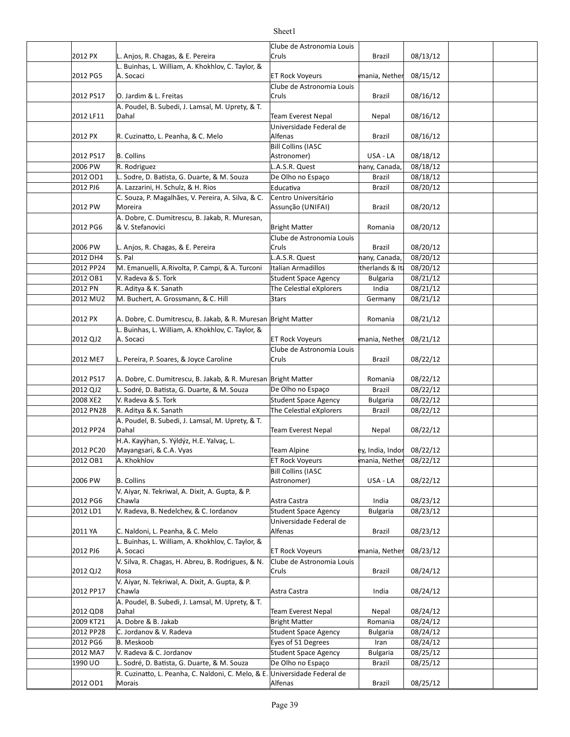|           |                                                                            | Clube de Astronomia Louis          |                           |          |  |
|-----------|----------------------------------------------------------------------------|------------------------------------|---------------------------|----------|--|
| 2012 PX   | L. Anjos, R. Chagas, & E. Pereira                                          | Cruls                              | <b>Brazil</b>             | 08/13/12 |  |
|           | L. Buinhas, L. William, A. Khokhlov, C. Taylor, &                          |                                    |                           |          |  |
| 2012 PG5  | A. Socaci                                                                  | <b>ET Rock Voyeurs</b>             | mania, Nether             | 08/15/12 |  |
|           |                                                                            | Clube de Astronomia Louis          |                           |          |  |
| 2012 PS17 | O. Jardim & L. Freitas                                                     | Cruls                              | Brazil                    | 08/16/12 |  |
|           | A. Poudel, B. Subedi, J. Lamsal, M. Uprety, & T.                           |                                    |                           |          |  |
| 2012 LF11 | Dahal                                                                      | <b>Team Everest Nepal</b>          | Nepal                     | 08/16/12 |  |
|           |                                                                            | Universidade Federal de            |                           |          |  |
| 2012 PX   | R. Cuzinatto, L. Peanha, & C. Melo                                         | Alfenas                            | Brazil                    | 08/16/12 |  |
|           |                                                                            | <b>Bill Collins (IASC</b>          |                           |          |  |
| 2012 PS17 | <b>B.</b> Collins                                                          | Astronomer)                        | USA - LA                  | 08/18/12 |  |
| 2006 PW   | R. Rodriguez                                                               | L.A.S.R. Quest                     | nany, Canada,             | 08/18/12 |  |
| 2012 OD1  | L. Sodre, D. Batista, G. Duarte, & M. Souza                                | De Olho no Espaço                  | <b>Brazil</b>             | 08/18/12 |  |
| 2012 PJ6  | A. Lazzarini, H. Schulz, & H. Rios                                         | Educativa                          | <b>Brazil</b>             | 08/20/12 |  |
|           | C. Souza, P. Magalhães, V. Pereira, A. Silva, & C.                         | Centro Universitário               |                           |          |  |
| 2012 PW   | Moreira                                                                    | Assunção (UNIFAI)                  | Brazil                    | 08/20/12 |  |
|           |                                                                            |                                    |                           |          |  |
|           | A. Dobre, C. Dumitrescu, B. Jakab, R. Muresan,<br>& V. Stefanovici         |                                    |                           |          |  |
| 2012 PG6  |                                                                            | <b>Bright Matter</b>               | Romania                   | 08/20/12 |  |
| 2006 PW   | L. Anjos, R. Chagas, & E. Pereira                                          | Clube de Astronomia Louis<br>Cruls | Brazil                    | 08/20/12 |  |
| 2012 DH4  | S. Pal                                                                     | L.A.S.R. Quest                     | nany, Canada,             | 08/20/12 |  |
| 2012 PP24 | M. Emanuelli, A.Rivolta, P. Campi, & A. Turconi                            | Italian Armadillos                 | therlands & It            | 08/20/12 |  |
| 2012 OB1  | V. Radeva & S. Tork                                                        | <b>Student Space Agency</b>        |                           | 08/21/12 |  |
|           |                                                                            |                                    | <b>Bulgaria</b>           |          |  |
| 2012 PN   | R. Aditya & K. Sanath                                                      | The Celestial eXplorers            | India                     | 08/21/12 |  |
| 2012 MU2  | M. Buchert, A. Grossmann, & C. Hill                                        | 3tars                              | Germany                   | 08/21/12 |  |
|           |                                                                            |                                    |                           |          |  |
| 2012 PX   | A. Dobre, C. Dumitrescu, B. Jakab, & R. Muresan Bright Matter              |                                    | Romania                   | 08/21/12 |  |
|           | L. Buinhas, L. William, A. Khokhlov, C. Taylor, &                          |                                    |                           |          |  |
| 2012 QJ2  | A. Socaci                                                                  | <b>ET Rock Voyeurs</b>             | mania, Nether             | 08/21/12 |  |
|           |                                                                            | Clube de Astronomia Louis          |                           |          |  |
| 2012 ME7  | L. Pereira, P. Soares, & Joyce Caroline                                    | Cruls                              | <b>Brazil</b>             | 08/22/12 |  |
|           |                                                                            |                                    |                           |          |  |
| 2012 PS17 | A. Dobre, C. Dumitrescu, B. Jakab, & R. Muresan Bright Matter              |                                    | Romania                   | 08/22/12 |  |
| 2012 QJ2  | L. Sodré, D. Batista, G. Duarte, & M. Souza                                | De Olho no Espaço                  | <b>Brazil</b>             | 08/22/12 |  |
| 2008 XE2  | V. Radeva & S. Tork                                                        | Student Space Agency               | <b>Bulgaria</b>           | 08/22/12 |  |
| 2012 PN28 | R. Aditya & K. Sanath                                                      | The Celestial eXplorers            | Brazil                    | 08/22/12 |  |
|           | A. Poudel, B. Subedi, J. Lamsal, M. Uprety, & T.                           |                                    |                           |          |  |
| 2012 PP24 | Dahal                                                                      | Team Everest Nepal                 | Nepal                     | 08/22/12 |  |
|           | H.A. Kayýhan, S. Yýldýz, H.E. Yalvaç, L.                                   |                                    |                           |          |  |
| 2012 PC20 | Mayangsari, & C.A. Vyas                                                    | Team Alpine                        | ey, India, Indor 08/22/12 |          |  |
| 2012 OB1  | A. Khokhlov                                                                | <b>ET Rock Voyeurs</b>             | mania, Nether             | 08/22/12 |  |
|           |                                                                            | <b>Bill Collins (IASC</b>          |                           |          |  |
| 2006 PW   | <b>B. Collins</b>                                                          | Astronomer)                        | USA - LA                  | 08/22/12 |  |
|           | V. Aiyar, N. Tekriwal, A. Dixit, A. Gupta, & P.                            |                                    |                           |          |  |
| 2012 PG6  | Chawla                                                                     | Astra Castra                       | India                     | 08/23/12 |  |
| 2012 LD1  | V. Radeva, B. Nedelchev, & C. Iordanov                                     | Student Space Agency               | <b>Bulgaria</b>           | 08/23/12 |  |
|           |                                                                            | Universidade Federal de            |                           |          |  |
| 2011 YA   | C. Naldoni, L. Peanha, & C. Melo                                           | Alfenas                            | Brazil                    | 08/23/12 |  |
|           | L. Buinhas, L. William, A. Khokhlov, C. Taylor, &                          |                                    |                           |          |  |
| 2012 PJ6  | A. Socaci                                                                  | <b>ET Rock Voyeurs</b>             | mania, Nether             | 08/23/12 |  |
|           | V. Silva, R. Chagas, H. Abreu, B. Rodrigues, & N.<br>Rosa                  | Clube de Astronomia Louis<br>Cruls |                           |          |  |
| 2012 QJ2  |                                                                            |                                    | <b>Brazil</b>             | 08/24/12 |  |
|           | V. Aiyar, N. Tekriwal, A. Dixit, A. Gupta, & P.                            |                                    |                           |          |  |
| 2012 PP17 | Chawla<br>A. Poudel, B. Subedi, J. Lamsal, M. Uprety, & T.                 | Astra Castra                       | India                     | 08/24/12 |  |
| 2012 QD8  | Dahal                                                                      | <b>Team Everest Nepal</b>          |                           | 08/24/12 |  |
| 2009 KT21 | A. Dobre & B. Jakab                                                        |                                    | Nepal                     |          |  |
|           | C. Jordanov & V. Radeva                                                    | <b>Bright Matter</b>               | Romania                   | 08/24/12 |  |
| 2012 PP28 |                                                                            | Student Space Agency               | <b>Bulgaria</b>           | 08/24/12 |  |
| 2012 PG6  | <b>B.</b> Meskoob                                                          | Eyes of 51 Degrees                 | Iran                      | 08/24/12 |  |
| 2012 MA7  | V. Radeva & C. Jordanov                                                    | <b>Student Space Agency</b>        | <b>Bulgaria</b>           | 08/25/12 |  |
| 1990 UO   | L. Sodré, D. Batista, G. Duarte, & M. Souza                                | De Olho no Espaço                  | Brazil                    | 08/25/12 |  |
|           | R. Cuzinatto, L. Peanha, C. Naldoni, C. Melo, & E. Universidade Federal de |                                    |                           |          |  |
| 2012 OD1  | Morais                                                                     | Alfenas                            | <b>Brazil</b>             | 08/25/12 |  |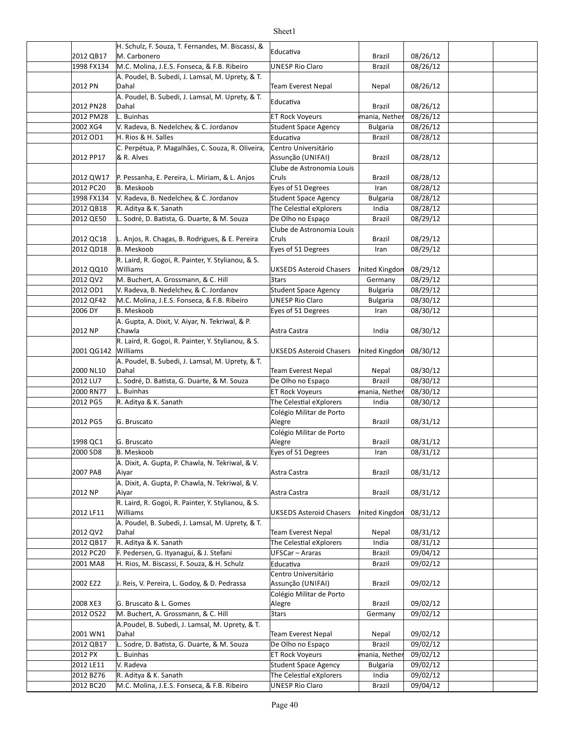|                         | H. Schulz, F. Souza, T. Fernandes, M. Biscassi, &              |                                                       |                 |                      |  |
|-------------------------|----------------------------------------------------------------|-------------------------------------------------------|-----------------|----------------------|--|
| 2012 QB17               | M. Carbonero                                                   | Educativa                                             | <b>Brazil</b>   | 08/26/12             |  |
| 1998 FX134              | M.C. Molina, J.E.S. Fonseca, & F.B. Ribeiro                    | <b>UNESP Rio Claro</b>                                | Brazil          | 08/26/12             |  |
|                         | A. Poudel, B. Subedi, J. Lamsal, M. Uprety, & T.               |                                                       |                 |                      |  |
| 2012 PN                 | Dahal                                                          | <b>Team Everest Nepal</b>                             | Nepal           | 08/26/12             |  |
|                         | A. Poudel, B. Subedi, J. Lamsal, M. Uprety, & T.               | Educativa                                             |                 |                      |  |
| 2012 PN28               | Dahal                                                          |                                                       | Brazil          | 08/26/12             |  |
| 2012 PM28               | L. Buinhas                                                     | <b>ET Rock Voyeurs</b>                                | mania, Nether   | 08/26/12             |  |
| 2002 XG4                | V. Radeva, B. Nedelchev, & C. Jordanov                         | Student Space Agency                                  | <b>Bulgaria</b> | 08/26/12             |  |
| 2012 OD1                | H. Rios & H. Salles                                            | Educativa                                             | <b>Brazil</b>   | 08/28/12             |  |
|                         | C. Perpétua, P. Magalhães, C. Souza, R. Oliveira,              | Centro Universitário                                  |                 |                      |  |
| 2012 PP17               | & R. Alves                                                     | Assunção (UNIFAI)                                     | Brazil          | 08/28/12             |  |
|                         |                                                                | Clube de Astronomia Louis                             |                 |                      |  |
| 2012 QW17               | P. Pessanha, E. Pereira, L. Miriam, & L. Anjos                 | Cruls                                                 | Brazil          | 08/28/12             |  |
| 2012 PC20<br>1998 FX134 | <b>B.</b> Meskoob<br>V. Radeva, B. Nedelchev, & C. Jordanov    | Eyes of 51 Degrees                                    | Iran            | 08/28/12<br>08/28/12 |  |
|                         |                                                                | Student Space Agency                                  | <b>Bulgaria</b> |                      |  |
| 2012 QB18               | R. Aditya & K. Sanath                                          | The Celestial eXplorers                               | India           | 08/28/12             |  |
| 2012 QE50               | L. Sodré, D. Batista, G. Duarte, & M. Souza                    | De Olho no Espaço                                     | <b>Brazil</b>   | 08/29/12             |  |
| 2012 QC18               | L. Anjos, R. Chagas, B. Rodrigues, & E. Pereira                | Clube de Astronomia Louis<br>Cruls                    |                 |                      |  |
|                         | B. Meskoob                                                     |                                                       | Brazil          | 08/29/12             |  |
| 2012 QD18               |                                                                | Eyes of 51 Degrees                                    | Iran            | 08/29/12             |  |
| 2012 QQ10               | R. Laird, R. Gogoi, R. Painter, Y. Stylianou, & S.<br>Williams | UKSEDS Asteroid Chasers                               | Inited Kingdon  | 08/29/12             |  |
| 2012 QV2                | M. Buchert, A. Grossmann, & C. Hill                            |                                                       |                 | 08/29/12             |  |
| 2012 OD1                | V. Radeva, B. Nedelchev, & C. Jordanov                         | 3tars                                                 | Germany         | 08/29/12             |  |
|                         |                                                                | <b>Student Space Agency</b><br><b>UNESP Rio Claro</b> | <b>Bulgaria</b> |                      |  |
| 2012 QF42               | M.C. Molina, J.E.S. Fonseca, & F.B. Ribeiro                    |                                                       | <b>Bulgaria</b> | 08/30/12             |  |
| 2006 DY                 | <b>B.</b> Meskoob                                              | Eyes of 51 Degrees                                    | Iran            | 08/30/12             |  |
| 2012 NP                 | A. Gupta, A. Dixit, V. Aiyar, N. Tekriwal, & P.<br>Chawla      | Astra Castra                                          | India           | 08/30/12             |  |
|                         |                                                                |                                                       |                 |                      |  |
| 2001 QG142              | R. Laird, R. Gogoi, R. Painter, Y. Stylianou, & S.<br>Williams | UKSEDS Asteroid Chasers                               | Inited Kingdon  | 08/30/12             |  |
|                         | A. Poudel, B. Subedi, J. Lamsal, M. Uprety, & T.               |                                                       |                 |                      |  |
| 2000 NL10               | Dahal                                                          | <b>Team Everest Nepal</b>                             | Nepal           | 08/30/12             |  |
| 2012 LU7                | L. Sodré, D. Batista, G. Duarte, & M. Souza                    | De Olho no Espaço                                     | <b>Brazil</b>   | 08/30/12             |  |
| 2000 RN77               | L. Buinhas                                                     | <b>ET Rock Voyeurs</b>                                | mania, Nether   | 08/30/12             |  |
| 2012 PG5                | R. Aditya & K. Sanath                                          | The Celestial eXplorers                               | India           | 08/30/12             |  |
|                         |                                                                | Colégio Militar de Porto                              |                 |                      |  |
| 2012 PG5                | G. Bruscato                                                    | Alegre                                                | Brazil          | 08/31/12             |  |
|                         |                                                                | Colégio Militar de Porto                              |                 |                      |  |
| 1998 QC1                | G. Bruscato                                                    | Alegre                                                | Brazil          | 08/31/12             |  |
| 2000 SD8                | B. Meskoob                                                     | Eyes of 51 Degrees                                    | Iran            | 08/31/12             |  |
|                         | A. Dixit, A. Gupta, P. Chawla, N. Tekriwal, & V.               |                                                       |                 |                      |  |
| 2007 PA8                | Aiyar                                                          | Astra Castra                                          | <b>Brazil</b>   | 08/31/12             |  |
|                         | A. Dixit, A. Gupta, P. Chawla, N. Tekriwal, & V.               |                                                       |                 |                      |  |
| 2012 NP                 | Aiyar                                                          | Astra Castra                                          | <b>Brazil</b>   | 08/31/12             |  |
|                         | R. Laird, R. Gogoi, R. Painter, Y. Stylianou, & S.             |                                                       |                 |                      |  |
| 2012 LF11               | Williams                                                       | UKSEDS Asteroid Chasers                               | Inited Kingdon  | 08/31/12             |  |
|                         | A. Poudel, B. Subedi, J. Lamsal, M. Uprety, & T.               |                                                       |                 |                      |  |
| 2012 QV2                | Dahal                                                          | Team Everest Nepal                                    | Nepal           | 08/31/12             |  |
| 2012 QB17               | R. Aditya & K. Sanath                                          | The Celestial eXplorers                               | India           | 08/31/12             |  |
| 2012 PC20               | F. Pedersen, G. Ityanagui, & J. Stefani                        | UFSCar - Araras                                       | Brazil          | 09/04/12             |  |
| 2001 MA8                | H. Rios, M. Biscassi, F. Souza, & H. Schulz                    | Educativa                                             | Brazil          | 09/02/12             |  |
|                         |                                                                | Centro Universitário                                  |                 |                      |  |
| 2002 EZ2                | J. Reis, V. Pereira, L. Godoy, & D. Pedrassa                   | Assunção (UNIFAI)                                     | Brazil          | 09/02/12             |  |
|                         |                                                                | Colégio Militar de Porto                              |                 |                      |  |
| 2008 XE3                | G. Bruscato & L. Gomes                                         | Alegre                                                | Brazil          | 09/02/12             |  |
| 2012 OS22               | M. Buchert, A. Grossmann, & C. Hill                            | 3tars                                                 | Germany         | 09/02/12             |  |
|                         | A.Poudel, B. Subedi, J. Lamsal, M. Uprety, & T.                |                                                       |                 |                      |  |
| 2001 WN1                | Dahal                                                          | <b>Team Everest Nepal</b>                             | Nepal           | 09/02/12             |  |
| 2012 QB17               | L. Sodre, D. Batista, G. Duarte, & M. Souza                    | De Olho no Espaço                                     | Brazil          | 09/02/12             |  |
| 2012 PX                 | L. Buinhas                                                     | <b>ET Rock Voyeurs</b>                                | mania, Nether   | 09/02/12             |  |
| 2012 LE11               | V. Radeva                                                      | Student Space Agency                                  | <b>Bulgaria</b> | 09/02/12             |  |
| 2012 BZ76               | R. Aditya & K. Sanath                                          | The Celestial eXplorers                               | India           | 09/02/12             |  |
| 2012 BC20               | M.C. Molina, J.E.S. Fonseca, & F.B. Ribeiro                    | <b>UNESP Rio Claro</b>                                | Brazil          | 09/04/12             |  |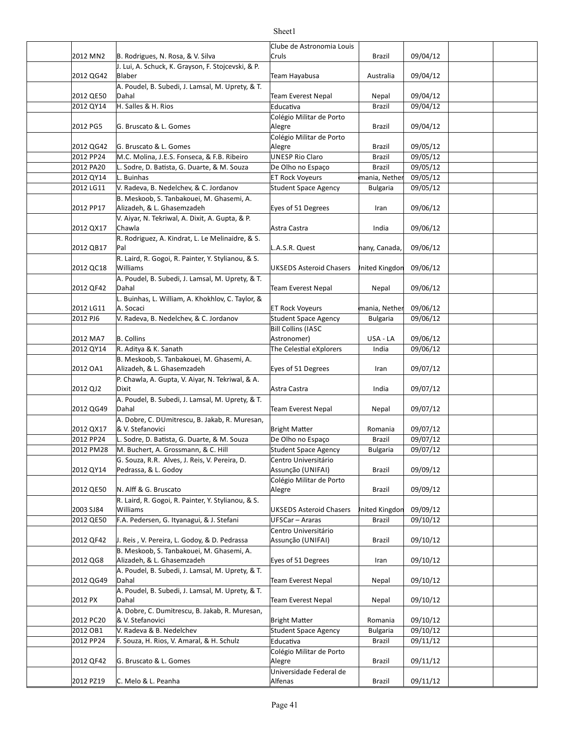|           |                                                                         | Clube de Astronomia Louis                |                 |          |  |
|-----------|-------------------------------------------------------------------------|------------------------------------------|-----------------|----------|--|
| 2012 MN2  | B. Rodrigues, N. Rosa, & V. Silva                                       | Cruls                                    | Brazil          | 09/04/12 |  |
| 2012 QG42 | J. Lui, A. Schuck, K. Grayson, F. Stojcevski, & P.<br>Blaber            | Team Hayabusa                            | Australia       | 09/04/12 |  |
|           | A. Poudel, B. Subedi, J. Lamsal, M. Uprety, & T.                        |                                          |                 |          |  |
| 2012 QE50 | Dahal                                                                   | <b>Team Everest Nepal</b>                | Nepal           | 09/04/12 |  |
| 2012 QY14 | H. Salles & H. Rios                                                     | Educativa                                | <b>Brazil</b>   | 09/04/12 |  |
|           |                                                                         | Colégio Militar de Porto                 |                 |          |  |
| 2012 PG5  | G. Bruscato & L. Gomes                                                  | Alegre<br>Colégio Militar de Porto       | Brazil          | 09/04/12 |  |
| 2012 QG42 | G. Bruscato & L. Gomes                                                  | Alegre                                   | Brazil          | 09/05/12 |  |
| 2012 PP24 | M.C. Molina, J.E.S. Fonseca, & F.B. Ribeiro                             | <b>UNESP Rio Claro</b>                   | Brazil          | 09/05/12 |  |
| 2012 PA20 | L. Sodre, D. Batista, G. Duarte, & M. Souza                             | De Olho no Espaco                        | <b>Brazil</b>   | 09/05/12 |  |
| 2012 QY14 | L. Buinhas                                                              | <b>ET Rock Voyeurs</b>                   | mania, Nether   | 09/05/12 |  |
| 2012 LG11 | V. Radeva, B. Nedelchev, & C. Jordanov                                  | Student Space Agency                     | <b>Bulgaria</b> | 09/05/12 |  |
|           | B. Meskoob, S. Tanbakouei, M. Ghasemi, A.                               |                                          |                 |          |  |
| 2012 PP17 | Alizadeh, & L. Ghasemzadeh                                              | Eyes of 51 Degrees                       | Iran            | 09/06/12 |  |
| 2012 QX17 | V. Aiyar, N. Tekriwal, A. Dixit, A. Gupta, & P.<br>Chawla               | Astra Castra                             | India           | 09/06/12 |  |
|           | R. Rodriguez, A. Kindrat, L. Le Melinaidre, & S.                        |                                          |                 |          |  |
| 2012 QB17 | Pal                                                                     | L.A.S.R. Quest                           | nany, Canada,   | 09/06/12 |  |
| 2012 QC18 | R. Laird, R. Gogoi, R. Painter, Y. Stylianou, & S.<br>Williams          | <b>UKSEDS Asteroid Chasers</b>           | Inited Kingdon  | 09/06/12 |  |
|           | A. Poudel, B. Subedi, J. Lamsal, M. Uprety, & T.                        |                                          |                 |          |  |
| 2012 QF42 | Dahal                                                                   | Team Everest Nepal                       | Nepal           | 09/06/12 |  |
|           | L. Buinhas, L. William, A. Khokhlov, C. Taylor, &                       |                                          |                 |          |  |
| 2012 LG11 | A. Socaci                                                               | <b>ET Rock Voyeurs</b>                   | mania, Nether   | 09/06/12 |  |
| 2012 PJ6  | V. Radeva, B. Nedelchev, & C. Jordanov                                  | Student Space Agency                     | <b>Bulgaria</b> | 09/06/12 |  |
| 2012 MA7  | <b>B.</b> Collins                                                       | <b>Bill Collins (IASC</b><br>Astronomer) | USA - LA        | 09/06/12 |  |
| 2012 QY14 | R. Aditya & K. Sanath                                                   | The Celestial eXplorers                  | India           | 09/06/12 |  |
|           | B. Meskoob, S. Tanbakouei, M. Ghasemi, A.                               |                                          |                 |          |  |
| 2012 OA1  | Alizadeh, & L. Ghasemzadeh                                              | Eyes of 51 Degrees                       | Iran            | 09/07/12 |  |
|           | P. Chawla, A. Gupta, V. Aiyar, N. Tekriwal, & A.                        |                                          |                 |          |  |
| 2012 QJ2  | Dixit                                                                   | Astra Castra                             | India           | 09/07/12 |  |
| 2012 QG49 | A. Poudel, B. Subedi, J. Lamsal, M. Uprety, & T.<br>Dahal               | Team Everest Nepal                       | Nepal           | 09/07/12 |  |
|           | A. Dobre, C. DUmitrescu, B. Jakab, R. Muresan,                          |                                          |                 |          |  |
| 2012 QX17 | & V. Stefanovici                                                        | <b>Bright Matter</b>                     | Romania         | 09/07/12 |  |
| 2012 PP24 | L. Sodre, D. Batista, G. Duarte, & M. Souza                             | De Olho no Espaço                        | Brazil          | 09/07/12 |  |
| 2012 PM28 | M. Buchert, A. Grossmann, & C. Hill                                     | Student Space Agency                     | Bulgaria        | 09/07/12 |  |
|           | G. Souza, R.R. Alves, J. Reis, V. Pereira, D.                           | Centro Universitário                     |                 |          |  |
| 2012 QY14 | Pedrassa, & L. Godoy                                                    | Assunção (UNIFAI)                        | Brazil          | 09/09/12 |  |
| 2012 QE50 | N. Alff & G. Bruscato                                                   | Colégio Militar de Porto                 |                 |          |  |
|           | R. Laird, R. Gogoi, R. Painter, Y. Stylianou, & S.                      | Alegre                                   | Brazil          | 09/09/12 |  |
| 2003 SJ84 | Williams                                                                | <b>UKSEDS Asteroid Chasers</b>           | Inited Kingdon  | 09/09/12 |  |
| 2012 QE50 | F.A. Pedersen, G. Itvanagui, & J. Stefani                               | UFSCar - Araras                          | Brazil          | 09/10/12 |  |
|           |                                                                         | Centro Universitário                     |                 |          |  |
| 2012 QF42 | J. Reis, V. Pereira, L. Godoy, & D. Pedrassa                            | Assunção (UNIFAI)                        | Brazil          | 09/10/12 |  |
| 2012 QG8  | B. Meskoob, S. Tanbakouei, M. Ghasemi, A.<br>Alizadeh, & L. Ghasemzadeh | Eyes of 51 Degrees                       | Iran            | 09/10/12 |  |
|           | A. Poudel, B. Subedi, J. Lamsal, M. Uprety, & T.                        |                                          |                 |          |  |
| 2012 QG49 | Dahal                                                                   | Team Everest Nepal                       | Nepal           | 09/10/12 |  |
| 2012 PX   | A. Poudel, B. Subedi, J. Lamsal, M. Uprety, & T.<br>Dahal               | Team Everest Nepal                       | Nepal           | 09/10/12 |  |
|           | A. Dobre, C. Dumitrescu, B. Jakab, R. Muresan,                          |                                          |                 |          |  |
| 2012 PC20 | & V. Stefanovici                                                        | <b>Bright Matter</b>                     | Romania         | 09/10/12 |  |
| 2012 OB1  | V. Radeva & B. Nedelchev                                                | Student Space Agency                     | <b>Bulgaria</b> | 09/10/12 |  |
| 2012 PP24 | F. Souza, H. Rios, V. Amaral, & H. Schulz                               | Educativa                                | Brazil          | 09/11/12 |  |
| 2012 QF42 | G. Bruscato & L. Gomes                                                  | Colégio Militar de Porto<br>Alegre       | Brazil          | 09/11/12 |  |
|           |                                                                         | Universidade Federal de                  |                 |          |  |
| 2012 PZ19 | C. Melo & L. Peanha                                                     | Alfenas                                  | Brazil          | 09/11/12 |  |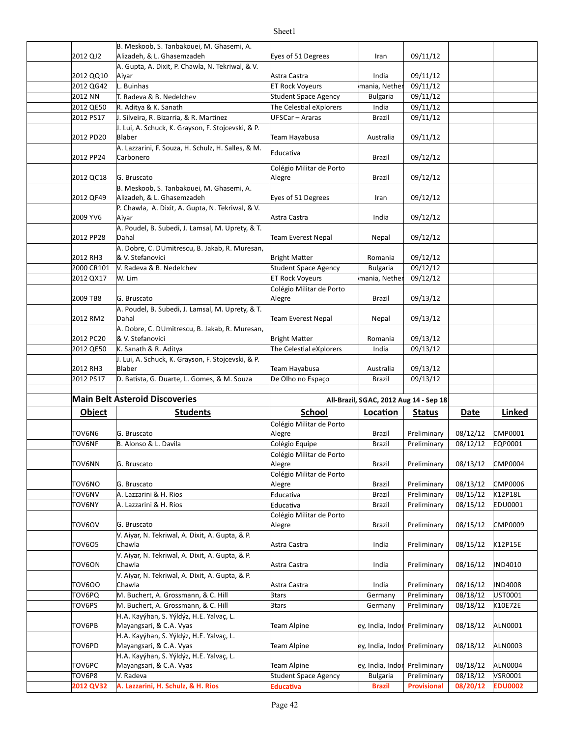|                     | B. Meskoob, S. Tanbakouei, M. Ghasemi, A.          |                                          |                                        |                                   |                      |                           |
|---------------------|----------------------------------------------------|------------------------------------------|----------------------------------------|-----------------------------------|----------------------|---------------------------|
| 2012 QJ2            | Alizadeh, & L. Ghasemzadeh                         | Eyes of 51 Degrees                       | Iran                                   | 09/11/12                          |                      |                           |
|                     | A. Gupta, A. Dixit, P. Chawla, N. Tekriwal, & V.   |                                          |                                        |                                   |                      |                           |
| 2012 QQ10           | Aiyar                                              | Astra Castra                             | India                                  | 09/11/12                          |                      |                           |
| 2012 QG42           | L. Buinhas                                         | <b>ET Rock Voyeurs</b>                   | mania, Nether                          | 09/11/12                          |                      |                           |
| 2012 NN             | T. Radeva & B. Nedelchev                           | Student Space Agency                     | <b>Bulgaria</b>                        | 09/11/12                          |                      |                           |
| 2012 QE50           | R. Aditya & K. Sanath                              | The Celestial eXplorers                  | India                                  | 09/11/12                          |                      |                           |
|                     |                                                    |                                          |                                        |                                   |                      |                           |
| 2012 PS17           | J. Silveira, R. Bizarria, & R. Martinez            | UFSCar - Araras                          | <b>Brazil</b>                          | 09/11/12                          |                      |                           |
|                     | J. Lui, A. Schuck, K. Grayson, F. Stojcevski, & P. |                                          |                                        |                                   |                      |                           |
| 2012 PD20           | Blaber                                             | Team Hayabusa                            | Australia                              | 09/11/12                          |                      |                           |
|                     | A. Lazzarini, F. Souza, H. Schulz, H. Salles, & M. | Educativa                                |                                        |                                   |                      |                           |
| 2012 PP24           | Carbonero                                          |                                          | Brazil                                 | 09/12/12                          |                      |                           |
|                     |                                                    | Colégio Militar de Porto                 |                                        |                                   |                      |                           |
| 2012 QC18           | G. Bruscato                                        | Alegre                                   | Brazil                                 | 09/12/12                          |                      |                           |
|                     | B. Meskoob, S. Tanbakouei, M. Ghasemi, A.          |                                          |                                        |                                   |                      |                           |
| 2012 QF49           | Alizadeh, & L. Ghasemzadeh                         | Eyes of 51 Degrees                       | Iran                                   | 09/12/12                          |                      |                           |
|                     | P. Chawla, A. Dixit, A. Gupta, N. Tekriwal, & V.   |                                          |                                        |                                   |                      |                           |
| 2009 YV6            | Aiyar                                              | Astra Castra                             | India                                  | 09/12/12                          |                      |                           |
|                     |                                                    |                                          |                                        |                                   |                      |                           |
|                     | A. Poudel, B. Subedi, J. Lamsal, M. Uprety, & T.   |                                          |                                        |                                   |                      |                           |
| 2012 PP28           | Dahal                                              | <b>Team Everest Nepal</b>                | Nepal                                  | 09/12/12                          |                      |                           |
|                     | A. Dobre, C. DUmitrescu, B. Jakab, R. Muresan,     |                                          |                                        |                                   |                      |                           |
| 2012 RH3            | & V. Stefanovici                                   | <b>Bright Matter</b>                     | Romania                                | 09/12/12                          |                      |                           |
| 2000 CR101          | V. Radeva & B. Nedelchev                           | Student Space Agency                     | <b>Bulgaria</b>                        | 09/12/12                          |                      |                           |
| 2012 QX17           | W. Lim                                             | <b>ET Rock Voyeurs</b>                   | mania, Nether                          | 09/12/12                          |                      |                           |
|                     |                                                    | Colégio Militar de Porto                 |                                        |                                   |                      |                           |
| 2009 TB8            | G. Bruscato                                        | Alegre                                   | <b>Brazil</b>                          | 09/13/12                          |                      |                           |
|                     |                                                    |                                          |                                        |                                   |                      |                           |
|                     | A. Poudel, B. Subedi, J. Lamsal, M. Uprety, & T.   |                                          |                                        |                                   |                      |                           |
| 2012 RM2            | Dahal                                              | <b>Team Everest Nepal</b>                | Nepal                                  | 09/13/12                          |                      |                           |
|                     | A. Dobre, C. DUmitrescu, B. Jakab, R. Muresan,     |                                          |                                        |                                   |                      |                           |
| 2012 PC20           | & V. Stefanovici                                   | <b>Bright Matter</b>                     | Romania                                | 09/13/12                          |                      |                           |
| 2012 QE50           | K. Sanath & R. Aditya                              | The Celestial eXplorers                  | India                                  | 09/13/12                          |                      |                           |
|                     | J. Lui, A. Schuck, K. Grayson, F. Stojcevski, & P. |                                          |                                        |                                   |                      |                           |
|                     |                                                    |                                          |                                        |                                   |                      |                           |
| 2012 RH3            | Blaber                                             | Team Hayabusa                            | Australia                              | 09/13/12                          |                      |                           |
| 2012 PS17           |                                                    | De Olho no Espaço                        | <b>Brazil</b>                          |                                   |                      |                           |
|                     | D. Batista, G. Duarte, L. Gomes, & M. Souza        |                                          |                                        | 09/13/12                          |                      |                           |
|                     |                                                    |                                          |                                        |                                   |                      |                           |
|                     | <b>Main Belt Asteroid Discoveries</b>              |                                          | All-Brazil, SGAC, 2012 Aug 14 - Sep 18 |                                   |                      |                           |
| <b>Object</b>       | <b>Students</b>                                    | <b>School</b>                            | Location                               | <b>Status</b>                     | Date                 | Linked                    |
|                     |                                                    | Colégio Militar de Porto                 |                                        |                                   |                      |                           |
| TOV6N6              | G. Bruscato                                        | Alegre                                   | <b>Brazil</b>                          | Preliminary                       | 08/12/12             | CMP0001                   |
| TOV6NF              | B. Alonso & L. Davila                              | Colégio Equipe                           | <b>Brazil</b>                          | Preliminary                       | 08/12/12             | EQP0001                   |
|                     |                                                    |                                          |                                        |                                   |                      |                           |
|                     |                                                    | Colégio Militar de Porto                 |                                        |                                   |                      |                           |
| TOV6NN              | G. Bruscato                                        | Alegre                                   | <b>Brazil</b>                          | Preliminary                       | 08/13/12             | <b>CMP0004</b>            |
|                     |                                                    | Colégio Militar de Porto                 |                                        |                                   |                      |                           |
| TOV6NO              | G. Bruscato                                        | Alegre                                   | <b>Brazil</b>                          | Preliminary                       | 08/13/12             | <b>CMP0006</b>            |
| TOV6NV              | A. Lazzarini & H. Rios                             | Educativa                                | Brazil                                 | Preliminary                       | 08/15/12             | K12P18L                   |
| TOV6NY              | A. Lazzarini & H. Rios                             | Educativa                                | Brazil                                 | Preliminary                       | 08/15/12             | EDU0001                   |
|                     |                                                    | Colégio Militar de Porto                 |                                        |                                   |                      |                           |
| TOV6OV              | G. Bruscato                                        | Alegre                                   | <b>Brazil</b>                          | Preliminary                       | 08/15/12             | CMP0009                   |
|                     | V. Aiyar, N. Tekriwal, A. Dixit, A. Gupta, & P.    |                                          |                                        |                                   |                      |                           |
| TOV605              | Chawla                                             | Astra Castra                             | India                                  | Preliminary                       | 08/15/12             | K12P15E                   |
|                     |                                                    |                                          |                                        |                                   |                      |                           |
|                     | V. Aiyar, N. Tekriwal, A. Dixit, A. Gupta, & P.    |                                          |                                        |                                   |                      |                           |
| TOV6ON              | Chawla                                             | Astra Castra                             | India                                  | Preliminary                       | 08/16/12             | IND4010                   |
|                     | V. Aiyar, N. Tekriwal, A. Dixit, A. Gupta, & P.    |                                          |                                        |                                   |                      |                           |
| <b>TOV600</b>       | Chawla                                             | Astra Castra                             | India                                  | Preliminary                       | 08/16/12             | <b>IND4008</b>            |
| TOV6PQ              | M. Buchert, A. Grossmann, & C. Hill                | 3tars                                    | Germany                                | Preliminary                       | 08/18/12             | UST0001                   |
| TOV6PS              | M. Buchert, A. Grossmann, & C. Hill                | 3tars                                    | Germany                                | Preliminary                       | 08/18/12             | K10E72E                   |
|                     | H.A. Kayýhan, S. Yýldýz, H.E. Yalvaç, L.           |                                          |                                        |                                   |                      |                           |
| TOV6PB              | Mayangsari, & C.A. Vyas                            | Team Alpine                              | ey, India, Indor                       | Preliminary                       | 08/18/12             | ALN0001                   |
|                     |                                                    |                                          |                                        |                                   |                      |                           |
| TOV6PD              | H.A. Kayýhan, S. Yýldýz, H.E. Yalvaç, L.           | <b>Team Alpine</b>                       | ey, India, Indor Preliminary           |                                   | 08/18/12             | ALN0003                   |
|                     | Mayangsari, & C.A. Vyas                            |                                          |                                        |                                   |                      |                           |
|                     | H.A. Kayýhan, S. Yýldýz, H.E. Yalvaç, L.           |                                          |                                        |                                   |                      |                           |
| TOV6PC              | Mayangsari, & C.A. Vyas                            | <b>Team Alpine</b>                       | ey, India, Indor                       | Preliminary                       | 08/18/12             | <b>ALN0004</b>            |
| TOV6P8<br>2012 QV32 | V. Radeva<br>A. Lazzarini, H. Schulz, & H. Rios    | Student Space Agency<br><b>Educativa</b> | <b>Bulgaria</b><br><b>Brazil</b>       | Preliminary<br><b>Provisional</b> | 08/18/12<br>08/20/12 | VSR0001<br><b>EDU0002</b> |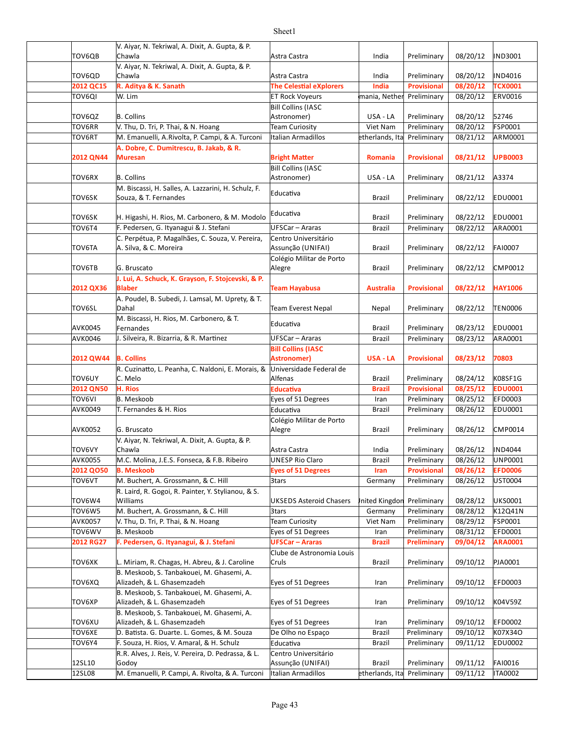| TOV6QB        | V. Aiyar, N. Tekriwal, A. Dixit, A. Gupta, & P.<br>Chawla                                 | Astra Castra                   | India            | Preliminary        | 08/20/12          | <b>IND3001</b> |
|---------------|-------------------------------------------------------------------------------------------|--------------------------------|------------------|--------------------|-------------------|----------------|
|               | V. Aiyar, N. Tekriwal, A. Dixit, A. Gupta, & P.                                           |                                |                  |                    |                   |                |
| TOV6QD        | Chawla                                                                                    | Astra Castra                   | India            | Preliminary        | 08/20/12          | <b>IND4016</b> |
| 2012 QC15     | R. Aditya & K. Sanath                                                                     | <b>The Celestial eXplorers</b> | India            | <b>Provisional</b> | 08/20/12          | <b>TCX0001</b> |
| <b>TOV6QI</b> | W. Lim                                                                                    | <b>ET Rock Voyeurs</b>         | mania, Nether    | Preliminary        | 08/20/12          | <b>ERV0016</b> |
|               |                                                                                           | <b>Bill Collins (IASC</b>      |                  |                    |                   |                |
| TOV6QZ        | <b>B.</b> Collins                                                                         | Astronomer)                    | USA - LA         | Preliminary        | 08/20/12          | 52746          |
| TOV6RR        | V. Thu, D. Tri, P. Thai, & N. Hoang                                                       | Team Curiosity                 | Viet Nam         | Preliminary        | 08/20/12          | <b>FSP0001</b> |
| TOV6RT        | M. Emanuelli, A.Rivolta, P. Campi, & A. Turconi                                           | Italian Armadillos             | etherlands, Ital | Preliminary        | 08/21/12          | ARM0001        |
|               | A. Dobre, C. Dumitrescu, B. Jakab, & R.                                                   |                                |                  |                    |                   |                |
| 2012 QN44     | <b>Muresan</b>                                                                            | <b>Bright Matter</b>           | Romania          | <b>Provisional</b> | 08/21/12          | <b>UPB0003</b> |
|               |                                                                                           | <b>Bill Collins (IASC</b>      |                  |                    |                   |                |
| TOV6RX        | <b>B.</b> Collins                                                                         | Astronomer)                    | USA - LA         | Preliminary        | 08/21/12          | A3374          |
|               | M. Biscassi, H. Salles, A. Lazzarini, H. Schulz, F.                                       | Educativa                      |                  |                    |                   |                |
| TOV6SK        | Souza, & T. Fernandes                                                                     |                                | Brazil           | Preliminary        | 08/22/12          | <b>EDU0001</b> |
| TOV6SK        | H. Higashi, H. Rios, M. Carbonero, & M. Modolo                                            | Educativa                      | Brazil           | Preliminary        | 08/22/12          | <b>EDU0001</b> |
| TOV6T4        | F. Pedersen, G. Ityanagui & J. Stefani                                                    | UFSCar - Araras                | <b>Brazil</b>    | Preliminary        | 08/22/12          | ARA0001        |
|               | C. Perpétua, P. Magalhães, C. Souza, V. Pereira,                                          | Centro Universitário           |                  |                    |                   |                |
| TOV6TA        | A. Silva, & C. Moreira                                                                    | Assunção (UNIFAI)              | Brazil           | Preliminary        | 08/22/12          | <b>FAI0007</b> |
|               |                                                                                           | Colégio Militar de Porto       |                  |                    |                   |                |
| TOV6TB        | G. Bruscato                                                                               | Alegre                         | Brazil           | Preliminary        | 08/22/12          | CMP0012        |
|               | J. Lui, A. Schuck, K. Grayson, F. Stojcevski, & P.                                        |                                |                  |                    |                   |                |
| 2012 QX36     | <b>Blaber</b>                                                                             | <b>Team Hayabusa</b>           | <b>Australia</b> | <b>Provisional</b> | 08/22/12          | <b>HAY1006</b> |
|               | A. Poudel, B. Subedi, J. Lamsal, M. Uprety, & T.                                          |                                |                  |                    |                   |                |
| TOV6SL        | Dahal                                                                                     | <b>Team Everest Nepal</b>      | Nepal            | Preliminary        | 08/22/12          | <b>TEN0006</b> |
|               | M. Biscassi, H. Rios, M. Carbonero, & T.                                                  |                                |                  |                    |                   |                |
| AVK0045       | Fernandes                                                                                 | Educativa                      | Brazil           | Preliminary        | 08/23/12          | <b>EDU0001</b> |
| AVK0046       | J. Silveira, R. Bizarria, & R. Martinez                                                   | UFSCar - Araras                | <b>Brazil</b>    | Preliminary        | 08/23/12          | ARA0001        |
|               |                                                                                           | <b>Bill Collins (IASC</b>      |                  |                    |                   |                |
| 2012 QW44     | <b>B. Collins</b>                                                                         | <b>Astronomer)</b>             | USA - LA         | <b>Provisional</b> | 08/23/12          | 70803          |
|               | R. Cuzinatto, L. Peanha, C. Naldoni, E. Morais, &                                         | Universidade Federal de        |                  |                    |                   |                |
| TOV6UY        | C. Melo                                                                                   | Alfenas                        | Brazil           | Preliminary        | 08/24/12          | K08SF1G        |
| 2012 QN50     | H. Rios                                                                                   | <b>Educativa</b>               | <b>Brazil</b>    | <b>Provisional</b> | 08/25/12          | <b>EDU0001</b> |
| TOV6VI        | B. Meskoob                                                                                | Eyes of 51 Degrees             | Iran             | Preliminary        | 08/25/12          | <b>EFD0003</b> |
| AVK0049       | T. Fernandes & H. Rios                                                                    | Educativa                      | Brazil           | Preliminary        | 08/26/12          | <b>EDU0001</b> |
|               |                                                                                           | Colégio Militar de Porto       |                  |                    |                   |                |
| AVK0052       | G. Bruscato                                                                               | Alegre                         | Brazil           | Preliminary        | 08/26/12          | <b>CMP0014</b> |
|               | V. Aiyar, N. Tekriwal, A. Dixit, A. Gupta, & P.                                           |                                |                  |                    |                   |                |
| TOV6VY        | Chawla                                                                                    | Astra Castra                   | India            | Preliminary        | 08/26/12  IND4044 |                |
| AVK0055       | M.C. Molina, J.E.S. Fonseca, & F.B. Ribeiro                                               | <b>UNESP Rio Claro</b>         | Brazil           | Preliminary        | 08/26/12          | UNP0001        |
| 2012 QO50     | <b>B. Meskoob</b>                                                                         | <b>Eyes of 51 Degrees</b>      | Iran             | <b>Provisional</b> | 08/26/12          | <b>EFD0006</b> |
| TOV6VT        | M. Buchert, A. Grossmann, & C. Hill<br>R. Laird, R. Gogoi, R. Painter, Y. Stylianou, & S. | 3tars                          | Germany          | Preliminary        | 08/26/12          | UST0004        |
| TOV6W4        | Williams                                                                                  | <b>UKSEDS Asteroid Chasers</b> | Inited Kingdon   | Preliminary        | 08/28/12          | <b>UKS0001</b> |
| TOV6W5        | M. Buchert, A. Grossmann, & C. Hill                                                       | 3tars                          | Germany          | Preliminary        | 08/28/12          | K12Q41N        |
| AVK0057       | V. Thu, D. Tri, P. Thai, & N. Hoang                                                       | Team Curiosity                 | Viet Nam         | Preliminary        | 08/29/12          | <b>FSP0001</b> |
| TOV6WV        | <b>B.</b> Meskoob                                                                         | Eyes of 51 Degrees             | Iran             | Preliminary        | 08/31/12          | <b>EFD0001</b> |
| 2012 RG27     | F. Pedersen, G. Ityanagui, & J. Stefani                                                   | <b>UFSCar - Araras</b>         | <b>Brazil</b>    | Preliminary        | 09/04/12          | <b>ARA0001</b> |
|               |                                                                                           | Clube de Astronomia Louis      |                  |                    |                   |                |
| TOV6XK        | L. Miriam, R. Chagas, H. Abreu, & J. Caroline                                             | Cruls                          | Brazil           | Preliminary        | 09/10/12          | PJA0001        |
|               | B. Meskoob, S. Tanbakouei, M. Ghasemi, A.                                                 |                                |                  |                    |                   |                |
| TOV6XQ        | Alizadeh, & L. Ghasemzadeh                                                                | Eyes of 51 Degrees             | Iran             | Preliminary        | 09/10/12          | <b>EFD0003</b> |
|               | B. Meskoob, S. Tanbakouei, M. Ghasemi, A.                                                 |                                |                  |                    |                   |                |
| TOV6XP        | Alizadeh, & L. Ghasemzadeh                                                                | Eyes of 51 Degrees             | Iran             | Preliminary        | 09/10/12          | K04V59Z        |
|               | B. Meskoob, S. Tanbakouei, M. Ghasemi, A.                                                 |                                |                  |                    |                   |                |
| TOV6XU        | Alizadeh, & L. Ghasemzadeh                                                                | Eyes of 51 Degrees             | Iran             | Preliminary        | 09/10/12          | <b>EFD0002</b> |
| TOV6XE        | D. Batista. G. Duarte. L. Gomes, & M. Souza                                               | De Olho no Espaço              | <b>Brazil</b>    | Preliminary        | 09/10/12          | K07X34O        |
| TOV6Y4        | F. Souza, H. Rios, V. Amaral, & H. Schulz                                                 | Educativa                      | Brazil           | Preliminary        | 09/11/12          | <b>EDU0002</b> |
|               | R.R. Alves, J. Reis, V. Pereira, D. Pedrassa, & L.                                        | Centro Universitário           |                  |                    |                   |                |
| 12SL10        | Godoy                                                                                     | Assunção (UNIFAI)              | Brazil           | Preliminary        | 09/11/12          | <b>FAI0016</b> |
| 12SL08        | M. Emanuelli, P. Campi, A. Rivolta, & A. Turconi                                          | Italian Armadillos             | etherlands, Ita  | Preliminary        | 09/11/12          | <b>ITA0002</b> |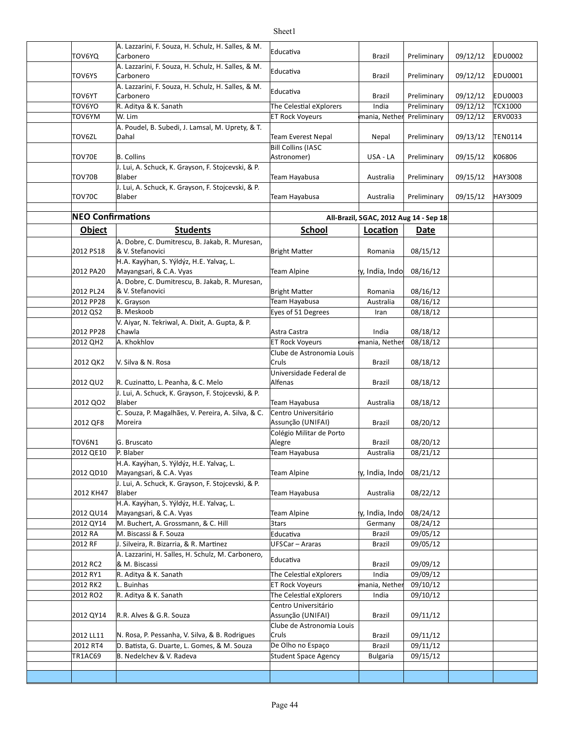| TOV6YQ                   | A. Lazzarini, F. Souza, H. Schulz, H. Salles, & M.<br>Carbonero     | Educativa                                 | <b>Brazil</b>                          | Preliminary | 09/12/12 | <b>EDU0002</b> |
|--------------------------|---------------------------------------------------------------------|-------------------------------------------|----------------------------------------|-------------|----------|----------------|
| TOV6YS                   | A. Lazzarini, F. Souza, H. Schulz, H. Salles, & M.<br>Carbonero     | Educativa                                 | <b>Brazil</b>                          | Preliminary | 09/12/12 | EDU0001        |
| TOV6YT                   | A. Lazzarini, F. Souza, H. Schulz, H. Salles, & M.<br>Carbonero     | Educativa                                 | Brazil                                 | Preliminary | 09/12/12 | <b>EDU0003</b> |
| TOV6YO                   | R. Aditya & K. Sanath                                               | The Celestial eXplorers                   | India                                  | Preliminary | 09/12/12 | TCX1000        |
| TOV6YM                   | W. Lim                                                              | <b>ET Rock Voyeurs</b>                    | mania, Nether                          | Preliminary | 09/12/12 | ERV0033        |
| TOV6ZL                   | A. Poudel, B. Subedi, J. Lamsal, M. Uprety, & T.<br>Dahal           | <b>Team Everest Nepal</b>                 | Nepal                                  | Preliminary | 09/13/12 | <b>TEN0114</b> |
|                          |                                                                     | Bill Collins (IASC                        |                                        |             |          |                |
| TOV70E                   | <b>B. Collins</b>                                                   | Astronomer)                               | USA - LA                               | Preliminary | 09/15/12 | K06806         |
| TOV70B                   | J. Lui, A. Schuck, K. Grayson, F. Stojcevski, & P.<br>Blaber        | Team Hayabusa                             | Australia                              | Preliminary | 09/15/12 | HAY3008        |
| TOV70C                   | J. Lui, A. Schuck, K. Grayson, F. Stojcevski, & P.<br>Blaber        | Team Hayabusa                             | Australia                              | Preliminary | 09/15/12 | HAY3009        |
| <b>NEO Confirmations</b> |                                                                     |                                           | All-Brazil, SGAC, 2012 Aug 14 - Sep 18 |             |          |                |
| <b>Object</b>            | <b>Students</b>                                                     | <b>School</b>                             | Location                               | Date        |          |                |
|                          |                                                                     |                                           |                                        |             |          |                |
| 2012 PS18                | A. Dobre, C. Dumitrescu, B. Jakab, R. Muresan,<br>& V. Stefanovici  | <b>Bright Matter</b>                      | Romania                                | 08/15/12    |          |                |
| 2012 PA20                | H.A. Kayýhan, S. Yýldýz, H.E. Yalvaç, L.<br>Mayangsari, & C.A. Vyas | <b>Team Alpine</b>                        | v, India, Indol                        | 08/16/12    |          |                |
| 2012 PL24                | A. Dobre, C. Dumitrescu, B. Jakab, R. Muresan,<br>& V. Stefanovici  | <b>Bright Matter</b>                      | Romania                                | 08/16/12    |          |                |
|                          |                                                                     | Team Hayabusa                             |                                        |             |          |                |
| 2012 PP28                | K. Grayson                                                          |                                           | Australia                              | 08/16/12    |          |                |
| 2012 QS2                 | <b>B.</b> Meskoob                                                   | Eyes of 51 Degrees                        | Iran                                   | 08/18/12    |          |                |
| 2012 PP28                | V. Aiyar, N. Tekriwal, A. Dixit, A. Gupta, & P.<br>Chawla           | Astra Castra                              | India                                  | 08/18/12    |          |                |
| 2012 QH2                 | A. Khokhlov                                                         | <b>ET Rock Voyeurs</b>                    | mania, Nether                          | 08/18/12    |          |                |
| 2012 QK2                 | V. Silva & N. Rosa                                                  | Clube de Astronomia Louis<br>Cruls        | <b>Brazil</b>                          | 08/18/12    |          |                |
|                          |                                                                     | Universidade Federal de                   |                                        |             |          |                |
| 2012 QU2                 | R. Cuzinatto, L. Peanha, & C. Melo                                  | Alfenas                                   | Brazil                                 | 08/18/12    |          |                |
| 2012 QO2                 | J. Lui, A. Schuck, K. Grayson, F. Stojcevski, & P.<br>Blaber        | Team Hayabusa                             | Australia                              | 08/18/12    |          |                |
|                          | C. Souza, P. Magalhães, V. Pereira, A. Silva, & C.                  | Centro Universitário                      |                                        |             |          |                |
| 2012 QF8                 | Moreira                                                             | Assunção (UNIFAI)                         | Brazil                                 | 08/20/12    |          |                |
| TOV6N1                   | G. Bruscato                                                         | Colégio Militar de Porto<br>Alegre        | Brazil                                 | 08/20/12    |          |                |
| 2012 QE10                | P. Blaber                                                           | Team Hayabusa                             | Australia                              | 08/21/12    |          |                |
|                          | H.A. Kayýhan, S. Yýldýz, H.E. Yalvaç, L.                            |                                           |                                        |             |          |                |
| 2012 QD10                | Mayangsari, & C.A. Vyas                                             | <b>Team Alpine</b>                        | y, India, Indo                         | 08/21/12    |          |                |
| 2012 KH47                | J. Lui, A. Schuck, K. Grayson, F. Stojcevski, & P.<br>Blaber        | Team Hayabusa                             | Australia                              | 08/22/12    |          |                |
| 2012 QU14                | H.A. Kayýhan, S. Yýldýz, H.E. Yalvaç, L.<br>Mayangsari, & C.A. Vyas | <b>Team Alpine</b>                        | y, India, Indo                         | 08/24/12    |          |                |
| 2012 QY14                | M. Buchert, A. Grossmann, & C. Hill                                 | 3tars                                     | Germany                                | 08/24/12    |          |                |
| 2012 RA                  | M. Biscassi & F. Souza                                              | Educativa                                 | Brazil                                 | 09/05/12    |          |                |
| 2012 RF                  | J. Silveira, R. Bizarria, & R. Martinez                             | UFSCar - Araras                           | Brazil                                 | 09/05/12    |          |                |
|                          | A. Lazzarini, H. Salles, H. Schulz, M. Carbonero,                   |                                           |                                        |             |          |                |
| 2012 RC2                 | & M. Biscassi                                                       | Educativa                                 | Brazil                                 | 09/09/12    |          |                |
| 2012 RY1                 | R. Aditya & K. Sanath                                               | The Celestial eXplorers                   | India                                  | 09/09/12    |          |                |
| 2012 RK2                 | L. Buinhas                                                          | <b>ET Rock Voyeurs</b>                    | mania, Nether                          | 09/10/12    |          |                |
| 2012 RO2                 | R. Aditya & K. Sanath                                               | The Celestial eXplorers                   | India                                  | 09/10/12    |          |                |
| 2012 QY14                | R.R. Alves & G.R. Souza                                             | Centro Universitário<br>Assunção (UNIFAI) | Brazil                                 | 09/11/12    |          |                |
|                          |                                                                     | Clube de Astronomia Louis                 |                                        |             |          |                |
| 2012 LL11                | N. Rosa, P. Pessanha, V. Silva, & B. Rodrigues                      | Cruls                                     | Brazil                                 | 09/11/12    |          |                |
| 2012 RT4                 | D. Batista, G. Duarte, L. Gomes, & M. Souza                         | De Olho no Espaço                         | Brazil                                 | 09/11/12    |          |                |
| TR1AC69                  | B. Nedelchev & V. Radeva                                            | Student Space Agency                      | <b>Bulgaria</b>                        | 09/15/12    |          |                |
|                          |                                                                     |                                           |                                        |             |          |                |
|                          |                                                                     |                                           |                                        |             |          |                |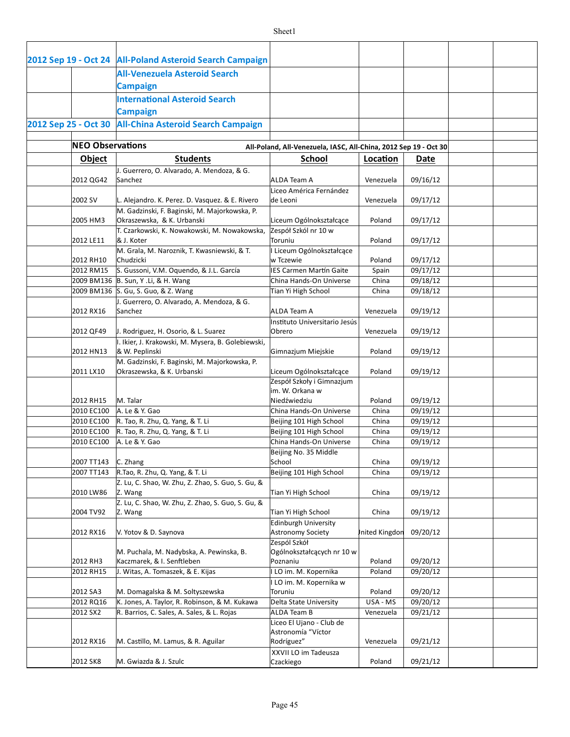|                          | 2012 Sep 19 - Oct 24   All-Poland Asteroid Search Campaign                                  |                                                                  |                       |                      |  |
|--------------------------|---------------------------------------------------------------------------------------------|------------------------------------------------------------------|-----------------------|----------------------|--|
|                          | <b>All-Venezuela Asteroid Search</b>                                                        |                                                                  |                       |                      |  |
|                          | <b>Campaign</b>                                                                             |                                                                  |                       |                      |  |
|                          | <b>International Asteroid Search</b>                                                        |                                                                  |                       |                      |  |
|                          | <b>Campaign</b>                                                                             |                                                                  |                       |                      |  |
|                          | 2012 Sep 25 - Oct 30 All-China Asteroid Search Campaign                                     |                                                                  |                       |                      |  |
|                          |                                                                                             |                                                                  |                       |                      |  |
| <b>NEO Observations</b>  |                                                                                             | All-Poland, All-Venezuela, IASC, All-China, 2012 Sep 19 - Oct 30 |                       |                      |  |
| <b>Object</b>            | <b>Students</b>                                                                             | <b>School</b>                                                    | Location              | Date                 |  |
|                          | J. Guerrero, O. Alvarado, A. Mendoza, & G.                                                  |                                                                  |                       |                      |  |
| 2012 QG42                | Sanchez                                                                                     | <b>ALDA Team A</b><br>Liceo América Fernández                    | Venezuela             | 09/16/12             |  |
| 2002 SV                  | L. Alejandro. K. Perez. D. Vasquez. & E. Rivero                                             | de Leoni                                                         | Venezuela             | 09/17/12             |  |
|                          | M. Gadzinski, F. Baginski, M. Majorkowska, P.                                               |                                                                  |                       |                      |  |
| 2005 HM3                 | Okraszewska, & K. Urbanski                                                                  | Liceum Ogólnokształcące                                          | Poland                | 09/17/12             |  |
|                          | T. Czarkowski, K. Nowakowski, M. Nowakowska,                                                | Zespół Szkól nr 10 w                                             |                       |                      |  |
| 2012 LE11                | & J. Koter<br>M. Grala, M. Naroznik, T. Kwasniewski, & T.                                   | Toruniu<br>I Liceum Ogólnokształcące                             | Poland                | 09/17/12             |  |
| 2012 RH10                | Chudzicki                                                                                   | w Tczewie                                                        | Poland                | 09/17/12             |  |
| 2012 RM15                | S. Gussoni, V.M. Oquendo, & J.L. García                                                     | IES Carmen Martín Gaite                                          | Spain                 | 09/17/12             |  |
|                          | 2009 BM136 B. Sun, Y.Li, & H. Wang                                                          | China Hands-On Universe                                          | China                 | 09/18/12             |  |
|                          | 2009 BM136 S. Gu, S. Guo, & Z. Wang                                                         | Tian Yi High School                                              | China                 | 09/18/12             |  |
| 2012 RX16                | J. Guerrero, O. Alvarado, A. Mendoza, & G.<br>Sanchez                                       | <b>ALDA Team A</b>                                               | Venezuela             | 09/19/12             |  |
|                          |                                                                                             | Instituto Universitario Jesús                                    |                       |                      |  |
| 2012 QF49                | J. Rodriguez, H. Osorio, & L. Suarez                                                        | Obrero                                                           | Venezuela             | 09/19/12             |  |
|                          | I. Ikier, J. Krakowski, M. Mysera, B. Golebiewski,                                          |                                                                  |                       |                      |  |
| 2012 HN13                | & W. Peplinski                                                                              | Gimnazjum Miejskie                                               | Poland                | 09/19/12             |  |
| 2011 LX10                | M. Gadzinski, F. Baginski, M. Majorkowska, P.<br>Okraszewska, & K. Urbanski                 | Liceum Ogólnokształcące                                          | Poland                | 09/19/12             |  |
|                          |                                                                                             | Zespół Szkoły i Gimnazjum                                        |                       |                      |  |
|                          |                                                                                             | im. W. Orkana w                                                  |                       |                      |  |
| 2012 RH15                | M. Talar                                                                                    | Niedźwiedziu                                                     | Poland                | 09/19/12             |  |
| 2010 EC100<br>2010 EC100 | A. Le & Y. Gao<br>R. Tao, R. Zhu, Q. Yang, & T. Li                                          | China Hands-On Universe<br>Beijing 101 High School               | China<br>China        | 09/19/12<br>09/19/12 |  |
| 2010 EC100               | R. Tao, R. Zhu, Q. Yang, & T. Li                                                            | Beijing 101 High School                                          | China                 | 09/19/12             |  |
| 2010 EC100               | A. Le & Y. Gao                                                                              | China Hands-On Universe                                          | China                 | 09/19/12             |  |
|                          |                                                                                             | Beijing No. 35 Middle                                            |                       |                      |  |
| 2007 TT143               | C. Zhang                                                                                    | School                                                           | China                 | 09/19/12             |  |
| 2007 TT143               | R.Tao, R. Zhu, Q. Yang, & T. Li                                                             | Beijing 101 High School                                          | China                 | 09/19/12             |  |
| 2010 LW86                | Z. Lu, C. Shao, W. Zhu, Z. Zhao, S. Guo, S. Gu, &<br>Z. Wang                                | Tian Yi High School                                              | China                 | 09/19/12             |  |
|                          | Z. Lu, C. Shao, W. Zhu, Z. Zhao, S. Guo, S. Gu, &                                           |                                                                  |                       |                      |  |
| 2004 TV92                | Z. Wang                                                                                     | Tian Yi High School                                              | China                 | 09/19/12             |  |
|                          |                                                                                             | Edinburgh University                                             |                       |                      |  |
| 2012 RX16                | V. Yotov & D. Saynova                                                                       | Astronomy Society                                                | Inited Kingdon        | 09/20/12             |  |
|                          | M. Puchala, M. Nadybska, A. Pewinska, B.                                                    | Zespól Szkół<br>Ogólnokształcących nr 10 w                       |                       |                      |  |
| 2012 RH3                 | Kaczmarek, & I. Senftleben                                                                  | Poznaniu                                                         | Poland                | 09/20/12             |  |
| 2012 RH15                | J. Witas, A. Tomaszek, & E. Kijas                                                           | I LO im. M. Kopernika                                            | Poland                | 09/20/12             |  |
|                          |                                                                                             | I LO im. M. Kopernika w                                          |                       |                      |  |
| 2012 SA3                 | M. Domagalska & M. Soltyszewska                                                             | Toruniu                                                          | Poland                | 09/20/12             |  |
| 2012 RQ16<br>2012 SX2    | K. Jones, A. Taylor, R. Robinson, & M. Kukawa<br>R. Barrios, C. Sales, A. Sales, & L. Rojas | Delta State University<br>ALDA Team B                            | USA - MS<br>Venezuela | 09/20/12<br>09/21/12 |  |
|                          |                                                                                             | Liceo El Ujano - Club de                                         |                       |                      |  |
|                          |                                                                                             | Astronomía "Víctor                                               |                       |                      |  |
| 2012 RX16                | M. Castillo, M. Lamus, & R. Aguilar                                                         | Rodríguez"                                                       | Venezuela             | 09/21/12             |  |
|                          |                                                                                             | XXVII LO im Tadeusza                                             |                       |                      |  |
| 2012 SK8                 | M. Gwiazda & J. Szulc                                                                       | Czackiego                                                        | Poland                | 09/21/12             |  |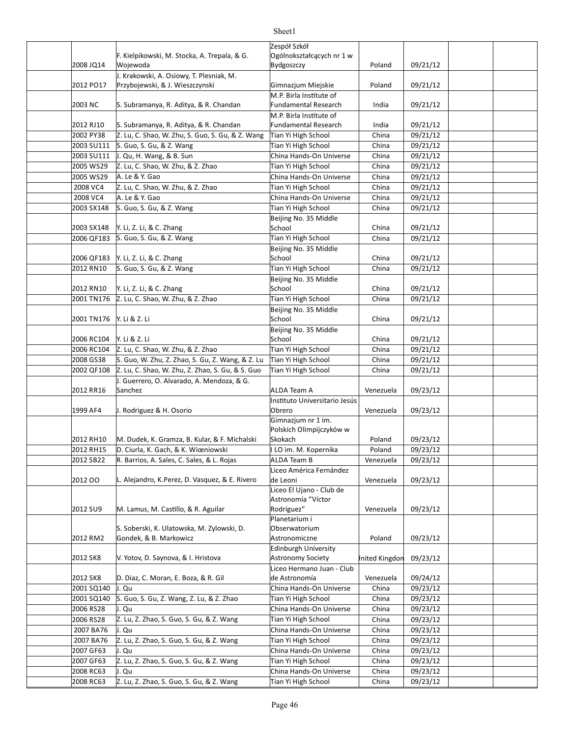| 2008 JQ14               | F. Kielpikowski, M. Stocka, A. Trepala, & G.<br>Wojewoda                     | Zespół Szkół<br>Ogólnokształcących nr 1 w<br>Bydgoszczy            | Poland         | 09/21/12             |  |
|-------------------------|------------------------------------------------------------------------------|--------------------------------------------------------------------|----------------|----------------------|--|
|                         | J. Krakowski, A. Osiowy, T. Plesniak, M.                                     |                                                                    |                |                      |  |
| 2012 PO17               | Przybojewski, & J. Wieszczynski                                              | Gimnazjum Miejskie                                                 | Poland         | 09/21/12             |  |
| 2003 NC                 | S. Subramanya, R. Aditya, & R. Chandan                                       | M.P. Birla Institute of<br><b>Fundamental Research</b>             | India          | 09/21/12             |  |
|                         |                                                                              | M.P. Birla Institute of                                            |                |                      |  |
| 2012 RJ10               | S. Subramanya, R. Aditya, & R. Chandan                                       | <b>Fundamental Research</b>                                        | India          | 09/21/12             |  |
| 2002 PY38<br>2003 SU111 | Z. Lu, C. Shao, W. Zhu, S. Guo, S. Gu, & Z. Wang<br>S. Guo, S. Gu, & Z. Wang | Tian Yi High School                                                | China<br>China | 09/21/12<br>09/21/12 |  |
|                         |                                                                              | Tian Yi High School                                                |                |                      |  |
| 2003 SU111<br>2005 WS29 | J. Qu, H. Wang, & B. Sun                                                     | China Hands-On Universe                                            | China<br>China | 09/21/12             |  |
| 2005 WS29               | Z. Lu, C. Shao, W. Zhu, & Z. Zhao<br>A. Le & Y. Gao                          | Tian Yi High School<br>China Hands-On Universe                     | China          | 09/21/12             |  |
|                         |                                                                              |                                                                    |                | 09/21/12             |  |
| 2008 VC4<br>2008 VC4    | Z. Lu, C. Shao, W. Zhu, & Z. Zhao<br>A. Le & Y. Gao                          | Tian Yi High School<br>China Hands-On Universe                     | China<br>China | 09/21/12<br>09/21/12 |  |
| 2003 SX148              |                                                                              | Tian Yi High School                                                | China          | 09/21/12             |  |
|                         | S. Guo, S. Gu, & Z. Wang                                                     | Beijing No. 35 Middle                                              |                |                      |  |
| 2003 SX148              | Y. Li, Z. Li, & C. Zhang                                                     | School                                                             | China          | 09/21/12             |  |
| 2006 QF183              | S. Guo, S. Gu, & Z. Wang                                                     | Tian Yi High School                                                | China          | 09/21/12             |  |
|                         |                                                                              | Beijing No. 35 Middle                                              |                |                      |  |
| 2006 QF183              | Y. Li, Z. Li, & C. Zhang                                                     | School                                                             | China          | 09/21/12             |  |
| 2012 RN10               | S. Guo, S. Gu, & Z. Wang                                                     | Tian Yi High School                                                | China          | 09/21/12             |  |
|                         |                                                                              | Beijing No. 35 Middle                                              |                |                      |  |
| 2012 RN10               | Y. Li, Z. Li, & C. Zhang                                                     | School                                                             | China          | 09/21/12             |  |
| 2001 TN176              | Z. Lu, C. Shao, W. Zhu, & Z. Zhao                                            | Tian Yi High School                                                | China          | 09/21/12             |  |
| 2001 TN176              | Y. Li & Z. Li                                                                | Beijing No. 35 Middle<br>School                                    | China          | 09/21/12             |  |
|                         |                                                                              | Beijing No. 35 Middle                                              |                |                      |  |
| 2006 RC104              | Y. Li & Z. Li                                                                | School                                                             | China          | 09/21/12             |  |
| 2006 RC104              | Z. Lu, C. Shao, W. Zhu, & Z. Zhao                                            | Tian Yi High School                                                | China          | 09/21/12             |  |
| 2008 GS38               | S. Guo, W. Zhu, Z. Zhao, S. Gu, Z. Wang, & Z. Lu                             | Tian Yi High School                                                | China          | $\frac{09}{21}$ 1/12 |  |
| 2002 QF108              | Z. Lu, C. Shao, W. Zhu, Z. Zhao, S. Gu, & S. Guo                             | Tian Yi High School                                                | China          | 09/21/12             |  |
| 2012 RR16               | J. Guerrero, O. Alvarado, A. Mendoza, & G.<br>Sanchez                        | ALDA Team A                                                        | Venezuela      | 09/23/12             |  |
| 1999 AF4                | J. Rodriguez & H. Osorio                                                     | Instituto Universitario Jesús<br>Obrero                            | Venezuela      | 09/23/12             |  |
|                         |                                                                              | Gimnazjum nr 1 im.                                                 |                |                      |  |
| 2012 RH10               | M. Dudek, K. Gramza, B. Kular, & F. Michalski                                | Polskich Olimpijczyków w<br>Skokach                                | Poland         | 09/23/12             |  |
| 2012 RH15               | D. Ciurla, K. Gach, & K. Wiœniowski                                          | I LO im. M. Kopernika                                              | Poland         | 09/23/12             |  |
| 2012 SB22               | R. Barrios, A. Sales, C. Sales, & L. Rojas                                   | ALDA Team B                                                        | Venezuela      | 09/23/12             |  |
|                         |                                                                              | Liceo América Fernández                                            |                |                      |  |
| 2012 00                 | L. Alejandro, K.Perez, D. Vasquez, & E. Rivero                               | de Leoni<br>Liceo El Ujano - Club de                               | Venezuela      | 09/23/12             |  |
| 2012 SU9                | M. Lamus, M. Castillo, & R. Aguilar                                          | Astronomía "Víctor<br>Rodríguez"<br>Planetarium i<br>Obserwatorium | Venezuela      | 09/23/12             |  |
| 2012 RM2                | S. Soberski, K. Ulatowska, M. Zylowski, D.<br>Gondek, & B. Markowicz         | Astronomiczne                                                      | Poland         | 09/23/12             |  |
| 2012 SK8                | V. Yotov, D. Saynova, & I. Hristova                                          | <b>Edinburgh University</b><br>Astronomy Society                   | Inited Kingdon | 09/23/12             |  |
| 2012 SK8                | D. Diaz, C. Moran, E. Boza, & R. Gil                                         | Liceo Hermano Juan - Club<br>de Astronomía                         | Venezuela      | 09/24/12             |  |
| 2001 SQ140              | J. Qu                                                                        | China Hands-On Universe                                            | China          | 09/23/12             |  |
| 2001 SQ140              | S. Guo, S. Gu, Z. Wang, Z. Lu, & Z. Zhao                                     | Tian Yi High School                                                | China          | 09/23/12             |  |
| 2006 RS28               | J. Qu                                                                        | China Hands-On Universe                                            | China          | 09/23/12             |  |
| 2006 RS28               | Z. Lu, Z. Zhao, S. Guo, S. Gu, & Z. Wang                                     | Tian Yi High School                                                | China          | 09/23/12             |  |
| 2007 BA76               | J. Qu                                                                        | China Hands-On Universe                                            | China          | 09/23/12             |  |
| 2007 BA76               | Z. Lu, Z. Zhao, S. Guo, S. Gu, & Z. Wang                                     | Tian Yi High School                                                | China          | 09/23/12             |  |
| 2007 GF63               | J. Qu                                                                        | China Hands-On Universe                                            | China          | 09/23/12             |  |
| 2007 GF63               | Z. Lu, Z. Zhao, S. Guo, S. Gu, & Z. Wang                                     | Tian Yi High School                                                | China          | 09/23/12             |  |
| 2008 RC63<br>2008 RC63  | J. Qu                                                                        | China Hands-On Universe                                            | China          | 09/23/12             |  |
|                         | Z. Lu, Z. Zhao, S. Guo, S. Gu, & Z. Wang                                     | Tian Yi High School                                                | China          | 09/23/12             |  |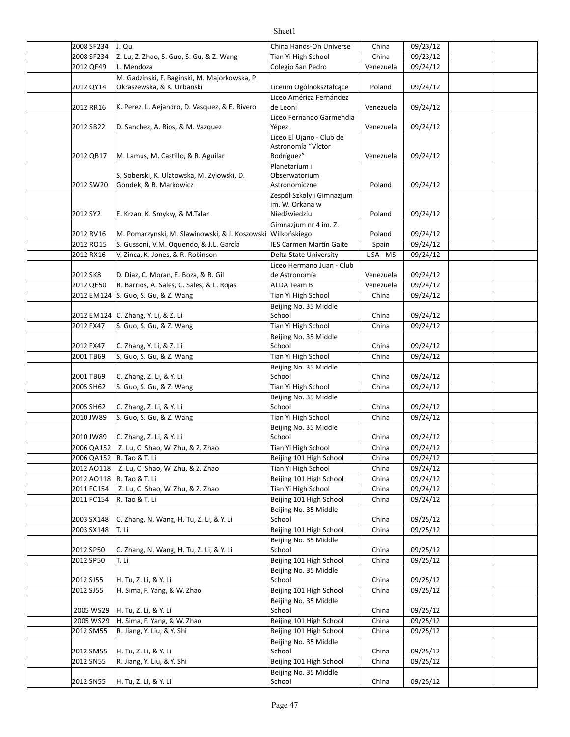#### 2008 SF234 J. Qu China Hands-On Universe China 09/23/12 2008 SF234 Z. Lu, Z. Zhao, S. Guo, S. Gu, & Z. Wang Tian Yi High School | China | 09/23/12 2012 QF49 L. Mendoza Colegio San Pedro Venezuela | 09/24/12 2012 QY14 | Okraszewska, & K. Urbanski | Liceum Ogólnokształcące | Poland | 09/24/12 2012 RR16 K. Perez, L. Aejandro, D. Vasquez, & E. Rivero de Leoni (and the context of the context of the p9/24/12 2012 SB22 D. Sanchez, A. Rios, & M. Vazquez Yépez Venezuela | 09/24/12 2012 QB17 M. Lamus, M. Castillo, & R. Aguilar M. Rodríguez" Nenezuela | 09/24/12 2012 SW20 Gondek, & B. Markowicz **Conserver Astronomiczne** Poland | 09/24/12 2012 SY2 F. Krzan, K. Smyksy, & M.Talar November 2012 Niedźwiedziu and Poland | 09/24/12 2012 RV16 M. Pomarzynski, M. Slawinowski, & J. Koszowski Wilkońskiego and a miejschard a c9/24/12 2012 RO15 S. Gussoni, V.M. Oquendo, & J.L. García Sumen Martín Gaite Spain | 09/24/12 2012 RX16 N. Zinca, K. Jones, & R. Robinson N. Delta State University N. USA - MS 309/24/12 2012 SK8 D. Diaz, C. Moran, E. Boza, & R. Gil de Astronomía (Venezuela | 09/24/12 2012 QE50 R. Barrios, A. Sales, C. Sales, & L. Rojas ALDA Team B Venezuela 09/24/12 2012 EM124 S. Guo, S. Gu, & Z. Wang Tian Yi High School Tian Yi High School China | 09/24/12 2012 EM124 C. Zhang, Y. Li, & Z. Li School School China | 09/24/12 2012 FX47 S. Guo, S. Gu, & Z. Wang Tian Yi High School School China | 09/24/12 2012 FX47 C. Zhang, Y. Li, & Z. Li China control China control China control China control China control China 2001 TB69 S. Guo, S. Gu, & Z. Wang Tian Yi High School School China | 09/24/12 2001 TB69 C. Zhang, Z. Li, & Y. Li School School China 09/24/12 2005 SH62 S. Guo, S. Gu, & Z. Wang Tian Yi High School Shina | 09/24/12 2005 SH62 | C. Zhang, Z. Li, & Y. Li China | China | China | O9/24/12 2010 JW89 S. Guo, S. Gu, & Z. Wang Tian Yi High School School China | 09/24/12 2010 JW89 C. Zhang, Z. Li, & Y. Li School School China 09/24/12 2006 QA152 | Z. Lu, C. Shao, W. Zhu, & Z. Zhao Tian Yi High School | China | 09/24/12 2006 QA152 R. Tao & T. Li Beijing 101 High School China | 09/24/12 2012 AO118 | Z. Lu, C. Shao, W. Zhu, & Z. Zhao Tian Yi High School | China | 09/24/12 2012 AO118 R. Tao & T. Li China China China China China China China China China China China China China China C 2011 FC154 China 09/24/12 Z. Lu, C. Shao, W. Zhu, & Z. Zhao Tian Yi High School 2011 FC154 R. Tao & T. Li **Beijing 101 High School** China 09/24/12 |2003 SX148 |C. Zhang, N. Wang, H. Tu, Z. Li, & Y. Li | School | China | 09/25/12 2003 SX148 T. Li **CHING COMENT CONTROLLY CHING COMENT CONTROL** Beijing 101 High School | China | 09/25/12 2012 SP50 C. Zhang, N. Wang, H. Tu, Z. Li, & Y. Li School China 09/25/12  $2012$  SP50 T. Li  $B$ eijing 101 High School China 09/25/12 2012 SJ55 H. Tu, Z. Li, & Y. Li China in School China in O9/25/12 2012 SJ55 |H. Sima, F. Yang, & W. Zhao | Beijing 101 High School | China | 09/25/12 2005 WS29 H. Tu, Z. Li, & Y. Li China (19/25/12) China (19/25/12) 2005 WS29 H. Sima, F. Yang, & W. Zhao Beijing 101 High School | China | 09/25/12 2012 SM55 R. Jiang, Y. Liu, & Y. Shi Beijing 101 High School China 09/25/12 2012 SM55 H. Tu, Z. Li, & Y. Li China control China control China control China control China control China co 2012 SN55 R. Jiang, Y. Liu, & Y. Shi Beijing 101 High School China 09/25/12 2012 SN55 H. Tu, Z. Li, & Y. Li China COS/25/12 M. Gadzinski, F. Baginski, M. Majorkowska, P. Liceo América Fernández de Leoni Liceo Fernando Garmendia Yépez Liceo El Ujano - Club de Astronomía "Víctor Rodríguez" S. Soberski, K. Ulatowska, M. Zylowski, D. Planetarium i Obserwatorium Astronomiczne Zespół Szkoły i Gimnazjum im. W. Orkana w Niedźwiedziu Gimnazjum nr 4 im. Z. Liceo Hermano Juan - Club de Astronomía Beijing No. 35 Middle School Beijing No. 35 Middle School Beijing No. 35 Middle School Beijing No. 35 Middle School Beijing No. 35 Middle School Beijing No. 35 Middle School Beijing No. 35 Middle School Beijing No. 35 Middle School Beijing No. 35 Middle School R. Jiang, Y. Liu, & Y. Shi Beijing No. 35 Middle School R. Jiang, Y. Liu, & Y. Shi Beijing No. 35 Middle School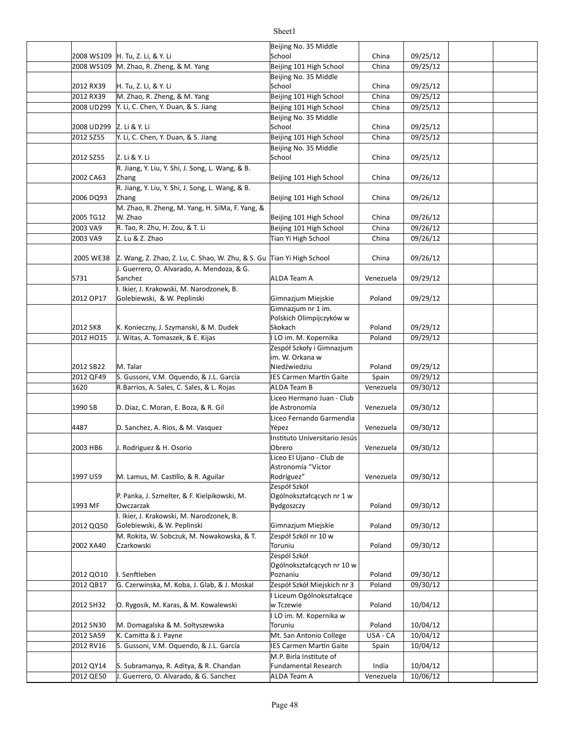|                          |                                                                       | Beijing No. 35 Middle          |           |          |  |
|--------------------------|-----------------------------------------------------------------------|--------------------------------|-----------|----------|--|
|                          | 2008 WS109 H. Tu, Z. Li, & Y. Li                                      | School                         | China     | 09/25/12 |  |
|                          | 2008 WS109 M. Zhao, R. Zheng, & M. Yang                               | Beijing 101 High School        | China     | 09/25/12 |  |
|                          |                                                                       | Beijing No. 35 Middle          |           |          |  |
| 2012 RX39                | H. Tu, Z. Li, & Y. Li                                                 | School                         | China     | 09/25/12 |  |
| 2012 RX39                | M. Zhao, R. Zheng, & M. Yang                                          | Beijing 101 High School        | China     | 09/25/12 |  |
| 2008 UD299               | Y. Li, C. Chen, Y. Duan, & S. Jiang                                   | Beijing 101 High School        | China     | 09/25/12 |  |
|                          |                                                                       | Beijing No. 35 Middle          |           |          |  |
| 2008 UD299 Z. Li & Y. Li |                                                                       | School                         | China     | 09/25/12 |  |
| 2012 SZ55                | Y. Li, C. Chen, Y. Duan, & S. Jiang                                   | Beijing 101 High School        | China     | 09/25/12 |  |
|                          |                                                                       | Beijing No. 35 Middle          |           |          |  |
| 2012 SZ55                | Z. Li & Y. Li                                                         | School                         | China     | 09/25/12 |  |
|                          |                                                                       |                                |           |          |  |
| 2002 CA63                | R. Jiang, Y. Liu, Y. Shi, J. Song, L. Wang, & B.                      |                                | China     | 09/26/12 |  |
|                          | Zhang                                                                 | Beijing 101 High School        |           |          |  |
|                          | R. Jiang, Y. Liu, Y. Shi, J. Song, L. Wang, & B.                      |                                | China     |          |  |
| 2006 DQ93                | Zhang                                                                 | Beijing 101 High School        |           | 09/26/12 |  |
|                          | M. Zhao, R. Zheng, M. Yang, H. SiMa, F. Yang, &                       |                                |           |          |  |
| 2005 TG12                | W. Zhao                                                               | Beijing 101 High School        | China     | 09/26/12 |  |
| 2003 VA9                 | R. Tao, R. Zhu, H. Zou, & T. Li                                       | Beijing 101 High School        | China     | 09/26/12 |  |
| 2003 VA9                 | Z. Lu & Z. Zhao                                                       | Tian Yi High School            | China     | 09/26/12 |  |
|                          |                                                                       |                                |           |          |  |
| 2005 WE38                | Z. Wang, Z. Zhao, Z. Lu, C. Shao, W. Zhu, & S. Gu Tian Yi High School |                                | China     | 09/26/12 |  |
|                          | J. Guerrero, O. Alvarado, A. Mendoza, & G.                            |                                |           |          |  |
| 5731                     | Sanchez                                                               | <b>ALDA Team A</b>             | Venezuela | 09/29/12 |  |
|                          | I. Ikier, J. Krakowski, M. Narodzonek, B.                             |                                |           |          |  |
| 2012 OP17                | Golebiewski, & W. Peplinski                                           | Gimnazjum Miejskie             | Poland    | 09/29/12 |  |
|                          |                                                                       | Gimnazjum nr 1 im.             |           |          |  |
|                          |                                                                       | Polskich Olimpijczyków w       |           |          |  |
| 2012 SK8                 | K. Konieczny, J. Szymanski, & M. Dudek                                | Skokach                        | Poland    | 09/29/12 |  |
| 2012 HO15                | J. Witas, A. Tomaszek, & E. Kijas                                     | I LO im. M. Kopernika          | Poland    | 09/29/12 |  |
|                          |                                                                       | Zespół Szkoły i Gimnazjum      |           |          |  |
|                          |                                                                       | im. W. Orkana w                |           |          |  |
| 2012 SB22                | M. Talar                                                              | Niedźwiedziu                   | Poland    | 09/29/12 |  |
| 2012 QF49                | S. Gussoni, V.M. Oquendo, & J.L. García                               | IES Carmen Martín Gaite        | Spain     | 09/29/12 |  |
| 1620                     | R.Barrios, A. Sales, C. Sales, & L. Rojas                             | <b>ALDA Team B</b>             | Venezuela | 09/30/12 |  |
|                          |                                                                       | Liceo Hermano Juan - Club      |           |          |  |
| 1990 SB                  | D. Diaz, C. Moran, E. Boza, & R. Gil                                  | de Astronomía                  | Venezuela | 09/30/12 |  |
|                          |                                                                       | Liceo Fernando Garmendia       |           |          |  |
| 4487                     | D. Sanchez, A. Rios, & M. Vasquez                                     | Yépez                          | Venezuela | 09/30/12 |  |
|                          |                                                                       | Instituto Universitario Jesús  |           |          |  |
| 2003 HB6                 | J. Rodriguez & H. Osorio                                              | Obrero                         | Venezuela | 09/30/12 |  |
|                          |                                                                       | Liceo El Ujano - Club de       |           |          |  |
|                          |                                                                       | Astronomía "Víctor             |           |          |  |
| 1997 US9                 | M. Lamus, M. Castillo, & R. Aguilar                                   | Rodríguez"                     | Venezuela | 09/30/12 |  |
|                          |                                                                       | Zespół Szkół                   |           |          |  |
|                          | P. Panka, J. Szmelter, & F. Kielpikowski, M.                          | Ogólnokształcących nr 1 w      |           |          |  |
| 1993 MF                  | Owczarzak                                                             | Bydgoszczy                     | Poland    | 09/30/12 |  |
|                          | I. Ikier, J. Krakowski, M. Narodzonek, B.                             |                                |           |          |  |
| 2012 QQ50                | Golebiewski, & W. Peplinski                                           | Gimnazjum Miejskie             | Poland    | 09/30/12 |  |
|                          | M. Rokita, W. Sobczuk, M. Nowakowska, & T.                            | Zespół Szkól nr 10 w           |           |          |  |
| 2002 XA40                | Czarkowski                                                            | Toruniu                        | Poland    | 09/30/12 |  |
|                          |                                                                       | Zespól Szkół                   |           |          |  |
|                          |                                                                       | Ogólnokształcących nr 10 w     |           |          |  |
| 2012 QO10                | I. Senftleben                                                         | Poznaniu                       | Poland    | 09/30/12 |  |
| 2012 QB17                | G. Czerwinska, M. Koba, J. Glab, & J. Moskal                          | Zespół Szkół Miejskich nr 3    | Poland    | 09/30/12 |  |
|                          |                                                                       | I Liceum Ogólnokształcące      |           |          |  |
| 2012 SH32                | O. Rygosik, M. Karas, & M. Kowalewski                                 | w Tczewie                      | Poland    | 10/04/12 |  |
|                          |                                                                       | I LO im. M. Kopernika w        |           |          |  |
| 2012 SN30                | M. Domagalska & M. Soltyszewska                                       | Toruniu                        | Poland    | 10/04/12 |  |
| 2012 SA59                | K. Camitta & J. Payne                                                 | Mt. San Antonio College        | USA - CA  | 10/04/12 |  |
| 2012 RV16                | S. Gussoni, V.M. Oquendo, & J.L. García                               | <b>IES Carmen Martín Gaite</b> | Spain     | 10/04/12 |  |
|                          |                                                                       | M.P. Birla Institute of        |           |          |  |
| 2012 QY14                | S. Subramanya, R. Aditya, & R. Chandan                                | <b>Fundamental Research</b>    | India     | 10/04/12 |  |
| 2012 QE50                | J. Guerrero, O. Alvarado, & G. Sanchez                                | ALDA Team A                    | Venezuela | 10/06/12 |  |
|                          |                                                                       |                                |           |          |  |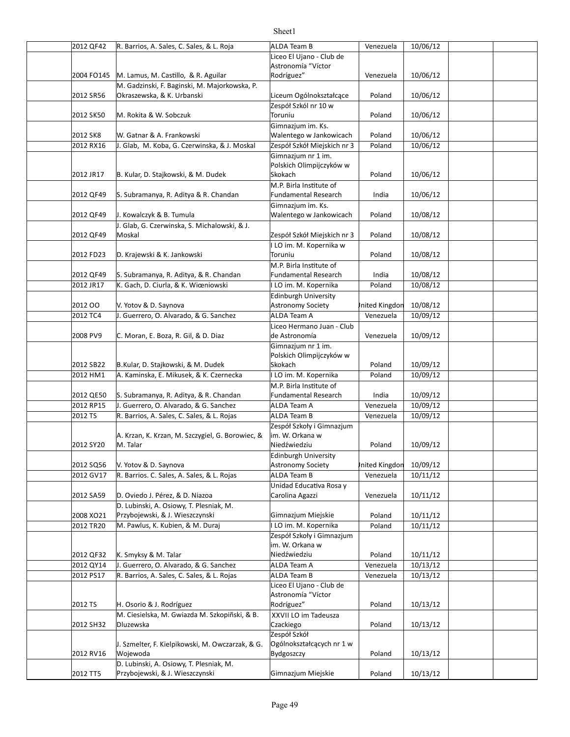#### 2012 QF42 R. Barrios, A. Sales, C. Sales, & L. Roja ALDA Team B Venezuela | 10/06/12 2004 FO145 |M. Lamus, M. Castillo, & R. Aguilar | Rodríguez" | Venezuela | 10/06/12 2012 SR56 Poland 10/06/12 Okraszewska, & K. Urbanski Liceum Ogólnokształcące 2012 SK50 M. Rokita & W. Sobczuk Toruniu Toruniu and Poland 10/06/12 2012 SK8 W. Gatnar & A. Frankowski |Walentego w Jankowicach | Poland | 10/06/12 2012 RX16 J. Glab, M. Koba, G. Czerwinska, & J. Moskal Zespół Szkół Miejskich nr 3 | Poland | 10/06/12 2012 JR17 B. Kular, D. Stajkowski, & M. Dudek Skokach Skokach Poland 10/06/12 2012 QF49 S. Subramanya, R. Aditya & R. Chandan Suman Fundamental Research and india indio 10/06/12 2012 QF49 | J. Kowalczyk & B. Tumula Walentego w Jankowicach | Poland | 10/08/12 2012 QF49 Poland 10/08/12 Moskal Zespół Szkół Miejskich nr 3 2012 FD23 Poland 10/08/12 D. Krajewski & K. Jankowski 2012 QF49 S. Subramanya, R. Aditya, & R. Chandan Suman Fundamental Research and india indi $\sqrt{0.08/12}$ 2012 JR17 | K. Gach, D. Ciurla, & K. Wiœniowski | III LO im. M. Kopernika | Poland | 10/08/12 2012 OO Y. Yotov & D. Saynova Astronomy Society Astronomy Society Anited Kingdom 10/08/12 2012 TC4 J. Guerrero, O. Alvarado, & G. Sanchez ALDA Team A Venezuela | 10/09/12 2008 PV9 C. Moran, E. Boza, R. Gil, & D. Diaz de Astronomía de la venezuela | 10/09/12 2012 SB22 B.Kular, D. Stajkowski, & M. Dudek Skokach Skokach Poland 10/09/12 2012 HM1 | A. Kaminska, E. Mikusek, & K. Czernecka | I LO im. M. Kopernika | Poland | 10/09/12 2012 QE50 S. Subramanya, R. Aditya, & R. Chandan Fundamental Research | India | 10/09/12 2012 RP15 J. Guerrero, O. Alvarado, & G. Sanchez ALDA Team A Venezuela 10/09/12 2012 TS R. Barrios, A. Sales, C. Sales, & L. Rojas ALDA Team B Venezuela 10/09/12 2012 SY20 M. Talar Niedźwiedziu Poland 10/09/12 2012 SQ56 V. Yotov & D. Saynova Astronomy Society Astronomy Society Anited Kingdom 10/09/12 2012 GV17 R. Barrios. C. Sales, A. Sales, & L. Rojas ALDA Team B Venezuela 10/11/12 2012 SA59 D. Oviedo J. Pérez, & D. Niazoa (Carolina Agazzi / Venezuela | 10/11/12 2008 XO21 Przybojewski, & J. Wieszczynski Gimnazjum Miejskie | Poland | 10/11/12 2012 TR20 M. Pawlus, K. Kubien, & M. Duraj Internacional Alexandre M. Kopernika | Poland | 10/11/12 2012 QF32 K. Smyksy & M. Talar North Controller Microsoft Mediation and the Poland 10/11/12 2012 QY14 J. Guerrero, O. Alvarado, & G. Sanchez ALDA Team A Venezuela 10/13/12 2012 PS17 R. Barrios, A. Sales, C. Sales, & L. Rojas ALDA Team B Venezuela 10/13/12 2012 TS H. Osorio & J. Rodríguez Rodríguez Rodríguez Rodríguez Poland 10/13/12 2012 SH32 Poland 10/13/12 2012 RV16 Poland 10/13/12 2012 TT5 Przybojewski, & J. Wieszczynski Gimnazjum Miejskie | Poland | 10/13/12 Liceo El Ujano - Club de Astronomía "Víctor Rodríguez" M. Gadzinski, F. Baginski, M. Majorkowska, P. Zespół Szkól nr 10 w Toruniu W. Gatnar & A. Frankowski Gimnazjum im. Ks. Gimnazjum nr 1 im. Polskich Olimpijczyków w Skokach M.P. Birla Institute of Fundamental Research Gimnazjum im. Ks. Walentego w Jankowicach J. Glab, G. Czerwinska, S. Michalowski, & J. LO im. M. Kopernika w Toruniu M.P. Birla Institute of Fundamental Research Edinburgh University Astronomy Society Liceo Hermano Juan - Club de Astronomía Gimnazjum nr 1 im. Polskich Olimpijczyków w Skokach M.P. Birla Institute of Fundamental Research A. Krzan, K. Krzan, M. Szczygiel, G. Borowiec, & M. Talar Zespół Szkoły i Gimnazjum im. W. Orkana w Niedźwiedziu **Edinburgh University** Astronomy Society Unidad Educativa Rosa y Carolina Agazzi D. Lubinski, A. Osiowy, T. Plesniak, M. Zespół Szkoły i Gimnazjum im. W. Orkana w Niedźwiedziu Liceo El Ujano - Club de Astronomía "Víctor Rodríguez" M. Ciesielska, M. Gwiazda M. Szkopiñski, & B. Dluzewska XXVII LO im Tadeusza Czackiego J. Szmelter, F. Kielpikowski, M. Owczarzak, & G. Wojewoda Zespół Szkół Ogólnokształcących nr 1 w Bydgoszczy D. Lubinski, A. Osiowy, T. Plesniak, M.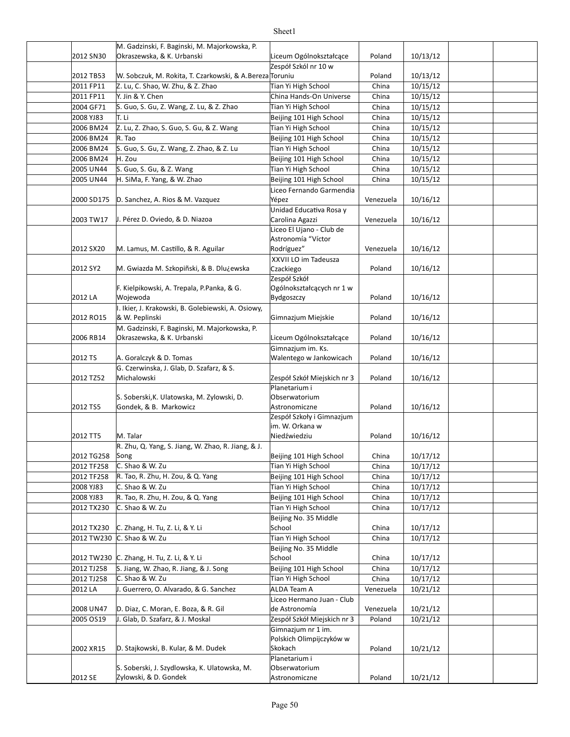|            | M. Gadzinski, F. Baginski, M. Majorkowska, P.             |                             |           |          |  |
|------------|-----------------------------------------------------------|-----------------------------|-----------|----------|--|
| 2012 SN30  | Okraszewska, & K. Urbanski                                | Liceum Ogólnokształcące     | Poland    | 10/13/12 |  |
|            |                                                           | Zespół Szkól nr 10 w        |           |          |  |
| 2012 TB53  | W. Sobczuk, M. Rokita, T. Czarkowski, & A. Bereza Toruniu |                             | Poland    | 10/13/12 |  |
| 2011 FP11  | Z. Lu, C. Shao, W. Zhu, & Z. Zhao                         | Tian Yi High School         | China     | 10/15/12 |  |
| 2011 FP11  | Y. Jin & Y. Chen                                          | China Hands-On Universe     | China     | 10/15/12 |  |
| 2004 GF71  | S. Guo, S. Gu, Z. Wang, Z. Lu, & Z. Zhao                  | Tian Yi High School         | China     | 10/15/12 |  |
| 2008 YJ83  | T. Li                                                     | Beijing 101 High School     | China     | 10/15/12 |  |
| 2006 BM24  | Z. Lu, Z. Zhao, S. Guo, S. Gu, & Z. Wang                  | Tian Yi High School         | China     | 10/15/12 |  |
| 2006 BM24  | R. Tao                                                    | Beijing 101 High School     | China     | 10/15/12 |  |
| 2006 BM24  | S. Guo, S. Gu, Z. Wang, Z. Zhao, & Z. Lu                  | Tian Yi High School         | China     | 10/15/12 |  |
| 2006 BM24  | H. Zou                                                    | Beijing 101 High School     | China     | 10/15/12 |  |
| 2005 UN44  | S. Guo, S. Gu, & Z. Wang                                  | Tian Yi High School         | China     | 10/15/12 |  |
| 2005 UN44  | H. SiMa, F. Yang, & W. Zhao                               | Beijing 101 High School     | China     | 10/15/12 |  |
|            |                                                           | Liceo Fernando Garmendia    |           |          |  |
| 2000 SD175 | D. Sanchez, A. Rios & M. Vazquez                          | Yépez                       | Venezuela | 10/16/12 |  |
|            |                                                           | Unidad Educativa Rosa y     |           |          |  |
| 2003 TW17  | J. Pérez D. Oviedo, & D. Niazoa                           | Carolina Agazzi             | Venezuela | 10/16/12 |  |
|            |                                                           | Liceo El Ujano - Club de    |           |          |  |
|            |                                                           | Astronomía "Víctor          |           |          |  |
| 2012 SX20  | M. Lamus, M. Castillo, & R. Aguilar                       | Rodríguez"                  | Venezuela | 10/16/12 |  |
|            |                                                           | XXVII LO im Tadeusza        |           |          |  |
| 2012 SY2   | M. Gwiazda M. Szkopiñski, & B. Dlużewska                  | Czackiego                   | Poland    | 10/16/12 |  |
|            |                                                           | Zespół Szkół                |           |          |  |
|            | F. Kielpikowski, A. Trepala, P.Panka, & G.                | Ogólnokształcących nr 1 w   |           |          |  |
| 2012 LA    | Wojewoda                                                  | Bydgoszczy                  | Poland    | 10/16/12 |  |
|            | I. Ikier, J. Krakowski, B. Golebiewski, A. Osiowy,        |                             |           |          |  |
| 2012 RO15  | & W. Peplinski                                            | Gimnazjum Miejskie          | Poland    | 10/16/12 |  |
|            | M. Gadzinski, F. Baginski, M. Majorkowska, P.             |                             |           |          |  |
| 2006 RB14  | Okraszewska, & K. Urbanski                                | Liceum Ogólnokształcące     | Poland    | 10/16/12 |  |
|            |                                                           | Gimnazjum im. Ks.           |           |          |  |
| 2012 TS    | A. Goralczyk & D. Tomas                                   | Walentego w Jankowicach     | Poland    | 10/16/12 |  |
|            | G. Czerwinska, J. Glab, D. Szafarz, & S.                  |                             |           |          |  |
| 2012 TZ52  | Michalowski                                               | Zespół Szkół Miejskich nr 3 | Poland    | 10/16/12 |  |
|            |                                                           | Planetarium i               |           |          |  |
|            | S. Soberski, K. Ulatowska, M. Zylowski, D.                | Obserwatorium               |           |          |  |
| 2012 TS5   | Gondek, & B. Markowicz                                    | Astronomiczne               | Poland    | 10/16/12 |  |
|            |                                                           | Zespół Szkoły i Gimnazjum   |           |          |  |
|            |                                                           | im. W. Orkana w             |           |          |  |
| 2012 TT5   | M. Talar                                                  | Niedźwiedziu                | Poland    | 10/16/12 |  |
|            | R. Zhu, Q. Yang, S. Jiang, W. Zhao, R. Jiang, & J.        |                             |           |          |  |
| 2012 TG258 | Song                                                      | Beijing 101 High School     | China     | 10/17/12 |  |
| 2012 TF258 | C. Shao & W. Zu                                           | Tian Yi High School         | China     | 10/17/12 |  |
| 2012 TF258 | R. Tao, R. Zhu, H. Zou, & Q. Yang                         | Beijing 101 High School     | China     | 10/17/12 |  |
| 2008 YJ83  | C. Shao & W. Zu                                           | Tian Yi High School         | China     | 10/17/12 |  |
| 2008 YJ83  | R. Tao, R. Zhu, H. Zou, & Q. Yang                         | Beijing 101 High School     | China     | 10/17/12 |  |
| 2012 TX230 | C. Shao & W. Zu                                           | Tian Yi High School         | China     | 10/17/12 |  |
|            |                                                           | Beijing No. 35 Middle       |           |          |  |
| 2012 TX230 | C. Zhang, H. Tu, Z. Li, & Y. Li                           | School                      | China     | 10/17/12 |  |
| 2012 TW230 | C. Shao & W. Zu                                           | Tian Yi High School         | China     | 10/17/12 |  |
|            |                                                           | Beijing No. 35 Middle       |           |          |  |
| 2012 TW230 | $ C.$ Zhang, H. Tu, Z. Li, & Y. Li                        | School                      | China     | 10/17/12 |  |
| 2012 TJ258 | S. Jiang, W. Zhao, R. Jiang, & J. Song                    | Beijing 101 High School     | China     | 10/17/12 |  |
| 2012 TJ258 | C. Shao & W. Zu                                           | Tian Yi High School         | China     | 10/17/12 |  |
| 2012 LA    | J. Guerrero, O. Alvarado, & G. Sanchez                    | ALDA Team A                 | Venezuela | 10/21/12 |  |
|            |                                                           | Liceo Hermano Juan - Club   |           |          |  |
| 2008 UN47  | D. Diaz, C. Moran, E. Boza, & R. Gil                      | de Astronomía               | Venezuela | 10/21/12 |  |
| 2005 OS19  | J. Glab, D. Szafarz, & J. Moskal                          | Zespół Szkół Miejskich nr 3 | Poland    | 10/21/12 |  |
|            |                                                           | Gimnazjum nr 1 im.          |           |          |  |
|            |                                                           | Polskich Olimpijczyków w    |           |          |  |
| 2002 XR15  | D. Stajkowski, B. Kular, & M. Dudek                       | Skokach                     | Poland    | 10/21/12 |  |
|            |                                                           | Planetarium i               |           |          |  |
|            | S. Soberski, J. Szydlowska, K. Ulatowska, M.              | Obserwatorium               |           |          |  |
| 2012 SE    | Zylowski, & D. Gondek                                     | Astronomiczne               | Poland    | 10/21/12 |  |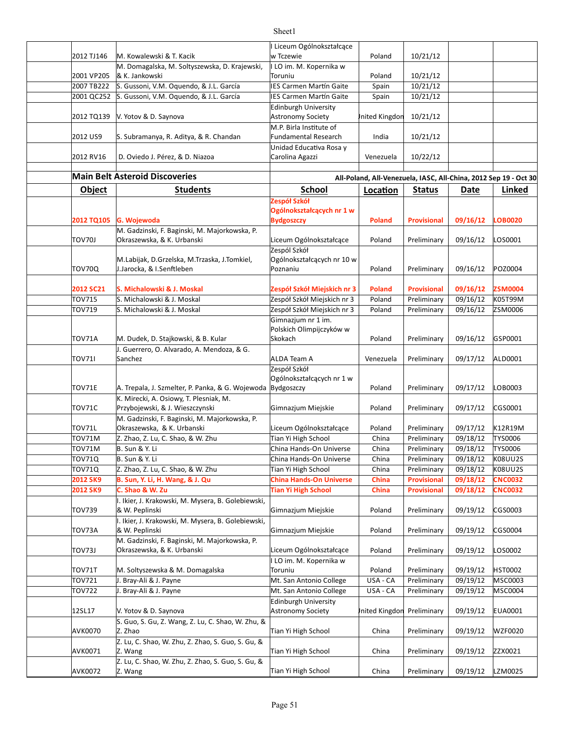| 2012 TJ146    | M. Kowalewski & T. Kacik                                        | I Liceum Ogólnokształcące<br>w Tczewie | Poland         | 10/21/12           |          |                                                                  |
|---------------|-----------------------------------------------------------------|----------------------------------------|----------------|--------------------|----------|------------------------------------------------------------------|
|               | M. Domagalska, M. Soltyszewska, D. Krajewski,                   | I LO im. M. Kopernika w                |                |                    |          |                                                                  |
| 2001 VP205    | & K. Jankowski                                                  | Toruniu                                | Poland         | 10/21/12           |          |                                                                  |
| 2007 TB222    | S. Gussoni, V.M. Oquendo, & J.L. García                         | <b>IES Carmen Martín Gaite</b>         | Spain          | 10/21/12           |          |                                                                  |
| 2001 QC252    | S. Gussoni, V.M. Oquendo, & J.L. García                         | IES Carmen Martín Gaite                | Spain          | 10/21/12           |          |                                                                  |
|               |                                                                 | <b>Edinburgh University</b>            |                |                    |          |                                                                  |
| 2012 TQ139    | V. Yotov & D. Saynova                                           | Astronomy Society                      | Inited Kingdon | 10/21/12           |          |                                                                  |
|               |                                                                 | M.P. Birla Institute of                |                |                    |          |                                                                  |
| 2012 US9      | S. Subramanya, R. Aditya, & R. Chandan                          | <b>Fundamental Research</b>            | India          | 10/21/12           |          |                                                                  |
|               |                                                                 | Unidad Educativa Rosa y                |                |                    |          |                                                                  |
| 2012 RV16     | D. Oviedo J. Pérez, & D. Niazoa                                 | Carolina Agazzi                        | Venezuela      | 10/22/12           |          |                                                                  |
|               |                                                                 |                                        |                |                    |          |                                                                  |
|               | <b>Main Belt Asteroid Discoveries</b>                           |                                        |                |                    |          | All-Poland, All-Venezuela, IASC, All-China, 2012 Sep 19 - Oct 30 |
| <b>Object</b> | <b>Students</b>                                                 | <b>School</b>                          | Location       | <b>Status</b>      | Date     | Linked                                                           |
|               |                                                                 | Zespół Szkół                           |                |                    |          |                                                                  |
|               |                                                                 | Ogólnokształcących nr 1 w              |                |                    |          |                                                                  |
| 2012 TQ105    | G. Wojewoda                                                     | <b>Bydgoszczy</b>                      | Poland         | <b>Provisional</b> | 09/16/12 | <b>LOB0020</b>                                                   |
|               | M. Gadzinski, F. Baginski, M. Majorkowska, P.                   |                                        |                |                    |          |                                                                  |
| TOV70J        | Okraszewska, & K. Urbanski                                      | Liceum Ogólnokształcące                | Poland         | Preliminary        | 09/16/12 | LOS0001                                                          |
|               |                                                                 | Zespól Szkół                           |                |                    |          |                                                                  |
|               | M.Labijak, D.Grzelska, M.Trzaska, J.Tomkiel,                    | Ogólnokształcących nr 10 w             |                |                    |          |                                                                  |
| TOV70Q        | J.Jarocka, & I.Senftleben                                       | Poznaniu                               | Poland         | Preliminary        | 09/16/12 | POZ0004                                                          |
|               |                                                                 |                                        |                |                    |          |                                                                  |
| 2012 SC21     | S. Michalowski & J. Moskal                                      | Zespół Szkół Miejskich nr 3            | <b>Poland</b>  | <b>Provisional</b> | 09/16/12 | <b>ZSM0004</b>                                                   |
| <b>TOV715</b> | S. Michalowski & J. Moskal                                      | Zespół Szkół Miejskich nr 3            | Poland         | Preliminary        | 09/16/12 | K05T99M                                                          |
| TOV719        | S. Michalowski & J. Moskal                                      | Zespół Szkół Miejskich nr 3            | Poland         | Preliminary        | 09/16/12 | ZSM0006                                                          |
|               |                                                                 | Gimnazjum nr 1 im.                     |                |                    |          |                                                                  |
|               |                                                                 | Polskich Olimpijczyków w               |                |                    |          |                                                                  |
| TOV71A        | M. Dudek, D. Stajkowski, & B. Kular                             | Skokach                                | Poland         | Preliminary        | 09/16/12 | GSP0001                                                          |
|               | J. Guerrero, O. Alvarado, A. Mendoza, & G.                      |                                        |                |                    |          |                                                                  |
| <b>TOV711</b> | Sanchez                                                         | ALDA Team A                            | Venezuela      | Preliminary        | 09/17/12 | ALD0001                                                          |
|               |                                                                 | Zespół Szkół                           |                |                    |          |                                                                  |
|               |                                                                 | Ogólnokształcących nr 1 w              |                |                    |          |                                                                  |
| TOV71E        | A. Trepala, J. Szmelter, P. Panka, & G. Wojewoda                | Bydgoszczy                             | Poland         | Preliminary        | 09/17/12 | LOB0003                                                          |
|               | K. Mirecki, A. Osiowy, T. Plesniak, M.                          |                                        |                |                    |          |                                                                  |
| TOV71C        | Przybojewski, & J. Wieszczynski                                 | Gimnazjum Miejskie                     | Poland         | Preliminary        | 09/17/12 | CGS0001                                                          |
|               | M. Gadzinski, F. Baginski, M. Majorkowska, P.                   |                                        |                |                    |          |                                                                  |
| <b>TOV71L</b> | Okraszewska, & K. Urbanski                                      | Liceum Ogólnokształcące                | Poland         | Preliminary        | 09/17/12 | K12R19M                                                          |
| <b>TOV71M</b> | Z. Zhao, Z. Lu, C. Shao, & W. Zhu                               | Tian Yi High School                    | China          | Preliminary        | 09/18/12 | <b>TYS0006</b>                                                   |
| TOV71M        | <b>B.</b> Sun & Y. Li                                           | China Hands-On Universe                | China          | Preliminary        | 09/18/12 | <b>TYS0006</b>                                                   |
| <b>TOV71Q</b> | <b>B.</b> Sun & Y. Li                                           | China Hands-On Universe                | China          | Preliminary        | 09/18/12 | K08UU2S                                                          |
| <b>TOV71Q</b> | Z. Zhao, Z. Lu, C. Shao, & W. Zhu                               | Tian Yi High School                    | China          | Preliminary        | 09/18/12 | K08UU2S                                                          |
| 2012 SK9      | B. Sun, Y. Li, H. Wang, & J. Qu                                 | <b>China Hands-On Universe</b>         | <b>China</b>   | <b>Provisional</b> | 09/18/12 | <b>CNC0032</b>                                                   |
| 2012 SK9      | C. Shao & W. Zu                                                 | <b>Tian Yi High School</b>             | China          | <b>Provisional</b> | 09/18/12 | <b>CNC0032</b>                                                   |
|               | I. Ikier, J. Krakowski, M. Mysera, B. Golebiewski,              |                                        |                |                    |          |                                                                  |
| TOV739        | & W. Peplinski                                                  | Gimnazjum Miejskie                     | Poland         | Preliminary        | 09/19/12 | CGS0003                                                          |
|               | I. Ikier, J. Krakowski, M. Mysera, B. Golebiewski,              |                                        |                |                    |          |                                                                  |
| TOV73A        | & W. Peplinski<br>M. Gadzinski, F. Baginski, M. Majorkowska, P. | Gimnazjum Miejskie                     | Poland         | Preliminary        | 09/19/12 | CGS0004                                                          |
| TOV73J        | Okraszewska, & K. Urbanski                                      | Liceum Ogólnokształcące                | Poland         | Preliminary        | 09/19/12 | LOS0002                                                          |
|               |                                                                 | I LO im. M. Kopernika w                |                |                    |          |                                                                  |
| TOV71T        | M. Soltyszewska & M. Domagalska                                 | Toruniu                                | Poland         | Preliminary        | 09/19/12 | HST0002                                                          |
| TOV721        | J. Bray-Ali & J. Payne                                          | Mt. San Antonio College                | USA - CA       | Preliminary        | 09/19/12 | MSC0003                                                          |
| TOV722        | J. Bray-Ali & J. Payne                                          | Mt. San Antonio College                | USA - CA       | Preliminary        | 09/19/12 | MSC0004                                                          |
|               |                                                                 | <b>Edinburgh University</b>            |                |                    |          |                                                                  |
| 12SL17        | V. Yotov & D. Saynova                                           | <b>Astronomy Society</b>               | Inited Kingdon | Preliminary        | 09/19/12 | EUA0001                                                          |
|               | S. Guo, S. Gu, Z. Wang, Z. Lu, C. Shao, W. Zhu, &               |                                        |                |                    |          |                                                                  |
| AVK0070       | Z. Zhao                                                         | Tian Yi High School                    | China          | Preliminary        | 09/19/12 | WZF0020                                                          |
|               | Z. Lu, C. Shao, W. Zhu, Z. Zhao, S. Guo, S. Gu, &               |                                        |                |                    |          |                                                                  |
| AVK0071       | Z. Wang                                                         | Tian Yi High School                    | China          | Preliminary        | 09/19/12 | ZZX0021                                                          |
|               | Z. Lu, C. Shao, W. Zhu, Z. Zhao, S. Guo, S. Gu, &               |                                        |                |                    |          |                                                                  |
| AVK0072       | Z. Wang                                                         | Tian Yi High School                    | China          | Preliminary        | 09/19/12 | LZM0025                                                          |
|               |                                                                 |                                        |                |                    |          |                                                                  |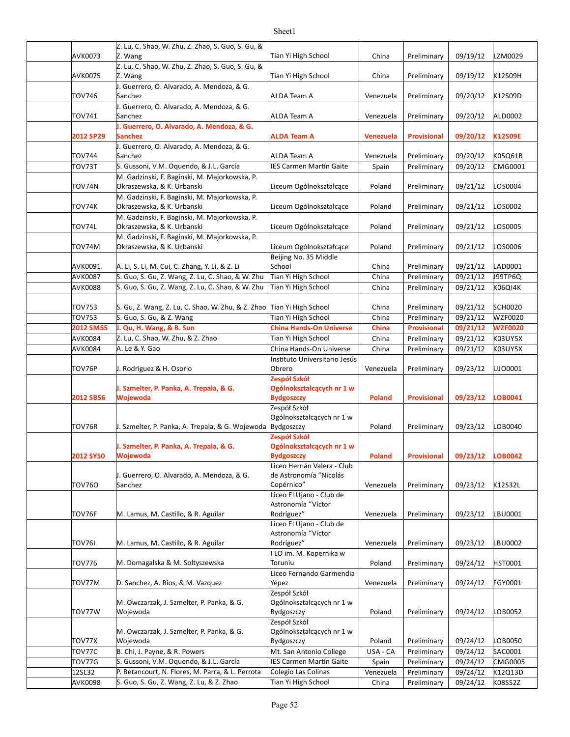| AVK0073           | Z. Lu, C. Shao, W. Zhu, Z. Zhao, S. Guo, S. Gu, &<br>Z. Wang                                 | Tian Yi High School                            | China              | Preliminary                | 09/19/12             | LZM0029            |
|-------------------|----------------------------------------------------------------------------------------------|------------------------------------------------|--------------------|----------------------------|----------------------|--------------------|
|                   | Z. Lu, C. Shao, W. Zhu, Z. Zhao, S. Guo, S. Gu, &                                            |                                                |                    |                            |                      |                    |
| AVK0075           | Z. Wang                                                                                      | Tian Yi High School                            | China              | Preliminary                | 09/19/12             | K12S09H            |
|                   | J. Guerrero, O. Alvarado, A. Mendoza, & G.                                                   |                                                |                    |                            |                      |                    |
| TOV746            | Sanchez<br>J. Guerrero, O. Alvarado, A. Mendoza, & G.                                        | ALDA Team A                                    | Venezuela          | Preliminary                | 09/20/12             | K12S09D            |
| TOV741            | Sanchez                                                                                      | ALDA Team A                                    | Venezuela          | Preliminary                | 09/20/12             | ALD0002            |
|                   | J. Guerrero, O. Alvarado, A. Mendoza, & G.                                                   |                                                |                    |                            |                      |                    |
| 2012 SP29         | Sanchez                                                                                      | <b>ALDA Team A</b>                             | <b>Venezuela</b>   | <b>Provisional</b>         | 09/20/12             | <b>K12S09E</b>     |
| TOV744            | J. Guerrero, O. Alvarado, A. Mendoza, & G.<br>Sanchez                                        | ALDA Team A                                    | Venezuela          | Preliminary                | 09/20/12             | K05Q61B            |
| TOV73T            | S. Gussoni, V.M. Oquendo, & J.L. García                                                      | IES Carmen Martín Gaite                        | Spain              | Preliminary                | 09/20/12             | CMG0001            |
|                   | M. Gadzinski, F. Baginski, M. Majorkowska, P.                                                |                                                |                    |                            |                      |                    |
| TOV74N            | Okraszewska, & K. Urbanski                                                                   | Liceum Ogólnokształcące                        | Poland             | Preliminary                | 09/21/12             | LOS0004            |
| TOV74K            | M. Gadzinski, F. Baginski, M. Majorkowska, P.<br>Okraszewska, & K. Urbanski                  | Liceum Ogólnokształcące                        | Poland             | Preliminary                | 09/21/12             | LOS0002            |
|                   | M. Gadzinski, F. Baginski, M. Majorkowska, P.                                                |                                                |                    |                            |                      |                    |
| TOV74L            | Okraszewska, & K. Urbanski                                                                   | Liceum Ogólnokształcące                        | Poland             | Preliminary                | 09/21/12             | LOS0005            |
|                   | M. Gadzinski, F. Baginski, M. Majorkowska, P.                                                |                                                |                    |                            |                      |                    |
| TOV74M            | Okraszewska, & K. Urbanski                                                                   | Liceum Ogólnokształcące                        | Poland             | Preliminary                | 09/21/12             | LOS0006            |
| AVK0091           | A. Li, S. Li, M. Cui, C. Zhang, Y. Li, & Z. Li                                               | Beijing No. 35 Middle<br>School                | China              | Preliminary                | 09/21/12             | LAD0001            |
| AVK0087           | S. Guo, S. Gu, Z. Wang, Z. Lu, C. Shao, & W. Zhu                                             | Tian Yi High School                            | China              | Preliminary                | 09/21/12             | J99TP6Q            |
| AVK0088           | S. Guo, S. Gu, Z. Wang, Z. Lu, C. Shao, & W. Zhu                                             | Tian Yi High School                            | China              | Preliminary                | 09/21/12             | K06Q14K            |
|                   |                                                                                              |                                                |                    |                            |                      |                    |
| TOV753            | S. Gu, Z. Wang, Z. Lu, C. Shao, W. Zhu, & Z. Zhao Tian Yi High School                        |                                                | China              | Preliminary                | 09/21/12             | SCH0020            |
| TOV753            | S. Guo, S. Gu, & Z. Wang                                                                     | Tian Yi High School                            | China              | Preliminary                | 09/21/12             | <b>WZF0020</b>     |
| 2012 SM55         | J. Qu, H. Wang, & B. Sun                                                                     | <b>China Hands-On Universe</b>                 | China              | <b>Provisional</b>         | 09/21/12             | <b>WZF0020</b>     |
| AVK0084           | Z. Lu, C. Shao, W. Zhu, & Z. Zhao                                                            | Tian Yi High School                            | China              | Preliminary                | 09/21/12             | K03UY5X            |
| AVK0084           | A. Le & Y. Gao                                                                               | China Hands-On Universe                        | China              | Preliminary                | 09/21/12             | K03UY5X            |
|                   |                                                                                              | Instituto Universitario Jesús                  |                    |                            |                      |                    |
|                   |                                                                                              |                                                |                    |                            |                      |                    |
| TOV76P            | J. Rodriguez & H. Osorio                                                                     | Obrero                                         | Venezuela          | Preliminary                | 09/23/12             | UJ00001            |
|                   |                                                                                              | Zespół Szkół                                   |                    |                            |                      |                    |
| 2012 SB56         | J. Szmelter, P. Panka, A. Trepala, & G.<br>Wojewoda                                          | Ogólnokształcących nr 1 w<br><b>Bydgoszczy</b> | <b>Poland</b>      | <b>Provisional</b>         | 09/23/12             | LOB0041            |
|                   |                                                                                              | Zespół Szkół                                   |                    |                            |                      |                    |
|                   |                                                                                              | Ogólnokształcących nr 1 w                      |                    |                            |                      |                    |
| TOV76R            | J. Szmelter, P. Panka, A. Trepala, & G. Wojewoda Bydgoszczy                                  |                                                | Poland             | Preliminary                | 09/23/12             | LOB0040            |
|                   | J. Szmelter, P. Panka, A. Trepala, & G.                                                      | Zespół Szkół                                   |                    |                            |                      |                    |
| <b>2012 SY50</b>  | Wojewoda                                                                                     | Ogólnokształcących nr 1 w<br>Bydgoszczy        | Poland             | <b>Provisional</b>         | 09/23/12 LOB0042     |                    |
|                   |                                                                                              | Liceo Hernán Valera - Club                     |                    |                            |                      |                    |
|                   | J. Guerrero, O. Alvarado, A. Mendoza, & G.                                                   | de Astronomía "Nicolás                         |                    |                            |                      |                    |
| TOV760            | Sanchez                                                                                      | Copérnico"                                     | Venezuela          | Preliminary                | 09/23/12             | K12S32L            |
|                   |                                                                                              | Liceo El Ujano - Club de<br>Astronomía "Víctor |                    |                            |                      |                    |
| TOV76F            | M. Lamus, M. Castillo, & R. Aguilar                                                          | Rodríguez"                                     | Venezuela          | Preliminary                | 09/23/12             | LBU0001            |
|                   |                                                                                              | Liceo El Ujano - Club de                       |                    |                            |                      |                    |
|                   |                                                                                              | Astronomía "Víctor                             |                    |                            |                      |                    |
| <b>TOV761</b>     | M. Lamus, M. Castillo, & R. Aguilar                                                          | Rodríguez"                                     | Venezuela          | Preliminary                | 09/23/12             | LBU0002            |
| TOV776            | M. Domagalska & M. Soltyszewska                                                              | I LO im. M. Kopernika w<br>Toruniu             | Poland             | Preliminary                | 09/24/12             | <b>HST0001</b>     |
|                   |                                                                                              | Liceo Fernando Garmendia                       |                    |                            |                      |                    |
| TOV77M            | D. Sanchez, A. Rios, & M. Vazquez                                                            | Yépez                                          | Venezuela          | Preliminary                | 09/24/12             | FGY0001            |
|                   |                                                                                              | Zespół Szkół                                   |                    |                            |                      |                    |
|                   | M. Owczarzak, J. Szmelter, P. Panka, & G.                                                    | Ogólnokształcących nr 1 w                      |                    |                            |                      |                    |
| TOV77W            | Wojewoda                                                                                     | Bydgoszczy<br>Zespół Szkół                     | Poland             | Preliminary                | 09/24/12             | LOB0052            |
|                   | M. Owczarzak, J. Szmelter, P. Panka, & G.                                                    | Ogólnokształcących nr 1 w                      |                    |                            |                      |                    |
| TOV77X            | Wojewoda                                                                                     | Bydgoszczy                                     | Poland             | Preliminary                | 09/24/12             | LOB0050            |
| TOV77C            | B. Chi, J. Payne, & R. Powers                                                                | Mt. San Antonio College                        | USA - CA           | Preliminary                | 09/24/12             | SAC0001            |
| TOV77G            | S. Gussoni, V.M. Oquendo, & J.L. García                                                      | IES Carmen Martín Gaite                        | Spain              | Preliminary                | 09/24/12             | <b>CMG0005</b>     |
| 12SL32<br>AVK0098 | P. Betancourt, N. Flores, M. Parra, & L. Perrota<br>S. Guo, S. Gu, Z. Wang, Z. Lu, & Z. Zhao | Colegio Las Colinas<br>Tian Yi High School     | Venezuela<br>China | Preliminary<br>Preliminary | 09/24/12<br>09/24/12 | K12Q13D<br>K08SS2Z |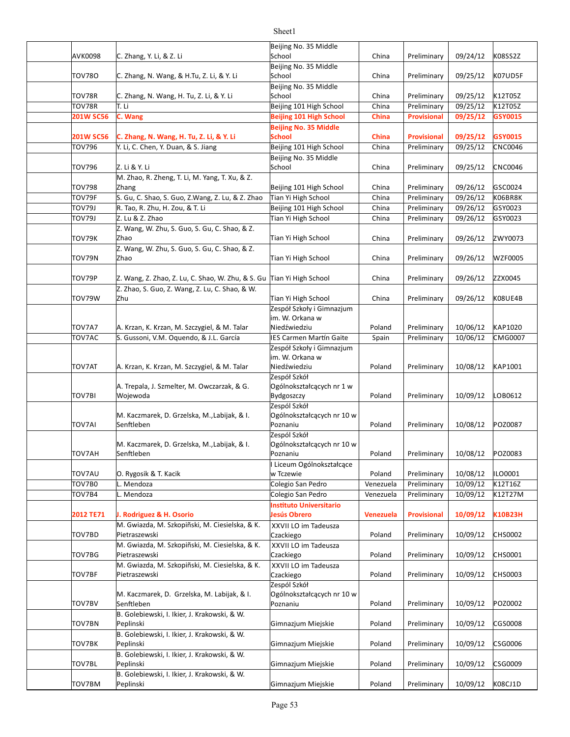|               |                                                                       | Beijing No. 35 Middle                            |           |                    |          |                |
|---------------|-----------------------------------------------------------------------|--------------------------------------------------|-----------|--------------------|----------|----------------|
| AVK0098       | C. Zhang, Y. Li, & Z. Li                                              | School                                           | China     | Preliminary        | 09/24/12 | K08SS2Z        |
| <b>TOV780</b> | C. Zhang, N. Wang, & H.Tu, Z. Li, & Y. Li                             | Beijing No. 35 Middle<br>School                  | China     | Preliminary        | 09/25/12 | K07UD5F        |
|               |                                                                       | Beijing No. 35 Middle                            |           |                    |          |                |
| TOV78R        | C. Zhang, N. Wang, H. Tu, Z. Li, & Y. Li                              | School                                           | China     | Preliminary        | 09/25/12 | K12T05Z        |
| TOV78R        | T. Li                                                                 | Beijing 101 High School                          | China     | Preliminary        | 09/25/12 | K12T05Z        |
| 201W SC56     | C. Wang                                                               | <b>Beijing 101 High School</b>                   | China     | <b>Provisional</b> | 09/25/12 | GSY0015        |
|               |                                                                       | <b>Beijing No. 35 Middle</b>                     |           |                    |          |                |
| 201W SC56     | C. Zhang, N. Wang, H. Tu, Z. Li, & Y. Li                              | <b>School</b>                                    | China     | <b>Provisional</b> | 09/25/12 | GSY0015        |
| <b>TOV796</b> | Y. Li, C. Chen, Y. Duan, & S. Jiang                                   | Beijing 101 High School                          | China     | Preliminary        | 09/25/12 | <b>CNC0046</b> |
|               |                                                                       | Beijing No. 35 Middle                            |           |                    |          |                |
| TOV796        | Z. Li & Y. Li                                                         | School                                           | China     | Preliminary        | 09/25/12 | <b>CNC0046</b> |
|               | M. Zhao, R. Zheng, T. Li, M. Yang, T. Xu, & Z.                        |                                                  |           |                    |          |                |
| <b>TOV798</b> | Zhang                                                                 | Beijing 101 High School                          | China     | Preliminary        | 09/26/12 | GSC0024        |
| TOV79F        | S. Gu, C. Shao, S. Guo, Z.Wang, Z. Lu, & Z. Zhao                      | Tian Yi High School                              | China     | Preliminary        | 09/26/12 | K06BR8K        |
| <b>TOV79J</b> | R. Tao, R. Zhu, H. Zou, & T. Li                                       | Beijing 101 High School                          | China     | Preliminary        | 09/26/12 | GSY0023        |
| <b>TOV79J</b> | Z. Lu & Z. Zhao                                                       | Tian Yi High School                              | China     | Preliminary        | 09/26/12 | GSY0023        |
|               | Z. Wang, W. Zhu, S. Guo, S. Gu, C. Shao, & Z.                         |                                                  |           |                    |          |                |
| TOV79K        | Zhao                                                                  | Tian Yi High School                              | China     | Preliminary        | 09/26/12 | ZWY0073        |
|               | Z. Wang, W. Zhu, S. Guo, S. Gu, C. Shao, & Z.                         |                                                  |           |                    |          |                |
| TOV79N        | Zhao                                                                  | Tian Yi High School                              | China     | Preliminary        | 09/26/12 | <b>WZF0005</b> |
|               |                                                                       |                                                  |           |                    |          |                |
| TOV79P        | Z. Wang, Z. Zhao, Z. Lu, C. Shao, W. Zhu, & S. Gu Tian Yi High School |                                                  | China     | Preliminary        | 09/26/12 | ZZX0045        |
| TOV79W        | Z. Zhao, S. Guo, Z. Wang, Z. Lu, C. Shao, & W.                        |                                                  |           |                    |          | K08UE4B        |
|               | Zhu                                                                   | Tian Yi High School<br>Zespół Szkoły i Gimnazjum | China     | Preliminary        | 09/26/12 |                |
|               |                                                                       | im. W. Orkana w                                  |           |                    |          |                |
| TOV7A7        | A. Krzan, K. Krzan, M. Szczygiel, & M. Talar                          | Niedźwiedziu                                     | Poland    | Preliminary        | 10/06/12 | KAP1020        |
| <b>TOV7AC</b> | S. Gussoni, V.M. Oquendo, & J.L. García                               | <b>IES Carmen Martín Gaite</b>                   | Spain     | Preliminary        | 10/06/12 | <b>CMG0007</b> |
|               |                                                                       | Zespół Szkoły i Gimnazjum                        |           |                    |          |                |
|               |                                                                       | im. W. Orkana w                                  |           |                    |          |                |
| <b>TOV7AT</b> | A. Krzan, K. Krzan, M. Szczygiel, & M. Talar                          | Niedźwiedziu                                     | Poland    | Preliminary        | 10/08/12 | KAP1001        |
|               |                                                                       | Zespół Szkół                                     |           |                    |          |                |
|               | A. Trepala, J. Szmelter, M. Owczarzak, & G.                           | Ogólnokształcących nr 1 w                        |           |                    |          |                |
| TOV7BI        | Wojewoda                                                              | Bydgoszczy                                       | Poland    | Preliminary        | 10/09/12 | LOB0612        |
|               |                                                                       | Zespól Szkół                                     |           |                    |          |                |
|               | M. Kaczmarek, D. Grzelska, M., Labijak, & I.                          | Ogólnokształcących nr 10 w                       |           |                    |          |                |
| <b>TOV7AI</b> | Senftleben                                                            | Poznaniu                                         | Poland    | Preliminary        | 10/08/12 | POZ0087        |
|               | M. Kaczmarek, D. Grzelska, M., Labijak, & I.                          | Zespól Szkół<br>Ogólnokształcących nr 10 w       |           |                    |          |                |
| <b>TOV7AH</b> | Senftleben                                                            | Poznaniu                                         | Poland    | Preliminary        | 10/08/12 | POZ0083        |
|               |                                                                       | I Liceum Ogólnokształcące                        |           |                    |          |                |
| TOV7AU        | O. Rygosik & T. Kacik                                                 | w Tczewie                                        | Poland    | Preliminary        | 10/08/12 | ILO0001        |
| TOV7B0        | L. Mendoza                                                            | Colegio San Pedro                                | Venezuela | Preliminary        | 10/09/12 | K12T16Z        |
| TOV7B4        | L. Mendoza                                                            | Colegio San Pedro                                | Venezuela | Preliminary        | 10/09/12 | K12T27M        |
|               |                                                                       | <b>Instituto Universitario</b>                   |           |                    |          |                |
| 2012 TE71     | J. Rodriguez & H. Osorio                                              | Jesús Obrero                                     | Venezuela | <b>Provisional</b> | 10/09/12 | K10B23H        |
|               | M. Gwiazda, M. Szkopiñski, M. Ciesielska, & K.                        | XXVII LO im Tadeusza                             |           |                    |          |                |
| TOV7BD        | Pietraszewski                                                         | Czackiego                                        | Poland    | Preliminary        | 10/09/12 | CHS0002        |
|               | M. Gwiazda, M. Szkopiñski, M. Ciesielska, & K.                        | XXVII LO im Tadeusza                             |           |                    |          |                |
| <b>TOV7BG</b> | Pietraszewski                                                         | Czackiego                                        | Poland    | Preliminary        | 10/09/12 | CHS0001        |
|               | M. Gwiazda, M. Szkopiñski, M. Ciesielska, & K.                        | XXVII LO im Tadeusza                             |           |                    |          |                |
| TOV7BF        | Pietraszewski                                                         | Czackiego                                        | Poland    | Preliminary        | 10/09/12 | <b>CHS0003</b> |
|               |                                                                       | Zespól Szkół                                     |           |                    |          |                |
|               | M. Kaczmarek, D. Grzelska, M. Labijak, & I.                           | Ogólnokształcących nr 10 w                       |           |                    |          |                |
| TOV7BV        | Senftleben                                                            | Poznaniu                                         | Poland    | Preliminary        | 10/09/12 | POZ0002        |
|               | B. Golebiewski, I. Ikier, J. Krakowski, & W.                          |                                                  |           |                    |          |                |
| <b>TOV7BN</b> | Peplinski<br>B. Golebiewski, I. Ikier, J. Krakowski, & W.             | Gimnazjum Miejskie                               | Poland    | Preliminary        | 10/09/12 | CGS0008        |
| TOV7BK        | Peplinski                                                             | Gimnazjum Miejskie                               | Poland    | Preliminary        | 10/09/12 | CSG0006        |
|               | B. Golebiewski, I. Ikier, J. Krakowski, & W.                          |                                                  |           |                    |          |                |
| TOV7BL        | Peplinski                                                             | Gimnazjum Miejskie                               | Poland    | Preliminary        | 10/09/12 | CSG0009        |
|               | B. Golebiewski, I. Ikier, J. Krakowski, & W.                          |                                                  |           |                    |          |                |
| TOV7BM        | Peplinski                                                             | Gimnazjum Miejskie                               | Poland    | Preliminary        | 10/09/12 | K08CJ1D        |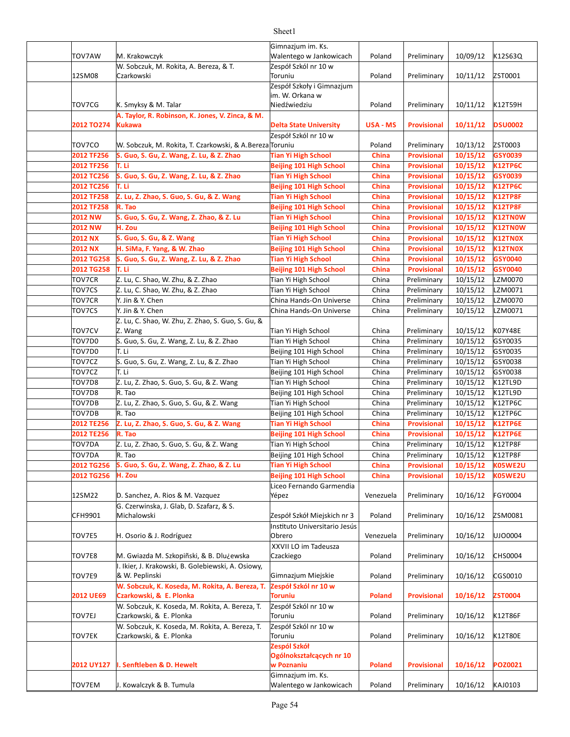|                |                                                          | Gimnazjum im. Ks.              |               |                    |          |                |
|----------------|----------------------------------------------------------|--------------------------------|---------------|--------------------|----------|----------------|
| TOV7AW         | M. Krakowczyk                                            | Walentego w Jankowicach        | Poland        | Preliminary        | 10/09/12 | K12S63Q        |
|                | W. Sobczuk, M. Rokita, A. Bereza, & T.                   | Zespół Szkól nr 10 w           |               |                    |          |                |
| 12SM08         | Czarkowski                                               | Toruniu                        | Poland        | Preliminary        | 10/11/12 | ZST0001        |
|                |                                                          | Zespół Szkoły i Gimnazjum      |               |                    |          |                |
|                |                                                          | im. W. Orkana w                |               |                    |          |                |
| TOV7CG         | K. Smyksy & M. Talar                                     | Niedźwiedziu                   | Poland        | Preliminary        | 10/11/12 | K12T59H        |
|                | A. Taylor, R. Robinson, K. Jones, V. Zinca, & M.         |                                |               |                    |          |                |
| 2012 TO274     | Kukawa                                                   | <b>Delta State University</b>  | USA - MS      | <b>Provisional</b> | 10/11/12 | <b>DSU0002</b> |
|                |                                                          | Zespół Szkól nr 10 w           |               |                    |          |                |
| TOV7CO         | W. Sobczuk, M. Rokita, T. Czarkowski, & A.Bereza Toruniu |                                | Poland        | Preliminary        | 10/13/12 | ZST0003        |
|                |                                                          |                                |               |                    |          |                |
| 2012 TF256     | S. Guo, S. Gu, Z. Wang, Z. Lu, & Z. Zhao                 | <b>Tian Yi High School</b>     | China         | <b>Provisional</b> | 10/15/12 | GSY0039        |
| 2012 TF256     | T. Li                                                    | Beijing 101 High School        | China         | <b>Provisional</b> | 10/15/12 | <b>K12TP6C</b> |
| 2012 TC256     | S. Guo, S. Gu, Z. Wang, Z. Lu, & Z. Zhao                 | <b>Tian Yi High School</b>     | China         | Provisional        | 10/15/12 | GSY0039        |
| 2012 TC256     | T. Li                                                    | <b>Beijing 101 High School</b> | China         | <b>Provisional</b> | 10/15/12 | <b>K12TP6C</b> |
| 2012 TF258     | Z. Lu, Z. Zhao, S. Guo, S. Gu, & Z. Wang                 | <b>Tian Yi High School</b>     | China         | <b>Provisional</b> | 10/15/12 | <b>K12TP8F</b> |
| 2012 TF258     | R. Tao                                                   | <b>Beijing 101 High School</b> | China         | <b>Provisional</b> | 10/15/12 | <b>K12TP8F</b> |
| 2012 NW        | S. Guo, S. Gu, Z. Wang, Z. Zhao, & Z. Lu                 | <b>Tian Yi High School</b>     | China         | <b>Provisional</b> | 10/15/12 | K12TN0W        |
| 2012 NW        | H. Zou                                                   | Beijing 101 High School        | China         | Provisional        | 10/15/12 | K12TN0W        |
| <b>2012 NX</b> | S. Guo, S. Gu, & Z. Wang                                 | <b>Tian Yi High School</b>     | China         | <b>Provisional</b> | 10/15/12 | K12TN0X        |
| <b>2012 NX</b> | H. SiMa, F. Yang, & W. Zhao                              | Beijing 101 High School        | China         | Provisional        | 10/15/12 | <b>K12TN0X</b> |
| 2012 TG258     | S. Guo, S. Gu, Z. Wang, Z. Lu, & Z. Zhao                 | <b>Tian Yi High School</b>     | China         | Provisional        | 10/15/12 | GSY0040        |
| 2012 TG258     | T. Li                                                    | <b>Beijing 101 High School</b> | China         | <b>Provisional</b> | 10/15/12 | GSY0040        |
| TOV7CR         | Z. Lu, C. Shao, W. Zhu, & Z. Zhao                        | Tian Yi High School            | China         | Preliminary        | 10/15/12 | LZM0070        |
| TOV7CS         | Z. Lu, C. Shao, W. Zhu, & Z. Zhao                        | Tian Yi High School            | China         | Preliminary        | 10/15/12 | LZM0071        |
| TOV7CR         | Y. Jin & Y. Chen                                         | China Hands-On Universe        | China         |                    | 10/15/12 | LZM0070        |
|                |                                                          |                                |               | Preliminary        |          |                |
| TOV7CS         | Y. Jin & Y. Chen                                         | China Hands-On Universe        | China         | Preliminary        | 10/15/12 | LZM0071        |
|                | Z. Lu, C. Shao, W. Zhu, Z. Zhao, S. Guo, S. Gu, &        |                                |               |                    |          |                |
| TOV7CV         | Z. Wang                                                  | Tian Yi High School            | China         | Preliminary        | 10/15/12 | K07Y48E        |
| TOV7D0         | S. Guo, S. Gu, Z. Wang, Z. Lu, & Z. Zhao                 | Tian Yi High School            | China         | Preliminary        | 10/15/12 | GSY0035        |
| TOV7D0         | T. Li                                                    | Beijing 101 High School        | China         | Preliminary        | 10/15/12 | GSY0035        |
| TOV7CZ         | S. Guo, S. Gu, Z. Wang, Z. Lu, & Z. Zhao                 | Tian Yi High School            | China         | Preliminary        | 10/15/12 | GSY0038        |
| TOV7CZ         | T. Li                                                    | Beijing 101 High School        | China         | Preliminary        | 10/15/12 | GSY0038        |
| TOV7D8         | Z. Lu, Z. Zhao, S. Guo, S. Gu, & Z. Wang                 | Tian Yi High School            | China         | Preliminary        | 10/15/12 | K12TL9D        |
| TOV7D8         | R. Tao                                                   | Beijing 101 High School        | China         | Preliminary        | 10/15/12 | K12TL9D        |
| TOV7DB         | Z. Lu, Z. Zhao, S. Guo, S. Gu, & Z. Wang                 | Tian Yi High School            | China         | Preliminary        | 10/15/12 | K12TP6C        |
| TOV7DB         | R. Tao                                                   | Beijing 101 High School        | China         | Preliminary        | 10/15/12 | <b>K12TP6C</b> |
| 2012 TE256     | Z. Lu, Z. Zhao, S. Guo, S. Gu, & Z. Wang                 | <b>Tian Yi High School</b>     | China         | <b>Provisional</b> | 10/15/12 | <b>K12TP6E</b> |
| 2012 TE256     | R. Tao                                                   | <b>Beijing 101 High School</b> | China         | Provisional        | 10/15/12 | <b>K12TP6E</b> |
| TOV7DA         | Z. Lu, Z. Zhao, S. Guo, S. Gu, & Z. Wang                 | Tian Yi High School            | China         | Preliminary        | 10/15/12 | K12TP8F        |
| TOV7DA         | R. Tao                                                   | Beijing 101 High School        | China         | Preliminary        | 10/15/12 | K12TP8F        |
|                | S. Guo, S. Gu, Z. Wang, Z. Zhao, & Z. Lu                 | <b>Tian Yi High School</b>     |               |                    | 10/15/12 | <b>K05WE2U</b> |
| 2012 TG256     | H. Zou                                                   |                                | China         | <b>Provisional</b> |          |                |
| 2012 TG256     |                                                          | <b>Beijing 101 High School</b> | China         | <b>Provisional</b> | 10/15/12 | K05WE2U        |
|                |                                                          | Liceo Fernando Garmendia       |               |                    |          |                |
| 12SM22         | D. Sanchez, A. Rios & M. Vazquez                         | Yépez                          | Venezuela     | Preliminary        | 10/16/12 | <b>FGY0004</b> |
|                | G. Czerwinska, J. Glab, D. Szafarz, & S.                 |                                |               |                    |          |                |
| CFH9901        | Michalowski                                              | Zespół Szkół Miejskich nr 3    | Poland        | Preliminary        | 10/16/12 | ZSM0081        |
|                |                                                          | Instituto Universitario Jesús  |               |                    |          |                |
| TOV7E5         | H. Osorio & J. Rodríguez                                 | Obrero                         | Venezuela     | Preliminary        | 10/16/12 | UJ00004        |
|                |                                                          | XXVII LO im Tadeusza           |               |                    |          |                |
| TOV7E8         | M. Gwiazda M. Szkopiñski, & B. Dlu¿ewska                 | Czackiego                      | Poland        | Preliminary        | 10/16/12 | <b>CHS0004</b> |
|                | I. Ikier, J. Krakowski, B. Golebiewski, A. Osiowy,       |                                |               |                    |          |                |
| TOV7E9         | & W. Peplinski                                           | Gimnazjum Miejskie             | Poland        | Preliminary        | 10/16/12 | CGS0010        |
|                | W. Sobczuk, K. Koseda, M. Rokita, A. Bereza, T.          | Zespół Szkól nr 10 w           |               |                    |          |                |
| 2012 UE69      | Czarkowski, & E. Plonka                                  | Toruniu                        | Poland        | <b>Provisional</b> | 10/16/12 | <b>ZST0004</b> |
|                | W. Sobczuk, K. Koseda, M. Rokita, A. Bereza, T.          | Zespół Szkól nr 10 w           |               |                    |          |                |
| TOV7EJ         | Czarkowski, & E. Plonka                                  | Toruniu                        | Poland        | Preliminary        | 10/16/12 | K12T86F        |
|                | W. Sobczuk, K. Koseda, M. Rokita, A. Bereza, T.          | Zespół Szkól nr 10 w           |               |                    |          |                |
| TOV7EK         | Czarkowski, & E. Plonka                                  | Toruniu                        | Poland        | Preliminary        | 10/16/12 | <b>K12T80E</b> |
|                |                                                          | Zespól Szkół                   |               |                    |          |                |
|                |                                                          | Ogólnokształcących nr 10       |               |                    |          |                |
| 2012 UY127     | I. Senftleben & D. Hewelt                                | w Poznaniu                     | <b>Poland</b> | <b>Provisional</b> | 10/16/12 | <b>POZ0021</b> |
|                |                                                          | Gimnazjum im. Ks.              |               |                    |          |                |
| TOV7EM         | J. Kowalczyk & B. Tumula                                 | Walentego w Jankowicach        | Poland        | Preliminary        | 10/16/12 | KAJ0103        |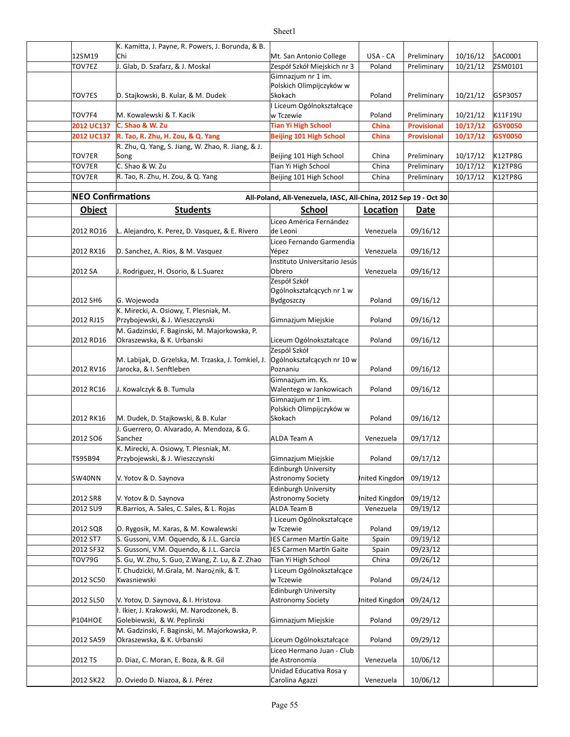|                          | K. Kamitta, J. Payne, R. Powers, J. Borunda, & B.   |                                                                  |                |                    |          |                |
|--------------------------|-----------------------------------------------------|------------------------------------------------------------------|----------------|--------------------|----------|----------------|
| 12SM19                   | Chi                                                 | Mt. San Antonio College                                          | USA - CA       | Preliminary        | 10/16/12 | SAC0001        |
| TOV7EZ                   | J. Glab, D. Szafarz, & J. Moskal                    | Zespół Szkół Miejskich nr 3                                      | Poland         | Preliminary        | 10/21/12 | ZSM0101        |
|                          |                                                     | Gimnazjum nr 1 im.                                               |                |                    |          |                |
|                          |                                                     | Polskich Olimpijczyków w                                         |                |                    |          |                |
| TOV7ES                   | D. Stajkowski, B. Kular, & M. Dudek                 | Skokach                                                          | Poland         | Preliminary        | 10/21/12 | GSP3057        |
|                          |                                                     | Liceum Ogólnokształcące                                          |                |                    |          |                |
| TOV7F4                   | M. Kowalewski & T. Kacik                            | w Tczewie                                                        | Poland         | Preliminary        | 10/21/12 | K11F19U        |
|                          | C. Shao & W. Zu                                     |                                                                  |                |                    |          |                |
| 2012 UC137               |                                                     | <b>Tian Yi High School</b>                                       | China          | <b>Provisional</b> | 10/17/12 | GSY0050        |
| 2012 UC137               | R. Tao, R. Zhu, H. Zou, & Q. Yang                   | <b>Beijing 101 High School</b>                                   | China          | <b>Provisional</b> | 10/17/12 | GSY0050        |
|                          | R. Zhu, Q. Yang, S. Jiang, W. Zhao, R. Jiang, & J.  |                                                                  |                |                    |          |                |
| <b>TOV7ER</b>            | Song                                                | Beijing 101 High School                                          | China          | Preliminary        | 10/17/12 | <b>K12TP8G</b> |
| TOV7ER                   | C. Shao & W. Zu                                     | Tian Yi High School                                              | China          | Preliminary        | 10/17/12 | K12TP8G        |
| TOV7ER                   | R. Tao, R. Zhu, H. Zou, & Q. Yang                   | Beijing 101 High School                                          | China          | Preliminary        | 10/17/12 | K12TP8G        |
|                          |                                                     |                                                                  |                |                    |          |                |
| <b>NEO Confirmations</b> |                                                     | All-Poland, All-Venezuela, IASC, All-China, 2012 Sep 19 - Oct 30 |                |                    |          |                |
| <b>Object</b>            | <b>Students</b>                                     | School                                                           | Location       | Date               |          |                |
|                          |                                                     |                                                                  |                |                    |          |                |
|                          |                                                     | Liceo América Fernández                                          |                |                    |          |                |
| 2012 RO16                | L. Alejandro, K. Perez, D. Vasquez, & E. Rivero     | de Leoni                                                         | Venezuela      | 09/16/12           |          |                |
|                          |                                                     | Liceo Fernando Garmendia                                         |                |                    |          |                |
| 2012 RX16                | D. Sanchez, A. Rios, & M. Vasquez                   | Yépez                                                            | Venezuela      | 09/16/12           |          |                |
|                          |                                                     | Instituto Universitario Jesús                                    |                |                    |          |                |
| 2012 SA                  | J. Rodriguez, H. Osorio, & L. Suarez                | Obrero                                                           | Venezuela      | 09/16/12           |          |                |
|                          |                                                     | Zespół Szkół                                                     |                |                    |          |                |
|                          |                                                     | Ogólnokształcących nr 1 w                                        |                |                    |          |                |
| 2012 SH6                 | G. Wojewoda                                         | Bydgoszczy                                                       | Poland         | 09/16/12           |          |                |
|                          | K. Mirecki, A. Osiowy, T. Plesniak, M.              |                                                                  |                |                    |          |                |
| 2012 RJ15                | Przybojewski, & J. Wieszczynski                     | Gimnazjum Miejskie                                               | Poland         | 09/16/12           |          |                |
|                          | M. Gadzinski, F. Baginski, M. Majorkowska, P.       |                                                                  |                |                    |          |                |
| 2012 RD16                | Okraszewska, & K. Urbanski                          | Liceum Ogólnokształcące                                          | Poland         | 09/16/12           |          |                |
|                          |                                                     | Zespól Szkół                                                     |                |                    |          |                |
|                          | M. Labijak, D. Grzelska, M. Trzaska, J. Tomkiel, J. | Ogólnokształcących nr 10 w                                       |                |                    |          |                |
| 2012 RV16                | Jarocka, & I. Senftleben                            | Poznaniu                                                         | Poland         | 09/16/12           |          |                |
|                          |                                                     | Gimnazjum im. Ks.                                                |                |                    |          |                |
| 2012 RC16                | J. Kowalczyk & B. Tumula                            | Walentego w Jankowicach                                          | Poland         | 09/16/12           |          |                |
|                          |                                                     | Gimnazjum nr 1 im.                                               |                |                    |          |                |
|                          |                                                     | Polskich Olimpijczyków w                                         |                |                    |          |                |
| 2012 RK16                | M. Dudek, D. Stajkowski, & B. Kular                 | Skokach                                                          | Poland         | 09/16/12           |          |                |
|                          | J. Guerrero, O. Alvarado, A. Mendoza, & G.          |                                                                  |                |                    |          |                |
| 2012 SO6                 | Sanchez                                             |                                                                  | Venezuela      | 09/17/12           |          |                |
|                          |                                                     | ALDA Team A                                                      |                |                    |          |                |
|                          | K. Mirecki, A. Osiowy, T. Plesniak, M.              |                                                                  |                |                    |          |                |
| TS95B94                  | Przybojewski, & J. Wieszczynski                     | Gimnazjum Miejskie                                               | Poland         | 09/17/12           |          |                |
|                          |                                                     | Edinburgh University                                             |                |                    |          |                |
| SW40NN                   | V. Yotov & D. Saynova                               | Astronomy Society                                                | Inited Kingdon | 09/19/12           |          |                |
|                          |                                                     | Edinburgh University                                             |                |                    |          |                |
| 2012 SR8                 | V. Yotov & D. Saynova                               | Astronomy Society                                                | Inited Kingdon | 09/19/12           |          |                |
| 2012 SU9                 | R.Barrios, A. Sales, C. Sales, & L. Rojas           | ALDA Team B                                                      | Venezuela      | 09/19/12           |          |                |
|                          |                                                     | Liceum Ogólnokształcące                                          |                |                    |          |                |
| 2012 SQ8                 | O. Rygosik, M. Karas, & M. Kowalewski               | w Tczewie                                                        | Poland         | 09/19/12           |          |                |
| 2012 ST7                 | S. Gussoni, V.M. Oquendo, & J.L. García             | IES Carmen Martín Gaite                                          | Spain          | 09/19/12           |          |                |
| 2012 SF32                | S. Gussoni, V.M. Oquendo, & J.L. García             | IES Carmen Martín Gaite                                          | Spain          | 09/23/12           |          |                |
| <b>TOV79G</b>            | S. Gu, W. Zhu, S. Guo, Z.Wang, Z. Lu, & Z. Zhao     | Tian Yi High School                                              | China          | 09/26/12           |          |                |
|                          | T. Chudzicki, M.Grala, M. Naro¿nik, & T.            | I Liceum Ogólnokształcące                                        |                |                    |          |                |
| 2012 SC50                | Kwasniewski                                         | w Tczewie                                                        | Poland         | 09/24/12           |          |                |
|                          |                                                     | Edinburgh University                                             |                |                    |          |                |
| 2012 SL50                | V. Yotov, D. Saynova, & I. Hristova                 | Astronomy Society                                                | Inited Kingdon | 09/24/12           |          |                |
|                          | I. Ikier, J. Krakowski, M. Narodzonek, B.           |                                                                  |                |                    |          |                |
| P104HOE                  | Golebiewski, & W. Peplinski                         | Gimnazjum Miejskie                                               | Poland         | 09/29/12           |          |                |
|                          |                                                     |                                                                  |                |                    |          |                |
|                          | M. Gadzinski, F. Baginski, M. Majorkowska, P.       |                                                                  |                |                    |          |                |
| 2012 SA59                | Okraszewska, & K. Urbanski                          | Liceum Ogólnokształcące                                          | Poland         | 09/29/12           |          |                |
|                          |                                                     | Liceo Hermano Juan - Club                                        |                |                    |          |                |
| 2012 TS                  | D. Diaz, C. Moran, E. Boza, & R. Gil                | de Astronomía                                                    | Venezuela      | 10/06/12           |          |                |
|                          |                                                     | Unidad Educativa Rosa y                                          |                |                    |          |                |
| 2012 SK22                | D. Oviedo D. Niazoa, & J. Pérez                     | Carolina Agazzi                                                  | Venezuela      | 10/06/12           |          |                |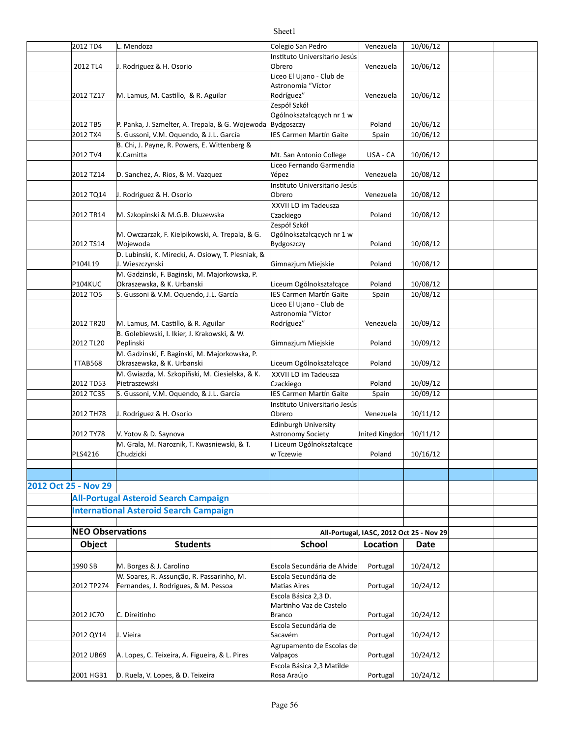#### 2012 TD4 L. Mendoza Colegio San Pedro Venezuela | 10/06/12 2012 TL4 J. Rodriguez & H. Osorio (Dbrero Network: 2012 TL4 J1/06/12 2012 TZ17 M. Lamus, M. Castillo, & R. Aguilar M. Rodríguez" Rodríguez | Venezuela | 10/06/12 2012 TB5 P. Panka, J. Szmelter, A. Trepala, & G. Wojewoda Bydgoszczy and the Poland and 10/06/12 2012 TX4 S. Gussoni, V.M. Oquendo, & J.L. García | IES Carmen Martín Gaite | Spain | 10/06/12 2012 TV4 Mt. San Antonio College USA - CA 10/06/12 2012 TZ14 D. Sanchez, A. Rios, & M. Vazquez  $\begin{array}{|c|c|c|c|c|}\hline \text{Yépez} & \text{Venezuela} & 10/08/12 \\\hline \end{array}$ 2012 TQ14 J. Rodriguez & H. Osorio  $\vert$  Obrero  $\vert$  Venezuela | 10/08/12 2012 TR14 M. Szkopinski & M.G.B. Dluzewska (Czackiego Carego Poland 10/08/12 2012 TS14 Poland 10/08/12 P104L19 D. Wieszczynski ale entropy i Gimnazjum Miejskie die Poland die 10/08/12 P104KUC | Okraszewska, & K. Urbanski | Liceum Ogólnokształcące | Poland | 10/08/12 2012 TO5 S. Gussoni & V.M. Oquendo, J.L. García Subsection and Martín Gaite Spain 10/08/12 2012 TR20 M. Lamus, M. Castillo, & R. Aguilar M. Rodríguez" Nenezuela | 10/09/12 2012 TL20 Poland 10/09/12 Peplinski Gimnazjum Miejskie TTAB568 Okraszewska, & K. Urbanski Liceum Ogólnokształcące Poland 10/09/12 2012 TD53 Pietraszewski a strong cządkiego a poland 10/09/12 2012 TC35 S. Gussoni, V.M. Oquendo, & J.L. García Subsection and Martín Gaite Spain 10/09/12 2012 TH78 J. Rodriguez & H. Osorio  $\vert$ Obrero  $\vert$  Venezuela  $\vert$  10/11/12 2012 TY78 V. Yotov & D. Saynova Astronomy Society Astronomy Society Anited Kingdom 10/11/12 PLS4216 Poland 10/16/12 **2012 Oct 25 - Nov 29 All-Portugal Asteroid Search Campaign International Asteroid Search Campaign NEO Observations All-Portugal, IASC, 2012 Oct 25 - Nov 29 Object Students School <b>Location** Date 1990 SB M. Borges & J. Carolino **Excola Secundária** de Alvide Portugal | 10/24/12 2012 TP274 Fernandes, J. Rodrigues, & M. Pessoa Matias Aires Mation Music Rottugal | 10/24/12 2012 JC70 C. Direitinho **C. Direitinho** and the set of the set of the set of the set of the set of the set of th 2012 QY14 J. Vieira Portugal 10/24/12 2012 UB69 A. Lopes, C. Teixeira, A. Figueira, & L. Pires Valpaços and Portugal | 10/24/12 2001 HG31 D. Ruela, V. Lopes, & D. Teixeira entries and Rosa Araújo and Prortugal | 10/24/12 Instituto Universitario Jesús Obrero Liceo El Ujano - Club de Astronomía "Víctor Rodríguez" Zespół Szkół Ogólnokształcących nr 1 w Bydgoszczy B. Chi, J. Payne, R. Powers, E. Wittenberg &  $K.Camitta$ Liceo Fernando Garmendia Yépez Instituto Universitario Jesús Obrero **XXVII LO im Tadeusza** Czackiego M. Owczarzak, F. Kielpikowski, A. Trepala, & G. Wojewoda Zespół Szkół Ogólnokształcących nr 1 w Bydgoszczy D. Lubinski, K. Mirecki, A. Osiowy, T. Plesniak, & M. Gadzinski, F. Baginski, M. Majorkowska, P. Liceo El Ujano - Club de Astronomía "Víctor Rodríguez" B. Golebiewski, I. Ikier, J. Krakowski, & W. M. Gadzinski, F. Baginski, M. Majorkowska, P. M. Gwiazda, M. Szkopiñski, M. Ciesielska, & K. XXVII LO im Tadeusza Czackiego Instituto Universitario Jesús Obrero Edinburgh University Astronomy Society M. Grala, M. Naroznik, T. Kwasniewski, & T. Chudzicki Liceum Ogólnokształcące w Tczewie W. Soares, R. Assunção, R. Passarinho, M. Escola Secundária de Matias Aires C. Direitinho Escola Básica 2,3 D. Martinho Vaz de Castelo Branco Escola Secundária de Sacavém Agrupamento de Escolas de Valpaços Escola Básica 2,3 Matilde Rosa Araújo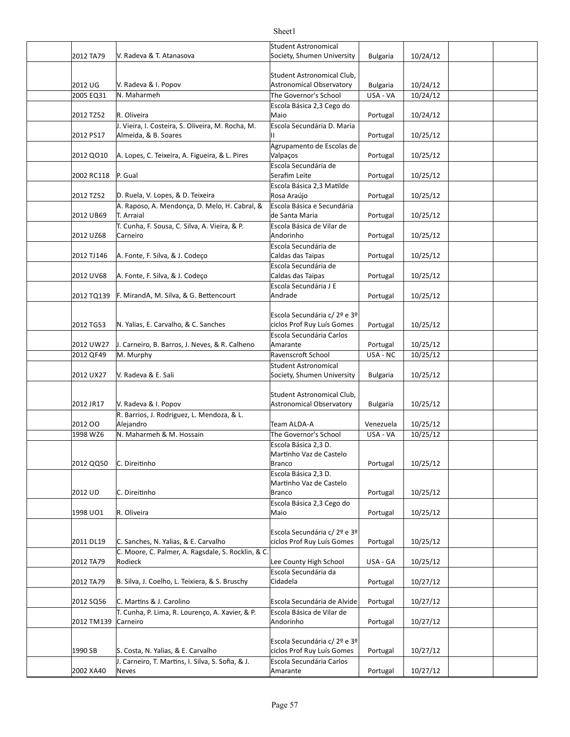#### 2012 TA79 V. Radeva & T. Atanasova Society, Shumen University | Bulgaria 10/24/12 2012 UG V. Radeva & I. Popov Astronomical Observatory Bulgaria 10/24/12  $2005$  EQ31 N. Maharmeh  $\overline{R}$  The Governor's School USA - VA 10/24/12 2012 TZ52 R. Oliveira Portugal 10/24/12 2012 PS17 |Almeida, & B. Soares |Il Portugal | 10/25/12 2012 QO10 SA. Lopes, C. Teixeira, A. Figueira, & L. Pires (Valpaços Santilla Portugal | 10/25/12 2002 RC118 P. Gual **Contract Contract Contract Contract Contract Contract Contract Contract Contract Contract Contract Contract Contract Point Contract Contract Point Contract Contract Contract Contract Contract Contract C** 2012 TZ52 D. Ruela, V. Lopes, & D. Teixeira entries en la Rosa Araújo entries de la Portugal de 10/25/12 2012 UB69 Portugal 10/25/12 de Santa Maria 2012 UZ68 Portugal 10/25/12 2012 TJ146 A. Fonte, F. Silva, & J. Codeço Caldas das Taipas Raipas Robusta (10/25/12 2012 UV68 |A. Fonte, F. Silva, & J. Codeço Caldas das Taipas Portugal | 10/25/12 2012 TQ139 F. MirandA, M. Silva, & G. Bettencourt Andrade Andrade Portugal 10/25/12 2012 TG53 N. Yalias, E. Carvalho, & C. Sanches Ciclos Prof Ruy Luís Gomes Portugal | 10/25/12 2012 UW27 |J. Carneiro, B. Barros, J. Neves, & R. Calheno | Amarante | Portugal | 10/25/12 2012 QF49 M. Murphy November 2012 QF49 M. Murphy November 2012 Ravenscroft School November 2012 USA - NC | 10/25/12 2012 UX27 Y. Radeva & E. Sali North Controllers (Society, Shumen University | Bulgaria | 10/25/12 2012 JR17 Bulgaria 10/25/12 Astronomical Observatory 2012 OO Team ALDA-A Venezuela 10/25/12 1998 WZ6 N. Maharmeh & M. Hossain The Governor's School | USA - VA | 10/25/12 2012 QQ50 C. Direitinho Branco Portugal | 10/25/12 2012 UD Portugal 10/25/12 1998 UO1 R. Oliveira Portugal 10/25/12 2011 DL19 C. Sanches, N. Yalias, & E. Carvalho Sanches Prof Ruy Luís Gomes | Portugal | 10/25/12 2012 TA79 Rodieck **Example 2012** TA79 Rodieck **County High School USA** - GA 10/25/12 2012 TA79 |B. Silva, J. Coelho, L. Teixiera, & S. Bruschy | Cidadela | Portugal | 10/27/12 2012 SQ56 C. Martins & J. Carolino **Excola Secundária de Alvide** Portugal | 10/27/12 2012 TM139 Carneiro Andorinho Portugal | 10/27/12 1990 SB S. Costa, N. Yalias, & E. Carvalho S. Portugal ciclos Prof Ruy Luís Gomes | Portugal | 10/27/12 2002 XA40 Neves extended a proportional control and Amarante and Portugal 10/27/12 V. Radeva & T. Atanasova Student Astronomical V. Radeva & I. Popov Student Astronomical Club, N. Maharmeh Escola Básica 2,3 Cego do Maio J. Vieira, I. Costeira, S. Oliveira, M. Rocha, M. Escola Secundária D. Maria II Agrupamento de Escolas de Valpaços P. Gual Escola Secundária de Serafim Leite Escola Básica 2,3 Matilde Rosa Araújo A. Raposo, A. Mendonça, D. Melo, H. Cabral, & T. Arraial Escola Básica e Secundária T. Cunha, F. Sousa, C. Silva, A. Vieira, & P. Carneiro Escola Básica de Vilar de Andorinho **Escola Secundária de** Caldas das Taipas Escola Secundária de Caldas das Taipas Escola Secundária J E Andrade Escola Secundária c/ 2º e 3º ciclos Prof Ruy Luís Gomes Escola Secundária Carlos Amarante V. Radeva & E. Sali Student Astronomical V. Radeva & I. Popov Student Astronomical Club, R. Barrios, J. Rodriguez, L. Mendoza, & L. Alejandro C. Direitinho Escola Básica 2,3 D. Martinho Vaz de Castelo Branco C. Direitinho Escola Básica 2,3 D. Martinho Vaz de Castelo Branco Escola Básica 2,3 Cego do Maio Escola Secundária c/ 2º e 3º ciclos Prof Ruy Luís Gomes C. Moore, C. Palmer, A. Ragsdale, S. Rocklin, & C. Rodieck Escola Secundária da Cidadela T. Cunha, P. Lima, R. Lourenço, A. Xavier, & P. Escola Básica de Vilar de Andorinho Escola Secundária c/ 2º e 3º ciclos Prof Ruy Luís Gomes J. Carneiro, T. Martins, I. Silva, S. Sofia, & J. Neves Escola Secundária Carlos Amarante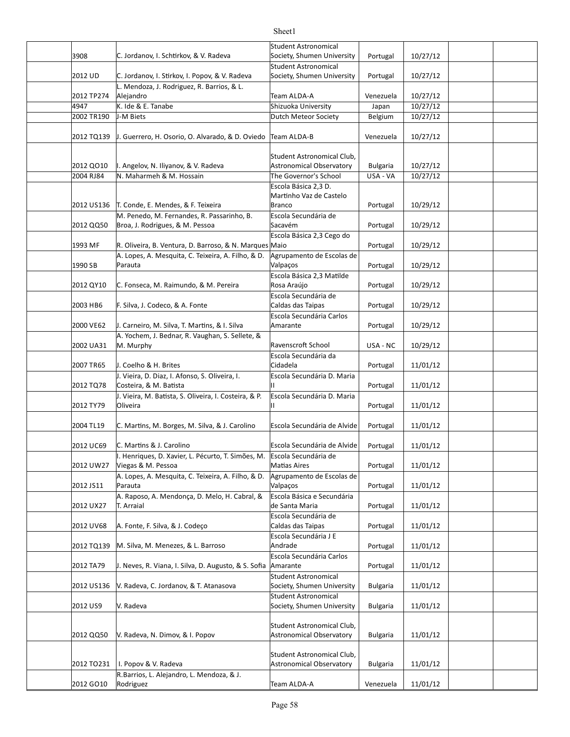#### 3908 C. Jordanov, I. Schtirkov, & V. Radeva Society, Shumen University | Portugal | 10/27/12 2012 UD C. Jordanov, I. Stirkov, I. Popov, & V. Radeva Society, Shumen University | Portugal | 10/27/12 2012 TP274 Team ALDA-A Venezuela 10/27/12 4947 K. Ide & E. Tanabe Shizuoka University Japan 10/27/12 2002 TR190 J-M Biets **Dutch Meteor Society** Belgium 10/27/12 2012 TQ139 J. Guerrero, H. Osorio, O. Alvarado, & D. Oviedo Team ALDA-B Venezuela | 10/27/12 2012 QO10 |I. Angelov, N. Iliyanov, & V. Radeva | Astronomical Observatory | Bulgaria | 10/27/12 2004 RJ84 N. Maharmeh & M. Hossain The Governor's School | USA - VA | 10/27/12 2012 US136 T. Conde, E. Mendes, & F. Teixeira Branco Portugal | 10/29/12 2012 QQ50 Roroa, J. Rodrigues, & M. Pessoa Sacavém Sacavém Rortugal 10/29/12 1993 MF R. Oliveira, B. Ventura, D. Barroso, & N. Marques Maio 1993 MF Portugal 20/29/12 1990 SB Portugal 10/29/12 2012 QY10 C. Fonseca, M. Raimundo, & M. Pereira (Rosa Araújo Santal Portugal | 10/29/12 2003 HB6 F. Silva, J. Codeco, & A. Fonte France Caldas das Taipas France 2003 HB6 France 20029/12 2000 VE62 J. Carneiro, M. Silva, T. Martins, & I. Silva Amarante Amarante Refugal | 10/29/12 2002 UA31 M. Murphy Ravenscroft School | USA - NC | 10/29/12 2007 TR65 DJ. Coelho & H. Brites The Communication of Cidadela The Portugal 2007 TR65 DJ 11/01/12 2012 TQ78 Portugal 11/01/12 Costeira, & M. Ba]sta 2012 TY79 Portugal 11/01/12 2004 TL19  $\,$  C. Martins, M. Borges, M. Silva, & J. Carolino  $\,$  Escola Secundária de Alvide  $\,$  Portugal  $\,$   $\,$  11/01/12 2012 UC69 C. Martins & J. Carolino **Escola Secundária de Alvide** Portugal | 11/01/12 2012 UW27 Viegas & M. Pessoa **M. Executes A. A. S. A. S. A. A. S. A. A. Portugal 11/01/12** 2012 JS11 Portugal 11/01/12 2012 UX27 Portugal 11/01/12 de Santa Maria 2012 UV68 A. Fonte, F. Silva, & J. Codeço Caldas das Taipas Raipas Robustian (11/01/12 2012 TQ139 |M. Silva, M. Menezes, & L. Barroso | Andrade | Portugal | 11/01/12 2012 TA79  $\parallel$  J. Neves, R. Viana, I. Silva, D. Augusto, & S. Sofia Amarante  $\parallel$  Portugal 11/01/12 2012 US136 |V. Radeva, C. Jordanov, & T. Atanasova | Society, Shumen University | Bulgaria | 11/01/12 2012 US9 Bulgaria 11/01/12 Society, Shumen University 2012 QQ50 V. Radeva, N. Dimov, & I. Popov Astronomical Observatory | Bulgaria | 11/01/12 2012 TO231 Bulgaria 11/01/12 Astronomical Observatory 2012 GO10 Rodriguez Team ALDA-A Venezuela 11/01/12 Student Astronomical Society, Shumen University **Student Astronomical** Society, Shumen University L. Mendoza, J. Rodriguez, R. Barrios, & L. Alejandro K. Ide & E. Tanabe J-M Biets Student Astronomical Club, Astronomical Observatory Escola Básica 2,3 D. Martinho Vaz de Castelo Branco M. Penedo, M. Fernandes, R. Passarinho, B. Escola Secundária de Sacavém Escola Básica 2,3 Cego do A. Lopes, A. Mesquita, C. Teixeira, A. Filho, & D. Parauta Agrupamento de Escolas de Valpaços Escola Básica 2,3 Matilde Rosa Araújo Escola Secundária de Caldas das Taipas Escola Secundária Carlos Amarante A. Yochem, J. Bednar, R. Vaughan, S. Sellete, & Escola Secundária da Cidadela J. Vieira, D. Diaz, I. Afonso, S. Oliveira, I. Escola Secundária D. Maria II J. Vieira, M. Batista, S. Oliveira, I. Costeira, & P. Oliveira Escola Secundária D. Maria II I. Henriques, D. Xavier, L. Pécurto, T. Simões, M. Escola Secundária de **Matias Aires** A. Lopes, A. Mesquita, C. Teixeira, A. Filho, & D. Parauta Agrupamento de Escolas de Valpaços A. Raposo, A. Mendonça, D. Melo, H. Cabral, & **T.** Arraial Escola Básica e Secundária **Escola Secundária de** Caldas das Taipas **Escola Secundária J E** Andrade Escola Secundária Carlos Amarante Student Astronomical Society, Shumen University V. Radeva Student Astronomical Student Astronomical Club, Astronomical Observatory I. Popov & V. Radeva Student Astronomical Club, R.Barrios, L. Alejandro, L. Mendoza, & J. Rodriguez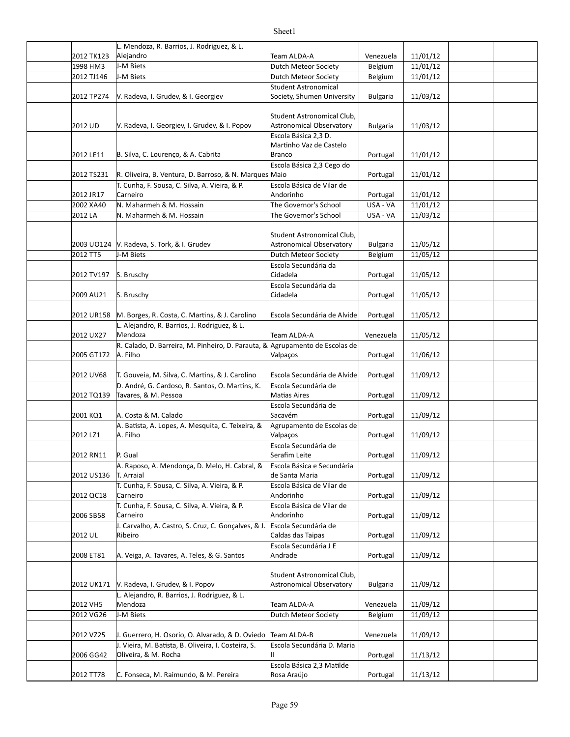|            | L. Mendoza, R. Barrios, J. Rodriguez, & L.                                   |                                  |                 |          |  |
|------------|------------------------------------------------------------------------------|----------------------------------|-----------------|----------|--|
| 2012 TK123 | Alejandro                                                                    | Team ALDA-A                      | Venezuela       | 11/01/12 |  |
| 1998 HM3   | J-M Biets                                                                    | Dutch Meteor Society             | Belgium         | 11/01/12 |  |
| 2012 TJ146 | J-M Biets                                                                    | Dutch Meteor Society             | Belgium         | 11/01/12 |  |
|            |                                                                              | Student Astronomical             |                 |          |  |
| 2012 TP274 | V. Radeva, I. Grudev, & I. Georgiev                                          | Society, Shumen University       | <b>Bulgaria</b> | 11/03/12 |  |
|            |                                                                              |                                  |                 |          |  |
|            |                                                                              | Student Astronomical Club,       |                 |          |  |
| 2012 UD    | V. Radeva, I. Georgiev, I. Grudev, & I. Popov                                | Astronomical Observatory         | <b>Bulgaria</b> | 11/03/12 |  |
|            |                                                                              | Escola Básica 2,3 D.             |                 |          |  |
|            |                                                                              | Martinho Vaz de Castelo          |                 |          |  |
| 2012 LE11  | B. Silva, C. Lourenco, & A. Cabrita                                          | Branco                           | Portugal        | 11/01/12 |  |
|            |                                                                              | Escola Básica 2,3 Cego do        |                 |          |  |
| 2012 TS231 | R. Oliveira, B. Ventura, D. Barroso, & N. Marques Maio                       |                                  | Portugal        | 11/01/12 |  |
|            | T. Cunha, F. Sousa, C. Silva, A. Vieira, & P.                                | Escola Básica de Vilar de        |                 |          |  |
| 2012 JR17  | Carneiro                                                                     | Andorinho                        | Portugal        | 11/01/12 |  |
| 2002 XA40  | N. Maharmeh & M. Hossain                                                     | The Governor's School            | USA - VA        | 11/01/12 |  |
| 2012 LA    | N. Maharmeh & M. Hossain                                                     | The Governor's School            | USA - VA        | 11/03/12 |  |
|            |                                                                              |                                  |                 |          |  |
|            |                                                                              | Student Astronomical Club,       |                 |          |  |
|            | 2003 UO124 V. Radeva, S. Tork, & I. Grudev                                   | Astronomical Observatory         | <b>Bulgaria</b> | 11/05/12 |  |
| 2012 TT5   | J-M Biets                                                                    | Dutch Meteor Society             | Belgium         | 11/05/12 |  |
|            |                                                                              | Escola Secundária da             |                 |          |  |
| 2012 TV197 | S. Bruschy                                                                   | Cidadela                         | Portugal        | 11/05/12 |  |
| 2009 AU21  |                                                                              | Escola Secundária da<br>Cidadela |                 |          |  |
|            | S. Bruschy                                                                   |                                  | Portugal        | 11/05/12 |  |
|            | M. Borges, R. Costa, C. Martins, & J. Carolino                               | Escola Secundária de Alvide      |                 | 11/05/12 |  |
| 2012 UR158 | L. Alejandro, R. Barrios, J. Rodriguez, & L.                                 |                                  | Portugal        |          |  |
| 2012 UX27  | Mendoza                                                                      | Team ALDA-A                      | Venezuela       | 11/05/12 |  |
|            | R. Calado, D. Barreira, M. Pinheiro, D. Parauta, & Agrupamento de Escolas de |                                  |                 |          |  |
| 2005 GT172 | A. Filho                                                                     | Valpaços                         | Portugal        | 11/06/12 |  |
|            |                                                                              |                                  |                 |          |  |
| 2012 UV68  | T. Gouveia, M. Silva, C. Martins, & J. Carolino                              | Escola Secundária de Alvide      | Portugal        | 11/09/12 |  |
|            | D. André, G. Cardoso, R. Santos, O. Martins, K.                              | Escola Secundária de             |                 |          |  |
| 2012 TQ139 | Tavares, & M. Pessoa                                                         | <b>Matias Aires</b>              | Portugal        | 11/09/12 |  |
|            |                                                                              | Escola Secundária de             |                 |          |  |
| 2001 KQ1   | A. Costa & M. Calado                                                         | Sacavém                          | Portugal        | 11/09/12 |  |
|            | A. Batista, A. Lopes, A. Mesquita, C. Teixeira, &                            | Agrupamento de Escolas de        |                 |          |  |
| 2012 LZ1   | A. Filho                                                                     | Valpaços                         | Portugal        | 11/09/12 |  |
|            |                                                                              | Escola Secundária de             |                 |          |  |
| 2012 RN11  | P. Gual                                                                      | Serafim Leite                    | Portugal        | 11/09/12 |  |
|            | A. Raposo, A. Mendonça, D. Melo, H. Cabral, &                                | Escola Básica e Secundária       |                 |          |  |
| 2012 US136 | T. Arraial                                                                   | de Santa Maria                   | Portugal        | 11/09/12 |  |
|            | T. Cunha, F. Sousa, C. Silva, A. Vieira, & P.                                | Escola Básica de Vilar de        |                 |          |  |
| 2012 QC18  | Carneiro                                                                     | Andorinho                        | Portugal        | 11/09/12 |  |
|            | T. Cunha, F. Sousa, C. Silva, A. Vieira, & P.                                | Escola Básica de Vilar de        |                 |          |  |
| 2006 SB58  | Carneiro                                                                     | Andorinho                        | Portugal        | 11/09/12 |  |
|            | J. Carvalho, A. Castro, S. Cruz, C. Gonçalves, & J.                          | Escola Secundária de             |                 |          |  |
| 2012 UL    | Ribeiro                                                                      | Caldas das Taipas                | Portugal        | 11/09/12 |  |
|            |                                                                              | Escola Secundária J E            |                 |          |  |
| 2008 ET81  | A. Veiga, A. Tavares, A. Teles, & G. Santos                                  | Andrade                          | Portugal        | 11/09/12 |  |
|            |                                                                              |                                  |                 |          |  |
|            |                                                                              | Student Astronomical Club,       |                 |          |  |
| 2012 UK171 | V. Radeva, I. Grudev, & I. Popov                                             | Astronomical Observatory         | <b>Bulgaria</b> | 11/09/12 |  |
|            | L. Alejandro, R. Barrios, J. Rodriguez, & L.                                 |                                  |                 |          |  |
| 2012 VH5   | Mendoza                                                                      | Team ALDA-A                      | Venezuela       | 11/09/12 |  |
| 2012 VG26  | J-M Biets                                                                    | Dutch Meteor Society             | Belgium         | 11/09/12 |  |
|            |                                                                              |                                  |                 |          |  |
| 2012 VZ25  | J. Guerrero, H. Osorio, O. Alvarado, & D. Oviedo                             | Team ALDA-B                      | Venezuela       | 11/09/12 |  |
|            | J. Vieira, M. Batista, B. Oliveira, I. Costeira, S.                          | Escola Secundária D. Maria       |                 |          |  |
| 2006 GG42  | Oliveira, & M. Rocha                                                         |                                  | Portugal        | 11/13/12 |  |
|            |                                                                              | Escola Básica 2,3 Matilde        |                 |          |  |
| 2012 TT78  | C. Fonseca, M. Raimundo, & M. Pereira                                        | Rosa Araújo                      | Portugal        | 11/13/12 |  |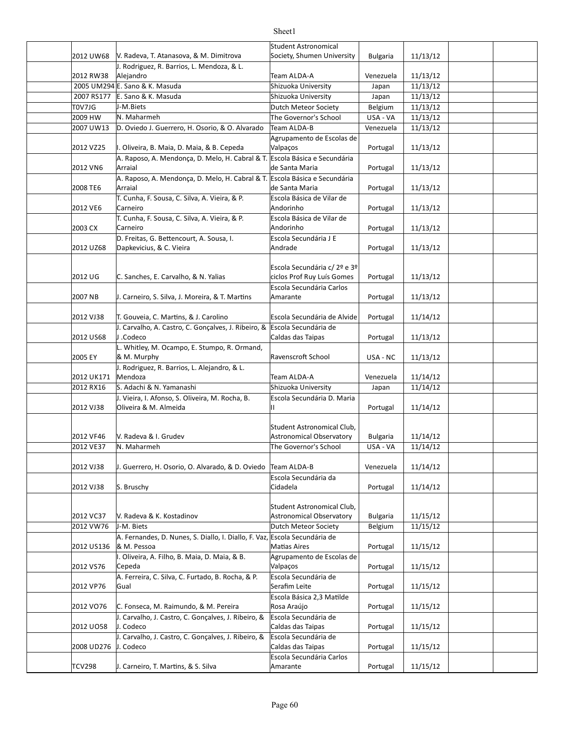| 2012 UW68     | V. Radeva, T. Atanasova, & M. Dimitrova                                                      | Student Astronomical<br>Society, Shumen University            | <b>Bulgaria</b> | 11/13/12 |  |
|---------------|----------------------------------------------------------------------------------------------|---------------------------------------------------------------|-----------------|----------|--|
|               | J. Rodriguez, R. Barrios, L. Mendoza, & L.                                                   |                                                               |                 |          |  |
| 2012 RW38     | Alejandro                                                                                    | Team ALDA-A                                                   | Venezuela       | 11/13/12 |  |
|               | 2005 UM294 E. Sano & K. Masuda                                                               | Shizuoka University                                           | Japan           | 11/13/12 |  |
| 2007 RS177    | E. Sano & K. Masuda                                                                          | Shizuoka University                                           | Japan           | 11/13/12 |  |
| T0V7JG        | J-M.Biets                                                                                    | <b>Dutch Meteor Society</b>                                   | Belgium         | 11/13/12 |  |
| 2009 HW       | N. Maharmeh                                                                                  | The Governor's School                                         | USA - VA        | 11/13/12 |  |
| 2007 UW13     | D. Oviedo J. Guerrero, H. Osorio, & O. Alvarado                                              | Team ALDA-B                                                   | Venezuela       | 11/13/12 |  |
| 2012 VZ25     | I. Oliveira, B. Maia, D. Maia, & B. Cepeda                                                   | Agrupamento de Escolas de<br>Valpaços                         | Portugal        | 11/13/12 |  |
| 2012 VN6      | A. Raposo, A. Mendonça, D. Melo, H. Cabral & T. Escola Básica e Secundária<br>Arraial        | de Santa Maria                                                | Portugal        | 11/13/12 |  |
| 2008 TE6      | A. Raposo, A. Mendonça, D. Melo, H. Cabral & T. Escola Básica e Secundária<br>Arraial        | de Santa Maria                                                | Portugal        | 11/13/12 |  |
| 2012 VE6      | T. Cunha, F. Sousa, C. Silva, A. Vieira, & P.<br>Carneiro                                    | Escola Básica de Vilar de<br>Andorinho                        | Portugal        | 11/13/12 |  |
|               | T. Cunha, F. Sousa, C. Silva, A. Vieira, & P.                                                | Escola Básica de Vilar de                                     |                 |          |  |
| 2003 CX       | Carneiro                                                                                     | Andorinho                                                     | Portugal        | 11/13/12 |  |
| 2012 UZ68     | D. Freitas, G. Bettencourt, A. Sousa, I.<br>Dapkevicius, & C. Vieira                         | Escola Secundária J E<br>Andrade                              | Portugal        | 11/13/12 |  |
| 2012 UG       | C. Sanches, E. Carvalho, & N. Yalias                                                         | Escola Secundária c/ 2º e 3º<br>ciclos Prof Ruy Luís Gomes    | Portugal        | 11/13/12 |  |
| 2007 NB       | J. Carneiro, S. Silva, J. Moreira, & T. Martins                                              | Escola Secundária Carlos<br>Amarante                          | Portugal        | 11/13/12 |  |
| 2012 VJ38     | T. Gouveia, C. Martins, & J. Carolino                                                        | Escola Secundária de Alvide                                   | Portugal        | 11/14/12 |  |
|               | J. Carvalho, A. Castro, C. Gonçalves, J. Ribeiro, &                                          | Escola Secundária de                                          |                 |          |  |
| 2012 US68     | J.Codeco<br>L. Whitley, M. Ocampo, E. Stumpo, R. Ormand,                                     | Caldas das Taipas                                             | Portugal        | 11/13/12 |  |
| 2005 EY       | & M. Murphy                                                                                  | Ravenscroft School                                            | USA - NC        | 11/13/12 |  |
| 2012 UK171    | J. Rodriguez, R. Barrios, L. Alejandro, & L.<br>Mendoza                                      | Team ALDA-A                                                   | Venezuela       | 11/14/12 |  |
| 2012 RX16     | S. Adachi & N. Yamanashi                                                                     | Shizuoka University                                           | Japan           | 11/14/12 |  |
| 2012 VJ38     | J. Vieira, I. Afonso, S. Oliveira, M. Rocha, B.<br>Oliveira & M. Almeida                     | Escola Secundária D. Maria<br>П.                              | Portugal        | 11/14/12 |  |
| 2012 VF46     | V. Radeva & I. Grudev                                                                        | Student Astronomical Club,<br><b>Astronomical Observatory</b> | <b>Bulgaria</b> | 11/14/12 |  |
| 2012 VE37     | N. Maharmeh                                                                                  | The Governor's School                                         | USA - VA        | 11/14/12 |  |
|               |                                                                                              |                                                               |                 |          |  |
| 2012 VJ38     | J. Guerrero, H. Osorio, O. Alvarado, & D. Oviedo                                             | Team ALDA-B                                                   | Venezuela       | 11/14/12 |  |
| 2012 VJ38     | S. Bruschy                                                                                   | Escola Secundária da<br>Cidadela                              | Portugal        | 11/14/12 |  |
| 2012 VC37     | V. Radeva & K. Kostadinov                                                                    | Student Astronomical Club,<br><b>Astronomical Observatory</b> | <b>Bulgaria</b> | 11/15/12 |  |
| 2012 VW76     | J-M. Biets                                                                                   | Dutch Meteor Society                                          | Belgium         | 11/15/12 |  |
| 2012 US136    | A. Fernandes, D. Nunes, S. Diallo, I. Diallo, F. Vaz, Escola Secundária de<br>& M. Pessoa    | <b>Matias Aires</b>                                           | Portugal        | 11/15/12 |  |
| 2012 VS76     | I. Oliveira, A. Filho, B. Maia, D. Maia, & B.<br>Cepeda                                      | Agrupamento de Escolas de<br>Valpaços                         | Portugal        | 11/15/12 |  |
| 2012 VP76     | A. Ferreira, C. Silva, C. Furtado, B. Rocha, & P.<br>Gual                                    | Escola Secundária de<br>Serafim Leite                         | Portugal        | 11/15/12 |  |
|               |                                                                                              | Escola Básica 2,3 Matilde                                     |                 |          |  |
| 2012 VO76     | C. Fonseca, M. Raimundo, & M. Pereira<br>J. Carvalho, J. Castro, C. Gonçalves, J. Ribeiro, & | Rosa Araújo<br>Escola Secundária de                           | Portugal        | 11/15/12 |  |
| 2012 UO58     | J. Codeco                                                                                    | Caldas das Taipas                                             | Portugal        | 11/15/12 |  |
| 2008 UD276    | J. Carvalho, J. Castro, C. Gonçalves, J. Ribeiro, &<br>J. Codeco                             | Escola Secundária de<br>Caldas das Taipas                     | Portugal        | 11/15/12 |  |
|               |                                                                                              | Escola Secundária Carlos                                      |                 |          |  |
| <b>TCV298</b> | J. Carneiro, T. Martins, & S. Silva                                                          | Amarante                                                      | Portugal        | 11/15/12 |  |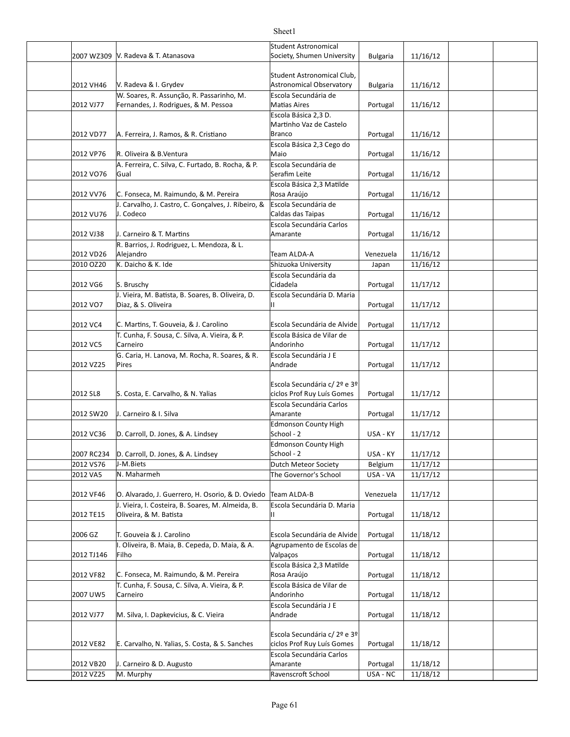|                        |                                                     | <b>Student Astronomical</b>      |                      |                      |  |
|------------------------|-----------------------------------------------------|----------------------------------|----------------------|----------------------|--|
|                        | 2007 WZ309 V. Radeva & T. Atanasova                 | Society, Shumen University       | <b>Bulgaria</b>      | 11/16/12             |  |
|                        |                                                     |                                  |                      |                      |  |
|                        |                                                     | Student Astronomical Club,       |                      |                      |  |
| 2012 VH46              | V. Radeva & I. Grydev                               | Astronomical Observatory         | <b>Bulgaria</b>      | 11/16/12             |  |
|                        | W. Soares, R. Assunção, R. Passarinho, M.           | Escola Secundária de             |                      |                      |  |
| 2012 VJ77              | Fernandes, J. Rodrigues, & M. Pessoa                | Matias Aires                     | Portugal             | 11/16/12             |  |
|                        |                                                     | Escola Básica 2,3 D.             |                      |                      |  |
|                        |                                                     | Martinho Vaz de Castelo          |                      |                      |  |
| 2012 VD77              | A. Ferreira, J. Ramos, & R. Cristiano               | Branco                           | Portugal             | 11/16/12             |  |
|                        |                                                     | Escola Básica 2,3 Cego do        |                      |                      |  |
| 2012 VP76              | R. Oliveira & B.Ventura                             | Maio                             | Portugal             | 11/16/12             |  |
|                        | A. Ferreira, C. Silva, C. Furtado, B. Rocha, & P.   | Escola Secundária de             |                      |                      |  |
| 2012 VO76              | Gual                                                | Serafim Leite                    | Portugal             | 11/16/12             |  |
|                        |                                                     | Escola Básica 2,3 Matilde        |                      |                      |  |
| 2012 VV76              | C. Fonseca, M. Raimundo, & M. Pereira               | Rosa Araújo                      | Portugal             | 11/16/12             |  |
|                        | J. Carvalho, J. Castro, C. Gonçalves, J. Ribeiro, & | Escola Secundária de             |                      |                      |  |
| 2012 VU76              | J. Codeco                                           | Caldas das Taipas                | Portugal             | 11/16/12             |  |
|                        |                                                     | Escola Secundária Carlos         |                      |                      |  |
| 2012 VJ38              | J. Carneiro & T. Martins                            | Amarante                         | Portugal             | 11/16/12             |  |
|                        | R. Barrios, J. Rodriguez, L. Mendoza, & L.          |                                  |                      |                      |  |
| 2012 VD26              | Alejandro<br>K. Daicho & K. Ide                     | Team ALDA-A                      | Venezuela            | 11/16/12             |  |
| 2010 OZ20              |                                                     | Shizuoka University              | Japan                | 11/16/12             |  |
|                        |                                                     | Escola Secundária da<br>Cidadela |                      |                      |  |
| 2012 VG6               | S. Bruschy                                          |                                  | Portugal             | 11/17/12             |  |
| 2012 VO7               | J. Vieira, M. Batista, B. Soares, B. Oliveira, D.   | Escola Secundária D. Maria       |                      |                      |  |
|                        | Diaz, & S. Oliveira                                 | П.                               | Portugal             | 11/17/12             |  |
| 2012 VC4               | C. Martins, T. Gouveia, & J. Carolino               | Escola Secundária de Alvide      |                      | 11/17/12             |  |
|                        | T. Cunha, F. Sousa, C. Silva, A. Vieira, & P.       | Escola Básica de Vilar de        | Portugal             |                      |  |
| 2012 VC5               | Carneiro                                            | Andorinho                        | Portugal             | 11/17/12             |  |
|                        | G. Caria, H. Lanova, M. Rocha, R. Soares, & R.      | Escola Secundária J E            |                      |                      |  |
| 2012 VZ25              | Pires                                               | Andrade                          | Portugal             | 11/17/12             |  |
|                        |                                                     |                                  |                      |                      |  |
|                        |                                                     | Escola Secundária c/ 2º e 3º     |                      |                      |  |
| 2012 SL8               | S. Costa, E. Carvalho, & N. Yalias                  | ciclos Prof Ruy Luís Gomes       | Portugal             | 11/17/12             |  |
|                        |                                                     | Escola Secundária Carlos         |                      |                      |  |
| 2012 SW20              | J. Carneiro & I. Silva                              | Amarante                         | Portugal             | 11/17/12             |  |
|                        |                                                     | <b>Edmonson County High</b>      |                      |                      |  |
| 2012 VC36              | D. Carroll, D. Jones, & A. Lindsey                  | School - 2                       | USA - KY             | 11/17/12             |  |
|                        |                                                     | <b>Edmonson County High</b>      |                      |                      |  |
|                        | 2007 RC234  D. Carroll, D. Jones, & A. Lindsey      | School - 2                       | USA - KY             | 11/17/12             |  |
| 2012 VS76              | J-M.Biets                                           | Dutch Meteor Society             | Belgium              | 11/17/12             |  |
| 2012 VA5               | N. Maharmeh                                         | The Governor's School            | USA - VA             | 11/17/12             |  |
|                        |                                                     |                                  |                      |                      |  |
| 2012 VF46              |                                                     |                                  |                      |                      |  |
|                        | O. Alvarado, J. Guerrero, H. Osorio, & D. Oviedo    | Team ALDA-B                      | Venezuela            | 11/17/12             |  |
|                        | J. Vieira, I. Costeira, B. Soares, M. Almeida, B.   | Escola Secundária D. Maria       |                      |                      |  |
| 2012 TE15              | Oliveira, & M. Batista                              | Н.                               | Portugal             | 11/18/12             |  |
|                        |                                                     |                                  |                      |                      |  |
| 2006 GZ                | T. Gouveia & J. Carolino                            | Escola Secundária de Alvide      | Portugal             | 11/18/12             |  |
|                        | I. Oliveira, B. Maia, B. Cepeda, D. Maia, & A.      | Agrupamento de Escolas de        |                      |                      |  |
| 2012 TJ146             | Filho                                               | Valpaços                         | Portugal             | 11/18/12             |  |
|                        |                                                     | Escola Básica 2,3 Matilde        |                      |                      |  |
| 2012 VF82              | C. Fonseca, M. Raimundo, & M. Pereira               | Rosa Araújo                      | Portugal             | 11/18/12             |  |
|                        | T. Cunha, F. Sousa, C. Silva, A. Vieira, & P.       | Escola Básica de Vilar de        |                      |                      |  |
| 2007 UW5               | Carneiro                                            | Andorinho                        | Portugal             | 11/18/12             |  |
|                        |                                                     | Escola Secundária J E            |                      |                      |  |
| 2012 VJ77              | M. Silva, I. Dapkevicius, & C. Vieira               | Andrade                          | Portugal             | 11/18/12             |  |
|                        |                                                     |                                  |                      |                      |  |
|                        |                                                     | Escola Secundária c/ 2º e 3º     |                      |                      |  |
| 2012 VE82              | E. Carvalho, N. Yalias, S. Costa, & S. Sanches      | ciclos Prof Ruy Luís Gomes       | Portugal             | 11/18/12             |  |
|                        |                                                     | Escola Secundária Carlos         |                      |                      |  |
| 2012 VB20<br>2012 VZ25 | J. Carneiro & D. Augusto<br>M. Murphy               | Amarante<br>Ravenscroft School   | Portugal<br>USA - NC | 11/18/12<br>11/18/12 |  |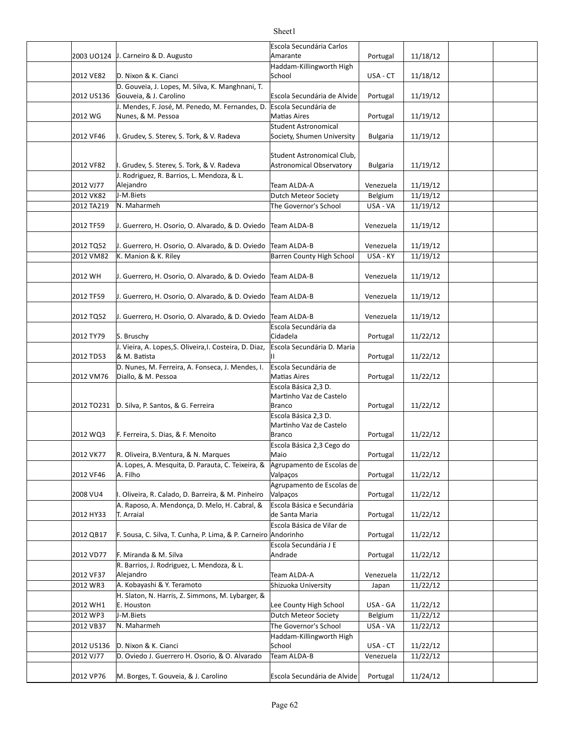|            |                                                                       | Escola Secundária Carlos                     |                 |          |  |
|------------|-----------------------------------------------------------------------|----------------------------------------------|-----------------|----------|--|
|            | 2003 UO124 J. Carneiro & D. Augusto                                   | Amarante                                     | Portugal        | 11/18/12 |  |
|            |                                                                       | Haddam-Killingworth High                     |                 |          |  |
| 2012 VE82  | D. Nixon & K. Cianci                                                  | School                                       | USA - CT        | 11/18/12 |  |
|            | D. Gouveia, J. Lopes, M. Silva, K. Manghnani, T.                      |                                              |                 |          |  |
| 2012 US136 | Gouveia, & J. Carolino                                                | Escola Secundária de Alvide                  | Portugal        | 11/19/12 |  |
| 2012 WG    | J. Mendes, F. José, M. Penedo, M. Fernandes, D.<br>Nunes, & M. Pessoa | Escola Secundária de<br>Matias Aires         |                 | 11/19/12 |  |
|            |                                                                       | Student Astronomical                         | Portugal        |          |  |
| 2012 VF46  | I. Grudev, S. Sterev, S. Tork, & V. Radeva                            | Society, Shumen University                   | <b>Bulgaria</b> | 11/19/12 |  |
|            |                                                                       |                                              |                 |          |  |
|            |                                                                       | Student Astronomical Club,                   |                 |          |  |
| 2012 VF82  | I. Grudev, S. Sterev, S. Tork, & V. Radeva                            | Astronomical Observatory                     | <b>Bulgaria</b> | 11/19/12 |  |
| 2012 VJ77  | J. Rodriguez, R. Barrios, L. Mendoza, & L.<br>Alejandro               | Team ALDA-A                                  | Venezuela       | 11/19/12 |  |
| 2012 VK82  | J-M.Biets                                                             | Dutch Meteor Society                         | Belgium         | 11/19/12 |  |
| 2012 TA219 | N. Maharmeh                                                           | The Governor's School                        | USA - VA        | 11/19/12 |  |
|            |                                                                       |                                              |                 |          |  |
| 2012 TF59  | J. Guerrero, H. Osorio, O. Alvarado, & D. Oviedo Team ALDA-B          |                                              | Venezuela       | 11/19/12 |  |
|            |                                                                       |                                              |                 |          |  |
| 2012 TQ52  | J. Guerrero, H. Osorio, O. Alvarado, & D. Oviedo                      | Team ALDA-B                                  | Venezuela       | 11/19/12 |  |
| 2012 VM82  | K. Manion & K. Riley                                                  | <b>Barren County High School</b>             | USA - KY        | 11/19/12 |  |
| 2012 WH    | J. Guerrero, H. Osorio, O. Alvarado, & D. Oviedo Team ALDA-B          |                                              | Venezuela       | 11/19/12 |  |
|            |                                                                       |                                              |                 |          |  |
| 2012 TF59  | J. Guerrero, H. Osorio, O. Alvarado, & D. Oviedo   Team ALDA-B        |                                              | Venezuela       | 11/19/12 |  |
|            |                                                                       |                                              |                 |          |  |
| 2012 TQ52  | J. Guerrero, H. Osorio, O. Alvarado, & D. Oviedo                      | Team ALDA-B                                  | Venezuela       | 11/19/12 |  |
|            |                                                                       | Escola Secundária da                         |                 |          |  |
| 2012 TY79  | S. Bruschy                                                            | Cidadela                                     | Portugal        | 11/22/12 |  |
|            | J. Vieira, A. Lopes, S. Oliveira, I. Costeira, D. Diaz,               | Escola Secundária D. Maria                   |                 |          |  |
| 2012 TD53  | & M. Batista<br>D. Nunes, M. Ferreira, A. Fonseca, J. Mendes, I.      | Escola Secundária de                         | Portugal        | 11/22/12 |  |
| 2012 VM76  | Diallo, & M. Pessoa                                                   | <b>Matias Aires</b>                          | Portugal        | 11/22/12 |  |
|            |                                                                       | Escola Básica 2,3 D.                         |                 |          |  |
|            |                                                                       | Martinho Vaz de Castelo                      |                 |          |  |
| 2012 TO231 | D. Silva, P. Santos, & G. Ferreira                                    | Branco                                       | Portugal        | 11/22/12 |  |
|            |                                                                       | Escola Básica 2,3 D.                         |                 |          |  |
| 2012 WQ3   | F. Ferreira, S. Dias, & F. Menoito                                    | Martinho Vaz de Castelo<br>Branco            | Portugal        | 11/22/12 |  |
|            |                                                                       | Escola Básica 2,3 Cego do                    |                 |          |  |
| 2012 VK77  | R. Oliveira, B.Ventura, & N. Marques                                  | Maio                                         | Portugal        | 11/22/12 |  |
|            | A. Lopes, A. Mesquita, D. Parauta, C. Teixeira, &                     | Agrupamento de Escolas de                    |                 |          |  |
| 2012 VF46  | A. Filho                                                              | Valpaços                                     | Portugal        | 11/22/12 |  |
|            |                                                                       | Agrupamento de Escolas de                    |                 |          |  |
| 2008 VU4   | I. Oliveira, R. Calado, D. Barreira, & M. Pinheiro                    | Valpaços                                     | Portugal        | 11/22/12 |  |
| 2012 HY33  | A. Raposo, A. Mendonça, D. Melo, H. Cabral, &<br>T. Arraial           | Escola Básica e Secundária<br>de Santa Maria | Portugal        | 11/22/12 |  |
|            |                                                                       | Escola Básica de Vilar de                    |                 |          |  |
| 2012 QB17  | F. Sousa, C. Silva, T. Cunha, P. Lima, & P. Carneiro Andorinho        |                                              | Portugal        | 11/22/12 |  |
|            |                                                                       | Escola Secundária J E                        |                 |          |  |
| 2012 VD77  | F. Miranda & M. Silva                                                 | Andrade                                      | Portugal        | 11/22/12 |  |
|            | R. Barrios, J. Rodriguez, L. Mendoza, & L.                            |                                              |                 |          |  |
| 2012 VF37  | Alejandro                                                             | Team ALDA-A                                  | Venezuela       | 11/22/12 |  |
| 2012 WR3   | A. Kobayashi & Y. Teramoto                                            | Shizuoka University                          | Japan           | 11/22/12 |  |
| 2012 WH1   | H. Slaton, N. Harris, Z. Simmons, M. Lybarger, &<br>E. Houston        | Lee County High School                       | USA - GA        | 11/22/12 |  |
| 2012 WP3   | J-M.Biets                                                             | Dutch Meteor Society                         | Belgium         | 11/22/12 |  |
| 2012 VB37  | N. Maharmeh                                                           | The Governor's School                        | USA - VA        | 11/22/12 |  |
|            |                                                                       | Haddam-Killingworth High                     |                 |          |  |
| 2012 US136 | D. Nixon & K. Cianci                                                  | School                                       | USA - CT        | 11/22/12 |  |
| 2012 VJ77  | D. Oviedo J. Guerrero H. Osorio, & O. Alvarado                        | Team ALDA-B                                  | Venezuela       | 11/22/12 |  |
|            |                                                                       |                                              |                 |          |  |
| 2012 VP76  | M. Borges, T. Gouveia, & J. Carolino                                  | Escola Secundária de Alvide                  | Portugal        | 11/24/12 |  |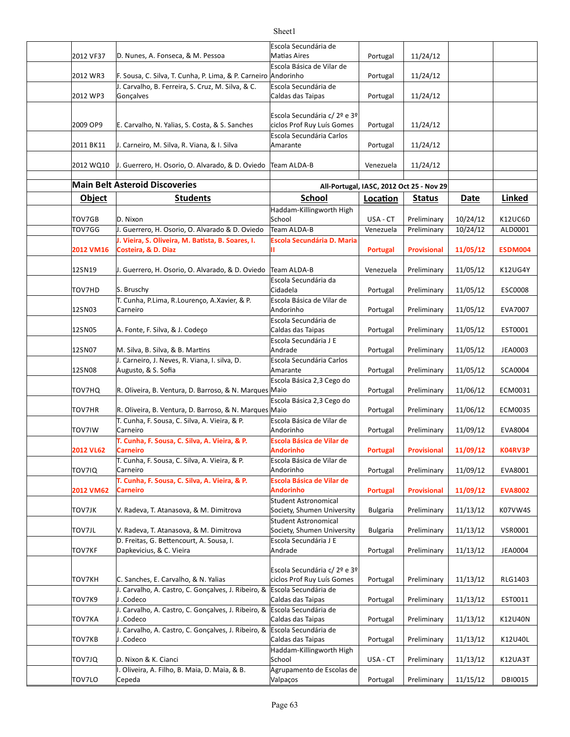|                  |                                                                                                         | Escola Secundária de                                   |                 |                                          |             |                |
|------------------|---------------------------------------------------------------------------------------------------------|--------------------------------------------------------|-----------------|------------------------------------------|-------------|----------------|
| 2012 VF37        | D. Nunes, A. Fonseca, & M. Pessoa                                                                       | <b>Matias Aires</b>                                    | Portugal        | 11/24/12                                 |             |                |
| 2012 WR3         | F. Sousa, C. Silva, T. Cunha, P. Lima, & P. Carneiro Andorinho                                          | Escola Básica de Vilar de                              | Portugal        | 11/24/12                                 |             |                |
|                  | J. Carvalho, B. Ferreira, S. Cruz, M. Silva, & C.                                                       | Escola Secundária de                                   |                 |                                          |             |                |
| 2012 WP3         | Gonçalves                                                                                               | Caldas das Taipas                                      | Portugal        | 11/24/12                                 |             |                |
|                  |                                                                                                         |                                                        |                 |                                          |             |                |
|                  |                                                                                                         | Escola Secundária c/ 2º e 3º                           |                 |                                          |             |                |
| 2009 OP9         | E. Carvalho, N. Yalias, S. Costa, & S. Sanches                                                          | ciclos Prof Ruy Luís Gomes<br>Escola Secundária Carlos | Portugal        | 11/24/12                                 |             |                |
| 2011 BK11        | J. Carneiro, M. Silva, R. Viana, & I. Silva                                                             | Amarante                                               | Portugal        | 11/24/12                                 |             |                |
|                  |                                                                                                         |                                                        |                 |                                          |             |                |
| 2012 WQ10        | J. Guerrero, H. Osorio, O. Alvarado, & D. Oviedo   Team ALDA-B                                          |                                                        | Venezuela       | 11/24/12                                 |             |                |
|                  |                                                                                                         |                                                        |                 |                                          |             |                |
|                  | <b>Main Belt Asteroid Discoveries</b>                                                                   |                                                        |                 | All-Portugal, IASC, 2012 Oct 25 - Nov 29 |             |                |
| <b>Object</b>    | <b>Students</b>                                                                                         | <b>School</b>                                          | Location        | <b>Status</b>                            | <b>Date</b> | <b>Linked</b>  |
| TOV7GB           | D. Nixon                                                                                                | Haddam-Killingworth High<br>School                     | USA - CT        |                                          | 10/24/12    | K12UC6D        |
| TOV7GG           | J. Guerrero, H. Osorio, O. Alvarado & D. Oviedo                                                         | Team ALDA-B                                            | Venezuela       | Preliminary<br>Preliminary               | 10/24/12    | ALD0001        |
|                  | J. Vieira, S. Oliveira, M. Batista, B. Soares, I.                                                       | <b>Escola Secundária D. Maria</b>                      |                 |                                          |             |                |
| 2012 VM16        | Costeira, & D. Diaz                                                                                     | Ш                                                      | Portugal        | <b>Provisional</b>                       | 11/05/12    | ESDM004        |
|                  |                                                                                                         |                                                        |                 |                                          |             |                |
| 12SN19           | J. Guerrero, H. Osorio, O. Alvarado, & D. Oviedo                                                        | Team ALDA-B                                            | Venezuela       | Preliminary                              | 11/05/12    | K12UG4Y        |
| TOV7HD           | S. Bruschy                                                                                              | Escola Secundária da<br>Cidadela                       |                 | Preliminary                              | 11/05/12    | ESC0008        |
|                  | T. Cunha, P.Lima, R.Lourenço, A.Xavier, & P.                                                            | Escola Básica de Vilar de                              | Portugal        |                                          |             |                |
| 12SN03           | Carneiro                                                                                                | Andorinho                                              | Portugal        | Preliminary                              | 11/05/12    | EVA7007        |
|                  |                                                                                                         | Escola Secundária de                                   |                 |                                          |             |                |
| 12SN05           | A. Fonte, F. Silva, & J. Codeço                                                                         | Caldas das Taipas                                      | Portugal        | Preliminary                              | 11/05/12    | EST0001        |
| 12SN07           |                                                                                                         | Escola Secundária J E<br>Andrade                       |                 |                                          |             |                |
|                  | M. Silva, B. Silva, & B. Martins<br>J. Carneiro, J. Neves, R. Viana, I. silva, D.                       | Escola Secundária Carlos                               | Portugal        | Preliminary                              | 11/05/12    | JEA0003        |
| 12SN08           | Augusto, & S. Sofia                                                                                     | Amarante                                               | Portugal        | Preliminary                              | 11/05/12    | <b>SCA0004</b> |
|                  |                                                                                                         | Escola Básica 2,3 Cego do                              |                 |                                          |             |                |
| TOV7HQ           | R. Oliveira, B. Ventura, D. Barroso, & N. Marques Maio                                                  |                                                        | Portugal        | Preliminary                              | 11/06/12    | ECM0031        |
|                  |                                                                                                         | Escola Básica 2,3 Cego do                              |                 |                                          |             |                |
| <b>TOV7HR</b>    | R. Oliveira, B. Ventura, D. Barroso, & N. Marques Maio<br>T. Cunha, F. Sousa, C. Silva, A. Vieira, & P. | Escola Básica de Vilar de                              | Portugal        | Preliminary                              | 11/06/12    | ECM0035        |
| <b>TOV7IW</b>    | Carneiro                                                                                                | Andorinho                                              | Portugal        | Preliminary                              | 11/09/12    | EVA8004        |
|                  | T. Cunha, F. Sousa, C. Silva, A. Vieira, & P.                                                           | Escola Básica de Vilar de                              |                 |                                          |             |                |
| <b>2012 VL62</b> | Carneiro                                                                                                | Andorinho                                              | Portugal        | <b>Provisional</b>                       | 11/09/12    | K04RV3P        |
|                  | T. Cunha, F. Sousa, C. Silva, A. Vieira, & P.                                                           | Escola Básica de Vilar de                              |                 |                                          |             |                |
| TOV7IQ           | Carneiro<br>T. Cunha, F. Sousa, C. Silva, A. Vieira, & P.                                               | Andorinho<br>Escola Básica de Vilar de                 | Portugal        | Preliminary                              | 11/09/12    | EVA8001        |
| 2012 VM62        | <b>Carneiro</b>                                                                                         | <b>Andorinho</b>                                       | Portugal        | <b>Provisional</b>                       | 11/09/12    | <b>EVA8002</b> |
|                  |                                                                                                         | Student Astronomical                                   |                 |                                          |             |                |
| TOV7JK           | V. Radeva, T. Atanasova, & M. Dimitrova                                                                 | Society, Shumen University                             | <b>Bulgaria</b> | Preliminary                              | 11/13/12    | K07VW4S        |
|                  |                                                                                                         | Student Astronomical                                   |                 |                                          |             |                |
| <b>TOV7JL</b>    | V. Radeva, T. Atanasova, & M. Dimitrova<br>D. Freitas, G. Bettencourt, A. Sousa, I.                     | Society, Shumen University<br>Escola Secundária J E    | <b>Bulgaria</b> | Preliminary                              | 11/13/12    | <b>VSR0001</b> |
| TOV7KF           | Dapkevicius, & C. Vieira                                                                                | Andrade                                                | Portugal        | Preliminary                              | 11/13/12    | <b>JEA0004</b> |
|                  |                                                                                                         |                                                        |                 |                                          |             |                |
|                  |                                                                                                         | Escola Secundária c/ 2º e 3º                           |                 |                                          |             |                |
| TOV7KH           | C. Sanches, E. Carvalho, & N. Yalias<br>J. Carvalho, A. Castro, C. Gonçalves, J. Ribeiro, &             | ciclos Prof Ruy Luís Gomes<br>Escola Secundária de     | Portugal        | Preliminary                              | 11/13/12    | RLG1403        |
| TOV7K9           | J.Codeco                                                                                                | Caldas das Taipas                                      | Portugal        | Preliminary                              | 11/13/12    | EST0011        |
|                  | J. Carvalho, A. Castro, C. Gonçalves, J. Ribeiro, &                                                     | Escola Secundária de                                   |                 |                                          |             |                |
| TOV7KA           | J.Codeco                                                                                                | Caldas das Taipas                                      | Portugal        | Preliminary                              | 11/13/12    | K12U40N        |
|                  | J. Carvalho, A. Castro, C. Gonçalves, J. Ribeiro, &                                                     | Escola Secundária de                                   |                 |                                          |             |                |
| TOV7KB           | J .Codeco                                                                                               | Caldas das Taipas                                      | Portugal        | Preliminary                              | 11/13/12    | K12U40L        |
| TOV7JQ           | D. Nixon & K. Cianci                                                                                    | Haddam-Killingworth High<br>School                     | USA - CT        | Preliminary                              | 11/13/12    | K12UA3T        |
|                  | . Oliveira, A. Filho, B. Maia, D. Maia, & B.                                                            | Agrupamento de Escolas de                              |                 |                                          |             |                |
| TOV7LO           | Cepeda                                                                                                  | Valpaços                                               | Portugal        | Preliminary                              | 11/15/12    | DBI0015        |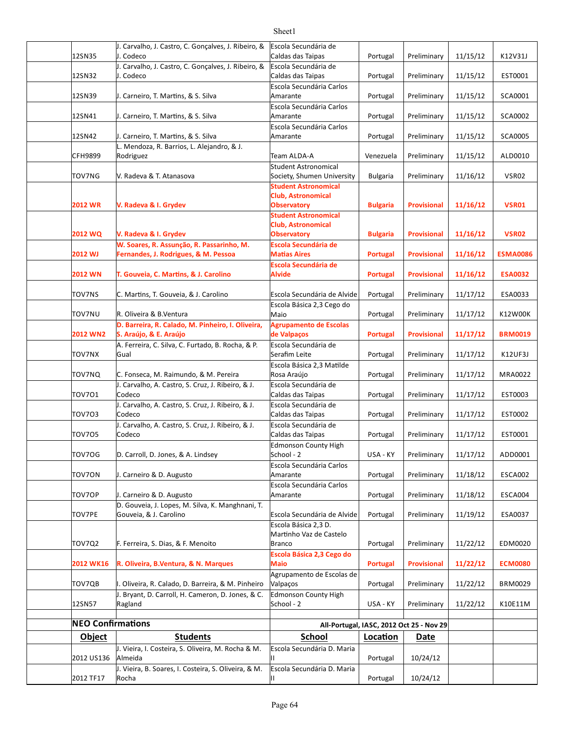#### 12SN35 Portugal Preliminary 11/15/12 K12V31J 12SN32 Portugal Preliminary 11/15/12 EST0001 Caldas das Taipas 12SN39 |J. Carneiro, T. Martins, & S. Silva | Amarante | Portugal | Preliminary | 11/15/12 | SCA0001 12SN41 |J. Carneiro, T. Martins, & S. Silva | Amarante | Portugal | Preliminary | 11/15/12 | SCA0002 12SN42 |J. Carneiro, T. Martins, & S. Silva | Amarante | Portugal | Preliminary | 11/15/12 | SCA0005 CFH9899 Team ALDA-A Venezuela Preliminary 11/15/12 ALD0010 TOV7NG |V. Radeva & T. Atanasova Society, Shumen University | Bulgaria | Preliminary | 11/16/12 | VSR02 **2012 WR Bulgaria Provisional 11/16/12 VSR01 V. Radeva & I. Grydev 2012 WQ Bulgaria Provisional 11/16/12 VSR02 V. Radeva & I. Grydev 2012 WJ Portugal Provisional 11/16/12 ESMA0086 Fernandes, J. Rodrigues, & M. Pessoa 2012** WN T. Gouveia, C. Martins, & J. Carolino Alvide Alvide Portugal | Provisional | 11/16/12 | ESA0032 TOV7NS C. Martins, T. Gouveia, & J. Carolino Escola Secundária de Alvide Portugal Preliminary | 11/17/12 | ESA0033 TOV7NU R. Oliveira & B.Ventura Portugal Preliminary 11/17/12 K12W00K **2012 WN2 Portugal Provisional 11/17/12 BRM0019 S. Araújo, & E. Araújo** TOV7NX Gual Gual Research Serafim Leite Network Portugal Preliminary 11/17/12 K12UF3J TOV7NQ C. Fonseca, M. Raimundo, & M. Pereira | Rosa Araújo | Portugal | Preliminary | 11/17/12 | MRA0022 TOV7O1 Portugal Preliminary 11/17/12 EST0003 Caldas das Taipas TOV7O3 Portugal Preliminary 11/17/12 EST0002 Caldas das Taipas TOV7O5 Portugal Preliminary 11/17/12 EST0001 TOV7OG D. Carroll, D. Jones, & A. Lindsey School - 2 USA - KY Preliminary 11/17/12 ADD0001 TOV7ON |J. Carneiro & D. Augusto | Amarante Portugal | Preliminary | 11/18/12 | ESCA002 TOV7OP |J. Carneiro & D. Augusto Amarante Portugal | Preliminary | 11/18/12 | ESCA004 TOV7PE Portugal Preliminary 11/19/12 ESA0037 Gouveia, & J. Carolino Escola Secundária de Alvide TOV7Q2 |F. Ferreira, S. Dias, & F. Menoito | Branco | Portugal | Preliminary | 11/22/12 | EDM0020 **2012 WK16 R. Oliveira, B.Ventura, & N. Marques Portugal Provisional 11/22/12 ECM0080** TOV7QB |I. Oliveira, R. Calado, D. Barreira, & M. Pinheiro |Valpaços | Portugal | Preliminary | 11/22/12 | BRM0029 12SN57 USA - KY Preliminary 11/22/12 K10E11M **NEO Confirmations All-Portugal, IASC, 2012 Oct 25 - Nov 29 Object Students School <b>Location** Date 2012 US136 Portugal 10/24/12 2012 TF17 Portugal 10/24/12 J. Carvalho, J. Castro, C. Gonçalves, J. Ribeiro, & J. Codeco Escola Secundária de Caldas das Taipas J. Carvalho, J. Castro, C. Gonçalves, J. Ribeiro, & J. Codeco Escola Secundária de Escola Secundária Carlos Amarante Escola Secundária Carlos Amarante Escola Secundária Carlos Amarante L. Mendoza, R. Barrios, L. Alejandro, & J. Rodriguez V. Radeva & T. Atanasova Student Astronomical **Student Astronomical Club, Astronomical Observatory Student Astronomical Club, Astronomical Observatory** W. Soares, R. Assunção, R. Passarinho, M. **Escola Secundária de Matias Aires Escola Secundária de Alvide** Escola Básica 2,3 Cego do Maio D. Barreira, R. Calado, M. Pinheiro, I. Oliveira, **Agrupamento de Escolas de Valpaços** A. Ferreira, C. Silva, C. Furtado, B. Rocha, & P. Gual Escola Secundária de Serafim Leite Escola Básica 2,3 Matilde Rosa Araújo J. Carvalho, A. Castro, S. Cruz, J. Ribeiro, & J. Codeco Escola Secundária de J. Carvalho, A. Castro, S. Cruz, J. Ribeiro, & J. Codeco Escola Secundária de J. Carvalho, A. Castro, S. Cruz, J. Ribeiro, & J. Codeco Escola Secundária de Caldas das Taipas Edmonson County High School -  $2$ Escola Secundária Carlos Amarante Escola Secundária Carlos Amarante D. Gouveia, J. Lopes, M. Silva, K. Manghnani, T. Escola Básica 2,3 D. Martinho Vaz de Castelo Branco **Escola Básica 2,3 Cego do Maio**  Agrupamento de Escolas de Valpaços J. Bryant, D. Carroll, H. Cameron, D. Jones, & C. Ragland Edmonson County High  $\delta$ chool -  $2$ J. Vieira, I. Costeira, S. Oliveira, M. Rocha & M. Almeida Escola Secundária D. Maria II J. Vieira, B. Soares, I. Costeira, S. Oliveira, & M. Rocha Escola Secundária D. Maria II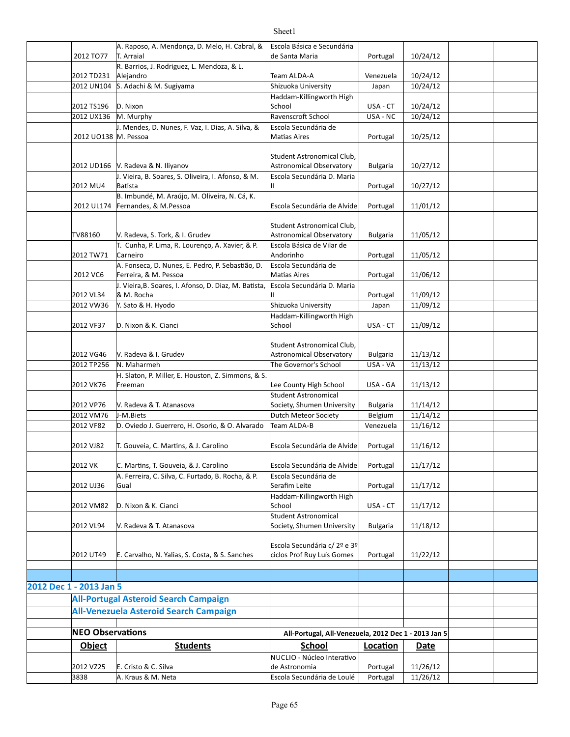|                         | A. Raposo, A. Mendonça, D. Melo, H. Cabral, &         | Escola Básica e Secundária                             |                 |          |  |
|-------------------------|-------------------------------------------------------|--------------------------------------------------------|-----------------|----------|--|
| 2012 TO77               | T. Arraial                                            | de Santa Maria                                         | Portugal        | 10/24/12 |  |
|                         | R. Barrios, J. Rodriguez, L. Mendoza, & L.            |                                                        |                 |          |  |
| 2012 TD231              | Alejandro                                             | Team ALDA-A                                            | Venezuela       | 10/24/12 |  |
|                         | 2012 UN104 S. Adachi & M. Sugiyama                    | Shizuoka University                                    | Japan           | 10/24/12 |  |
|                         |                                                       | Haddam-Killingworth High                               |                 |          |  |
| 2012 TS196              | D. Nixon                                              | School                                                 | USA - CT        | 10/24/12 |  |
| 2012 UX136              | M. Murphy                                             | Ravenscroft School                                     | USA - NC        | 10/24/12 |  |
|                         | J. Mendes, D. Nunes, F. Vaz, I. Dias, A. Silva, &     | Escola Secundária de                                   |                 |          |  |
| 2012 UO138  M. Pessoa   |                                                       | <b>Matias Aires</b>                                    | Portugal        | 10/25/12 |  |
|                         |                                                       |                                                        |                 |          |  |
|                         | 2012 UD166 V. Radeva & N. Iliyanov                    | Student Astronomical Club,<br>Astronomical Observatory | <b>Bulgaria</b> | 10/27/12 |  |
|                         | J. Vieira, B. Soares, S. Oliveira, I. Afonso, & M.    | Escola Secundária D. Maria                             |                 |          |  |
| 2012 MU4                | Batista                                               | Ш                                                      | Portugal        | 10/27/12 |  |
|                         | B. Imbundé, M. Araújo, M. Oliveira, N. Cá, K.         |                                                        |                 |          |  |
| 2012 UL174              | Fernandes, & M.Pessoa                                 | Escola Secundária de Alvide                            | Portugal        | 11/01/12 |  |
|                         |                                                       |                                                        |                 |          |  |
|                         |                                                       | Student Astronomical Club,                             |                 |          |  |
| TV88160                 | V. Radeva, S. Tork, & I. Grudev                       | <b>Astronomical Observatory</b>                        | <b>Bulgaria</b> | 11/05/12 |  |
|                         | T. Cunha, P. Lima, R. Lourenço, A. Xavier, & P.       | Escola Básica de Vilar de                              |                 |          |  |
| 2012 TW71               | Carneiro                                              | Andorinho                                              | Portugal        | 11/05/12 |  |
|                         | A. Fonseca, D. Nunes, E. Pedro, P. Sebastião, D.      | Escola Secundária de                                   |                 |          |  |
| 2012 VC6                | Ferreira, & M. Pessoa                                 | <b>Matias Aires</b>                                    | Portugal        | 11/06/12 |  |
|                         | J. Vieira, B. Soares, I. Afonso, D. Diaz, M. Batista, | Escola Secundária D. Maria                             |                 |          |  |
| 2012 VL34               | & M. Rocha                                            | Ш                                                      | Portugal        | 11/09/12 |  |
| 2012 VW36               | Y. Sato & H. Hyodo                                    | Shizuoka University                                    | Japan           | 11/09/12 |  |
|                         |                                                       | Haddam-Killingworth High                               |                 |          |  |
| 2012 VF37               | D. Nixon & K. Cianci                                  | School                                                 | USA - CT        | 11/09/12 |  |
|                         |                                                       |                                                        |                 |          |  |
|                         |                                                       | Student Astronomical Club,                             |                 |          |  |
| 2012 VG46               | V. Radeva & I. Grudev                                 | Astronomical Observatory                               | <b>Bulgaria</b> | 11/13/12 |  |
| 2012 TP256              | N. Maharmeh                                           | The Governor's School                                  | USA - VA        | 11/13/12 |  |
|                         | H. Slaton, P. Miller, E. Houston, Z. Simmons, & S.    |                                                        |                 |          |  |
| 2012 VK76               | Freeman                                               | Lee County High School                                 | USA - GA        | 11/13/12 |  |
|                         |                                                       | <b>Student Astronomical</b>                            |                 |          |  |
| 2012 VP76               | V. Radeva & T. Atanasova                              | Society, Shumen University                             | <b>Bulgaria</b> | 11/14/12 |  |
| 2012 VM76               | J-M.Biets                                             | Dutch Meteor Society                                   | Belgium         | 11/14/12 |  |
| 2012 VF82               | D. Oviedo J. Guerrero, H. Osorio, & O. Alvarado       | Team ALDA-B                                            | Venezuela       | 11/16/12 |  |
|                         |                                                       |                                                        |                 |          |  |
| 2012 VJ82               | T. Gouveia, C. Martins, & J. Carolino                 | Escola Secundária de Alvide                            | Portugal        | 11/16/12 |  |
|                         |                                                       |                                                        |                 |          |  |
| 2012 VK                 | C. Martins, T. Gouveia, & J. Carolino                 | Escola Secundária de Alvide                            | Portugal        | 11/17/12 |  |
|                         | A. Ferreira, C. Silva, C. Furtado, B. Rocha, & P.     | Escola Secundária de                                   |                 |          |  |
| 2012 UJ36               | Gual                                                  | Serafim Leite                                          | Portugal        | 11/17/12 |  |
|                         |                                                       | Haddam-Killingworth High                               |                 |          |  |
| 2012 VM82               | D. Nixon & K. Cianci                                  | School                                                 | USA - CT        | 11/17/12 |  |
|                         |                                                       | Student Astronomical                                   |                 |          |  |
| 2012 VL94               | V. Radeva & T. Atanasova                              | Society, Shumen University                             | <b>Bulgaria</b> | 11/18/12 |  |
|                         |                                                       |                                                        |                 |          |  |
|                         |                                                       | Escola Secundária c/ 2º e 3º                           |                 |          |  |
| 2012 UT49               | E. Carvalho, N. Yalias, S. Costa, & S. Sanches        | ciclos Prof Ruy Luís Gomes                             | Portugal        | 11/22/12 |  |
|                         |                                                       |                                                        |                 |          |  |
|                         |                                                       |                                                        |                 |          |  |
| 2012 Dec 1 - 2013 Jan 5 |                                                       |                                                        |                 |          |  |
|                         | <b>All-Portugal Asteroid Search Campaign</b>          |                                                        |                 |          |  |
|                         |                                                       |                                                        |                 |          |  |
|                         | All-Venezuela Asteroid Search Campaign                |                                                        |                 |          |  |
|                         |                                                       |                                                        |                 |          |  |
| <b>NEO Observations</b> |                                                       | All-Portugal, All-Venezuela, 2012 Dec 1 - 2013 Jan 5   |                 |          |  |
| Object                  | <b>Students</b>                                       | <b>School</b>                                          | Location        | Date     |  |
|                         |                                                       | NUCLIO - Núcleo Interativo                             |                 |          |  |
| 2012 VZ25               | E. Cristo & C. Silva                                  | de Astronomia                                          | Portugal        | 11/26/12 |  |
| 3838                    | A. Kraus & M. Neta                                    | Escola Secundária de Loulé                             | Portugal        | 11/26/12 |  |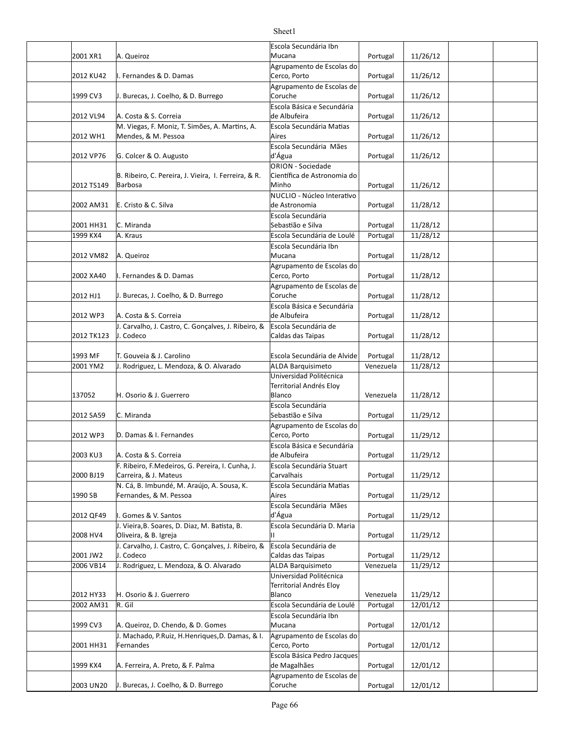|            |                                                                      | Escola Secundária Ibn                            |           |          |  |
|------------|----------------------------------------------------------------------|--------------------------------------------------|-----------|----------|--|
| 2001 XR1   | A. Queiroz                                                           | Mucana                                           | Portugal  | 11/26/12 |  |
|            |                                                                      | Agrupamento de Escolas do                        |           |          |  |
| 2012 KU42  | I. Fernandes & D. Damas                                              | Cerco, Porto                                     | Portugal  | 11/26/12 |  |
|            |                                                                      | Agrupamento de Escolas de                        |           |          |  |
| 1999 CV3   | J. Burecas, J. Coelho, & D. Burrego                                  | Coruche                                          | Portugal  | 11/26/12 |  |
|            |                                                                      | Escola Básica e Secundária                       |           |          |  |
| 2012 VL94  | A. Costa & S. Correia                                                | de Albufeira                                     | Portugal  | 11/26/12 |  |
|            | M. Viegas, F. Moniz, T. Simões, A. Martins, A.                       | Escola Secundária Matias                         |           |          |  |
| 2012 WH1   | Mendes, & M. Pessoa                                                  | Aires                                            | Portugal  | 11/26/12 |  |
|            |                                                                      | Escola Secundária Mães                           |           |          |  |
| 2012 VP76  | G. Colcer & O. Augusto                                               | d'Água                                           | Portugal  | 11/26/12 |  |
|            | B. Ribeiro, C. Pereira, J. Vieira, I. Ferreira, & R.                 | ORION - Sociedade<br>Científica de Astronomia do |           |          |  |
| 2012 TS149 | Barbosa                                                              | Minho                                            | Portugal  | 11/26/12 |  |
|            |                                                                      | NUCLIO - Núcleo Interativo                       |           |          |  |
| 2002 AM31  | E. Cristo & C. Silva                                                 | de Astronomia                                    | Portugal  | 11/28/12 |  |
|            |                                                                      | Escola Secundária                                |           |          |  |
| 2001 HH31  | C. Miranda                                                           | Sebastião e Silva                                | Portugal  | 11/28/12 |  |
| 1999 KX4   | A. Kraus                                                             | Escola Secundária de Loulé                       | Portugal  | 11/28/12 |  |
|            |                                                                      | Escola Secundária Ibn                            |           |          |  |
| 2012 VM82  | A. Queiroz                                                           | Mucana                                           | Portugal  | 11/28/12 |  |
|            |                                                                      | Agrupamento de Escolas do                        |           |          |  |
| 2002 XA40  | I. Fernandes & D. Damas                                              | Cerco, Porto                                     | Portugal  | 11/28/12 |  |
|            |                                                                      | Agrupamento de Escolas de                        |           |          |  |
| 2012 HJ1   | J. Burecas, J. Coelho, & D. Burrego                                  | Coruche                                          | Portugal  | 11/28/12 |  |
|            |                                                                      | Escola Básica e Secundária                       |           |          |  |
| 2012 WP3   | A. Costa & S. Correia                                                | de Albufeira                                     | Portugal  | 11/28/12 |  |
|            | J. Carvalho, J. Castro, C. Gonçalves, J. Ribeiro, &                  | Escola Secundária de                             |           |          |  |
| 2012 TK123 | J. Codeco                                                            | Caldas das Taipas                                | Portugal  | 11/28/12 |  |
| 1993 MF    | T. Gouveia & J. Carolino                                             | Escola Secundária de Alvide                      | Portugal  | 11/28/12 |  |
| 2001 YM2   | J. Rodriguez, L. Mendoza, & O. Alvarado                              | <b>ALDA Barquisimeto</b>                         | Venezuela | 11/28/12 |  |
|            |                                                                      | Universidad Politécnica                          |           |          |  |
|            |                                                                      | Territorial Andrés Eloy                          |           |          |  |
| 137052     | H. Osorio & J. Guerrero                                              | Blanco                                           | Venezuela | 11/28/12 |  |
|            |                                                                      | Escola Secundária                                |           |          |  |
| 2012 SA59  | C. Miranda                                                           | Sebastião e Silva                                | Portugal  | 11/29/12 |  |
|            |                                                                      | Agrupamento de Escolas do                        |           |          |  |
| 2012 WP3   | D. Damas & I. Fernandes                                              | Cerco, Porto                                     | Portugal  | 11/29/12 |  |
|            |                                                                      | Escola Básica e Secundária                       |           |          |  |
| 2003 KU3   | A. Costa & S. Correia                                                | de Albufeira                                     | Portugal  | 11/29/12 |  |
|            | F. Ribeiro, F.Medeiros, G. Pereira, I. Cunha, J.                     | Escola Secundária Stuart                         |           |          |  |
| 2000 BJ19  | Carreira, & J. Mateus                                                | Carvalhais                                       | Portugal  | 11/29/12 |  |
| 1990 SB    | N. Cá, B. Imbundé, M. Araújo, A. Sousa, K.<br>Fernandes, & M. Pessoa | Escola Secundária Matias<br>Aires                | Portugal  | 11/29/12 |  |
|            |                                                                      | Escola Secundária Mães                           |           |          |  |
| 2012 QF49  | I. Gomes & V. Santos                                                 | d'Água                                           | Portugal  | 11/29/12 |  |
|            | J. Vieira, B. Soares, D. Diaz, M. Batista, B.                        | Escola Secundária D. Maria                       |           |          |  |
| 2008 HV4   | Oliveira, & B. Igreja                                                | Н.                                               | Portugal  | 11/29/12 |  |
|            | J. Carvalho, J. Castro, C. Gonçalves, J. Ribeiro, &                  | Escola Secundária de                             |           |          |  |
| 2001 JW2   | J. Codeco                                                            | Caldas das Taipas                                | Portugal  | 11/29/12 |  |
| 2006 VB14  | J. Rodriguez, L. Mendoza, & O. Alvarado                              | <b>ALDA Barquisimeto</b>                         | Venezuela | 11/29/12 |  |
|            |                                                                      | Universidad Politécnica                          |           |          |  |
|            |                                                                      | Territorial Andrés Eloy                          |           |          |  |
| 2012 HY33  | H. Osorio & J. Guerrero                                              | Blanco                                           | Venezuela | 11/29/12 |  |
| 2002 AM31  | R. Gil                                                               | Escola Secundária de Loulé                       | Portugal  | 12/01/12 |  |
|            | A. Queiroz, D. Chendo, & D. Gomes                                    | Escola Secundária Ibn                            |           |          |  |
| 1999 CV3   | J. Machado, P.Ruiz, H.Henriques, D. Damas, & I.                      | Mucana<br>Agrupamento de Escolas do              | Portugal  | 12/01/12 |  |
| 2001 HH31  | Fernandes                                                            | Cerco, Porto                                     | Portugal  | 12/01/12 |  |
|            |                                                                      | Escola Básica Pedro Jacques                      |           |          |  |
| 1999 KX4   | A. Ferreira, A. Preto, & F. Palma                                    | de Magalhães                                     | Portugal  | 12/01/12 |  |
|            |                                                                      | Agrupamento de Escolas de                        |           |          |  |
| 2003 UN20  | J. Burecas, J. Coelho, & D. Burrego                                  | Coruche                                          | Portugal  | 12/01/12 |  |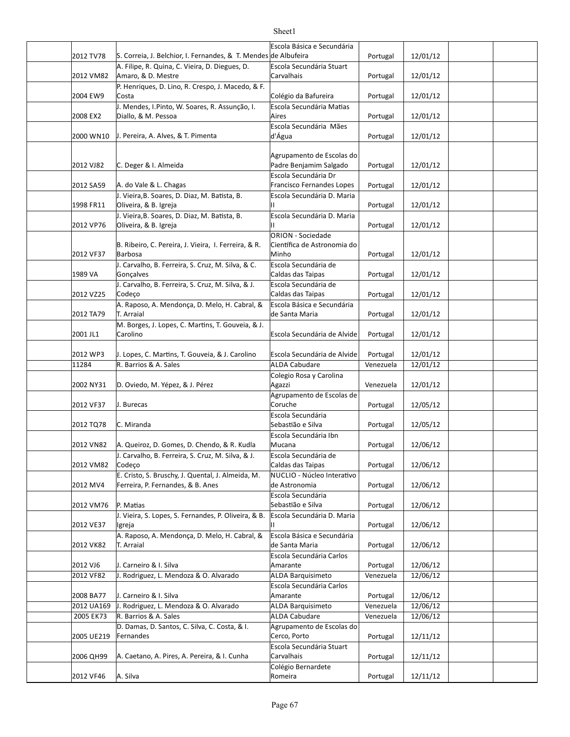#### 2012 TV78 S. Correia, J. Belchior, I. Fernandes, & T. Mendes de Albufeira S. [2011] Portugal | 12/01/12 2012 VM82 Amaro, & D. Mestre **Amaro, Amaro, Amaro, Amaro, Amaro, Amaro, Amaro, Amaro, Amaro, Amaro, Amaro, Ama** 2004 EW9 Portugal 12/01/12 Costa Colégio da Bafureira 2008 EX2 Diallo, & M. Pessoa and the control of the portugal definition of the portugal in the 12/01/12 2000 WN10  $\,$  J. Pereira, A. Alves, & T. Pimenta  $\,$  d'Água $\,$  Portugal  $\,$  12/01/12 2012 VJ82 Portugal 12/01/12 Padre Benjamim Salgado 2012 SA59 A. do Vale & L. Chagas entitled a series of Francisco Fernandes Lopes | Portugal | 12/01/12 1998 FR11 Portugal 12/01/12 Oliveira, & B. Igreja 2012 VP76 Portugal 12/01/12 Oliveira, & B. Igreja 2012 VF37 Portugal 12/01/12 1989 VA Portugal 12/01/12 Caldas das Taipas 2012 VZ25 Portugal 12/01/12 Caldas das Taipas 2012 TA79 Portugal 12/01/12 2001 JL1 Portugal 12/01/12 Carolino Escola Secundária de Alvide 2012 WP3 | J. Lopes, C. Martins, T. Gouveia, & J. Carolino | Escola Secundária de Alvide | Portugal | 12/01/12 11284 R. Barrios & A. Sales A. Sales A. Sales A. D. ALDA Cabudare Venezuela | 12/01/12 2002 NY31 D. Oviedo, M. Yépez, & J. Pérez Antistan Magazzi Agazzi de la Venezuela | 12/01/12 2012 VF37 Portugal 12/05/12 2012 TQ78 C. Miranda Portugal 12/05/12 Sebas]ão e Silva 2012 VN82 Portugal 12/06/12 A. Queiroz, D. Gomes, D. Chendo, & R. Kudla 2012 VM82 Portugal 12/06/12 Caldas das Taipas 2012 MV4 Ferreira, P. Fernandes, & B. Anes de Astronomia de Astronomia de Portugal | 12/06/12 2012 VM76 P. Matias Portugal 12/06/12 Portugal 12/06/12 2012 VE37 Portugal 12/06/12 2012 VK82 Portugal 12/06/12 2012 VJ6 | J. Carneiro & I. Silva Amarante Portugal | 12/06/12 2012 VF82 J. Rodriguez, L. Mendoza & O. Alvarado ALDA Barquisimeto Venezuela 12/06/12 2008 BA77 | J. Carneiro & I. Silva Amarante Portugal | 12/06/12 2012 UA169 J. Rodriguez, L. Mendoza & O. Alvarado ALDA Barquisimeto Venezuela 12/06/12 2005 EK73 R. Barrios & A. Sales And ALDA Cabudare Venezuela | 12/06/12 2005 UE219 Fernandes **Exercise Service Contract Contract Cerco**, Porto **Property Portugal 12/11/12** 2006 QH99 A. Caetano, A. Pires, A. Pereira, & I. Cunha Carvalhais and Portugal | 12/11/12 Escola Básica e Secundária A. Filipe, R. Quina, C. Vieira, D. Diegues, D. Escola Secundária Stuart Carvalhais P. Henriques, D. Lino, R. Crespo, J. Macedo, & F. J. Mendes, I.Pinto, W. Soares, R. Assunção, I. **Escola Secundária Matias** Aires Escola Secundária Mães d'Água C. Deger & I. Almeida Agrupamento de Escolas do Escola Secundária Dr Francisco Fernandes Lopes J. Vieira, B. Soares, D. Diaz, M. Batista, B. Escola Secundária D. Maria II I. Vieira, B. Soares, D. Diaz, M. Batista, B. Escola Secundária D. Maria II B. Ribeiro, C. Pereira, J. Vieira, I. Ferreira, & R. Barbosa ORION - Sociedade Cien}fica de Astronomia do Minho J. Carvalho, B. Ferreira, S. Cruz, M. Silva, & C. Gonçalves Escola Secundária de J. Carvalho, B. Ferreira, S. Cruz, M. Silva, & J. Codeço Escola Secundária de A. Raposo, A. Mendonça, D. Melo, H. Cabral, & T. Arraial Escola Básica e Secundária de Santa Maria M. Borges, J. Lopes, C. Martins, T. Gouveia, & J. **ALDA Cabudare** Colegio Rosa y Carolina Agazzi J. Burecas Agrupamento de Escolas de Coruche Escola Secundária Escola Secundária Ibn Mucana J. Carvalho, B. Ferreira, S. Cruz, M. Silva, & J. Codeço **Escola Secundária de** E. Cristo, S. Bruschy, J. Quental, J. Almeida, M. NUCLIO - Núcleo Interativo de Astronomia Escola Secundária Sebastião e Silva J. Vieira, S. Lopes, S. Fernandes, P. Oliveira, & B. Igreja Escola Secundária D. Maria II A. Raposo, A. Mendonça, D. Melo, H. Cabral, & T. Arraial Escola Básica e Secundária de Santa Maria Escola Secundária Carlos Amarante Escola Secundária Carlos Amarante **ALDA Cabudare** D. Damas, D. Santos, C. Silva, C. Costa, & I. Fernandes Agrupamento de Escolas do Cerco, Porto Escola Secundária Stuart Carvalhais Colégio Bernardete

Romeira

2012 VF46 A. Silva Portugal 12/11/12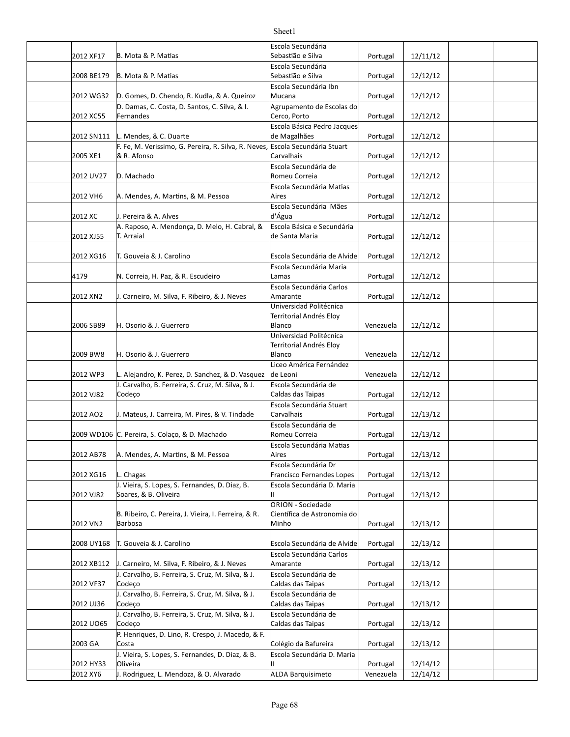| 2012 XF17  | B. Mota & P. Matias                                                 | Escola Secundária<br>Sebastião e Silva                  | Portugal  | 12/11/12 |  |
|------------|---------------------------------------------------------------------|---------------------------------------------------------|-----------|----------|--|
| 2008 BE179 | B. Mota & P. Matias                                                 | Escola Secundária<br>Sebastião e Silva                  | Portugal  | 12/12/12 |  |
|            |                                                                     | Escola Secundária Ibn                                   |           |          |  |
| 2012 WG32  | D. Gomes, D. Chendo, R. Kudla, & A. Queiroz                         | Mucana                                                  | Portugal  | 12/12/12 |  |
| 2012 XC55  | D. Damas, C. Costa, D. Santos, C. Silva, & I.<br>Fernandes          | Agrupamento de Escolas do<br>Cerco, Porto               | Portugal  | 12/12/12 |  |
| 2012 SN111 | L. Mendes, & C. Duarte                                              | Escola Básica Pedro Jacques<br>de Magalhães             | Portugal  | 12/12/12 |  |
| 2005 XE1   | F. Fe, M. Verissimo, G. Pereira, R. Silva, R. Neves,<br>& R. Afonso | Escola Secundária Stuart<br>Carvalhais                  | Portugal  | 12/12/12 |  |
| 2012 UV27  | D. Machado                                                          | Escola Secundária de<br>Romeu Correia                   | Portugal  | 12/12/12 |  |
| 2012 VH6   | A. Mendes, A. Martins, & M. Pessoa                                  | Escola Secundária Matias<br>Aires                       | Portugal  | 12/12/12 |  |
| 2012 XC    | J. Pereira & A. Alves                                               | Escola Secundária Mães<br>d'Água                        |           | 12/12/12 |  |
|            | A. Raposo, A. Mendonça, D. Melo, H. Cabral, &                       | Escola Básica e Secundária                              | Portugal  |          |  |
| 2012 XJ55  | T. Arraial                                                          | de Santa Maria                                          | Portugal  | 12/12/12 |  |
| 2012 XG16  | T. Gouveia & J. Carolino                                            | Escola Secundária de Alvide                             | Portugal  | 12/12/12 |  |
| 4179       | N. Correia, H. Paz, & R. Escudeiro                                  | Escola Secundária Maria<br>Lamas                        | Portugal  | 12/12/12 |  |
|            |                                                                     | Escola Secundária Carlos<br>Amarante                    |           |          |  |
| 2012 XN2   | J. Carneiro, M. Silva, F. Ribeiro, & J. Neves                       | Universidad Politécnica                                 | Portugal  | 12/12/12 |  |
| 2006 SB89  | H. Osorio & J. Guerrero                                             | Territorial Andrés Eloy<br>Blanco                       | Venezuela | 12/12/12 |  |
|            |                                                                     | Universidad Politécnica                                 |           |          |  |
| 2009 BW8   | H. Osorio & J. Guerrero                                             | Territorial Andrés Eloy<br>Blanco                       | Venezuela | 12/12/12 |  |
| 2012 WP3   | L. Alejandro, K. Perez, D. Sanchez, & D. Vasquez                    | Liceo América Fernández<br>de Leoni                     | Venezuela | 12/12/12 |  |
| 2012 VJ82  | J. Carvalho, B. Ferreira, S. Cruz, M. Silva, & J.<br>Codeço         | Escola Secundária de<br>Caldas das Taipas               | Portugal  | 12/12/12 |  |
| 2012 AO2   | J. Mateus, J. Carreira, M. Pires, & V. Tindade                      | Escola Secundária Stuart<br>Carvalhais                  | Portugal  | 12/13/12 |  |
|            | 2009 WD106 C. Pereira, S. Colaço, & D. Machado                      | Escola Secundária de<br>Romeu Correia                   | Portugal  | 12/13/12 |  |
|            |                                                                     | Escola Secundária Matias                                |           |          |  |
| 2012 AB78  | A. Mendes, A. Martins, & M. Pessoa                                  | Aires                                                   | Portugal  | 12/13/12 |  |
|            |                                                                     | Escola Secundária Dr                                    |           |          |  |
| 2012 XG16  | L. Chagas<br>J. Vieira, S. Lopes, S. Fernandes, D. Diaz, B.         | Francisco Fernandes Lopes<br>Escola Secundária D. Maria | Portugal  | 12/13/12 |  |
| 2012 VJ82  | Soares, & B. Oliveira                                               | Н.                                                      | Portugal  | 12/13/12 |  |
|            | B. Ribeiro, C. Pereira, J. Vieira, I. Ferreira, & R.                | <b>ORION - Sociedade</b><br>Científica de Astronomia do |           |          |  |
| 2012 VN2   | Barbosa                                                             | Minho                                                   | Portugal  | 12/13/12 |  |
| 2008 UY168 | T. Gouveia & J. Carolino                                            | Escola Secundária de Alvide                             | Portugal  | 12/13/12 |  |
| 2012 XB112 | J. Carneiro, M. Silva, F. Ribeiro, & J. Neves                       | Escola Secundária Carlos<br>Amarante                    | Portugal  | 12/13/12 |  |
| 2012 VF37  | J. Carvalho, B. Ferreira, S. Cruz, M. Silva, & J.<br>Codeço         | Escola Secundária de<br>Caldas das Taipas               | Portugal  | 12/13/12 |  |
| 2012 UJ36  | J. Carvalho, B. Ferreira, S. Cruz, M. Silva, & J.<br>Codeço         | Escola Secundária de<br>Caldas das Taipas               | Portugal  | 12/13/12 |  |
|            | J. Carvalho, B. Ferreira, S. Cruz, M. Silva, & J.                   | Escola Secundária de                                    |           |          |  |
| 2012 UO65  | Codeço<br>P. Henriques, D. Lino, R. Crespo, J. Macedo, & F.         | Caldas das Taipas                                       | Portugal  | 12/13/12 |  |
| 2003 GA    | Costa<br>J. Vieira, S. Lopes, S. Fernandes, D. Diaz, & B.           | Colégio da Bafureira<br>Escola Secundária D. Maria      | Portugal  | 12/13/12 |  |
| 2012 HY33  | Oliveira                                                            | П                                                       | Portugal  | 12/14/12 |  |
| 2012 XY6   | J. Rodriguez, L. Mendoza, & O. Alvarado                             | ALDA Barquisimeto                                       | Venezuela | 12/14/12 |  |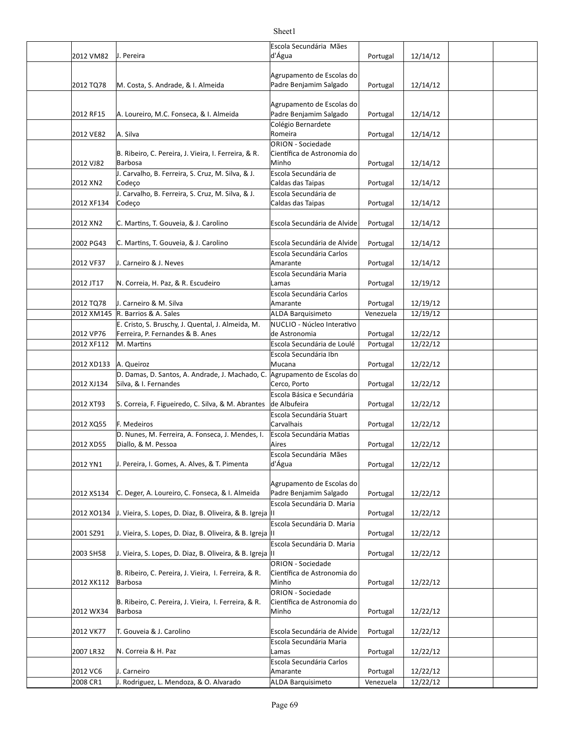|            |                                                            | Escola Secundária Mães                                 |           |          |  |
|------------|------------------------------------------------------------|--------------------------------------------------------|-----------|----------|--|
| 2012 VM82  | J. Pereira                                                 | d'Água                                                 | Portugal  | 12/14/12 |  |
|            |                                                            |                                                        |           |          |  |
|            |                                                            | Agrupamento de Escolas do                              |           |          |  |
| 2012 TQ78  | M. Costa, S. Andrade, & I. Almeida                         | Padre Benjamim Salgado                                 | Portugal  | 12/14/12 |  |
|            |                                                            |                                                        |           |          |  |
|            |                                                            | Agrupamento de Escolas do                              |           |          |  |
| 2012 RF15  | A. Loureiro, M.C. Fonseca, & I. Almeida                    | Padre Benjamim Salgado                                 | Portugal  | 12/14/12 |  |
|            | A. Silva                                                   | Colégio Bernardete<br>Romeira                          |           |          |  |
| 2012 VE82  |                                                            | ORION - Sociedade                                      | Portugal  | 12/14/12 |  |
|            | B. Ribeiro, C. Pereira, J. Vieira, I. Ferreira, & R.       | Científica de Astronomia do                            |           |          |  |
| 2012 VJ82  | Barbosa                                                    | Minho                                                  | Portugal  | 12/14/12 |  |
|            | J. Carvalho, B. Ferreira, S. Cruz, M. Silva, & J.          | Escola Secundária de                                   |           |          |  |
| 2012 XN2   | Codeço                                                     | Caldas das Taipas                                      | Portugal  | 12/14/12 |  |
|            | J. Carvalho, B. Ferreira, S. Cruz, M. Silva, & J.          | Escola Secundária de                                   |           |          |  |
| 2012 XF134 | Codeço                                                     | Caldas das Taipas                                      | Portugal  | 12/14/12 |  |
|            |                                                            |                                                        |           |          |  |
| 2012 XN2   | C. Martins, T. Gouveia, & J. Carolino                      | Escola Secundária de Alvide                            | Portugal  | 12/14/12 |  |
|            |                                                            |                                                        |           |          |  |
| 2002 PG43  | C. Martins, T. Gouveia, & J. Carolino                      | Escola Secundária de Alvide                            | Portugal  | 12/14/12 |  |
|            |                                                            | Escola Secundária Carlos                               |           |          |  |
| 2012 VF37  | J. Carneiro & J. Neves                                     | Amarante                                               | Portugal  | 12/14/12 |  |
| 2012 JT17  | N. Correia, H. Paz, & R. Escudeiro                         | Escola Secundária Maria<br>Lamas                       | Portugal  | 12/19/12 |  |
|            |                                                            | Escola Secundária Carlos                               |           |          |  |
| 2012 TQ78  | J. Carneiro & M. Silva                                     | Amarante                                               | Portugal  | 12/19/12 |  |
|            | 2012 XM145 R. Barrios & A. Sales                           | <b>ALDA Barquisimeto</b>                               | Venezuela | 12/19/12 |  |
|            | E. Cristo, S. Bruschy, J. Quental, J. Almeida, M.          | NUCLIO - Núcleo Interativo                             |           |          |  |
| 2012 VP76  | Ferreira, P. Fernandes & B. Anes                           | de Astronomia                                          | Portugal  | 12/22/12 |  |
| 2012 XF112 | M. Martins                                                 | Escola Secundária de Loulé                             | Portugal  | 12/22/12 |  |
|            |                                                            | Escola Secundária Ibn                                  |           |          |  |
| 2012 XD133 | A. Queiroz                                                 | Mucana                                                 | Portugal  | 12/22/12 |  |
|            | D. Damas, D. Santos, A. Andrade, J. Machado, C.            | Agrupamento de Escolas do                              |           |          |  |
| 2012 XJ134 | Silva, & I. Fernandes                                      | Cerco, Porto                                           | Portugal  | 12/22/12 |  |
|            |                                                            | Escola Básica e Secundária                             |           |          |  |
| 2012 XT93  | S. Correia, F. Figueiredo, C. Silva, & M. Abrantes         | de Albufeira                                           | Portugal  | 12/22/12 |  |
| 2012 XQ55  | F. Medeiros                                                | Escola Secundária Stuart<br>Carvalhais                 | Portugal  | 12/22/12 |  |
|            | D. Nunes, M. Ferreira, A. Fonseca, J. Mendes, I.           | Escola Secundária Matias                               |           |          |  |
| 2012 XD55  | Diallo, & M. Pessoa                                        | Aires                                                  | Portugal  | 12/22/12 |  |
|            |                                                            | Escola Secundária Mães                                 |           |          |  |
| 2012 YN1   | J. Pereira, I. Gomes, A. Alves, & T. Pimenta               | d'Água                                                 | Portugal  | 12/22/12 |  |
|            |                                                            |                                                        |           |          |  |
|            |                                                            | Agrupamento de Escolas do                              |           |          |  |
| 2012 XS134 | C. Deger, A. Loureiro, C. Fonseca, & I. Almeida            | Padre Benjamim Salgado                                 | Portugal  | 12/22/12 |  |
|            |                                                            | Escola Secundária D. Maria                             |           |          |  |
| 2012 XO134 | J. Vieira, S. Lopes, D. Diaz, B. Oliveira, & B. Igreja  II |                                                        | Portugal  | 12/22/12 |  |
|            |                                                            | Escola Secundária D. Maria                             |           |          |  |
| 2001 SZ91  | J. Vieira, S. Lopes, D. Diaz, B. Oliveira, & B. Igreja  II | Escola Secundária D. Maria                             | Portugal  | 12/22/12 |  |
| 2003 SH58  | J. Vieira, S. Lopes, D. Diaz, B. Oliveira, & B. Igreja  II |                                                        | Portugal  | 12/22/12 |  |
|            |                                                            | ORION - Sociedade                                      |           |          |  |
|            | B. Ribeiro, C. Pereira, J. Vieira, I. Ferreira, & R.       | Científica de Astronomia do                            |           |          |  |
| 2012 XK112 | Barbosa                                                    | Minho                                                  | Portugal  | 12/22/12 |  |
|            |                                                            | ORION - Sociedade                                      |           |          |  |
|            | B. Ribeiro, C. Pereira, J. Vieira, I. Ferreira, & R.       | Científica de Astronomia do                            |           |          |  |
| 2012 WX34  | Barbosa                                                    | Minho                                                  | Portugal  | 12/22/12 |  |
|            |                                                            |                                                        |           |          |  |
| 2012 VK77  | T. Gouveia & J. Carolino                                   | Escola Secundária de Alvide<br>Escola Secundária Maria | Portugal  | 12/22/12 |  |
| 2007 LR32  | N. Correia & H. Paz                                        | Lamas                                                  | Portugal  | 12/22/12 |  |
|            |                                                            | Escola Secundária Carlos                               |           |          |  |
| 2012 VC6   | J. Carneiro                                                | Amarante                                               | Portugal  | 12/22/12 |  |
| 2008 CR1   | J. Rodriguez, L. Mendoza, & O. Alvarado                    | <b>ALDA Barquisimeto</b>                               | Venezuela | 12/22/12 |  |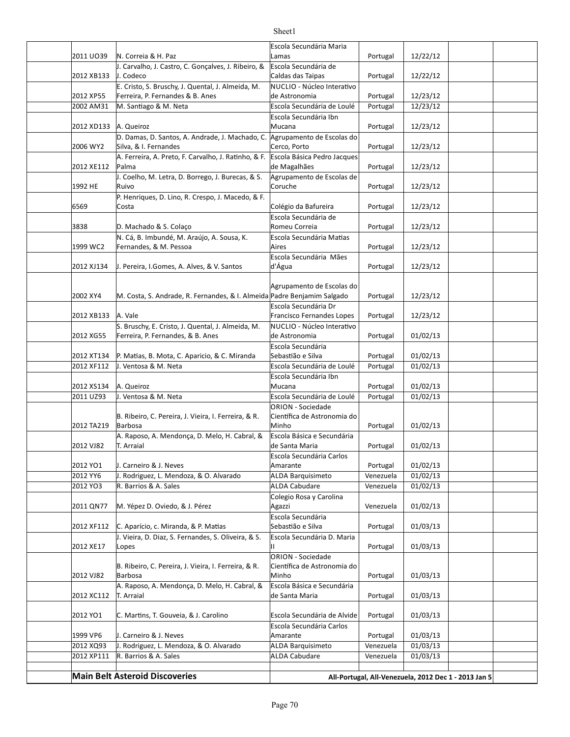|            |                                                                         | Escola Secundária Maria                              |                       |          |  |  |
|------------|-------------------------------------------------------------------------|------------------------------------------------------|-----------------------|----------|--|--|
| 2011 UO39  | N. Correia & H. Paz                                                     | Lamas                                                | Portugal              | 12/22/12 |  |  |
| 2012 XB133 | J. Carvalho, J. Castro, C. Gonçalves, J. Ribeiro, &<br>J. Codeco        | Escola Secundária de<br>Caldas das Taipas            | Portugal              | 12/22/12 |  |  |
|            | E. Cristo, S. Bruschy, J. Quental, J. Almeida, M.                       | NUCLIO - Núcleo Interativo                           |                       |          |  |  |
| 2012 XP55  | Ferreira, P. Fernandes & B. Anes                                        | de Astronomia                                        | Portugal              | 12/23/12 |  |  |
| 2002 AM31  | M. Santiago & M. Neta                                                   | Escola Secundária de Loulé                           | Portugal              | 12/23/12 |  |  |
|            |                                                                         | Escola Secundária Ibn                                |                       |          |  |  |
| 2012 XD133 | A. Queiroz                                                              | Mucana                                               | Portugal              | 12/23/12 |  |  |
|            | D. Damas, D. Santos, A. Andrade, J. Machado, C.                         | Agrupamento de Escolas do                            |                       |          |  |  |
| 2006 WY2   | Silva, & I. Fernandes                                                   | Cerco, Porto                                         | Portugal              | 12/23/12 |  |  |
|            | A. Ferreira, A. Preto, F. Carvalho, J. Ratinho, & F.                    | Escola Básica Pedro Jacques                          |                       |          |  |  |
| 2012 XE112 | Palma                                                                   | de Magalhães                                         | Portugal              | 12/23/12 |  |  |
|            | J. Coelho, M. Letra, D. Borrego, J. Burecas, & S.                       | Agrupamento de Escolas de                            |                       |          |  |  |
| 1992 HE    | Ruivo                                                                   | Coruche                                              | Portugal              | 12/23/12 |  |  |
|            | P. Henriques, D. Lino, R. Crespo, J. Macedo, & F.                       |                                                      |                       |          |  |  |
| 6569       | Costa                                                                   | Colégio da Bafureira                                 | Portugal              | 12/23/12 |  |  |
|            |                                                                         | Escola Secundária de                                 |                       |          |  |  |
| 3838       | D. Machado & S. Colaço                                                  | Romeu Correia                                        | Portugal              | 12/23/12 |  |  |
|            | N. Cá, B. Imbundé, M. Araújo, A. Sousa, K.                              | Escola Secundária Matias                             |                       |          |  |  |
| 1999 WC2   | Fernandes, & M. Pessoa                                                  | Aires                                                | Portugal              | 12/23/12 |  |  |
|            |                                                                         | Escola Secundária Mães                               |                       |          |  |  |
| 2012 XJ134 | J. Pereira, I.Gomes, A. Alves, & V. Santos                              | d'Água                                               | Portugal              | 12/23/12 |  |  |
|            |                                                                         |                                                      |                       |          |  |  |
|            |                                                                         | Agrupamento de Escolas do                            |                       |          |  |  |
| 2002 XY4   | M. Costa, S. Andrade, R. Fernandes, & I. Almeida Padre Benjamim Salgado |                                                      | Portugal              | 12/23/12 |  |  |
|            |                                                                         | Escola Secundária Dr                                 |                       |          |  |  |
| 2012 XB133 | A. Vale                                                                 | Francisco Fernandes Lopes                            | Portugal              | 12/23/12 |  |  |
|            | S. Bruschy, E. Cristo, J. Quental, J. Almeida, M.                       | NUCLIO - Núcleo Interativo                           |                       |          |  |  |
| 2012 XG55  | Ferreira, P. Fernandes, & B. Anes                                       | de Astronomia                                        | Portugal              | 01/02/13 |  |  |
| 2012 XT134 | P. Matias, B. Mota, C. Aparicio, & C. Miranda                           | Escola Secundária<br>Sebastião e Silva               | Portugal              | 01/02/13 |  |  |
| 2012 XF112 | J. Ventosa & M. Neta                                                    | Escola Secundária de Loulé                           | Portugal              | 01/02/13 |  |  |
|            |                                                                         |                                                      |                       |          |  |  |
| 2012 XS134 | A. Queiroz                                                              | Escola Secundária Ibn<br>Mucana                      | Portugal              | 01/02/13 |  |  |
| 2011 UZ93  | J. Ventosa & M. Neta                                                    | Escola Secundária de Loulé                           | Portugal              | 01/02/13 |  |  |
|            |                                                                         | <b>ORION - Sociedade</b>                             |                       |          |  |  |
|            | B. Ribeiro, C. Pereira, J. Vieira, I. Ferreira, & R.                    | Científica de Astronomia do                          |                       |          |  |  |
| 2012 TA219 | <b>Barbosa</b>                                                          | Minho                                                | Portugal              | 01/02/13 |  |  |
|            | A. Raposo, A. Mendonça, D. Melo, H. Cabral, &                           | Escola Básica e Secundária                           |                       |          |  |  |
| 2012 VJ82  | T. Arraial                                                              | de Santa Maria                                       | Portugal              | 01/02/13 |  |  |
|            |                                                                         | Escola Secundária Carlos                             |                       |          |  |  |
| 2012 YO1   | J. Carneiro & J. Neves                                                  | Amarante                                             | Portugal              | 01/02/13 |  |  |
| 2012 YY6   | J. Rodriguez, L. Mendoza, & O. Alvarado                                 | <b>ALDA Barquisimeto</b>                             | Venezuela             | 01/02/13 |  |  |
| 2012 YO3   | R. Barrios & A. Sales                                                   | <b>ALDA Cabudare</b>                                 | Venezuela             | 01/02/13 |  |  |
|            |                                                                         | Colegio Rosa y Carolina                              |                       |          |  |  |
| 2011 QN77  | M. Yépez D. Oviedo, & J. Pérez                                          | Agazzi                                               | Venezuela             | 01/02/13 |  |  |
|            |                                                                         | Escola Secundária                                    |                       |          |  |  |
| 2012 XF112 | C. Aparício, c. Miranda, & P. Matias                                    | Sebastião e Silva                                    | Portugal              | 01/03/13 |  |  |
|            | J. Vieira, D. Diaz, S. Fernandes, S. Oliveira, & S.                     | Escola Secundária D. Maria                           |                       |          |  |  |
| 2012 XE17  | Lopes                                                                   | Ш                                                    | Portugal              | 01/03/13 |  |  |
|            |                                                                         | <b>ORION - Sociedade</b>                             |                       |          |  |  |
|            | B. Ribeiro, C. Pereira, J. Vieira, I. Ferreira, & R.                    | Científica de Astronomia do                          |                       |          |  |  |
| 2012 VJ82  | <b>Barbosa</b>                                                          | Minho                                                | Portugal              | 01/03/13 |  |  |
|            | A. Raposo, A. Mendonça, D. Melo, H. Cabral, &                           | Escola Básica e Secundária                           |                       |          |  |  |
| 2012 XC112 | T. Arraial                                                              | de Santa Maria                                       | Portugal              | 01/03/13 |  |  |
|            |                                                                         |                                                      |                       |          |  |  |
| 2012 YO1   | C. Martins, T. Gouveia, & J. Carolino                                   | Escola Secundária de Alvide                          | Portugal              | 01/03/13 |  |  |
| 1999 VP6   | J. Carneiro & J. Neves                                                  | Escola Secundária Carlos<br>Amarante                 |                       | 01/03/13 |  |  |
| 2012 XQ93  | J. Rodriguez, L. Mendoza, & O. Alvarado                                 | <b>ALDA Barquisimeto</b>                             | Portugal<br>Venezuela | 01/03/13 |  |  |
| 2012 XP111 | R. Barrios & A. Sales                                                   | <b>ALDA Cabudare</b>                                 | Venezuela             | 01/03/13 |  |  |
|            |                                                                         |                                                      |                       |          |  |  |
|            | <b>Main Belt Asteroid Discoveries</b>                                   |                                                      |                       |          |  |  |
|            |                                                                         | All-Portugal, All-Venezuela, 2012 Dec 1 - 2013 Jan 5 |                       |          |  |  |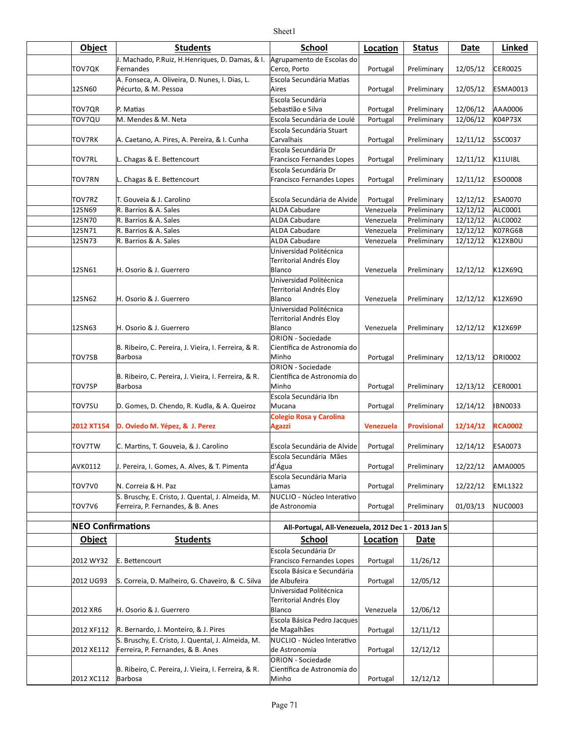| <b>Object</b>  | <b>Students</b>                                                             | <b>School</b>                                            | Location         | <b>Status</b>      | Date     | Linked          |
|----------------|-----------------------------------------------------------------------------|----------------------------------------------------------|------------------|--------------------|----------|-----------------|
|                | J. Machado, P.Ruiz, H.Henriques, D. Damas, & I.   Agrupamento de Escolas do |                                                          |                  |                    |          |                 |
| TOV7QK         | Fernandes                                                                   | Cerco, Porto                                             | Portugal         | Preliminary        | 12/05/12 | <b>CER0025</b>  |
| 12SN60         | A. Fonseca, A. Oliveira, D. Nunes, I. Dias, L.<br>Pécurto, & M. Pessoa      | Escola Secundária Matias<br>Aires                        | Portugal         | Preliminary        | 12/05/12 | <b>ESMA0013</b> |
|                |                                                                             | Escola Secundária                                        |                  |                    |          |                 |
| TOV7QR         | P. Matias                                                                   | Sebastião e Silva                                        | Portugal         | Preliminary        | 12/06/12 | AAA0006         |
| TOV7QU         | M. Mendes & M. Neta                                                         | Escola Secundária de Loulé                               | Portugal         | Preliminary        | 12/06/12 | K04P73X         |
| TOV7RK         | A. Caetano, A. Pires, A. Pereira, & I. Cunha                                | Escola Secundária Stuart<br>Carvalhais                   | Portugal         | Preliminary        | 12/11/12 | SSC0037         |
| <b>TOV7RL</b>  | L. Chagas & E. Bettencourt                                                  | Escola Secundária Dr<br>Francisco Fernandes Lopes        | Portugal         | Preliminary        | 12/11/12 | <b>K11UI8L</b>  |
|                |                                                                             | Escola Secundária Dr                                     |                  |                    |          |                 |
| <b>TOV7RN</b>  | L. Chagas & E. Bettencourt                                                  | Francisco Fernandes Lopes                                | Portugal         | Preliminary        | 12/11/12 | <b>ESO0008</b>  |
| TOV7RZ         | T. Gouveia & J. Carolino                                                    | Escola Secundária de Alvide                              | Portugal         | Preliminary        | 12/12/12 | <b>ESA0070</b>  |
| 12SN69         | R. Barrios & A. Sales                                                       | <b>ALDA Cabudare</b>                                     | Venezuela        | Preliminary        | 12/12/12 | ALC0001         |
| 12SN70         | R. Barrios & A. Sales                                                       | <b>ALDA Cabudare</b>                                     | Venezuela        | Preliminary        | 12/12/12 | <b>ALC0002</b>  |
| 12SN71         | R. Barrios & A. Sales                                                       | <b>ALDA Cabudare</b>                                     | Venezuela        | Preliminary        | 12/12/12 | K07RG6B         |
| 12SN73         | R. Barrios & A. Sales                                                       | <b>ALDA Cabudare</b>                                     | Venezuela        | Preliminary        | 12/12/12 | <b>K12XB0U</b>  |
|                |                                                                             | Universidad Politécnica                                  |                  |                    |          |                 |
|                |                                                                             | Territorial Andrés Eloy                                  |                  |                    |          |                 |
| 12SN61         | H. Osorio & J. Guerrero                                                     | Blanco                                                   | Venezuela        | Preliminary        | 12/12/12 | K12X69Q         |
|                |                                                                             | Universidad Politécnica                                  |                  |                    |          |                 |
|                |                                                                             | Territorial Andrés Eloy                                  |                  |                    |          |                 |
| 12SN62         | H. Osorio & J. Guerrero                                                     | Blanco                                                   | Venezuela        | Preliminary        | 12/12/12 | K12X69O         |
|                |                                                                             | Universidad Politécnica                                  |                  |                    |          |                 |
|                |                                                                             | Territorial Andrés Eloy                                  |                  |                    |          |                 |
| 12SN63         | H. Osorio & J. Guerrero                                                     | Blanco                                                   | Venezuela        | Preliminary        | 12/12/12 | K12X69P         |
|                |                                                                             | <b>ORION - Sociedade</b>                                 |                  |                    |          |                 |
|                | B. Ribeiro, C. Pereira, J. Vieira, I. Ferreira, & R.                        | Científica de Astronomia do                              |                  |                    |          |                 |
| TOV7SB         | <b>Barbosa</b>                                                              | Minho                                                    | Portugal         | Preliminary        | 12/13/12 | <b>ORI0002</b>  |
|                | B. Ribeiro, C. Pereira, J. Vieira, I. Ferreira, & R.                        | ORION - Sociedade<br>Científica de Astronomia do         |                  |                    |          |                 |
| TOV7SP         | <b>Barbosa</b>                                                              | Minho                                                    | Portugal         | Preliminary        | 12/13/12 | CER0001         |
|                |                                                                             | Escola Secundária Ibn                                    |                  |                    |          |                 |
| TOV7SU         | D. Gomes, D. Chendo, R. Kudla, & A. Queiroz                                 | Mucana                                                   | Portugal         | Preliminary        | 12/14/12 | IBN0033         |
|                |                                                                             | <b>Colegio Rosa y Carolina</b>                           |                  |                    |          |                 |
| 2012 XT154     | D. Oviedo M. Yépez, & J. Perez                                              | <b>Agazzi</b>                                            | <b>Venezuela</b> | <b>Provisional</b> | 12/14/12 | <b>RCA0002</b>  |
|                |                                                                             |                                                          |                  |                    |          |                 |
| TOV7TW         | C. Martins, T. Gouveia, & J. Carolino                                       | Escola Secundária de Alvide                              | Portugal         | Preliminary        | 12/14/12 | <b>ESA0073</b>  |
| <b>AVK0112</b> | J. Pereira, I. Gomes, A. Alves, & T. Pimenta                                | Escola Secundária Mães<br>d'Água                         | Portugal         | Preliminary        | 12/22/12 | AMA0005         |
|                |                                                                             | Escola Secundária Maria                                  |                  |                    |          |                 |
| TOV7V0         | N. Correia & H. Paz                                                         | Lamas                                                    | Portugal         | Preliminary        | 12/22/12 | <b>EML1322</b>  |
|                | S. Bruschy, E. Cristo, J. Quental, J. Almeida, M.                           | NUCLIO - Núcleo Interativo                               |                  |                    |          |                 |
| <b>TOV7V6</b>  | Ferreira, P. Fernandes, & B. Anes                                           | de Astronomia                                            | Portugal         | Preliminary        | 01/03/13 | <b>NUC0003</b>  |
|                |                                                                             |                                                          |                  |                    |          |                 |
|                | <b>NEO Confirmations</b>                                                    | All-Portugal, All-Venezuela, 2012 Dec 1 - 2013 Jan 5     |                  |                    |          |                 |
| <b>Object</b>  | <b>Students</b>                                                             | School                                                   | Location         | Date               |          |                 |
| 2012 WY32      | E. Bettencourt                                                              | Escola Secundária Dr<br><b>Francisco Fernandes Lopes</b> | Portugal         | 11/26/12           |          |                 |
|                |                                                                             | Escola Básica e Secundária                               |                  |                    |          |                 |
| 2012 UG93      | S. Correia, D. Malheiro, G. Chaveiro, & C. Silva                            | de Albufeira                                             | Portugal         | 12/05/12           |          |                 |
|                |                                                                             | Universidad Politécnica                                  |                  |                    |          |                 |
|                |                                                                             | Territorial Andrés Eloy                                  |                  |                    |          |                 |
| 2012 XR6       | H. Osorio & J. Guerrero                                                     | Blanco                                                   | Venezuela        | 12/06/12           |          |                 |
|                |                                                                             | Escola Básica Pedro Jacques                              |                  |                    |          |                 |
| 2012 XF112     | R. Bernardo, J. Monteiro, & J. Pires                                        | de Magalhães                                             | Portugal         | 12/11/12           |          |                 |
|                | S. Bruschy, E. Cristo, J. Quental, J. Almeida, M.                           | NUCLIO - Núcleo Interativo                               |                  |                    |          |                 |
| 2012 XE112     | Ferreira, P. Fernandes, & B. Anes                                           | de Astronomia                                            | Portugal         | 12/12/12           |          |                 |
|                |                                                                             | ORION - Sociedade                                        |                  |                    |          |                 |
|                | B. Ribeiro, C. Pereira, J. Vieira, I. Ferreira, & R.                        | Científica de Astronomia do                              |                  |                    |          |                 |
| 2012 XC112     | Barbosa                                                                     | Minho                                                    | Portugal         | 12/12/12           |          |                 |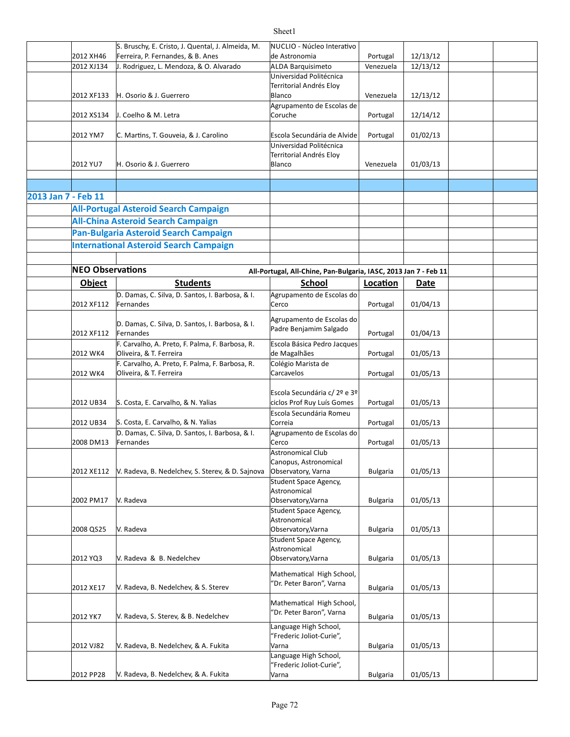|                     |                         | S. Bruschy, E. Cristo, J. Quental, J. Almeida, M. | NUCLIO - Núcleo Interativo                                       |                 |          |  |
|---------------------|-------------------------|---------------------------------------------------|------------------------------------------------------------------|-----------------|----------|--|
|                     | 2012 XH46               | Ferreira, P. Fernandes, & B. Anes                 | de Astronomia                                                    | Portugal        | 12/13/12 |  |
|                     | 2012 XJ134              | J. Rodriguez, L. Mendoza, & O. Alvarado           | ALDA Barquisimeto                                                | Venezuela       | 12/13/12 |  |
|                     |                         |                                                   | Universidad Politécnica                                          |                 |          |  |
|                     |                         |                                                   | Territorial Andrés Eloy                                          |                 |          |  |
|                     | 2012 XF133              | H. Osorio & J. Guerrero                           | Blanco                                                           | Venezuela       | 12/13/12 |  |
|                     |                         |                                                   | Agrupamento de Escolas de                                        |                 |          |  |
|                     | 2012 XS134              | J. Coelho & M. Letra                              | Coruche                                                          | Portugal        | 12/14/12 |  |
|                     |                         |                                                   |                                                                  |                 |          |  |
|                     | 2012 YM7                | C. Martins, T. Gouveia, & J. Carolino             | Escola Secundária de Alvide                                      | Portugal        | 01/02/13 |  |
|                     |                         |                                                   | Universidad Politécnica                                          |                 |          |  |
|                     |                         |                                                   |                                                                  |                 |          |  |
|                     |                         |                                                   | Territorial Andrés Eloy                                          |                 |          |  |
|                     | 2012 YU7                | H. Osorio & J. Guerrero                           | Blanco                                                           | Venezuela       | 01/03/13 |  |
|                     |                         |                                                   |                                                                  |                 |          |  |
|                     |                         |                                                   |                                                                  |                 |          |  |
| 2013 Jan 7 - Feb 11 |                         |                                                   |                                                                  |                 |          |  |
|                     |                         | <b>All-Portugal Asteroid Search Campaign</b>      |                                                                  |                 |          |  |
|                     |                         | <b>All-China Asteroid Search Campaign</b>         |                                                                  |                 |          |  |
|                     |                         |                                                   |                                                                  |                 |          |  |
|                     |                         | Pan-Bulgaria Asteroid Search Campaign             |                                                                  |                 |          |  |
|                     |                         | <b>International Asteroid Search Campaign</b>     |                                                                  |                 |          |  |
|                     |                         |                                                   |                                                                  |                 |          |  |
|                     | <b>NEO Observations</b> |                                                   |                                                                  |                 |          |  |
|                     |                         |                                                   | All-Portugal, All-Chine, Pan-Bulgaria, IASC, 2013 Jan 7 - Feb 11 |                 |          |  |
|                     | <b>Object</b>           | <b>Students</b>                                   | School                                                           | Location        | Date     |  |
|                     |                         | D. Damas, C. Silva, D. Santos, I. Barbosa, & I.   | Agrupamento de Escolas do                                        |                 |          |  |
|                     | 2012 XF112              | Fernandes                                         | Cerco                                                            | Portugal        | 01/04/13 |  |
|                     |                         |                                                   |                                                                  |                 |          |  |
|                     |                         | D. Damas, C. Silva, D. Santos, I. Barbosa, & I.   | Agrupamento de Escolas do                                        |                 |          |  |
|                     | 2012 XF112              | Fernandes                                         | Padre Benjamim Salgado                                           | Portugal        | 01/04/13 |  |
|                     |                         | F. Carvalho, A. Preto, F. Palma, F. Barbosa, R.   | Escola Básica Pedro Jacques                                      |                 |          |  |
|                     | 2012 WK4                | Oliveira, & T. Ferreira                           | de Magalhães                                                     | Portugal        | 01/05/13 |  |
|                     |                         |                                                   |                                                                  |                 |          |  |
|                     |                         | F. Carvalho, A. Preto, F. Palma, F. Barbosa, R.   | Colégio Marista de                                               |                 |          |  |
|                     | 2012 WK4                | Oliveira, & T. Ferreira                           | Carcavelos                                                       | Portugal        | 01/05/13 |  |
|                     |                         |                                                   |                                                                  |                 |          |  |
|                     |                         |                                                   | Escola Secundária c/ 2º e 3º                                     |                 |          |  |
|                     | 2012 UB34               | S. Costa, E. Carvalho, & N. Yalias                | ciclos Prof Ruy Luís Gomes                                       | Portugal        | 01/05/13 |  |
|                     |                         |                                                   | Escola Secundária Romeu                                          |                 |          |  |
|                     | 2012 UB34               | S. Costa, E. Carvalho, & N. Yalias                | Correia                                                          | Portugal        | 01/05/13 |  |
|                     |                         | D. Damas, C. Silva, D. Santos, I. Barbosa, & I.   | Agrupamento de Escolas do                                        |                 |          |  |
|                     | 2008 DM13               | Fernandes                                         | Cerco                                                            | Portugal        | 01/05/13 |  |
|                     |                         |                                                   | Astronomical Club                                                |                 |          |  |
|                     |                         |                                                   | Canopus, Astronomical                                            |                 |          |  |
|                     | 2012 XE112              | V. Radeva, B. Nedelchev, S. Sterev, & D. Sajnova  | Observatory, Varna                                               | <b>Bulgaria</b> | 01/05/13 |  |
|                     |                         |                                                   | Student Space Agency,                                            |                 |          |  |
|                     |                         |                                                   | Astronomical                                                     |                 |          |  |
|                     | 2002 PM17               | V. Radeva                                         | Observatory, Varna                                               | <b>Bulgaria</b> | 01/05/13 |  |
|                     |                         |                                                   |                                                                  |                 |          |  |
|                     |                         |                                                   | Student Space Agency,<br>Astronomical                            |                 |          |  |
|                     |                         |                                                   |                                                                  |                 |          |  |
|                     | 2008 QS25               | V. Radeva                                         | Observatory, Varna                                               | <b>Bulgaria</b> | 01/05/13 |  |
|                     |                         |                                                   | Student Space Agency,                                            |                 |          |  |
|                     |                         |                                                   | Astronomical                                                     |                 |          |  |
|                     | 2012 YQ3                | V. Radeva & B. Nedelchev                          | Observatory, Varna                                               | <b>Bulgaria</b> | 01/05/13 |  |
|                     |                         |                                                   | Mathematical High School,                                        |                 |          |  |
|                     |                         |                                                   | "Dr. Peter Baron", Varna                                         |                 |          |  |
|                     | 2012 XE17               | V. Radeva, B. Nedelchev, & S. Sterev              |                                                                  | <b>Bulgaria</b> | 01/05/13 |  |
|                     |                         |                                                   | Mathematical High School,                                        |                 |          |  |
|                     |                         |                                                   | "Dr. Peter Baron", Varna                                         |                 |          |  |
|                     | 2012 YK7                | V. Radeva, S. Sterev, & B. Nedelchev              |                                                                  | <b>Bulgaria</b> | 01/05/13 |  |
|                     |                         |                                                   | Language High School,                                            |                 |          |  |
|                     |                         |                                                   | "Frederic Joliot-Curie",                                         |                 |          |  |
|                     | 2012 VJ82               | V. Radeva, B. Nedelchev, & A. Fukita              | Varna                                                            | <b>Bulgaria</b> | 01/05/13 |  |
|                     |                         |                                                   | Language High School,                                            |                 |          |  |
|                     |                         |                                                   | "Frederic Joliot-Curie",                                         |                 |          |  |
|                     | 2012 PP28               | V. Radeva, B. Nedelchev, & A. Fukita              | Varna                                                            | <b>Bulgaria</b> | 01/05/13 |  |

T

 $\sqrt{ }$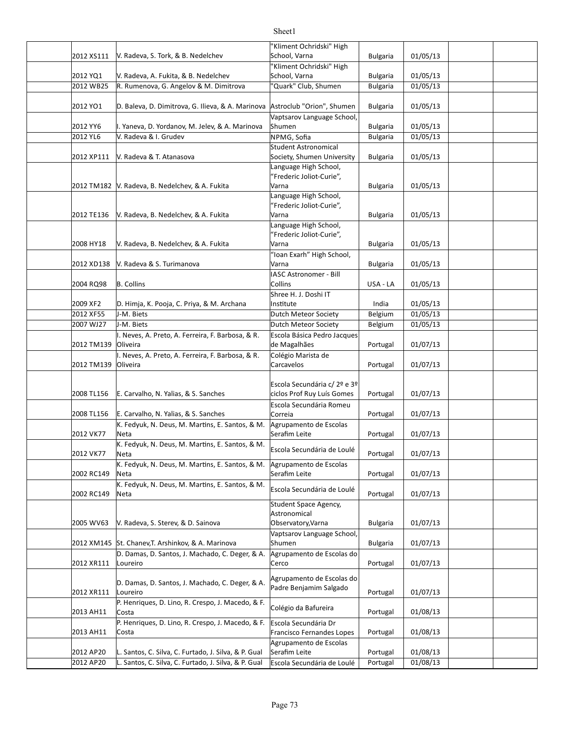|                      |                                                            | "Kliment Ochridski" High                          |                                    |          |  |
|----------------------|------------------------------------------------------------|---------------------------------------------------|------------------------------------|----------|--|
| 2012 XS111           | V. Radeva, S. Tork, & B. Nedelchev                         | School, Varna                                     | <b>Bulgaria</b>                    | 01/05/13 |  |
|                      |                                                            | "Kliment Ochridski" High                          |                                    |          |  |
| 2012 YQ1             | V. Radeva, A. Fukita, & B. Nedelchev                       | School, Varna                                     | <b>Bulgaria</b>                    | 01/05/13 |  |
| 2012 WB25            | R. Rumenova, G. Angelov & M. Dimitrova                     | 'Quark" Club, Shumen                              | <b>Bulgaria</b>                    | 01/05/13 |  |
|                      |                                                            |                                                   |                                    |          |  |
| 2012 YO1             | D. Baleva, D. Dimitrova, G. Ilieva, & A. Marinova          | Astroclub "Orion", Shumen                         | <b>Bulgaria</b>                    | 01/05/13 |  |
|                      | I. Yaneva, D. Yordanov, M. Jelev, & A. Marinova            | Vaptsarov Language School,<br>Shumen              |                                    | 01/05/13 |  |
| 2012 YY6<br>2012 YL6 | V. Radeva & I. Grudev                                      | NPMG, Sofia                                       | <b>Bulgaria</b><br><b>Bulgaria</b> | 01/05/13 |  |
|                      |                                                            | Student Astronomical                              |                                    |          |  |
| 2012 XP111           | V. Radeva & T. Atanasova                                   | Society, Shumen University                        | <b>Bulgaria</b>                    | 01/05/13 |  |
|                      |                                                            | Language High School,                             |                                    |          |  |
|                      |                                                            | "Frederic Joliot-Curie",                          |                                    |          |  |
|                      | 2012 TM182 V. Radeva, B. Nedelchev, & A. Fukita            | Varna                                             | <b>Bulgaria</b>                    | 01/05/13 |  |
|                      |                                                            | Language High School,<br>"Frederic Joliot-Curie", |                                    |          |  |
| 2012 TE136           | V. Radeva, B. Nedelchev, & A. Fukita                       | Varna                                             | <b>Bulgaria</b>                    | 01/05/13 |  |
|                      |                                                            | Language High School,                             |                                    |          |  |
|                      |                                                            | "Frederic Joliot-Curie",                          |                                    |          |  |
| 2008 HY18            | V. Radeva, B. Nedelchev, & A. Fukita                       | Varna                                             | <b>Bulgaria</b>                    | 01/05/13 |  |
|                      |                                                            | "Ioan Exarh" High School,                         |                                    |          |  |
| 2012 XD138           | V. Radeva & S. Turimanova                                  | Varna                                             | <b>Bulgaria</b>                    | 01/05/13 |  |
| 2004 RQ98            | B. Collins                                                 | <b>IASC Astronomer - Bill</b><br>Collins          | USA - LA                           | 01/05/13 |  |
|                      |                                                            | Shree H. J. Doshi IT                              |                                    |          |  |
| 2009 XF2             | D. Himja, K. Pooja, C. Priya, & M. Archana                 | Institute                                         | India                              | 01/05/13 |  |
| 2012 XF55            | J-M. Biets                                                 | Dutch Meteor Society                              | Belgium                            | 01/05/13 |  |
| 2007 WJ27            | J-M. Biets                                                 | Dutch Meteor Society                              | Belgium                            | 01/05/13 |  |
|                      | I. Neves, A. Preto, A. Ferreira, F. Barbosa, & R.          | Escola Básica Pedro Jacques                       |                                    |          |  |
| 2012 TM139           | Oliveira                                                   | de Magalhães                                      | Portugal                           | 01/07/13 |  |
|                      | I. Neves, A. Preto, A. Ferreira, F. Barbosa, & R.          | Colégio Marista de                                |                                    |          |  |
| 2012 TM139           | Oliveira                                                   | Carcavelos                                        | Portugal                           | 01/07/13 |  |
|                      |                                                            | Escola Secundária c/ 2º e 3º                      |                                    |          |  |
| 2008 TL156           | E. Carvalho, N. Yalias, & S. Sanches                       | ciclos Prof Ruy Luís Gomes                        | Portugal                           | 01/07/13 |  |
|                      |                                                            | Escola Secundária Romeu                           |                                    |          |  |
| 2008 TL156           | E. Carvalho, N. Yalias, & S. Sanches                       | Correia                                           | Portugal                           | 01/07/13 |  |
|                      | K. Fedyuk, N. Deus, M. Martins, E. Santos, & M.            | Agrupamento de Escolas                            |                                    |          |  |
| 2012 VK77            | Neta                                                       | Serafim Leite                                     | Portugal                           | 01/07/13 |  |
| 2012 VK77            | K. Fedyuk, N. Deus, M. Martins, E. Santos, & M.<br>Neta    | Escola Secundária de Loulé                        |                                    | 01/07/13 |  |
|                      | K. Fedyuk, N. Deus, M. Martins, E. Santos, & M.            | Agrupamento de Escolas                            | Portugal                           |          |  |
| 2002 RC149           | Neta                                                       | Serafim Leite                                     | Portugal                           | 01/07/13 |  |
|                      | K. Fedyuk, N. Deus, M. Martins, E. Santos, & M.            |                                                   |                                    |          |  |
| 2002 RC149           | Neta                                                       | Escola Secundária de Loulé                        | Portugal                           | 01/07/13 |  |
|                      |                                                            | Student Space Agency,                             |                                    |          |  |
|                      |                                                            | Astronomical                                      |                                    |          |  |
| 2005 WV63            | V. Radeva, S. Sterev, & D. Sainova                         | Observatory, Varna<br>Vaptsarov Language School,  | <b>Bulgaria</b>                    | 01/07/13 |  |
| 2012 XM145           | St. Chanev, T. Arshinkov, & A. Marinova                    | Shumen                                            | <b>Bulgaria</b>                    | 01/07/13 |  |
|                      | D. Damas, D. Santos, J. Machado, C. Deger, & A.            | Agrupamento de Escolas do                         |                                    |          |  |
| 2012 XR111           | Loureiro                                                   | Cerco                                             | Portugal                           | 01/07/13 |  |
|                      |                                                            | Agrupamento de Escolas do                         |                                    |          |  |
|                      | D. Damas, D. Santos, J. Machado, C. Deger, & A.            | Padre Benjamim Salgado                            |                                    |          |  |
| 2012 XR111           | Loureiro                                                   |                                                   | Portugal                           | 01/07/13 |  |
| 2013 AH11            | P. Henriques, D. Lino, R. Crespo, J. Macedo, & F.<br>Costa | Colégio da Bafureira                              | Portugal                           | 01/08/13 |  |
|                      | P. Henriques, D. Lino, R. Crespo, J. Macedo, & F.          | Escola Secundária Dr                              |                                    |          |  |
| 2013 AH11            | Costa                                                      | Francisco Fernandes Lopes                         | Portugal                           | 01/08/13 |  |
|                      |                                                            | Agrupamento de Escolas                            |                                    |          |  |
| 2012 AP20            | L. Santos, C. Silva, C. Furtado, J. Silva, & P. Gual       | Serafim Leite                                     | Portugal                           | 01/08/13 |  |
| 2012 AP20            | L. Santos, C. Silva, C. Furtado, J. Silva, & P. Gual       | Escola Secundária de Loulé                        | Portugal                           | 01/08/13 |  |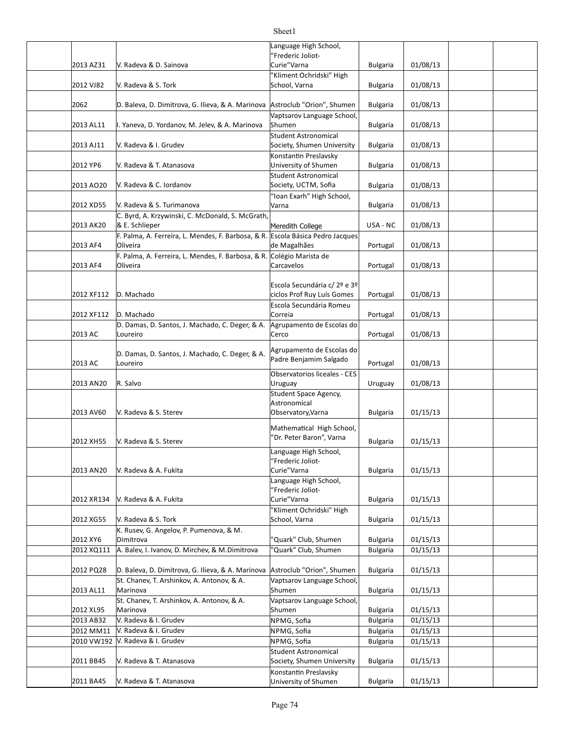#### 2013 AZ31 | V. Radeva & D. Sainova Curie"Varna Bulgaria | 01/08/13 2012 VJ82 V. Radeva & S. Tork School, Varna Bulgaria 01/08/13 2062 D. Baleva, D. Dimitrova, G. Ilieva, & A. Marinova |Astroclub "Orion", Shumen | Bulgaria | 01/08/13 2013 AL11 Bulgaria 01/08/13 I. Yaneva, D. Yordanov, M. Jelev, & A. Marinova 2013 AJ11 | V. Radeva & I. Grudev Society, Shumen University | Bulgaria | 01/08/13 2012 YP6 Bulgaria 01/08/13 V. Radeva & T. Atanasova 2013 AO20 Y. Radeva & C. Iordanov Society, UCTM, Sofia Bulgaria | 01/08/13 2012 XD55 | V. Radeva & S. Turimanova | Varna Bulgaria | 01/08/13 2013 AK20 & E. Schlieper **Network** Meredith College USA - NC 01/08/13 2013 AF4 Portugal 01/08/13 de Magalhães 2013 AF4 Portugal 01/08/13 2012 XF112 Portugal 01/08/13 ciclos Prof Ruy Luís Gomes 2012 XF112 Portugal 01/08/13 2013 AC Portugal 01/08/13 2013 AC Loureiro **Calculation Contract Contract Contract Contract Contract Providence** Portugal 01/08/13 2013 AN20 R. Salvo Uruguay 01/08/13 2013 AV60 Bulgaria 01/15/13 V. Radeva & S. Sterev 2012 XH55 V. Radeva & S. Sterev and Bulgaria and Bulgaria and Bulgaria and Bulgaria 101/15/13 2013 AN20 | V. Radeva & A. Fukita Curie" Varna Bulgaria 01/15/13 2012 XR134 Bulgaria 01/15/13 V. Radeva & A. Fukita 2012 XG55 Bulgaria 01/15/13 V. Radeva & S. Tork 2012 XY6 Bulgaria 01/15/13 Dimitrova "Quark" Club, Shumen 2012 XQ111 |A. Balev, I. Ivanov, D. Mirchev, & M. Dimitrova |"Quark" Club, Shumen | Bulgaria | 01/15/13 2012 PQ28 Sp. Baleva, D. Dimitrova, G. Ilieva, & A. Marinova |Astroclub "Orion", Shumen | Bulgaria | 01/15/13 2013 AL11 Bulgaria 01/15/13 2012 XL95 Bulgaria 01/15/13 2013 AB32 NPMG, Sofia Bulgaria 01/15/13 V. Radeva & I. Grudev 2012 MM11 |V. Radeva & I. Grudev | NPMG, Sofia | Bulgaria | 01/15/13 2010 VW192 NPMG, Sofia Bulgaria 01/15/13 V. Radeva & I. Grudev 2011 BB45 | V. Radeva & T. Atanasova Society, Shumen University | Bulgaria | 01/15/13 2011 BA45 | V. Radeva & T. Atanasova | University of Shumen | Bulgaria | 01/15/13 anguage High School, "Frederic Joliot-Curie"Varna Kliment Ochridski" High School, Varna Vaptsarov Language School, Shumen V. Radeva & I. Grudev Student Astronomical Konstantin Preslavsky University of Shumen Student Astronomical Society, UCTM, Sofia 'Ioan Exarh" High School, Varna C. Byrd, A. Krzywinski, C. McDonald, S. McGrath & E. Schlieper F. Palma, A. Ferreira, L. Mendes, F. Barbosa, & R. Oliveira Escola Básica Pedro Jacques F. Palma, A. Ferreira, L. Mendes, F. Barbosa, & R. Oliveira Colégio Marista de Carcavelos D. Machado Escola Secundária c/ 2º e 3º D. Machado Escola Secundária Romeu Correia D. Damas, D. Santos, J. Machado, C. Deger, & A. Loureiro Agrupamento de Escolas do Cerco D. Damas, D. Santos, J. Machado, C. Deger, & A. Loureiro Agrupamento de Escolas do Padre Benjamim Salgado Observatorios liceales - CES Uruguay Student Space Agency, Astronomical Observatory,Varna Mathematical High School, "Dr. Peter Baron", Varna Language High School, "Frederic Joliot-Curie"Varna Language High School, "Frederic Joliot-Curie"Varna 'Kliment Ochridski" High School, Varna K. Rusev, G. Angelov, P. Pumenova, & M. St. Chanev, T. Arshinkov, A. Antonov, & A. Marinova Vaptsarov Language School, Shumen St. Chanev, T. Arshinkov, A. Antonov, & A. Marinova Vaptsarov Language School, Shumen V. Radeva & T. Atanasova Student Astronomical Konstantin Preslavsky University of Shumen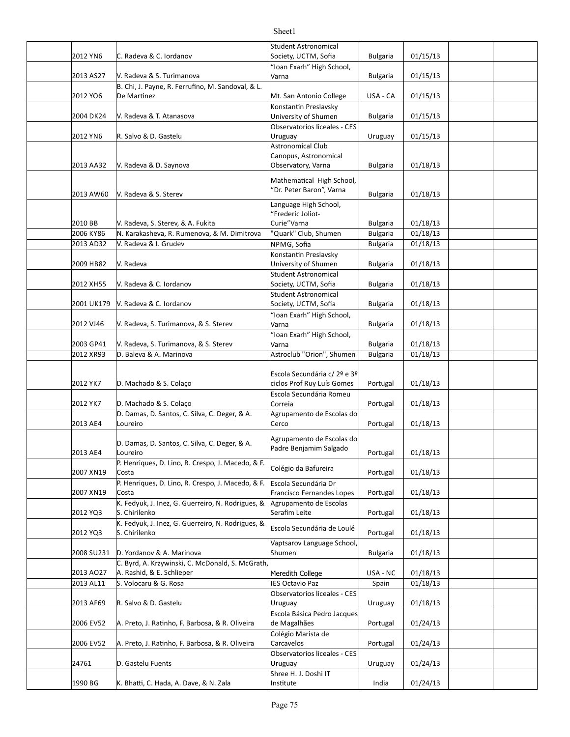#### 2012 YN6 C. Radeva & C. Iordanov Society, UCTM, Sofia Bulgaria | 01/15/13 2013 AS27 | V. Radeva & S. Turimanova | Varna Bulgaria | 01/15/13 2012 YO6 De Martinez **Mult.** San Antonio College USA - CA 01/15/13 2004 DK24 | V. Radeva & T. Atanasova | University of Shumen | Bulgaria | 01/15/13 2012 YN6 Uruguay 01/15/13 R. Salvo & D. Gastelu 2013 AA32 Bulgaria 01/18/13 V. Radeva & D. Saynova 2013 AW60 V. Radeva & S. Sterev **Construction Construction Construction** Construction Bulgaria 1 01/18/13 2010 BB DV. Radeva, S. Sterev, & A. Fukita Curie''Varna Curie''Varna Bulgaria | 01/18/13 2006 KY86 | N. Karakasheva, R. Rumenova, & M. Dimitrova | "Quark" Club, Shumen | Bulgaria | 01/18/13 2013 AD32 NPMG, Sofia Bulgaria 01/18/13 V. Radeva & I. Grudev 2009 HB82 Bulgaria 01/18/13 University of Shumen 2012 XH55 | V. Radeva & C. Iordanov Society, UCTM, Sofia Bulgaria 01/18/13 2001 UK179 |V. Radeva & C. Iordanov Society, UCTM, Sofia Bulgaria 01/18/13 2012 VJ46 | V. Radeva, S. Turimanova, & S. Sterev | Varna | Narveston | Bulgaria | 01/18/13 2003 GP41 | V. Radeva, S. Turimanova, & S. Sterev | Varna | Bulgaria | 01/18/13 2012 XR93 D. Baleva & A. Marinova Andrea Astroclub "Orion", Shumen | Bulgaria | 01/18/13 2012 YK7 D. Machado & S. Colaço entries to color entries the color entries of the color entries to color entri 2012 YK7 D. Machado & S. Colaço Correia Portugal 01/18/13 2013 AE4 Portugal 01/18/13 2013 AE4 Portugal 01/18/13  $2007$  XN19  $\Big|$  Costa  $\Big|$  Conegro da Bardiena  $\Big|$  Portugal  $\Big|$  01/18/13 2007 XN19 Portugal 01/18/13 Francisco Fernandes Lopes 2012 YQ3 S. Chirilenko Serafim Leite Portugal 01/18/13  $2012 \text{ YQ3}$  S. Chirilenko et al. extended a secundaria de Louie | Portugal | 01/18/13 2008 SU231 D. Yordanov & A. Marinova Shumen Bulgaria 01/18/13 2013 AO27 |A. Rashid, & E. Schlieper November 2016 | Meredith College | USA - NC | 01/18/13 2013 AL11  $\,$  S. Volocaru & G. Rosa  $\,$  IES Octavio Paz  $\,$  Spain  $\,$  01/18/13 2013 AF69 R. Salvo & D. Gastelu and Mullet Christian Uruguay and Uruguay | 01/18/13 2006 EV52  $\parallel$  A. Preto, J. Ratinho, F. Barbosa, & R. Oliveira  $\parallel$  de Magalhães  $\parallel$  Portugal  $\parallel$  01/24/13 2006 EV52 A. Preto, J. Ratinho, F. Barbosa, & R. Oliveira Carcavelos and Portugal | 01/24/13 24761 D. Gastelu Fuents Uruguay Uruguay Uruguay 1990 BG India 01/24/13 K. Bhaà, C. Hada, A. Dave, & N. Zala Student Astronomical Society, UCTM, Sofia "Ioan Exarh" High School, Varna B. Chi, J. Payne, R. Ferrufino, M. Sandoval, & L. De Martinez Konstantin Preslavsky University of Shumen Observatorios liceales - CES Uruguay Astronomical Club Canopus, Astronomical Observatory, Varna Mathematical High School, "Dr. Peter Baron", Varna Language High School, "Frederic Joliot-Curie"Varna V. Radeva Konstantin Preslavsky V. Radeva & C. Iordanov Student Astronomical Student Astronomical Society, UCTM, Sofia 'Ioan Exarh" High School, Varna 'Ioan Exarh" High School, Varna D. Machado & S. Colaço Escola Secundária c/ 2º e 3º Escola Secundária Romeu Correia D. Damas, D. Santos, C. Silva, C. Deger, & A. Loureiro Agrupamento de Escolas do Cerco D. Damas, D. Santos, C. Silva, C. Deger, & A. Loureiro Agrupamento de Escolas do Padre Benjamim Salgado P. Henriques, D. Lino, R. Crespo, J. Macedo, & F. Colégio da Bafureira<br>Costa P. Henriques, D. Lino, R. Crespo, J. Macedo, & F. Costa Escola Secundária Dr K. Fedyuk, J. Inez, G. Guerreiro, N. Rodrigues, & S. Chirilenko Agrupamento de Escolas Serafim Leite K. Fedyuk, J. Inez, G. Guerreiro, N. Rodrigues, & R. Fedyak, J. Mez, G. Guerreno, N. Roungues, & Escola Secundária de Loulé<br>S. Chirilenko Vaptsarov Language School, Shumen C. Byrd, A. Krzywinski, C. McDonald, S. McGrath, Observatorios liceales - CES Uruguay Escola Básica Pedro Jacques de Magalhães Colégio Marista de Carcavelos Observatorios liceales - CES Uruguay Shree H. J. Doshi IT Institute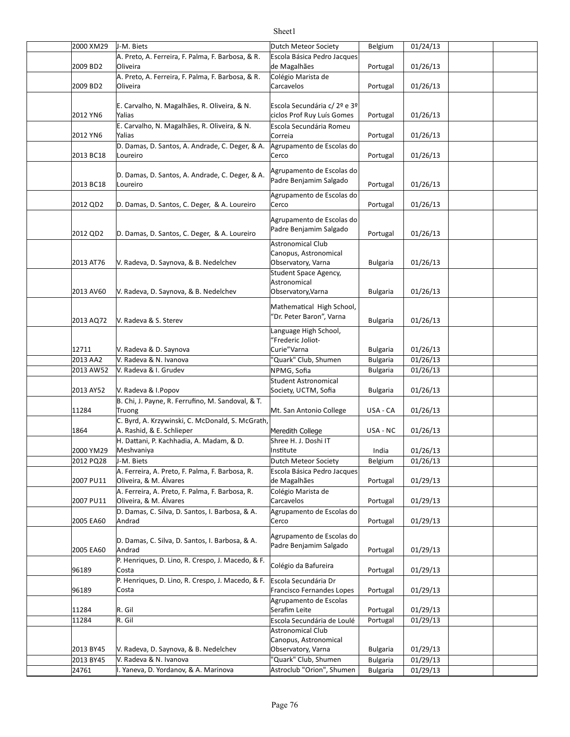| 2000 XM29 | J-M. Biets                                                                    | Dutch Meteor Society                                  | Belgium         | 01/24/13 |  |
|-----------|-------------------------------------------------------------------------------|-------------------------------------------------------|-----------------|----------|--|
|           | A. Preto, A. Ferreira, F. Palma, F. Barbosa, & R.                             | Escola Básica Pedro Jacques                           |                 |          |  |
| 2009 BD2  | Oliveira                                                                      | de Magalhães                                          | Portugal        | 01/26/13 |  |
| 2009 BD2  | A. Preto, A. Ferreira, F. Palma, F. Barbosa, & R.<br>Oliveira                 | Colégio Marista de<br>Carcavelos                      | Portugal        | 01/26/13 |  |
|           |                                                                               |                                                       |                 |          |  |
|           | E. Carvalho, N. Magalhães, R. Oliveira, & N.                                  | Escola Secundária c/ 2º e 3º                          |                 |          |  |
| 2012 YN6  | Yalias                                                                        | ciclos Prof Ruy Luís Gomes                            | Portugal        | 01/26/13 |  |
|           | E. Carvalho, N. Magalhães, R. Oliveira, & N.                                  | Escola Secundária Romeu                               |                 |          |  |
| 2012 YN6  | Yalias                                                                        | Correia                                               | Portugal        | 01/26/13 |  |
| 2013 BC18 | D. Damas, D. Santos, A. Andrade, C. Deger, & A.<br>Loureiro                   | Agrupamento de Escolas do<br>Cerco                    | Portugal        | 01/26/13 |  |
|           |                                                                               |                                                       |                 |          |  |
|           | D. Damas, D. Santos, A. Andrade, C. Deger, & A.                               | Agrupamento de Escolas do                             |                 |          |  |
| 2013 BC18 | Loureiro                                                                      | Padre Benjamim Salgado                                | Portugal        | 01/26/13 |  |
|           |                                                                               | Agrupamento de Escolas do                             |                 |          |  |
| 2012 QD2  | D. Damas, D. Santos, C. Deger, & A. Loureiro                                  | Cerco                                                 | Portugal        | 01/26/13 |  |
|           |                                                                               | Agrupamento de Escolas do                             |                 |          |  |
| 2012 QD2  | D. Damas, D. Santos, C. Deger, & A. Loureiro                                  | Padre Benjamim Salgado                                | Portugal        | 01/26/13 |  |
|           |                                                                               | <b>Astronomical Club</b>                              |                 |          |  |
|           |                                                                               | Canopus, Astronomical                                 |                 |          |  |
| 2013 AT76 | V. Radeva, D. Saynova, & B. Nedelchev                                         | Observatory, Varna                                    | <b>Bulgaria</b> | 01/26/13 |  |
|           |                                                                               | Student Space Agency,<br>Astronomical                 |                 |          |  |
| 2013 AV60 | V. Radeva, D. Saynova, & B. Nedelchev                                         | Observatory, Varna                                    | <b>Bulgaria</b> | 01/26/13 |  |
|           |                                                                               |                                                       |                 |          |  |
|           |                                                                               | Mathematical High School,<br>"Dr. Peter Baron", Varna |                 |          |  |
| 2013 AQ72 | V. Radeva & S. Sterev                                                         |                                                       | <b>Bulgaria</b> | 01/26/13 |  |
|           |                                                                               | Language High School,<br>"Frederic Joliot-            |                 |          |  |
| 12711     | V. Radeva & D. Saynova                                                        | Curie" Varna                                          | <b>Bulgaria</b> | 01/26/13 |  |
| 2013 AA2  | V. Radeva & N. Ivanova                                                        | "Quark" Club, Shumen                                  | <b>Bulgaria</b> | 01/26/13 |  |
| 2013 AW52 | V. Radeva & I. Grudev                                                         | NPMG, Sofia                                           | <b>Bulgaria</b> | 01/26/13 |  |
|           |                                                                               | <b>Student Astronomical</b>                           |                 |          |  |
| 2013 AY52 | V. Radeva & I. Popov                                                          | Society, UCTM, Sofia                                  | <b>Bulgaria</b> | 01/26/13 |  |
|           | B. Chi, J. Payne, R. Ferrufino, M. Sandoval, & T.                             |                                                       |                 |          |  |
| 11284     | Truong                                                                        | Mt. San Antonio College                               | USA - CA        | 01/26/13 |  |
| 1864      | C. Byrd, A. Krzywinski, C. McDonald, S. McGrath,<br>A. Rashid, & E. Schlieper | Meredith College                                      | USA - NC        | 01/26/13 |  |
|           | H. Dattani, P. Kachhadia, A. Madam, & D.                                      | Shree H. J. Doshi IT                                  |                 |          |  |
| 2000 YM29 | Meshvaniya                                                                    | Institute                                             | India           | 01/26/13 |  |
| 2012 PQ28 | J-M. Biets                                                                    | Dutch Meteor Society                                  | Belgium         | 01/26/13 |  |
|           | A. Ferreira, A. Preto, F. Palma, F. Barbosa, R.                               | Escola Básica Pedro Jacques                           |                 |          |  |
| 2007 PU11 | Oliveira, & M. Álvares                                                        | de Magalhães                                          | Portugal        | 01/29/13 |  |
| 2007 PU11 | A. Ferreira, A. Preto, F. Palma, F. Barbosa, R.<br>Oliveira, & M. Álvares     | Colégio Marista de<br>Carcavelos                      | Portugal        | 01/29/13 |  |
|           | D. Damas, C. Silva, D. Santos, I. Barbosa, & A.                               | Agrupamento de Escolas do                             |                 |          |  |
| 2005 EA60 | Andrad                                                                        | Cerco                                                 | Portugal        | 01/29/13 |  |
|           |                                                                               | Agrupamento de Escolas do                             |                 |          |  |
|           | D. Damas, C. Silva, D. Santos, I. Barbosa, & A.                               | Padre Benjamim Salgado                                |                 |          |  |
| 2005 EA60 | Andrad                                                                        |                                                       | Portugal        | 01/29/13 |  |
| 96189     | P. Henriques, D. Lino, R. Crespo, J. Macedo, & F.<br>Costa                    | Colégio da Bafureira                                  | Portugal        | 01/29/13 |  |
|           | P. Henriques, D. Lino, R. Crespo, J. Macedo, & F.                             | Escola Secundária Dr                                  |                 |          |  |
| 96189     | Costa                                                                         | Francisco Fernandes Lopes                             | Portugal        | 01/29/13 |  |
|           |                                                                               | Agrupamento de Escolas                                |                 |          |  |
| 11284     | R. Gil                                                                        | Serafim Leite                                         | Portugal        | 01/29/13 |  |
| 11284     | R. Gil                                                                        | Escola Secundária de Loulé                            | Portugal        | 01/29/13 |  |
|           |                                                                               | <b>Astronomical Club</b><br>Canopus, Astronomical     |                 |          |  |
| 2013 BY45 | V. Radeva, D. Saynova, & B. Nedelchev                                         | Observatory, Varna                                    | <b>Bulgaria</b> | 01/29/13 |  |
| 2013 BY45 | V. Radeva & N. Ivanova                                                        | "Quark" Club, Shumen                                  | <b>Bulgaria</b> | 01/29/13 |  |
| 24761     | I. Yaneva, D. Yordanov, & A. Marinova                                         | Astroclub "Orion", Shumen                             | <b>Bulgaria</b> | 01/29/13 |  |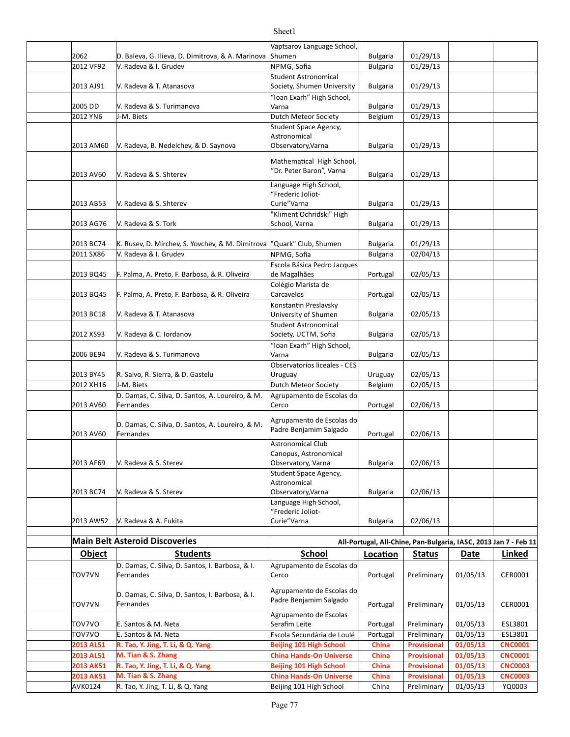|           |                                                   | Vaptsarov Language School,                          |                 |                    |                                                                  |                |
|-----------|---------------------------------------------------|-----------------------------------------------------|-----------------|--------------------|------------------------------------------------------------------|----------------|
| 2062      | D. Baleva, G. Ilieva, D. Dimitrova, & A. Marinova | Shumen                                              | <b>Bulgaria</b> | 01/29/13           |                                                                  |                |
| 2012 VF92 | V. Radeva & I. Grudev                             | NPMG, Sofia                                         | <b>Bulgaria</b> | 01/29/13           |                                                                  |                |
|           |                                                   | Student Astronomical                                |                 |                    |                                                                  |                |
| 2013 AJ91 | V. Radeva & T. Atanasova                          | Society, Shumen University                          | <b>Bulgaria</b> | 01/29/13           |                                                                  |                |
|           |                                                   | "Ioan Exarh" High School,                           |                 |                    |                                                                  |                |
| 2005 DD   | V. Radeva & S. Turimanova                         | Varna                                               | <b>Bulgaria</b> | 01/29/13           |                                                                  |                |
| 2012 YN6  | J-M. Biets                                        | Dutch Meteor Society                                | Belgium         | 01/29/13           |                                                                  |                |
|           |                                                   | Student Space Agency,<br>Astronomical               |                 |                    |                                                                  |                |
| 2013 AM60 | V. Radeva, B. Nedelchev, & D. Saynova             | Observatory, Varna                                  | <b>Bulgaria</b> | 01/29/13           |                                                                  |                |
|           |                                                   |                                                     |                 |                    |                                                                  |                |
|           |                                                   | Mathematical High School,                           |                 |                    |                                                                  |                |
| 2013 AV60 | V. Radeva & S. Shterev                            | 'Dr. Peter Baron", Varna                            | <b>Bulgaria</b> | 01/29/13           |                                                                  |                |
|           |                                                   | Language High School,                               |                 |                    |                                                                  |                |
|           |                                                   | "Frederic Joliot-                                   |                 |                    |                                                                  |                |
| 2013 AB53 | V. Radeva & S. Shterev                            | Curie" Varna                                        | <b>Bulgaria</b> | 01/29/13           |                                                                  |                |
|           |                                                   | "Kliment Ochridski" High                            |                 |                    |                                                                  |                |
| 2013 AG76 | V. Radeva & S. Tork                               | School, Varna                                       | <b>Bulgaria</b> | 01/29/13           |                                                                  |                |
|           |                                                   |                                                     |                 |                    |                                                                  |                |
| 2013 BC74 | K. Rusev, D. Mirchev, S. Yovchev, & M. Dimitrova  | "Quark" Club, Shumen                                | <b>Bulgaria</b> | 01/29/13           |                                                                  |                |
| 2011 SX86 | V. Radeva & I. Grudev                             | NPMG, Sofia                                         | <b>Bulgaria</b> | 02/04/13           |                                                                  |                |
|           |                                                   | Escola Básica Pedro Jacques                         |                 |                    |                                                                  |                |
| 2013 BQ45 | F. Palma, A. Preto, F. Barbosa, & R. Oliveira     | de Magalhães                                        | Portugal        | 02/05/13           |                                                                  |                |
|           |                                                   | Colégio Marista de<br>Carcavelos                    |                 | 02/05/13           |                                                                  |                |
| 2013 BQ45 | F. Palma, A. Preto, F. Barbosa, & R. Oliveira     |                                                     | Portugal        |                    |                                                                  |                |
| 2013 BC18 | V. Radeva & T. Atanasova                          | Konstantin Preslavsky<br>University of Shumen       | <b>Bulgaria</b> | 02/05/13           |                                                                  |                |
|           |                                                   | Student Astronomical                                |                 |                    |                                                                  |                |
| 2012 XS93 | V. Radeva & C. Iordanov                           | Society, UCTM, Sofia                                | <b>Bulgaria</b> | 02/05/13           |                                                                  |                |
|           |                                                   | "Ioan Exarh" High School,                           |                 |                    |                                                                  |                |
| 2006 BE94 | V. Radeva & S. Turimanova                         | Varna                                               | <b>Bulgaria</b> | 02/05/13           |                                                                  |                |
|           |                                                   | Observatorios liceales - CES                        |                 |                    |                                                                  |                |
| 2013 BY45 | R. Salvo, R. Sierra, & D. Gastelu                 | Uruguay                                             | Uruguay         | 02/05/13           |                                                                  |                |
| 2012 XH16 | J-M. Biets                                        | Dutch Meteor Society                                | Belgium         | 02/05/13           |                                                                  |                |
|           | D. Damas, C. Silva, D. Santos, A. Loureiro, & M.  | Agrupamento de Escolas do                           |                 |                    |                                                                  |                |
| 2013 AV60 | Fernandes                                         | Cerco                                               | Portugal        | 02/06/13           |                                                                  |                |
|           |                                                   |                                                     |                 |                    |                                                                  |                |
|           | D. Damas, C. Silva, D. Santos, A. Loureiro, & M.  | Agrupamento de Escolas do<br>Padre Benjamim Salgado |                 |                    |                                                                  |                |
| 2013 AV60 | Fernandes                                         |                                                     | Portugal        | 02/06/13           |                                                                  |                |
|           |                                                   | <b>Astronomical Club</b>                            |                 |                    |                                                                  |                |
|           |                                                   | Canopus, Astronomical                               |                 |                    |                                                                  |                |
| 2013 AF69 | V. Radeva & S. Sterev                             | Observatory, Varna                                  | <b>Bulgaria</b> | 02/06/13           |                                                                  |                |
|           |                                                   | Student Space Agency,<br>Astronomical               |                 |                    |                                                                  |                |
| 2013 BC74 | V. Radeva & S. Sterev                             | Observatory, Varna                                  | <b>Bulgaria</b> | 02/06/13           |                                                                  |                |
|           |                                                   | Language High School,                               |                 |                    |                                                                  |                |
|           |                                                   | "Frederic Joliot-                                   |                 |                    |                                                                  |                |
| 2013 AW52 | V. Radeva & A. Fukita                             | Curie" Varna                                        | <b>Bulgaria</b> | 02/06/13           |                                                                  |                |
|           |                                                   |                                                     |                 |                    |                                                                  |                |
|           | <b>Main Belt Asteroid Discoveries</b>             |                                                     |                 |                    | All-Portugal, All-Chine, Pan-Bulgaria, IASC, 2013 Jan 7 - Feb 11 |                |
| Object    | <b>Students</b>                                   | <b>School</b>                                       | Location        | Status             | Date                                                             | Linked         |
|           | D. Damas, C. Silva, D. Santos, I. Barbosa, & I.   | Agrupamento de Escolas do                           |                 |                    |                                                                  |                |
| TOV7VN    | Fernandes                                         | Cerco                                               | Portugal        | Preliminary        | 01/05/13                                                         | CER0001        |
|           |                                                   |                                                     |                 |                    |                                                                  |                |
|           | D. Damas, C. Silva, D. Santos, I. Barbosa, & I.   | Agrupamento de Escolas do                           |                 |                    |                                                                  |                |
| TOV7VN    | Fernandes                                         | Padre Benjamim Salgado                              | Portugal        | Preliminary        | 01/05/13                                                         | CER0001        |
|           |                                                   | Agrupamento de Escolas                              |                 |                    |                                                                  |                |
| TOV7VO    | E. Santos & M. Neta                               | Serafim Leite                                       | Portugal        | Preliminary        | 01/05/13                                                         | ESL3801        |
| TOV7VO    | E. Santos & M. Neta                               | Escola Secundária de Loulé                          | Portugal        | Preliminary        | 01/05/13                                                         | ESL3801        |
| 2013 AL51 | R. Tao, Y. Jing, T. Li, & Q. Yang                 | <b>Beijing 101 High School</b>                      | China           | <b>Provisional</b> | 01/05/13                                                         | <b>CNC0001</b> |
| 2013 AL51 | M. Tian & S. Zhang                                | <b>China Hands-On Universe</b>                      | China           | <b>Provisional</b> | 01/05/13                                                         | <b>CNC0001</b> |
| 2013 AK51 | R. Tao, Y. Jing, T. Li, & Q. Yang                 | <b>Beijing 101 High School</b>                      | China           | <b>Provisional</b> | 01/05/13                                                         | <b>CNC0003</b> |
| 2013 AK51 | M. Tian & S. Zhang                                | <b>China Hands-On Universe</b>                      | China           | <b>Provisional</b> | 01/05/13                                                         | <b>CNC0003</b> |
| AVK0124   | R. Tao, Y. Jing, T. Li, & Q. Yang                 | Beijing 101 High School                             | China           | Preliminary        | 01/05/13                                                         | YQ0003         |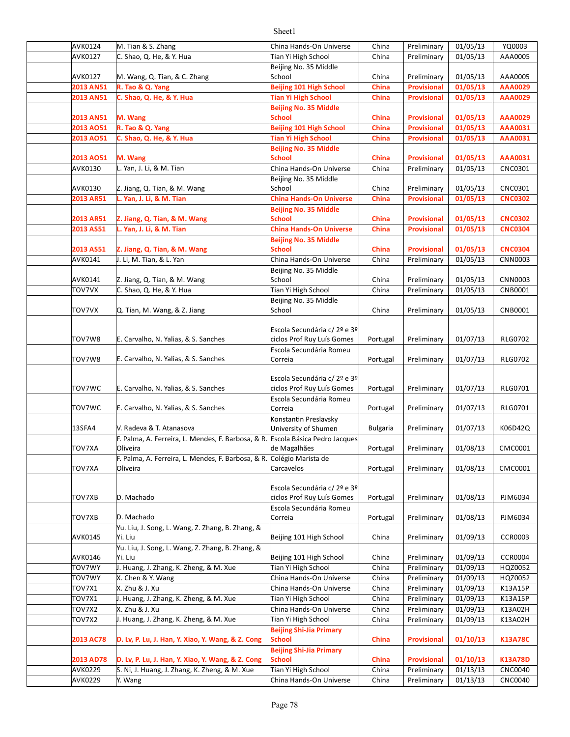| <b>AVK0124</b>   | M. Tian & S. Zhang                                                    | China Hands-On Universe         | China           | Preliminary        | 01/05/13 | YQ0003         |
|------------------|-----------------------------------------------------------------------|---------------------------------|-----------------|--------------------|----------|----------------|
| AVK0127          | C. Shao, Q. He, & Y. Hua                                              | Tian Yi High School             | China           | Preliminary        | 01/05/13 | AAA0005        |
|                  |                                                                       | Beijing No. 35 Middle           |                 |                    |          |                |
| AVK0127          | M. Wang, Q. Tian, & C. Zhang                                          | School                          | China           | Preliminary        | 01/05/13 | AAA0005        |
| 2013 AN51        | R. Tao & Q. Yang                                                      | <b>Beijing 101 High School</b>  | China           | <b>Provisional</b> | 01/05/13 | <b>AAA0029</b> |
| 2013 AN51        | C. Shao, Q. He, & Y. Hua                                              | <b>Tian Yi High School</b>      | China           | Provisional        | 01/05/13 | <b>AAA0029</b> |
|                  |                                                                       | <b>Beijing No. 35 Middle</b>    |                 |                    |          |                |
| 2013 AN51        | M. Wang                                                               | <b>School</b>                   | China           | <b>Provisional</b> | 01/05/13 | <b>AAA0029</b> |
| 2013 AO51        | R. Tao & Q. Yang                                                      | <b>Beijing 101 High School</b>  | China           | Provisional        | 01/05/13 | <b>AAA0031</b> |
| 2013 AO51        | C. Shao, Q. He, & Y. Hua                                              | <b>Tian Yi High School</b>      | China           | Provisional        | 01/05/13 | <b>AAA0031</b> |
|                  |                                                                       | <b>Beijing No. 35 Middle</b>    |                 |                    |          |                |
| 2013 AO51        | M. Wang                                                               | <b>School</b>                   | China           | <b>Provisional</b> | 01/05/13 | <b>AAA0031</b> |
| AVK0130          | L. Yan, J. Li, & M. Tian                                              | China Hands-On Universe         | China           | Preliminary        | 01/05/13 | CNC0301        |
|                  |                                                                       | Beijing No. 35 Middle           |                 |                    |          |                |
| AVK0130          | Z. Jiang, Q. Tian, & M. Wang                                          | School                          | China           | Preliminary        | 01/05/13 | CNC0301        |
| 2013 AR51        | L. Yan, J. Li, & M. Tian                                              | <b>China Hands-On Universe</b>  | <b>China</b>    | <b>Provisional</b> | 01/05/13 | <b>CNC0302</b> |
|                  |                                                                       | <b>Beijing No. 35 Middle</b>    |                 |                    |          |                |
| 2013 AR51        | Z. Jiang, Q. Tian, & M. Wang                                          | <b>School</b>                   | China           | <b>Provisional</b> | 01/05/13 | <b>CNC0302</b> |
| 2013 AS51        | L. Yan, J. Li, & M. Tian                                              | <b>China Hands-On Universe</b>  | China           | <b>Provisional</b> | 01/05/13 | <b>CNC0304</b> |
|                  |                                                                       | <b>Beijing No. 35 Middle</b>    |                 |                    |          |                |
| 2013 AS51        | Z. Jiang, Q. Tian, & M. Wang                                          | <b>School</b>                   | China           | <b>Provisional</b> | 01/05/13 | <b>CNC0304</b> |
| AVK0141          | J. Li, M. Tian, & L. Yan                                              | China Hands-On Universe         | China           | Preliminary        | 01/05/13 | CNN0003        |
|                  |                                                                       | Beijing No. 35 Middle           |                 |                    |          |                |
| AVK0141          | Z. Jiang, Q. Tian, & M. Wang                                          | School                          | China           | Preliminary        | 01/05/13 | CNN0003        |
| TOV7VX           | C. Shao, Q. He, & Y. Hua                                              | Tian Yi High School             | China           | Preliminary        | 01/05/13 | CNB0001        |
|                  |                                                                       |                                 |                 |                    |          |                |
| TOV7VX           | Q. Tian, M. Wang, & Z. Jiang                                          | Beijing No. 35 Middle<br>School | China           | Preliminary        | 01/05/13 | CNB0001        |
|                  |                                                                       |                                 |                 |                    |          |                |
|                  |                                                                       | Escola Secundária c/ 2º e 3º    |                 |                    |          |                |
| TOV7W8           | E. Carvalho, N. Yalias, & S. Sanches                                  | ciclos Prof Ruy Luís Gomes      | Portugal        | Preliminary        | 01/07/13 | <b>RLG0702</b> |
|                  |                                                                       | Escola Secundária Romeu         |                 |                    |          |                |
| TOV7W8           | E. Carvalho, N. Yalias, & S. Sanches                                  | Correia                         | Portugal        | Preliminary        | 01/07/13 | <b>RLG0702</b> |
|                  |                                                                       |                                 |                 |                    |          |                |
|                  |                                                                       | Escola Secundária c/ 2º e 3º    |                 |                    |          |                |
| TOV7WC           | E. Carvalho, N. Yalias, & S. Sanches                                  | ciclos Prof Ruy Luís Gomes      | Portugal        | Preliminary        | 01/07/13 | <b>RLG0701</b> |
|                  |                                                                       | Escola Secundária Romeu         |                 |                    |          |                |
| TOV7WC           | E. Carvalho, N. Yalias, & S. Sanches                                  | Correia                         | Portugal        | Preliminary        | 01/07/13 | RLG0701        |
|                  |                                                                       | Konstantin Preslavsky           |                 |                    |          |                |
| 13SFA4           | V. Radeva & T. Atanasova                                              | University of Shumen            | <b>Bulgaria</b> | Preliminary        | 01/07/13 | K06D42Q        |
|                  | F. Palma, A. Ferreira, L. Mendes, F. Barbosa, & R.                    | Escola Básica Pedro Jacques     |                 |                    |          |                |
| <b>TOV7XA</b>    | Oliveira                                                              | de Magalhães                    | Portugal        | Preliminary        | 01/08/13 | CMC0001        |
|                  | F. Palma, A. Ferreira, L. Mendes, F. Barbosa, & R. Colégio Marista de |                                 |                 |                    |          |                |
| <b>TOV7XA</b>    | Oliveira                                                              | Carcavelos                      | Portugal        | Preliminary        | 01/08/13 | CMC0001        |
|                  |                                                                       |                                 |                 |                    |          |                |
|                  |                                                                       | Escola Secundária c/ 2º e 3º    |                 |                    |          |                |
| TOV7XB           | D. Machado                                                            | ciclos Prof Ruy Luís Gomes      | Portugal        | Preliminary        | 01/08/13 | PJM6034        |
|                  |                                                                       | Escola Secundária Romeu         |                 |                    |          |                |
| TOV7XB           | D. Machado                                                            | Correia                         | Portugal        | Preliminary        | 01/08/13 | PJM6034        |
|                  | Yu. Liu, J. Song, L. Wang, Z. Zhang, B. Zhang, &                      |                                 |                 |                    |          |                |
| AVK0145          | Yi. Liu                                                               | Beijing 101 High School         | China           | Preliminary        | 01/09/13 | <b>CCR0003</b> |
|                  | Yu. Liu, J. Song, L. Wang, Z. Zhang, B. Zhang, &                      |                                 |                 |                    |          |                |
| AVK0146          | Yi. Liu                                                               | Beijing 101 High School         | China           | Preliminary        | 01/09/13 | <b>CCR0004</b> |
| <b>TOV7WY</b>    | J. Huang, J. Zhang, K. Zheng, & M. Xue                                | Tian Yi High School             | China           | Preliminary        | 01/09/13 | HQZ0052        |
| <b>TOV7WY</b>    | X. Chen & Y. Wang                                                     | China Hands-On Universe         | China           | Preliminary        | 01/09/13 | HQZ0052        |
| <b>TOV7X1</b>    | X. Zhu & J. Xu                                                        | China Hands-On Universe         | China           | Preliminary        | 01/09/13 | K13A15P        |
| <b>TOV7X1</b>    | J. Huang, J. Zhang, K. Zheng, & M. Xue                                | Tian Yi High School             | China           | Preliminary        | 01/09/13 | K13A15P        |
| TOV7X2           | X. Zhu & J. Xu                                                        | China Hands-On Universe         | China           | Preliminary        | 01/09/13 | K13A02H        |
| TOV7X2           | J. Huang, J. Zhang, K. Zheng, & M. Xue                                | Tian Yi High School             | China           | Preliminary        | 01/09/13 | K13A02H        |
|                  |                                                                       | <b>Beijing Shi-Jia Primary</b>  |                 |                    |          |                |
| <b>2013 AC78</b> | D. Lv, P. Lu, J. Han, Y. Xiao, Y. Wang, & Z. Cong                     | <b>School</b>                   | China           | <b>Provisional</b> | 01/10/13 | <b>K13A78C</b> |
|                  |                                                                       | <b>Beijing Shi-Jia Primary</b>  |                 |                    |          |                |
| 2013 AD78        | D. Lv, P. Lu, J. Han, Y. Xiao, Y. Wang, & Z. Cong                     | <b>School</b>                   | China           | <b>Provisional</b> | 01/10/13 | <b>K13A78D</b> |
| AVK0229          | S. Ni, J. Huang, J. Zhang, K. Zheng, & M. Xue                         | Tian Yi High School             | China           | Preliminary        | 01/13/13 | <b>CNC0040</b> |
| <b>AVK0229</b>   | Y. Wang                                                               | China Hands-On Universe         | China           | Preliminary        | 01/13/13 | <b>CNC0040</b> |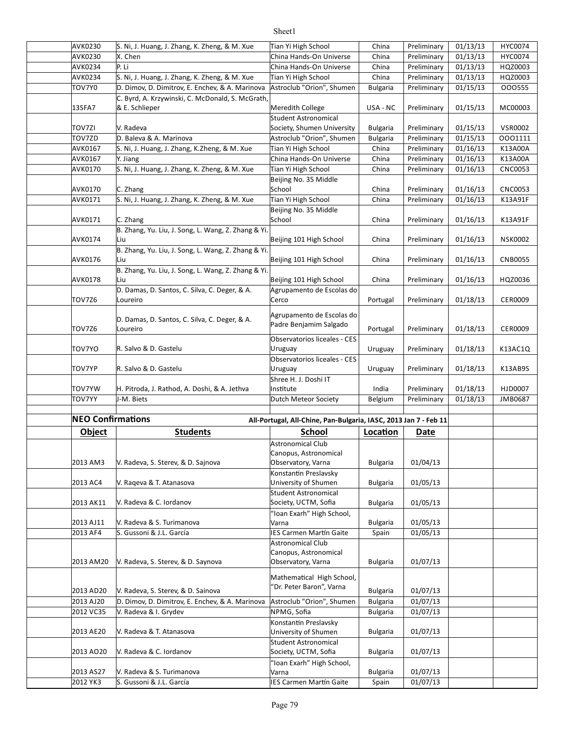#### AVK0230 S. Ni, J. Huang, J. Zhang, K. Zheng, & M. Xue Tian Yi High School | China | Preliminary | 01/13/13 | HYC0074 AVK0230 X. Chen China Hands-On Universe China Preliminary 01/13/13 HYC0074 AVK0234 P. Li China Hands-On Universe China Preliminary 01/13/13 HQZ0003 AVK0234 S. Ni, J. Huang, J. Zhang, K. Zheng, & M. Xue Tian Yi High School | China | Preliminary | 01/13/13 | HQZ0003 TOV7Y0 D. Dimov, D. Dimitrov, E. Enchev, & A. Marinova |Astroclub "Orion", Shumen | Bulgaria | Preliminary | 01/15/13 | 000555 13SFA7 |& E. Schlieper | Neredith College | USA - NC | Preliminary | 01/15/13 | MC00003 TOV7ZI Bulgaria Preliminary 01/15/13 VSR0002 Society, Shumen University TOV7ZD Bulgaria Preliminary 01/15/13 OOO1111 D. Baleva & A. Marinova Astroclub "Orion", Shumen AVK0167 S. Ni, J. Huang, J. Zhang, K.Zheng, & M. Xue Tian Yi High School | China |Preliminary | 01/16/13 | K13A00A AVK0167 Y. Jiang Sanda China Hands-On Universe China Preliminary 01/16/13 K13A00A AVK0170 S. Ni, J. Huang, J. Zhang, K. Zheng, & M. Xue Tian Yi High School | China | Preliminary | 01/16/13 | CNC0053 AVK0170 C. Zhang China Preliminary 01/16/13 CNC0053 AVK0171 S. Ni, J. Huang, J. Zhang, K. Zheng, & M. Xue Tian Yi High School | China | Preliminary | 01/16/13 | K13A91F AVK0171 C. Zhang China Preliminary 01/16/13 K13A91F AVK0174 Liu Luis China Beijing 101 High School China Preliminary 01/16/13 NSK0002 AVK0176 Beijing 101 High School China Preliminary 01/16/13 CNB0055 AVK0178 Liu China Beijing 101 High School | China Preliminary 01/16/13 | HQZ0036 TOV7Z6 Portugal Preliminary 01/18/13 CER0009 TOV7Z6 Portugal Preliminary 01/18/13 CER0009 TOV7YO Uruguay Preliminary 01/18/13 K13AC1Q R. Salvo & D. Gastelu TOV7YP Uruguay Preliminary 01/18/13 K13AB9S R. Salvo & D. Gastelu TOV7YW H. Pitroda, J. Rathod, A. Doshi, & A. Jethva |Institute | India | Preliminary | 01/18/13 | HJD0007 TOV7YY L-M. Biets **Dutch Meteor Society** Belgium Preliminary 01/18/13 JMB0687 **NEO Confirmations All-Portugal, All-Chine, Pan-Bulgaria, IASC, 2013 Jan 7 - Feb 11 Object Students School <b>Location** Date 2013 AM3 | V. Radeva, S. Sterev, & D. Sajnova | Diservatory, Varna | Bulgaria | 01/04/13 2013 AC4 Bulgaria 01/05/13 V. Raqeva & T. Atanasova 2013 AK11 | V. Radeva & C. Iordanov Society, UCTM, Sofia Bulgaria 01/05/13 2013 AJ11 | V. Radeva & S. Turimanova | Varna Bulgaria | 01/05/13 2013 AF4 Spain 01/05/13 S. Gussoni & J.L. García IES Carmen Mar}n Gaite 2013 AM20 |V. Radeva, S. Sterev, & D. Saynova | Observatory, Varna | Bulgaria | 01/07/13 2013 AD20 V. Radeva, S. Sterev, & D. Sainova and B. Peter Baroni, value and Bulgaria | 01/07/13 2013 AJ20  $\parallel$  D. Dimov, D. Dimitrov, E. Enchev, & A. Marinova |Astroclub "Orion", Shumen | Bulgaria | 01/07/13 2012 VC35 NPMG, Sofia Bulgaria 01/07/13 V. Radeva & I. Grydev 2013 AE20 Y. Radeva & T. Atanasova University of Shumen Bulgaria 01/07/13 2013 AO20 | V. Radeva & C. Iordanov Society, UCTM, Sofia Bulgaria 01/07/13 2013 AS27 | V. Radeva & S. Turimanova | Varna Bulgaria | 01/07/13 2012 YK3 S. Gussoni & J.L. García **International State** | Spain | 01/07/13 C. Byrd, A. Krzywinski, C. McDonald, S. McGrath & E. Schlieper V. Radeva Student Astronomical Beijing No. 35 Middle School Beijing No. 35 Middle School B. Zhang, Yu. Liu, J. Song, L. Wang, Z. Zhang & Yi Liu B. Zhang, Yu. Liu, J. Song, L. Wang, Z. Zhang & Yi Liu B. Zhang, Yu. Liu, J. Song, L. Wang, Z. Zhang & Yi Liu D. Damas, D. Santos, C. Silva, C. Deger, & A. Loureiro Agrupamento de Escolas do Cerco D. Damas, D. Santos, C. Silva, C. Deger, & A. Loureiro Agrupamento de Escolas do Padre Benjamim Salgado Observatorios liceales - CES Uruguay Observatorios liceales - CES Uruguay Shree H. J. Doshi IT Institute J-M. Biets Astronomical Club Canopus, Astronomical Observatory, Varna Konstantin Preslavsky University of Shumen Student Astronomical Society, UCTM, Sofia "Ioan Exarh" High School, Varna Astronomical Club Canopus, Astronomical Observatory, Varna Mathematical High School, "Dr. Peter Baron", Varna Konstantin Preslavsky University of Shumen Student Astronomical Society, UCTM, Sofia "Ioan Exarh" High School, Varna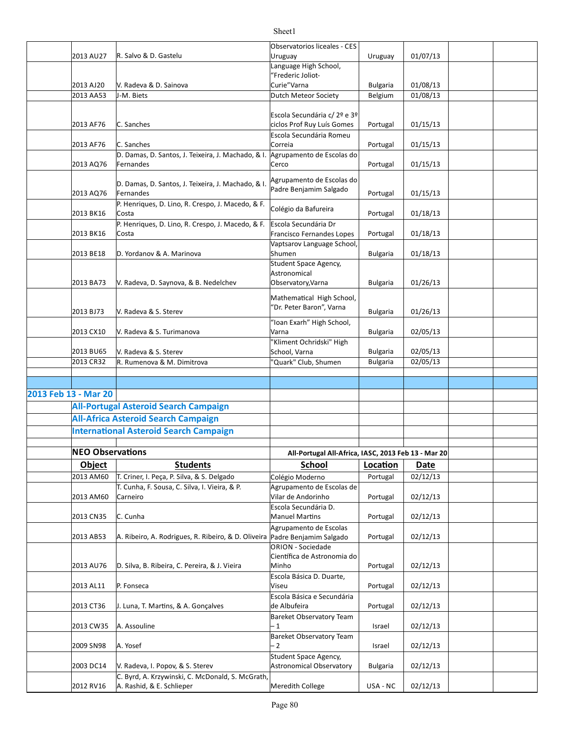|                      | 2013 AU27               | R. Salvo & D. Gastelu                                                        | Observatorios liceales - CES                               |                 | 01/07/13    |  |
|----------------------|-------------------------|------------------------------------------------------------------------------|------------------------------------------------------------|-----------------|-------------|--|
|                      |                         |                                                                              | Uruguay<br>Language High School,                           | Uruguay         |             |  |
|                      |                         |                                                                              | "Frederic Joliot-                                          |                 |             |  |
|                      | 2013 AJ20               | V. Radeva & D. Sainova                                                       | Curie"Varna                                                | <b>Bulgaria</b> | 01/08/13    |  |
|                      | 2013 AA53               | J-M. Biets                                                                   | Dutch Meteor Society                                       | Belgium         | 01/08/13    |  |
|                      |                         |                                                                              |                                                            |                 |             |  |
|                      | 2013 AF76               | C. Sanches                                                                   | Escola Secundária c/ 2º e 3º<br>ciclos Prof Ruy Luís Gomes |                 | 01/15/13    |  |
|                      |                         |                                                                              | Escola Secundária Romeu                                    | Portugal        |             |  |
|                      | 2013 AF76               | C. Sanches                                                                   | Correia                                                    | Portugal        | 01/15/13    |  |
|                      |                         | D. Damas, D. Santos, J. Teixeira, J. Machado, & I. Agrupamento de Escolas do |                                                            |                 |             |  |
|                      | 2013 AQ76               | Fernandes                                                                    | Cerco                                                      | Portugal        | 01/15/13    |  |
|                      |                         |                                                                              | Agrupamento de Escolas do                                  |                 |             |  |
|                      |                         | D. Damas, D. Santos, J. Teixeira, J. Machado, & I.                           | Padre Benjamim Salgado                                     |                 |             |  |
|                      | 2013 AQ76               | Fernandes<br>P. Henriques, D. Lino, R. Crespo, J. Macedo, & F.               |                                                            | Portugal        | 01/15/13    |  |
|                      | 2013 BK16               | Costa                                                                        | Colégio da Bafureira                                       | Portugal        | 01/18/13    |  |
|                      |                         | P. Henriques, D. Lino, R. Crespo, J. Macedo, & F.                            | Escola Secundária Dr                                       |                 |             |  |
|                      | 2013 BK16               | Costa                                                                        | Francisco Fernandes Lopes                                  | Portugal        | 01/18/13    |  |
|                      |                         |                                                                              | Vaptsarov Language School,                                 |                 |             |  |
|                      | 2013 BE18               | D. Yordanov & A. Marinova                                                    | Shumen                                                     | <b>Bulgaria</b> | 01/18/13    |  |
|                      |                         |                                                                              | Student Space Agency,<br>Astronomical                      |                 |             |  |
|                      | 2013 BA73               | V. Radeva, D. Saynova, & B. Nedelchev                                        | Observatory, Varna                                         | <b>Bulgaria</b> | 01/26/13    |  |
|                      |                         |                                                                              |                                                            |                 |             |  |
|                      |                         |                                                                              | Mathematical High School,<br>"Dr. Peter Baron", Varna      |                 |             |  |
|                      | 2013 BJ73               | V. Radeva & S. Sterev                                                        |                                                            | <b>Bulgaria</b> | 01/26/13    |  |
|                      |                         |                                                                              | "Ioan Exarh" High School,                                  |                 |             |  |
|                      | 2013 CX10               | V. Radeva & S. Turimanova                                                    | Varna<br>"Kliment Ochridski" High                          | <b>Bulgaria</b> | 02/05/13    |  |
|                      | 2013 BU65               | V. Radeva & S. Sterev                                                        | School, Varna                                              | <b>Bulgaria</b> | 02/05/13    |  |
|                      | 2013 CR32               | R. Rumenova & M. Dimitrova                                                   | "Quark" Club, Shumen                                       | <b>Bulgaria</b> | 02/05/13    |  |
|                      |                         |                                                                              |                                                            |                 |             |  |
|                      |                         |                                                                              |                                                            |                 |             |  |
| 2013 Feb 13 - Mar 20 |                         |                                                                              |                                                            |                 |             |  |
|                      |                         | <b>All-Portugal Asteroid Search Campaign</b>                                 |                                                            |                 |             |  |
|                      |                         | <b>All-Africa Asteroid Search Campaign</b>                                   |                                                            |                 |             |  |
|                      |                         | <b>International Asteroid Search Campaign</b>                                |                                                            |                 |             |  |
|                      |                         |                                                                              |                                                            |                 |             |  |
|                      | <b>NEO Observations</b> |                                                                              | All-Portugal All-Africa, IASC, 2013 Feb 13 - Mar 20        |                 |             |  |
|                      | <b>Object</b>           | <b>Students</b>                                                              | School                                                     | Location        | <b>Date</b> |  |
|                      | 2013 AM60               | T. Criner, I. Peça, P. Silva, & S. Delgado                                   | Colégio Moderno                                            | Portugal        | 02/12/13    |  |
|                      |                         | T. Cunha, F. Sousa, C. Silva, I. Vieira, & P.                                | Agrupamento de Escolas de                                  |                 |             |  |
|                      | 2013 AM60               | Carneiro                                                                     | Vilar de Andorinho<br>Escola Secundária D.                 | Portugal        | 02/12/13    |  |
|                      | 2013 CN35               | C. Cunha                                                                     | <b>Manuel Martins</b>                                      | Portugal        | 02/12/13    |  |
|                      |                         |                                                                              | Agrupamento de Escolas                                     |                 |             |  |
|                      | 2013 AB53               | A. Ribeiro, A. Rodrigues, R. Ribeiro, & D. Oliveira                          | Padre Benjamim Salgado                                     | Portugal        | 02/12/13    |  |
|                      |                         |                                                                              | ORION - Sociedade                                          |                 |             |  |
|                      |                         |                                                                              | Científica de Astronomia do                                |                 |             |  |
|                      | 2013 AU76               | D. Silva, B. Ribeira, C. Pereira, & J. Vieira                                | Minho<br>Escola Básica D. Duarte,                          | Portugal        | 02/12/13    |  |
|                      | 2013 AL11               | P. Fonseca                                                                   | Viseu                                                      | Portugal        | 02/12/13    |  |
|                      |                         |                                                                              | Escola Básica e Secundária                                 |                 |             |  |
|                      | 2013 CT36               | J. Luna, T. Martins, & A. Gonçalves                                          | de Albufeira                                               | Portugal        | 02/12/13    |  |
|                      |                         |                                                                              | Bareket Observatory Team                                   |                 |             |  |
|                      | 2013 CW35               | A. Assouline                                                                 | - 1                                                        | Israel          | 02/12/13    |  |
|                      | 2009 SN98               |                                                                              | <b>Bareket Observatory Team</b><br>$-2$                    |                 |             |  |
|                      |                         | A. Yosef                                                                     | Student Space Agency,                                      | Israel          | 02/12/13    |  |
|                      | 2003 DC14               | V. Radeva, I. Popov, & S. Sterev                                             | <b>Astronomical Observatory</b>                            | <b>Bulgaria</b> | 02/12/13    |  |
|                      |                         | C. Byrd, A. Krzywinski, C. McDonald, S. McGrath,                             |                                                            |                 |             |  |
|                      | 2012 RV16               | A. Rashid, & E. Schlieper                                                    | Meredith College                                           | USA - NC        | 02/12/13    |  |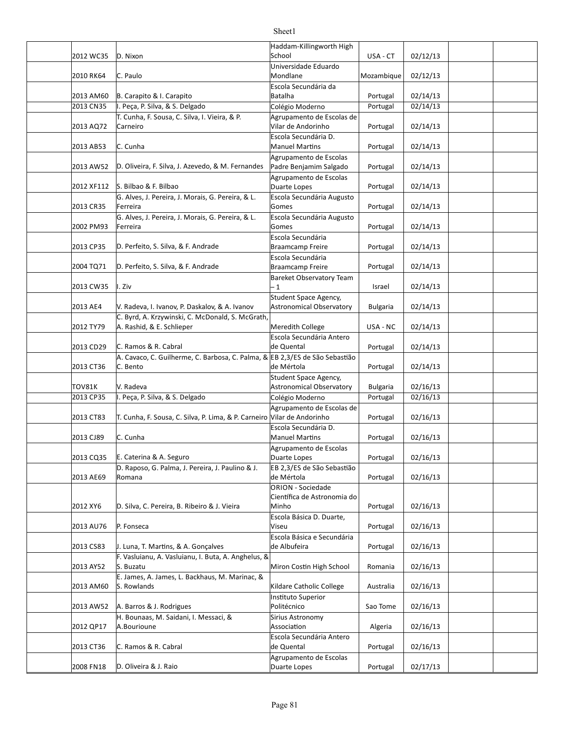#### 2012 WC35 D. Nixon USA - CT 02/12/13 2010 RK64 C. Paulo **Mondane** Mozambique 02/12/13 2013 AM60 R. Carapito & I. Carapito **by the Caracter Control** Batalha **Caracter Control** Portugal 2/14/13 2013 CN35 |I. Peça, P. Silva, & S. Delgado Colégio Moderno | Portugal | 02/14/13 2013 AQ72 Portugal 02/14/13 Vilar de Andorinho 2013 AB53 C. Cunha Manuel Martins Portugal 02/14/13 2013 AW52 |D. Oliveira, F. Silva, J. Azevedo, & M. Fernandes |Padre Benjamim Salgado | Portugal | 02/14/13 2012 XF112 S. Bilbao & F. Bilbao Portugal 1 02/14/13 2013 CR35 Ferreira Gomes Portugal | 02/14/13 2002 PM93 Portugal 02/14/13 2013 CP35 D. Perfeito, S. Silva, & F. Andrade Braamcamp Freire Refugal | 02/14/13 2004 TQ71 D. Perfeito, S. Silva, & F. Andrade Braamcamp Freire Refugal | 02/14/13 2013 CW35 I. Ziv Israel 02/14/13 2013 AE4 | V. Radeva, I. Ivanov, P. Daskalov, & A. Ivanov | Astronomical Observatory | Bulgaria | 02/14/13 2012 TY79 A. Rashid, & E. Schlieper Meredith College Nusa - NC 32/14/13 2013 CD29 C. Ramos & R. Cabral **Cabral Communist Communist Communist Communist Communist Communist Communist Co** 2013 CT36 C. Bento **Delaya External Strutter and Strutter** de Mértola **COVID-14/13** Portugal | 02/14/13 TOV81K Bulgaria 02/16/13 Astronomical Observatory 2013 CP35 |I. Peça, P. Silva, & S. Delgado Colégio Moderno | Portugal | 02/16/13 2013 CT83 | T. Cunha, F. Sousa, C. Silva, P. Lima, & P. Carneiro | Vilar de Andorinho | Portugal | 02/16/13 2013 CJ89 C. Cunha Manuel Martins Portugal | 02/16/13 2013 CQ35 E. Caterina & A. Seguro **Depart to Community Control** Portugal | 02/16/13 2013 AE69 Portugal 02/16/13 2012 XY6 D. Silva, C. Pereira, B. Ribeiro & J. Vieira Minho N. Altonion Minho N. Portugal | 02/16/13 2013 AU76 P. Fonseca **P. Fonseca** Portugal 1 02/16/13 2013 CS83 | J. Luna, T. Martins, & A. Gonçalves | de Albufeira | Portugal | 02/16/13 2013 AY52 S. Buzatu National State of Miron Costin High School | Romania | 02/16/13 2013 AM60 S. Rowlands The Catholic College Australia | 02/16/13 2013 AW52 | A. Barros & J. Rodrigues | Northern Comment | Sao Tome | 02/16/13 2012 QP17 A.Bourioune and the control association and Algeria and O2/16/13 2013 CT36 C. Ramos & R. Cabral **C. Portugal 1996** C. Ramos & R. Cabral **C. Cabral C. Accord C. Portugal 1997** Portugal 1 Haddam-Killingworth High School Universidade Eduardo Mondlane Escola Secundária da Batalha T. Cunha, F. Sousa, C. Silva, I. Vieira, & P. Carneiro Agrupamento de Escolas de Escola Secundária D. Manuel Martins Agrupamento de Escolas Padre Benjamim Salgado Agrupamento de Escolas Duarte Lopes G. Alves, J. Pereira, J. Morais, G. Pereira, & L. Ferreira Escola Secundária Augusto Gomes G. Alves, J. Pereira, J. Morais, G. Pereira, & L. Ferreira Escola Secundária Augusto Gomes Escola Secundária Braamcamp Freire Escola Secundária Braamcamp Freire **Bareket Observatory Team** – 1 Student Space Agency, Astronomical Observatory C. Byrd, A. Krzywinski, C. McDonald, S. McGrath, Escola Secundária Antero de Quental A. Cavaco, C. Guilherme, C. Barbosa, C. Palma, & EB 2,3/ES de São Sebastião C. Bento de Mértola V. Radeva Student Space Agency, Agrupamento de Escolas de Vilar de Andorinho Escola Secundária D. Agrupamento de Escolas Duarte Lopes D. Raposo, G. Palma, J. Pereira, J. Paulino & J. Romana EB 2.3/ES de São Sebastião de Mértola ORION - Sociedade Científica de Astronomia do Minho Escola Básica D. Duarte, Viseu Escola Básica e Secundária de Albufeira F. Vasluianu, A. Vasluianu, I. Buta, A. Anghelus, 8 E. James, A. James, L. Backhaus, M. Marinac, & S. Rowlands **Instituto Superior** Politécnico H. Bounaas, M. Saidani, I. Messaci, & A.Bourioune Sirius Astronomy Association Escola Secundária Antero de Quental

Sheet1

Duarte Lopes

Agrupamento de Escolas 

2008 FN18 D. Oliveira & J. Raio and Allen and Buarte Lopes and Portugal | 02/17/13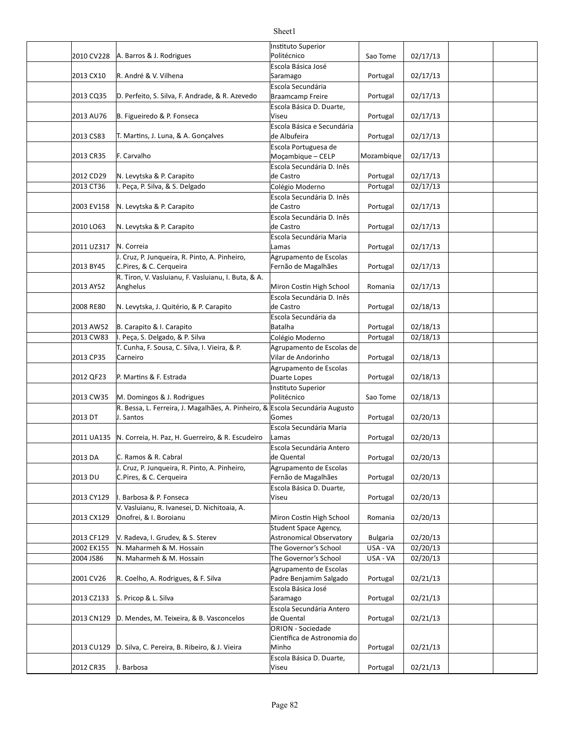|                          |                                                                               | Instituto Superior                                       |                             |                      |  |
|--------------------------|-------------------------------------------------------------------------------|----------------------------------------------------------|-----------------------------|----------------------|--|
| 2010 CV228               | A. Barros & J. Rodrigues                                                      | Politécnico                                              | Sao Tome                    | 02/17/13             |  |
| 2013 CX10                | R. André & V. Vilhena                                                         | Escola Básica José<br>Saramago                           | Portugal                    | 02/17/13             |  |
|                          |                                                                               | Escola Secundária                                        |                             |                      |  |
| 2013 CQ35                | D. Perfeito, S. Silva, F. Andrade, & R. Azevedo                               | Braamcamp Freire                                         | Portugal                    | 02/17/13             |  |
|                          |                                                                               | Escola Básica D. Duarte,                                 |                             |                      |  |
| 2013 AU76                | B. Figueiredo & P. Fonseca                                                    | Viseu                                                    | Portugal                    | 02/17/13             |  |
|                          |                                                                               | Escola Básica e Secundária                               |                             | 02/17/13             |  |
| 2013 CS83                | T. Martins, J. Luna, & A. Gonçalves                                           | de Albufeira<br>Escola Portuguesa de                     | Portugal                    |                      |  |
| 2013 CR35                | F. Carvalho                                                                   | Moçambique - CELP                                        | Mozambique                  | 02/17/13             |  |
|                          |                                                                               | Escola Secundária D. Inês                                |                             |                      |  |
| 2012 CD29                | N. Levytska & P. Carapito                                                     | de Castro                                                | Portugal                    | 02/17/13             |  |
| 2013 CT36                | I. Peça, P. Silva, & S. Delgado                                               | Colégio Moderno                                          | Portugal                    | 02/17/13             |  |
|                          |                                                                               | Escola Secundária D. Inês                                |                             |                      |  |
| 2003 EV158               | N. Levytska & P. Carapito                                                     | de Castro                                                | Portugal                    | 02/17/13             |  |
|                          | N. Levytska & P. Carapito                                                     | Escola Secundária D. Inês<br>de Castro                   |                             | 02/17/13             |  |
| 2010 LO63                |                                                                               | Escola Secundária Maria                                  | Portugal                    |                      |  |
| 2011 UZ317               | N. Correia                                                                    | Lamas                                                    | Portugal                    | 02/17/13             |  |
|                          | J. Cruz, P. Junqueira, R. Pinto, A. Pinheiro,                                 | Agrupamento de Escolas                                   |                             |                      |  |
| 2013 BY45                | C.Pires, & C. Cerqueira                                                       | Fernão de Magalhães                                      | Portugal                    | 02/17/13             |  |
|                          | R. Tiron, V. Vasluianu, F. Vasluianu, I. Buta, & A.                           |                                                          |                             |                      |  |
| 2013 AY52                | Anghelus                                                                      | Miron Costin High School                                 | Romania                     | 02/17/13             |  |
| 2008 RE80                | N. Levytska, J. Quitério, & P. Carapito                                       | Escola Secundária D. Inês<br>de Castro                   |                             | 02/18/13             |  |
|                          |                                                                               | Escola Secundária da                                     | Portugal                    |                      |  |
| 2013 AW52                | B. Carapito & I. Carapito                                                     | Batalha                                                  | Portugal                    | 02/18/13             |  |
| 2013 CW83                | I. Peça, S. Delgado, & P. Silva                                               | Colégio Moderno                                          | Portugal                    | 02/18/13             |  |
|                          | T. Cunha, F. Sousa, C. Silva, I. Vieira, & P.                                 | Agrupamento de Escolas de                                |                             |                      |  |
| 2013 CP35                | Carneiro                                                                      | Vilar de Andorinho                                       | Portugal                    | 02/18/13             |  |
|                          |                                                                               | Agrupamento de Escolas                                   |                             |                      |  |
| 2012 QF23                | P. Martins & F. Estrada                                                       | Duarte Lopes                                             | Portugal                    | 02/18/13             |  |
| 2013 CW35                | M. Domingos & J. Rodrigues                                                    | Instituto Superior<br>Politécnico                        | Sao Tome                    | 02/18/13             |  |
|                          | R. Bessa, L. Ferreira, J. Magalhães, A. Pinheiro, & Escola Secundária Augusto |                                                          |                             |                      |  |
| 2013 DT                  | J. Santos                                                                     | Gomes                                                    | Portugal                    | 02/20/13             |  |
|                          |                                                                               | Escola Secundária Maria                                  |                             |                      |  |
| 2011 UA135               | N. Correia, H. Paz, H. Guerreiro, & R. Escudeiro                              | Lamas                                                    | Portugal                    | 02/20/13             |  |
|                          |                                                                               | Escola Secundária Antero                                 |                             |                      |  |
| 2013 DA                  | C. Ramos & R. Cabral                                                          | de Quental                                               | Portugal                    | 02/20/13             |  |
| 2013 DU                  | J. Cruz, P. Junqueira, R. Pinto, A. Pinheiro,<br>C.Pires, & C. Cerqueira      | Agrupamento de Escolas<br>Fernão de Magalhães            | Portugal                    | 02/20/13             |  |
|                          |                                                                               | Escola Básica D. Duarte,                                 |                             |                      |  |
| 2013 CY129               | I. Barbosa & P. Fonseca                                                       | Viseu                                                    | Portugal                    | 02/20/13             |  |
|                          | V. Vasluianu, R. Ivanesei, D. Nichitoaia, A.                                  |                                                          |                             |                      |  |
| 2013 CX129               | Onofrei, & I. Boroianu                                                        | Miron Costin High School                                 | Romania                     | 02/20/13             |  |
|                          |                                                                               | Student Space Agency,                                    |                             |                      |  |
| 2013 CF129<br>2002 EK155 | V. Radeva, I. Grudev, & S. Sterev<br>N. Maharmeh & M. Hossain                 | <b>Astronomical Observatory</b><br>The Governor's School | <b>Bulgaria</b><br>USA - VA | 02/20/13<br>02/20/13 |  |
| 2004 JS86                | N. Maharmeh & M. Hossain                                                      | The Governor's School                                    | USA - VA                    | 02/20/13             |  |
|                          |                                                                               | Agrupamento de Escolas                                   |                             |                      |  |
| 2001 CV26                | R. Coelho, A. Rodrigues, & F. Silva                                           | Padre Benjamim Salgado                                   | Portugal                    | 02/21/13             |  |
|                          |                                                                               | Escola Básica José                                       |                             |                      |  |
| 2013 CZ133               | S. Pricop & L. Silva                                                          | Saramago                                                 | Portugal                    | 02/21/13             |  |
|                          |                                                                               | Escola Secundária Antero                                 |                             |                      |  |
| 2013 CN129               | D. Mendes, M. Teixeira, & B. Vasconcelos                                      | de Quental                                               | Portugal                    | 02/21/13             |  |
|                          |                                                                               | ORION - Sociedade<br>Científica de Astronomia do         |                             |                      |  |
| 2013 CU129               | D. Silva, C. Pereira, B. Ribeiro, & J. Vieira                                 | Minho                                                    | Portugal                    | 02/21/13             |  |
|                          |                                                                               | Escola Básica D. Duarte,                                 |                             |                      |  |
| 2012 CR35                | I. Barbosa                                                                    | Viseu                                                    | Portugal                    | 02/21/13             |  |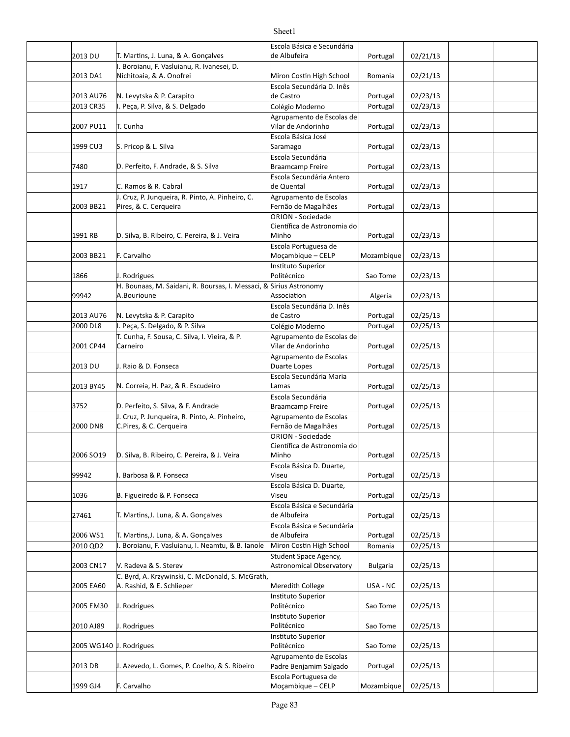|                         |                                                                                   | Escola Básica e Secundária                               |                 |          |  |
|-------------------------|-----------------------------------------------------------------------------------|----------------------------------------------------------|-----------------|----------|--|
| 2013 DU                 | T. Martins, J. Luna, & A. Gonçalves<br>I. Boroianu, F. Vasluianu, R. Ivanesei, D. | de Albufeira                                             | Portugal        | 02/21/13 |  |
| 2013 DA1                | Nichitoaia, & A. Onofrei                                                          | Miron Costin High School                                 | Romania         | 02/21/13 |  |
|                         |                                                                                   | Escola Secundária D. Inês                                |                 |          |  |
| 2013 AU76               | N. Levytska & P. Carapito                                                         | de Castro                                                | Portugal        | 02/23/13 |  |
| 2013 CR35               | I. Peça, P. Silva, & S. Delgado                                                   | Colégio Moderno                                          | Portugal        | 02/23/13 |  |
|                         |                                                                                   | Agrupamento de Escolas de                                |                 |          |  |
| 2007 PU11               | T. Cunha                                                                          | Vilar de Andorinho                                       | Portugal        | 02/23/13 |  |
|                         |                                                                                   | Escola Básica José                                       |                 |          |  |
| 1999 CU3                | S. Pricop & L. Silva                                                              | Saramago                                                 | Portugal        | 02/23/13 |  |
|                         |                                                                                   | Escola Secundária                                        |                 |          |  |
| 7480                    | D. Perfeito, F. Andrade, & S. Silva                                               | Braamcamp Freire                                         | Portugal        | 02/23/13 |  |
| 1917                    | C. Ramos & R. Cabral                                                              | Escola Secundária Antero<br>de Quental                   |                 | 02/23/13 |  |
|                         | J. Cruz, P. Junqueira, R. Pinto, A. Pinheiro, C.                                  | Agrupamento de Escolas                                   | Portugal        |          |  |
| 2003 BB21               | Pires, & C. Cerqueira                                                             | Fernão de Magalhães                                      | Portugal        | 02/23/13 |  |
|                         |                                                                                   | <b>ORION - Sociedade</b>                                 |                 |          |  |
|                         |                                                                                   | Científica de Astronomia do                              |                 |          |  |
| 1991 RB                 | D. Silva, B. Ribeiro, C. Pereira, & J. Veira                                      | Minho                                                    | Portugal        | 02/23/13 |  |
|                         |                                                                                   | Escola Portuguesa de                                     |                 |          |  |
| 2003 BB21               | F. Carvalho                                                                       | Moçambique - CELP                                        | Mozambique      | 02/23/13 |  |
|                         |                                                                                   | Instituto Superior                                       |                 |          |  |
| 1866                    | J. Rodrigues                                                                      | Politécnico                                              | Sao Tome        | 02/23/13 |  |
|                         | H. Bounaas, M. Saidani, R. Boursas, I. Messaci, & Sirius Astronomy<br>A.Bourioune | Association                                              |                 |          |  |
| 99942                   |                                                                                   | Escola Secundária D. Inês                                | Algeria         | 02/23/13 |  |
| 2013 AU76               | N. Levytska & P. Carapito                                                         | de Castro                                                | Portugal        | 02/25/13 |  |
| 2000 DL8                | I. Peça, S. Delgado, & P. Silva                                                   | Colégio Moderno                                          | Portugal        | 02/25/13 |  |
|                         | T. Cunha, F. Sousa, C. Silva, I. Vieira, & P.                                     | Agrupamento de Escolas de                                |                 |          |  |
| 2001 CP44               | Carneiro                                                                          | Vilar de Andorinho                                       | Portugal        | 02/25/13 |  |
|                         |                                                                                   | Agrupamento de Escolas                                   |                 |          |  |
| 2013 DU                 | J. Raio & D. Fonseca                                                              | Duarte Lopes                                             | Portugal        | 02/25/13 |  |
|                         |                                                                                   | Escola Secundária Maria                                  |                 |          |  |
| 2013 BY45               | N. Correia, H. Paz, & R. Escudeiro                                                | Lamas                                                    | Portugal        | 02/25/13 |  |
|                         |                                                                                   | Escola Secundária                                        |                 |          |  |
| 3752                    | D. Perfeito, S. Silva, & F. Andrade                                               | <b>Braamcamp Freire</b>                                  | Portugal        | 02/25/13 |  |
|                         | J. Cruz, P. Junqueira, R. Pinto, A. Pinheiro,                                     | Agrupamento de Escolas                                   |                 |          |  |
| 2000 DN8                | C.Pires, & C. Cerqueira                                                           | Fernão de Magalhães<br><b>ORION - Sociedade</b>          | Portugal        | 02/25/13 |  |
|                         |                                                                                   | Científica de Astronomia do                              |                 |          |  |
| 2006 SO19               | D. Silva, B. Ribeiro, C. Pereira, & J. Veira                                      | Minho                                                    | Portugal        | 02/25/13 |  |
|                         |                                                                                   | Escola Básica D. Duarte,                                 |                 |          |  |
| 99942                   | I. Barbosa & P. Fonseca                                                           | Viseu                                                    | Portugal        | 02/25/13 |  |
|                         |                                                                                   | Escola Básica D. Duarte,                                 |                 |          |  |
| 1036                    | B. Figueiredo & P. Fonseca                                                        | Viseu                                                    | Portugal        | 02/25/13 |  |
|                         |                                                                                   | Escola Básica e Secundária                               |                 |          |  |
| 27461                   | T. Martins, J. Luna, & A. Goncalves                                               | de Albufeira                                             | Portugal        | 02/25/13 |  |
|                         |                                                                                   | Escola Básica e Secundária                               |                 |          |  |
| 2006 WS1                | T. Martins, J. Luna, & A. Gonçalves                                               | de Albufeira                                             | Portugal        | 02/25/13 |  |
| 2010 QD2                | I. Boroianu, F. Vasluianu, I. Neamtu, & B. Ianole                                 | Miron Costin High School                                 | Romania         | 02/25/13 |  |
| 2003 CN17               | V. Radeva & S. Sterev                                                             | Student Space Agency,<br><b>Astronomical Observatory</b> | <b>Bulgaria</b> | 02/25/13 |  |
|                         | C. Byrd, A. Krzywinski, C. McDonald, S. McGrath,                                  |                                                          |                 |          |  |
| 2005 EA60               | A. Rashid, & E. Schlieper                                                         | Meredith College                                         | USA - NC        | 02/25/13 |  |
|                         |                                                                                   | Instituto Superior                                       |                 |          |  |
| 2005 EM30               | J. Rodrigues                                                                      | Politécnico                                              | Sao Tome        | 02/25/13 |  |
|                         |                                                                                   | Instituto Superior                                       |                 |          |  |
| 2010 AJ89               | J. Rodrigues                                                                      | Politécnico                                              | Sao Tome        | 02/25/13 |  |
|                         |                                                                                   | Instituto Superior                                       |                 |          |  |
| 2005 WG140 J. Rodrigues |                                                                                   | Politécnico                                              | Sao Tome        | 02/25/13 |  |
|                         |                                                                                   | Agrupamento de Escolas                                   |                 |          |  |
| 2013 DB                 | J. Azevedo, L. Gomes, P. Coelho, & S. Ribeiro                                     | Padre Benjamim Salgado                                   | Portugal        | 02/25/13 |  |
|                         |                                                                                   | Escola Portuguesa de                                     |                 |          |  |
| 1999 GJ4                | F. Carvalho                                                                       | Moçambique - CELP                                        | Mozambique      | 02/25/13 |  |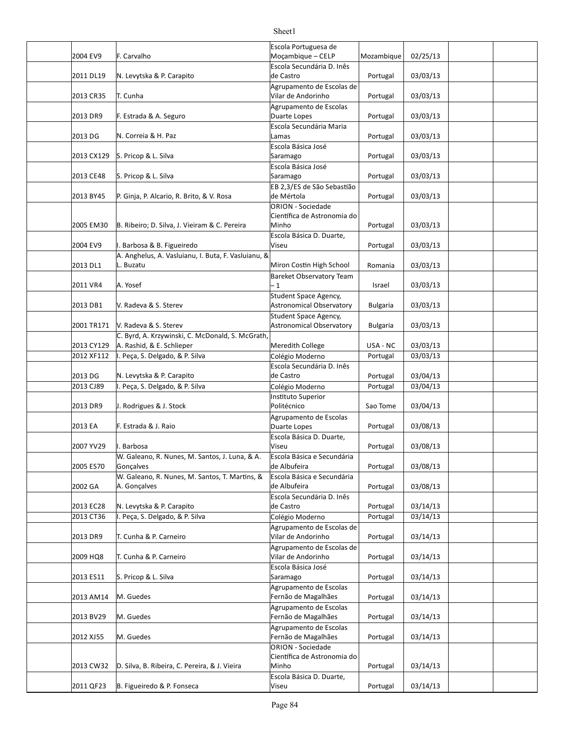# Sheet1 Escola Portuguesa de

|                      |                                                                | Escola Portuguesa de                              |                 |                      |  |
|----------------------|----------------------------------------------------------------|---------------------------------------------------|-----------------|----------------------|--|
| 2004 EV9             | F. Carvalho                                                    | Moçambique - CELP                                 | Mozambique      | 02/25/13             |  |
| 2011 DL19            | N. Levytska & P. Carapito                                      | Escola Secundária D. Inês<br>de Castro            | Portugal        | 03/03/13             |  |
|                      |                                                                | Agrupamento de Escolas de                         |                 |                      |  |
| 2013 CR35            | T. Cunha                                                       | Vilar de Andorinho                                | Portugal        | 03/03/13             |  |
|                      |                                                                | Agrupamento de Escolas                            |                 |                      |  |
| 2013 DR9             | F. Estrada & A. Seguro                                         | Duarte Lopes<br>Escola Secundária Maria           | Portugal        | 03/03/13             |  |
| 2013 DG              | N. Correia & H. Paz                                            | Lamas                                             | Portugal        | 03/03/13             |  |
|                      |                                                                | Escola Básica José                                |                 |                      |  |
| 2013 CX129           | S. Pricop & L. Silva                                           | Saramago                                          | Portugal        | 03/03/13             |  |
| 2013 CE48            | S. Pricop & L. Silva                                           | Escola Básica José<br>Saramago                    | Portugal        | 03/03/13             |  |
|                      |                                                                | EB 2,3/ES de São Sebastião                        |                 |                      |  |
| 2013 BY45            | P. Ginja, P. Alcario, R. Brito, & V. Rosa                      | de Mértola                                        | Portugal        | 03/03/13             |  |
|                      |                                                                | ORION - Sociedade                                 |                 |                      |  |
| 2005 EM30            | B. Ribeiro; D. Silva, J. Vieiram & C. Pereira                  | Científica de Astronomia do<br>Minho              | Portugal        | 03/03/13             |  |
|                      |                                                                | Escola Básica D. Duarte,                          |                 |                      |  |
| 2004 EV9             | I. Barbosa & B. Figueiredo                                     | Viseu                                             | Portugal        | 03/03/13             |  |
|                      | A. Anghelus, A. Vasluianu, I. Buta, F. Vasluianu, &            |                                                   |                 |                      |  |
| 2013 DL1             | L. Buzatu                                                      | Miron Costin High School                          | Romania         | 03/03/13             |  |
|                      |                                                                | Bareket Observatory Team                          |                 |                      |  |
| 2011 VR4             | A. Yosef                                                       | $-1$                                              | Israel          | 03/03/13             |  |
| 2013 DB1             | V. Radeva & S. Sterev                                          | Student Space Agency,<br>Astronomical Observatory |                 | 03/03/13             |  |
|                      |                                                                | Student Space Agency,                             | <b>Bulgaria</b> |                      |  |
| 2001 TR171           | V. Radeva & S. Sterev                                          | Astronomical Observatory                          | <b>Bulgaria</b> | 03/03/13             |  |
|                      | C. Byrd, A. Krzywinski, C. McDonald, S. McGrath,               |                                                   |                 |                      |  |
| 2013 CY129           | A. Rashid, & E. Schlieper                                      | Meredith College                                  | USA - NC        | 03/03/13             |  |
| 2012 XF112           | . Peça, S. Delgado, & P. Silva                                 | Colégio Moderno                                   | Portugal        | 03/03/13             |  |
|                      |                                                                | Escola Secundária D. Inês                         |                 |                      |  |
| 2013 DG<br>2013 CJ89 | N. Levytska & P. Carapito<br>Peça, S. Delgado, & P. Silva      | de Castro                                         | Portugal        | 03/04/13<br>03/04/13 |  |
|                      |                                                                | Colégio Moderno<br>Instituto Superior             | Portugal        |                      |  |
| 2013 DR9             | J. Rodrigues & J. Stock                                        | Politécnico                                       | Sao Tome        | 03/04/13             |  |
|                      |                                                                | Agrupamento de Escolas                            |                 |                      |  |
| 2013 EA              | F. Estrada & J. Raio                                           | Duarte Lopes                                      | Portugal        | 03/08/13             |  |
|                      |                                                                | Escola Básica D. Duarte,                          |                 |                      |  |
| 2007 YV29            | . Barbosa                                                      | Viseu                                             | Portugal        | 03/08/13             |  |
|                      | W. Galeano, R. Nunes, M. Santos, J. Luna, & A.                 | Escola Básica e Secundária                        |                 |                      |  |
| 2005 ES70            | Gonçalves                                                      | de Albufeira                                      | Portugal        | 03/08/13             |  |
| 2002 GA              | W. Galeano, R. Nunes, M. Santos, T. Martins, &<br>A. Gonçalves | Escola Básica e Secundária<br>de Albufeira        | Portugal        | 03/08/13             |  |
|                      |                                                                | Escola Secundária D. Inês                         |                 |                      |  |
| 2013 EC28            | N. Levytska & P. Carapito                                      | de Castro                                         | Portugal        | 03/14/13             |  |
| 2013 CT36            | . Peça, S. Delgado, & P. Silva                                 | Colégio Moderno                                   | Portugal        | 03/14/13             |  |
|                      |                                                                | Agrupamento de Escolas de                         |                 |                      |  |
| 2013 DR9             | T. Cunha & P. Carneiro                                         | Vilar de Andorinho                                | Portugal        | 03/14/13             |  |
| 2009 HQ8             | T. Cunha & P. Carneiro                                         | Agrupamento de Escolas de<br>Vilar de Andorinho   | Portugal        | 03/14/13             |  |
|                      |                                                                | Escola Básica José                                |                 |                      |  |
| 2013 ES11            | S. Pricop & L. Silva                                           | Saramago                                          | Portugal        | 03/14/13             |  |
| 2013 AM14            | M. Guedes                                                      | Agrupamento de Escolas<br>Fernão de Magalhães     | Portugal        | 03/14/13             |  |
|                      |                                                                | Agrupamento de Escolas                            |                 |                      |  |
| 2013 BV29            | M. Guedes                                                      | Fernão de Magalhães<br>Agrupamento de Escolas     | Portugal        | 03/14/13             |  |
| 2012 XJ55            | M. Guedes                                                      | Fernão de Magalhães                               | Portugal        | 03/14/13             |  |
|                      |                                                                | ORION - Sociedade                                 |                 |                      |  |
|                      |                                                                | Científica de Astronomia do                       |                 |                      |  |
| 2013 CW32            | D. Silva, B. Ribeira, C. Pereira, & J. Vieira                  | Minho                                             | Portugal        | 03/14/13             |  |
| 2011 QF23            | B. Figueiredo & P. Fonseca                                     | Escola Básica D. Duarte,<br>Viseu                 | Portugal        | 03/14/13             |  |
|                      |                                                                |                                                   |                 |                      |  |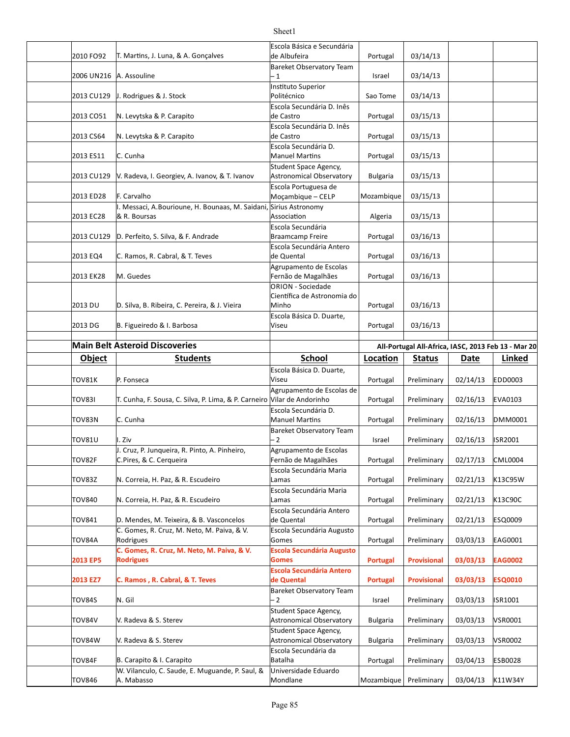#### 2010 FO92 T. Martins, J. Luna, & A. Gonçalves de Albufeira de la portugal de Albufeira de la portugal de 14/13 2006 UN216 Israel 03/14/13 A. Assouline 2013 CU129 J. Rodrigues & J. Stock Politécnico Sao Tome | 03/14/13 2013 CO51 N. Levytska & P. Carapito (de Castro de Castro de Portugal | 03/15/13 2013 CS64 N. Levytska & P. Carapito (de Castro de Castro de la Portugal | 03/15/13 2013 ES11 C. Cunha Cunha Cunha Cunha Cunha Romanuel Martins Reportugal 2015/13 2013 CU129 |V. Radeva, I. Georgiev, A. Ivanov, & T. Ivanov | Astronomical Observatory | Bulgaria | 03/15/13 2013 ED28 F. Carvalho **Moçambique - CELP** Mozambique | 03/15/13 2013 EC28 Algeria 03/15/13 2013 CU129 D. Perfeito, S. Silva, & F. Andrade Braamcamp Freire | Portugal | 03/16/13 2013 EQ4 C. Ramos, R. Cabral, & T. Teves de Quental de Quental Portugal | 03/16/13 2013 EK28 Portugal 03/16/13 Fernão de Magalhães 2013 DU D. Silva, B. Ribeira, C. Pereira, & J. Vieira Minho Numbo Rotugal | 03/16/13 2013 DG B. Figueiredo & I. Barbosa (Viseu Viseu Number 1984) Portugal | 03/16/13 **Main Belt Asteroid Discoveries All-Portugal All-Africa, IASC, 2013 Feb 13 - Mar 20 Object Students School Loca.on Status Date Linked** TOV81K P. Fonseca **Portugal Preliminary Portugal Preliminary** 02/14/13 EDD0003 TOV83I T. Cunha, F. Sousa, C. Silva, P. Lima, & P. Carneiro Vilar de Andorinho | Portugal | Preliminary | 02/16/13 EVA0103 TOV83N C. Cunha Portugal Preliminary 02/16/13 DMM0001 TOV81U I. Ziv Israel Preliminary 02/16/13 ISR2001 TOV82F | C.Pires, & C. Cerqueira Fernão de Magalhães | Portugal | Preliminary | 02/17/13 | CML0004 TOV83Z |N. Correia, H. Paz, & R. Escudeiro |Lamas | Portugal | Preliminary | 02/21/13 |K13C95W TOV840 | N. Correia, H. Paz, & R. Escudeiro | Lamas | Lamas | Portugal | Preliminary | 02/21/13 | K13C90C TOV841 D. Mendes, M. Teixeira, & B. Vasconcelos |de Quental | Portugal | Preliminary | 02/21/13 |ESQ0009 TOV84A |Rodrigues Gomes Portugal Preliminary | 03/03/13 |EAG0001 **2013 EP5 Portugal Provisional 03/03/13 EAG0002 2013 EZ7 Portugal Provisional 03/03/13 ESQ0010 C. Ramos , R. Cabral, & T. Teves** TOV84S N. Gil Israel Preliminary 03/03/13 ISR1001 TOV84V Bulgaria Preliminary 03/03/13 VSR0001 Astronomical Observatory TOV84W Bulgaria Preliminary 03/03/13 VSR0002 Astronomical Observatory TOV84F B. Carapito & I. Carapito And Carapito And Carabito Batalha And Preliminary | 03/04/13 | ESB0028 Escola Básica e Secundária de Albufeira Bareket Observatory Team  $-1$ **Instituto Superior** Politécnico Escola Secundária D. Inês de Castro Escola Secundária D. Inês de Castro Escola Secundária D. Student Space Agency, Astronomical Observatory Escola Portuguesa de I. Messaci, A.Bourioune, H. Bounaas, M. Saidani, Sirius Astronomy & R. Boursas Association Escola Secundária Braamcamp Freire Escola Secundária Antero de Quental M. Guedes Agrupamento de Escolas ORION - Sociedade Científica de Astronomia do Minho Escola Básica D. Duarte, Viseu Escola Básica D. Duarte, Viseu Agrupamento de Escolas de Escola Secundária D. **Manuel Martins** Bareket Observatory Team – 2 J. Cruz, P. Junqueira, R. Pinto, A. Pinheiro, Agrupamento de Escolas Fernão de Magalhães Escola Secundária Maria Lamas Escola Secundária Maria Lamas Escola Secundária Antero de Quental C. Gomes, R. Cruz, M. Neto, M. Paiva, & V. Rodrigues Escola Secundária Augusto Gomes **C. Gomes, R. Cruz, M. Neto, M. Paiva, & V. Rodrigues Escola Secundária Augusto Gomes Escola Secundária Antero de Quental** Bareket Observatory Team – 2 V. Radeva & S. Sterev Student Space Agency, V. Radeva & S. Sterev Student Space Agency, Escola Secundária da Batalha

Sheet1

Mondlane

W. Vilanculo, C. Saude, E. Muguande, P. Saul, &

A. Mabasso

TOV846 Mozambique Preliminary 03/04/13 K11W34Y

Universidade Eduardo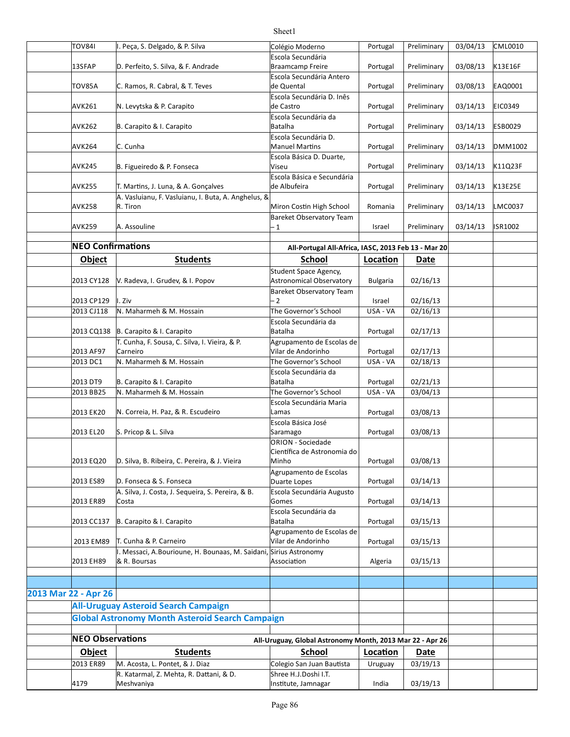| <b>TOV841</b>            | I. Peça, S. Delgado, & P. Silva                                   | Colégio Moderno                                           | Portugal        | Preliminary | 03/04/13 | <b>CML0010</b> |
|--------------------------|-------------------------------------------------------------------|-----------------------------------------------------------|-----------------|-------------|----------|----------------|
|                          |                                                                   | Escola Secundária                                         |                 |             |          |                |
| 13SFAP                   | D. Perfeito, S. Silva, & F. Andrade                               | Braamcamp Freire                                          | Portugal        | Preliminary | 03/08/13 | K13E16F        |
|                          |                                                                   | Escola Secundária Antero                                  |                 |             |          |                |
| TOV85A                   | C. Ramos, R. Cabral, & T. Teves                                   | de Quental                                                | Portugal        | Preliminary | 03/08/13 | EAQ0001        |
|                          |                                                                   | Escola Secundária D. Inês                                 |                 |             |          |                |
| <b>AVK261</b>            | N. Levytska & P. Carapito                                         | de Castro                                                 | Portugal        | Preliminary | 03/14/13 | EIC0349        |
|                          |                                                                   | Escola Secundária da                                      |                 |             |          |                |
| <b>AVK262</b>            | B. Carapito & I. Carapito                                         | <b>Batalha</b>                                            | Portugal        | Preliminary | 03/14/13 | <b>ESB0029</b> |
|                          |                                                                   | Escola Secundária D.                                      |                 |             |          |                |
| AVK264                   | C. Cunha                                                          | <b>Manuel Martins</b>                                     | Portugal        | Preliminary | 03/14/13 | DMM1002        |
|                          |                                                                   | Escola Básica D. Duarte,                                  |                 |             |          |                |
| <b>AVK245</b>            | B. Figueiredo & P. Fonseca                                        | Viseu                                                     | Portugal        | Preliminary | 03/14/13 | K11Q23F        |
|                          |                                                                   | Escola Básica e Secundária                                |                 |             |          |                |
| <b>AVK255</b>            | T. Martins, J. Luna, & A. Gonçalves                               | de Albufeira                                              | Portugal        | Preliminary | 03/14/13 | K13E25E        |
|                          | A. Vasluianu, F. Vasluianu, I. Buta, A. Anghelus, &               |                                                           |                 |             |          |                |
| <b>AVK258</b>            | R. Tiron                                                          | Miron Costin High School                                  | Romania         | Preliminary | 03/14/13 | LMC0037        |
|                          |                                                                   | Bareket Observatory Team                                  |                 |             |          |                |
| <b>AVK259</b>            | A. Assouline                                                      | - 1                                                       | Israel          | Preliminary | 03/14/13 | ISR1002        |
|                          |                                                                   |                                                           |                 |             |          |                |
| <b>NEO Confirmations</b> |                                                                   | All-Portugal All-Africa, IASC, 2013 Feb 13 - Mar 20       |                 |             |          |                |
|                          | <b>Students</b>                                                   | <b>School</b>                                             |                 |             |          |                |
| <b>Object</b>            |                                                                   |                                                           | Location        | Date        |          |                |
|                          |                                                                   | Student Space Agency,                                     |                 |             |          |                |
| 2013 CY128               | V. Radeva, I. Grudev, & I. Popov                                  | Astronomical Observatory                                  | <b>Bulgaria</b> | 02/16/13    |          |                |
|                          |                                                                   | Bareket Observatory Team                                  |                 |             |          |                |
| 2013 CP129               | I. Ziv                                                            | - 2                                                       | Israel          | 02/16/13    |          |                |
| 2013 CJ118               | N. Maharmeh & M. Hossain                                          | The Governor's School                                     | USA - VA        | 02/16/13    |          |                |
|                          |                                                                   | Escola Secundária da                                      |                 |             |          |                |
| 2013 CQ138               | B. Carapito & I. Carapito                                         | <b>Batalha</b>                                            | Portugal        | 02/17/13    |          |                |
|                          | T. Cunha, F. Sousa, C. Silva, I. Vieira, & P.                     | Agrupamento de Escolas de                                 |                 |             |          |                |
| 2013 AF97                | Carneiro                                                          | Vilar de Andorinho                                        | Portugal        | 02/17/13    |          |                |
| 2013 DC1                 | N. Maharmeh & M. Hossain                                          | The Governor's School                                     | USA - VA        | 02/18/13    |          |                |
|                          |                                                                   | Escola Secundária da                                      |                 |             |          |                |
| 2013 DT9                 | B. Carapito & I. Carapito                                         | <b>Batalha</b>                                            | Portugal        | 02/21/13    |          |                |
| 2013 BB25                | N. Maharmeh & M. Hossain                                          | The Governor's School                                     | USA - VA        | 03/04/13    |          |                |
|                          |                                                                   | Escola Secundária Maria                                   |                 |             |          |                |
| 2013 EK20                | N. Correia, H. Paz, & R. Escudeiro                                | Lamas                                                     | Portugal        | 03/08/13    |          |                |
|                          |                                                                   | Escola Básica José                                        |                 |             |          |                |
| 2013 EL20                | S. Pricop & L. Silva                                              | Saramago                                                  | Portugal        | 03/08/13    |          |                |
|                          |                                                                   | ORION - Sociedade                                         |                 |             |          |                |
|                          |                                                                   | Científica de Astronomia do                               |                 |             |          |                |
| 2013 EQ20                | D. Silva, B. Ribeira, C. Pereira, & J. Vieira                     | Minho                                                     | Portugal        | 03/08/13    |          |                |
|                          |                                                                   | Agrupamento de Escolas                                    |                 |             |          |                |
| 2013 ES89                | D. Fonseca & S. Fonseca                                           | Duarte Lopes                                              | Portugal        | 03/14/13    |          |                |
|                          | A. Silva, J. Costa, J. Sequeira, S. Pereira, & B.                 | Escola Secundária Augusto                                 |                 |             |          |                |
| 2013 ER89                | Costa                                                             | Gomes                                                     | Portugal        | 03/14/13    |          |                |
|                          |                                                                   | Escola Secundária da                                      |                 |             |          |                |
| 2013 CC137               | B. Carapito & I. Carapito                                         | <b>Batalha</b>                                            | Portugal        | 03/15/13    |          |                |
|                          |                                                                   | Agrupamento de Escolas de                                 |                 |             |          |                |
| 2013 EM89                | T. Cunha & P. Carneiro                                            | Vilar de Andorinho                                        | Portugal        | 03/15/13    |          |                |
|                          | I. Messaci, A.Bourioune, H. Bounaas, M. Saidani, Sirius Astronomy |                                                           |                 |             |          |                |
| 2013 EH89                | & R. Boursas                                                      | Association                                               | Algeria         | 03/15/13    |          |                |
|                          |                                                                   |                                                           |                 |             |          |                |
|                          |                                                                   |                                                           |                 |             |          |                |
| 2013 Mar 22 - Apr 26     |                                                                   |                                                           |                 |             |          |                |
|                          | <b>All-Uruguay Asteroid Search Campaign</b>                       |                                                           |                 |             |          |                |
|                          |                                                                   |                                                           |                 |             |          |                |
|                          | <b>Global Astronomy Month Asteroid Search Campaign</b>            |                                                           |                 |             |          |                |
|                          |                                                                   |                                                           |                 |             |          |                |
| <b>NEO Observations</b>  |                                                                   | All-Uruguay, Global Astronomy Month, 2013 Mar 22 - Apr 26 |                 |             |          |                |
| <b>Object</b>            | <b>Students</b>                                                   | School                                                    | Location        | Date        |          |                |
| 2013 ER89                | M. Acosta, L. Pontet, & J. Diaz                                   | Colegio San Juan Bautista                                 | Uruguay         | 03/19/13    |          |                |
|                          | R. Katarmal, Z. Mehta, R. Dattani, & D.                           | Shree H.J.Doshi I.T.                                      |                 |             |          |                |
| 4179                     | Meshvaniya                                                        | Institute, Jamnagar                                       | India           | 03/19/13    |          |                |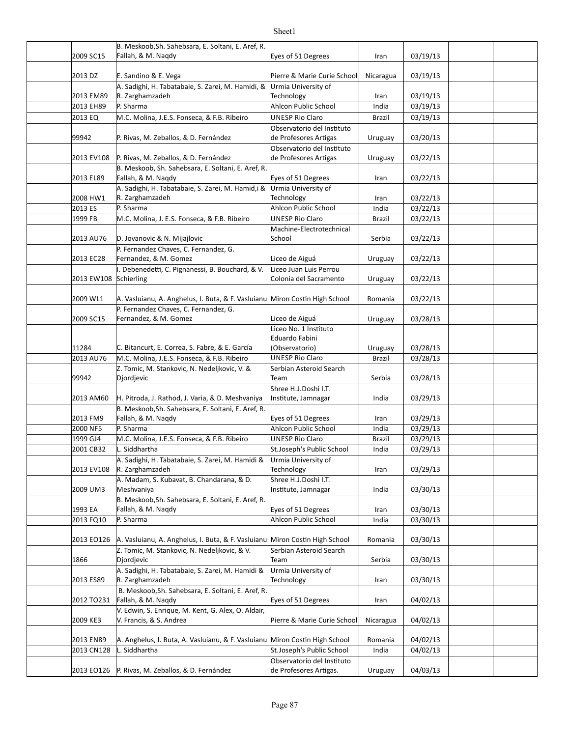| 2009 SC15  | B. Meskoob, Sh. Sahebsara, E. Soltani, E. Aref, R.<br>Fallah, & M. Nagdy      | Eyes of 51 Degrees                                   | Iran          | 03/19/13 |  |
|------------|-------------------------------------------------------------------------------|------------------------------------------------------|---------------|----------|--|
|            |                                                                               |                                                      |               |          |  |
| 2013 DZ    | E. Sandino & E. Vega                                                          | Pierre & Marie Curie School                          | Nicaragua     | 03/19/13 |  |
|            | A. Sadighi, H. Tabatabaie, S. Zarei, M. Hamidi, &                             | Urmia University of                                  |               |          |  |
| 2013 EM89  | R. Zarghamzadeh                                                               | Technology                                           | Iran          | 03/19/13 |  |
| 2013 EH89  | P. Sharma                                                                     | <b>Ahlcon Public School</b>                          | India         | 03/19/13 |  |
| 2013 EQ    | M.C. Molina, J.E.S. Fonseca, & F.B. Ribeiro                                   | <b>UNESP Rio Claro</b><br>Observatorio del Instituto | <b>Brazil</b> | 03/19/13 |  |
| 99942      | P. Rivas, M. Zeballos, & D. Fernández                                         | de Profesores Artigas                                | Uruguay       | 03/20/13 |  |
|            |                                                                               | Observatorio del Instituto                           |               |          |  |
| 2013 EV108 | P. Rivas, M. Zeballos, & D. Fernández                                         | de Profesores Artigas                                | Uruguay       | 03/22/13 |  |
|            | B. Meskoob, Sh. Sahebsara, E. Soltani, E. Aref, R.                            |                                                      |               |          |  |
| 2013 EL89  | Fallah, & M. Nagdy                                                            | Eyes of 51 Degrees                                   | Iran          | 03/22/13 |  |
| 2008 HW1   | A. Sadighi, H. Tabatabaie, S. Zarei, M. Hamid, i &<br>R. Zarghamzadeh         | Urmia University of<br>Technology                    | Iran          | 03/22/13 |  |
| 2013 ES    | P. Sharma                                                                     | Ahlcon Public School                                 | India         | 03/22/13 |  |
| 1999 FB    | M.C. Molina, J. E.S. Fonseca, & F.B. Ribeiro                                  | <b>UNESP Rio Claro</b>                               | <b>Brazil</b> | 03/22/13 |  |
|            |                                                                               | Machine-Electrotechnical                             |               |          |  |
| 2013 AU76  | D. Jovanovic & N. Mijajlovic                                                  | School                                               | Serbia        | 03/22/13 |  |
|            | P. Fernandez Chaves, C. Fernandez, G.                                         |                                                      |               |          |  |
| 2013 EC28  | Fernandez, & M. Gomez                                                         | Liceo de Aiguá                                       | Uruguay       | 03/22/13 |  |
| 2013 EW108 | I. Debenedetti, C. Pignanessi, B. Bouchard, & V.<br>Schierling                | Liceo Juan Luis Perrou<br>Colonia del Sacramento     | Uruguay       | 03/22/13 |  |
|            |                                                                               |                                                      |               |          |  |
| 2009 WL1   | A. Vasluianu, A. Anghelus, I. Buta, & F. Vasluianu Miron Costin High School   |                                                      | Romania       | 03/22/13 |  |
|            | P. Fernandez Chaves, C. Fernandez, G.                                         |                                                      |               |          |  |
| 2009 SC15  | Fernandez, & M. Gomez                                                         | Liceo de Aiguá                                       | Uruguay       | 03/28/13 |  |
|            |                                                                               | Liceo No. 1 Instituto                                |               |          |  |
| 11284      | C. Bitancurt, E. Correa, S. Fabre, & E. García                                | Eduardo Fabini<br>(Observatorio)                     | Uruguay       | 03/28/13 |  |
| 2013 AU76  | M.C. Molina, J.E.S. Fonseca, & F.B. Ribeiro                                   | <b>UNESP Rio Claro</b>                               | <b>Brazil</b> | 03/28/13 |  |
|            | Z. Tomic, M. Stankovic, N. Nedeljkovic, V. &                                  | Serbian Asteroid Search                              |               |          |  |
| 99942      | Djordjevic                                                                    | Team                                                 | Serbia        | 03/28/13 |  |
|            |                                                                               | Shree H.J.Doshi I.T.                                 |               |          |  |
| 2013 AM60  | H. Pitroda, J. Rathod, J. Varia, & D. Meshvaniya                              | Institute, Jamnagar                                  | India         | 03/29/13 |  |
| 2013 FM9   | B. Meskoob, Sh. Sahebsara, E. Soltani, E. Aref, R.<br>Fallah, & M. Naqdy      | Eyes of 51 Degrees                                   | Iran          | 03/29/13 |  |
| 2000 NF5   | P. Sharma                                                                     | Ahlcon Public School                                 | India         | 03/29/13 |  |
| 1999 GJ4   | M.C. Molina, J.E.S. Fonseca, & F.B. Ribeiro                                   | <b>UNESP Rio Claro</b>                               | Brazil        | 03/29/13 |  |
| 2001 CB32  | L. Siddhartha                                                                 | St.Joseph's Public School                            | India         | 03/29/13 |  |
|            | A. Sadighi, H. Tabatabaie, S. Zarei, M. Hamidi &                              | Urmia University of                                  |               |          |  |
| 2013 EV108 | R. Zarghamzadeh                                                               | Technology                                           | Iran          | 03/29/13 |  |
| 2009 UM3   | A. Madam, S. Kubavat, B. Chandarana, & D.<br>Meshvaniya                       | Shree H.J.Doshi I.T.<br>Institute, Jamnagar          | India         | 03/30/13 |  |
|            | B. Meskoob, Sh. Sahebsara, E. Soltani, E. Aref, R.                            |                                                      |               |          |  |
| 1993 EA    | Fallah, & M. Naqdy                                                            | Eyes of 51 Degrees                                   | Iran          | 03/30/13 |  |
| 2013 FQ10  | P. Sharma                                                                     | Ahlcon Public School                                 | India         | 03/30/13 |  |
|            |                                                                               |                                                      |               |          |  |
| 2013 EO126 | A. Vasluianu, A. Anghelus, I. Buta, & F. Vasluianu Miron Costin High School   | Serbian Asteroid Search                              | Romania       | 03/30/13 |  |
| 1866       | Z. Tomic, M. Stankovic, N. Nedeljkovic, & V.<br>Djordjevic                    | Team                                                 | Serbia        | 03/30/13 |  |
|            | A. Sadighi, H. Tabatabaie, S. Zarei, M. Hamidi &                              | Urmia University of                                  |               |          |  |
| 2013 ES89  | R. Zarghamzadeh                                                               | Technology                                           | Iran          | 03/30/13 |  |
|            | B. Meskoob, Sh. Sahebsara, E. Soltani, E. Aref, R.                            |                                                      |               |          |  |
| 2012 TO231 | Fallah, & M. Naqdy                                                            | Eyes of 51 Degrees                                   | Iran          | 04/02/13 |  |
| 2009 KE3   | V. Edwin, S. Enrique, M. Kent, G. Alex, O. Aldair,<br>V. Francis, & S. Andrea | Pierre & Marie Curie School                          |               | 04/02/13 |  |
|            |                                                                               |                                                      | Nicaragua     |          |  |
| 2013 EN89  | A. Anghelus, I. Buta, A. Vasluianu, & F. Vasluianu   Miron Costin High School |                                                      | Romania       | 04/02/13 |  |
| 2013 CN128 | L. Siddhartha                                                                 | St.Joseph's Public School                            | India         | 04/02/13 |  |
|            |                                                                               | Observatorio del Instituto                           |               |          |  |
| 2013 EO126 | P. Rivas, M. Zeballos, & D. Fernández                                         | de Profesores Artigas.                               | Uruguay       | 04/03/13 |  |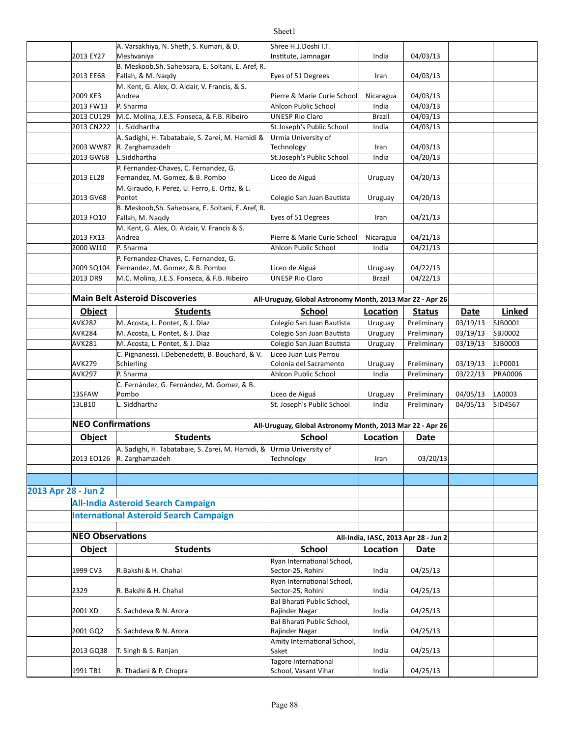|                     |                          | A. Varsakhiya, N. Sheth, S. Kumari, & D.                                                            | Shree H.J.Doshi I.T.                                      |                          |                                      |             |                |
|---------------------|--------------------------|-----------------------------------------------------------------------------------------------------|-----------------------------------------------------------|--------------------------|--------------------------------------|-------------|----------------|
|                     | 2013 EY27                | Meshvaniya<br>B. Meskoob, Sh. Sahebsara, E. Soltani, E. Aref, R.                                    | Institute, Jamnagar                                       | India                    | 04/03/13                             |             |                |
|                     | 2013 EE68                | Fallah, & M. Nagdy                                                                                  | Eyes of 51 Degrees                                        | Iran                     | 04/03/13                             |             |                |
|                     |                          | M. Kent, G. Alex, O. Aldair, V. Francis, & S.                                                       |                                                           |                          |                                      |             |                |
|                     | 2009 KE3                 | Andrea                                                                                              | Pierre & Marie Curie School                               | Nicaragua                | 04/03/13                             |             |                |
|                     | 2013 FW13                | P. Sharma                                                                                           | Ahlcon Public School                                      | India                    | 04/03/13                             |             |                |
|                     | 2013 CU129               | M.C. Molina, J.E.S. Fonseca, & F.B. Ribeiro                                                         | <b>UNESP Rio Claro</b>                                    | <b>Brazil</b>            | 04/03/13                             |             |                |
|                     | 2013 CN222               | L. Siddhartha                                                                                       | St.Joseph's Public School                                 | India                    | 04/03/13                             |             |                |
|                     | 2003 WW87                | A. Sadighi, H. Tabatabaie, S. Zarei, M. Hamidi &<br>R. Zarghamzadeh                                 | Urmia University of<br>Technology                         | Iran                     | 04/03/13                             |             |                |
|                     | 2013 GW68                | L.Siddhartha                                                                                        | St.Joseph's Public School                                 | India                    | 04/20/13                             |             |                |
|                     |                          | P. Fernandez-Chaves, C. Fernandez, G.                                                               |                                                           |                          |                                      |             |                |
|                     | 2013 EL28                | Fernandez, M. Gomez, & B. Pombo                                                                     | Liceo de Aiguá                                            | Uruguay                  | 04/20/13                             |             |                |
|                     |                          | M. Giraudo, F. Perez, U. Ferro, E. Ortiz, & L.                                                      |                                                           |                          |                                      |             |                |
|                     | 2013 GV68                | Pontet                                                                                              | Colegio San Juan Bautista                                 | Uruguay                  | 04/20/13                             |             |                |
|                     | 2013 FQ10                | B. Meskoob, Sh. Sahebsara, E. Soltani, E. Aref, R.<br>Fallah, M. Naqdy                              | Eyes of 51 Degrees                                        | Iran                     | 04/21/13                             |             |                |
|                     |                          | M. Kent, G. Alex, O. Aldair, V. Francis & S.                                                        |                                                           |                          |                                      |             |                |
|                     | 2013 FX13                | Andrea                                                                                              | Pierre & Marie Curie School                               | Nicaragua                | 04/21/13                             |             |                |
|                     | 2000 WJ10                | P. Sharma                                                                                           | Ahlcon Public School                                      | India                    | 04/21/13                             |             |                |
|                     | 2009 SQ104               | P. Fernandez-Chaves, C. Fernandez, G.<br>Fernandez, M. Gomez, & B. Pombo                            | Liceo de Aiguá                                            |                          | 04/22/13                             |             |                |
|                     | 2013 DR9                 | M.C. Molina, J.E.S. Fonseca, & F.B. Ribeiro                                                         | <b>UNESP Rio Claro</b>                                    | Uruguay<br><b>Brazil</b> | 04/22/13                             |             |                |
|                     |                          |                                                                                                     |                                                           |                          |                                      |             |                |
|                     |                          | <b>Main Belt Asteroid Discoveries</b>                                                               | All-Uruguay, Global Astronomy Month, 2013 Mar 22 - Apr 26 |                          |                                      |             |                |
|                     | Object                   | <b>Students</b>                                                                                     | School                                                    | Location                 | <b>Status</b>                        | <b>Date</b> | Linked         |
|                     | <b>AVK282</b>            | M. Acosta, L. Pontet, & J. Diaz                                                                     | Colegio San Juan Bautista                                 | Uruguay                  | Preliminary                          | 03/19/13    | SJB0001        |
|                     | <b>AVK284</b>            | M. Acosta, L. Pontet, & J. Diaz                                                                     | Colegio San Juan Bautista                                 | Uruguay                  | Preliminary                          | 03/19/13    | SBJ0002        |
|                     | <b>AVK281</b>            | M. Acosta, L. Pontet, & J. Diaz                                                                     | Colegio San Juan Bautista                                 | Uruguay                  | Preliminary                          | 03/19/13    | SJB0003        |
|                     |                          | C. Pignanessi, I.Debenedetti, B. Bouchard, & V.                                                     | Liceo Juan Luis Perrou                                    |                          |                                      |             |                |
|                     | <b>AVK279</b>            | Schierling                                                                                          | Colonia del Sacramento                                    | Uruguay                  | Preliminary                          | 03/19/13    | JLP0001        |
|                     | <b>AVK297</b>            | P. Sharma                                                                                           | Ahlcon Public School                                      | India                    | Preliminary                          | 03/22/13    | <b>PRA0006</b> |
|                     |                          | C. Fernández, G. Fernández, M. Gomez, & B.                                                          |                                                           |                          |                                      |             |                |
|                     | 13SFAW                   | Pombo                                                                                               | Liceo de Aiguá                                            | Uruguay                  | Preliminary                          | 04/05/13    | LA0003         |
|                     | 13LB10                   | L. Siddhartha                                                                                       | St. Joseph's Public School                                | India                    | Preliminary                          | 04/05/13    | SID4567        |
|                     | <b>NEO Confirmations</b> |                                                                                                     |                                                           |                          |                                      |             |                |
|                     |                          |                                                                                                     | All-Uruguay, Global Astronomy Month, 2013 Mar 22 - Apr 26 |                          |                                      |             |                |
|                     | Object                   | <b>Students</b>                                                                                     | <b>School</b>                                             | Location                 | Date                                 |             |                |
|                     |                          | A. Sadighi, H. Tabatabaie, S. Zarei, M. Hamidi, & Urmia University of<br>2013 EO126 R. Zarghamzadeh | Technology                                                | Iran                     | 03/20/13                             |             |                |
|                     |                          |                                                                                                     |                                                           |                          |                                      |             |                |
|                     |                          |                                                                                                     |                                                           |                          |                                      |             |                |
| 2013 Apr 28 - Jun 2 |                          |                                                                                                     |                                                           |                          |                                      |             |                |
|                     |                          | <b>All-India Asteroid Search Campaign</b>                                                           |                                                           |                          |                                      |             |                |
|                     |                          | <b>International Asteroid Search Campaign</b>                                                       |                                                           |                          |                                      |             |                |
|                     |                          |                                                                                                     |                                                           |                          |                                      |             |                |
|                     | <b>NEO Observations</b>  |                                                                                                     |                                                           |                          | All-India, IASC, 2013 Apr 28 - Jun 2 |             |                |
|                     | <b>Object</b>            | <b>Students</b>                                                                                     | <b>School</b>                                             | Location                 | Date                                 |             |                |
|                     |                          |                                                                                                     | Ryan International School,                                |                          |                                      |             |                |
|                     | 1999 CV3                 | R.Bakshi & H. Chahal                                                                                | Sector-25, Rohini<br>Ryan International School,           | India                    | 04/25/13                             |             |                |
|                     | 2329                     | R. Bakshi & H. Chahal                                                                               | Sector-25, Rohini                                         | India                    | 04/25/13                             |             |                |
|                     | 2001 XD                  | S. Sachdeva & N. Arora                                                                              | Bal Bharati Public School,<br>Rajinder Nagar              | India                    | 04/25/13                             |             |                |
|                     |                          |                                                                                                     | Bal Bharati Public School,                                |                          |                                      |             |                |
|                     | 2001 GQ2                 | S. Sachdeva & N. Arora                                                                              | Rajinder Nagar                                            | India                    | 04/25/13                             |             |                |
|                     |                          |                                                                                                     |                                                           |                          |                                      |             |                |
|                     |                          |                                                                                                     | Amity International School,<br>Saket                      |                          |                                      |             |                |
|                     | 2013 GQ38                | T. Singh & S. Ranjan                                                                                | Tagore International                                      | India                    | 04/25/13                             |             |                |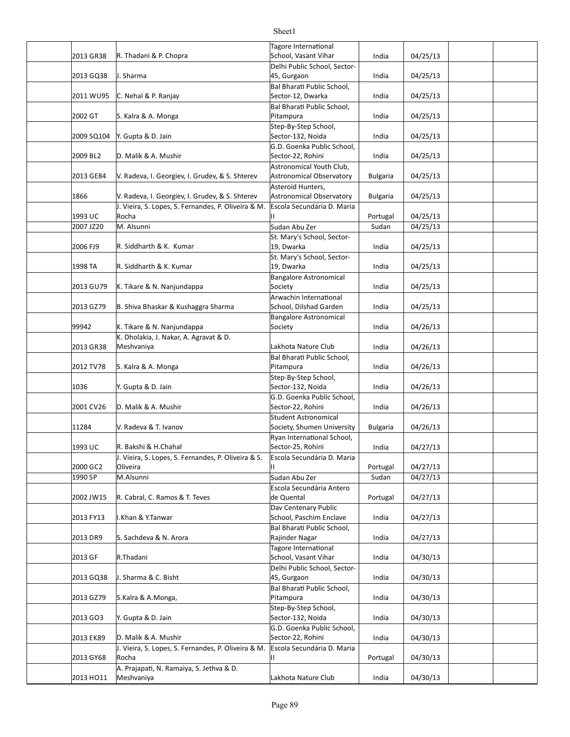| 2013 GR38  | R. Thadani & P. Chopra                                          | Tagore International<br>School, Vasant Vihar              | India           | 04/25/13 |  |
|------------|-----------------------------------------------------------------|-----------------------------------------------------------|-----------------|----------|--|
|            |                                                                 | Delhi Public School, Sector-                              |                 |          |  |
| 2013 GQ38  | J. Sharma                                                       | 45, Gurgaon<br>Bal Bharati Public School.                 | India           | 04/25/13 |  |
| 2011 WU95  | C. Nehal & P. Ranjay                                            | Sector-12, Dwarka                                         | India           | 04/25/13 |  |
| 2002 GT    | S. Kalra & A. Monga                                             | Bal Bharati Public School,<br>Pitampura                   | India           | 04/25/13 |  |
| 2009 SQ104 | Y. Gupta & D. Jain                                              | Step-By-Step School,<br>Sector-132, Noida                 | India           | 04/25/13 |  |
| 2009 BL2   | D. Malik & A. Mushir                                            | G.D. Goenka Public School,<br>Sector-22, Rohini           | India           | 04/25/13 |  |
| 2013 GE84  | V. Radeva, I. Georgiev, I. Grudev, & S. Shterev                 | Astronomical Youth Club,<br>Astronomical Observatory      | <b>Bulgaria</b> | 04/25/13 |  |
| 1866       | V. Radeva, I. Georgiev, I. Grudev, & S. Shterev                 | Asteroid Hunters,<br><b>Astronomical Observatory</b>      | <b>Bulgaria</b> | 04/25/13 |  |
| 1993 UC    | J. Vieira, S. Lopes, S. Fernandes, P. Oliveira & M.<br>Rocha    | Escola Secundária D. Maria<br>П.                          | Portugal        | 04/25/13 |  |
| 2007 JZ20  | M. Alsunni                                                      | Sudan Abu Zer                                             | Sudan           | 04/25/13 |  |
| 2006 FJ9   | R. Siddharth & K. Kumar                                         | St. Mary's School, Sector-<br>19, Dwarka                  | India           | 04/25/13 |  |
| 1998 TA    | R. Siddharth & K. Kumar                                         | St. Mary's School, Sector-<br>19, Dwarka                  | India           | 04/25/13 |  |
| 2013 GU79  | K. Tikare & N. Nanjundappa                                      | <b>Bangalore Astronomical</b><br>Society                  | India           | 04/25/13 |  |
|            |                                                                 | Arwachin International                                    |                 |          |  |
| 2013 GZ79  | B. Shiva Bhaskar & Kushaggra Sharma                             | School, Dilshad Garden                                    | India           | 04/25/13 |  |
| 99942      | K. Tikare & N. Nanjundappa                                      | <b>Bangalore Astronomical</b><br>Society                  | India           | 04/26/13 |  |
| 2013 GR38  | K. Dholakia, J. Nakar, A. Agravat & D.<br>Meshvaniya            | Lakhota Nature Club                                       | India           | 04/26/13 |  |
|            |                                                                 | Bal Bharati Public School,                                |                 |          |  |
| 2012 TV78  | S. Kalra & A. Monga                                             | Pitampura                                                 | India           | 04/26/13 |  |
| 1036       | Y. Gupta & D. Jain                                              | Step-By-Step School,<br>Sector-132, Noida                 | India           | 04/26/13 |  |
| 2001 CV26  | D. Malik & A. Mushir                                            | G.D. Goenka Public School,<br>Sector-22, Rohini           | India           | 04/26/13 |  |
| 11284      | V. Radeva & T. Ivanov                                           | <b>Student Astronomical</b><br>Society, Shumen University | <b>Bulgaria</b> | 04/26/13 |  |
|            |                                                                 | Ryan International School,                                |                 |          |  |
| 1993 UC    | R. Bakshi & H.Chahal                                            | Sector-25, Rohini                                         | India           | 04/27/13 |  |
| 2000 GC2   | J. Vieira, S. Lopes, S. Fernandes, P. Oliveira & S.<br>Oliveira | Escola Secundária D. Maria<br>н.                          | Portugal        | 04/27/13 |  |
| 1990 SP    | M.Alsunni                                                       | Sudan Abu Zer                                             | Sudan           | 04/27/13 |  |
| 2002 JW15  | R. Cabral, C. Ramos & T. Teves                                  | Escola Secundária Antero<br>de Quental                    | Portugal        | 04/27/13 |  |
| 2013 FY13  | I.Khan & Y.Tanwar                                               | Dav Centenary Public<br>School, Paschim Enclave           | India           | 04/27/13 |  |
| 2013 DR9   | S. Sachdeva & N. Arora                                          | Bal Bharati Public School,<br>Rajinder Nagar              | India           | 04/27/13 |  |
| 2013 GF    | R.Thadani                                                       | Tagore International<br>School, Vasant Vihar              | India           | 04/30/13 |  |
| 2013 GQ38  | J. Sharma & C. Bisht                                            | Delhi Public School, Sector-<br>45, Gurgaon               | India           | 04/30/13 |  |
| 2013 GZ79  | S.Kalra & A.Monga,                                              | Bal Bharati Public School,<br>Pitampura                   | India           | 04/30/13 |  |
| 2013 GO3   | Y. Gupta & D. Jain                                              | Step-By-Step School,<br>Sector-132, Noida                 | India           | 04/30/13 |  |
| 2013 EK89  | D. Malik & A. Mushir                                            | G.D. Goenka Public School,<br>Sector-22, Rohini           | India           | 04/30/13 |  |
| 2013 GY68  | J. Vieira, S. Lopes, S. Fernandes, P. Oliveira & M.<br>Rocha    | Escola Secundária D. Maria<br>П.                          | Portugal        | 04/30/13 |  |
| 2013 HO11  | A. Prajapati, N. Ramaiya, S. Jethva & D.<br>Meshvaniya          | Lakhota Nature Club                                       | India           | 04/30/13 |  |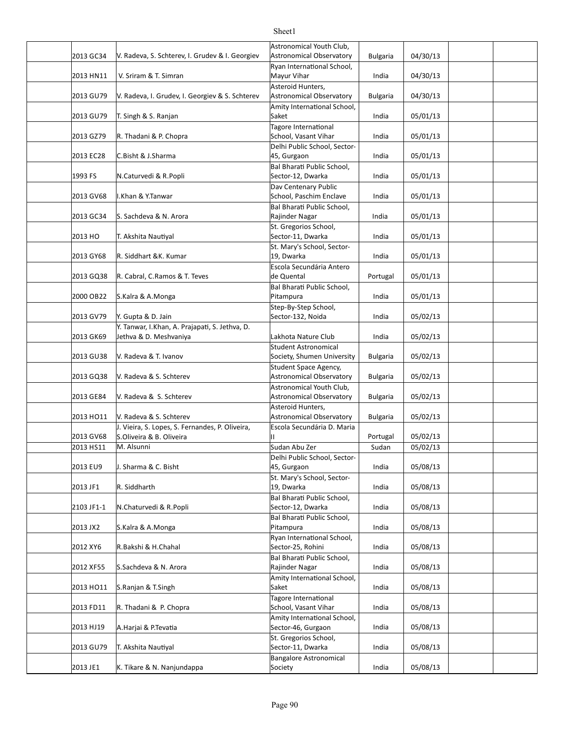#### 2013 GC34 Y. Radeva, S. Schterev, I. Grudev & I. Georgiev Astronomical Observatory | Bulgaria | 04/30/13 2013 HN11 N. Sriram & T. Simran North Communist Charles Mayur Vihar North Communist Communist Communist Commun 2013 GU79 V. Radeva, I. Grudev, I. Georgiev & S. Schterev Astronomical Observatory | Bulgaria | 04/30/13 2013 GU79 India 05/01/13 T. Singh & S. Ranjan 2013 GZ79 R. Thadani & P. Chopra 1988 (School, Vasant Vihar | India | 05/01/13 2013 EC28 C.Bisht & J.Sharma 1988 1998 125, Gurgaon 1998 11 | 11 | 11 | 11 | 05/01/13 1993 FS |N.Caturvedi & R.Popli |Sector-12, Dwarka | India | 05/01/13 2013 GV68 |I.Khan & Y.Tanwar School, Paschim Enclave India 05/01/13 2013 GC34 S. Sachdeva & N. Arora Rajinder Nagar India 05/01/13 2013 HO India 05/01/13 T. Akshita Nau]yal 2013 GY68 India 05/01/13 R. Siddhart &K. Kumar 2013 GQ38 R. Cabral, C.Ramos & T. Teves de antique de Quental de la protugal de 1 05/01/13 2000 OB22 S.Kalra & A.Monga and the control of the pitampura and the control of the control of the control of t 2013 GV79 | Y. Gupta & D. Jain **India** | Cector-132, Noida | India | 05/02/13 2013 GK69 Jethva & D. Meshvaniya Lakhota Nature Club India 05/02/13 2013 GU38 Y. Radeva & T. Ivanov The Society, Shumen University | Bulgaria | 05/02/13 2013 GQ38 Y. Radeva & S. Schterev **Article State Controller Astronomical Observatory** Bulgaria | 05/02/13 2013 GE84 N. Radeva & S. Schterev Astronomical Observatory Bulgaria | 05/02/13 2013 HO11 |V. Radeva & S. Schterev Astronomical Observatory | Bulgaria | 05/02/13 2013 GV68 S.Oliveira & B. Oliveira (1994) And All Control (1994) And Dunnel Development (1995/02/13 2013 HS11 Sudan 05/02/13 M. Alsunni Sudan Abu Zer 2013 EU9 India 05/08/13 J. Sharma & C. Bisht 2013 JF1 India 05/08/13 2103 JF1-1 N.Chaturvedi & R.Popli Sector-12, Dwarka India 05/08/13 2013 JX2 S.Kalra & A.Monga **S.Kalra & A.Monga** S.Kalra B.A. Monga S.C. Pitampura S.C. 2013 JX2 S.C. 105/08/13 2012 XY6 India 05/08/13 R.Bakshi & H.Chahal 2012 XF55 S.Sachdeva & N. Arora Rajinder Nagar India 05/08/13 2013 HO11 India 05/08/13 S.Ranjan & T.Singh 2013 FD11 R. Thadani & P. Chopra 1988 (School, Vasant Vihar | India | 05/08/13 2013 HJ19 India 05/08/13 A.Harjai & P.Teva]a 2013 GU79 India 05/08/13 T. Akshita Nau]yal 2013 JE1 India 05/08/13 K. Tikare & N. Nanjundappa Astronomical Youth Club, Astronomical Observatory Ryan International School, Mayur Vihar Asteroid Hunters, **Astronomical Observatory** Amity International School, Saket Tagore International School, Vasant Vihar Delhi Public School, Sector-45, Gurgaon Bal Bharati Public School, Sector-12, Dwarka .Khan & Y.Tanwar Dav Centenary Public Bal Bharati Public School. Rajinder Nagar St. Gregorios School, Sector-11, Dwarka St. Mary's School, Sector-19. Dwarka Escola Secundária Antero de Quental Bal Bharati Public School, Pitampura Step-By-Step School, Sector-132, Noida Y. Tanwar, I.Khan, A. Prajapati, S. Jethva, D. V. Radeva & T. Ivanov **Student Astronomical** V. Radeva & S. Schterev Student Space Agency, V. Radeva & S. Schterev Astronomical Youth Club, V. Radeva & S. Schterev Asteroid Hunters, J. Vieira, S. Lopes, S. Fernandes, P. Oliveira, Escola Secundária D. Maria II Delhi Public School, Sector-45, Gurgaon R. Siddharth St. Mary's School, Sector-19, Dwarka **Bal Bharati Public School,** Sector-12, Dwarka Bal Bharati Public School, Pitampura Ryan International School, Sector-25, Rohini Bal Bharati Public School, Rajinder Nagar Amity International School, Saket Tagore International School, Vasant Vihar Amity International School, Sector-46, Gurgaon St. Gregorios School, Sector-11, Dwarka Bangalore Astronomical Society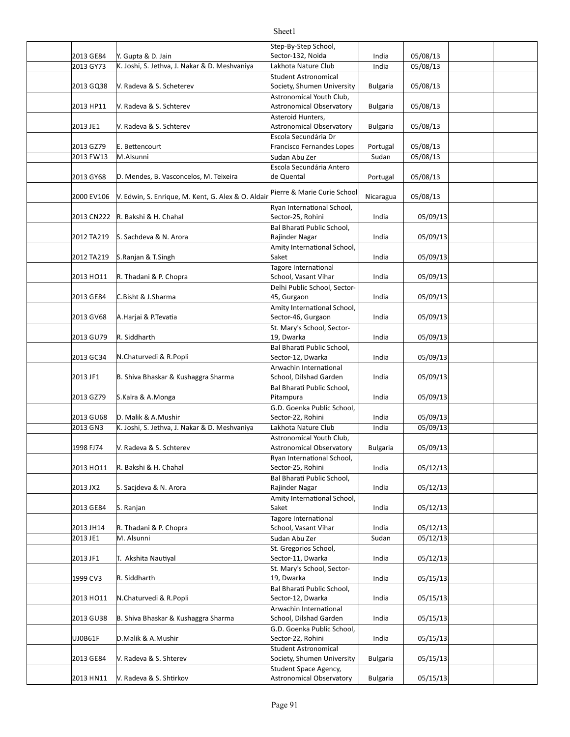#### 2013 GE84 Y. Gupta & D. Jain **India 1998** Sector-132, Noida 195/08/13 2013 GY73 India 05/08/13 K. Joshi, S. Jethva, J. Nakar & D. Meshvaniya Lakhota Nature Club 2013 GQ38 Y. Radeva & S. Scheterev Society, Shumen University | Bulgaria | 05/08/13 2013 HP11 V. Radeva & S. Schterev **Article State Controller Astronomical Observatory** Bulgaria | 05/08/13 2013 JE1 Bulgaria 05/08/13 Astronomical Observatory 2013 GZ79 E. Bettencourt entity and the set of Francisco Fernandes Lopes | Portugal | 05/08/13 2013 FW13 Sudan 05/08/13 M.Alsunni Sudan Abu Zer 2013 GY68 D. Mendes, B. Vasconcelos, M. Teixeira (de Quental de and de la portugal | 05/08/13 2000 EV106  $\left|$ V. Edwin, S. Enrique, M. Kent, G. Alex & O. Aldair $\left| \right|$ Pierre & Marie Curie School $\left| \right|$  Nicaragua  $\left| \right|$  05/08/13 2013 CN222 India 05/09/13 R. Bakshi & H. Chahal 2012 TA219 India 05/09/13 S. Sachdeva & N. Arora 2012 TA219 India 05/09/13 S.Ranjan & T.Singh 2013 HO11 R. Thadani & P. Chopra School, Vasant Vihar | India 05/09/13 2013 GE84 C.Bisht & J.Sharma |45, Gurgaon India 05/09/13 2013 GV68 India 05/09/13 A.Harjai & P.Teva]a 2013 GU79 India 05/09/13 2013 GC34 India 05/09/13 N.Chaturvedi & R.Popli 2013 JF1 |B. Shiva Bhaskar & Kushaggra Sharma |School, Dilshad Garden | India | 05/09/13 2013 GZ79 India 05/09/13 S.Kalra & A.Monga 2013 GU68 India 05/09/13 D. Malik & A.Mushir 2013 GN3 |K. Joshi, S. Jethva, J. Nakar & D. Meshvaniya |Lakhota Nature Club | India | 05/09/13 1998 FJ74 | V. Radeva & S. Schterev | Astronomical Observatory | Bulgaria | 05/09/13 2013 HO11 India 05/12/13 R. Bakshi & H. Chahal 2013 JX2 India 05/12/13 S. Sacjdeva & N. Arora 2013 GE84 India 05/12/13 2013 JH14 |R. Thadani & P. Chopra | School, Vasant Vihar | India | 05/12/13 2013 JE1 Sudan 05/12/13 M. Alsunni Sudan Abu Zer 2013 JF1 India 05/12/13 T. Akshita Nau]yal 1999 CV3 India 05/15/13 2013 HO11 |N.Chaturvedi & R.Popli |Sector-12, Dwarka | India | 05/15/13 2013 GU38 India 05/15/13 B. Shiva Bhaskar & Kushaggra Sharma UJ0B61F India 05/15/13 D.Malik & A.Mushir 2013 GE84 | V. Radeva & S. Shterev | Society, Shumen University | Bulgaria | 05/15/13 2013 HN11 |V. Radeva & S. Shtirkov |Astronomical Observatory | Bulgaria | 05/15/13 Step-By-Step School, Sector-132, Noida V. Radeva & S. Scheterev Student Astronomical V. Radeva & S. Schterev Astronomical Youth Club, V. Radeva & S. Schterev Asteroid Hunters, E. Bettencourt Escola Secundária Dr Escola Secundária Antero de Quental Ryan International School, Sector-25, Rohini Bal Bharati Public School, Rajinder Nagar Amity International School, Saket Tagore International School, Vasant Vihar Delhi Public School, Sector-45, Gurgaon Amity International School, Sector-46, Gurgaon R. Siddharth St. Mary's School, Sector-19, Dwarka Bal Bharati Public School, Sector-12, Dwarka Arwachin International School, Dilshad Garden Bal Bharati Public School, Pitampura G.D. Goenka Public School, Sector-22, Rohini V. Radeva & S. Schterev Astronomical Youth Club. Ryan International School, Sector-25, Rohini Bal Bharati Public School, Rajinder Nagar S. Ranjan Amity International School, Saket Tagore International School, Vasant Vihar St. Gregorios School, Sector-11, Dwarka R. Siddharth St. Mary's School, Sector-19, Dwarka **Bal Bharati Public School,** Sector-12, Dwarka Arwachin International School, Dilshad Garden G.D. Goenka Public School, Sector-22, Rohini V. Radeva & S. Shterev Student Astronomical V. Radeva & S. Shtirkov Student Space Agency,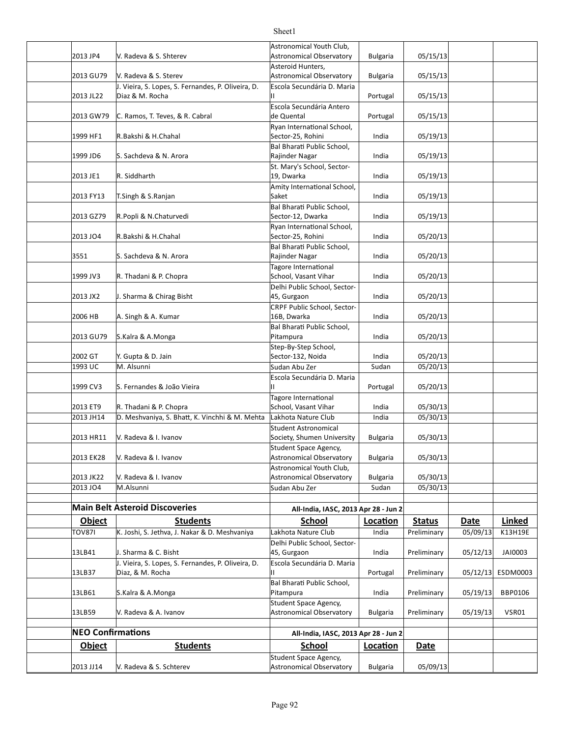#### 2013 JP4 | V. Radeva & S. Shterev | Astronomical Observatory | Bulgaria | 05/15/13 2013 GU79 Bulgaria 05/15/13 Astronomical Observatory 2013 JL22 Portugal 05/15/13 Diaz & M. Rocha 2013 GW79 C. Ramos, T. Teves, & R. Cabral https://de Quental https://www.flood.org/15/13/13/13/19/15/13/13 1999 HF1 India 05/19/13 R.Bakshi & H.Chahal 1999 JD6 India 05/19/13 S. Sachdeva & N. Arora 2013 JE1 India 05/19/13 2013 FY13 |T.Singh & S.Ranjan | Saket | India | 05/19/13 2013 GZ79 India 05/19/13 R.Popli & N.Chaturvedi 2013 JO4 India 05/20/13 R.Bakshi & H.Chahal 3551 India 05/20/13 S. Sachdeva & N. Arora 1999 JV3 |R. Thadani & P. Chopra |School, Vasant Vihar | India | 05/20/13 2013 JX2 | J. Sharma & Chirag Bisht | 45, Gurgaon India | 05/20/13 2006 HB | A. Singh & A. Kumar 10 | 16B, Dwarka | India | 05/20/13 2013 GU79 India 05/20/13 S.Kalra & A.Monga 2002 GT |Y. Gupta & D. Jain India | Sector-132, Noida | India | 05/20/13 1993 UC Sudan 05/20/13 M. Alsunni Sudan Abu Zer 1999 CV3 Portugal 05/20/13 S. Fernandes & João Vieira 2013 ET9 |R. Thadani & P. Chopra |School, Vasant Vihar | India | 05/30/13 2013 JH14 D. Meshvaniya, S. Bhatt, K. Vinchhi & M. Mehta Lakhota Nature Club India 05/30/13 2013 HR11 |V. Radeva & I. Ivanov |Society, Shumen University | Bulgaria | 05/30/13 2013 EK28 | V. Radeva & I. Ivanov | Astronomical Observatory | Bulgaria | 05/30/13 2013 JK22 |V. Radeva & I. Ivanov |Astronomical Observatory | Bulgaria | 05/30/13 2013 JO4 Sudan 05/30/13 M.Alsunni Sudan Abu Zer **Main Belt Asteroid Discoveries All-India, IASC, 2013 Apr 28 - Jun 2 Object Students School Loca.on Status Date Linked** TOV87I | K. Joshi, S. Jethva, J. Nakar & D. Meshvaniya | Lakhota Nature Club | India | Preliminary | 05/09/13 K13H19E 13LB41 India Preliminary 05/12/13 JAI0003 J. Sharma & C. Bisht 13LB37 Portugal Preliminary 05/12/13 ESDM0003 Diaz, & M. Rocha 13LB61 India Preliminary 05/19/13 BBP0106 S.Kalra & A.Monga 13LB59 Bulgaria Preliminary 05/19/13 VSR01 Astronomical Observatory **NEO Confirmations All-India, IASC, 2013 Apr 28 - Jun 2 Object Students School <b>Location** Date V. Radeva & S. Shterev Astronomical Youth Club, V. Radeva & S. Sterev Asteroid Hunters, J. Vieira, S. Lopes, S. Fernandes, P. Oliveira, D. Escola Secundária D. Maria II Escola Secundária Antero de Quental Ryan International School, Sector-25, Rohini Bal Bharati Public School, Rajinder Nagar R. Siddharth St. Mary's School, Sector-19, Dwarka Amity International School, Saket Bal Bharati Public School, Sector-12, Dwarka Ryan International School, Sector-25, Rohini Bal Bharati Public School, Rajinder Nagar Tagore International School, Vasant Vihar Delhi Public School, Sector-45, Gurgaon CRPF Public School, Sector-16B, Dwarka **Bal Bharati Public School,** Pitampura Step-By-Step School, Escola Secundária D. Maria II Tagore International School, Vasant Vihar V. Radeva & I. Ivanov Student Astronomical V. Radeva & I. Ivanov Student Space Agency, V. Radeva & I. Ivanov Astronomical Youth Club, Delhi Public School, Sector-45, Gurgaon J. Vieira, S. Lopes, S. Fernandes, P. Oliveira, D. Escola Secundária D. Maria II **Bal Bharati Public School,** Pitampura V. Radeva & A. Ivanov Student Space Agency, Student Space Agency,

### Sheet1

2013 JJ14 |V. Radeva & S. Schterev | Astronomical Observatory | Bulgaria | 05/09/13

V. Radeva & S. Schterev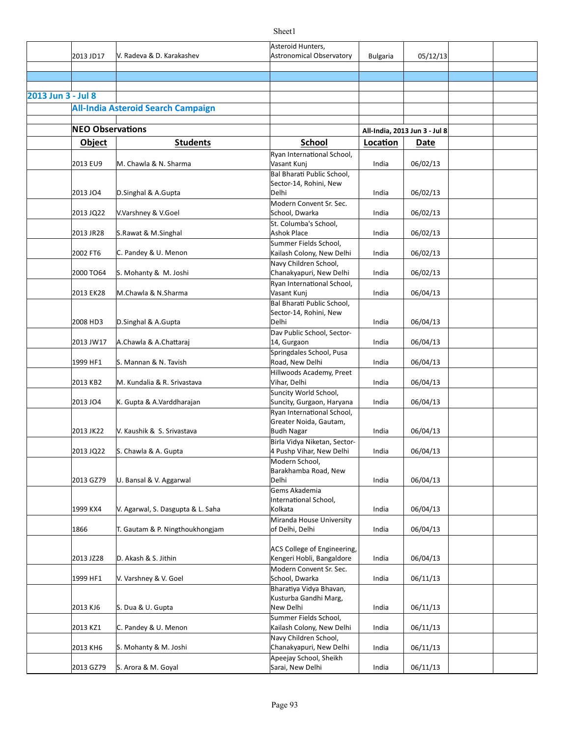|                    |                         |                                           | Asteroid Hunters,                           |                 |                               |  |
|--------------------|-------------------------|-------------------------------------------|---------------------------------------------|-----------------|-------------------------------|--|
|                    | 2013 JD17               | V. Radeva & D. Karakashev                 | <b>Astronomical Observatory</b>             | <b>Bulgaria</b> | 05/12/13                      |  |
|                    |                         |                                           |                                             |                 |                               |  |
|                    |                         |                                           |                                             |                 |                               |  |
|                    |                         |                                           |                                             |                 |                               |  |
| 2013 Jun 3 - Jul 8 |                         |                                           |                                             |                 |                               |  |
|                    |                         | <b>All-India Asteroid Search Campaign</b> |                                             |                 |                               |  |
|                    |                         |                                           |                                             |                 |                               |  |
|                    | <b>NEO Observations</b> |                                           |                                             |                 | All-India, 2013 Jun 3 - Jul 8 |  |
|                    | <b>Object</b>           | <b>Students</b>                           | <b>School</b>                               | Location        | <b>Date</b>                   |  |
|                    |                         |                                           | Ryan International School,                  |                 |                               |  |
|                    | 2013 EU9                | M. Chawla & N. Sharma                     | Vasant Kunj                                 | India           | 06/02/13                      |  |
|                    |                         |                                           | Bal Bharati Public School,                  |                 |                               |  |
|                    |                         |                                           | Sector-14, Rohini, New                      |                 |                               |  |
|                    | 2013 JO4                | D.Singhal & A.Gupta                       | <b>Delhi</b>                                | India           | 06/02/13                      |  |
|                    |                         |                                           | Modern Convent Sr. Sec.                     |                 |                               |  |
|                    | 2013 JQ22               | V.Varshney & V.Goel                       | School, Dwarka                              | India           | 06/02/13                      |  |
|                    |                         |                                           | St. Columba's School,                       |                 |                               |  |
|                    | 2013 JR28               | S.Rawat & M.Singhal                       | <b>Ashok Place</b>                          | India           | 06/02/13                      |  |
|                    |                         |                                           | Summer Fields School,                       |                 |                               |  |
|                    | 2002 FT6                | C. Pandey & U. Menon                      | Kailash Colony, New Delhi                   | India           | 06/02/13                      |  |
|                    |                         |                                           | Navy Children School,                       |                 |                               |  |
|                    | 2000 TO64               | S. Mohanty & M. Joshi                     | Chanakyapuri, New Delhi                     | India           | 06/02/13                      |  |
|                    |                         |                                           | Ryan International School,                  |                 |                               |  |
|                    | 2013 EK28               | M.Chawla & N.Sharma                       | Vasant Kunj                                 | India           | 06/04/13                      |  |
|                    |                         |                                           | <b>Bal Bharati Public School,</b>           |                 |                               |  |
|                    |                         |                                           | Sector-14, Rohini, New                      |                 |                               |  |
|                    | 2008 HD3                | D.Singhal & A.Gupta                       | Delhi                                       | India           | 06/04/13                      |  |
|                    |                         |                                           | Dav Public School, Sector-                  |                 |                               |  |
|                    | 2013 JW17               | A.Chawla & A.Chattaraj                    | 14, Gurgaon                                 | India           | 06/04/13                      |  |
|                    | 1999 HF1                | S. Mannan & N. Tavish                     | Springdales School, Pusa<br>Road, New Delhi |                 | 06/04/13                      |  |
|                    |                         |                                           |                                             | India           |                               |  |
|                    | 2013 KB2                | M. Kundalia & R. Srivastava               | Hillwoods Academy, Preet<br>Vihar, Delhi    | India           |                               |  |
|                    |                         |                                           | Suncity World School,                       |                 | 06/04/13                      |  |
|                    | 2013 JO4                | K. Gupta & A.Varddharajan                 | Suncity, Gurgaon, Haryana                   | India           | 06/04/13                      |  |
|                    |                         |                                           | Ryan International School,                  |                 |                               |  |
|                    |                         |                                           | Greater Noida, Gautam,                      |                 |                               |  |
|                    | 2013 JK22               | V. Kaushik & S. Srivastava                | <b>Budh Nagar</b>                           | India           | 06/04/13                      |  |
|                    |                         |                                           | Birla Vidya Niketan, Sector-                |                 |                               |  |
|                    | 2013 JQ22               | S. Chawla & A. Gupta                      | 4 Pushp Vihar, New Delhi                    | India           | 06/04/13                      |  |
|                    |                         |                                           | Modern School,                              |                 |                               |  |
|                    |                         |                                           | Barakhamba Road, New                        |                 |                               |  |
|                    | 2013 GZ79               | U. Bansal & V. Aggarwal                   | Delhi                                       | India           | 06/04/13                      |  |
|                    |                         |                                           | Gems Akademia                               |                 |                               |  |
|                    |                         |                                           | International School,                       |                 |                               |  |
|                    | 1999 KX4                | V. Agarwal, S. Dasgupta & L. Saha         | Kolkata                                     | India           | 06/04/13                      |  |
|                    | 1866                    | T. Gautam & P. Ningthoukhongjam           | Miranda House University<br>of Delhi, Delhi | India           | 06/04/13                      |  |
|                    |                         |                                           |                                             |                 |                               |  |
|                    |                         |                                           | ACS College of Engineering,                 |                 |                               |  |
|                    | 2013 JZ28               | D. Akash & S. Jithin                      | Kengeri Hobli, Bangaldore                   | India           | 06/04/13                      |  |
|                    |                         |                                           | Modern Convent Sr. Sec.                     |                 |                               |  |
|                    | 1999 HF1                | V. Varshney & V. Goel                     | School, Dwarka                              | India           | 06/11/13                      |  |
|                    |                         |                                           | Bharatiya Vidya Bhavan,                     |                 |                               |  |
|                    |                         |                                           | Kusturba Gandhi Marg,                       |                 |                               |  |
|                    | 2013 KJ6                | S. Dua & U. Gupta                         | New Delhi                                   | India           | 06/11/13                      |  |
|                    |                         |                                           | Summer Fields School,                       |                 |                               |  |
|                    | 2013 KZ1                | C. Pandey & U. Menon                      | Kailash Colony, New Delhi                   | India           | 06/11/13                      |  |
|                    |                         |                                           | Navy Children School,                       |                 |                               |  |
|                    | 2013 KH6                | S. Mohanty & M. Joshi                     | Chanakyapuri, New Delhi                     | India           | 06/11/13                      |  |
|                    |                         |                                           | Apeejay School, Sheikh                      |                 |                               |  |
|                    | 2013 GZ79               | S. Arora & M. Goyal                       | Sarai, New Delhi                            | India           | 06/11/13                      |  |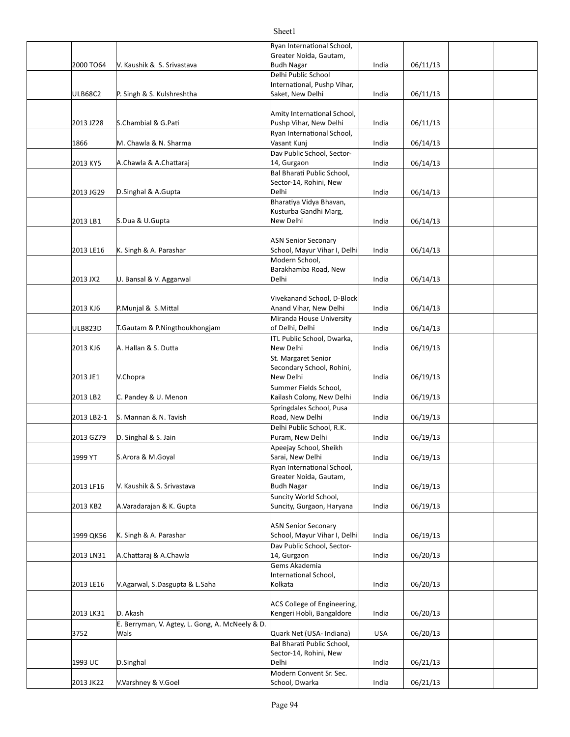|                |                                                         | Ryan International School,<br>Greater Noida, Gautam,  |       |          |  |
|----------------|---------------------------------------------------------|-------------------------------------------------------|-------|----------|--|
| 2000 TO64      | V. Kaushik & S. Srivastava                              | <b>Budh Nagar</b>                                     | India | 06/11/13 |  |
|                |                                                         | Delhi Public School<br>International, Pushp Vihar,    |       |          |  |
| <b>ULB68C2</b> | P. Singh & S. Kulshreshtha                              | Saket, New Delhi                                      | India | 06/11/13 |  |
|                |                                                         |                                                       |       |          |  |
|                | S.Chambial & G.Pati                                     | Amity International School,<br>Pushp Vihar, New Delhi |       |          |  |
| 2013 JZ28      |                                                         | Ryan International School,                            | India | 06/11/13 |  |
| 1866           | M. Chawla & N. Sharma                                   | Vasant Kunj                                           | India | 06/14/13 |  |
|                |                                                         | Dav Public School, Sector-                            |       |          |  |
| 2013 KY5       | A.Chawla & A.Chattaraj                                  | 14, Gurgaon                                           | India | 06/14/13 |  |
|                |                                                         | Bal Bharati Public School,<br>Sector-14, Rohini, New  |       |          |  |
| 2013 JG29      | D.Singhal & A.Gupta                                     | Delhi                                                 | India | 06/14/13 |  |
|                |                                                         | Bharatiya Vidya Bhavan,                               |       |          |  |
| 2013 LB1       |                                                         | Kusturba Gandhi Marg,<br>New Delhi                    |       |          |  |
|                | S.Dua & U.Gupta                                         |                                                       | India | 06/14/13 |  |
|                |                                                         | <b>ASN Senior Seconary</b>                            |       |          |  |
| 2013 LE16      | K. Singh & A. Parashar                                  | School, Mayur Vihar I, Delhi                          | India | 06/14/13 |  |
|                |                                                         | Modern School,                                        |       |          |  |
| 2013 JX2       | U. Bansal & V. Aggarwal                                 | Barakhamba Road, New<br>Delhi                         | India | 06/14/13 |  |
|                |                                                         |                                                       |       |          |  |
|                |                                                         | Vivekanand School, D-Block                            |       |          |  |
| 2013 KJ6       | P.Munjal & S.Mittal                                     | Anand Vihar, New Delhi                                | India | 06/14/13 |  |
| ULB823D        | T.Gautam & P.Ningthoukhongjam                           | Miranda House University<br>of Delhi, Delhi           | India | 06/14/13 |  |
|                |                                                         | ITL Public School, Dwarka,                            |       |          |  |
| 2013 KJ6       | A. Hallan & S. Dutta                                    | New Delhi                                             | India | 06/19/13 |  |
|                |                                                         | St. Margaret Senior                                   |       |          |  |
| 2013 JE1       | V.Chopra                                                | Secondary School, Rohini,<br>New Delhi                | India | 06/19/13 |  |
|                |                                                         | Summer Fields School,                                 |       |          |  |
| 2013 LB2       | C. Pandey & U. Menon                                    | Kailash Colony, New Delhi                             | India | 06/19/13 |  |
|                |                                                         | Springdales School, Pusa                              |       |          |  |
| 2013 LB2-1     | S. Mannan & N. Tavish                                   | Road, New Delhi                                       | India | 06/19/13 |  |
| 2013 GZ79      | D. Singhal & S. Jain                                    | Delhi Public School, R.K.<br>Puram, New Delhi         | India | 06/19/13 |  |
|                |                                                         | Apeejay School, Sheikh                                |       |          |  |
| 1999 YT        | S.Arora & M.Goyal                                       | Sarai, New Delhi                                      | India | 06/19/13 |  |
|                |                                                         | Ryan International School,                            |       |          |  |
| 2013 LF16      | V. Kaushik & S. Srivastava                              | Greater Noida, Gautam,<br><b>Budh Nagar</b>           | India | 06/19/13 |  |
|                |                                                         | Suncity World School,                                 |       |          |  |
| 2013 KB2       | A.Varadarajan & K. Gupta                                | Suncity, Gurgaon, Haryana                             | India | 06/19/13 |  |
|                |                                                         | <b>ASN Senior Seconary</b>                            |       |          |  |
| 1999 QK56      | K. Singh & A. Parashar                                  | School, Mayur Vihar I, Delhi                          | India | 06/19/13 |  |
|                |                                                         | Dav Public School, Sector-                            |       |          |  |
| 2013 LN31      | A.Chattaraj & A.Chawla                                  | 14, Gurgaon                                           | India | 06/20/13 |  |
|                |                                                         | Gems Akademia<br>International School,                |       |          |  |
| 2013 LE16      | V.Agarwal, S.Dasgupta & L.Saha                          | Kolkata                                               | India | 06/20/13 |  |
|                |                                                         |                                                       |       |          |  |
|                |                                                         | ACS College of Engineering,                           |       |          |  |
| 2013 LK31      | D. Akash                                                | Kengeri Hobli, Bangaldore                             | India | 06/20/13 |  |
| 3752           | E. Berryman, V. Agtey, L. Gong, A. McNeely & D.<br>Wals | Quark Net (USA- Indiana)                              | USA   | 06/20/13 |  |
|                |                                                         | Bal Bharati Public School,                            |       |          |  |
|                |                                                         | Sector-14, Rohini, New                                |       |          |  |
| 1993 UC        | D.Singhal                                               | Delhi                                                 | India | 06/21/13 |  |
| 2013 JK22      | V.Varshney & V.Goel                                     | Modern Convent Sr. Sec.<br>School, Dwarka             | India | 06/21/13 |  |
|                |                                                         |                                                       |       |          |  |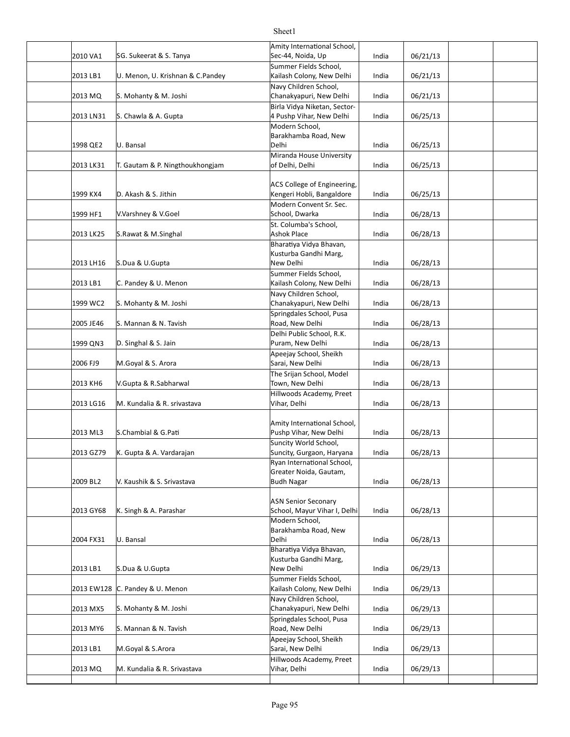| 2010 VA1   | SG. Sukeerat & S. Tanya          | Amity International School,<br>Sec-44, Noida, Up           | India | 06/21/13 |  |
|------------|----------------------------------|------------------------------------------------------------|-------|----------|--|
| 2013 LB1   | U. Menon, U. Krishnan & C.Pandey | Summer Fields School,<br>Kailash Colony, New Delhi         | India | 06/21/13 |  |
|            |                                  | Navy Children School,                                      |       |          |  |
| 2013 MQ    | S. Mohanty & M. Joshi            | Chanakyapuri, New Delhi                                    | India | 06/21/13 |  |
| 2013 LN31  | S. Chawla & A. Gupta             | Birla Vidya Niketan, Sector-<br>4 Pushp Vihar, New Delhi   | India | 06/25/13 |  |
| 1998 QE2   | U. Bansal                        | Modern School,<br>Barakhamba Road, New<br>Delhi            | India | 06/25/13 |  |
|            |                                  | Miranda House University                                   |       |          |  |
| 2013 LK31  | T. Gautam & P. Ningthoukhongjam  | of Delhi, Delhi                                            | India | 06/25/13 |  |
| 1999 KX4   | D. Akash & S. Jithin             | ACS College of Engineering,<br>Kengeri Hobli, Bangaldore   | India | 06/25/13 |  |
| 1999 HF1   | V.Varshney & V.Goel              | Modern Convent Sr. Sec.<br>School, Dwarka                  | India | 06/28/13 |  |
| 2013 LK25  |                                  | St. Columba's School,<br><b>Ashok Place</b>                | India | 06/28/13 |  |
|            | S.Rawat & M.Singhal              | Bharatiya Vidya Bhavan,                                    |       |          |  |
| 2013 LH16  | S.Dua & U.Gupta                  | Kusturba Gandhi Marg,<br>New Delhi                         | India | 06/28/13 |  |
|            |                                  | Summer Fields School,                                      |       |          |  |
| 2013 LB1   | C. Pandey & U. Menon             | Kailash Colony, New Delhi<br>Navy Children School,         | India | 06/28/13 |  |
| 1999 WC2   | S. Mohanty & M. Joshi            | Chanakyapuri, New Delhi                                    | India | 06/28/13 |  |
| 2005 JE46  | S. Mannan & N. Tavish            | Springdales School, Pusa<br>Road, New Delhi                | India | 06/28/13 |  |
|            |                                  | Delhi Public School, R.K.                                  |       |          |  |
| 1999 QN3   | D. Singhal & S. Jain             | Puram, New Delhi                                           | India | 06/28/13 |  |
| 2006 FJ9   | M.Goyal & S. Arora               | Apeejay School, Sheikh<br>Sarai, New Delhi                 | India | 06/28/13 |  |
|            |                                  | The Srijan School, Model                                   |       |          |  |
| 2013 KH6   | V.Gupta & R.Sabharwal            | Town, New Delhi                                            | India | 06/28/13 |  |
| 2013 LG16  | M. Kundalia & R. srivastava      | Hillwoods Academy, Preet<br>Vihar, Delhi                   | India | 06/28/13 |  |
|            |                                  |                                                            |       |          |  |
| 2013 ML3   | S.Chambial & G.Pati              | Amity International School,<br>Pushp Vihar, New Delhi      | India | 06/28/13 |  |
|            |                                  | Suncity World School,                                      |       |          |  |
| 2013 GZ79  | K. Gupta & A. Vardarajan         | Suncity, Gurgaon, Haryana                                  | India | 06/28/13 |  |
|            |                                  | Ryan International School,<br>Greater Noida, Gautam,       |       |          |  |
| 2009 BL2   | V. Kaushik & S. Srivastava       | <b>Budh Nagar</b>                                          | India | 06/28/13 |  |
|            |                                  |                                                            |       |          |  |
| 2013 GY68  | K. Singh & A. Parashar           | <b>ASN Senior Seconary</b><br>School, Mayur Vihar I, Delhi | India | 06/28/13 |  |
|            |                                  | Modern School,                                             |       |          |  |
|            |                                  | Barakhamba Road, New                                       |       |          |  |
| 2004 FX31  | U. Bansal                        | Delhi<br>Bharatiya Vidya Bhavan,                           | India | 06/28/13 |  |
|            |                                  | Kusturba Gandhi Marg,                                      |       |          |  |
| 2013 LB1   | S.Dua & U.Gupta                  | New Delhi                                                  | India | 06/29/13 |  |
| 2013 EW128 | C. Pandey & U. Menon             | Summer Fields School,<br>Kailash Colony, New Delhi         | India | 06/29/13 |  |
| 2013 MX5   | S. Mohanty & M. Joshi            | Navy Children School,<br>Chanakyapuri, New Delhi           | India | 06/29/13 |  |
|            |                                  | Springdales School, Pusa                                   |       |          |  |
| 2013 MY6   | S. Mannan & N. Tavish            | Road, New Delhi                                            | India | 06/29/13 |  |
| 2013 LB1   | M.Goyal & S.Arora                | Apeejay School, Sheikh<br>Sarai, New Delhi                 | India | 06/29/13 |  |
| 2013 MQ    | M. Kundalia & R. Srivastava      | Hillwoods Academy, Preet<br>Vihar, Delhi                   | India |          |  |
|            |                                  |                                                            |       | 06/29/13 |  |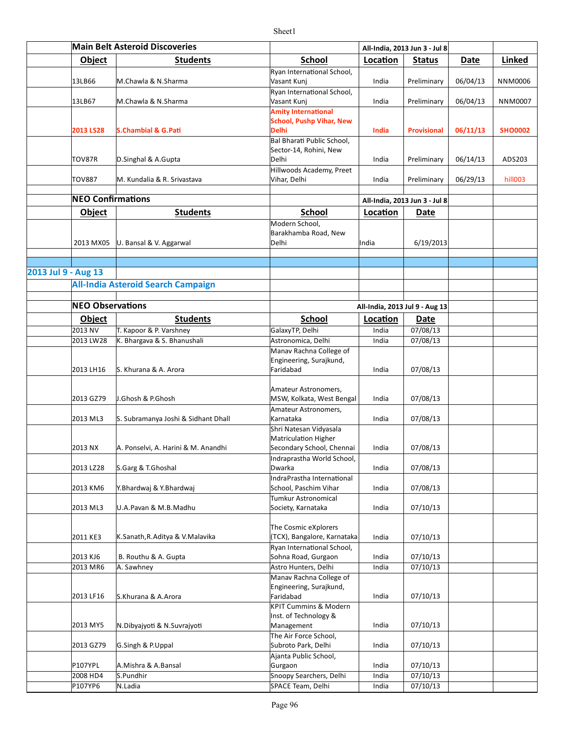|                     | <b>Main Belt Asteroid Discoveries</b> |                                                          |                                                                                                      | All-India, 2013 Jun 3 - Jul 8  |                               |          |                |
|---------------------|---------------------------------------|----------------------------------------------------------|------------------------------------------------------------------------------------------------------|--------------------------------|-------------------------------|----------|----------------|
|                     | Object                                | <b>Students</b>                                          | <b>School</b>                                                                                        | Location                       | <b>Status</b>                 | Date     | <b>Linked</b>  |
|                     | 13LB66                                | M.Chawla & N.Sharma                                      | Ryan International School,<br>Vasant Kunj                                                            | India                          | Preliminary                   | 06/04/13 | NNM0006        |
|                     | 13LB67                                | M.Chawla & N.Sharma                                      | Ryan International School,<br>Vasant Kunj                                                            | India                          | Preliminary                   | 06/04/13 | NNM0007        |
|                     | 2013 LS28                             | S.Chambial & G.Pati                                      | <b>Amity International</b><br><b>School, Pushp Vihar, New</b><br>Delhi<br>Bal Bharati Public School, | India                          | <b>Provisional</b>            | 06/11/13 | <b>SHO0002</b> |
|                     | TOV87R                                | D.Singhal & A.Gupta                                      | Sector-14, Rohini, New<br>Delhi                                                                      | India                          | Preliminary                   | 06/14/13 | ADS203         |
|                     | TOV887                                | M. Kundalia & R. Srivastava                              | Hillwoods Academy, Preet<br>Vihar, Delhi                                                             | India                          | Preliminary                   | 06/29/13 | hill003        |
|                     | <b>NEO Confirmations</b>              |                                                          |                                                                                                      |                                | All-India, 2013 Jun 3 - Jul 8 |          |                |
|                     | <b>Object</b>                         | <b>Students</b>                                          | <b>School</b>                                                                                        | Location                       | <b>Date</b>                   |          |                |
|                     | 2013 MX05                             | U. Bansal & V. Aggarwal                                  | Modern School,<br>Barakhamba Road, New<br>Delhi                                                      | India                          | 6/19/2013                     |          |                |
|                     |                                       |                                                          |                                                                                                      |                                |                               |          |                |
| 2013 Jul 9 - Aug 13 |                                       |                                                          |                                                                                                      |                                |                               |          |                |
|                     |                                       | <b>All-India Asteroid Search Campaign</b>                |                                                                                                      |                                |                               |          |                |
|                     |                                       |                                                          |                                                                                                      |                                |                               |          |                |
|                     | <b>NEO Observations</b>               |                                                          |                                                                                                      | All-India, 2013 Jul 9 - Aug 13 |                               |          |                |
|                     | Object                                | <b>Students</b>                                          | <b>School</b>                                                                                        | Location                       | Date                          |          |                |
|                     | 2013 NV                               | T. Kapoor & P. Varshney                                  | GalaxyTP, Delhi                                                                                      | India                          | 07/08/13                      |          |                |
|                     | 2013 LW28                             | K. Bhargava & S. Bhanushali                              | Astronomica, Delhi                                                                                   | India                          | 07/08/13                      |          |                |
|                     | 2013 LH16                             | S. Khurana & A. Arora                                    | Manav Rachna College of<br>Engineering, Surajkund,<br>Faridabad                                      | India                          | 07/08/13                      |          |                |
|                     |                                       |                                                          | Amateur Astronomers,                                                                                 |                                |                               |          |                |
|                     | 2013 GZ79<br>2013 ML3                 | J.Ghosh & P.Ghosh<br>S. Subramanya Joshi & Sidhant Dhall | MSW, Kolkata, West Bengal<br>Amateur Astronomers,<br>Karnataka                                       | India<br>India                 | 07/08/13<br>07/08/13          |          |                |
|                     | 2013 NX                               | A. Ponselvi, A. Harini & M. Anandhi                      | Shri Natesan Vidyasala<br>Matriculation Higher<br>Secondary School, Chennai                          | India                          | 07/08/13                      |          |                |
|                     | 2013 LZ28                             | S.Garg & T.Ghoshal                                       | Indraprastha World School,<br>Dwarka                                                                 | India                          | 07/08/13                      |          |                |
|                     | 2013 KM6                              | Y.Bhardwaj & Y.Bhardwaj                                  | IndraPrastha International<br>School, Paschim Vihar                                                  | India                          | 07/08/13                      |          |                |
|                     | 2013 ML3                              | U.A.Pavan & M.B.Madhu                                    | Tumkur Astronomical<br>Society, Karnataka                                                            | India                          | 07/10/13                      |          |                |
|                     | 2011 KE3                              | K.Sanath, R.Aditya & V.Malavika                          | The Cosmic eXplorers<br>(TCX), Bangalore, Karnataka<br>Ryan International School,                    | India                          | 07/10/13                      |          |                |
|                     | 2013 KJ6                              | B. Routhu & A. Gupta                                     | Sohna Road, Gurgaon                                                                                  | India                          | 07/10/13                      |          |                |
|                     | 2013 MR6                              | A. Sawhney                                               | Astro Hunters, Delhi                                                                                 | India                          | 07/10/13                      |          |                |
|                     | 2013 LF16                             | S.Khurana & A.Arora                                      | Manav Rachna College of<br>Engineering, Surajkund,<br>Faridabad<br>KPIT Cummins & Modern             | India                          | 07/10/13                      |          |                |
|                     | 2013 MY5                              | N.Dibyajyoti & N.Suvrajyoti                              | Inst. of Technology &<br>Management<br>The Air Force School,                                         | India                          | 07/10/13                      |          |                |
|                     | 2013 GZ79                             | G.Singh & P.Uppal                                        | Subroto Park, Delhi<br>Ajanta Public School,                                                         | India                          | 07/10/13                      |          |                |
|                     | P107YPL                               | A.Mishra & A.Bansal                                      | Gurgaon                                                                                              | India                          | 07/10/13                      |          |                |
|                     | 2008 HD4                              | S.Pundhir                                                | Snoopy Searchers, Delhi                                                                              | India                          | 07/10/13                      |          |                |
|                     | P107YP6                               | N.Ladia                                                  | SPACE Team, Delhi                                                                                    | India                          | 07/10/13                      |          |                |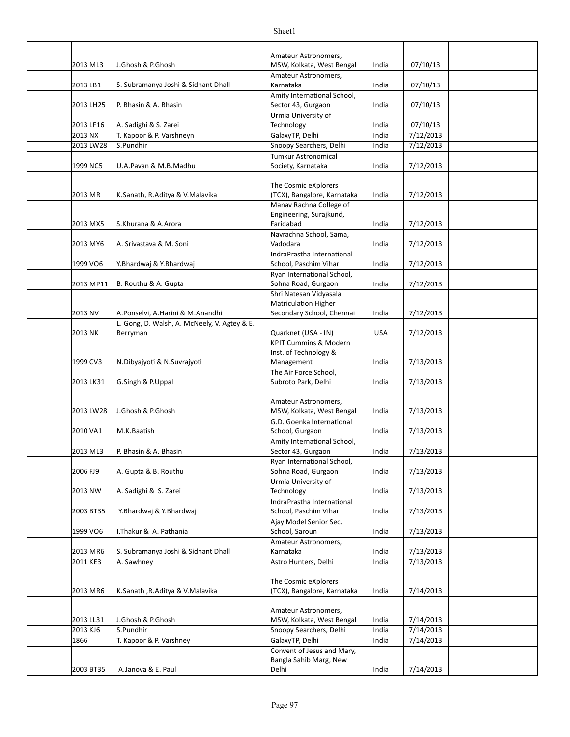| 2013 ML3         | J.Ghosh & P.Ghosh                                        | Amateur Astronomers,<br>MSW, Kolkata, West Bengal               | India          | 07/10/13               |  |
|------------------|----------------------------------------------------------|-----------------------------------------------------------------|----------------|------------------------|--|
| 2013 LB1         | S. Subramanya Joshi & Sidhant Dhall                      | Amateur Astronomers,<br>Karnataka                               | India          | 07/10/13               |  |
| 2013 LH25        | P. Bhasin & A. Bhasin                                    | Amity International School,<br>Sector 43, Gurgaon               | India          | 07/10/13               |  |
|                  |                                                          | Urmia University of                                             |                |                        |  |
| 2013 LF16        | A. Sadighi & S. Zarei                                    | Technology                                                      | India          | 07/10/13               |  |
| 2013 NX          | T. Kapoor & P. Varshneyn                                 | GalaxyTP, Delhi                                                 | India          | 7/12/2013              |  |
| 2013 LW28        | S.Pundhir                                                | Snoopy Searchers, Delhi                                         | India          | 7/12/2013              |  |
| 1999 NC5         | U.A.Pavan & M.B.Madhu                                    | Tumkur Astronomical<br>Society, Karnataka                       | India          | 7/12/2013              |  |
| 2013 MR          | K.Sanath, R.Aditya & V.Malavika                          | The Cosmic eXplorers<br>(TCX), Bangalore, Karnataka             | India          | 7/12/2013              |  |
| 2013 MX5         | S.Khurana & A.Arora                                      | Manav Rachna College of<br>Engineering, Surajkund,<br>Faridabad | India          | 7/12/2013              |  |
| 2013 MY6         | A. Srivastava & M. Soni                                  | Navrachna School, Sama,<br>Vadodara                             | India          | 7/12/2013              |  |
|                  |                                                          | IndraPrastha International                                      |                |                        |  |
| 1999 VO6         | Y.Bhardwaj & Y.Bhardwaj                                  | School, Paschim Vihar                                           | India          | 7/12/2013              |  |
|                  |                                                          | Ryan International School,                                      |                |                        |  |
| 2013 MP11        | B. Routhu & A. Gupta                                     | Sohna Road, Gurgaon                                             | India          | 7/12/2013              |  |
|                  |                                                          | Shri Natesan Vidyasala                                          |                |                        |  |
|                  |                                                          | Matriculation Higher                                            |                |                        |  |
| 2013 NV          | A.Ponselvi, A.Harini & M.Anandhi                         | Secondary School, Chennai                                       | India          | 7/12/2013              |  |
| 2013 NK          | L. Gong, D. Walsh, A. McNeely, V. Agtey & E.<br>Berryman | Quarknet (USA - IN)                                             | <b>USA</b>     |                        |  |
|                  |                                                          | <b>KPIT Cummins &amp; Modern</b>                                |                | 7/12/2013              |  |
|                  |                                                          | Inst. of Technology &                                           |                |                        |  |
| 1999 CV3         | N.Dibyajyoti & N.Suvrajyoti                              | Management                                                      | India          | 7/13/2013              |  |
|                  |                                                          | The Air Force School,                                           |                |                        |  |
| 2013 LK31        | G.Singh & P.Uppal                                        | Subroto Park, Delhi                                             | India          | 7/13/2013              |  |
|                  |                                                          |                                                                 |                |                        |  |
|                  |                                                          | Amateur Astronomers,                                            |                |                        |  |
| 2013 LW28        | J.Ghosh & P.Ghosh                                        | MSW, Kolkata, West Bengal                                       | India          | 7/13/2013              |  |
|                  |                                                          | G.D. Goenka International                                       |                |                        |  |
| 2010 VA1         | M.K.Baatish                                              | School, Gurgaon                                                 | India          | 7/13/2013              |  |
| 2013 ML3         |                                                          | Amity International School,                                     |                |                        |  |
|                  | P. Bhasin & A. Bhasin                                    | Sector 43, Gurgaon<br>Ryan International School,                | India          | 7/13/2013              |  |
| 2006 FJ9         | A. Gupta & B. Routhu                                     | Sohna Road, Gurgaon                                             | India          | 7/13/2013              |  |
|                  |                                                          | Urmia University of                                             |                |                        |  |
| 2013 NW          | A. Sadighi & S. Zarei                                    | Technology                                                      | India          | 7/13/2013              |  |
|                  |                                                          | IndraPrastha International                                      |                |                        |  |
| 2003 BT35        | Y.Bhardwaj & Y.Bhardwaj                                  | School, Paschim Vihar                                           | India          | 7/13/2013              |  |
|                  |                                                          | Ajay Model Senior Sec.                                          |                |                        |  |
| 1999 VO6         | I.Thakur & A. Pathania                                   | School, Saroun                                                  | India          | 7/13/2013              |  |
| 2013 MR6         | S. Subramanya Joshi & Sidhant Dhall                      | Amateur Astronomers,<br>Karnataka                               | India          | 7/13/2013              |  |
| 2011 KE3         | A. Sawhney                                               | Astro Hunters, Delhi                                            | India          | 7/13/2013              |  |
|                  |                                                          |                                                                 |                |                        |  |
|                  |                                                          | The Cosmic eXplorers                                            |                |                        |  |
| 2013 MR6         | K.Sanath ,R.Aditya & V.Malavika                          | (TCX), Bangalore, Karnataka                                     | India          | 7/14/2013              |  |
|                  |                                                          |                                                                 |                |                        |  |
|                  |                                                          | Amateur Astronomers,                                            |                |                        |  |
| 2013 LL31        | J.Ghosh & P.Ghosh                                        | MSW, Kolkata, West Bengal                                       | India          | 7/14/2013              |  |
| 2013 KJ6<br>1866 | S.Pundhir                                                | Snoopy Searchers, Delhi<br>GalaxyTP, Delhi                      | India<br>India | 7/14/2013<br>7/14/2013 |  |
|                  | T. Kapoor & P. Varshney                                  | Convent of Jesus and Mary,                                      |                |                        |  |
|                  |                                                          | Bangla Sahib Marg, New                                          |                |                        |  |
| 2003 BT35        | A.Janova & E. Paul                                       | Delhi                                                           | India          | 7/14/2013              |  |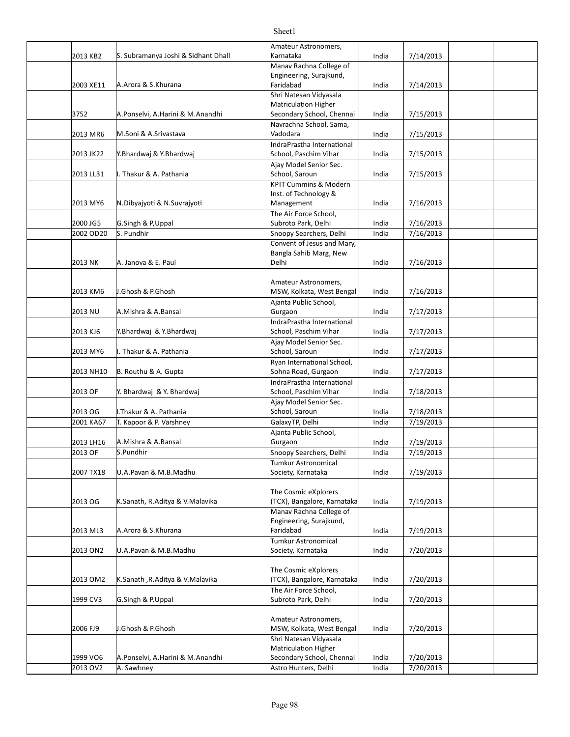|           |                                     | Amateur Astronomers,                               |       |           |  |
|-----------|-------------------------------------|----------------------------------------------------|-------|-----------|--|
| 2013 KB2  | S. Subramanya Joshi & Sidhant Dhall | Karnataka                                          | India | 7/14/2013 |  |
|           |                                     | Manav Rachna College of                            |       |           |  |
|           |                                     | Engineering, Surajkund,                            |       |           |  |
| 2003 XE11 | A.Arora & S.Khurana                 | Faridabad                                          | India | 7/14/2013 |  |
|           |                                     | Shri Natesan Vidyasala                             |       |           |  |
| 3752      | A.Ponselvi, A.Harini & M.Anandhi    | Matriculation Higher<br>Secondary School, Chennai  | India | 7/15/2013 |  |
|           |                                     | Navrachna School, Sama,                            |       |           |  |
| 2013 MR6  | M.Soni & A.Srivastava               | Vadodara                                           | India | 7/15/2013 |  |
|           |                                     | IndraPrastha International                         |       |           |  |
| 2013 JK22 | Y.Bhardwaj & Y.Bhardwaj             | School, Paschim Vihar                              | India | 7/15/2013 |  |
|           |                                     | Ajay Model Senior Sec.                             |       |           |  |
| 2013 LL31 | I. Thakur & A. Pathania             | School, Saroun                                     | India | 7/15/2013 |  |
|           |                                     | <b>KPIT Cummins &amp; Modern</b>                   |       |           |  |
|           |                                     | Inst. of Technology &                              |       |           |  |
| 2013 MY6  | N.Dibyajyoti & N.Suvrajyoti         | Management                                         | India | 7/16/2013 |  |
| 2000 JG5  | G.Singh & P,Uppal                   | The Air Force School,<br>Subroto Park, Delhi       | India | 7/16/2013 |  |
| 2002 OD20 | S. Pundhir                          | Snoopy Searchers, Delhi                            | India | 7/16/2013 |  |
|           |                                     | Convent of Jesus and Mary,                         |       |           |  |
|           |                                     | Bangla Sahib Marg, New                             |       |           |  |
| 2013 NK   | A. Janova & E. Paul                 | Delhi                                              | India | 7/16/2013 |  |
|           |                                     |                                                    |       |           |  |
|           |                                     | Amateur Astronomers,                               |       |           |  |
| 2013 KM6  | J.Ghosh & P.Ghosh                   | MSW, Kolkata, West Bengal                          | India | 7/16/2013 |  |
| 2013 NU   | A.Mishra & A.Bansal                 | Ajanta Public School,                              | India | 7/17/2013 |  |
|           |                                     | Gurgaon<br>IndraPrastha International              |       |           |  |
| 2013 KJ6  | Y.Bhardwaj & Y.Bhardwaj             | School, Paschim Vihar                              | India | 7/17/2013 |  |
|           |                                     | Ajay Model Senior Sec.                             |       |           |  |
| 2013 MY6  | I. Thakur & A. Pathania             | School, Saroun                                     | India | 7/17/2013 |  |
|           |                                     | Ryan International School,                         |       |           |  |
| 2013 NH10 | B. Routhu & A. Gupta                | Sohna Road, Gurgaon                                | India | 7/17/2013 |  |
|           |                                     | IndraPrastha International                         |       |           |  |
| 2013 OF   | Y. Bhardwaj & Y. Bhardwaj           | School, Paschim Vihar                              | India | 7/18/2013 |  |
|           |                                     | Ajay Model Senior Sec.                             |       |           |  |
| 2013 OG   | I.Thakur & A. Pathania              | School, Saroun<br>GalaxyTP, Delhi                  | India | 7/18/2013 |  |
| 2001 KA67 | T. Kapoor & P. Varshney             | Ajanta Public School,                              | India | 7/19/2013 |  |
| 2013 LH16 | A.Mishra & A.Bansal                 | Gurgaon                                            | India | 7/19/2013 |  |
| 2013 OF   | S.Pundhir                           | Snoopy Searchers, Delhi                            | India | 7/19/2013 |  |
|           |                                     | Tumkur Astronomical                                |       |           |  |
| 2007 TX18 | U.A.Pavan & M.B.Madhu               | Society, Karnataka                                 | India | 7/19/2013 |  |
|           |                                     |                                                    |       |           |  |
|           |                                     | The Cosmic eXplorers                               |       |           |  |
| 2013 OG   | K.Sanath, R.Aditya & V.Malavika     | (TCX), Bangalore, Karnataka                        | India | 7/19/2013 |  |
|           |                                     | Manav Rachna College of<br>Engineering, Surajkund, |       |           |  |
| 2013 ML3  | A.Arora & S.Khurana                 | Faridabad                                          | India | 7/19/2013 |  |
|           |                                     | Tumkur Astronomical                                |       |           |  |
| 2013 ON2  | U.A.Pavan & M.B.Madhu               | Society, Karnataka                                 | India | 7/20/2013 |  |
|           |                                     |                                                    |       |           |  |
|           |                                     | The Cosmic eXplorers                               |       |           |  |
| 2013 OM2  | K.Sanath, R.Aditya & V.Malavika     | (TCX), Bangalore, Karnataka                        | India | 7/20/2013 |  |
|           |                                     | The Air Force School,                              |       |           |  |
| 1999 CV3  | G.Singh & P.Uppal                   | Subroto Park, Delhi                                | India | 7/20/2013 |  |
|           |                                     | Amateur Astronomers,                               |       |           |  |
| 2006 FJ9  | J.Ghosh & P.Ghosh                   | MSW, Kolkata, West Bengal                          | India | 7/20/2013 |  |
|           |                                     | Shri Natesan Vidyasala                             |       |           |  |
|           |                                     | Matriculation Higher                               |       |           |  |
| 1999 VO6  | A.Ponselvi, A.Harini & M.Anandhi    | Secondary School, Chennai                          | India | 7/20/2013 |  |
| 2013 OV2  | A. Sawhney                          | Astro Hunters, Delhi                               | India | 7/20/2013 |  |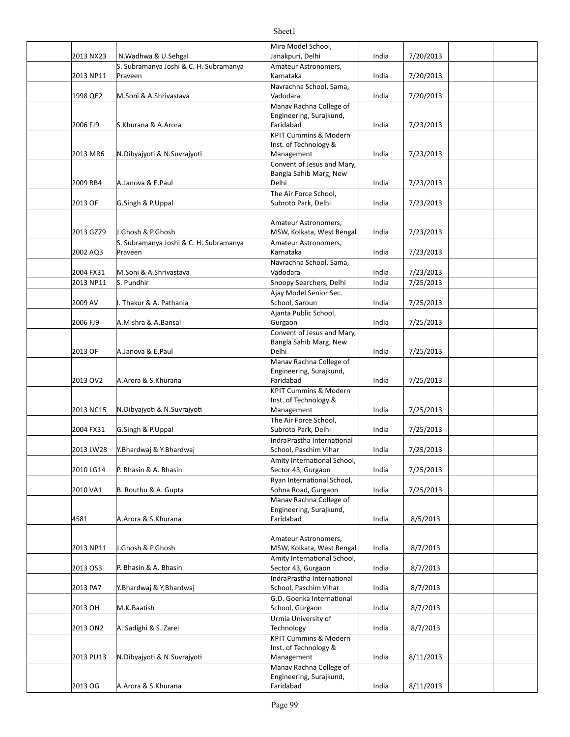|           |                                        | Mira Model School,                       |       |           |  |
|-----------|----------------------------------------|------------------------------------------|-------|-----------|--|
| 2013 NX23 | N.Wadhwa & U.Sehgal                    | Janakpuri, Delhi                         | India | 7/20/2013 |  |
|           | S. Subramanya Joshi & C. H. Subramanya | Amateur Astronomers,                     |       |           |  |
| 2013 NP11 | Praveen                                | Karnataka                                | India | 7/20/2013 |  |
| 1998 QE2  | M.Soni & A.Shrivastava                 | Navrachna School, Sama,<br>Vadodara      | India | 7/20/2013 |  |
|           |                                        | Manav Rachna College of                  |       |           |  |
|           |                                        | Engineering, Surajkund,                  |       |           |  |
| 2006 FJ9  | S.Khurana & A.Arora                    | Faridabad                                | India | 7/23/2013 |  |
|           |                                        | <b>KPIT Cummins &amp; Modern</b>         |       |           |  |
|           |                                        | Inst. of Technology &                    |       |           |  |
| 2013 MR6  | N.Dibyajyoti & N.Suvrajyoti            | Management                               | India | 7/23/2013 |  |
|           |                                        | Convent of Jesus and Mary,               |       |           |  |
|           |                                        | Bangla Sahib Marg, New                   |       |           |  |
| 2009 RB4  | A.Janova & E.Paul                      | Delhi                                    | India | 7/23/2013 |  |
|           |                                        | The Air Force School,                    |       |           |  |
| 2013 OF   | G.Singh & P.Uppal                      | Subroto Park, Delhi                      | India | 7/23/2013 |  |
|           |                                        |                                          |       |           |  |
|           |                                        | Amateur Astronomers,                     |       |           |  |
| 2013 GZ79 | J.Ghosh & P.Ghosh                      | MSW, Kolkata, West Bengal                | India | 7/23/2013 |  |
|           | S. Subramanya Joshi & C. H. Subramanya | Amateur Astronomers,                     |       |           |  |
| 2002 AQ3  | Praveen                                | Karnataka                                | India | 7/23/2013 |  |
| 2004 FX31 | M.Soni & A.Shrivastava                 | Navrachna School, Sama,<br>Vadodara      | India | 7/23/2013 |  |
| 2013 NP11 | S. Pundhir                             | Snoopy Searchers, Delhi                  |       |           |  |
|           |                                        |                                          | India | 7/25/2013 |  |
| 2009 AV   | I. Thakur & A. Pathania                | Ajay Model Senior Sec.<br>School, Saroun | India | 7/25/2013 |  |
|           |                                        | Ajanta Public School,                    |       |           |  |
| 2006 FJ9  | A.Mishra & A.Bansal                    | Gurgaon                                  | India | 7/25/2013 |  |
|           |                                        | Convent of Jesus and Mary,               |       |           |  |
|           |                                        | Bangla Sahib Marg, New                   |       |           |  |
| 2013 OF   | A.Janova & E.Paul                      | Delhi                                    | India | 7/25/2013 |  |
|           |                                        | Manav Rachna College of                  |       |           |  |
|           |                                        | Engineering, Surajkund,                  |       |           |  |
| 2013 OV2  | A.Arora & S.Khurana                    | Faridabad                                | India | 7/25/2013 |  |
|           |                                        | <b>KPIT Cummins &amp; Modern</b>         |       |           |  |
|           |                                        | Inst. of Technology &                    |       |           |  |
| 2013 NC15 | N.Dibyajyoti & N.Suvrajyoti            | Management                               | India | 7/25/2013 |  |
|           |                                        | The Air Force School,                    |       |           |  |
| 2004 FX31 | G.Singh & P.Uppal                      | Subroto Park, Delhi                      | India | 7/25/2013 |  |
|           |                                        | IndraPrastha International               |       |           |  |
| 2013 LW28 | Y.Bhardwaj & Y.Bhardwaj                | School, Paschim Vihar                    | India | 7/25/2013 |  |
|           |                                        | Amity International School,              |       |           |  |
| 2010 LG14 | P. Bhasin & A. Bhasin                  | Sector 43, Gurgaon                       | India | 7/25/2013 |  |
|           |                                        | Ryan International School,               |       |           |  |
| 2010 VA1  | B. Routhu & A. Gupta                   | Sohna Road, Gurgaon                      | India | 7/25/2013 |  |
|           |                                        | Manav Rachna College of                  |       |           |  |
| 4581      | A.Arora & S.Khurana                    | Engineering, Surajkund,<br>Faridabad     | India | 8/5/2013  |  |
|           |                                        |                                          |       |           |  |
|           |                                        | Amateur Astronomers,                     |       |           |  |
| 2013 NP11 | J.Ghosh & P.Ghosh                      | MSW, Kolkata, West Bengal                | India | 8/7/2013  |  |
|           |                                        | Amity International School,              |       |           |  |
| 2013 OS3  | P. Bhasin & A. Bhasin                  | Sector 43, Gurgaon                       | India | 8/7/2013  |  |
|           |                                        | IndraPrastha International               |       |           |  |
| 2013 PA7  | Y.Bhardwaj & Y,Bhardwaj                | School, Paschim Vihar                    | India | 8/7/2013  |  |
|           |                                        | G.D. Goenka International                |       |           |  |
| 2013 OH   | M.K.Baatish                            | School, Gurgaon                          | India | 8/7/2013  |  |
|           |                                        | Urmia University of                      |       |           |  |
| 2013 ON2  | A. Sadighi & S. Zarei                  | Technology                               | India | 8/7/2013  |  |
|           |                                        | KPIT Cummins & Modern                    |       |           |  |
|           |                                        | Inst. of Technology &                    |       |           |  |
| 2013 PU13 | N.Dibyajyoti & N.Suvrajyoti            | Management                               | India | 8/11/2013 |  |
|           |                                        | Manav Rachna College of                  |       |           |  |
|           |                                        | Engineering, Surajkund,                  |       |           |  |
| 2013 OG   | A.Arora & S.Khurana                    | Faridabad                                | India | 8/11/2013 |  |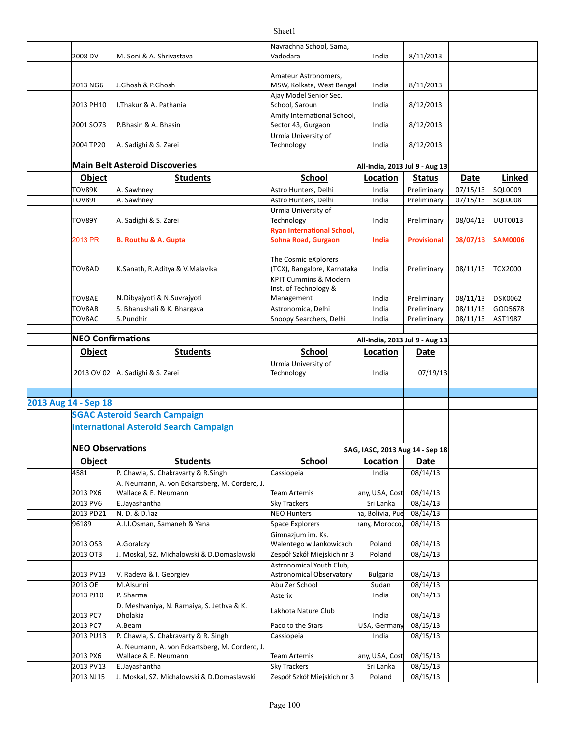|                      |                          |                                                             | Navrachna School, Sama,                             |                                 |                      |          |                |
|----------------------|--------------------------|-------------------------------------------------------------|-----------------------------------------------------|---------------------------------|----------------------|----------|----------------|
|                      | 2008 DV                  | M. Soni & A. Shrivastava                                    | Vadodara                                            | India                           | 8/11/2013            |          |                |
|                      |                          |                                                             |                                                     |                                 |                      |          |                |
|                      |                          |                                                             | Amateur Astronomers,                                |                                 |                      |          |                |
|                      | 2013 NG6                 | J.Ghosh & P.Ghosh                                           | MSW, Kolkata, West Bengal                           | India                           | 8/11/2013            |          |                |
|                      |                          |                                                             | Ajay Model Senior Sec.                              |                                 |                      |          |                |
|                      | 2013 PH10                | I.Thakur & A. Pathania                                      | School, Saroun                                      | India                           | 8/12/2013            |          |                |
|                      |                          |                                                             | Amity International School,                         |                                 |                      |          |                |
|                      | 2001 SO73                | P.Bhasin & A. Bhasin                                        | Sector 43, Gurgaon                                  | India                           | 8/12/2013            |          |                |
|                      |                          |                                                             | Urmia University of                                 |                                 |                      |          |                |
|                      | 2004 TP20                | A. Sadighi & S. Zarei                                       | Technology                                          | India                           | 8/12/2013            |          |                |
|                      |                          | <b>Main Belt Asteroid Discoveries</b>                       |                                                     | All-India, 2013 Jul 9 - Aug 13  |                      |          |                |
|                      |                          |                                                             |                                                     |                                 |                      |          |                |
|                      | Object                   | <b>Students</b>                                             | <b>School</b>                                       | Location                        | <b>Status</b>        | Date     | Linked         |
|                      | TOV89K                   | A. Sawhney                                                  | Astro Hunters, Delhi                                | India                           | Preliminary          | 07/15/13 | SQL0009        |
|                      | <b>TOV891</b>            | A. Sawhney                                                  | Astro Hunters, Delhi                                | India                           | Preliminary          | 07/15/13 | SQL0008        |
|                      |                          |                                                             | Urmia University of                                 |                                 |                      |          |                |
|                      | TOV89Y                   | A. Sadighi & S. Zarei                                       | Technology                                          | India                           | Preliminary          | 08/04/13 | UUT0013        |
|                      |                          |                                                             | <b>Ryan International School,</b>                   |                                 |                      |          |                |
|                      | 2013 PR                  | <b>B. Routhu &amp; A. Gupta</b>                             | <b>Sohna Road, Gurgaon</b>                          | India                           | <b>Provisional</b>   | 08/07/13 | <b>SAM0006</b> |
|                      |                          |                                                             |                                                     |                                 |                      |          |                |
|                      | TOV8AD                   | K.Sanath, R.Aditya & V.Malavika                             | The Cosmic eXplorers<br>(TCX), Bangalore, Karnataka | India                           | Preliminary          |          | <b>TCX2000</b> |
|                      |                          |                                                             | <b>KPIT Cummins &amp; Modern</b>                    |                                 |                      | 08/11/13 |                |
|                      |                          |                                                             | Inst. of Technology &                               |                                 |                      |          |                |
|                      | <b>TOV8AE</b>            | N.Dibyajyoti & N.Suvrajyoti                                 | Management                                          | India                           | Preliminary          | 08/11/13 | <b>DSK0062</b> |
|                      | TOV8AB                   | S. Bhanushali & K. Bhargava                                 | Astronomica, Delhi                                  | India                           | Preliminary          | 08/11/13 | GOD5678        |
|                      | TOV8AC                   | S.Pundhir                                                   | Snoopy Searchers, Delhi                             | India                           | Preliminary          | 08/11/13 | AST1987        |
|                      |                          |                                                             |                                                     |                                 |                      |          |                |
|                      | <b>NEO Confirmations</b> |                                                             |                                                     | All-India, 2013 Jul 9 - Aug 13  |                      |          |                |
|                      | <b>Object</b>            | <b>Students</b>                                             | <b>School</b>                                       | Location                        | Date                 |          |                |
|                      |                          |                                                             |                                                     |                                 |                      |          |                |
|                      |                          |                                                             |                                                     |                                 |                      |          |                |
|                      |                          |                                                             | Urmia University of                                 |                                 |                      |          |                |
|                      | 2013 OV 02               | A. Sadighi & S. Zarei                                       | Technology                                          | India                           | 07/19/13             |          |                |
|                      |                          |                                                             |                                                     |                                 |                      |          |                |
|                      |                          |                                                             |                                                     |                                 |                      |          |                |
| 2013 Aug 14 - Sep 18 |                          |                                                             |                                                     |                                 |                      |          |                |
|                      |                          | <b>SGAC Asteroid Search Campaign</b>                        |                                                     |                                 |                      |          |                |
|                      |                          | <b>International Asteroid Search Campaign</b>               |                                                     |                                 |                      |          |                |
|                      |                          |                                                             |                                                     |                                 |                      |          |                |
|                      | <b>NEO Observations</b>  |                                                             |                                                     | SAG, IASC, 2013 Aug 14 - Sep 18 |                      |          |                |
|                      | <b>Object</b>            | <b>Students</b>                                             | <b>School</b>                                       | Location                        | <b>Date</b>          |          |                |
|                      | 4581                     | P. Chawla, S. Chakravarty & R. Singh                        | Cassiopeia                                          | India                           | 08/14/13             |          |                |
|                      |                          | A. Neumann, A. von Eckartsberg, M. Cordero, J.              |                                                     |                                 |                      |          |                |
|                      | 2013 PX6                 | Wallace & E. Neumann                                        | <b>Team Artemis</b>                                 | any, USA, Cost                  | 08/14/13             |          |                |
|                      | 2013 PV6                 | E.Jayashantha                                               | Sky Trackers                                        | Sri Lanka                       | 08/14/13             |          |                |
|                      | 2013 PD21                | N.D. & D.'iaz                                               | <b>NEO Hunters</b>                                  | a, Bolivia, Pue                 | 08/14/13             |          |                |
|                      | 96189                    | A.I.I.Osman, Samaneh & Yana                                 | <b>Space Explorers</b>                              | any, Morocco,                   | 08/14/13             |          |                |
|                      |                          |                                                             | Gimnazjum im. Ks.                                   |                                 |                      |          |                |
|                      | 2013 OS3                 | A.Goralczy                                                  | Walentego w Jankowicach                             | Poland                          | 08/14/13             |          |                |
|                      | 2013 OT3                 | J. Moskal, SZ. Michalowski & D.Domaslawski                  | Zespół Szkół Miejskich nr 3                         | Poland                          | 08/14/13             |          |                |
|                      |                          |                                                             | Astronomical Youth Club,                            |                                 |                      |          |                |
|                      | 2013 PV13                | V. Radeva & I. Georgiev                                     | Astronomical Observatory                            | <b>Bulgaria</b>                 | 08/14/13             |          |                |
|                      | 2013 OE                  | M.Alsunni                                                   | Abu Zer School                                      | Sudan                           | 08/14/13             |          |                |
|                      | 2013 PJ10                | P. Sharma                                                   | Asterix                                             | India                           | 08/14/13             |          |                |
|                      |                          | D. Meshvaniya, N. Ramaiya, S. Jethva & K.                   |                                                     |                                 |                      |          |                |
|                      | 2013 PC7                 | Dholakia                                                    | Lakhota Nature Club                                 | India                           | 08/14/13             |          |                |
|                      | 2013 PC7                 | A.Beam                                                      | Paco to the Stars                                   | USA, Germany                    | 08/15/13             |          |                |
|                      | 2013 PU13                | P. Chawla, S. Chakravarty & R. Singh                        | Cassiopeia                                          | India                           | 08/15/13             |          |                |
|                      |                          | A. Neumann, A. von Eckartsberg, M. Cordero, J.              |                                                     |                                 |                      |          |                |
|                      | 2013 PX6                 | Wallace & E. Neumann                                        | <b>Team Artemis</b>                                 | any, USA, Cost                  | 08/15/13             |          |                |
|                      | 2013 PV13<br>2013 NJ15   | E.Jayashantha<br>J. Moskal, SZ. Michalowski & D.Domaslawski | Sky Trackers<br>Zespół Szkół Miejskich nr 3         | Sri Lanka<br>Poland             | 08/15/13<br>08/15/13 |          |                |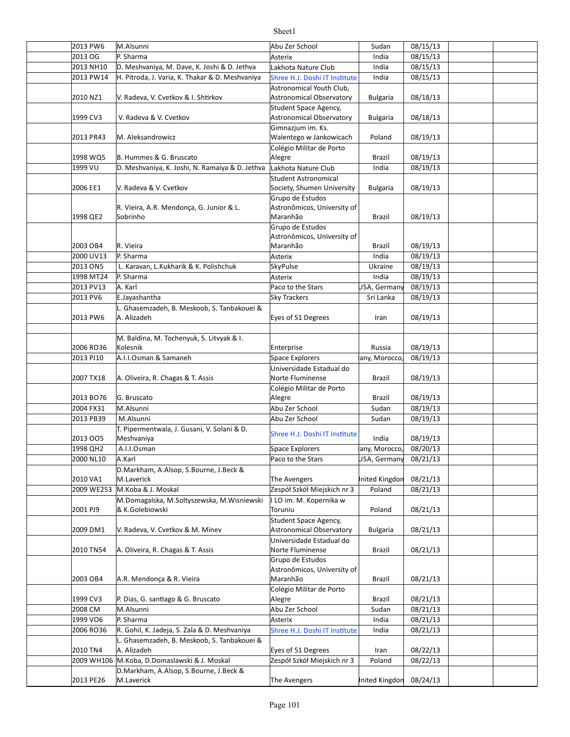| 2013 PW6   | M.Alsunni                                       | Abu Zer School                  | Sudan           | 08/15/13 |  |
|------------|-------------------------------------------------|---------------------------------|-----------------|----------|--|
| 2013 OG    | P. Sharma                                       | Asterix                         | India           | 08/15/13 |  |
| 2013 NH10  | D. Meshvaniya, M. Dave, K. Joshi & D. Jethva    | Lakhota Nature Club             | India           | 08/15/13 |  |
| 2013 PW14  | H. Pitroda, J. Varia, K. Thakar & D. Meshvaniya | Shree H.J. Doshi IT Institute   | India           | 08/15/13 |  |
|            |                                                 | Astronomical Youth Club,        |                 |          |  |
| 2010 NZ1   | V. Radeva, V. Cvetkov & I. Shtirkov             | Astronomical Observatory        | <b>Bulgaria</b> | 08/18/13 |  |
|            |                                                 | Student Space Agency,           |                 |          |  |
|            |                                                 |                                 |                 |          |  |
| 1999 CV3   | V. Radeva & V. Cvetkov                          | <b>Astronomical Observatory</b> | <b>Bulgaria</b> | 08/18/13 |  |
|            |                                                 | Gimnazjum im. Ks.               |                 |          |  |
| 2013 PR43  | M. Aleksandrowicz                               | Walentego w Jankowicach         | Poland          | 08/19/13 |  |
|            |                                                 | Colégio Militar de Porto        |                 |          |  |
| 1998 WQ5   | B. Hummes & G. Bruscato                         | Alegre                          | Brazil          | 08/19/13 |  |
| 1999 VU    | D. Meshvaniya, K. Joshi, N. Ramaiya & D. Jethva | Lakhota Nature Club             | India           | 08/19/13 |  |
|            |                                                 | <b>Student Astronomical</b>     |                 |          |  |
| 2006 EE1   | V. Radeva & V. Cvetkov                          | Society, Shumen University      | <b>Bulgaria</b> | 08/19/13 |  |
|            |                                                 |                                 |                 |          |  |
|            |                                                 | Grupo de Estudos                |                 |          |  |
|            | R. Vieira, A.R. Mendonça, G. Junior & L.        | Astronômicos, University of     |                 |          |  |
| 1998 QE2   | Sobrinho                                        | Maranhão                        | <b>Brazil</b>   | 08/19/13 |  |
|            |                                                 | Grupo de Estudos                |                 |          |  |
|            |                                                 | Astronômicos, University of     |                 |          |  |
| 2003 OB4   | R. Vieira                                       | Maranhão                        | Brazil          | 08/19/13 |  |
| 2000 UV13  | P. Sharma                                       | Asterix                         | India           | 08/19/13 |  |
| 2013 ON5   | L. Karavan, L.Kukharik & K. Polishchuk          | SkyPulse                        | Ukraine         | 08/19/13 |  |
| 1998 MT24  | P. Sharma                                       | Asterix                         | India           | 08/19/13 |  |
|            |                                                 |                                 |                 |          |  |
| 2013 PV13  | A. Karl                                         | Paco to the Stars               | USA, Germany    | 08/19/13 |  |
| 2013 PV6   | E.Jayashantha                                   | <b>Sky Trackers</b>             | Sri Lanka       | 08/19/13 |  |
|            | L. Ghasemzadeh, B. Meskoob, S. Tanbakouei &     |                                 |                 |          |  |
| 2013 PW6   | A. Alizadeh                                     | Eyes of 51 Degrees              | Iran            | 08/19/13 |  |
|            |                                                 |                                 |                 |          |  |
|            | M. Baldina, M. Tochenyuk, S. Litvyak & I.       |                                 |                 |          |  |
| 2006 RO36  | Kolesnik                                        | Enterprise                      | Russia          | 08/19/13 |  |
|            | A.I.I.Osman & Samaneh                           |                                 |                 |          |  |
| 2013 PJ10  |                                                 | Space Explorers                 | any, Morocco,   | 08/19/13 |  |
|            |                                                 | Universidade Estadual do        |                 |          |  |
| 2007 TX18  | A. Oliveira, R. Chagas & T. Assis               | Norte Fluminense                | <b>Brazil</b>   | 08/19/13 |  |
|            |                                                 | Colégio Militar de Porto        |                 |          |  |
| 2013 BO76  | G. Bruscato                                     | Alegre                          | Brazil          | 08/19/13 |  |
| 2004 FX31  | M.Alsunni                                       | Abu Zer School                  | Sudan           | 08/19/13 |  |
| 2013 PB39  | M.Alsunni                                       | Abu Zer School                  | Sudan           | 08/19/13 |  |
|            | T. Pipermentwala, J. Gusani, V. Solani & D.     |                                 |                 |          |  |
|            |                                                 | Shree H.J. Doshi IT Institute   |                 |          |  |
| 2013 005   | Meshvaniya                                      |                                 | India           | 08/19/13 |  |
| 1998 QH2   | A.I.I.Osman                                     | Space Explorers                 | any, Morocco,   | 08/20/13 |  |
| 2000 NL10  | A.Karl                                          | Paco to the Stars               | USA, Germany    | 08/21/13 |  |
|            | D.Markham, A.Alsop, S.Bourne, J.Beck &          |                                 |                 |          |  |
| 2010 VA1   | M.Laverick                                      | The Avengers                    | Inited Kingdon  | 08/21/13 |  |
| 2009 WE253 | M.Koba & J. Moskal                              | Zespół Szkół Miejskich nr 3     | Poland          | 08/21/13 |  |
|            |                                                 |                                 |                 |          |  |
|            | M.Domagalska, M.Soltyszewska, M.Wisniewski      | I LO im. M. Kopernika w         |                 |          |  |
| 2001 PJ9   | & K.Golebiowski                                 | Toruniu                         | Poland          | 08/21/13 |  |
|            |                                                 | Student Space Agency,           |                 |          |  |
| 2009 DM1   | V. Radeva, V. Cvetkov & M. Minev                | <b>Astronomical Observatory</b> | <b>Bulgaria</b> | 08/21/13 |  |
|            |                                                 | Universidade Estadual do        |                 |          |  |
| 2010 TN54  | A. Oliveira, R. Chagas & T. Assis               | Norte Fluminense                | <b>Brazil</b>   | 08/21/13 |  |
|            |                                                 | Grupo de Estudos                |                 |          |  |
|            |                                                 | Astronômicos, University of     |                 |          |  |
| 2003 OB4   | A.R. Mendonça & R. Vieira                       | Maranhão                        | Brazil          | 08/21/13 |  |
|            |                                                 |                                 |                 |          |  |
|            |                                                 | Colégio Militar de Porto        |                 |          |  |
| 1999 CV3   | P. Dias, G. santiago & G. Bruscato              | Alegre                          | Brazil          | 08/21/13 |  |
| 2008 CM    | M.Alsunni                                       | Abu Zer School                  | Sudan           | 08/21/13 |  |
| 1999 VO6   | P. Sharma                                       | Asterix                         | India           | 08/21/13 |  |
| 2006 RO36  | R. Gohil, K. Jadeja, S. Zala & D. Meshvaniya    | Shree H.J. Doshi IT Institute   | India           | 08/21/13 |  |
|            | L. Ghasemzadeh, B. Meskoob, S. Tanbakouei &     |                                 |                 |          |  |
| 2010 TN4   | A. Alizadeh                                     | Eyes of 51 Degrees              | Iran            | 08/22/13 |  |
|            | 2009 WH106 M.Koba, D.Domaslawski & J. Moskal    | Zespół Szkół Miejskich nr 3     |                 |          |  |
|            |                                                 |                                 | Poland          | 08/22/13 |  |
|            | D.Markham, A.Alsop, S.Bourne, J.Beck &          |                                 |                 |          |  |
| 2013 PE26  | M.Laverick                                      | The Avengers                    | Inited Kingdon  | 08/24/13 |  |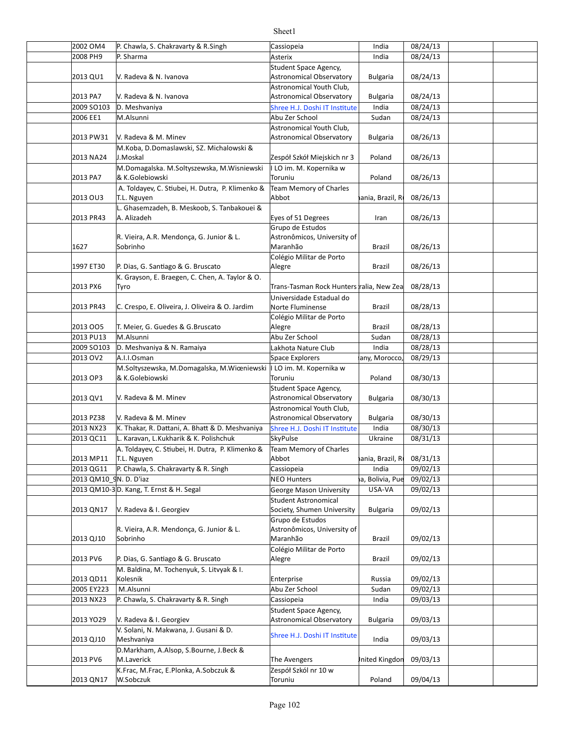#### 2002 OM4 P. Chawla, S. Chakravarty & R. Singh Cassiopeia Cassiopeia and India (198/24/13) 2008 PH9 Asterix India 08/24/13 2013 QU1 | V. Radeva & N. Ivanova Astronomical Observatory | Bulgaria | 08/24/13 2013 PA7 Bulgaria 08/24/13 Astronomical Observatory 2009 SO103 D. Meshvaniya Shree H.J. Doshi IT Institute India 08/24/13 2006 EE1 M.Alsunni aan aan aan ah darii dhamaan Abu Zer School ah Sudan | 08/24/13 2013 PW31 Bulgaria 08/26/13 Astronomical Observatory 2013 NA24 Poland 08/26/13 J.Moskal Zespół Szkół Miejskich nr 3 2013 PA7 Poland 08/26/13 2013 OU3 Vietnam, Romania, Brazil, Russia, Ukraine 08/26/13 2013 PR43 A. Alizadeh **Eyes** of 51 Degrees Iran 08/26/13 1627 Sobrinho Maranhão Brazil 08/26/13 1997 ET30 P. Dias, G. Santiago & G. Bruscato Alegre Alegre Razil | 08/26/13 2013 PX6 Tyro Trans-Tasman Rock Hunters ralia, New Zea 08/28/13 2013 PR43 C. Crespo, E. Oliveira, J. Oliveira & O. Jardim | Norte Fluminense | Brazil | 08/28/13 2013 OO5 T. Meier, G. Guedes & G.Bruscato Alegre Alegre and Brazil | 08/28/13 2013 PU13 Sudan 08/28/13 M.Alsunni Abu Zer School 2009 SO103 India 08/28/13 D. Meshvaniya & N. Ramaiya Lakhota Nature Club 2013 OV2 A.I.I.Osman Space Explorers any, Morocco, 08/29/13 2013 OP3 Poland 08/30/13 & K.Golebiowski 2013 QV1 | V. Radeva & M. Minev | North Controller | Astronomical Observatory | Bulgaria | 08/30/13 2013 PZ38 Y. Radeva & M. Minev The Matronomical Observatory | Bulgaria | 08/30/13 2013 NX23 |K. Thakar, R. Dattani, A. Bhatt & D. Meshvaniya |Shree H.J. Doshi IT Institute | India | 08/30/13 2013 QC11 Karavan, L.Kukharik & K. Polishchuk K. SkyPulse New Yorkaine | 08/31/13  $2013 \text{ MP11}$  T.L. Nguyen  $\overline{AB}$  Abbot hania, Brazil, R  $\overline{08/31/13}$ 2013 QG11 P. Chawla, S. Chakravarty & R. Singh Cassiopeia Cassiopeia and India (199/02/13 2013 QM10\_9 NEO Hunters Argen]na, Bolivia, Puerto Rico 09/02/13 N. D. D'iaz 2013 QM10-3 D. Kang, T. Ernst & H. Segal Names Correspondent Correspondent Correspondent Correspondent Correspond 2013 QN17 Bulgaria 09/02/13 Society, Shumen University 2013 QJ10 Sobrinho Maranhão Brazil 09/02/13 2013 PV6 P. Dias, G. Santiago & G. Bruscato Alegre Alegre Razil | 09/02/13 2013 QD11 Kolesnik **Russia Russia Communist Communist Communist Communist Communist Communist Communist Communist** 2005 EY223 Sudan 09/02/13 M.Alsunni Abu Zer School 2013 NX23 P. Chawla, S. Chakravarty & R. Singh Cassiopeia Cassiopeia and India (199/03/13 2013 YO29 Y. Radeva & I. Georgiev The Matronomical Observatory | Bulgaria | 09/03/13 2013 QJ10 India 09/03/13 2013 PV6 | M.Laverick Controller Controller Communist Controller Controller Philosophy De Avengers Controller 2013 QN17 W.Sobczuk **Carl Marson Communist Communist Communist Communist Communist Communist Communist Communist Communist Communist Communist Poland | 09/04/13** P. Sharma V. Radeva & N. Ivanova Student Space Agency, V. Radeva & N. Ivanova Astronomical Youth Club, V. Radeva & M. Minev Astronomical Youth Club, M.Koba, D.Domaslawski, SZ. Michalowski & M.Domagalska. M.Soltyszewska, M.Wisniewski & K.Golebiowski I LO im. M. Kopernika w Toruniu A. Toldayev, C. Stiubei, H. Dutra, P. Klimenko & T.L. Nguyen Team Memory of Charles Abbot L. Ghasemzadeh, B. Meskoob, S. Tanbakouei & A. Alizadeh R. Vieira, A.R. Mendonça, G. Junior & L. Sobrinho Grupo de Estudos Astronômicos, University of Maranhão Colégio Militar de Porto Alegre K. Grayson, E. Braegen, C. Chen, A. Taylor & O. Tyro Universidade Estadual do Norte Fluminense Colégio Militar de Porto Alegre A.I.I.Osman M.Soltyszewska, M.Domagalska, M.Wiœniewski I LO im. M. Kopernika w Toruniu V. Radeva & M. Minev Student Space Agency, V. Radeva & M. Minev Astronomical Youth Club. A. Toldayev, C. Stiubei, H. Dutra, P. Klimenko & T.L. Nguyen Team Memory of Charles Abbot V. Radeva & I. Georgiev Student Astronomical R. Vieira, A.R. Mendonça, G. Junior & L. Sobrinho Grupo de Estudos Astronômicos, University of Maranhão Colégio Militar de Porto Alegre M. Baldina, M. Tochenyuk, S. Litvyak & I. Kolesnik V. Radeva & I. Georgiev Student Space Agency, V. Solani, N. Makwana, J. Gusani & D. Meshvaniya Shree H.J. Doshi IT Institute<br>Meshvaniya D.Markham, A.Alsop, S.Bourne, J.Beck & M.Laverick K.Frac, M.Frac, E.Plonka, A.Sobczuk & W.Sobczuk Zespół Szkól nr 10 w Toruniu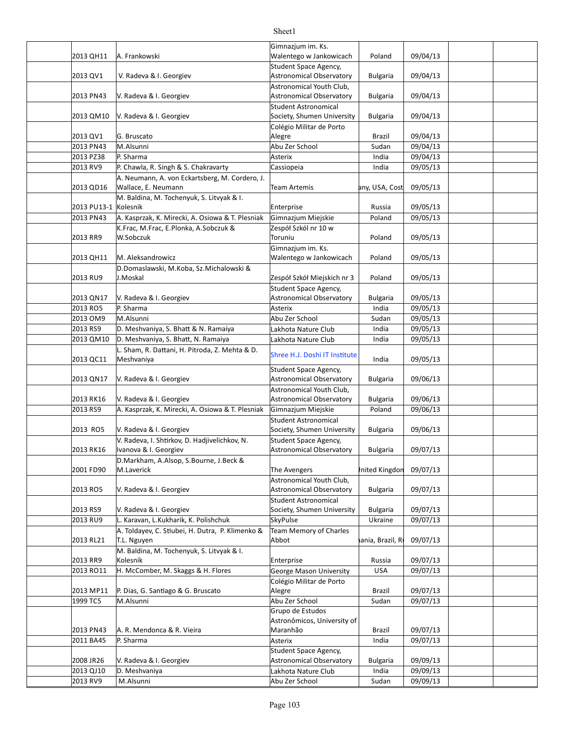#### 2013 QH11 A. Frankowski and the state of the Malentego w Jankowicach | Poland | 09/04/13 2013 QV1 Bulgaria 09/04/13 Astronomical Observatory 2013 PN43 Y. Radeva & I. Georgiev The Matronomical Observatory | Bulgaria | 09/04/13 2013 QM10 Bulgaria 09/04/13 Society, Shumen University 2013 QV1 Brazil 09/04/13 G. Bruscato 2013 PN43 M.Alsunni and the settlement of the Abu Zer School and Sudan 1 09/04/13 2013 PZ38 Asterix India 09/04/13 2013 RV9 P. Chawla, R. Singh & S. Chakravarty Cassiopeia Cassiopeia and India (199/05/13 2013 QD16 Wallace, E. Neumann **Carry Communist Club Containers** Team Artemis **Arror buyout by Artica 09/05/13** 2013 PU13-1 Kolesnik Russia Russia 199/05/13 2013 PN43 A. Kasprzak, K. Mirecki, A. Osiowa & T. Plesniak Gimnazjum Miejskie and Poland | 09/05/13 2013 RR9 Poland 09/05/13 2013 QH11 M. Aleksandrowicz and the state of the Malentego w Jankowicach | Poland | 09/05/13 2013 RU9 Poland 09/05/13 J.Moskal Zespół Szkół Miejskich nr 3 2013 QN17 |V. Radeva & I. Georgiev |Astronomical Observatory | Bulgaria | 09/05/13 2013 RO5 Asterix India 09/05/13 2013 OM9 M.Alsunni and the set of the set of the Abu Zer School and Sudan and O9/05/13 2013 RS9 India 09/05/13 D. Meshvaniya, S. Bhai & N. Ramaiya Lakhota Nature Club 2013 QM10 India 09/05/13 D. Meshvaniya, S. Bhai, N. Ramaiya Lakhota Nature Club 2013 QC11 India 09/05/13 2013 QN17 |V. Radeva & I. Georgiev Astronomical Observatory | Bulgaria | 09/06/13 2013 RK16 Bulgaria 09/06/13 Astronomical Observatory 2013 RS9 A. Kasprzak, K. Mirecki, A. Osiowa & T. Plesniak Gimnazjum Miejskie Poland 09/06/13 2013 RO5 V. Radeva & I. Georgiev Society, Shumen University | Bulgaria 09/06/13 2013 RK16 Bulgaria 09/07/13 Astronomical Observatory 2001 FD90 The Avengers United Kingdom 09/07/13 2013 RO5 V. Radeva & I. Georgiev Astronomical Observatory Bulgaria 09/07/13 2013 RS9 | V. Radeva & I. Georgiev | Society, Shumen University | Bulgaria | 09/07/13 2013 RU9 L. Karavan, L.Kukharik, K. Polishchuk SkyPulse Ukraine 09/07/13 2013 RL21 T.L. Nguyen **Calculation Community Community** Abbot **Calculation and Abbot Community Community** 09/07/13 2013 RR9 Kolesnik Russia 199/07/13 2013 RO11 H. McComber, M. Skaggs & H. Flores George Mason University USA 09/07/13 2013 MP11 P. Dias, G. Santiago & G. Bruscato Alegre Alegre Razil | 09/07/13 1999 TC5 M.Alsunni and the summary of the Abu Zer School and Sudan 09/07/13 2013 PN43 | A. R. Mendonca & R. Vieira Maranhão Brazil | 09/07/13 2011 BA45 Asterix India 09/07/13 2008 JR26 Bulgaria 09/09/13 Astronomical Observatory 2013 QJ10 D. Meshvaniya Lakhota Nature Club India 09/09/13 2013 RV9 M.Alsunni and Abu Zer School Sudan 09/09/13 A. Frankowski Gimnazjum im. Ks. V. Radeva & I. Georgiev Student Space Agency, Astronomical Youth Club, Astronomical Observatory V. Radeva & I. Georgiev Student Astronomical Colégio Militar de Porto Alegre P. Sharma A. Neumann, A. von Eckartsberg, M. Cordero, J. M. Baldina, M. Tochenyuk, S. Litvyak & I. Kolesnik K.Frac, M.Frac, E.Plonka, A.Sobczuk & W.Sobczuk Zespół Szkól nr 10 w Toruniu M. Aleksandrowicz Gimnazjum im. Ks. D.Domaslawski, M.Koba, Sz.Michalowski & Student Space Agency, Astronomical Observatory P. Sharma L. Sham, R. Dattani, H. Pitroda, Z. Mehta & D. L. Shahi, K. Battani, H. Hitloud, L. Mehta & B. Shree H.J. Doshi IT Institute<br>Meshvaniya V. Radeva & I. Georgiev Student Space Agency, V. Radeva & I. Georgiev Astronomical Youth Club, V. Radeva & I. Georgiev Student Astronomical V. Radeva, I. Shtirkov, D. Hadjivelichkov, N. Ivanova & I. Georgiev Student Space Agency, D.Markham, A.Alsop, S.Bourne, J.Beck & M.Laverick V. Radeva & I. Georgiev Astronomical Youth Club, V. Radeva & I. Georgiev Student Astronomical A. Toldayev, C. Stiubei, H. Dutra, P. Klimenko & T.L. Nguyen Team Memory of Charles Abbot M. Baldina, M. Tochenyuk, S. Litvyak & I. Kolesnik Colégio Militar de Porto Alegre Grupo de Estudos Astronômicos, University of Maranhão P. Sharma V. Radeva & I. Georgiev Student Space Agency,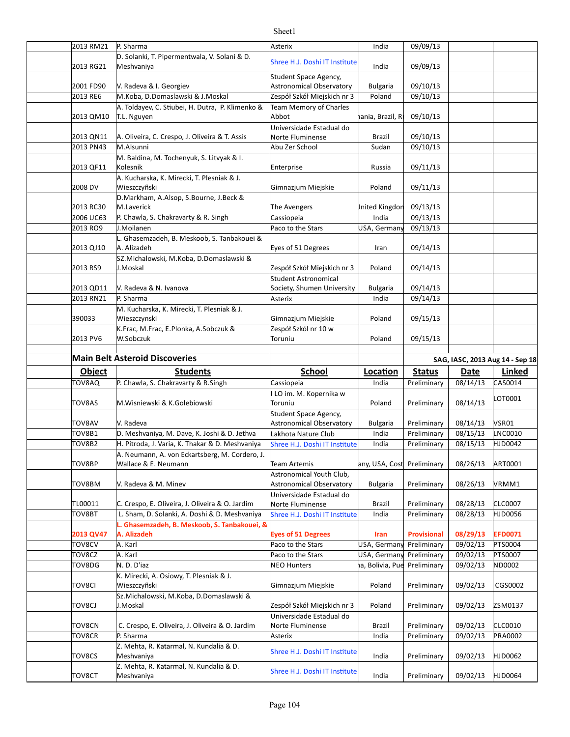#### 2013 RM21 P. Sharma **Asterix** Asterix **Asterix** Asterix **Asterial COM** 2013 RG21 India 09/09/13 2001 FD90 | V. Radeva & I. Georgiev | North Controller Astronomical Observatory | Bulgaria | 09/10/13 2013 RE6 Poland 09/10/13 M.Koba, D.Domaslawski & J.Moskal Zespół Szkół Miejskich nr 3  $2013$  QM10  $|T.L.$  Nguyen  $AB$  Abbot  $A$  ania, Brazil, R $|09/10/13$ 2013 QN11 | A. Oliveira, C. Crespo, J. Oliveira & T. Assis | Norte Fluminense | Brazil | 09/10/13 2013 PN43 M.Alsunni and the settlement of the Abu Zer School and Sudan 1 09/10/13 2013 QF11 Kolesnik **Russia Russia Communist Communist Communist Communist Communist Communist Communist Communist** 2008 DV | Wieszczyñski Gimnazjum Miejskie Poland 09/11/13 2013 RC30 M.Laverick **The Avengers** The Avengers **United Kingdom 09/13/13** 2006 UC63 P. Chawla, S. Chakravarty & R. Singh Cassiopeia Cassiopeia and India (199/13/13) 2013 RO9 DJ.Moilanen Della Controller (Paco to the Stars Dung USA, Germany 09/13/13 2013 QJ10 A. Alizadeh **Exes of 51 Degrees** Iran 09/14/13 2013 RS9 Poland 09/14/13 J.Moskal Zespół Szkół Miejskich nr 3 2013 QD11 | V. Radeva & N. Ivanova Society, Shumen University | Bulgaria | 09/14/13 2013 RN21 P. Sharma **Asterix** Asterix **Asterix** Asterix and India 1 09/14/13 390033 | Wieszczynski Gimnazjum Miejskie Poland 09/15/13 2013 PV6 Poland 09/15/13 **Main Belt Asteroid Discoveries SAG, IASC, 2013** Aug 14 - Sep 18 **Object Students School Loca.on Status Date Linked** TOV8AQ P. Chawla, S. Chakravarty & R.Singh Cassiopeia Cassiopeia | India | Preliminary | 08/14/13 | CAS0014 TOV8AS M.Wisniewski & K.Golebiowski enterties of the lot of the miniminal preliminary and preliminary 08/14/13 LOT0001 TOV8AV Bulgaria Preliminary 08/14/13 VSR01 Astronomical Observatory TOV8B1 D. Meshvaniya, M. Dave, K. Joshi & D. Jethva |Lakhota Nature Club | India | Preliminary | 08/15/13 |LNC0010 TOV8B2 H. Pitroda, J. Varia, K. Thakar & D. Meshvaniya Shree H.J. Doshi IT Institute India Preliminary 08/15/13 HJD0042 TOV8BP Team Artemis Germany, USA, Costa Rica Preliminary 08/26/13 ART0001 Wallace & E. Neumann TOV8BM Bulgaria Preliminary 08/26/13 VRMM1 Astronomical Observatory TL00011 |C. Crespo, E. Oliveira, J. Oliveira & O. Jardim ||Norte Fluminense || Brazil ||Preliminary || 08/28/13 ||CLC0007 TOV8BT | L. Sham, D. Solanki, A. Doshi & D. Meshvaniya | Shree H.J. Doshi IT Institute | Madia | Preliminary | 08/28/13 |HJD0056 **2013 QV47 Eyes of 51 Degrees Iran Provisional 08/29/13 EFD0071** TOV8CV A. Karl USA, Germany Preliminary 09/02/13 PTS0004 Paco to the Stars TOV8CZ A. Karl North Communist Communist Communist Paco to the Stars USA, Germany Preliminary | 09/02/13 PTS0007 TOV8DG NEO Hunters Argen]na, Bolivia, Puerto Rico Preliminary 09/02/13 ND0002 TOV8CI Poland Preliminary 09/02/13 CGS0002 Wieszczyñski Gimnazjum Miejskie TOV8CJ Poland Preliminary 09/02/13 ZSM0137 J.Moskal Zespół Szkół Miejskich nr 3 TOV8CN C. Crespo, E. Oliveira, J. Oliveira & O. Jardim Norte Fluminense | Brazil Preliminary | 09/02/13 CLC0010 TOV8CR Asterix India Preliminary 09/02/13 PRA0002 TOV8CS India Preliminary 09/02/13 HJD0062 TOV8CT India Preliminary 09/02/13 HJD0064 P. Sharma D. Solanki, T. Pipermentwala, V. Solani & D. D. Solariki, I. Fipermentwala, V. Solarii & D.<br>Meshvaniya V. Radeva & I. Georgiev Student Space Agency, A. Toldayev, C. Stiubei, H. Dutra, P. Klimenko & T.L. Nguyen Team Memory of Charles Abbot Universidade Estadual do Norte Fluminense M. Baldina, M. Tochenyuk, S. Litvyak & I. Kolesnik A. Kucharska, K. Mirecki, T. Plesniak & J. D.Markham, A.Alsop, S.Bourne, J.Beck & M.Laverick L. Ghasemzadeh, B. Meskoob, S. Tanbakouei & A. Alizadeh SZ.Michalowski, M.Koba, D.Domaslawski & V. Radeva & N. Ivanova Student Astronomical P. Sharma M. Kucharska, K. Mirecki, T. Plesniak & J. K.Frac, M.Frac, E.Plonka, A.Sobczuk & W.Sobczuk Zespół Szkól nr 10 w Toruniu LO im. M. Kopernika w Toruniu V. Radeva Student Space Agency, A. Neumann, A. von Eckartsberg, M. Cordero, J. V. Radeva & M. Minev Astronomical Youth Club, Universidade Estadual do **Norte Fluminense** L. Ghasemzadeh, B. Meskoob, S. Tanbakouei, **& A. Alizadeh** N. D. D'iaz K. Mirecki, A. Osiowy, T. Plesniak & J. Sz.Michalowski, M.Koba, D.Domaslawski & Universidade Estadual do Norte Fluminense P. Sharma Z. Mehta, R. Katarmal, N. Kundalia & D. z. Menta, K. Katarmar, N. Kunuana & D.<br>Meshvaniya Z. Mehta, R. Katarmal, N. Kundalia & D. L. Menta, M. Katarma, M. Kanaana & B.<br>Meshvaniya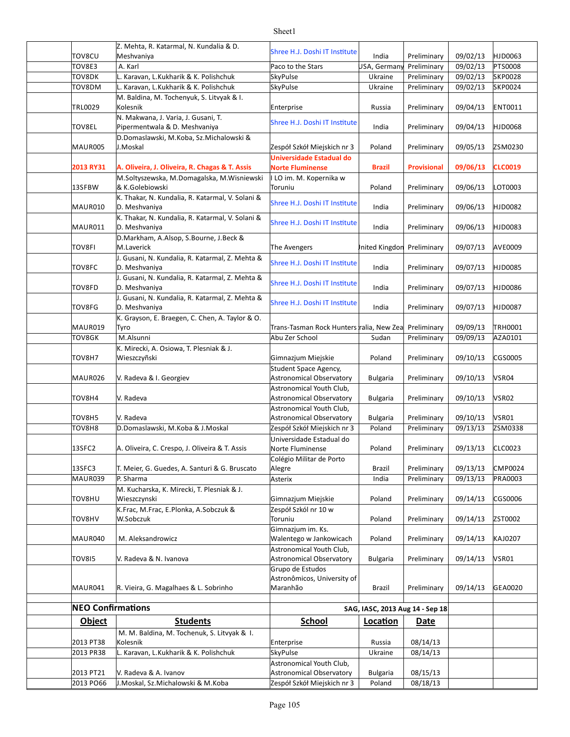|                          | Z. Mehta, R. Katarmal, N. Kundalia & D.                              |                                                                          |                                 |                            |                      |                    |
|--------------------------|----------------------------------------------------------------------|--------------------------------------------------------------------------|---------------------------------|----------------------------|----------------------|--------------------|
| TOV8CU                   | Meshvaniya                                                           | Shree H.J. Doshi IT Institute                                            | India                           | Preliminary                | 09/02/13             | HJD0063            |
| TOV8E3                   | A. Karl                                                              | Paco to the Stars                                                        | USA, Germany                    | Preliminary                | 09/02/13             | <b>PTS0008</b>     |
| TOV8DK                   | L. Karavan, L. Kukharik & K. Polishchuk                              | <b>SkyPulse</b>                                                          | Ukraine                         | Preliminary                | 09/02/13             | <b>SKP0028</b>     |
| TOV8DM                   | L. Karavan, L. Kukharik & K. Polishchuk                              | <b>SkyPulse</b>                                                          | Ukraine                         | Preliminary                | 09/02/13             | <b>SKP0024</b>     |
| TRL0029                  | M. Baldina, M. Tochenyuk, S. Litvyak & I.<br>Kolesnik                | Enterprise                                                               | Russia                          | Preliminary                | 09/04/13             | ENT0011            |
| TOV8EL                   | N. Makwana, J. Varia, J. Gusani, T.<br>Pipermentwala & D. Meshvaniya | Shree H.J. Doshi IT Institute                                            | India                           | Preliminary                | 09/04/13             | HJD0068            |
| MAUR005                  | D.Domaslawski, M.Koba, Sz.Michalowski &<br>J.Moskal                  | Zespół Szkół Miejskich nr 3                                              | Poland                          | Preliminary                | 09/05/13             | ZSM0230            |
| <b>2013 RY31</b>         | A. Oliveira, J. Oliveira, R. Chagas & T. Assis                       | <b>Universidade Estadual do</b><br><b>Norte Fluminense</b>               | <b>Brazil</b>                   | <b>Provisional</b>         | 09/06/13             | <b>CLC0019</b>     |
| 13SFBW                   | M.Soltyszewska, M.Domagalska, M.Wisniewski<br>& K.Golebiowski        | I LO im. M. Kopernika w<br>Toruniu                                       | Poland                          | Preliminary                | 09/06/13             | LOT0003            |
| MAUR010                  | K. Thakar, N. Kundalia, R. Katarmal, V. Solani &<br>D. Meshvaniya    | Shree H.J. Doshi IT Institute                                            | India                           | Preliminary                | 09/06/13             | HJD0082            |
| MAUR011                  | K. Thakar, N. Kundalia, R. Katarmal, V. Solani &<br>D. Meshvaniya    | Shree H.J. Doshi IT Institute                                            | India                           | Preliminary                | 09/06/13             | HJD0083            |
| TOV8FI                   | D.Markham, A.Alsop, S.Bourne, J.Beck &<br>M.Laverick                 | The Avengers                                                             | Inited Kingdon                  | Preliminary                | 09/07/13             | <b>AVE0009</b>     |
| TOV8FC                   | J. Gusani, N. Kundalia, R. Katarmal, Z. Mehta &<br>D. Meshvaniya     | Shree H.J. Doshi IT Institute                                            | India                           | Preliminary                | 09/07/13             | HJD0085            |
| TOV8FD                   | J. Gusani, N. Kundalia, R. Katarmal, Z. Mehta &<br>D. Meshvaniya     | Shree H.J. Doshi IT Institute                                            | India                           | Preliminary                | 09/07/13             | HJD0086            |
| TOV8FG                   | J. Gusani, N. Kundalia, R. Katarmal, Z. Mehta &<br>D. Meshvaniya     | Shree H.J. Doshi IT Institute                                            | India                           | Preliminary                | 09/07/13             | <b>HJD0087</b>     |
|                          | K. Grayson, E. Braegen, C. Chen, A. Taylor & O.                      |                                                                          |                                 |                            |                      |                    |
| MAUR019                  | Tyro                                                                 | Trans-Tasman Rock Hunters ralia, New Zea                                 |                                 | Preliminary                | 09/09/13             | <b>TRH0001</b>     |
| TOV8GK                   | M.Alsunni                                                            | Abu Zer School                                                           | Sudan                           | Preliminary                | 09/09/13             | AZA0101            |
| TOV8H7                   | K. Mirecki, A. Osiowa, T. Plesniak & J.<br>Wieszczyñski              | Gimnazjum Miejskie                                                       | Poland                          | Preliminary                | 09/10/13             | CGS0005            |
|                          |                                                                      | Student Space Agency,                                                    |                                 |                            |                      |                    |
| MAUR026                  | V. Radeva & I. Georgiev                                              | <b>Astronomical Observatory</b>                                          | <b>Bulgaria</b>                 | Preliminary                | 09/10/13             | VSR04              |
|                          |                                                                      | Astronomical Youth Club,                                                 |                                 |                            |                      |                    |
| TOV8H4                   | V. Radeva                                                            | Astronomical Observatory                                                 | <b>Bulgaria</b>                 | Preliminary                | 09/10/13             | VSR02              |
|                          |                                                                      | Astronomical Youth Club,                                                 |                                 |                            |                      |                    |
| TOV8H5                   | V. Radeva                                                            | Astronomical Observatory                                                 | <b>Bulgaria</b>                 | Preliminary                | 09/10/13             | VSR01              |
| TOV8H8                   | D.Domaslawski, M.Koba & J.Moskal                                     | Zespół Szkół Miejskich nr 3                                              | Poland                          | Preliminary                | 09/13/13             | ZSM0338            |
| 13SFC2                   | A. Oliveira, C. Crespo, J. Oliveira & T. Assis                       | Universidade Estadual do<br>Norte Fluminense                             | Poland                          | Preliminary                | 09/13/13             | <b>CLC0023</b>     |
| 13SFC3<br>MAUR039        | T. Meier, G. Guedes, A. Santuri & G. Bruscato<br>P. Sharma           | Colégio Militar de Porto<br>Alegre                                       | <b>Brazil</b>                   | Preliminary<br>Preliminary | 09/13/13<br>09/13/13 | CMP0024<br>PRA0003 |
|                          | M. Kucharska, K. Mirecki, T. Plesniak & J.                           | Asterix                                                                  | India                           |                            |                      |                    |
| TOV8HU                   | Wieszczynski<br>K.Frac, M.Frac, E.Plonka, A.Sobczuk &                | Gimnazjum Miejskie<br>Zespół Szkól nr 10 w                               | Poland                          | Preliminary                | 09/14/13             | CGS0006            |
| TOV8HV                   | W.Sobczuk                                                            | Toruniu                                                                  | Poland                          | Preliminary                | 09/14/13             | ZST0002            |
| MAUR040                  | M. Aleksandrowicz                                                    | Gimnazjum im. Ks.<br>Walentego w Jankowicach                             | Poland                          | Preliminary                | 09/14/13             | KAJ0207            |
| <b>TOV815</b>            | V. Radeva & N. Ivanova                                               | Astronomical Youth Club,<br>Astronomical Observatory<br>Grupo de Estudos | <b>Bulgaria</b>                 | Preliminary                | 09/14/13             | VSR01              |
| MAUR041                  | R. Vieira, G. Magalhaes & L. Sobrinho                                | Astronômicos, University of<br>Maranhão                                  | Brazil                          | Preliminary                | 09/14/13             | GEA0020            |
| <b>NEO Confirmations</b> |                                                                      |                                                                          | SAG, IASC, 2013 Aug 14 - Sep 18 |                            |                      |                    |
| <b>Object</b>            | <b>Students</b>                                                      | <b>School</b>                                                            | Location                        | Date                       |                      |                    |
|                          | M. M. Baldina, M. Tochenuk, S. Litvyak & I.                          |                                                                          |                                 |                            |                      |                    |
| 2013 PT38                | Kolesnik                                                             | Enterprise                                                               | Russia                          | 08/14/13                   |                      |                    |
| 2013 PR38                | L. Karavan, L.Kukharik & K. Polishchuk                               | <b>SkyPulse</b>                                                          | Ukraine                         | 08/14/13                   |                      |                    |
|                          |                                                                      | Astronomical Youth Club,                                                 |                                 |                            |                      |                    |
| 2013 PT21                | V. Radeva & A. Ivanov                                                | Astronomical Observatory                                                 | <b>Bulgaria</b>                 | 08/15/13                   |                      |                    |
| 2013 PO66                | J.Moskal, Sz.Michalowski & M.Koba                                    | Zespół Szkół Miejskich nr 3                                              | Poland                          | 08/18/13                   |                      |                    |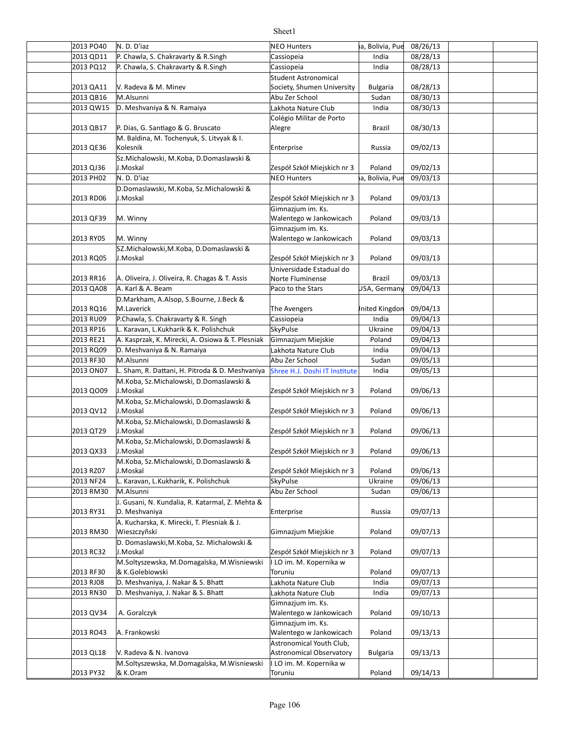| 2013 PO40 | N.D.D'iaz                                        | <b>NEO Hunters</b>                           | ia, Bolivia, Pue | 08/26/13 |  |
|-----------|--------------------------------------------------|----------------------------------------------|------------------|----------|--|
| 2013 QD11 | P. Chawla, S. Chakravarty & R. Singh             | Cassiopeia                                   | India            | 08/28/13 |  |
| 2013 PQ12 | P. Chawla, S. Chakravarty & R. Singh             | Cassiopeia                                   | India            | 08/28/13 |  |
|           |                                                  | <b>Student Astronomical</b>                  |                  |          |  |
| 2013 QA11 | V. Radeva & M. Minev                             | Society, Shumen University                   | <b>Bulgaria</b>  | 08/28/13 |  |
| 2013 QB16 | M.Alsunni                                        | Abu Zer School                               | Sudan            | 08/30/13 |  |
| 2013 QW15 | D. Meshvaniya & N. Ramaiya                       | Lakhota Nature Club                          | India            | 08/30/13 |  |
|           |                                                  | Colégio Militar de Porto                     |                  |          |  |
| 2013 QB17 | P. Dias, G. Santiago & G. Bruscato               | Alegre                                       | Brazil           | 08/30/13 |  |
|           | M. Baldina, M. Tochenyuk, S. Litvyak & I.        |                                              |                  |          |  |
| 2013 QE36 | Kolesnik                                         | Enterprise                                   | Russia           | 09/02/13 |  |
|           | Sz. Michalowski, M. Koba, D. Domaslawski &       |                                              |                  |          |  |
| 2013 QJ36 | J.Moskal                                         | Zespół Szkół Miejskich nr 3                  | Poland           | 09/02/13 |  |
| 2013 PH02 | N.D.D'iaz                                        | <b>NEO Hunters</b>                           | a, Bolivia, Pue  | 09/03/13 |  |
|           | D.Domaslawski, M.Koba, Sz.Michalowski &          |                                              |                  |          |  |
| 2013 RD06 | J.Moskal                                         | Zespół Szkół Miejskich nr 3                  | Poland           | 09/03/13 |  |
|           |                                                  |                                              |                  |          |  |
|           | M. Winny                                         | Gimnazjum im. Ks.<br>Walentego w Jankowicach | Poland           | 09/03/13 |  |
| 2013 QF39 |                                                  |                                              |                  |          |  |
|           |                                                  | Gimnazjum im. Ks.                            |                  |          |  |
| 2013 RY05 | M. Winny                                         | Walentego w Jankowicach                      | Poland           | 09/03/13 |  |
|           | SZ.Michalowski, M.Koba, D.Domaslawski &          |                                              |                  |          |  |
| 2013 RQ05 | J.Moskal                                         | Zespół Szkół Miejskich nr 3                  | Poland           | 09/03/13 |  |
|           |                                                  | Universidade Estadual do                     |                  |          |  |
| 2013 RR16 | A. Oliveira, J. Oliveira, R. Chagas & T. Assis   | Norte Fluminense                             | Brazil           | 09/03/13 |  |
| 2013 QA08 | A. Karl & A. Beam                                | Paco to the Stars                            | USA, Germany     | 09/04/13 |  |
|           | D.Markham, A.Alsop, S.Bourne, J.Beck &           |                                              |                  |          |  |
| 2013 RQ16 | M.Laverick                                       | The Avengers                                 | Inited Kingdon   | 09/04/13 |  |
| 2013 RU09 | P.Chawla, S. Chakravarty & R. Singh              | Cassiopeia                                   | India            | 09/04/13 |  |
| 2013 RP16 | L. Karavan, L.Kukharik & K. Polishchuk           | SkyPulse                                     | Ukraine          | 09/04/13 |  |
| 2013 RE21 | A. Kasprzak, K. Mirecki, A. Osiowa & T. Plesniak | Gimnazjum Miejskie                           | Poland           | 09/04/13 |  |
| 2013 RQ09 | D. Meshvaniya & N. Ramaiya                       | Lakhota Nature Club                          | India            | 09/04/13 |  |
| 2013 RF30 | M.Alsunni                                        | Abu Zer School                               | Sudan            | 09/05/13 |  |
| 2013 ON07 | L. Sham, R. Dattani, H. Pitroda & D. Meshvaniya  | Shree H.J. Doshi IT Institute                | India            | 09/05/13 |  |
|           | M.Koba, Sz.Michalowski, D.Domaslawski &          |                                              |                  |          |  |
| 2013 QO09 | J.Moskal                                         | Zespół Szkół Miejskich nr 3                  | Poland           | 09/06/13 |  |
|           | M.Koba, Sz.Michalowski, D.Domaslawski &          |                                              |                  |          |  |
| 2013 QV12 | J.Moskal                                         | Zespół Szkół Miejskich nr 3                  | Poland           | 09/06/13 |  |
|           | M.Koba, Sz.Michalowski, D.Domaslawski &          |                                              |                  |          |  |
| 2013 QT29 | J.Moskal                                         | Zespół Szkół Miejskich nr 3                  | Poland           | 09/06/13 |  |
|           | M.Koba, Sz.Michalowski, D.Domaslawski &          |                                              |                  |          |  |
| 2013 QX33 | J.Moskal                                         | Zespół Szkół Miejskich nr 3                  | Poland           | 09/06/13 |  |
|           | M.Koba, Sz.Michalowski, D.Domaslawski &          |                                              |                  |          |  |
| 2013 RZ07 | J.Moskal                                         | Zespół Szkół Miejskich nr 3                  | Poland           | 09/06/13 |  |
| 2013 NF24 | L. Karavan, L.Kukharik, K. Polishchuk            | SkyPulse                                     | Ukraine          | 09/06/13 |  |
| 2013 RM30 | M.Alsunni                                        | Abu Zer School                               | Sudan            | 09/06/13 |  |
|           | J. Gusani, N. Kundalia, R. Katarmal, Z. Mehta &  |                                              |                  |          |  |
| 2013 RY31 | D. Meshvaniya                                    | Enterprise                                   | Russia           | 09/07/13 |  |
|           | A. Kucharska, K. Mirecki, T. Plesniak & J.       |                                              |                  |          |  |
| 2013 RM30 | Wieszczyñski                                     | Gimnazjum Miejskie                           | Poland           | 09/07/13 |  |
|           | D. Domaslawski, M. Koba, Sz. Michalowski &       |                                              |                  |          |  |
| 2013 RC32 | J.Moskal                                         | Zespół Szkół Miejskich nr 3                  | Poland           | 09/07/13 |  |
|           | M.Soltyszewska, M.Domagalska, M.Wisniewski       | I LO im. M. Kopernika w                      |                  |          |  |
| 2013 RF30 | & K.Golebiowski                                  | Toruniu                                      | Poland           | 09/07/13 |  |
| 2013 RJ08 | D. Meshvaniya, J. Nakar & S. Bhatt               | Lakhota Nature Club                          | India            | 09/07/13 |  |
|           |                                                  |                                              |                  |          |  |
| 2013 RN30 | D. Meshvaniya, J. Nakar & S. Bhatt               | Lakhota Nature Club                          | India            | 09/07/13 |  |
|           |                                                  | Gimnazjum im. Ks.                            |                  |          |  |
| 2013 QV34 | A. Goralczyk                                     | Walentego w Jankowicach                      | Poland           | 09/10/13 |  |
|           |                                                  | Gimnazjum im. Ks.                            |                  |          |  |
| 2013 RO43 | A. Frankowski                                    | Walentego w Jankowicach                      | Poland           | 09/13/13 |  |
|           |                                                  | Astronomical Youth Club,                     |                  |          |  |
| 2013 QL18 | V. Radeva & N. Ivanova                           | Astronomical Observatory                     | <b>Bulgaria</b>  | 09/13/13 |  |
|           | M.Soltyszewska, M.Domagalska, M.Wisniewski       | I LO im. M. Kopernika w                      |                  |          |  |
| 2013 PY32 | & K.Oram                                         | Toruniu                                      | Poland           | 09/14/13 |  |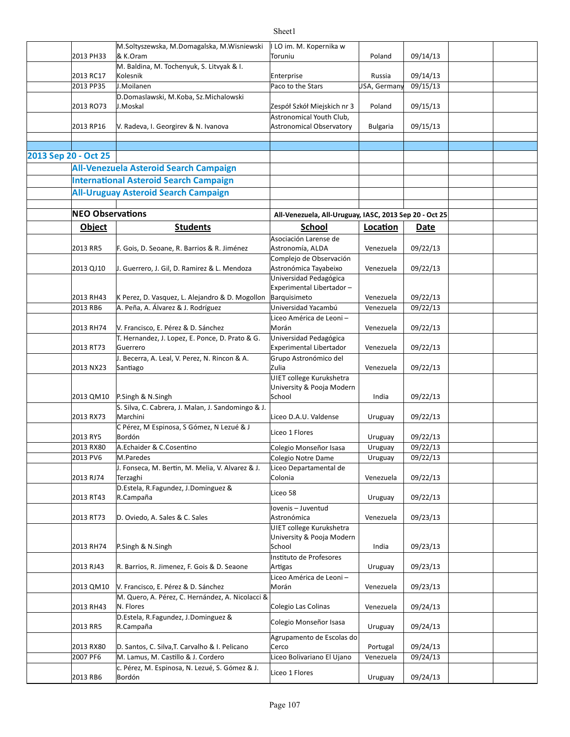|                      |                         | M.Soltyszewska, M.Domagalska, M.Wisniewski                     | II LO im. M. Kopernika w                               |                 |          |  |
|----------------------|-------------------------|----------------------------------------------------------------|--------------------------------------------------------|-----------------|----------|--|
|                      | 2013 PH33               | & K.Oram                                                       | Toruniu                                                | Poland          | 09/14/13 |  |
|                      | 2013 RC17               | M. Baldina, M. Tochenyuk, S. Litvyak & I.<br>Kolesnik          | Enterprise                                             | Russia          | 09/14/13 |  |
|                      | 2013 PP35               | J.Moilanen                                                     | Paco to the Stars                                      | USA, Germany    | 09/15/13 |  |
|                      |                         | D.Domaslawski, M.Koba, Sz.Michalowski                          |                                                        |                 |          |  |
|                      | 2013 RO73               | J.Moskal                                                       | Zespół Szkół Miejskich nr 3                            | Poland          | 09/15/13 |  |
|                      |                         |                                                                | Astronomical Youth Club,                               |                 |          |  |
|                      | 2013 RP16               | V. Radeva, I. Georgirev & N. Ivanova                           | <b>Astronomical Observatory</b>                        | <b>Bulgaria</b> | 09/15/13 |  |
|                      |                         |                                                                |                                                        |                 |          |  |
| 2013 Sep 20 - Oct 25 |                         |                                                                |                                                        |                 |          |  |
|                      |                         | <b>All-Venezuela Asteroid Search Campaign</b>                  |                                                        |                 |          |  |
|                      |                         | <b>International Asteroid Search Campaign</b>                  |                                                        |                 |          |  |
|                      |                         | <b>All-Uruguay Asteroid Search Campaign</b>                    |                                                        |                 |          |  |
|                      |                         |                                                                |                                                        |                 |          |  |
|                      | <b>NEO Observations</b> |                                                                | All-Venezuela, All-Uruguay, IASC, 2013 Sep 20 - Oct 25 |                 |          |  |
|                      | <b>Object</b>           | <b>Students</b>                                                | <b>School</b>                                          | Location        | Date     |  |
|                      |                         |                                                                | Asociación Larense de                                  |                 |          |  |
|                      | 2013 RR5                | F. Gois, D. Seoane, R. Barrios & R. Jiménez                    | Astronomía, ALDA                                       | Venezuela       | 09/22/13 |  |
|                      | 2013 QJ10               | J. Guerrero, J. Gil, D. Ramirez & L. Mendoza                   | Complejo de Observación<br>Astronómica Tayabeixo       | Venezuela       | 09/22/13 |  |
|                      |                         |                                                                | Universidad Pedagógica                                 |                 |          |  |
|                      |                         |                                                                | Experimental Libertador-                               |                 |          |  |
|                      | 2013 RH43               | K Perez, D. Vasquez, L. Alejandro & D. Mogollon                | Barquisimeto                                           | Venezuela       | 09/22/13 |  |
|                      | 2013 RB6                | A. Peña, A. Álvarez & J. Rodríguez                             | Universidad Yacambú                                    | Venezuela       | 09/22/13 |  |
|                      |                         |                                                                | Liceo América de Leoni -                               |                 |          |  |
|                      | 2013 RH74               | V. Francisco, E. Pérez & D. Sánchez                            | Morán                                                  | Venezuela       | 09/22/13 |  |
|                      | 2013 RT73               | T. Hernandez, J. Lopez, E. Ponce, D. Prato & G.<br>Guerrero    | Universidad Pedagógica<br>Experimental Libertador      | Venezuela       | 09/22/13 |  |
|                      |                         | J. Becerra, A. Leal, V. Perez, N. Rincon & A.                  | Grupo Astronómico del                                  |                 |          |  |
|                      | 2013 NX23               | Santiago                                                       | Zulia                                                  | Venezuela       | 09/22/13 |  |
|                      |                         |                                                                | UIET college Kurukshetra                               |                 |          |  |
|                      |                         |                                                                | University & Pooja Modern                              |                 |          |  |
|                      | 2013 QM10               | P.Singh & N.Singh                                              | School                                                 | India           | 09/22/13 |  |
|                      | 2013 RX73               | S. Silva, C. Cabrera, J. Malan, J. Sandomingo & J.<br>Marchini | Liceo D.A.U. Valdense                                  | Uruguay         | 09/22/13 |  |
|                      |                         | C Pérez, M Espinosa, S Gómez, N Lezué & J                      |                                                        |                 |          |  |
|                      | 2013 RY5                | Bordón                                                         | Liceo 1 Flores                                         | Uruguay         | 09/22/13 |  |
|                      | 2013 RX80               | A.Echaider & C.Cosentino                                       | Colegio Monseñor Isasa                                 | Uruguay         | 09/22/13 |  |
|                      | 2013 PV6                | M.Paredes                                                      | Colegio Notre Dame                                     | Uruguay         | 09/22/13 |  |
|                      |                         | J. Fonseca, M. Bertin, M. Melia, V. Alvarez & J.               | Liceo Departamental de                                 |                 |          |  |
|                      | 2013 RJ74               | Terzaghi                                                       | Colonia                                                | Venezuela       | 09/22/13 |  |
|                      | 2013 RT43               | D.Estela, R.Fagundez, J.Dominguez &<br>R.Campaña               | Liceo 58                                               | Uruguay         | 09/22/13 |  |
|                      |                         |                                                                | Iovenis - Juventud                                     |                 |          |  |
|                      | 2013 RT73               | D. Oviedo, A. Sales & C. Sales                                 | Astronómica                                            | Venezuela       | 09/23/13 |  |
|                      |                         |                                                                | UIET college Kurukshetra                               |                 |          |  |
|                      |                         |                                                                | University & Pooja Modern                              |                 |          |  |
|                      | 2013 RH74               | P.Singh & N.Singh                                              | School<br>Instituto de Profesores                      | India           | 09/23/13 |  |
|                      | 2013 RJ43               | R. Barrios, R. Jimenez, F. Gois & D. Seaone                    | Artigas                                                | Uruguay         | 09/23/13 |  |
|                      |                         |                                                                | Liceo América de Leoni-                                |                 |          |  |
|                      | 2013 QM10               | V. Francisco, E. Pérez & D. Sánchez                            | Morán                                                  | Venezuela       | 09/23/13 |  |
|                      |                         | M. Quero, A. Pérez, C. Hernández, A. Nicolacci &               |                                                        |                 |          |  |
|                      | 2013 RH43               | N. Flores                                                      | Colegio Las Colinas                                    | Venezuela       | 09/24/13 |  |
|                      |                         | D.Estela, R.Fagundez, J.Dominguez &<br>R.Campaña               | Colegio Monseñor Isasa                                 |                 |          |  |
|                      | 2013 RR5                |                                                                | Agrupamento de Escolas do                              | Uruguay         | 09/24/13 |  |
|                      | 2013 RX80               | D. Santos, C. Silva, T. Carvalho & I. Pelicano                 | Cerco                                                  | Portugal        | 09/24/13 |  |
|                      | 2007 PF6                | M. Lamus, M. Castillo & J. Cordero                             | Liceo Bolivariano El Ujano                             | Venezuela       | 09/24/13 |  |
|                      |                         | c. Pérez, M. Espinosa, N. Lezué, S. Gómez & J.                 | Liceo 1 Flores                                         |                 |          |  |
|                      | 2013 RB6                | Bordón                                                         |                                                        | Uruguay         | 09/24/13 |  |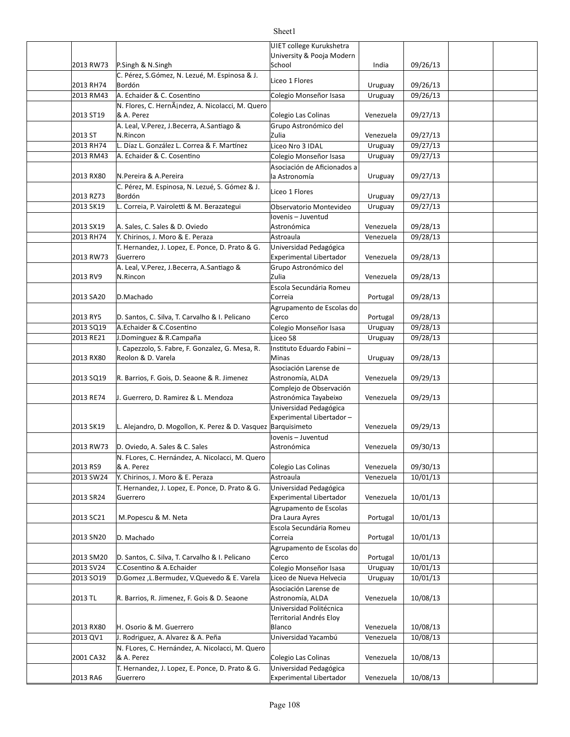|           |                                                                                       | UIET college Kurukshetra<br>University & Pooja Modern |                      |                      |  |
|-----------|---------------------------------------------------------------------------------------|-------------------------------------------------------|----------------------|----------------------|--|
| 2013 RW73 | P.Singh & N.Singh                                                                     | School                                                | India                | 09/26/13             |  |
|           | C. Pérez, S.Gómez, N. Lezué, M. Espinosa & J.                                         | Liceo 1 Flores                                        |                      |                      |  |
| 2013 RH74 | Bordón                                                                                |                                                       | Uruguay              | 09/26/13             |  |
| 2013 RM43 | A. Echaider & C. Cosentino                                                            | Colegio Monseñor Isasa                                | Uruguay              | 09/26/13             |  |
| 2013 ST19 | N. Flores, C. HernÃindez, A. Nicolacci, M. Quero<br>& A. Perez                        | Colegio Las Colinas                                   | Venezuela            | 09/27/13             |  |
| 2013 ST   | A. Leal, V.Perez, J.Becerra, A.Santiago &<br>N.Rincon                                 | Grupo Astronómico del<br>Zulia                        |                      |                      |  |
| 2013 RH74 | L. Díaz L. González L. Correa & F. Martínez                                           | Liceo Nro 3 IDAL                                      | Venezuela<br>Uruguay | 09/27/13<br>09/27/13 |  |
| 2013 RM43 | A. Echaider & C. Cosentino                                                            | Colegio Monseñor Isasa                                | Uruguay              | 09/27/13             |  |
|           |                                                                                       | Asociación de Aficionados a                           |                      |                      |  |
| 2013 RX80 | N.Pereira & A.Pereira                                                                 | la Astronomía                                         | Uruguay              | 09/27/13             |  |
| 2013 RZ73 | C. Pérez, M. Espinosa, N. Lezué, S. Gómez & J.<br>Bordón                              | Liceo 1 Flores                                        | Uruguay              | 09/27/13             |  |
| 2013 SK19 | L. Correia, P. Vairoletti & M. Berazategui                                            | Observatorio Montevideo                               | Uruguay              | 09/27/13             |  |
|           |                                                                                       | Iovenis - Juventud                                    |                      |                      |  |
| 2013 SX19 | A. Sales, C. Sales & D. Oviedo                                                        | Astronómica                                           | Venezuela            | 09/28/13             |  |
| 2013 RH74 | Y. Chirinos, J. Moro & E. Peraza                                                      | Astroaula                                             | Venezuela            | 09/28/13             |  |
| 2013 RW73 | T. Hernandez, J. Lopez, E. Ponce, D. Prato & G.<br>Guerrero                           | Universidad Pedagógica<br>Experimental Libertador     | Venezuela            | 09/28/13             |  |
|           | A. Leal, V.Perez, J.Becerra, A.Santiago &                                             | Grupo Astronómico del                                 |                      |                      |  |
| 2013 RV9  | N.Rincon                                                                              | <b>Zulia</b>                                          | Venezuela            | 09/28/13             |  |
|           |                                                                                       | Escola Secundária Romeu                               |                      |                      |  |
| 2013 SA20 | D.Machado                                                                             | Correia                                               | Portugal             | 09/28/13             |  |
| 2013 RY5  | D. Santos, C. Silva, T. Carvalho & I. Pelicano                                        | Agrupamento de Escolas do<br>Cerco                    | Portugal             | 09/28/13             |  |
| 2013 SQ19 | A.Echaider & C.Cosentino                                                              | Colegio Monseñor Isasa                                | Uruguay              | 09/28/13             |  |
| 2013 RE21 | J.Dominguez & R.Campaña                                                               | Liceo 58                                              | Uruguay              | 09/28/13             |  |
|           | I. Capezzolo, S. Fabre, F. Gonzalez, G. Mesa, R.                                      | Instituto Eduardo Fabini -                            |                      |                      |  |
| 2013 RX80 | Reolon & D. Varela                                                                    | Minas                                                 | Uruguay              | 09/28/13             |  |
|           |                                                                                       | Asociación Larense de                                 |                      |                      |  |
| 2013 SQ19 | R. Barrios, F. Gois, D. Seaone & R. Jimenez                                           | Astronomía, ALDA<br>Complejo de Observación           | Venezuela            | 09/29/13             |  |
| 2013 RE74 | J. Guerrero, D. Ramirez & L. Mendoza                                                  | Astronómica Tayabeixo                                 | Venezuela            | 09/29/13             |  |
|           |                                                                                       | Universidad Pedagógica                                |                      |                      |  |
|           |                                                                                       | Experimental Libertador-                              |                      |                      |  |
| 2013 SK19 | L. Alejandro, D. Mogollon, K. Perez & D. Vasquez Barquisimeto                         |                                                       | Venezuela            | 09/29/13             |  |
| 2013 RW73 | D. Oviedo, A. Sales & C. Sales                                                        | lovenis - Juventud<br>Astronómica                     | Venezuela            | 09/30/13             |  |
|           | N. FLores, C. Hernández, A. Nicolacci, M. Quero                                       |                                                       |                      |                      |  |
| 2013 RS9  | & A. Perez                                                                            | Colegio Las Colinas                                   | Venezuela            | 09/30/13             |  |
| 2013 SW24 | Y. Chirinos, J. Moro & E. Peraza                                                      | Astroaula                                             | Venezuela            | 10/01/13             |  |
|           | T. Hernandez, J. Lopez, E. Ponce, D. Prato & G.                                       | Universidad Pedagógica                                |                      |                      |  |
| 2013 SR24 | Guerrero                                                                              | Experimental Libertador                               | Venezuela            | 10/01/13             |  |
| 2013 SC21 | M.Popescu & M. Neta                                                                   | Agrupamento de Escolas<br>Dra Laura Ayres             | Portugal             | 10/01/13             |  |
|           |                                                                                       | Escola Secundária Romeu                               |                      |                      |  |
| 2013 SN20 | D. Machado                                                                            | Correia                                               | Portugal             | 10/01/13             |  |
|           |                                                                                       | Agrupamento de Escolas do                             |                      |                      |  |
| 2013 SM20 | D. Santos, C. Silva, T. Carvalho & I. Pelicano                                        | Cerco                                                 | Portugal             | 10/01/13             |  |
| 2013 SV24 | C.Cosentino & A.Echaider                                                              | Colegio Monseñor Isasa<br>Liceo de Nueva Helvecia     | Uruguay              | 10/01/13<br>10/01/13 |  |
| 2013 SO19 | D.Gomez , L.Bermudez, V.Quevedo & E. Varela                                           | Asociación Larense de                                 | Uruguay              |                      |  |
| 2013 TL   | R. Barrios, R. Jimenez, F. Gois & D. Seaone                                           | Astronomía, ALDA                                      | Venezuela            | 10/08/13             |  |
|           |                                                                                       | Universidad Politécnica                               |                      |                      |  |
|           |                                                                                       | Territorial Andrés Eloy                               |                      |                      |  |
| 2013 RX80 | H. Osorio & M. Guerrero                                                               | Blanco<br>Universidad Yacambú                         | Venezuela            | 10/08/13             |  |
| 2013 QV1  | J. Rodriguez, A. Alvarez & A. Peña<br>N. FLores, C. Hernández, A. Nicolacci, M. Quero |                                                       | Venezuela            | 10/08/13             |  |
| 2001 CA32 | & A. Perez                                                                            | Colegio Las Colinas                                   | Venezuela            | 10/08/13             |  |
|           | T. Hernandez, J. Lopez, E. Ponce, D. Prato & G.                                       | Universidad Pedagógica                                |                      |                      |  |
| 2013 RA6  | Guerrero                                                                              | Experimental Libertador                               | Venezuela            | 10/08/13             |  |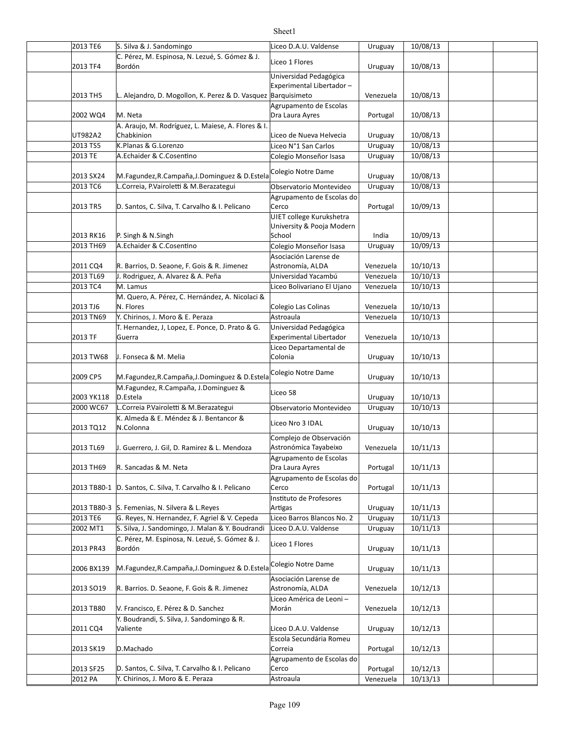| 2013 TE6             | S. Silva & J. Sandomingo                                                                        | Liceo D.A.U. Valdense                               | Uruguay   | 10/08/13 |  |
|----------------------|-------------------------------------------------------------------------------------------------|-----------------------------------------------------|-----------|----------|--|
|                      | C. Pérez, M. Espinosa, N. Lezué, S. Gómez & J.                                                  | Liceo 1 Flores                                      |           |          |  |
| 2013 TF4             | Bordón                                                                                          |                                                     | Uruguay   | 10/08/13 |  |
|                      |                                                                                                 | Universidad Pedagógica                              |           |          |  |
|                      | L. Alejandro, D. Mogollon, K. Perez & D. Vasquez Barquisimeto                                   | Experimental Libertador-                            |           |          |  |
| 2013 TH5             |                                                                                                 |                                                     | Venezuela | 10/08/13 |  |
| 2002 WQ4             | M. Neta                                                                                         | Agrupamento de Escolas<br>Dra Laura Ayres           |           | 10/08/13 |  |
|                      | A. Araujo, M. Rodríguez, L. Maiese, A. Flores & I.                                              |                                                     | Portugal  |          |  |
| UT982A2              | Chabkinion                                                                                      | Liceo de Nueva Helvecia                             | Uruguay   | 10/08/13 |  |
| 2013 TS5             | K.Planas & G.Lorenzo                                                                            | Liceo N°1 San Carlos                                | Uruguay   | 10/08/13 |  |
| 2013 TE              | A.Echaider & C.Cosentino                                                                        | Colegio Monseñor Isasa                              | Uruguay   | 10/08/13 |  |
|                      |                                                                                                 |                                                     |           |          |  |
| 2013 SX24            | M.Fagundez, R.Campaña, J.Dominguez & D.Estela                                                   | Colegio Notre Dame                                  | Uruguay   | 10/08/13 |  |
| 2013 TC6             | L.Correia, P.Vairoletti & M.Berazategui                                                         | Observatorio Montevideo                             | Uruguay   | 10/08/13 |  |
|                      |                                                                                                 | Agrupamento de Escolas do                           |           |          |  |
| 2013 TR5             | D. Santos, C. Silva, T. Carvalho & I. Pelicano                                                  | Cerco                                               | Portugal  | 10/09/13 |  |
|                      |                                                                                                 | UIET college Kurukshetra                            |           |          |  |
|                      |                                                                                                 | University & Pooja Modern                           |           |          |  |
| 2013 RK16            | P. Singh & N. Singh                                                                             | School                                              | India     | 10/09/13 |  |
| 2013 TH69            | A.Echaider & C.Cosentino                                                                        | Colegio Monseñor Isasa                              | Uruguay   | 10/09/13 |  |
|                      |                                                                                                 | Asociación Larense de                               |           |          |  |
| 2011 CQ4             | R. Barrios, D. Seaone, F. Gois & R. Jimenez                                                     | Astronomía, ALDA                                    | Venezuela | 10/10/13 |  |
| 2013 TL69            | J. Rodriguez, A. Alvarez & A. Peña                                                              | Universidad Yacambú                                 | Venezuela | 10/10/13 |  |
| 2013 TC4             | M. Lamus                                                                                        | Liceo Bolivariano El Ujano                          | Venezuela | 10/10/13 |  |
|                      | M. Quero, A. Pérez, C. Hernández, A. Nicolaci &                                                 |                                                     |           |          |  |
| 2013 TJ6             | N. Flores                                                                                       | Colegio Las Colinas                                 | Venezuela | 10/10/13 |  |
| 2013 TN69            | Y. Chirinos, J. Moro & E. Peraza                                                                | Astroaula                                           | Venezuela | 10/10/13 |  |
|                      | T. Hernandez, J, Lopez, E. Ponce, D. Prato & G.                                                 | Universidad Pedagógica                              |           |          |  |
| 2013 TF              | Guerra                                                                                          | Experimental Libertador                             | Venezuela | 10/10/13 |  |
|                      |                                                                                                 | Liceo Departamental de                              |           |          |  |
| 2013 TW68            | J. Fonseca & M. Melia                                                                           | Colonia                                             | Uruguay   | 10/10/13 |  |
|                      |                                                                                                 | Colegio Notre Dame                                  |           |          |  |
| 2009 CP5             | M.Fagundez, R.Campaña, J.Dominguez & D.Estela                                                   |                                                     | Uruguay   | 10/10/13 |  |
|                      | M.Fagundez, R.Campaña, J.Dominguez &                                                            | Liceo 58                                            |           |          |  |
| 2003 YK118           | D.Estela                                                                                        |                                                     | Uruguay   | 10/10/13 |  |
| 2000 WC67            | L.Correia P.Vairoletti & M.Berazategui                                                          | Observatorio Montevideo                             | Uruguay   | 10/10/13 |  |
|                      | K. Almeda & E. Méndez & J. Bentancor &                                                          | Liceo Nro 3 IDAL                                    |           |          |  |
| 2013 TQ12            | N.Colonna                                                                                       |                                                     | Uruguay   | 10/10/13 |  |
|                      |                                                                                                 | Complejo de Observación                             |           |          |  |
| 2013 TL69            | J. Guerrero, J. Gil, D. Ramirez & L. Mendoza                                                    | Astronómica Tayabeixo                               | Venezuela | 10/11/13 |  |
|                      |                                                                                                 | Agrupamento de Escolas                              |           |          |  |
| 2013 TH69            | R. Sancadas & M. Neta                                                                           | Dra Laura Ayres                                     | Portugal  | 10/11/13 |  |
|                      |                                                                                                 | Agrupamento de Escolas do                           |           |          |  |
| 2013 TB80-1          | D. Santos, C. Silva, T. Carvalho & I. Pelicano                                                  | Cerco                                               | Portugal  | 10/11/13 |  |
|                      |                                                                                                 | Instituto de Profesores                             |           |          |  |
|                      | 2013 TB80-3 S. Femenias, N. Silvera & L. Reyes<br>G. Reyes, N. Hernandez, F. Agriel & V. Cepeda | Artigas                                             | Uruguay   | 10/11/13 |  |
| 2013 TE6<br>2002 MT1 | S. Silva, J. Sandomingo, J. Malan & Y. Boudrandi                                                | Liceo Barros Blancos No. 2<br>Liceo D.A.U. Valdense | Uruguay   | 10/11/13 |  |
|                      |                                                                                                 |                                                     | Uruguay   | 10/11/13 |  |
| 2013 PR43            | C. Pérez, M. Espinosa, N. Lezué, S. Gómez & J.<br>Bordón                                        | Liceo 1 Flores                                      | Uruguay   | 10/11/13 |  |
|                      |                                                                                                 |                                                     |           |          |  |
| 2006 BX139           | M.Fagundez, R.Campaña, J.Dominguez & D.Estela                                                   | Colegio Notre Dame                                  | Uruguay   | 10/11/13 |  |
|                      |                                                                                                 | Asociación Larense de                               |           |          |  |
| 2013 SO19            | R. Barrios. D. Seaone, F. Gois & R. Jimenez                                                     | Astronomía, ALDA                                    | Venezuela | 10/12/13 |  |
|                      |                                                                                                 | Liceo América de Leoni-                             |           |          |  |
| 2013 TB80            | V. Francisco, E. Pérez & D. Sanchez                                                             | Morán                                               | Venezuela | 10/12/13 |  |
|                      | Y. Boudrandi, S. Silva, J. Sandomingo & R.                                                      |                                                     |           |          |  |
| 2011 CQ4             | Valiente                                                                                        | Liceo D.A.U. Valdense                               | Uruguay   | 10/12/13 |  |
|                      |                                                                                                 | Escola Secundária Romeu                             |           |          |  |
| 2013 SK19            | D.Machado                                                                                       | Correia                                             | Portugal  | 10/12/13 |  |
|                      |                                                                                                 | Agrupamento de Escolas do                           |           |          |  |
| 2013 SF25            | D. Santos, C. Silva, T. Carvalho & I. Pelicano                                                  | Cerco                                               | Portugal  | 10/12/13 |  |
| 2012 PA              | Y. Chirinos, J. Moro & E. Peraza                                                                | Astroaula                                           | Venezuela | 10/13/13 |  |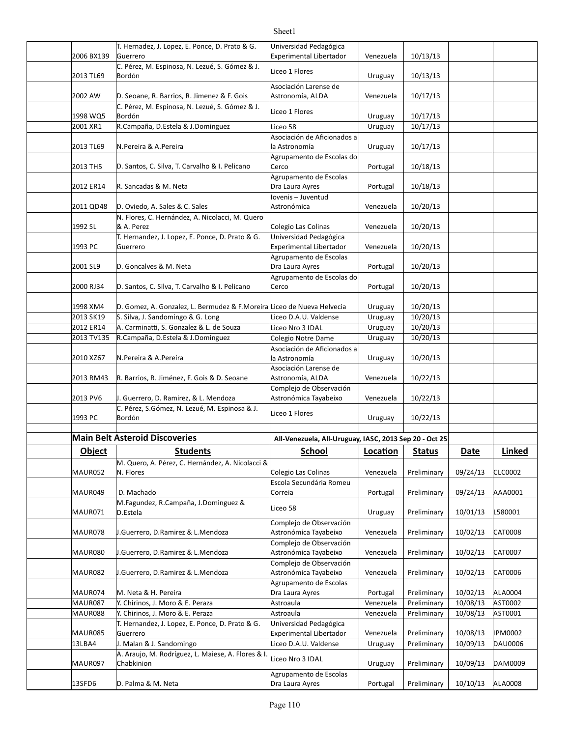#### 2006 BX139 Venezuela 10/13/13 Experimental Libertador  $2013$  TL69 Bordón **Dental Access of the Uruguay** 10/13/13 2002 AW D. Seoane, R. Barrios, R. Jimenez & F. Gois Astronomía, ALDA | Venezuela | 10/17/13  $1998 \text{ WQ5}$  Bordón  $1998 \text{ WQ5}$   $10/17/13$ 2001 XR1 | R.Campaña, D.Estela & J.Dominguez | Liceo 58 | Uruguay | 10/17/13 2013 TL69 Uruguay 10/17/13 N.Pereira & A.Pereira 2013 TH5 D. Santos, C. Silva, T. Carvalho & I. Pelicano Cerco Carrollaris Rottugal | 10/18/13 2012 ER14 R. Sancadas & M. Neta **burned by Carlin Carlin Carlin Carlin Carlin Carlin Carlin Carlin Carlin Carlin C** 2011 QD48 D. Oviedo, A. Sales & C. Sales Venezuela 10/20/13 1992 SL  $\begin{array}{|c|c|c|c|c|}\n\hline\n8 & A. Perez & \multicolumn{1}{c|}{\text{Re}} & \multicolumn{1}{c|}{\text{Colegio Las Colinas}} & \multicolumn{1}{c|}{\text{Venezuela}} & 10/20/13 \\
\hline\n\end{array}$ 1993 PC Guerrero Contract Controlle Experimental Libertador | Venezuela | 10/20/13 2001 SL9 D. Goncalves & M. Neta **D. Computer Computer State Computer** D. Portugal | 10/20/13 2000 RJ34 D. Santos, C. Silva, T. Carvalho & I. Pelicano Cerco Carrolla Portugal | 10/20/13 1998 XM4 D. Gomez, A. Gonzalez, L. Bermudez & F.Moreira Liceo de Nueva Helvecia | Uruguay | 10/20/13 2013 SK19 S. Silva, J. Sandomingo & G. Long Liceo D.A.U. Valdense | Uruguay | 10/20/13 2012 ER14 |A. Carminatti, S. Gonzalez & L. de Souza |Liceo Nro 3 IDAL | Uruguay | 10/20/13 2013 TV135 R.Campaña, D.Estela & J.Dominguez Colegio Notre Dame | Uruguay | 10/20/13 2010 XZ67 Uruguay 10/20/13 N.Pereira & A.Pereira 2013 RM43 R. Barrios, R. Jiménez, F. Gois & D. Seoane Astronomía, ALDA | Venezuela | 10/22/13 2013 PV6 J. Guerrero, D. Ramirez, & L. Mendoza Astronómica Tayabeixo Venezuela | 10/22/13  $1993$  PC Bordón **Delayer Strategy (10/22/13** Uruguay 10/22/13 **Main Belt Asteroid Discoveries All-Venezuela, All-Uruguay, IASC, 2013** Sep 20 - Oct 25 **Object Students School Loca.on Status Date Linked** MAUR052 N. Flores Colegio Las Colinas | Venezuela | Preliminary | 09/24/13 CLC0002 MAUR049 Portugal Preliminary 09/24/13 AAA0001 MAUR071 Uruguay Preliminary 10/01/13 L580001 MAUR078 J.Guerrero, D.Ramirez & L.Mendoza Astronómica Tayabeixo Venezuela Preliminary 10/02/13 CAT0008 MAUR080 J.Guerrero, D.Ramirez & L.Mendoza Astronómica Tayabeixo Venezuela Preliminary 10/02/13 CAT0007 MAUR082 J.Guerrero, D.Ramirez & L.Mendoza Astronómica Tayabeixo Venezuela Preliminary 10/02/13 CAT0006 MAUR074 Portugal Preliminary 10/02/13 ALA0004 M. Neta & H. Pereira MAUR087 |Y. Chirinos, J. Moro & E. Peraza Astroaula | Astroaula | Venezuela | Preliminary | 10/08/13 | AST0002 MAUR088 Venezuela Preliminary 10/08/13 AST0001 Y. Chirinos, J. Moro & E. Peraza Astroaula MAUR085 Venezuela Preliminary 10/08/13 IPM0002 Experimental Libertador 13LBA4 |J. Malan & J. Sandomingo Liceo D.A.U. Valdense | Uruguay | Preliminary | 10/09/13 |DAU0006 MAUR097 Uruguay Preliminary 10/09/13 DAM0009 T. Hernadez, J. Lopez, E. Ponce, D. Prato & G. Guerrero Universidad Pedagógica C. Pérez, M. Espinosa, N. Lezué, S. Gómez & J. Bordón Liceo 1 Flores Asociación Larense de Astronomía, ALDA C. Pérez, M. Espinosa, N. Lezué, S. Gómez & J. e. Ferez, M. Espíriosa, M. Eezde, S. Gomez & J. [Liceo 1 Flores] Asociación de Aficionados a la Astronomía Agrupamento de Escolas do Cerco Agrupamento de Escolas Dra Laura Ayres Iovenis – Juventud Astronómica N. Flores, C. Hernández, A. Nicolacci, M. Quero T. Hernandez, J. Lopez, E. Ponce, D. Prato & G. Guerrero Universidad Pedagógica Agrupamento de Escolas Dra Laura Ayres Agrupamento de Escolas do Cerco Asociación de Aficionados a la Astronomía Asociación Larense de Astronomía, ALDA Complejo de Observación Astronómica Tayabeixo C. Pérez, S.Gómez, N. Lezué, M. Espinosa & J. Bordón Liceo 1 Flores M. Quero, A. Pérez, C. Hernández, A. Nicolacci & D. Machado Escola Secundária Romeu Correia M.Fagundez, R.Campaña, J.Dominguez & Liceo 58 Complejo de Observación Astronómica Tayabeixo Complejo de Observación Astronómica Tayabeixo Complejo de Observación Astronómica Tayabeixo Agrupamento de Escolas Dra Laura Ayres T. Hernandez, J. Lopez, E. Ponce, D. Prato & G. Guerrero Universidad Pedagógica A. Araujo, M. Rodríguez, L. Maiese, A. Flores & I. Liceo Nro 3 IDAL<br>Chabkinion

Sheet1

13SFD6 Portugal Preliminary 10/10/13 ALA0008 D. Palma & M. Neta

Agrupamento de Escolas Dra Laura Ayres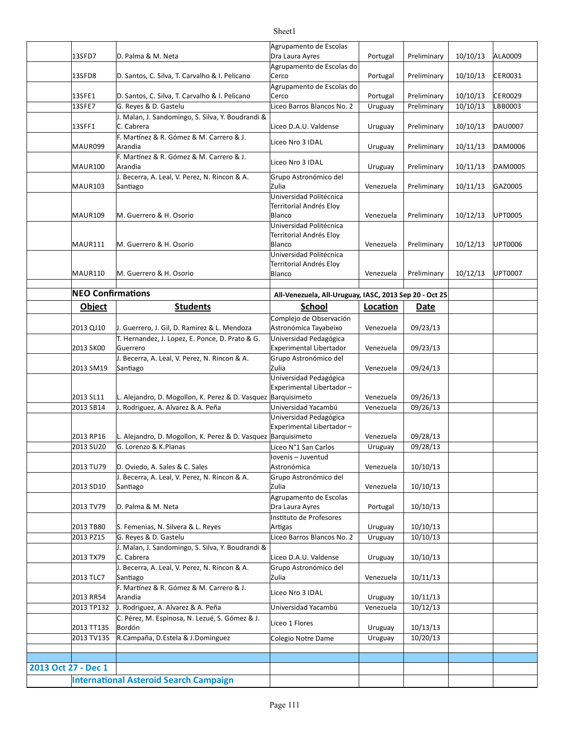|                     |                          |                                                               | Agrupamento de Escolas                                 |           |             |          |                |
|---------------------|--------------------------|---------------------------------------------------------------|--------------------------------------------------------|-----------|-------------|----------|----------------|
|                     | 13SFD7                   | D. Palma & M. Neta                                            | Dra Laura Ayres                                        | Portugal  | Preliminary | 10/10/13 | ALA0009        |
|                     |                          |                                                               | Agrupamento de Escolas do                              |           |             |          |                |
|                     | 13SFD8                   | D. Santos, C. Silva, T. Carvalho & I. Pelicano                | Cerco                                                  | Portugal  | Preliminary | 10/10/13 | CER0031        |
|                     |                          |                                                               | Agrupamento de Escolas do                              |           |             |          |                |
|                     | 13SFE1                   | D. Santos, C. Silva, T. Carvalho & I. Pelicano                | Cerco                                                  | Portugal  | Preliminary | 10/10/13 | <b>CER0029</b> |
|                     | 13SFE7                   | G. Reyes & D. Gastelu                                         | Liceo Barros Blancos No. 2                             | Uruguay   | Preliminary | 10/10/13 | LBB0003        |
|                     |                          | J. Malan, J. Sandomingo, S. Silva, Y. Boudrandi &             |                                                        |           |             |          |                |
|                     | 13SFF1                   | C. Cabrera                                                    | Liceo D.A.U. Valdense                                  | Uruguay   | Preliminary | 10/10/13 | <b>DAU0007</b> |
|                     |                          | F. Martínez & R. Gómez & M. Carrero & J.                      |                                                        |           |             |          |                |
|                     | MAUR099                  | Arandia                                                       | Liceo Nro 3 IDAL                                       | Uruguay   | Preliminary | 10/11/13 | DAM0006        |
|                     |                          | F. Martínez & R. Gómez & M. Carrero & J.                      |                                                        |           |             |          |                |
|                     | MAUR100                  | Arandia                                                       | Liceo Nro 3 IDAL                                       | Uruguay   | Preliminary | 10/11/13 | DAM0005        |
|                     |                          | J. Becerra, A. Leal, V. Perez, N. Rincon & A.                 | Grupo Astronómico del                                  |           |             |          |                |
|                     | MAUR103                  | Santiago                                                      | Zulia                                                  | Venezuela | Preliminary | 10/11/13 | GAZ0005        |
|                     |                          |                                                               | Universidad Politécnica                                |           |             |          |                |
|                     |                          |                                                               | Territorial Andrés Eloy                                |           |             |          |                |
|                     | MAUR109                  | M. Guerrero & H. Osorio                                       | Blanco                                                 | Venezuela | Preliminary | 10/12/13 | <b>UPT0005</b> |
|                     |                          |                                                               | Universidad Politécnica                                |           |             |          |                |
|                     |                          |                                                               | Territorial Andrés Eloy                                |           |             |          |                |
|                     | MAUR111                  | M. Guerrero & H. Osorio                                       | Blanco                                                 | Venezuela | Preliminary | 10/12/13 | <b>UPT0006</b> |
|                     |                          |                                                               | Universidad Politécnica                                |           |             |          |                |
|                     |                          |                                                               | Territorial Andrés Eloy                                |           |             |          |                |
|                     | MAUR110                  | M. Guerrero & H. Osorio                                       | Blanco                                                 | Venezuela | Preliminary | 10/12/13 | UPT0007        |
|                     |                          |                                                               |                                                        |           |             |          |                |
|                     | <b>NEO</b> Confirmations |                                                               | All-Venezuela, All-Uruguay, IASC, 2013 Sep 20 - Oct 25 |           |             |          |                |
|                     | <b>Object</b>            | <b>Students</b>                                               | <b>School</b>                                          | Location  | Date        |          |                |
|                     |                          |                                                               | Complejo de Observación                                |           |             |          |                |
|                     | 2013 QJ10                | J. Guerrero, J. Gil, D. Ramirez & L. Mendoza                  | Astronómica Tayabeixo                                  | Venezuela | 09/23/13    |          |                |
|                     |                          | T. Hernandez, J. Lopez, E. Ponce, D. Prato & G.               | Universidad Pedagógica                                 |           |             |          |                |
|                     | 2013 SK00                | Guerrero                                                      | Experimental Libertador                                | Venezuela | 09/23/13    |          |                |
|                     |                          |                                                               |                                                        |           |             |          |                |
|                     |                          |                                                               |                                                        |           |             |          |                |
|                     |                          | J. Becerra, A. Leal, V. Perez, N. Rincon & A.                 | Grupo Astronómico del                                  |           |             |          |                |
|                     | 2013 SM19                | Santiago                                                      | Zulia                                                  | Venezuela | 09/24/13    |          |                |
|                     |                          |                                                               | Universidad Pedagógica                                 |           |             |          |                |
|                     | 2013 SL11                | L. Alejandro, D. Mogollon, K. Perez & D. Vasquez Barquisimeto | Experimental Libertador-                               | Venezuela | 09/26/13    |          |                |
|                     | 2013 SB14                | J. Rodriguez, A. Alvarez & A. Peña                            | Universidad Yacambú                                    | Venezuela | 09/26/13    |          |                |
|                     |                          |                                                               | Universidad Pedagógica                                 |           |             |          |                |
|                     |                          |                                                               | Experimental Libertador-                               |           |             |          |                |
|                     | 2013 RP16                | L. Alejandro, D. Mogollon, K. Perez & D. Vasquez Barquisimeto |                                                        | Venezuela | 09/28/13    |          |                |
|                     | 2013 SU20                | G. Lorenzo & K.Planas                                         | Liceo N°1 San Carlos                                   | Uruguay   | 09/28/13    |          |                |
|                     |                          |                                                               | Iovenis-Juventud                                       |           |             |          |                |
|                     | 2013 TU79                | D. Oviedo, A. Sales & C. Sales                                | Astronómica                                            | Venezuela | 10/10/13    |          |                |
|                     |                          | J. Becerra, A. Leal, V. Perez, N. Rincon & A.                 | Grupo Astronómico del                                  |           |             |          |                |
|                     | 2013 SD10                | Santiago                                                      | Zulia                                                  | Venezuela | 10/10/13    |          |                |
|                     |                          |                                                               | Agrupamento de Escolas                                 |           |             |          |                |
|                     | 2013 TV79                | D. Palma & M. Neta                                            | Dra Laura Ayres                                        | Portugal  | 10/10/13    |          |                |
|                     |                          |                                                               | Instituto de Profesores                                |           |             |          |                |
|                     | 2013 TB80                | S. Femenias, N. Silvera & L. Reyes                            | Artigas                                                | Uruguay   | 10/10/13    |          |                |
|                     | 2013 PZ15                | G. Reyes & D. Gastelu                                         | Liceo Barros Blancos No. 2                             | Uruguay   | 10/10/13    |          |                |
|                     |                          | J. Malan, J. Sandomingo, S. Silva, Y. Boudrandi &             |                                                        |           |             |          |                |
|                     | 2013 TX79                | C. Cabrera                                                    | Liceo D.A.U. Valdense                                  | Uruguay   | 10/10/13    |          |                |
|                     |                          | J. Becerra, A. Leal, V. Perez, N. Rincon & A.                 | Grupo Astronómico del                                  |           |             |          |                |
|                     | 2013 TLC7                | Santiago                                                      | Zulia                                                  | Venezuela | 10/11/13    |          |                |
|                     |                          | F. Martínez & R. Gómez & M. Carrero & J.                      |                                                        |           |             |          |                |
|                     | 2013 RR54                | Arandia                                                       | Liceo Nro 3 IDAL                                       | Uruguay   | 10/11/13    |          |                |
|                     | 2013 TP132               | J. Rodriguez, A. Alvarez & A. Peña                            | Universidad Yacambú                                    | Venezuela | 10/12/13    |          |                |
|                     |                          | C. Pérez, M. Espinosa, N. Lezué, S. Gómez & J.                |                                                        |           |             |          |                |
|                     | 2013 TT135               | Bordón                                                        | Liceo 1 Flores                                         | Uruguay   | 10/13/13    |          |                |
|                     | 2013 TV135               | R.Campaña, D.Estela & J.Dominguez                             | Colegio Notre Dame                                     | Uruguay   | 10/20/13    |          |                |
|                     |                          |                                                               |                                                        |           |             |          |                |
|                     |                          |                                                               |                                                        |           |             |          |                |
| 2013 Oct 27 - Dec 1 |                          | <b>International Asteroid Search Campaign</b>                 |                                                        |           |             |          |                |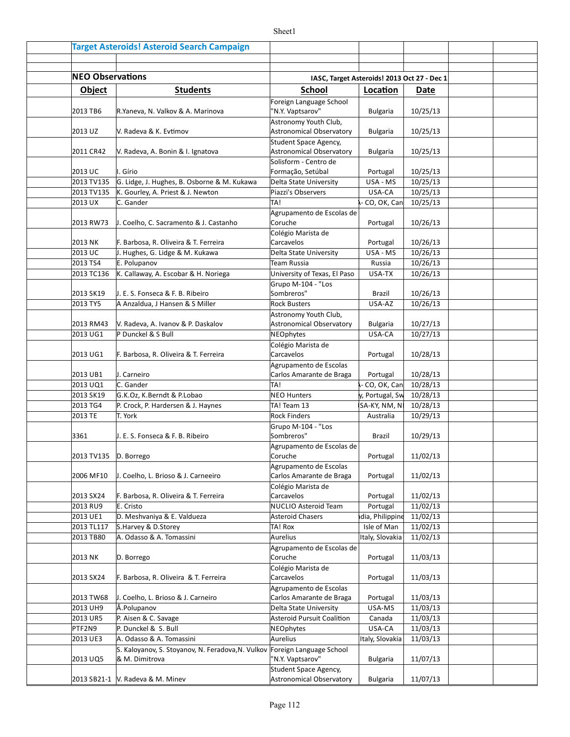|                         | <b>Target Asteroids! Asteroid Search Campaign</b>                         |                                                    |                 |                      |  |
|-------------------------|---------------------------------------------------------------------------|----------------------------------------------------|-----------------|----------------------|--|
|                         |                                                                           |                                                    |                 |                      |  |
| <b>NEO Observations</b> |                                                                           | IASC, Target Asteroids! 2013 Oct 27 - Dec 1        |                 |                      |  |
| <b>Object</b>           | <b>Students</b>                                                           | <b>School</b>                                      | Location        | Date                 |  |
|                         |                                                                           | Foreign Language School                            |                 |                      |  |
| 2013 TB6                | R.Yaneva, N. Valkov & A. Marinova                                         | "N.Y. Vaptsarov"                                   | <b>Bulgaria</b> | 10/25/13             |  |
| 2013 UZ                 | V. Radeva & K. Evtimov                                                    | Astronomy Youth Club,<br>Astronomical Observatory  | <b>Bulgaria</b> | 10/25/13             |  |
|                         |                                                                           | Student Space Agency,<br>Astronomical Observatory  |                 |                      |  |
| 2011 CR42               | V. Radeva, A. Bonin & I. Ignatova                                         | Solisform - Centro de                              | <b>Bulgaria</b> | 10/25/13             |  |
| 2013 UC                 | I. Gírio                                                                  | Formação, Setúbal                                  | Portugal        | 10/25/13             |  |
| 2013 TV135              | G. Lidge, J. Hughes, B. Osborne & M. Kukawa                               | Delta State University                             | USA - MS        | 10/25/13             |  |
| 2013 TV135              | K. Gourley, A. Priest & J. Newton                                         | Piazzi's Observers                                 | USA-CA          | 10/25/13             |  |
| 2013 UX                 | C. Gander                                                                 | TA!                                                | CO, OK, Can     | 10/25/13             |  |
| 2013 RW73               | J. Coelho, C. Sacramento & J. Castanho                                    | Agrupamento de Escolas de<br>Coruche               | Portugal        | 10/26/13             |  |
|                         |                                                                           | Colégio Marista de                                 |                 |                      |  |
| 2013 NK                 | F. Barbosa, R. Oliveira & T. Ferreira                                     | Carcavelos                                         | Portugal        | 10/26/13             |  |
| 2013 UC                 | J. Hughes, G. Lidge & M. Kukawa                                           | Delta State University                             | USA - MS        | 10/26/13             |  |
| 2013 TS4                | E. Polupanov                                                              | Team Russia                                        | Russia          | 10/26/13<br>10/26/13 |  |
| 2013 TC136              | K. Callaway, A. Escobar & H. Noriega                                      | University of Texas, El Paso<br>Grupo M-104 - "Los | USA-TX          |                      |  |
| 2013 SK19               | J. E. S. Fonseca & F. B. Ribeiro                                          | Sombreros"                                         | Brazil          | 10/26/13             |  |
| 2013 TY5                | A Anzaldua, J Hansen & S Miller                                           | <b>Rock Busters</b>                                | USA-AZ          | 10/26/13             |  |
|                         |                                                                           | Astronomy Youth Club,                              |                 |                      |  |
| 2013 RM43               | V. Radeva, A. Ivanov & P. Daskalov                                        | Astronomical Observatory                           | <b>Bulgaria</b> | 10/27/13             |  |
| 2013 UG1                | P Dunckel & S Bull                                                        | NEOphytes                                          | USA-CA          | 10/27/13             |  |
|                         |                                                                           | Colégio Marista de                                 |                 |                      |  |
| 2013 UG1                | F. Barbosa, R. Oliveira & T. Ferreira                                     | Carcavelos                                         | Portugal        | 10/28/13             |  |
| 2013 UB1                | J. Carneiro                                                               | Agrupamento de Escolas<br>Carlos Amarante de Braga | Portugal        | 10/28/13             |  |
| 2013 UQ1                | C. Gander                                                                 | TA!                                                | - CO, OK, Can   | 10/28/13             |  |
| 2013 SK19               | G.K.Oz, K.Berndt & P.Lobao                                                | <b>NEO Hunters</b>                                 | y, Portugal, Sw | 10/28/13             |  |
| 2013 TG4                | P. Crock, P. Hardersen & J. Haynes                                        | TA! Team 13                                        | SA-KY, NM, N    | 10/28/13             |  |
| 2013 TE                 | T. York                                                                   | <b>Rock Finders</b>                                | Australia       | 10/29/13             |  |
|                         |                                                                           | Grupo M-104 - "Los                                 |                 |                      |  |
| 3361                    | J. E. S. Fonseca & F. B. Ribeiro                                          | Sombreros"                                         | Brazil          | 10/29/13             |  |
| 2013 TV135 D. Borrego   |                                                                           | Agrupamento de Escolas de<br>Coruche               | Portugal        | 11/02/13             |  |
|                         |                                                                           | Agrupamento de Escolas                             |                 |                      |  |
| 2006 MF10               | J. Coelho, L. Brioso & J. Carneeiro                                       | Carlos Amarante de Braga                           | Portugal        | 11/02/13             |  |
| 2013 SX24               | F. Barbosa, R. Oliveira & T. Ferreira                                     | Colégio Marista de<br>Carcavelos                   | Portugal        | 11/02/13             |  |
| 2013 RU9                | E. Cristo                                                                 | NUCLIO Asteroid Team                               | Portugal        | 11/02/13             |  |
| 2013 UE1                | D. Meshvaniya & E. Valdueza                                               | Asteroid Chasers                                   | dia, Philippine | 11/02/13             |  |
| 2013 TL117              | S.Harvey & D.Storey                                                       | TA! Rox                                            | Isle of Man     | 11/02/13             |  |
| 2013 TB80               | A. Odasso & A. Tomassini                                                  | Aurelius                                           | Italy, Slovakia | 11/02/13             |  |
|                         |                                                                           | Agrupamento de Escolas de                          |                 |                      |  |
| 2013 NK                 | D. Borrego                                                                | Coruche                                            | Portugal        | 11/03/13             |  |
| 2013 SX24               | F. Barbosa, R. Oliveira & T. Ferreira                                     | Colégio Marista de<br>Carcavelos                   | Portugal        | 11/03/13             |  |
|                         |                                                                           | Agrupamento de Escolas                             |                 |                      |  |
| 2013 TW68               | J. Coelho, L. Brioso & J. Carneiro                                        | Carlos Amarante de Braga                           | Portugal        | 11/03/13             |  |
| 2013 UH9                | Å.Polupanov                                                               | Delta State University                             | USA-MS          | 11/03/13             |  |
| 2013 UR5                | P. Aisen & C. Savage                                                      | Asteroid Pursuit Coalition                         | Canada          | 11/03/13             |  |
| PTF2N9                  | P. Dunckel & S. Bull                                                      | NEOphytes                                          | USA-CA          | 11/03/13             |  |
| 2013 UE3                | A. Odasso & A. Tomassini                                                  | Aurelius                                           | Italy, Slovakia | 11/03/13             |  |
|                         | S. Kaloyanov, S. Stoyanov, N. Feradova, N. Vulkov Foreign Language School |                                                    |                 |                      |  |
| 2013 UQ5                | & M. Dimitrova                                                            | "N.Y. Vaptsarov"                                   | <b>Bulgaria</b> | 11/07/13             |  |
|                         | 2013 SB21-1   V. Radeva & M. Minev                                        | Student Space Agency,<br>Astronomical Observatory  | <b>Bulgaria</b> | 11/07/13             |  |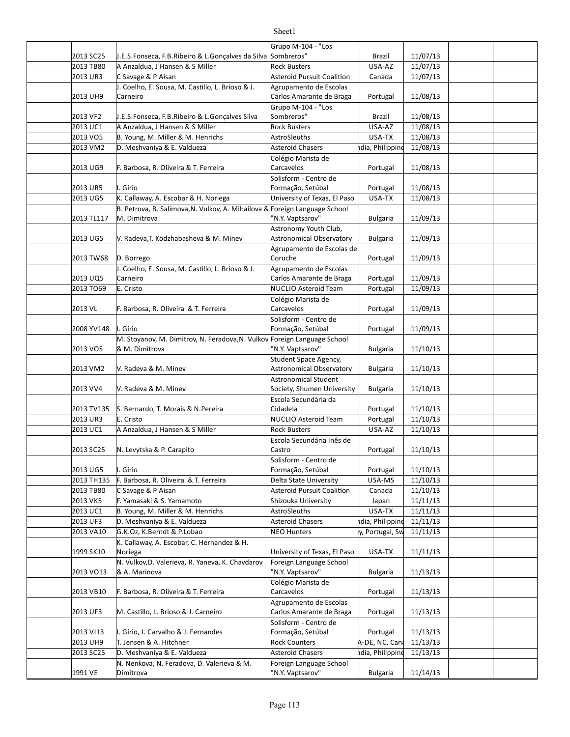#### 2013 SC25 | J.E.S.Fonseca, F.B.Ribeiro & L.Gonçalves da Silva Sombreros" | Brazil | 11/07/13 2013 TB80 A Anzaldua, J Hansen & S Miller Rock Busters And Rock Busters And Music Late and Music Late and Musi 2013 UR3 C Savage & P Aisan Asteroid Pursuit Coalition Canada 11/07/13 2013 UH9 Portugal 11/08/13 Carlos Amarante de Braga 2013 VF2 | J.E.S.Fonseca, F.B.Ribeiro & L.Gonçalves Silva | Sombreros" | Brazil | 11/08/13 2013 UC1 A Anzaldua, J Hansen & S Miller Rock Busters USA-AZ 11/08/13 2013 VO5 B. Young, M. Miller & M. Henrichs AstroSleuths and USA-TX | 11/08/13 2013 VM2 D. Meshvaniya & E. Valdueza Asteroid Chasers and holia, Philippine 11/08/13 2013 UG9 F. Barbosa, R. Oliveira & T. Ferreira Carcavelos Portugal 11/08/13 2013 UR5 Portugal 11/08/13 Formação, Setúbal 2013 UG5 | K. Callaway, A. Escobar & H. Noriega | University of Texas, El Paso | USA-TX | 11/08/13 2013 TL117 Bulgaria 11/09/13 "N.Y. Vaptsarov" 2013 UG5 Y. Radeva,T. Kodzhabasheva & M. Minev Astronomical Observatory | Bulgaria | 11/09/13 2013 TW68 D. Borrego **Contains Exercise Contains Correct Contains Contains Correct Contains Contains Correct Portugal 11/09/13** 2013 UQ5 Portugal 11/09/13 Carlos Amarante de Braga 2013 TO69 E. Cristo NUCLIO Asteroid Team Portugal 11/09/13 2013 VL F. Barbosa, R. Oliveira & T. Ferreira Carcavelos Carcavelos Portugal 11/09/13 2008 YV148 Portugal 11/09/13 Formação, Setúbal 2013 VO5 Bulgaria 11/10/13 "N.Y. Vaptsarov" 2013 VM2 Bulgaria 11/10/13 Astronomical Observatory 2013 VV4 V. Radeva & M. Minev Society, Shumen University | Bulgaria 11/10/13 2013 TV135 S. Bernardo, T. Morais & N. Pereira et Cidadela Company Contrast Portugal | 11/10/13 2013 UR3 E. Cristo NUCLIO Asteroid Team Portugal 11/10/13 2013 UC1 A Anzaldua, J Hansen & S Miller Rock Busters USA-AZ 11/10/13 2013 SC25 N. Levytska & P. Carapito **Castro** Castro **Caragius** Castro **Protugal 11/10/13** 2013 UG5 Portugal 11/10/13 Formação, Setúbal 2013 TH135 F. Barbosa, R. Oliveira & T. Ferreira Delta State University USA-MS 11/10/13 2013 TB80 C Savage & P Aisan Asteroid Pursuit Coalition Canada 11/10/13 2013 VK5 F. Yamasaki & S. Yamamoto Shizouka University Japan 11/11/13 2013 UC1 B. Young, M. Miller & M. Henrichs AstroSleuths and Hammed USA-TX | 11/11/13 2013 UF3 D. Meshvaniya & E. Valdueza Asteroid Chasers hdia, Philippine 11/11/13 2013 VA10 |G.K.Oz, K.Berndt & P.Lobao | NEO Hunters | Ny, Portugal, Sweden 11/11/13 1999 SK10 Noriega **Election State State State Control** University of Texas, El Paso USA-TX 11/11/13 2013 VO13 Ref. Marinova 11/13/13 (PN.Y. Vaptsarov" Bulgaria | 11/13/13 2013 VB10 F. Barbosa, R. Oliveira & T. Ferreira Carcavelos Carcavelos Portugal 11/13/13 2013 UF3 M. Castillo, L. Brioso & J. Carneiro (Carlos Amarante de Braga | Portugal | 11/13/13 2013 VJ13 |I. Gírio, J. Carvalho & J. Fernandes | Formação, Setúbal | Portugal | 11/13/13 2013 UH9 T. Jensen & A. Hitchner The Counters Theory Counters A-DE, NC, Canada11/13/13 2013 SC25 D. Meshvaniya & E. Valdueza Asteroid Chasers hdia, Philippine 11/13/13 1991 VE Bulgaria 11/14/13 "N.Y. Vaptsarov" Grupo M-104 - "Los Sombreros" C Savage & P Aisan J. Coelho, E. Sousa, M. Castillo, L. Brioso & J. Carneiro Agrupamento de Escolas Grupo M-104 - "Los Sombreros" Colégio Marista de Carcavelos I. Gírio Solisform - Centro de B. Petrova, B. Salimova, N. Vulkov, A. Mihailova & M. Dimitrova Foreign Language School Astronomy Youth Club, Astronomical Observatory D. Borrego Agrupamento de Escolas de Coruche J. Coelho, E. Sousa, M. Castillo, L. Brioso & J. Carneiro Agrupamento de Escolas E. Cristo Colégio Marista de Carcavelos Gírio Solisform - Centro de M. Stoyanov, M. Dimitrov, N. Feradova, N. Vulkov Foreign Language School & M. Dimitrova V. Radeva & M. Minev Student Space Agency, V. Radeva & M. Minev Astronomical Student Escola Secundária da Cidadela E. Cristo Escola Secundária Inês de Castro I. Gírio Solisform - Centro de C Savage & P Aisan Shizouka University K. Callaway, A. Escobar, C. Hernandez & H. Noriega N. Vulkov, D. Valerieva, R. Yaneva, K. Chavdarov & A. Marinova Foreign Language School Colégio Marista de Carcavelos Agrupamento de Escolas Carlos Amarante de Braga Solisform - Centro de Formação, Setúbal N. Nenkova, N. Feradova, D. Valerieva & M. Dimitrova Foreign Language School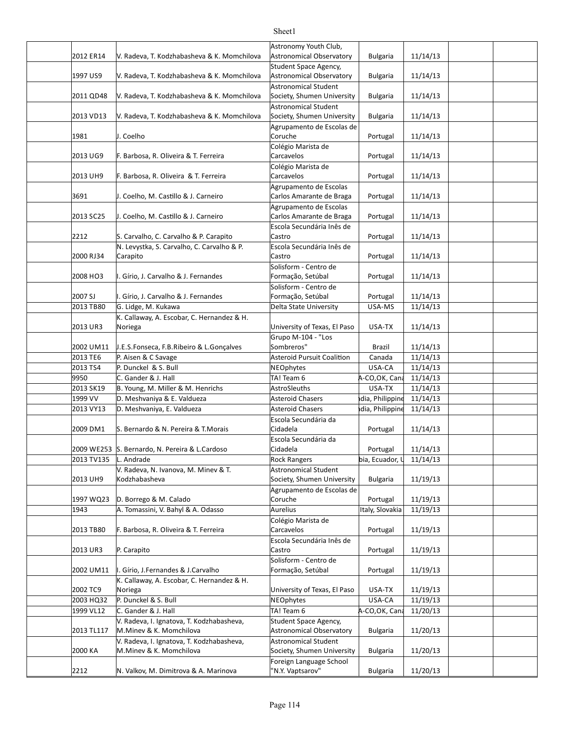#### 2012 ER14 Y. Radeva, T. Kodzhabasheva & K. Momchilova Astronomical Observatory | Bulgaria | 11/14/13 1997 US9 | V. Radeva, T. Kodzhabasheva & K. Momchilova | Astronomical Observatory | Bulgaria | 11/14/13 2011 QD48 Y. Radeva, T. Kodzhabasheva & K. Momchilova Society, Shumen University | Bulgaria | 11/14/13 2013 VD13 Y. Radeva, T. Kodzhabasheva & K. Momchilova Society, Shumen University | Bulgaria | 11/14/13 1981 J. Coelho Portugal 11/14/13 2013 UG9 F. Barbosa, R. Oliveira & T. Ferreira Carcavelos Carcavelos Portugal 11/14/13 2013 UH9 F. Barbosa, R. Oliveira & T. Ferreira Carcavelos Carcavelos Portugal 11/14/13 3691 J. Coelho, M. Castillo & J. Carneiro Carlos Amarante de Braga | Portugal | 11/14/13 2013 SC25 | J. Coelho, M. Castillo & J. Carneiro | Carlos Amarante de Braga | Portugal | 11/14/13 2212 S. Carvalho, C. Carvalho & P. Carapito Castro Castro Portugal | 11/14/13 2000 RJ34 Portugal 11/14/13 2008 HO3 I. Gírio, J. Carvalho & J. Fernandes Formação, Setúbal Portugal 11/14/13 2007 SJ Portugal 11/14/13 I. Gírio, J. Carvalho & J. Fernandes 2013 TB80 G. Lidge, M. Kukawa **Delta State University** USA-MS 11/14/13 2013 UR3 Noriega **Example 2013** University of Texas, El Paso USA-TX 11/14/13 2002 UM11 Brazil 11/14/13 J.E.S.Fonseca, F.B.Ribeiro & L.Gonçalves 2013 TE6 P. Aisen & C Savage Asteroid Pursuit Coalition Canada 11/14/13 2013 TS4 P. Dunckel & S. Bull NEOphytes USA-CA 11/14/13 9950 C. Gander & J. Hall **TA!** Team 6 A-CO,OK, Canada11/14/13 2013 SK19 B. Young, M. Miller & M. Henrichs AstroSleuths and Hammed USA-TX | 11/14/13 1999 VV D. Meshvaniya & E. Valdueza Asteroid Chasers bland and holippine india, Philippine 11/14/13 2013 VY13 |D. Meshvaniya, E. Valdueza Asteroid Chasers hdia, Philippine 11/14/13 2009 DM1 S. Bernardo & N. Pereira & T.Morais Cidadela Company Rortugal | 11/14/13 2009 WE253 S. Bernardo, N. Pereira & L.Cardoso (Cidadela entri entri de la portugal in 11/14/13 2013 TV135 L. Andrade Rock Rangers bia, Ecuador,  $\downarrow$  11/14/13 2013 UH9 | Kodzhabasheva | Society, Shumen University | Bulgaria | 11/19/13 1997 WQ23 D. Borrego & M. Calado **Calado** Coruche **Coruche Portugal 11/19/13** 1943 Aurelius Italy, Slovakia 11/19/13 A. Tomassini, V. Bahyl & A. Odasso 2013 TB80 F. Barbosa, R. Oliveira & T. Ferreira Carcavelos Carcavelos Portugal 11/19/13 2013 UR3 P. Carapito **Department Controller Care Castro** Castro **Castro Controller Portugal 11/19/13** 2002 UM11 |I. Gírio, J.Fernandes & J.Carvalho Formação, Setúbal | Portugal | 11/19/13 2002 TC9 Noriega **Notes and Contract Contract Contract Contract Contract Contract Contract Contract Contract Contract Contract Contract Contract Contract Contract Contract Contract Contract Contract Contract Contract Contr** 2003 HQ32 P. Dunckel & S. Bull NEOphytes USA-CA 11/19/13 1999 VL12 C. Gander & J. Hall TA! Team 6 USA-CO,OK, Canada11/20/13 2013 TL117 M.Minev & K. Momchilova Astronomical Observatory Bulgaria 11/20/13 2000 KA M. Minev & K. Momchilova (Society, Shumen University | Bulgaria | 11/20/13 Astronomy Youth Club, Astronomical Observatory Student Space Agency, **Astronomical Observatory** Astronomical Student Society, Shumen University Astronomical Student Society, Shumen University Agrupamento de Escolas de Coruche Colégio Marista de Carcavelos Colégio Marista de Carcavelos Agrupamento de Escolas Carlos Amarante de Braga Agrupamento de Escolas Carlos Amarante de Braga Escola Secundária Inês de Castro N. Levystka, S. Carvalho, C. Carvalho & P. Carapito **Escola Secundária Inês de** Castro Solisform - Centro de Formação, Setúbal Solisform - Centro de Formação, Setúbal G. Lidge, M. Kukawa K. Callaway, A. Escobar, C. Hernandez & H. Noriega Grupo M-104 - "Los Sombreros" P. Aisen & C Savage NEOphytes Escola Secundária da Cidadela Escola Secundária da Cidadela V. Radeva, N. Ivanova, M. Minev & T. Kodzhabasheva Astronomical Student Agrupamento de Escolas de Coruche Colégio Marista de Carcavelos P. Carapito Escola Secundária Inês de Castro Solisform - Centro de Formação, Setúbal K. Callaway, A. Escobar, C. Hernandez & H. Noriega NEOphytes V. Radeva, I. Ignatova, T. Kodzhabasheva, Student Space Agency, Astronomical Observatory V. Radeva, I. Ignatova, T. Kodzhabasheva, M.Minev & K. Momchilova Astronomical Student Foreign Language School

Sheet1

'N.Y. Vaptsarov"

2212 N. Valkov, M. Dimitrova & A. Marinova | N.Y. Vaptsarov" Bulgaria | 11/20/13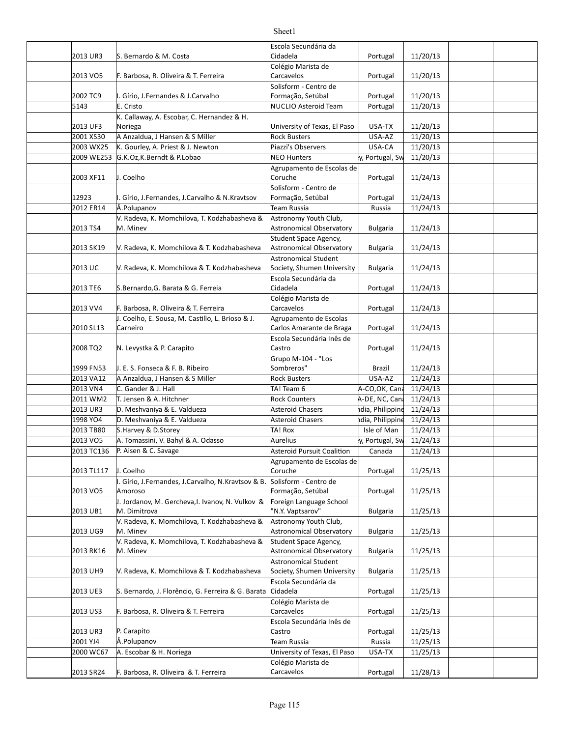|            |                                                    | Escola Secundária da              |                 |          |  |
|------------|----------------------------------------------------|-----------------------------------|-----------------|----------|--|
| 2013 UR3   | S. Bernardo & M. Costa                             | Cidadela                          | Portugal        | 11/20/13 |  |
|            |                                                    | Colégio Marista de                |                 |          |  |
| 2013 VO5   | F. Barbosa, R. Oliveira & T. Ferreira              | Carcavelos                        | Portugal        | 11/20/13 |  |
|            |                                                    | Solisform - Centro de             |                 |          |  |
| 2002 TC9   | I. Gírio, J.Fernandes & J.Carvalho                 | Formação, Setúbal                 | Portugal        | 11/20/13 |  |
| 5143       | E. Cristo                                          | <b>NUCLIO Asteroid Team</b>       | Portugal        | 11/20/13 |  |
|            | K. Callaway, A. Escobar, C. Hernandez & H.         |                                   |                 |          |  |
| 2013 UF3   | Noriega                                            | University of Texas, El Paso      | USA-TX          | 11/20/13 |  |
| 2001 XS30  | A Anzaldua, J Hansen & S Miller                    | <b>Rock Busters</b>               | USA-AZ          | 11/20/13 |  |
| 2003 WX25  | K. Gourley, A. Priest & J. Newton                  | Piazzi's Observers                | USA-CA          | 11/20/13 |  |
| 2009 WE253 | G.K.Oz, K.Berndt & P.Lobao                         | <b>NEO Hunters</b>                | y, Portugal, Sw | 11/20/13 |  |
|            |                                                    | Agrupamento de Escolas de         |                 |          |  |
| 2003 XF11  | J. Coelho                                          | Coruche                           | Portugal        | 11/24/13 |  |
|            |                                                    | Solisform - Centro de             |                 |          |  |
| 12923      | I. Gírio, J.Fernandes, J.Carvalho & N.Kravtsov     | Formação, Setúbal                 | Portugal        | 11/24/13 |  |
| 2012 ER14  | Å.Polupanov                                        | Team Russia                       | Russia          | 11/24/13 |  |
|            | V. Radeva, K. Momchilova, T. Kodzhabasheva &       | Astronomy Youth Club,             |                 |          |  |
| 2013 TS4   | M. Minev                                           | Astronomical Observatory          | Bulgaria        | 11/24/13 |  |
|            |                                                    | Student Space Agency,             |                 |          |  |
| 2013 SK19  | V. Radeva, K. Momchilova & T. Kodzhabasheva        | Astronomical Observatory          | <b>Bulgaria</b> | 11/24/13 |  |
|            |                                                    | Astronomical Student              |                 |          |  |
| 2013 UC    | V. Radeva, K. Momchilova & T. Kodzhabasheva        | Society, Shumen University        | <b>Bulgaria</b> | 11/24/13 |  |
| 2013 TE6   | S.Bernardo, G. Barata & G. Ferreia                 | Escola Secundária da<br>Cidadela  |                 | 11/24/13 |  |
|            |                                                    | Colégio Marista de                | Portugal        |          |  |
| 2013 VV4   | F. Barbosa, R. Oliveira & T. Ferreira              | Carcavelos                        | Portugal        | 11/24/13 |  |
|            | J. Coelho, E. Sousa, M. Castillo, L. Brioso & J.   | Agrupamento de Escolas            |                 |          |  |
| 2010 SL13  | Carneiro                                           | Carlos Amarante de Braga          | Portugal        | 11/24/13 |  |
|            |                                                    | Escola Secundária Inês de         |                 |          |  |
| 2008 TQ2   | N. Levystka & P. Carapito                          | Castro                            | Portugal        | 11/24/13 |  |
|            |                                                    | Grupo M-104 - "Los                |                 |          |  |
| 1999 FN53  | J. E. S. Fonseca & F. B. Ribeiro                   | Sombreros"                        | Brazil          | 11/24/13 |  |
| 2013 VA12  | A Anzaldua, J Hansen & S Miller                    | <b>Rock Busters</b>               | USA-AZ          | 11/24/13 |  |
| 2013 VN4   | C. Gander & J. Hall                                | TA! Team 6                        | A-CO,OK, Cana   | 11/24/13 |  |
| 2011 WM2   | T. Jensen & A. Hitchner                            | <b>Rock Counters</b>              | A-DE, NC, Cana  | 11/24/13 |  |
| 2013 UR3   | D. Meshvaniya & E. Valdueza                        | <b>Asteroid Chasers</b>           | dia, Philippine | 11/24/13 |  |
| 1998 YO4   | D. Meshvaniya & E. Valdueza                        | <b>Asteroid Chasers</b>           | dia, Philippine | 11/24/13 |  |
| 2013 TB80  | S.Harvey & D.Storey                                | TA! Rox                           | Isle of Man     | 11/24/13 |  |
| 2013 VO5   | A. Tomassini, V. Bahyl & A. Odasso                 | <b>Aurelius</b>                   | y, Portugal, Sw | 11/24/13 |  |
| 2013 TC136 | P. Aisen & C. Savage                               | <b>Asteroid Pursuit Coalition</b> | Canada          | 11/24/13 |  |
|            |                                                    | Agrupamento de Escolas de         |                 |          |  |
| 2013 TL117 | J. Coelho                                          | Coruche                           | Portugal        | 11/25/13 |  |
|            | I. Gírio, J.Fernandes, J.Carvalho, N.Kravtsov & B. | Solisform - Centro de             |                 |          |  |
| 2013 VO5   | Amoroso                                            | Formação, Setúbal                 | Portugal        | 11/25/13 |  |
|            | J. Jordanov, M. Gercheva, I. Ivanov, N. Vulkov &   | Foreign Language School           |                 |          |  |
| 2013 UB1   | M. Dimitrova                                       | "N.Y. Vaptsarov"                  | <b>Bulgaria</b> | 11/25/13 |  |
|            | V. Radeva, K. Momchilova, T. Kodzhabasheva &       | Astronomy Youth Club,             |                 |          |  |
| 2013 UG9   | M. Minev                                           | Astronomical Observatory          | <b>Bulgaria</b> | 11/25/13 |  |
|            | V. Radeva, K. Momchilova, T. Kodzhabasheva &       | Student Space Agency,             |                 |          |  |
| 2013 RK16  | M. Minev                                           | Astronomical Observatory          | <b>Bulgaria</b> | 11/25/13 |  |
|            |                                                    | Astronomical Student              |                 |          |  |
| 2013 UH9   | V. Radeva, K. Momchilova & T. Kodzhabasheva        | Society, Shumen University        | <b>Bulgaria</b> | 11/25/13 |  |
|            |                                                    | Escola Secundária da              |                 |          |  |
| 2013 UE3   | S. Bernardo, J. Florêncio, G. Ferreira & G. Barata | Cidadela                          | Portugal        | 11/25/13 |  |
|            |                                                    | Colégio Marista de<br>Carcavelos  |                 |          |  |
| 2013 US3   | F. Barbosa, R. Oliveira & T. Ferreira              | Escola Secundária Inês de         | Portugal        | 11/25/13 |  |
| 2013 UR3   | P. Carapito                                        | Castro                            | Portugal        | 11/25/13 |  |
| 2001 YJ4   | Å.Polupanov                                        | Team Russia                       | Russia          | 11/25/13 |  |
| 2000 WC67  | A. Escobar & H. Noriega                            | University of Texas, El Paso      | USA-TX          | 11/25/13 |  |
|            |                                                    | Colégio Marista de                |                 |          |  |
| 2013 SR24  | F. Barbosa, R. Oliveira & T. Ferreira              | Carcavelos                        | Portugal        | 11/28/13 |  |
|            |                                                    |                                   |                 |          |  |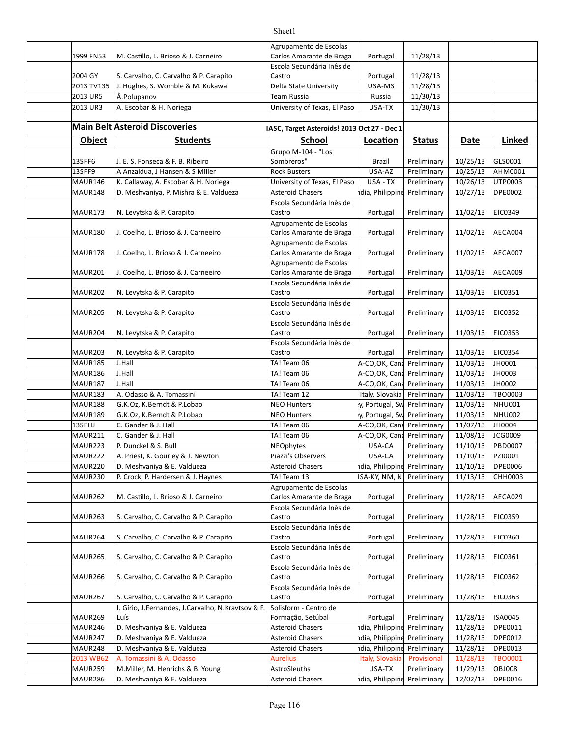|                           |                                                                     | Agrupamento de Escolas                      |                             |                            |                      |                          |
|---------------------------|---------------------------------------------------------------------|---------------------------------------------|-----------------------------|----------------------------|----------------------|--------------------------|
| 1999 FN53                 | M. Castillo, L. Brioso & J. Carneiro                                | Carlos Amarante de Braga                    | Portugal                    | 11/28/13                   |                      |                          |
|                           |                                                                     | Escola Secundária Inês de                   |                             |                            |                      |                          |
| 2004 GY                   | S. Carvalho, C. Carvalho & P. Carapito                              | Castro                                      | Portugal                    | 11/28/13                   |                      |                          |
| 2013 TV135                | J. Hughes, S. Womble & M. Kukawa<br>Å.Polupanov                     | Delta State University                      | USA-MS                      | 11/28/13                   |                      |                          |
| 2013 UR5<br>2013 UR3      | A. Escobar & H. Noriega                                             | Team Russia<br>University of Texas, El Paso | Russia                      | 11/30/13                   |                      |                          |
|                           |                                                                     |                                             | USA-TX                      | 11/30/13                   |                      |                          |
|                           | <b>Main Belt Asteroid Discoveries</b>                               | IASC, Target Asteroids! 2013 Oct 27 - Dec 1 |                             |                            |                      |                          |
|                           |                                                                     |                                             |                             |                            |                      |                          |
| <b>Object</b>             | <b>Students</b>                                                     | School                                      | Location                    | <b>Status</b>              | <b>Date</b>          | Linked                   |
| 13SFF6                    |                                                                     | Grupo M-104 - "Los<br>Sombreros"            |                             |                            |                      |                          |
| 13SFF9                    | J. E. S. Fonseca & F. B. Ribeiro<br>A Anzaldua, J Hansen & S Miller | <b>Rock Busters</b>                         | Brazil<br>USA-AZ            | Preliminary<br>Preliminary | 10/25/13<br>10/25/13 | GLS0001<br>AHM0001       |
| MAUR146                   | K. Callaway, A. Escobar & H. Noriega                                | University of Texas, El Paso                | USA - TX                    | Preliminary                | 10/26/13             | UTP0003                  |
| MAUR148                   | D. Meshvaniya, P. Mishra & E. Valdueza                              | <b>Asteroid Chasers</b>                     | dia, Philippine             | Preliminary                | 10/27/13             | <b>DPE0002</b>           |
|                           |                                                                     | Escola Secundária Inês de                   |                             |                            |                      |                          |
| MAUR173                   | N. Levytska & P. Carapito                                           | Castro                                      | Portugal                    | Preliminary                | 11/02/13             | <b>EIC0349</b>           |
|                           |                                                                     | Agrupamento de Escolas                      |                             |                            |                      |                          |
| MAUR180                   | J. Coelho, L. Brioso & J. Carneeiro                                 | Carlos Amarante de Braga                    | Portugal                    | Preliminary                | 11/02/13             | AECA004                  |
|                           |                                                                     | Agrupamento de Escolas                      |                             |                            |                      |                          |
| MAUR178                   | J. Coelho, L. Brioso & J. Carneeiro                                 | Carlos Amarante de Braga                    | Portugal                    | Preliminary                | 11/02/13             | AECA007                  |
|                           |                                                                     | Agrupamento de Escolas                      |                             |                            |                      |                          |
| MAUR201                   | J. Coelho, L. Brioso & J. Carneeiro                                 | Carlos Amarante de Braga                    | Portugal                    | Preliminary                | 11/03/13             | AECA009                  |
|                           |                                                                     | Escola Secundária Inês de                   |                             |                            |                      |                          |
| MAUR202                   | N. Levytska & P. Carapito                                           | Castro                                      | Portugal                    | Preliminary                | 11/03/13             | EIC0351                  |
|                           |                                                                     | Escola Secundária Inês de                   |                             |                            |                      |                          |
| MAUR205                   | N. Levytska & P. Carapito                                           | Castro                                      | Portugal                    | Preliminary                | 11/03/13             | EIC0352                  |
|                           |                                                                     | Escola Secundária Inês de                   |                             |                            |                      |                          |
| MAUR204                   | N. Levytska & P. Carapito                                           | Castro                                      | Portugal                    | Preliminary                | 11/03/13             | EIC0353                  |
|                           |                                                                     | Escola Secundária Inês de                   |                             |                            |                      |                          |
| MAUR203<br><b>MAUR185</b> | N. Levytska & P. Carapito<br>J.Hall                                 | Castro<br>TA! Team 06                       | Portugal<br>A-CO,OK, Cana   | Preliminary<br>Preliminary | 11/03/13<br>11/03/13 | <b>EIC0354</b><br>JH0001 |
| MAUR186                   | J.Hall                                                              | TA! Team 06                                 | A-CO,OK, Cana               | Preliminary                | 11/03/13             | JH0003                   |
| <b>MAUR187</b>            | J.Hall                                                              | TA! Team 06                                 | A-CO,OK, Cana               | Preliminary                | 11/03/13             | JH0002                   |
| <b>MAUR183</b>            | A. Odasso & A. Tomassini                                            | TA! Team 12                                 | Italy, Slovakia             | Preliminary                | 11/03/13             | TBO0003                  |
| <b>MAUR188</b>            | G.K.Oz, K.Berndt & P.Lobao                                          | <b>NEO Hunters</b>                          | y, Portugal, Sw             | Preliminary                | 11/03/13             | <b>NHU001</b>            |
| MAUR189                   | G.K.Oz, K.Berndt & P.Lobao                                          | <b>NEO Hunters</b>                          | y, Portugal, Sw Preliminary |                            | 11/03/13             | <b>NHU002</b>            |
| 13SFHJ                    | C. Gander & J. Hall                                                 | TA! Team 06                                 | A-CO, OK, Cand Preliminary  |                            | 11/07/13             | JH0004                   |
| MAUR211                   | C. Gander & J. Hall                                                 | TA! Team 06                                 | A-CO,OK, Cand Preliminary   |                            | 11/08/13             | JCG0009                  |
| MAUR223                   | P. Dunckel & S. Bull                                                | <b>NEOphytes</b>                            | USA-CA                      | Preliminary                | 11/10/13             | <b>PBD0007</b>           |
| MAUR222                   | A. Priest, K. Gourley & J. Newton                                   | Piazzi's Observers                          | USA-CA                      | Preliminary                | 11/10/13             | PZ10001                  |
| MAUR220                   | D. Meshvaniya & E. Valdueza                                         | <b>Asteroid Chasers</b>                     | dia, Philippine Preliminary |                            | 11/10/13             | <b>DPE0006</b>           |
| MAUR230                   | P. Crock, P. Hardersen & J. Haynes                                  | TA! Team 13                                 | SA-KY, NM, N                | Preliminary                | 11/13/13             | CHH0003                  |
|                           |                                                                     | Agrupamento de Escolas                      |                             |                            |                      |                          |
| MAUR262                   | M. Castillo, L. Brioso & J. Carneiro                                | Carlos Amarante de Braga                    | Portugal                    | Preliminary                | 11/28/13             | AECA029                  |
|                           |                                                                     | Escola Secundária Inês de                   |                             |                            |                      |                          |
| MAUR263                   | S. Carvalho, C. Carvalho & P. Carapito                              | Castro                                      | Portugal                    | Preliminary                | 11/28/13             | EIC0359                  |
|                           |                                                                     | Escola Secundária Inês de                   |                             |                            |                      |                          |
| MAUR264                   | S. Carvalho, C. Carvalho & P. Carapito                              | Castro                                      | Portugal                    | Preliminary                | 11/28/13             | EIC0360                  |
|                           |                                                                     | Escola Secundária Inês de                   |                             |                            |                      |                          |
| MAUR265                   | S. Carvalho, C. Carvalho & P. Carapito                              | Castro                                      | Portugal                    | Preliminary                | 11/28/13             | EIC0361                  |
|                           |                                                                     | Escola Secundária Inês de                   |                             |                            |                      |                          |
| MAUR266                   | S. Carvalho, C. Carvalho & P. Carapito                              | Castro                                      | Portugal                    | Preliminary                | 11/28/13             | <b>EIC0362</b>           |
|                           |                                                                     | Escola Secundária Inês de                   |                             |                            |                      |                          |
| MAUR267                   | S. Carvalho, C. Carvalho & P. Carapito                              | Castro                                      | Portugal                    | Preliminary                | 11/28/13             | EIC0363                  |
| MAUR269                   | I. Gírio, J.Fernandes, J.Carvalho, N.Kravtsov & F.<br>Luís          | Solisform - Centro de<br>Formação, Setúbal  | Portugal                    | Preliminary                | 11/28/13             | ISA0045                  |
| MAUR246                   | D. Meshvaniya & E. Valdueza                                         | Asteroid Chasers                            | dia, Philippine             | Preliminary                | 11/28/13             | <b>DPE0011</b>           |
|                           |                                                                     |                                             |                             |                            |                      |                          |

MAUR247 D. Meshvaniya & E. Valdueza Asteroid Chasers hdia, Philippine Preliminary | 11/28/13 DPE0012 MAUR248 D. Meshvaniya & E. Valdueza Asteroid Chasers hdia, Philippine Preliminary | 11/28/13 DPE0013 2013 WB62 | A. Tomassini & A. Odasso | Aurelius | Italy, Slovakia | Provisional | 11/28/13 | TBO0001 MAUR259 M.Miller, M. Henrichs & B. Young AstroSleuths and USA-TX Preliminary | 11/29/13 | OBJ008 MAUR286 D. Meshvaniya & E. Valdueza Asteroid Chasers hdia, Philippine Preliminary | 12/02/13 DPE0016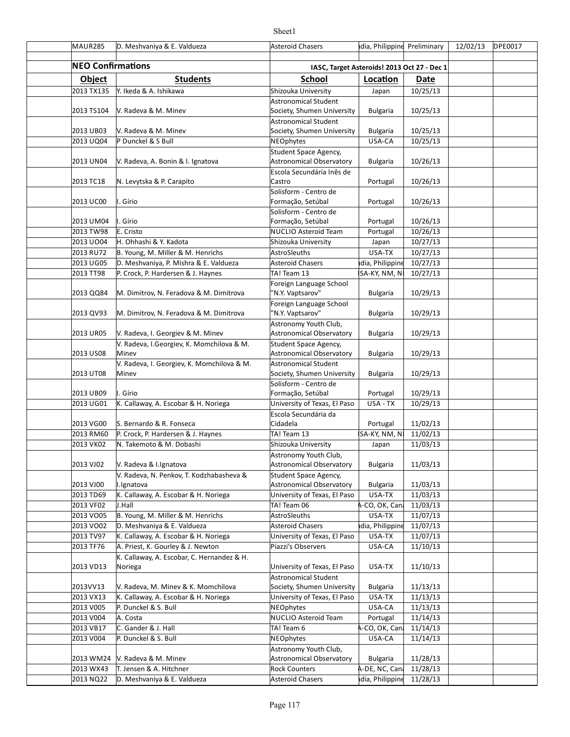| MAUR285                  | D. Meshvaniya & E. Valdueza                                         | <b>Asteroid Chasers</b>                               | dia, Philippine Preliminary |                      | 12/02/13 | <b>DPE0017</b> |
|--------------------------|---------------------------------------------------------------------|-------------------------------------------------------|-----------------------------|----------------------|----------|----------------|
| <b>NEO Confirmations</b> |                                                                     | IASC, Target Asteroids! 2013 Oct 27 - Dec 1           |                             |                      |          |                |
| <b>Object</b>            | <b>Students</b>                                                     | <b>School</b>                                         | Location                    | Date                 |          |                |
| 2013 TX135               | Y. Ikeda & A. Ishikawa                                              | Shizouka University                                   | Japan                       | 10/25/13             |          |                |
|                          |                                                                     | Astronomical Student                                  |                             |                      |          |                |
| 2013 TS104               | V. Radeva & M. Minev                                                | Society, Shumen University                            | <b>Bulgaria</b>             | 10/25/13             |          |                |
|                          |                                                                     | Astronomical Student                                  |                             |                      |          |                |
| 2013 UB03                | V. Radeva & M. Minev                                                | Society, Shumen University                            | <b>Bulgaria</b>             | 10/25/13             |          |                |
| 2013 UQ04                | P Dunckel & S Bull                                                  | NEOphytes                                             | USA-CA                      | 10/25/13             |          |                |
|                          |                                                                     | Student Space Agency,                                 |                             |                      |          |                |
| 2013 UN04                | V. Radeva, A. Bonin & I. Ignatova                                   | Astronomical Observatory<br>Escola Secundária Inês de | <b>Bulgaria</b>             | 10/26/13             |          |                |
| 2013 TC18                | N. Levytska & P. Carapito                                           | Castro                                                | Portugal                    | 10/26/13             |          |                |
|                          |                                                                     | Solisform - Centro de                                 |                             |                      |          |                |
| 2013 UC00                | I. Gírio                                                            | Formação, Setúbal                                     | Portugal                    | 10/26/13             |          |                |
|                          |                                                                     | Solisform - Centro de                                 |                             |                      |          |                |
| 2013 UM04                | I. Gírio                                                            | Formação, Setúbal                                     | Portugal                    | 10/26/13             |          |                |
| 2013 TW98                | E. Cristo                                                           | NUCLIO Asteroid Team                                  | Portugal                    | 10/26/13             |          |                |
| 2013 UO04                | H. Ohhashi & Y. Kadota                                              | Shizouka University                                   | Japan                       | 10/27/13             |          |                |
| 2013 RU72                | B. Young, M. Miller & M. Henrichs                                   | <b>AstroSleuths</b>                                   | USA-TX                      | 10/27/13             |          |                |
| 2013 UG05                | D. Meshvaniya, P. Mishra & E. Valdueza                              | <b>Asteroid Chasers</b>                               | dia, Philippine             | 10/27/13             |          |                |
| 2013 TT98                | P. Crock, P. Hardersen & J. Haynes                                  | TA! Team 13                                           | SA-KY, NM, N                | 10/27/13             |          |                |
|                          |                                                                     | Foreign Language School<br>"N.Y. Vaptsarov"           |                             |                      |          |                |
| 2013 QQ84                | M. Dimitrov, N. Feradova & M. Dimitrova                             | Foreign Language School                               | <b>Bulgaria</b>             | 10/29/13             |          |                |
| 2013 QV93                | M. Dimitrov, N. Feradova & M. Dimitrova                             | "N.Y. Vaptsarov"                                      | <b>Bulgaria</b>             | 10/29/13             |          |                |
|                          |                                                                     | Astronomy Youth Club,                                 |                             |                      |          |                |
| 2013 UR05                | V. Radeva, I. Georgiev & M. Minev                                   | Astronomical Observatory                              | <b>Bulgaria</b>             | 10/29/13             |          |                |
|                          | V. Radeva, I. Georgiev, K. Momchilova & M.                          | Student Space Agency,                                 |                             |                      |          |                |
| 2013 US08                | Minev                                                               | Astronomical Observatory                              | <b>Bulgaria</b>             | 10/29/13             |          |                |
|                          | V. Radeva, I. Georgiev, K. Momchilova & M.                          | <b>Astronomical Student</b>                           |                             |                      |          |                |
| 2013 UT08                | Minev                                                               | Society, Shumen University                            | <b>Bulgaria</b>             | 10/29/13             |          |                |
|                          |                                                                     | Solisform - Centro de                                 |                             |                      |          |                |
| 2013 UB09<br>2013 UG01   | I. Gírio                                                            | Formação, Setúbal                                     | Portugal<br>USA - TX        | 10/29/13<br>10/29/13 |          |                |
|                          | K. Callaway, A. Escobar & H. Noriega                                | University of Texas, El Paso<br>Escola Secundária da  |                             |                      |          |                |
| 2013 VG00                | S. Bernardo & R. Fonseca                                            | Cidadela                                              | Portugal                    | 11/02/13             |          |                |
| 2013 RM60                | P. Crock, P. Hardersen & J. Haynes                                  | TA! Team 13                                           | SA-KY, NM, N                | 11/02/13             |          |                |
| 2013 VK02                | N. Takemoto & M. Dobashi                                            | Shizouka University                                   | Japan                       | 11/03/13             |          |                |
|                          |                                                                     | Astronomy Youth Club,                                 |                             |                      |          |                |
| 2013 VJ02                | V. Radeva & I. Ignatova                                             | <b>Astronomical Observatory</b>                       | <b>Bulgaria</b>             | 11/03/13             |          |                |
|                          | V. Radeva, N. Penkov, T. Kodzhabasheva &                            | Student Space Agency,                                 |                             |                      |          |                |
| 2013 VJ00                | I.Ignatova                                                          | Astronomical Observatory                              | <b>Bulgaria</b>             | 11/03/13             |          |                |
| 2013 TD69                | K. Callaway, A. Escobar & H. Noriega                                | University of Texas, El Paso                          | USA-TX                      | 11/03/13             |          |                |
| 2013 VF02                | J.Hall                                                              | TA! Team 06                                           | A-CO, OK, Cana              | 11/03/13             |          |                |
| 2013 VO05                | B. Young, M. Miller & M. Henrichs                                   | AstroSleuths                                          | USA-TX                      | 11/07/13             |          |                |
| 2013 VO02<br>2013 TV97   | D. Meshvaniya & E. Valdueza<br>K. Callaway, A. Escobar & H. Noriega | Asteroid Chasers<br>University of Texas, El Paso      | dia, Philippine<br>USA-TX   | 11/07/13<br>11/07/13 |          |                |
| 2013 TF76                | A. Priest, K. Gourley & J. Newton                                   | Piazzi's Observers                                    | USA-CA                      | 11/10/13             |          |                |
|                          | K. Callaway, A. Escobar, C. Hernandez & H.                          |                                                       |                             |                      |          |                |
| 2013 VD13                | Noriega                                                             | University of Texas, El Paso                          | USA-TX                      | 11/10/13             |          |                |
|                          |                                                                     | Astronomical Student                                  |                             |                      |          |                |
| 2013VV13                 | V. Radeva, M. Minev & K. Momchilova                                 | Society, Shumen University                            | <b>Bulgaria</b>             | 11/13/13             |          |                |
| 2013 VX13                | K. Callaway, A. Escobar & H. Noriega                                | University of Texas, El Paso                          | USA-TX                      | 11/13/13             |          |                |
| 2013 V005                | P. Dunckel & S. Bull                                                | NEOphytes                                             | USA-CA                      | 11/13/13             |          |                |
| 2013 V004                | A. Costa                                                            | NUCLIO Asteroid Team                                  | Portugal                    | 11/14/13             |          |                |
| 2013 VB17                | C. Gander & J. Hall                                                 | TA! Team 6                                            | A-CO, OK, Can               | 11/14/13             |          |                |
| 2013 V004                | P. Dunckel & S. Bull                                                | NEOphytes                                             | USA-CA                      | 11/14/13             |          |                |
| 2013 WM24                | V. Radeva & M. Minev                                                | Astronomy Youth Club,<br>Astronomical Observatory     | <b>Bulgaria</b>             | 11/28/13             |          |                |
| 2013 WX43                | T. Jensen & A. Hitchner                                             | <b>Rock Counters</b>                                  | A-DE, NC, Cana              | 11/28/13             |          |                |
| 2013 NQ22                | D. Meshvaniya & E. Valdueza                                         | Asteroid Chasers                                      | dia, Philippine             | 11/28/13             |          |                |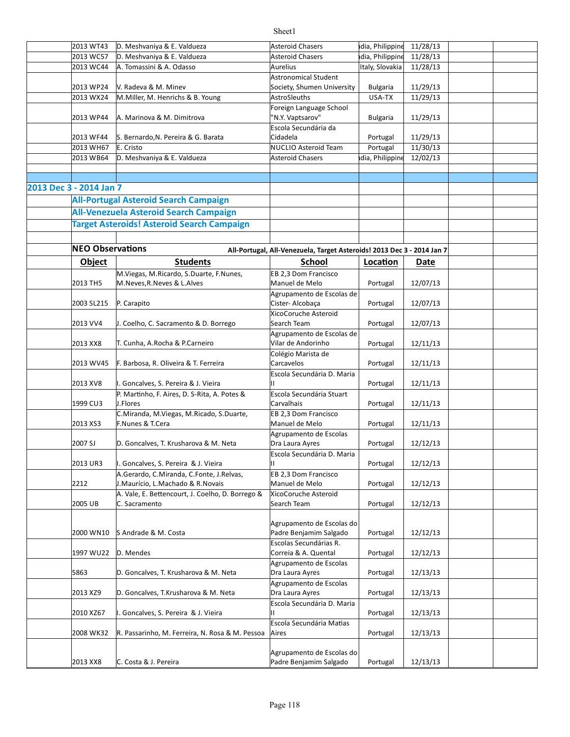#### 2013 WT43 D. Meshvaniya & E. Valdueza Asteroid Chasers hdia, Philippine 11/28/13 2013 WC57 D. Meshvaniya & E. Valdueza Asteroid Chasers hdia, Philippine 11/28/13 2013 WC44 |A. Tomassini & A. Odasso Aurelius |Italy, Slovakia | 11/28/13 2013 WP24 Y. Radeva & M. Minev **Society, Shumen University** Bulgaria 21/29/13 2013 WX24 M. Miller, M. Henrichs & B. Young AstroSleuths National Museum AstroSleuths Assembly USA-TX 11/29/13 2013 WP44 A. Marinova & M. Dimitrova | "N.Y. Vaptsarov" Bulgaria 11/29/13 2013 WF44 S. Bernardo,N. Pereira & G. Barata Santa Cidadela Castal Portugal | 11/29/13 2013 WH67 E. Cristo **NUCLIO** Asteroid Team Portugal 11/30/13 2013 WB64 D. Meshvaniya & E. Valdueza Asteroid Chasers hdia, Philippine 12/02/13 **2013 Dec 3 - 2014 Jan 7 All-Portugal Asteroid Search Campaign All-Venezuela Asteroid Search Campaign Target Asteroids! Asteroid Search Campaign NEO Observations All-Portugal, All-Venezuela, Target Asteroids! 2013 Dec 3 - 2014 Jan 7 Object Students School <b>Location** Date 2013 TH5 M.Neves,R.Neves & L.Alves (Manuel de Melo State of Portugal | 12/07/13 2003 SL215 Portugal 12/07/13 Cister- Alcobaça 2013 VV4 | J. Coelho, C. Sacramento & D. Borrego | Search Team | Portugal | 12/07/13 2013 XX8 Portugal 12/11/13 T. Cunha, A.Rocha & P.Carneiro 2013 WV45 | F. Barbosa, R. Oliveira & T. Ferreira  $\begin{array}{|c|c|c|c|c|c|c|c|c|c|c|c|}\n\hline\n\text{2013} & \text{WV45} & \text{Perfugal} & \text{12/11/13} \\
\hline\n\end{array}$ 2013 XV8 Portugal 12/11/13 I. Goncalves, S. Pereira & J. Vieira 1999 CU3 Portugal 12/11/13 2013 XS3 F.Nunes & T.Cera The Controller Manuel de Melo Prortugal | 12/11/13 2007 SJ D. Goncalves, T. Krusharova & M. Neta (Dra Laura Ayres | Portugal | 12/12/13 2013 UR3 Portugal 12/12/13 I. Goncalves, S. Pereira & J. Vieira 2212 J.Maurício, L.Machado & R.Novais Manuel de Melo Portugal | 12/12/13 2005 UB C. Sacramento Search Team Portugal | 12/12/13 2000 WN10 S Andrade & M. Costa Notel Padre Benjamim Salgado Reportugal 32/12/13 1997 WU22 D. Mendes **Portugal 12/12/13** Correia & A. Quental Portugal 12/12/13 5863 D. Goncalves, T. Krusharova & M. Neta (Dra Laura Ayres | Portugal | 12/13/13 2013 XZ9 D. Goncalves, T.Krusharova & M. Neta | Dra Laura Ayres | Portugal | 12/13/13 2010 XZ67 Portugal 12/13/13 I. Goncalves, S. Pereira & J. Vieira 2008 WK32 R. Passarinho, M. Ferreira, N. Rosa & M. Pessoa Aires New Marchines Reportugal | 12/13/13 V. Radeva & M. Minev Astronomical Student Foreign Language School N.Y. Vaptsarov" Escola Secundária da Cidadela E. Cristo M.Viegas, M.Ricardo, S.Duarte, F.Nunes, EB 2,3 Dom Francisco Manuel de Melo P. Carapito Agrupamento de Escolas de XicoCoruche Asteroid Search Team Agrupamento de Escolas de Vilar de Andorinho Colégio Marista de Carcavelos Escola Secundária D. Maria II P. Martinho, F. Aires, D. S-Rita, A. Potes & J.Flores Escola Secundária Stuart Carvalhais C.Miranda, M.Viegas, M.Ricado, S.Duarte, EB 2,3 Dom Francisco Manuel de Melo Agrupamento de Escolas Dra Laura Ayres Escola Secundária D. Maria II A.Gerardo, C.Miranda, C.Fonte, J.Relvas, EB 2,3 Dom Francisco Manuel de Melo A. Vale, E. Bettencourt, J. Coelho, D. Borrego & C. Sacramento XicoCoruche Asteroid Search Team Agrupamento de Escolas do Escolas Secundárias R. Agrupamento de Escolas Dra Laura Ayres Agrupamento de Escolas Dra Laura Ayres Escola Secundária D. Maria II Escola Secundária Matias Aires Agrupamento de Escolas do

2013 XX8 Portugal 12/13/13 Padre Benjamim Salgado

C. Costa & J. Pereira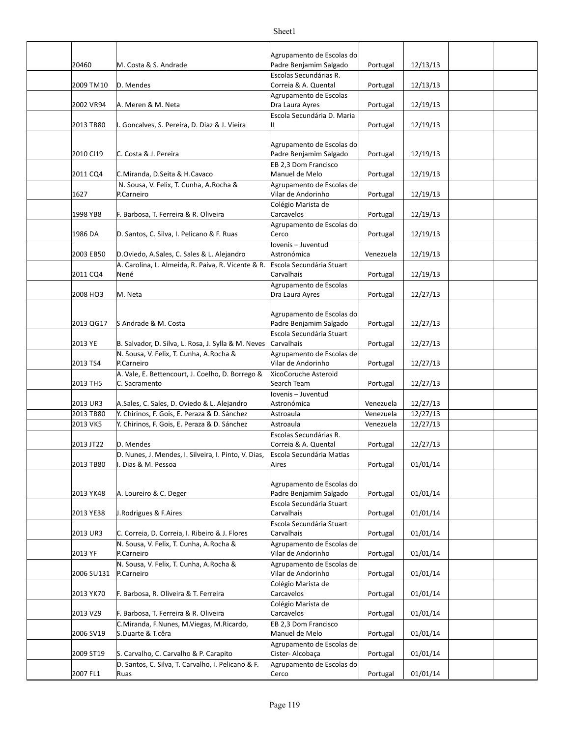| 20460                 | M. Costa & S. Andrade                                                           | Agrupamento de Escolas do<br>Padre Benjamim Salgado       | Portugal  | 12/13/13 |  |
|-----------------------|---------------------------------------------------------------------------------|-----------------------------------------------------------|-----------|----------|--|
| 2009 TM10             | D. Mendes                                                                       | Escolas Secundárias R.<br>Correia & A. Quental            | Portugal  | 12/13/13 |  |
| 2002 VR94             | A. Meren & M. Neta                                                              | Agrupamento de Escolas<br>Dra Laura Ayres                 | Portugal  | 12/19/13 |  |
|                       |                                                                                 | Escola Secundária D. Maria                                |           |          |  |
| 2013 TB80             | I. Goncalves, S. Pereira, D. Diaz & J. Vieira                                   | П.                                                        | Portugal  | 12/19/13 |  |
| 2010 CI19             | C. Costa & J. Pereira                                                           | Agrupamento de Escolas do<br>Padre Benjamim Salgado       | Portugal  | 12/19/13 |  |
| 2011 CQ4              | C.Miranda, D.Seita & H.Cavaco                                                   | EB 2,3 Dom Francisco<br>Manuel de Melo                    | Portugal  | 12/19/13 |  |
| 1627                  | N. Sousa, V. Felix, T. Cunha, A. Rocha &<br>P.Carneiro                          | Agrupamento de Escolas de<br>Vilar de Andorinho           | Portugal  | 12/19/13 |  |
| 1998 YB8              | F. Barbosa, T. Ferreira & R. Oliveira                                           | Colégio Marista de<br>Carcavelos                          | Portugal  | 12/19/13 |  |
| 1986 DA               | D. Santos, C. Silva, I. Pelicano & F. Ruas                                      | Agrupamento de Escolas do<br>Cerco                        | Portugal  | 12/19/13 |  |
| 2003 EB50             | D.Oviedo, A.Sales, C. Sales & L. Alejandro                                      | lovenis – Juventud<br>Astronómica                         | Venezuela | 12/19/13 |  |
| 2011 CQ4              | A. Carolina, L. Almeida, R. Paiva, R. Vicente & R.<br>Nené                      | Escola Secundária Stuart<br>Carvalhais                    | Portugal  | 12/19/13 |  |
| 2008 HO3              | M. Neta                                                                         | Agrupamento de Escolas<br>Dra Laura Ayres                 | Portugal  | 12/27/13 |  |
| 2013 QG17             | S Andrade & M. Costa                                                            | Agrupamento de Escolas do<br>Padre Benjamim Salgado       | Portugal  | 12/27/13 |  |
| 2013 YE               | B. Salvador, D. Silva, L. Rosa, J. Sylla & M. Neves                             | Escola Secundária Stuart<br>Carvalhais                    | Portugal  | 12/27/13 |  |
| 2013 TS4              | N. Sousa, V. Felix, T. Cunha, A. Rocha &                                        | Agrupamento de Escolas de                                 |           |          |  |
| 2013 TH5              | P.Carneiro<br>A. Vale, E. Bettencourt, J. Coelho, D. Borrego &<br>C. Sacramento | Vilar de Andorinho<br>XicoCoruche Asteroid<br>Search Team | Portugal  | 12/27/13 |  |
|                       |                                                                                 | lovenis – Juventud                                        | Portugal  | 12/27/13 |  |
| 2013 UR3              | A.Sales, C. Sales, D. Oviedo & L. Alejandro                                     | Astronómica                                               | Venezuela | 12/27/13 |  |
| 2013 TB80<br>2013 VK5 | Y. Chirinos, F. Gois, E. Peraza & D. Sánchez                                    | Astroaula                                                 | Venezuela | 12/27/13 |  |
|                       | Y. Chirinos, F. Gois, E. Peraza & D. Sánchez                                    | Astroaula<br>Escolas Secundárias R.                       | Venezuela | 12/27/13 |  |
| 2013 JT22             | D. Mendes                                                                       | Correia & A. Quental                                      | Portugal  | 12/27/13 |  |
| 2013 TB80             | D. Nunes, J. Mendes, I. Silveira, I. Pinto, V. Dias,<br>I. Dias & M. Pessoa     | Escola Secundária Matias<br>Aires                         | Portugal  | 01/01/14 |  |
| 2013 YK48             | A. Loureiro & C. Deger                                                          | Agrupamento de Escolas do<br>Padre Benjamim Salgado       | Portugal  | 01/01/14 |  |
| 2013 YE38             | J.Rodrigues & F.Aires                                                           | Escola Secundária Stuart<br>Carvalhais                    | Portugal  | 01/01/14 |  |
| 2013 UR3              | C. Correia, D. Correia, I. Ribeiro & J. Flores                                  | Escola Secundária Stuart<br>Carvalhais                    | Portugal  | 01/01/14 |  |
| 2013 YF               | N. Sousa, V. Felix, T. Cunha, A. Rocha &<br>P.Carneiro                          | Agrupamento de Escolas de<br>Vilar de Andorinho           | Portugal  | 01/01/14 |  |
| 2006 SU131            | N. Sousa, V. Felix, T. Cunha, A. Rocha &<br>P.Carneiro                          | Agrupamento de Escolas de<br>Vilar de Andorinho           | Portugal  | 01/01/14 |  |
| 2013 YK70             | F. Barbosa, R. Oliveira & T. Ferreira                                           | Colégio Marista de<br>Carcavelos                          | Portugal  | 01/01/14 |  |
| 2013 VZ9              | F. Barbosa, T. Ferreira & R. Oliveira                                           | Colégio Marista de<br>Carcavelos                          | Portugal  | 01/01/14 |  |
| 2006 SV19             | C.Miranda, F.Nunes, M.Viegas, M.Ricardo,<br>S.Duarte & T.cêra                   | EB 2,3 Dom Francisco<br>Manuel de Melo                    | Portugal  | 01/01/14 |  |
| 2009 ST19             | S. Carvalho, C. Carvalho & P. Carapito                                          | Agrupamento de Escolas de<br>Cister- Alcobaça             | Portugal  | 01/01/14 |  |
| 2007 FL1              | D. Santos, C. Silva, T. Carvalho, I. Pelicano & F.<br>Ruas                      | Agrupamento de Escolas do<br>Cerco                        | Portugal  | 01/01/14 |  |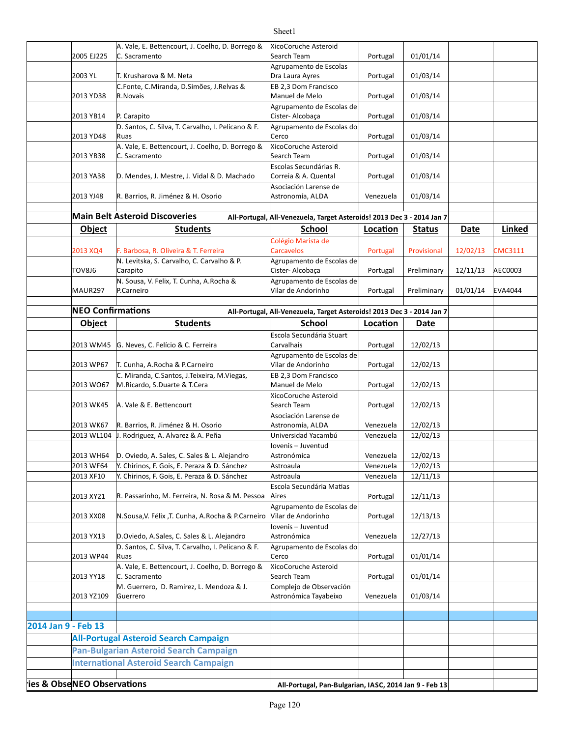|                            | 2005 EJ225               | A. Vale, E. Bettencourt, J. Coelho, D. Borrego &<br>C. Sacramento                            | XicoCoruche Asteroid<br>Search Team                                    | Portugal               | 01/01/14      |          |                |
|----------------------------|--------------------------|----------------------------------------------------------------------------------------------|------------------------------------------------------------------------|------------------------|---------------|----------|----------------|
|                            | 2003 YL                  | T. Krusharova & M. Neta                                                                      | Agrupamento de Escolas<br>Dra Laura Ayres                              | Portugal               | 01/03/14      |          |                |
|                            |                          | C.Fonte, C.Miranda, D.Simões, J.Relvas &                                                     | EB 2,3 Dom Francisco                                                   |                        |               |          |                |
|                            | 2013 YD38                | R.Novais                                                                                     | Manuel de Melo                                                         | Portugal               | 01/03/14      |          |                |
|                            | 2013 YB14                | P. Carapito                                                                                  | Agrupamento de Escolas de<br>Cister-Alcobaça                           | Portugal               | 01/03/14      |          |                |
|                            | 2013 YD48                | D. Santos, C. Silva, T. Carvalho, I. Pelicano & F.<br>Ruas                                   | Agrupamento de Escolas do<br>Cerco                                     | Portugal               | 01/03/14      |          |                |
|                            |                          | A. Vale, E. Bettencourt, J. Coelho, D. Borrego &                                             | XicoCoruche Asteroid                                                   |                        |               |          |                |
|                            | 2013 YB38                | C. Sacramento                                                                                | Search Team<br>Escolas Secundárias R.                                  | Portugal               | 01/03/14      |          |                |
|                            | 2013 YA38                | D. Mendes, J. Mestre, J. Vidal & D. Machado                                                  | Correia & A. Quental                                                   | Portugal               | 01/03/14      |          |                |
|                            | 2013 YJ48                | R. Barrios, R. Jiménez & H. Osorio                                                           | Asociación Larense de<br>Astronomía, ALDA                              | Venezuela              | 01/03/14      |          |                |
|                            |                          | <b>Main Belt Asteroid Discoveries</b>                                                        | All-Portugal, All-Venezuela, Target Asteroids! 2013 Dec 3 - 2014 Jan 7 |                        |               |          |                |
|                            | Object                   | <b>Students</b>                                                                              | School                                                                 | Location               | <b>Status</b> | Date     | Linked         |
|                            |                          |                                                                                              | Colégio Marista de                                                     |                        |               |          |                |
|                            | 2013 XQ4                 | F. Barbosa, R. Oliveira & T. Ferreira                                                        | Carcavelos                                                             | Portugal               | Provisional   | 12/02/13 | <b>CMC3111</b> |
|                            |                          | N. Levitska, S. Carvalho, C. Carvalho & P.                                                   | Agrupamento de Escolas de                                              |                        |               |          |                |
|                            | TOV8J6                   | Carapito<br>N. Sousa, V. Felix, T. Cunha, A. Rocha &                                         | Cister- Alcobaça<br>Agrupamento de Escolas de                          | Portugal               | Preliminary   | 12/11/13 | AEC0003        |
|                            | MAUR297                  | P.Carneiro                                                                                   | Vilar de Andorinho                                                     | Portugal               | Preliminary   | 01/01/14 | <b>EVA4044</b> |
|                            | <b>NEO Confirmations</b> |                                                                                              | All-Portugal, All-Venezuela, Target Asteroids! 2013 Dec 3 - 2014 Jan 7 |                        |               |          |                |
|                            | <b>Object</b>            | <b>Students</b>                                                                              | School                                                                 | Location               | <b>Date</b>   |          |                |
|                            |                          |                                                                                              | Escola Secundária Stuart                                               |                        |               |          |                |
|                            | 2013 WM45                | G. Neves, C. Felício & C. Ferreira                                                           | Carvalhais                                                             | Portugal               | 12/02/13      |          |                |
|                            | 2013 WP67                | T. Cunha, A.Rocha & P.Carneiro                                                               | Agrupamento de Escolas de<br>Vilar de Andorinho                        | Portugal               | 12/02/13      |          |                |
|                            | 2013 WO67                | C. Miranda, C.Santos, J.Teixeira, M.Viegas,<br>M.Ricardo, S.Duarte & T.Cera                  | EB 2,3 Dom Francisco<br>Manuel de Melo                                 | Portugal               | 12/02/13      |          |                |
|                            | 2013 WK45                | A. Vale & E. Bettencourt                                                                     | XicoCoruche Asteroid<br>Search Team                                    | Portugal               | 12/02/13      |          |                |
|                            |                          |                                                                                              | Asociación Larense de                                                  |                        |               |          |                |
|                            | 2013 WK67                | R. Barrios, R. Jiménez & H. Osorio                                                           | Astronomía, ALDA                                                       | Venezuela              | 12/02/13      |          |                |
|                            |                          | 2013 WL104 J. Rodriguez, A. Alvarez & A. Peña                                                | Universidad Yacambú                                                    | Venezuela              | 12/02/13      |          |                |
|                            |                          | 2013 WH64   D. Oviedo, A. Sales, C. Sales & L. Alejandro                                     | Iovenis - Juventud<br>Astronómica                                      | Venezuela              | 12/02/13      |          |                |
|                            | 2013 WF64                |                                                                                              | Astroaula                                                              |                        | 12/02/13      |          |                |
|                            | 2013 XF10                | Y. Chirinos, F. Gois, E. Peraza & D. Sánchez<br>Y. Chirinos, F. Gois, E. Peraza & D. Sánchez | Astroaula                                                              | Venezuela<br>Venezuela |               |          |                |
|                            |                          |                                                                                              | Escola Secundária Matias                                               |                        | 12/11/13      |          |                |
|                            | 2013 XY21                | R. Passarinho, M. Ferreira, N. Rosa & M. Pessoa                                              | Aires                                                                  | Portugal               | 12/11/13      |          |                |
|                            | 2013 XX08                | N.Sousa, V. Félix, T. Cunha, A.Rocha & P.Carneiro                                            | Agrupamento de Escolas de<br>Vilar de Andorinho                        | Portugal               | 12/13/13      |          |                |
|                            | 2013 YX13                | D.Oviedo, A.Sales, C. Sales & L. Alejandro                                                   | Iovenis - Juventud<br>Astronómica                                      | Venezuela              | 12/27/13      |          |                |
|                            |                          | D. Santos, C. Silva, T. Carvalho, I. Pelicano & F.                                           | Agrupamento de Escolas do                                              |                        |               |          |                |
|                            | 2013 WP44                | Ruas<br>A. Vale, E. Bettencourt, J. Coelho, D. Borrego &                                     | Cerco<br>XicoCoruche Asteroid                                          | Portugal               | 01/01/14      |          |                |
|                            | 2013 YY18                | C. Sacramento                                                                                | Search Team                                                            | Portugal               | 01/01/14      |          |                |
|                            | 2013 YZ109               | M. Guerrero, D. Ramirez, L. Mendoza & J.<br>Guerrero                                         | Complejo de Observación<br>Astronómica Tayabeixo                       | Venezuela              | 01/03/14      |          |                |
|                            |                          |                                                                                              |                                                                        |                        |               |          |                |
| 2014 Jan 9 - Feb 13        |                          |                                                                                              |                                                                        |                        |               |          |                |
|                            |                          | <b>All-Portugal Asteroid Search Campaign</b>                                                 |                                                                        |                        |               |          |                |
|                            |                          | Pan-Bulgarian Asteroid Search Campaign                                                       |                                                                        |                        |               |          |                |
|                            |                          | <b>International Asteroid Search Campaign</b>                                                |                                                                        |                        |               |          |                |
|                            |                          |                                                                                              |                                                                        |                        |               |          |                |
| ies & ObseNEO Observations |                          |                                                                                              | All-Portugal, Pan-Bulgarian, IASC, 2014 Jan 9 - Feb 13                 |                        |               |          |                |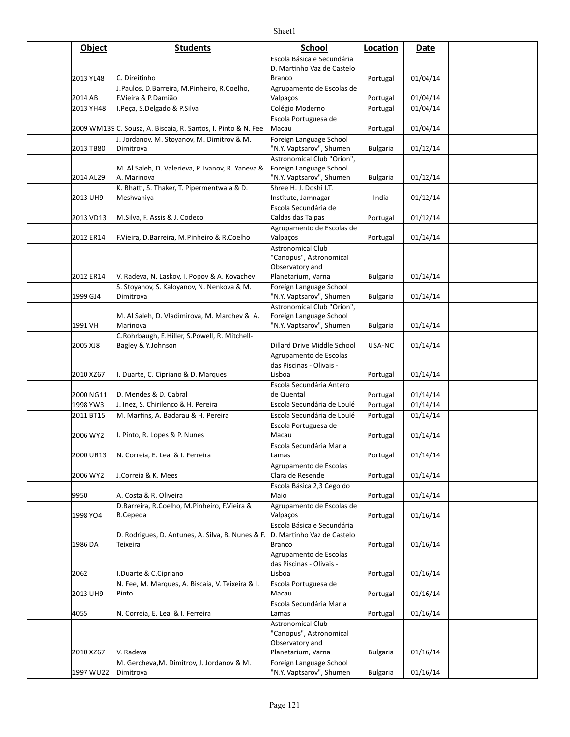| Object               | <b>Students</b>                                                  | <b>School</b>                                       | Location             | Date                 |  |
|----------------------|------------------------------------------------------------------|-----------------------------------------------------|----------------------|----------------------|--|
|                      |                                                                  | Escola Básica e Secundária                          |                      |                      |  |
|                      |                                                                  | D. Martinho Vaz de Castelo                          |                      |                      |  |
| 2013 YL48            | C. Direitinho                                                    | <b>Branco</b>                                       | Portugal             | 01/04/14             |  |
|                      | J.Paulos, D.Barreira, M.Pinheiro, R.Coelho,                      | Agrupamento de Escolas de                           |                      |                      |  |
| 2014 AB<br>2013 YH48 | F.Vieira & P.Damião<br>I.Peça, S.Delgado & P.Silva               | Valpaços<br>Colégio Moderno                         | Portugal<br>Portugal | 01/04/14<br>01/04/14 |  |
|                      |                                                                  | Escola Portuguesa de                                |                      |                      |  |
|                      | 2009 WM139 C. Sousa, A. Biscaia, R. Santos, I. Pinto & N. Fee    | Macau                                               | Portugal             | 01/04/14             |  |
|                      | J. Jordanov, M. Stoyanov, M. Dimitrov & M.                       | Foreign Language School                             |                      |                      |  |
| 2013 TB80            | Dimitrova                                                        | "N.Y. Vaptsarov", Shumen                            | <b>Bulgaria</b>      | 01/12/14             |  |
|                      |                                                                  | Astronomical Club "Orion",                          |                      |                      |  |
| 2014 AL29            | M. Al Saleh, D. Valerieva, P. Ivanov, R. Yaneva &<br>A. Marinova | Foreign Language School<br>"N.Y. Vaptsarov", Shumen | <b>Bulgaria</b>      | 01/12/14             |  |
|                      | K. Bhatti, S. Thaker, T. Pipermentwala & D.                      | Shree H. J. Doshi I.T.                              |                      |                      |  |
| 2013 UH9             | Meshvaniya                                                       | Institute, Jamnagar                                 | India                | 01/12/14             |  |
|                      |                                                                  | Escola Secundária de                                |                      |                      |  |
| 2013 VD13            | M.Silva, F. Assis & J. Codeco                                    | Caldas das Taipas                                   | Portugal             | 01/12/14             |  |
| 2012 ER14            |                                                                  | Agrupamento de Escolas de                           |                      |                      |  |
|                      | F.Vieira, D.Barreira, M.Pinheiro & R.Coelho                      | Valpaços<br>Astronomical Club                       | Portugal             | 01/14/14             |  |
|                      |                                                                  | "Canopus", Astronomical                             |                      |                      |  |
|                      |                                                                  | Observatory and                                     |                      |                      |  |
| 2012 ER14            | V. Radeva, N. Laskov, I. Popov & A. Kovachev                     | Planetarium, Varna                                  | <b>Bulgaria</b>      | 01/14/14             |  |
|                      | S. Stoyanov, S. Kaloyanov, N. Nenkova & M.<br>Dimitrova          | Foreign Language School<br>"N.Y. Vaptsarov", Shumen |                      |                      |  |
| 1999 GJ4             |                                                                  | Astronomical Club "Orion",                          | <b>Bulgaria</b>      | 01/14/14             |  |
|                      | M. Al Saleh, D. Vladimirova, M. Marchev & A.                     | Foreign Language School                             |                      |                      |  |
| 1991 VH              | Marinova                                                         | "N.Y. Vaptsarov", Shumen                            | <b>Bulgaria</b>      | 01/14/14             |  |
|                      | C.Rohrbaugh, E.Hiller, S.Powell, R. Mitchell-                    |                                                     |                      |                      |  |
| 2005 XJ8             | Bagley & Y.Johnson                                               | Dillard Drive Middle School                         | USA-NC               | 01/14/14             |  |
|                      |                                                                  | Agrupamento de Escolas<br>das Piscinas - Olivais -  |                      |                      |  |
| 2010 XZ67            | I. Duarte, C. Cipriano & D. Marques                              | Lisboa                                              | Portugal             | 01/14/14             |  |
|                      |                                                                  | Escola Secundária Antero                            |                      |                      |  |
| 2000 NG11            | D. Mendes & D. Cabral                                            | de Quental                                          | Portugal             | 01/14/14             |  |
| 1998 YW3             | J. Inez, S. Chirilenco & H. Pereira                              | Escola Secundária de Loulé                          | Portugal             | 01/14/14             |  |
| 2011 BT15            | M. Martins, A. Badarau & H. Pereira                              | Escola Secundária de Loulé<br>Escola Portuguesa de  | Portugal             | 01/14/14             |  |
| 2006 WY2             | I. Pinto, R. Lopes & P. Nunes                                    | Macau                                               | Portugal             | 01/14/14             |  |
|                      |                                                                  | Escola Secundária Maria                             |                      |                      |  |
| 2000 UR13            | N. Correia, E. Leal & I. Ferreira                                | Lamas                                               | Portugal             | 01/14/14             |  |
|                      |                                                                  | Agrupamento de Escolas                              |                      |                      |  |
| 2006 WY2             | J.Correia & K. Mees                                              | Clara de Resende                                    | Portugal             | 01/14/14             |  |
| 9950                 | A. Costa & R. Oliveira                                           | Escola Básica 2,3 Cego do<br>Maio                   | Portugal             | 01/14/14             |  |
|                      | D.Barreira, R.Coelho, M.Pinheiro, F.Vieira &                     | Agrupamento de Escolas de                           |                      |                      |  |
| 1998 YO4             | <b>B.Cepeda</b>                                                  | Valpaços                                            | Portugal             | 01/16/14             |  |
|                      |                                                                  | Escola Básica e Secundária                          |                      |                      |  |
| 1986 DA              | D. Rodrigues, D. Antunes, A. Silva, B. Nunes & F.<br>Teixeira    | D. Martinho Vaz de Castelo<br><b>Branco</b>         | Portugal             | 01/16/14             |  |
|                      |                                                                  | Agrupamento de Escolas                              |                      |                      |  |
|                      |                                                                  | das Piscinas - Olivais -                            |                      |                      |  |
| 2062                 | I.Duarte & C.Cipriano                                            | Lisboa                                              | Portugal             | 01/16/14             |  |
|                      | N. Fee, M. Marques, A. Biscaia, V. Teixeira & I.                 | Escola Portuguesa de                                |                      |                      |  |
| 2013 UH9             | Pinto                                                            | Macau<br>Escola Secundária Maria                    | Portugal             | 01/16/14             |  |
| 4055                 | N. Correia, E. Leal & I. Ferreira                                | Lamas                                               | Portugal             | 01/16/14             |  |
|                      |                                                                  | <b>Astronomical Club</b>                            |                      |                      |  |
|                      |                                                                  | 'Canopus", Astronomical                             |                      |                      |  |
|                      |                                                                  | Observatory and                                     |                      |                      |  |
| 2010 XZ67            | V. Radeva<br>M. Gercheva, M. Dimitrov, J. Jordanov & M.          | Planetarium, Varna<br>Foreign Language School       | <b>Bulgaria</b>      | 01/16/14             |  |
| 1997 WU22            | Dimitrova                                                        | "N.Y. Vaptsarov", Shumen                            | <b>Bulgaria</b>      | 01/16/14             |  |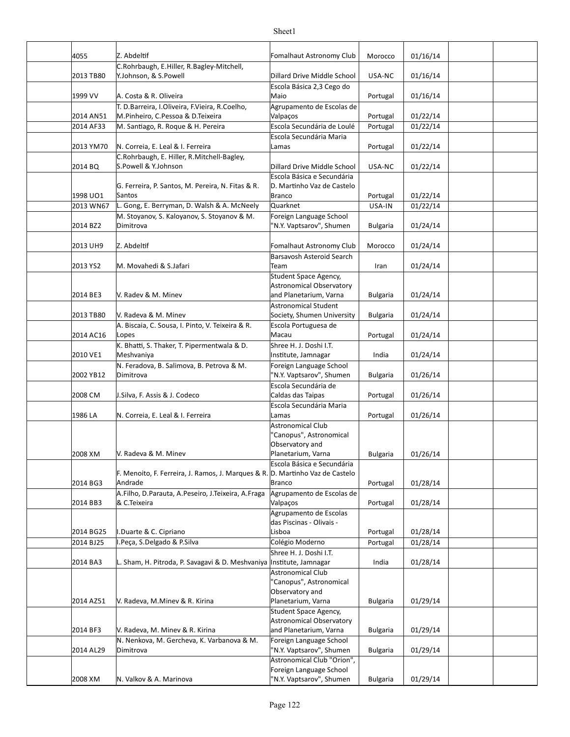| 4055      | Z. Abdeltif                                                                         | Fomalhaut Astronomy Club                                 | Morocco         | 01/16/14 |  |
|-----------|-------------------------------------------------------------------------------------|----------------------------------------------------------|-----------------|----------|--|
| 2013 TB80 | C.Rohrbaugh, E.Hiller, R.Bagley-Mitchell,<br>Y.Johnson, & S.Powell                  | Dillard Drive Middle School                              | USA-NC          | 01/16/14 |  |
| 1999 VV   | A. Costa & R. Oliveira                                                              | Escola Básica 2,3 Cego do<br>Maio                        | Portugal        | 01/16/14 |  |
| 2014 AN51 | T. D.Barreira, I.Oliveira, F.Vieira, R.Coelho,<br>M.Pinheiro, C.Pessoa & D.Teixeira | Agrupamento de Escolas de<br>Valpaços                    | Portugal        | 01/22/14 |  |
| 2014 AF33 | M. Santiago, R. Roque & H. Pereira                                                  | Escola Secundária de Loulé                               | Portugal        | 01/22/14 |  |
|           |                                                                                     | Escola Secundária Maria                                  |                 |          |  |
| 2013 YM70 | N. Correia, E. Leal & I. Ferreira                                                   | Lamas                                                    | Portugal        | 01/22/14 |  |
|           | C.Rohrbaugh, E. Hiller, R.Mitchell-Bagley,                                          |                                                          |                 |          |  |
| 2014 BQ   | S.Powell & Y.Johnson                                                                | Dillard Drive Middle School                              | USA-NC          | 01/22/14 |  |
|           | G. Ferreira, P. Santos, M. Pereira, N. Fitas & R.                                   | Escola Básica e Secundária<br>D. Martinho Vaz de Castelo |                 |          |  |
| 1998 UO1  | Santos                                                                              | <b>Branco</b>                                            | Portugal        | 01/22/14 |  |
| 2013 WN67 | L. Gong, E. Berryman, D. Walsh & A. McNeely                                         | Quarknet                                                 | USA-IN          | 01/22/14 |  |
|           | M. Stoyanov, S. Kaloyanov, S. Stoyanov & M.                                         | Foreign Language School                                  |                 |          |  |
| 2014 BZ2  | Dimitrova                                                                           | 'N.Y. Vaptsarov", Shumen                                 | <b>Bulgaria</b> | 01/24/14 |  |
|           |                                                                                     |                                                          |                 |          |  |
| 2013 UH9  | Z. Abdeltif                                                                         | Fomalhaut Astronomy Club                                 | Morocco         | 01/24/14 |  |
|           |                                                                                     | Barsavosh Asteroid Search                                |                 |          |  |
| 2013 YS2  | M. Movahedi & S.Jafari                                                              | Team                                                     | Iran            | 01/24/14 |  |
|           |                                                                                     | Student Space Agency,                                    |                 |          |  |
|           |                                                                                     | Astronomical Observatory                                 |                 |          |  |
| 2014 BE3  | V. Radev & M. Minev                                                                 | and Planetarium, Varna                                   | <b>Bulgaria</b> | 01/24/14 |  |
|           |                                                                                     | Astronomical Student                                     |                 |          |  |
| 2013 TB80 | V. Radeva & M. Minev                                                                | Society, Shumen University                               | <b>Bulgaria</b> | 01/24/14 |  |
| 2014 AC16 | A. Biscaia, C. Sousa, I. Pinto, V. Teixeira & R.                                    | Escola Portuguesa de<br>Macau                            |                 | 01/24/14 |  |
|           | Lopes                                                                               |                                                          | Portugal        |          |  |
| 2010 VE1  | K. Bhatti, S. Thaker, T. Pipermentwala & D.<br>Meshvaniya                           | Shree H. J. Doshi I.T.<br>Institute, Jamnagar            | India           | 01/24/14 |  |
|           | N. Feradova, B. Salimova, B. Petrova & M.                                           | Foreign Language School                                  |                 |          |  |
| 2002 YB12 | Dimitrova                                                                           | "N.Y. Vaptsarov", Shumen                                 | <b>Bulgaria</b> | 01/26/14 |  |
|           |                                                                                     | Escola Secundária de                                     |                 |          |  |
| 2008 CM   | J.Silva, F. Assis & J. Codeco                                                       | Caldas das Taipas                                        | Portugal        | 01/26/14 |  |
|           |                                                                                     | Escola Secundária Maria                                  |                 |          |  |
| 1986 LA   | N. Correia, E. Leal & I. Ferreira                                                   | Lamas                                                    | Portugal        | 01/26/14 |  |
|           |                                                                                     | Astronomical Club                                        |                 |          |  |
|           |                                                                                     | "Canopus", Astronomical                                  |                 |          |  |
|           |                                                                                     | Observatory and                                          |                 |          |  |
| 2008 XM   | V. Radeva & M. Minev                                                                | Planetarium, Varna                                       | <b>Bulgaria</b> | 01/26/14 |  |
|           | F. Menoito, F. Ferreira, J. Ramos, J. Marques & R. D. Martinho Vaz de Castelo       | Escola Básica e Secundária                               |                 |          |  |
| 2014 BG3  | Andrade                                                                             | <b>Branco</b>                                            | Portugal        | 01/28/14 |  |
|           | A.Filho, D.Parauta, A.Peseiro, J.Teixeira, A.Fraga                                  | Agrupamento de Escolas de                                |                 |          |  |
| 2014 BB3  | & C.Teixeira                                                                        | Valpaços                                                 | Portugal        | 01/28/14 |  |
|           |                                                                                     | Agrupamento de Escolas                                   |                 |          |  |
|           |                                                                                     | das Piscinas - Olivais -                                 |                 |          |  |
| 2014 BG25 | .Duarte & C. Cipriano                                                               | Lisboa                                                   | Portugal        | 01/28/14 |  |
| 2014 BJ25 | .Peca, S.Delgado & P.Silva                                                          | Colégio Moderno                                          | Portugal        | 01/28/14 |  |
|           |                                                                                     | Shree H. J. Doshi I.T.                                   |                 |          |  |
| 2014 BA3  | L. Sham, H. Pitroda, P. Savagavi & D. Meshvaniya                                    | Institute, Jamnagar                                      | India           | 01/28/14 |  |
|           |                                                                                     | <b>Astronomical Club</b>                                 |                 |          |  |
|           |                                                                                     | "Canopus", Astronomical                                  |                 |          |  |
|           |                                                                                     | Observatory and                                          |                 |          |  |
| 2014 AZ51 | V. Radeva, M.Minev & R. Kirina                                                      | Planetarium, Varna                                       | <b>Bulgaria</b> | 01/29/14 |  |
|           |                                                                                     | Student Space Agency,<br>Astronomical Observatory        |                 |          |  |
| 2014 BF3  | V. Radeva, M. Minev & R. Kirina                                                     | and Planetarium, Varna                                   | <b>Bulgaria</b> | 01/29/14 |  |
|           | N. Nenkova, M. Gercheva, K. Varbanova & M.                                          | Foreign Language School                                  |                 |          |  |
| 2014 AL29 | Dimitrova                                                                           | "N.Y. Vaptsarov", Shumen                                 | <b>Bulgaria</b> | 01/29/14 |  |
|           |                                                                                     | Astronomical Club "Orion",                               |                 |          |  |
|           |                                                                                     | Foreign Language School                                  |                 |          |  |
| 2008 XM   | N. Valkov & A. Marinova                                                             | "N.Y. Vaptsarov", Shumen                                 | <b>Bulgaria</b> | 01/29/14 |  |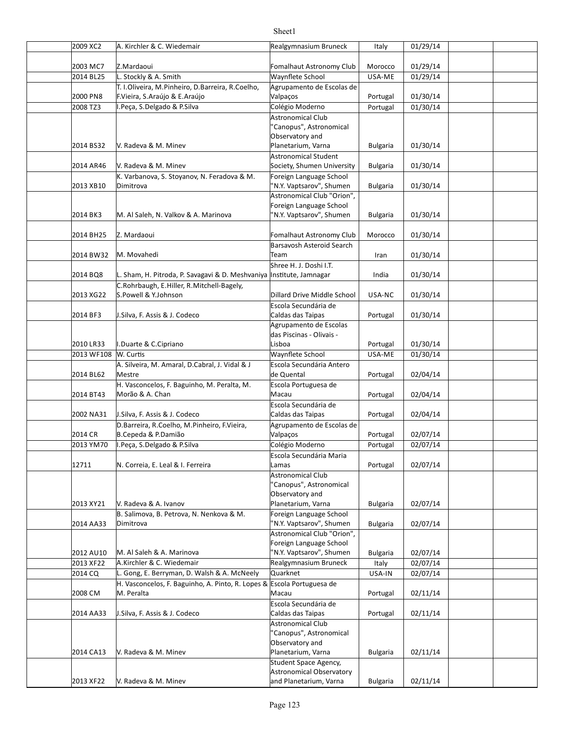#### 2009 XC2 Italy 01/29/14 2003 MC7 Morocco 01/29/14 Z.Mardaoui Fomalhaut Astronomy Club 2014 BL25 NL. Stockly & A. Smith Number 2014 BL25 Number 2014 BL25 Number 2017 29/14 2000 PN8 Portugal 01/30/14 F.Vieira, S.Araújo & E.Araújo 2008 TZ3 |I.Peça, S.Delgado & P.Silva Colégio Moderno | Portugal | 01/30/14 2014 BS32 V. Radeva & M. Minev Carries Mathemateum, Varna Bulgaria | 01/30/14 2014 AR46 Bulgaria 01/30/14 Society, Shumen University 2013 XB10 Bulgaria 01/30/14 "N.Y. Vaptsarov", Shumen 2014 BK3 M. Al Saleh, N. Valkov & A. Marinova M. M. Yaptsarov", Shumen | Bulgaria | 01/30/14 2014 BH25 Z. Mardaoui Chronomy Club | Morocco | 01/30/14 2014 BW32 Iran 01/30/14 M. Movahedi 2014 BQ8 L. Sham, H. Pitroda, P. Savagavi & D. Meshvaniya |Institute, Jamnagar India 01/30/14 2013 XG22 S.Powell & Y.Johnson Dillard Drive Middle School USA-NC 01/30/14 2014 BF3 J.Silva, F. Assis & J. Codeco Caldas das Taipas Portugal 01/30/14 2010 LR33 | I.Duarte & C.Cipriano **Portugal 1201** Portugal 01/30/14 2013 WF108 W. Cur]s USA-ME 01/30/14 Waynflete School 2014 BL62 Mestre **Decision Control Control** de Quental **Control Portugal | 02/04/14** 2014 BT43 Morão & A. Chan and the control of the Macau and Macau and Portugal | 02/04/14 2002 NA31 | J.Silva, F. Assis & J. Codeco Caldas das Taipas | Portugal | 02/04/14 2014 CR de B.Cepeda & P.Damião de compositor de la valoração de la provincia de la portugal de la 2/07/14 2013 YM70 |I.Peça, S.Delgado & P.Silva Colégio Moderno | Portugal | 02/07/14 12711 N. Correia, E. Leal & I. Ferreira Lamas Portugal 02/07/14 2013 XY21 Bulgaria 02/07/14 V. Radeva & A. Ivanov 2014 AA33 Bulgaria 02/07/14 "N.Y. Vaptsarov", Shumen 2012 AU10 |M. Al Saleh & A. Marinova | "N.Y. Vaptsarov", Shumen | Bulgaria | 02/07/14 2013 XF22 | A.Kirchler & C. Wiedemair **Realgymnasium Bruneck** | Realgymnasium Bruneck | Realgymnasium Bruneck | Realgymnasium Bruneck | Realgymnasium Bruneck | Realgymnasium Bruneck | Realgymnasium Bruneck | Realgymnasium 2014 CQ USA-IN 02/07/14 L. Gong, E. Berryman, D. Walsh & A. McNeely Quarknet 2008 CM Portugal 02/11/14 2014 AA33 Portugal 02/11/14 J.Silva, F. Assis & J. Codeco 2014 CA13 | V. Radeva & M. Minev Planetarium, Varna | Bulgaria | 02/11/14 2013 XF22 | V. Radeva & M. Minev and Planetarium, Varna | Bulgaria | 02/11/14 Realgymnasium Bruneck T. I.Oliveira, M.Pinheiro, D.Barreira, R.Coelho, Agrupamento de Escolas de Valpaços Astronomical Club Canopus", Astronomical Observatory and Planetarium, Varna V. Radeva & M. Minev Astronomical Student K. Varbanova, S. Stoyanov, N. Feradova & M. Dimitrova Foreign Language School Astronomical Club "Orion", **Foreign Language School** 'N.Y. Vaptsarov", Shumen Barsavosh Asteroid Search Team Shree H. J. Doshi I.T. C.Rohrbaugh, E.Hiller, R.Mitchell-Bagely, S.Powell & Y.Johnson Escola Secundária de Caldas das Taipas Agrupamento de Escolas das Piscinas - Olivais -Lisboa A. Silveira, M. Amaral, D.Cabral, J. Vidal & J Mestre Escola Secundária Antero de Quental H. Vasconcelos, F. Baguinho, M. Peralta, M. Escola Portuguesa de Macau Escola Secundária de Caldas das Taipas D.Barreira, R.Coelho, M.Pinheiro, F.Vieira, Agrupamento de Escolas de Valpaços Escola Secundária Maria Lamas Astronomical Club 'Canopus", Astronomical Observatory and Planetarium, Varna B. Salimova, B. Petrova, N. Nenkova & M. Dimitrova Foreign Language School M. Al Saleh & A. Marinova Astronomical Club "Orion", Foreign Language School H. Vasconcelos, F. Baguinho, A. Pinto, R. Lopes & M. Peralta Escola Portuguesa de Macau Escola Secundária de Caldas das Taipas V. Radeva & M. Minev Astronomical Club 'Canopus", Astronomical Observatory and V. Radeva & M. Minev Student Space Agency, Astronomical Observatory